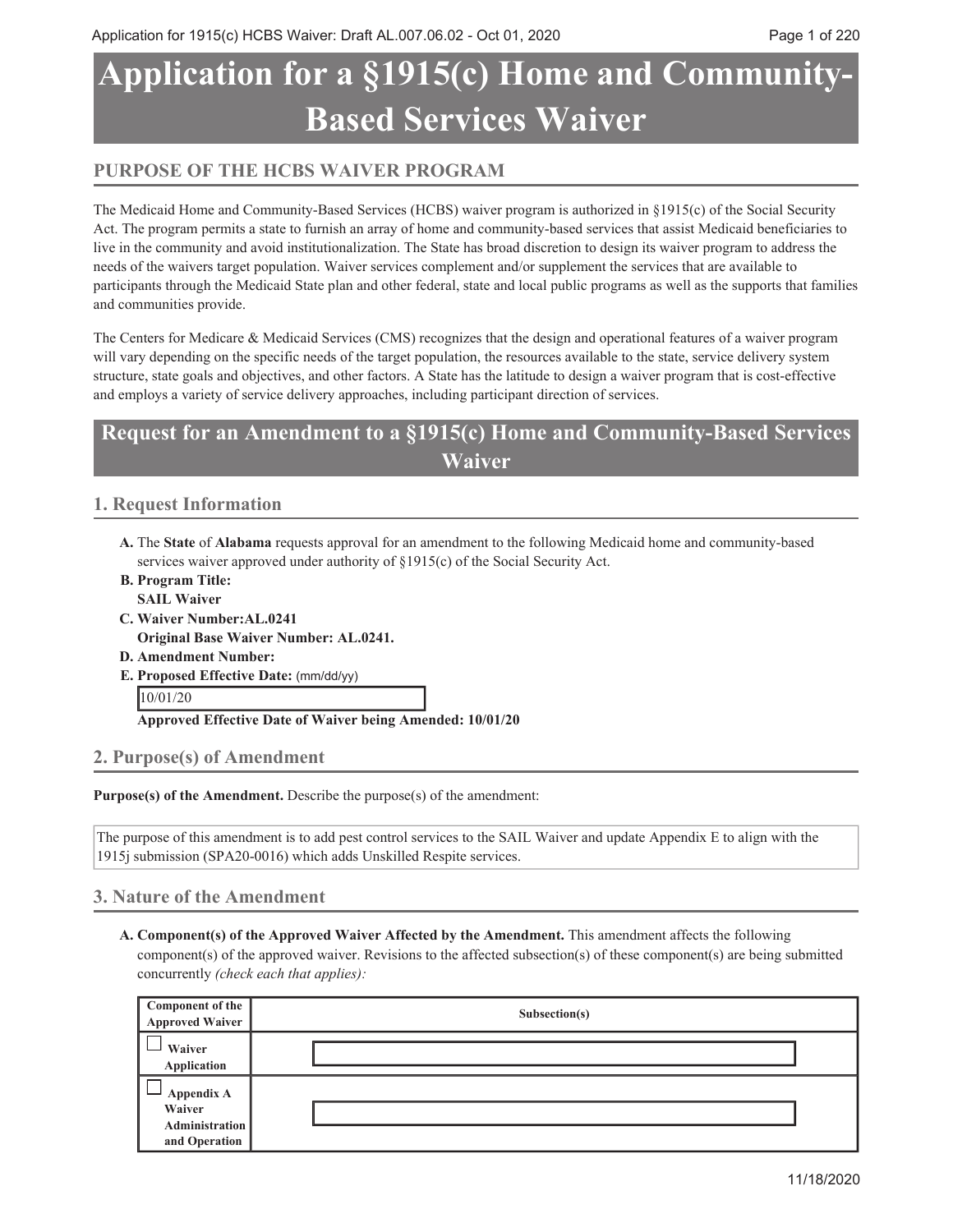# **Application for a §1915(c) Home and Community Based Services Waiver**

## **PURPOSE OF THE HCBS WAIVER PROGRAM**

The Medicaid Home and Community-Based Services (HCBS) waiver program is authorized in §1915(c) of the Social Security Act. The program permits a state to furnish an array of home and community-based services that assist Medicaid beneficiaries to live in the community and avoid institutionalization. The State has broad discretion to design its waiver program to address the needs of the waivers target population. Waiver services complement and/or supplement the services that are available to participants through the Medicaid State plan and other federal, state and local public programs as well as the supports that families and communities provide.

The Centers for Medicare & Medicaid Services (CMS) recognizes that the design and operational features of a waiver program will vary depending on the specific needs of the target population, the resources available to the state, service delivery system structure, state goals and objectives, and other factors. A State has the latitude to design a waiver program that is cost-effective and employs a variety of service delivery approaches, including participant direction of services.

## **Request for an Amendment to a §1915(c) Home and Community-Based Services Waiver**

## **1. Request Information**

- A. The State of Alabama requests approval for an amendment to the following Medicaid home and community-based services waiver approved under authority of §1915(c) of the Social Security Act.
- **Program Title: B. SAIL Waiver**
- **Waiver Number:AL.0241 C.**
- **Original Base Waiver Number: AL.0241.**
- **D. Amendment Number:**
- **Proposed Effective Date:** (mm/dd/yy) **E.**

10/01/20

**Approved Effective Date of Waiver being Amended: 10/01/20**

## **2. Purpose(s) of Amendment**

**Purpose(s) of the Amendment.** Describe the purpose(s) of the amendment:

The purpose of this amendment is to add pest control services to the SAIL Waiver and update Appendix E to align with the 1915j submission (SPA20-0016) which adds Unskilled Respite services.

## **3. Nature of the Amendment**

**Component(s) of the Approved Waiver Affected by the Amendment.** This amendment affects the following **A.** component(s) of the approved waiver. Revisions to the affected subsection(s) of these component(s) are being submitted concurrently *(check each that applies):*

| Component of the<br><b>Approved Waiver</b>                     | Subsection(s) |
|----------------------------------------------------------------|---------------|
| Waiver<br>Application                                          |               |
| Appendix A<br>Waiver<br><b>Administration</b><br>and Operation |               |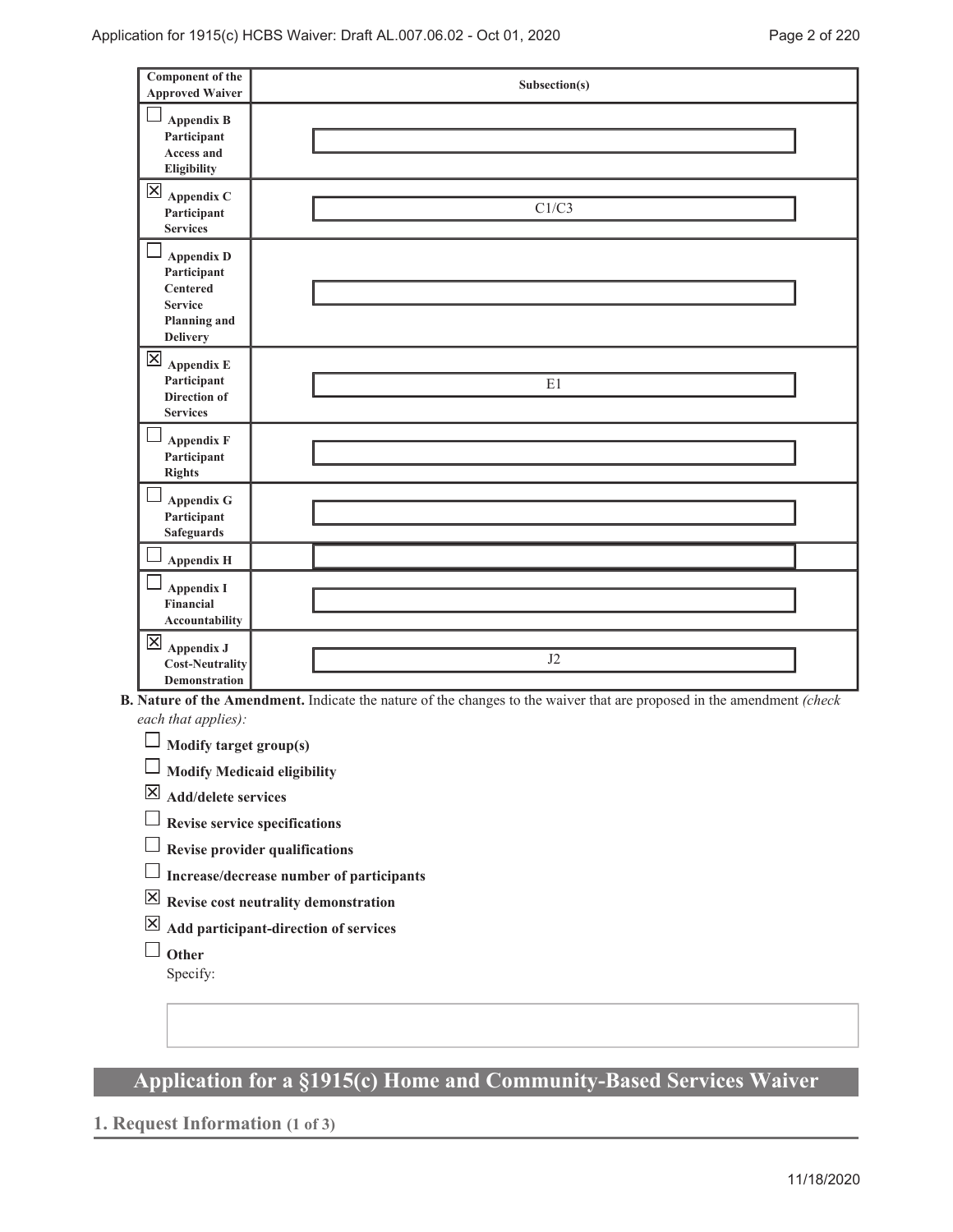| <b>Component of the</b><br><b>Approved Waiver</b>                                                               | Subsection(s) |
|-----------------------------------------------------------------------------------------------------------------|---------------|
| <b>Appendix B</b><br>Participant<br><b>Access and</b><br>Eligibility                                            |               |
| $\mathsf{X}% _{0}$<br>Appendix C<br>Participant<br><b>Services</b>                                              | C1/C3         |
| <b>Appendix D</b><br>Participant<br><b>Centered</b><br><b>Service</b><br><b>Planning and</b><br><b>Delivery</b> |               |
| $\mathsf{X}% _{0}$<br><b>Appendix E</b><br>Participant<br>Direction of<br><b>Services</b>                       | E1            |
| <b>Appendix F</b><br>Participant<br><b>Rights</b>                                                               |               |
| <b>Appendix G</b><br>Participant<br><b>Safeguards</b>                                                           |               |
| <b>Appendix H</b>                                                                                               |               |
| <b>Appendix I</b><br>Financial<br>Accountability                                                                |               |
| 区<br><b>Appendix J</b><br><b>Cost-Neutrality</b><br>Demonstration                                               | J2            |

**Nature of the Amendment.** Indicate the nature of the changes to the waiver that are proposed in the amendment *(check* **B.** *each that applies):*

**Modify target group(s)**

**Modify Medicaid eligibility**

**Add/delete services**

**Revise service specifications**

**Revise provider qualifications**

- **Increase/decrease number of participants**
- **Revise cost neutrality demonstration**
- **Add participant-direction of services**
- **Other**

Specify:

## **Application for a §1915(c) Home and Community-Based Services Waiver**

## **1. Request Information (1 of 3)**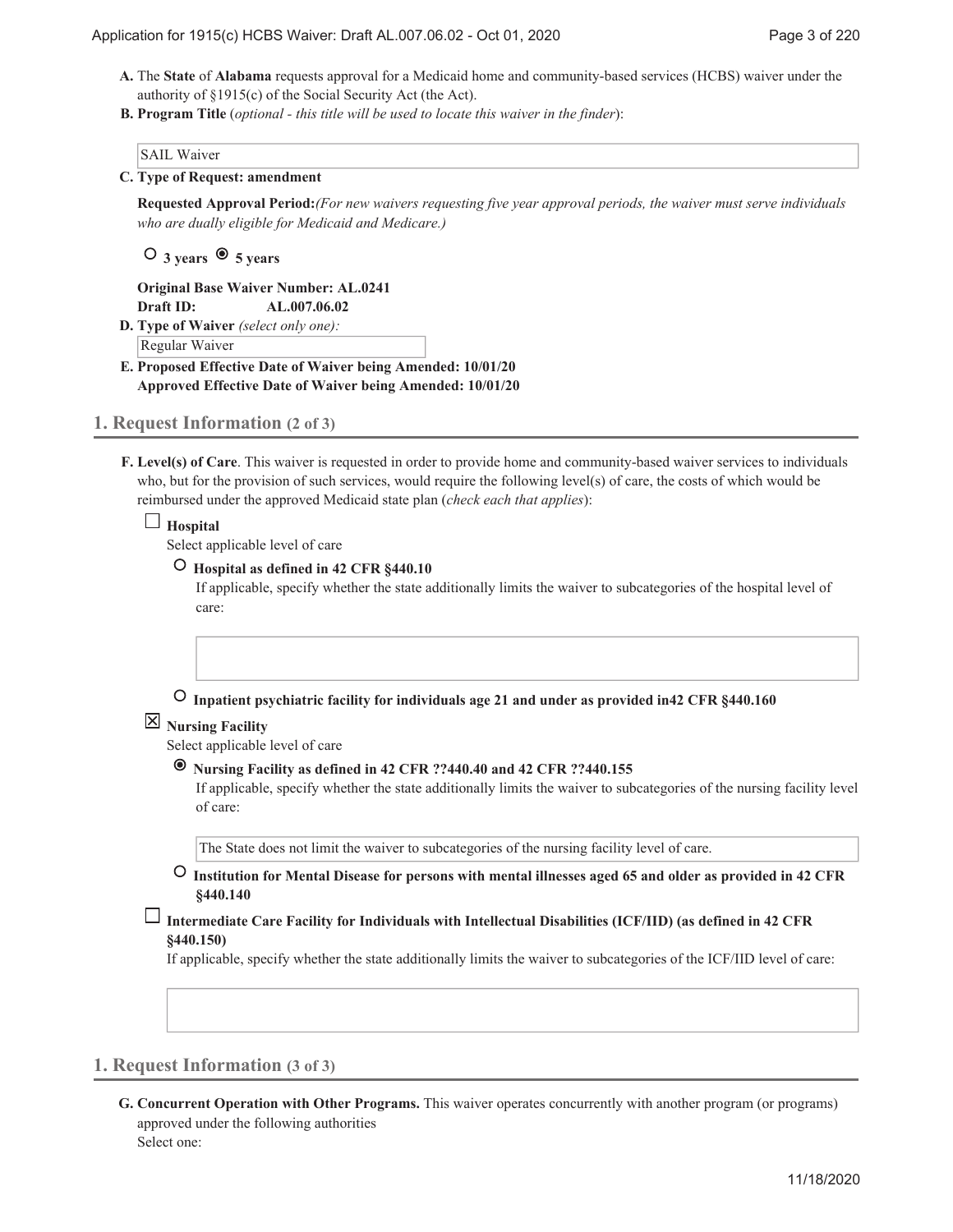- A. The State of Alabama requests approval for a Medicaid home and community-based services (HCBS) waiver under the authority of §1915(c) of the Social Security Act (the Act).
- **Program Title** (*optional this title will be used to locate this waiver in the finder*): **B.**

#### SAIL Waiver

**Type of Request: amendment C.**

**Requested Approval Period:***(For new waivers requesting five year approval periods, the waiver must serve individuals who are dually eligible for Medicaid and Medicare.)*

 **3 years 5 years**

**Original Base Waiver Number: AL.0241 Draft ID: AL.007.06.02**

**Type of Waiver** *(select only one):* **D.** Regular Waiver

**Proposed Effective Date of Waiver being Amended: 10/01/20 E. Approved Effective Date of Waiver being Amended: 10/01/20**

- **1. Request Information (2 of 3)**
	- **Level(s) of Care**. This waiver is requested in order to provide home and community-based waiver services to individuals **F.** who, but for the provision of such services, would require the following level(s) of care, the costs of which would be reimbursed under the approved Medicaid state plan (*check each that applies*):

#### $\Box$ **Hospital**

Select applicable level of care

```
 Hospital as defined in 42 CFR §440.10
```
If applicable, specify whether the state additionally limits the waiver to subcategories of the hospital level of care:

 **Inpatient psychiatric facility for individuals age 21 and under as provided in42 CFR §440.160**

## **Nursing Facility**

Select applicable level of care

 **Nursing Facility as defined in 42 CFR ??440.40 and 42 CFR ??440.155**

If applicable, specify whether the state additionally limits the waiver to subcategories of the nursing facility level of care:

The State does not limit the waiver to subcategories of the nursing facility level of care.

- **Institution for Mental Disease for persons with mental illnesses aged 65 and older as provided in 42 CFR §440.140**
- **Intermediate Care Facility for Individuals with Intellectual Disabilities (ICF/IID) (as defined in 42 CFR §440.150)**

If applicable, specify whether the state additionally limits the waiver to subcategories of the ICF/IID level of care:

## **1. Request Information (3 of 3)**

**Concurrent Operation with Other Programs.** This waiver operates concurrently with another program (or programs) **G.** approved under the following authorities Select one: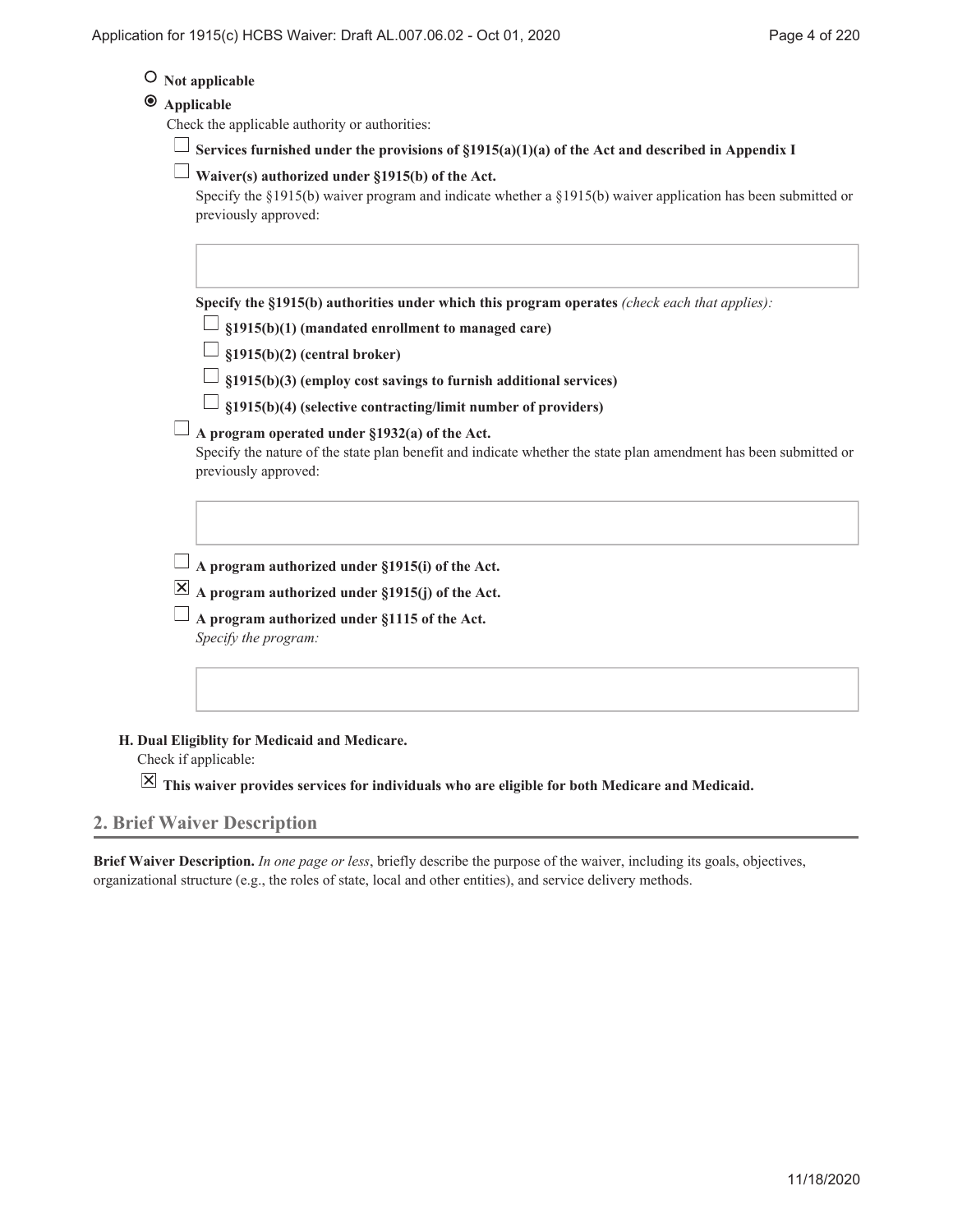## **Not applicable**

## **Applicable**

Check the applicable authority or authorities:

**Services furnished under the provisions of §1915(a)(1)(a) of the Act and described in Appendix I**

## **Waiver(s) authorized under §1915(b) of the Act.**

Specify the §1915(b) waiver program and indicate whether a §1915(b) waiver application has been submitted or previously approved:

**Specify the §1915(b) authorities under which this program operates** *(check each that applies):*

**§1915(b)(1) (mandated enrollment to managed care)**

**§1915(b)(2) (central broker)**

**§1915(b)(3) (employ cost savings to furnish additional services)**

**§1915(b)(4) (selective contracting/limit number of providers)**

## **A program operated under §1932(a) of the Act.**

Specify the nature of the state plan benefit and indicate whether the state plan amendment has been submitted or previously approved:

**A program authorized under §1915(i) of the Act.**

**A program authorized under §1915(j) of the Act.**

**A program authorized under §1115 of the Act.** *Specify the program:*

#### **Dual Eligiblity for Medicaid and Medicare. H.**

Check if applicable:

**This waiver provides services for individuals who are eligible for both Medicare and Medicaid.**

## **2. Brief Waiver Description**

**Brief Waiver Description.** *In one page or less*, briefly describe the purpose of the waiver, including its goals, objectives, organizational structure (e.g., the roles of state, local and other entities), and service delivery methods.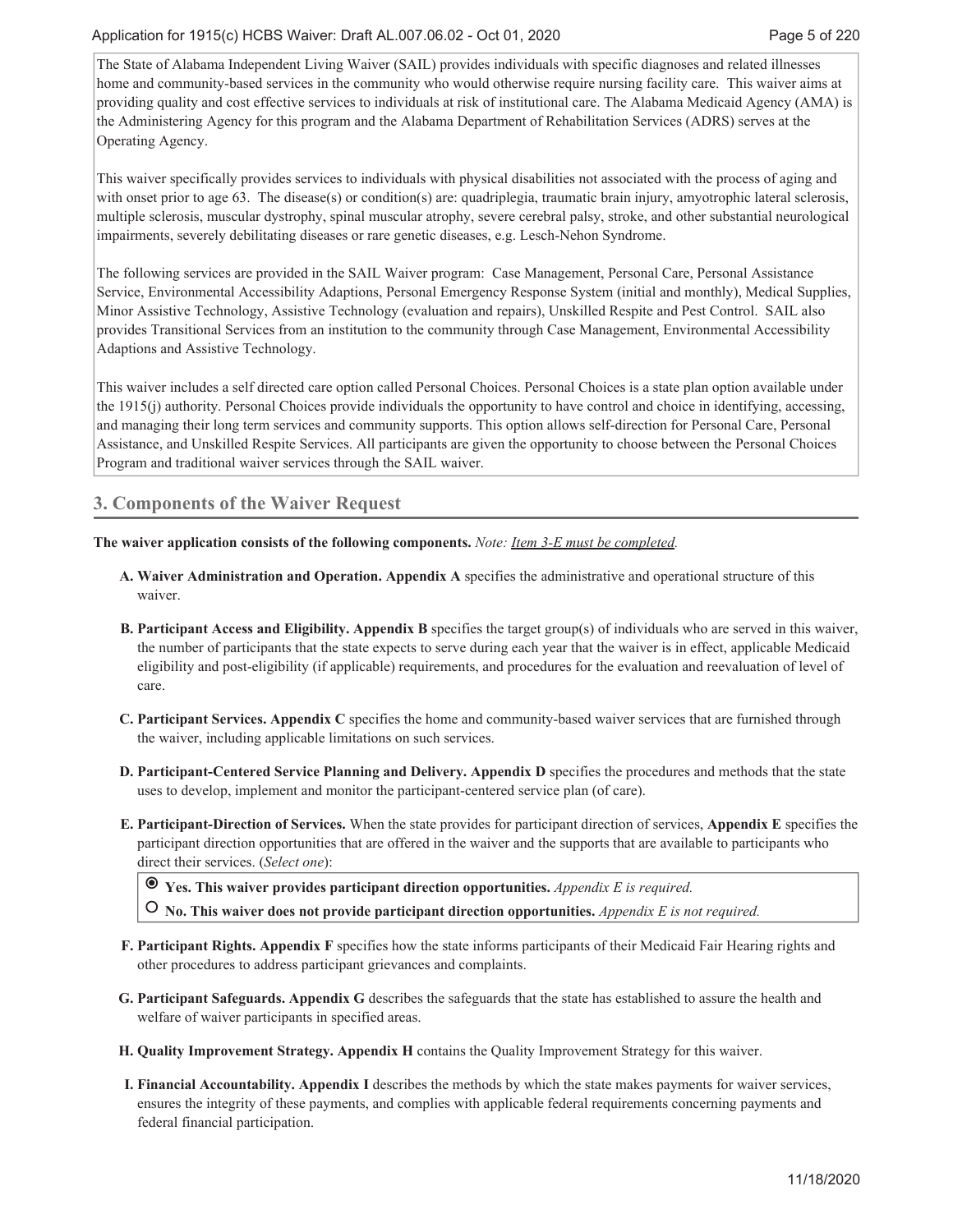The State of Alabama Independent Living Waiver (SAIL) provides individuals with specific diagnoses and related illnesses home and community-based services in the community who would otherwise require nursing facility care. This waiver aims at providing quality and cost effective services to individuals at risk of institutional care. The Alabama Medicaid Agency (AMA) is the Administering Agency for this program and the Alabama Department of Rehabilitation Services (ADRS) serves at the Operating Agency.

This waiver specifically provides services to individuals with physical disabilities not associated with the process of aging and with onset prior to age 63. The disease(s) or condition(s) are: quadriplegia, traumatic brain injury, amyotrophic lateral sclerosis, multiple sclerosis, muscular dystrophy, spinal muscular atrophy, severe cerebral palsy, stroke, and other substantial neurological impairments, severely debilitating diseases or rare genetic diseases, e.g. Lesch-Nehon Syndrome.

The following services are provided in the SAIL Waiver program: Case Management, Personal Care, Personal Assistance Service, Environmental Accessibility Adaptions, Personal Emergency Response System (initial and monthly), Medical Supplies, Minor Assistive Technology, Assistive Technology (evaluation and repairs), Unskilled Respite and Pest Control. SAIL also provides Transitional Services from an institution to the community through Case Management, Environmental Accessibility Adaptions and Assistive Technology.

This waiver includes a self directed care option called Personal Choices. Personal Choices is a state plan option available under the 1915(j) authority. Personal Choices provide individuals the opportunity to have control and choice in identifying, accessing, and managing their long term services and community supports. This option allows self-direction for Personal Care, Personal Assistance, and Unskilled Respite Services. All participants are given the opportunity to choose between the Personal Choices Program and traditional waiver services through the SAIL waiver.

## **3. Components of the Waiver Request**

**The waiver application consists of the following components.** *Note: Item 3-E must be completed.*

- **Waiver Administration and Operation. Appendix A** specifies the administrative and operational structure of this **A.** waiver.
- **Participant Access and Eligibility. Appendix B** specifies the target group(s) of individuals who are served in this waiver, **B.** the number of participants that the state expects to serve during each year that the waiver is in effect, applicable Medicaid eligibility and post-eligibility (if applicable) requirements, and procedures for the evaluation and reevaluation of level of care.
- **Participant Services. Appendix C** specifies the home and community-based waiver services that are furnished through **C.** the waiver, including applicable limitations on such services.
- **Participant-Centered Service Planning and Delivery. Appendix D** specifies the procedures and methods that the state **D.** uses to develop, implement and monitor the participant-centered service plan (of care).
- **Participant-Direction of Services.** When the state provides for participant direction of services, **Appendix E** specifies the **E.** participant direction opportunities that are offered in the waiver and the supports that are available to participants who direct their services. (*Select one*):

 **Yes. This waiver provides participant direction opportunities.** *Appendix E is required.*

 **No. This waiver does not provide participant direction opportunities.** *Appendix E is not required.*

- **Participant Rights. Appendix F** specifies how the state informs participants of their Medicaid Fair Hearing rights and **F.** other procedures to address participant grievances and complaints.
- **Participant Safeguards. Appendix G** describes the safeguards that the state has established to assure the health and **G.** welfare of waiver participants in specified areas.
- **H. Quality Improvement Strategy. Appendix H** contains the Quality Improvement Strategy for this waiver.
- **Financial Accountability. Appendix I** describes the methods by which the state makes payments for waiver services, **I.** ensures the integrity of these payments, and complies with applicable federal requirements concerning payments and federal financial participation.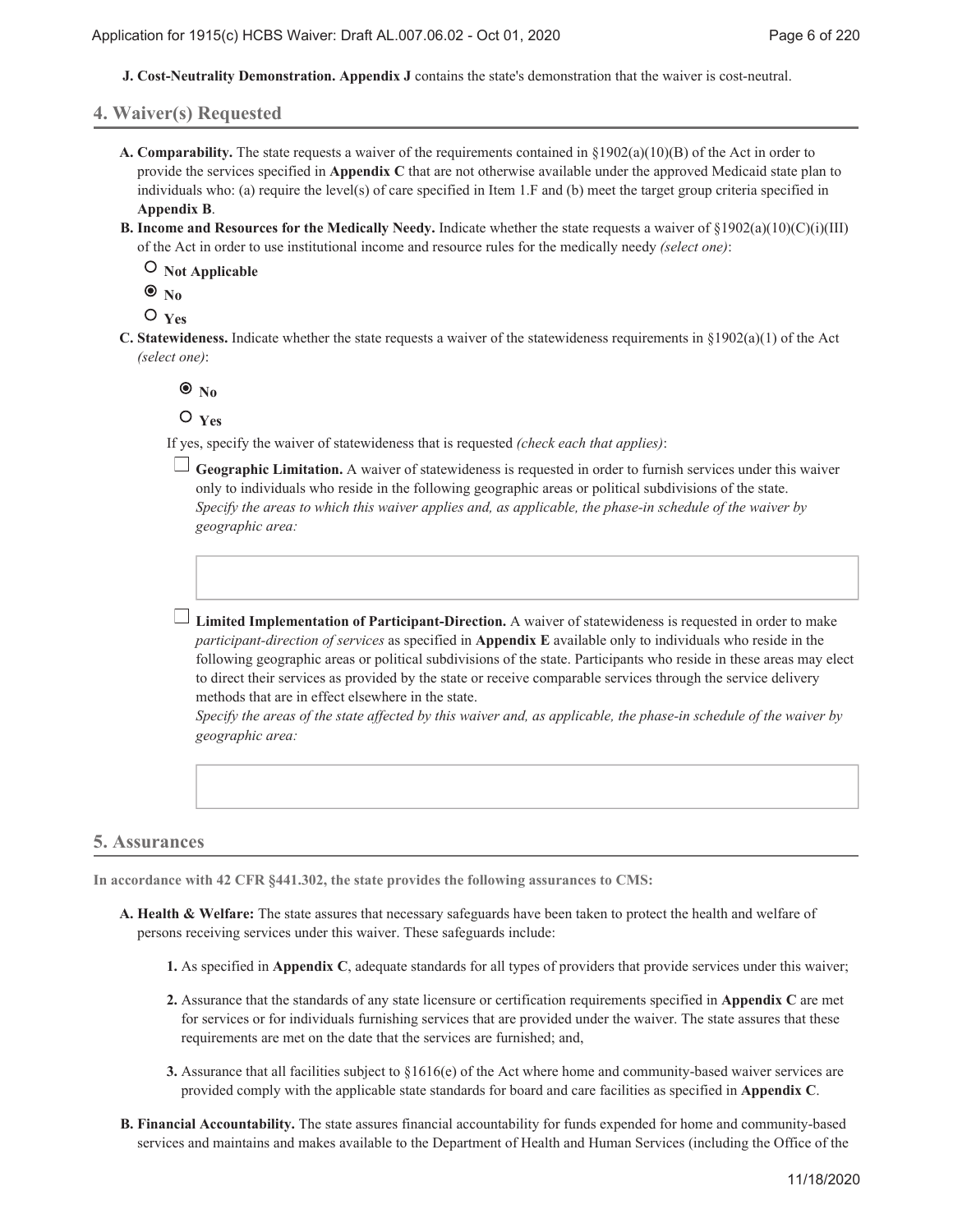**J. Cost-Neutrality Demonstration. Appendix J** contains the state's demonstration that the waiver is cost-neutral.

#### **4. Waiver(s) Requested**

- **Comparability.** The state requests a waiver of the requirements contained in §1902(a)(10)(B) of the Act in order to **A.** provide the services specified in **Appendix C** that are not otherwise available under the approved Medicaid state plan to individuals who: (a) require the level(s) of care specified in Item 1.F and (b) meet the target group criteria specified in **Appendix B**.
- **B.** Income and Resources for the Medically Needy. Indicate whether the state requests a waiver of  $\S 1902(a)(10)(C)(i)(III)$ of the Act in order to use institutional income and resource rules for the medically needy *(select one)*:

 **Not Applicable**

 $\bullet$ <sub>No</sub>

 $O$ <sub>Yes</sub>

**C.** Statewideness. Indicate whether the state requests a waiver of the statewideness requirements in  $\S 1902(a)(1)$  of the Act *(select one)*:

 $\bullet$ <sub>No</sub>

 $O$ <sub>Yes</sub>

If yes, specify the waiver of statewideness that is requested *(check each that applies)*:

**Geographic Limitation.** A waiver of statewideness is requested in order to furnish services under this waiver only to individuals who reside in the following geographic areas or political subdivisions of the state. *Specify the areas to which this waiver applies and, as applicable, the phase-in schedule of the waiver by geographic area:*



**Limited Implementation of Participant-Direction.** A waiver of statewideness is requested in order to make *participant-direction of services* as specified in **Appendix E** available only to individuals who reside in the following geographic areas or political subdivisions of the state. Participants who reside in these areas may elect to direct their services as provided by the state or receive comparable services through the service delivery methods that are in effect elsewhere in the state.

*Specify the areas of the state affected by this waiver and, as applicable, the phase-in schedule of the waiver by geographic area:*

#### **5. Assurances**

**In accordance with 42 CFR §441.302, the state provides the following assurances to CMS:**

- **Health & Welfare:** The state assures that necessary safeguards have been taken to protect the health and welfare of **A.** persons receiving services under this waiver. These safeguards include:
	- **1.** As specified in **Appendix C**, adequate standards for all types of providers that provide services under this waiver;
	- Assurance that the standards of any state licensure or certification requirements specified in **Appendix C** are met **2.** for services or for individuals furnishing services that are provided under the waiver. The state assures that these requirements are met on the date that the services are furnished; and,
	- Assurance that all facilities subject to §1616(e) of the Act where home and community-based waiver services are **3.** provided comply with the applicable state standards for board and care facilities as specified in **Appendix C**.
- **Financial Accountability.** The state assures financial accountability for funds expended for home and community-based **B.** services and maintains and makes available to the Department of Health and Human Services (including the Office of the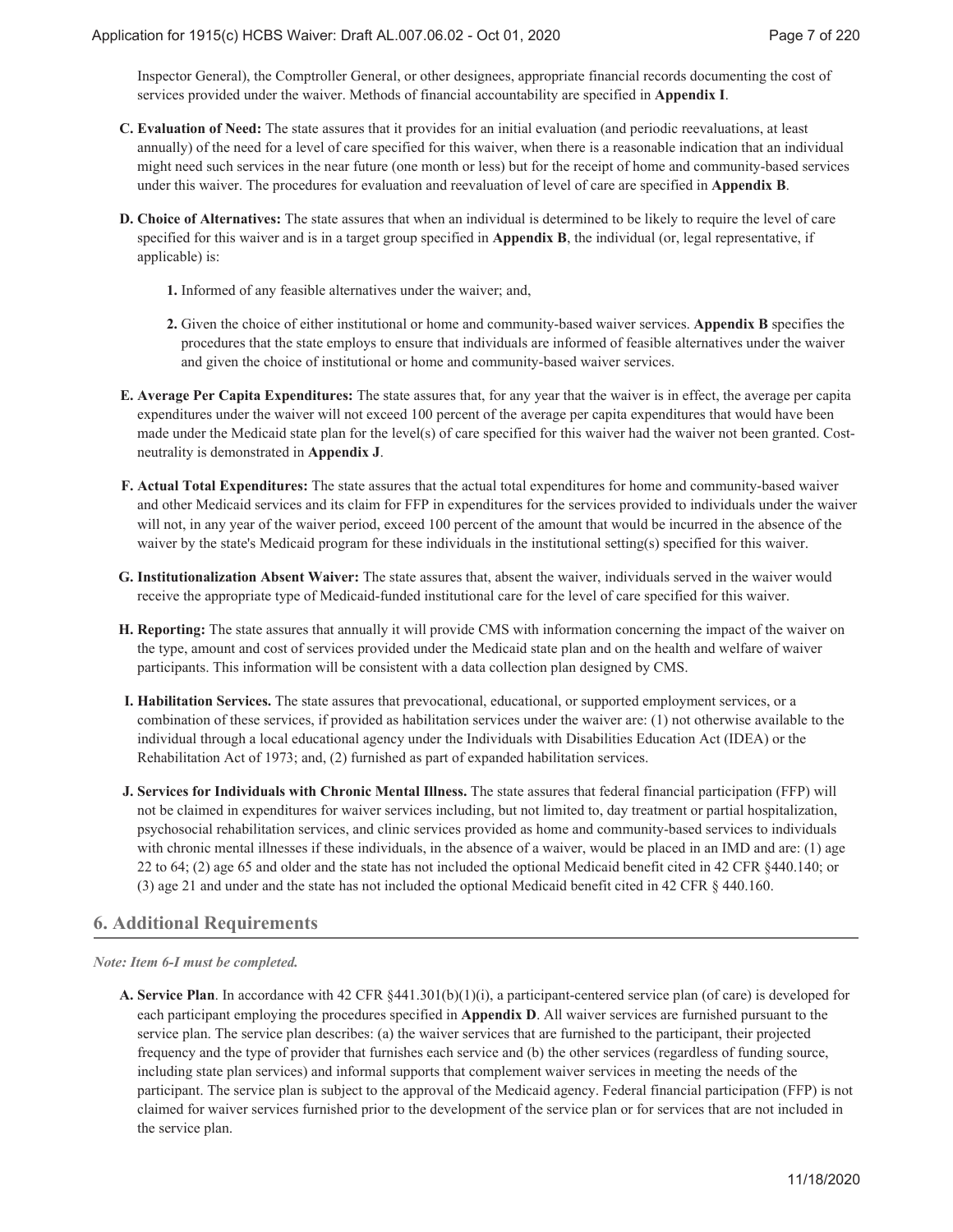Inspector General), the Comptroller General, or other designees, appropriate financial records documenting the cost of services provided under the waiver. Methods of financial accountability are specified in **Appendix I**.

- **Evaluation of Need:** The state assures that it provides for an initial evaluation (and periodic reevaluations, at least **C.** annually) of the need for a level of care specified for this waiver, when there is a reasonable indication that an individual might need such services in the near future (one month or less) but for the receipt of home and community-based services under this waiver. The procedures for evaluation and reevaluation of level of care are specified in **Appendix B**.
- **Choice of Alternatives:** The state assures that when an individual is determined to be likely to require the level of care **D.** specified for this waiver and is in a target group specified in **Appendix B**, the individual (or, legal representative, if applicable) is:
	- **1.** Informed of any feasible alternatives under the waiver; and,
	- Given the choice of either institutional or home and community-based waiver services. **Appendix B** specifies the **2.** procedures that the state employs to ensure that individuals are informed of feasible alternatives under the waiver and given the choice of institutional or home and community-based waiver services.
- **Average Per Capita Expenditures:** The state assures that, for any year that the waiver is in effect, the average per capita **E.** expenditures under the waiver will not exceed 100 percent of the average per capita expenditures that would have been made under the Medicaid state plan for the level(s) of care specified for this waiver had the waiver not been granted. Costneutrality is demonstrated in **Appendix J**.
- **Actual Total Expenditures:** The state assures that the actual total expenditures for home and community-based waiver **F.** and other Medicaid services and its claim for FFP in expenditures for the services provided to individuals under the waiver will not, in any year of the waiver period, exceed 100 percent of the amount that would be incurred in the absence of the waiver by the state's Medicaid program for these individuals in the institutional setting(s) specified for this waiver.
- **Institutionalization Absent Waiver:** The state assures that, absent the waiver, individuals served in the waiver would **G.** receive the appropriate type of Medicaid-funded institutional care for the level of care specified for this waiver.
- **Reporting:** The state assures that annually it will provide CMS with information concerning the impact of the waiver on **H.** the type, amount and cost of services provided under the Medicaid state plan and on the health and welfare of waiver participants. This information will be consistent with a data collection plan designed by CMS.
- **Habilitation Services.** The state assures that prevocational, educational, or supported employment services, or a **I.** combination of these services, if provided as habilitation services under the waiver are: (1) not otherwise available to the individual through a local educational agency under the Individuals with Disabilities Education Act (IDEA) or the Rehabilitation Act of 1973; and, (2) furnished as part of expanded habilitation services.
- **Services for Individuals with Chronic Mental Illness.** The state assures that federal financial participation (FFP) will **J.** not be claimed in expenditures for waiver services including, but not limited to, day treatment or partial hospitalization, psychosocial rehabilitation services, and clinic services provided as home and community-based services to individuals with chronic mental illnesses if these individuals, in the absence of a waiver, would be placed in an IMD and are: (1) age 22 to 64; (2) age 65 and older and the state has not included the optional Medicaid benefit cited in 42 CFR §440.140; or (3) age 21 and under and the state has not included the optional Medicaid benefit cited in 42 CFR § 440.160.

## **6. Additional Requirements**

#### *Note: Item 6-I must be completed.*

**Service Plan**. In accordance with 42 CFR §441.301(b)(1)(i), a participant-centered service plan (of care) is developed for **A.** each participant employing the procedures specified in **Appendix D**. All waiver services are furnished pursuant to the service plan. The service plan describes: (a) the waiver services that are furnished to the participant, their projected frequency and the type of provider that furnishes each service and (b) the other services (regardless of funding source, including state plan services) and informal supports that complement waiver services in meeting the needs of the participant. The service plan is subject to the approval of the Medicaid agency. Federal financial participation (FFP) is not claimed for waiver services furnished prior to the development of the service plan or for services that are not included in the service plan.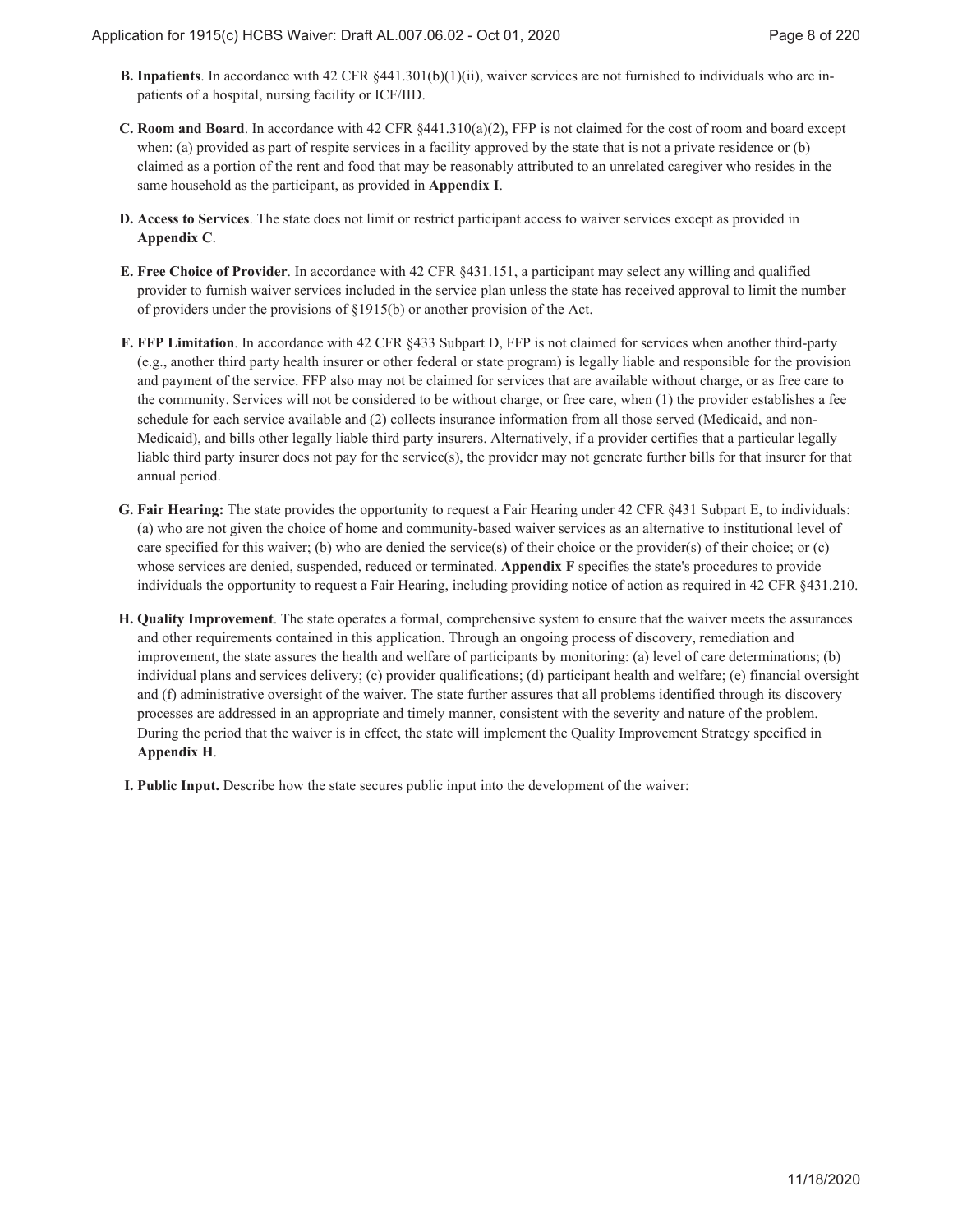- **B.** Inpatients. In accordance with 42 CFR §441.301(b)(1)(ii), waiver services are not furnished to individuals who are inpatients of a hospital, nursing facility or ICF/IID.
- **Room and Board**. In accordance with 42 CFR §441.310(a)(2), FFP is not claimed for the cost of room and board except **C.** when: (a) provided as part of respite services in a facility approved by the state that is not a private residence or (b) claimed as a portion of the rent and food that may be reasonably attributed to an unrelated caregiver who resides in the same household as the participant, as provided in **Appendix I**.
- **Access to Services**. The state does not limit or restrict participant access to waiver services except as provided in **D. Appendix C**.
- **Free Choice of Provider**. In accordance with 42 CFR §431.151, a participant may select any willing and qualified **E.** provider to furnish waiver services included in the service plan unless the state has received approval to limit the number of providers under the provisions of §1915(b) or another provision of the Act.
- **FFP Limitation**. In accordance with 42 CFR §433 Subpart D, FFP is not claimed for services when another third-party **F.** (e.g., another third party health insurer or other federal or state program) is legally liable and responsible for the provision and payment of the service. FFP also may not be claimed for services that are available without charge, or as free care to the community. Services will not be considered to be without charge, or free care, when (1) the provider establishes a fee schedule for each service available and (2) collects insurance information from all those served (Medicaid, and non-Medicaid), and bills other legally liable third party insurers. Alternatively, if a provider certifies that a particular legally liable third party insurer does not pay for the service(s), the provider may not generate further bills for that insurer for that annual period.
- **Fair Hearing:** The state provides the opportunity to request a Fair Hearing under 42 CFR §431 Subpart E, to individuals: **G.** (a) who are not given the choice of home and community-based waiver services as an alternative to institutional level of care specified for this waiver; (b) who are denied the service(s) of their choice or the provider(s) of their choice; or (c) whose services are denied, suspended, reduced or terminated. **Appendix F** specifies the state's procedures to provide individuals the opportunity to request a Fair Hearing, including providing notice of action as required in 42 CFR §431.210.
- **Quality Improvement**. The state operates a formal, comprehensive system to ensure that the waiver meets the assurances **H.** and other requirements contained in this application. Through an ongoing process of discovery, remediation and improvement, the state assures the health and welfare of participants by monitoring: (a) level of care determinations; (b) individual plans and services delivery; (c) provider qualifications; (d) participant health and welfare; (e) financial oversight and (f) administrative oversight of the waiver. The state further assures that all problems identified through its discovery processes are addressed in an appropriate and timely manner, consistent with the severity and nature of the problem. During the period that the waiver is in effect, the state will implement the Quality Improvement Strategy specified in **Appendix H**.
- **I. Public Input.** Describe how the state secures public input into the development of the waiver: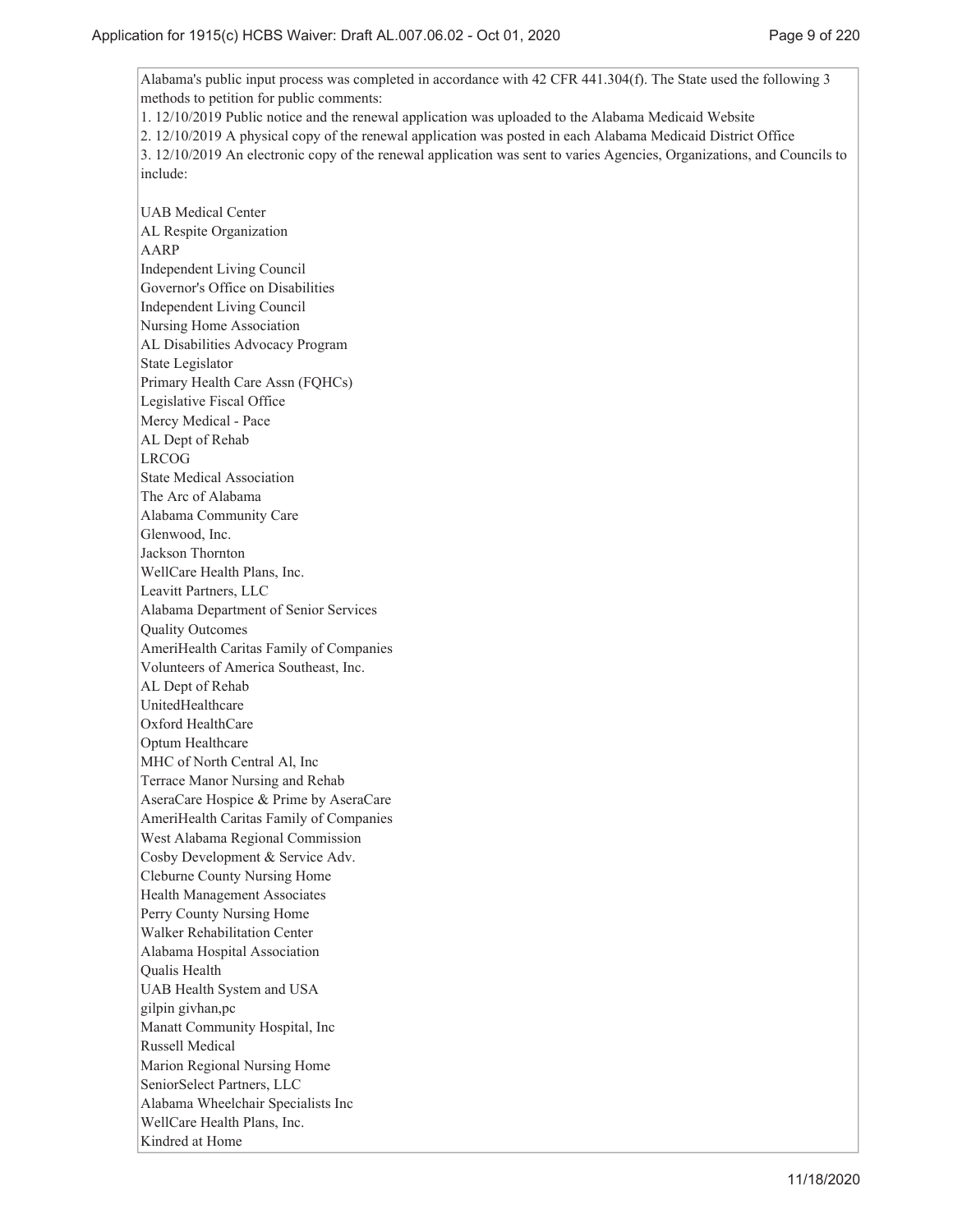Alabama's public input process was completed in accordance with 42 CFR 441.304(f). The State used the following 3 methods to petition for public comments:

1. 12/10/2019 Public notice and the renewal application was uploaded to the Alabama Medicaid Website

2. 12/10/2019 A physical copy of the renewal application was posted in each Alabama Medicaid District Office

3. 12/10/2019 An electronic copy of the renewal application was sent to varies Agencies, Organizations, and Councils to include:

UAB Medical Center AL Respite Organization AARP Independent Living Council Governor's Office on Disabilities Independent Living Council Nursing Home Association AL Disabilities Advocacy Program State Legislator Primary Health Care Assn (FQHCs) Legislative Fiscal Office Mercy Medical - Pace AL Dept of Rehab LRCOG State Medical Association The Arc of Alabama Alabama Community Care Glenwood, Inc. Jackson Thornton WellCare Health Plans, Inc. Leavitt Partners, LLC Alabama Department of Senior Services Quality Outcomes AmeriHealth Caritas Family of Companies Volunteers of America Southeast, Inc. AL Dept of Rehab UnitedHealthcare Oxford HealthCare Optum Healthcare MHC of North Central Al, Inc Terrace Manor Nursing and Rehab AseraCare Hospice & Prime by AseraCare AmeriHealth Caritas Family of Companies West Alabama Regional Commission Cosby Development & Service Adv. Cleburne County Nursing Home Health Management Associates Perry County Nursing Home Walker Rehabilitation Center Alabama Hospital Association Qualis Health UAB Health System and USA gilpin givhan,pc Manatt Community Hospital, Inc Russell Medical Marion Regional Nursing Home SeniorSelect Partners, LLC Alabama Wheelchair Specialists Inc WellCare Health Plans, Inc. Kindred at Home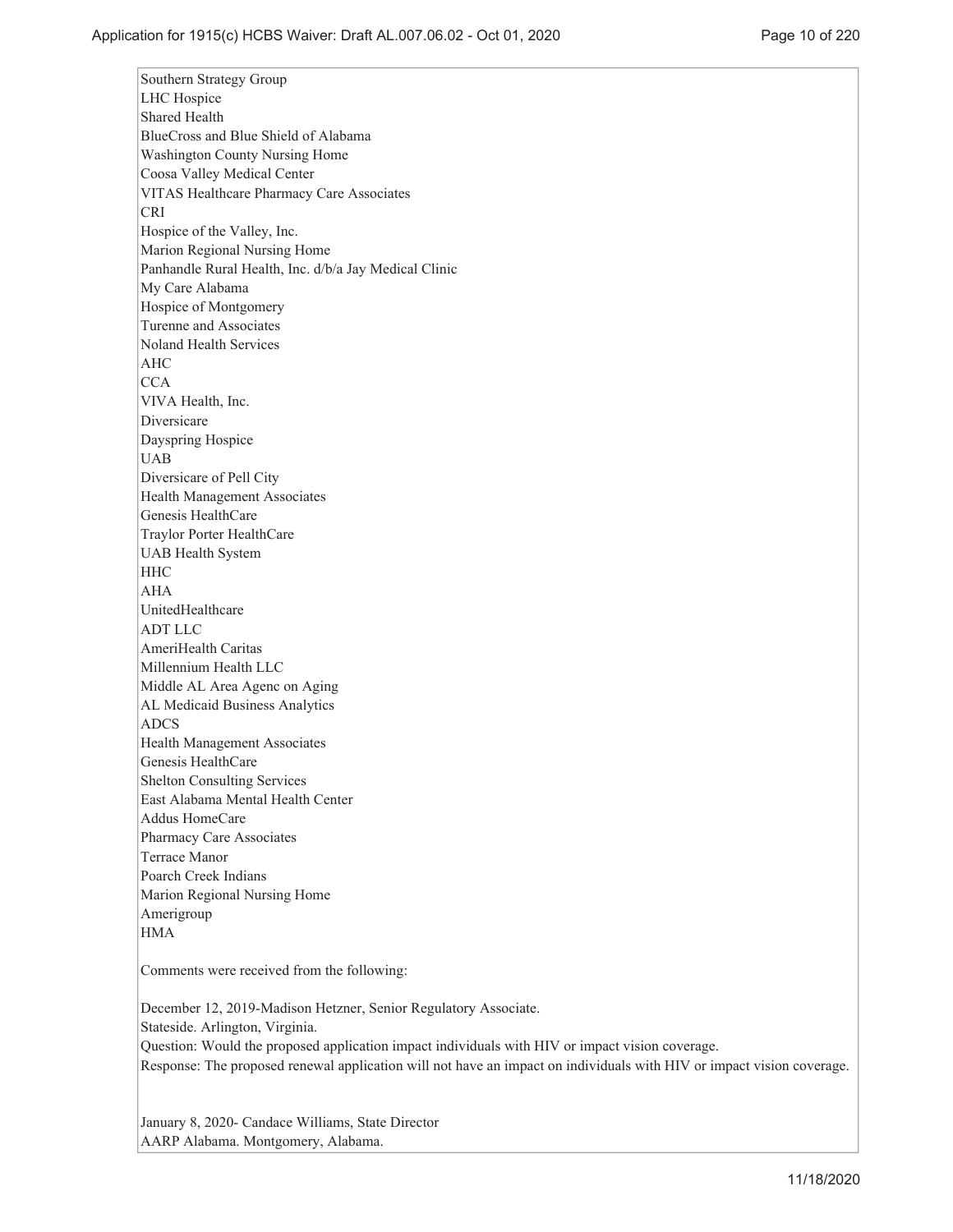Southern Strategy Group LHC Hospice Shared Health BlueCross and Blue Shield of Alabama Washington County Nursing Home Coosa Valley Medical Center VITAS Healthcare Pharmacy Care Associates CRI Hospice of the Valley, Inc. Marion Regional Nursing Home Panhandle Rural Health, Inc. d/b/a Jay Medical Clinic My Care Alabama Hospice of Montgomery Turenne and Associates Noland Health Services AHC **CCA** VIVA Health, Inc. Diversicare Dayspring Hospice UAB Diversicare of Pell City Health Management Associates Genesis HealthCare Traylor Porter HealthCare UAB Health System **HHC** AHA UnitedHealthcare ADT LLC AmeriHealth Caritas Millennium Health LLC Middle AL Area Agenc on Aging AL Medicaid Business Analytics ADCS Health Management Associates Genesis HealthCare Shelton Consulting Services East Alabama Mental Health Center Addus HomeCare Pharmacy Care Associates Terrace Manor Poarch Creek Indians Marion Regional Nursing Home Amerigroup **HMA** 

Comments were received from the following:

December 12, 2019-Madison Hetzner, Senior Regulatory Associate. Stateside. Arlington, Virginia. Question: Would the proposed application impact individuals with HIV or impact vision coverage. Response: The proposed renewal application will not have an impact on individuals with HIV or impact vision coverage.

January 8, 2020- Candace Williams, State Director AARP Alabama. Montgomery, Alabama.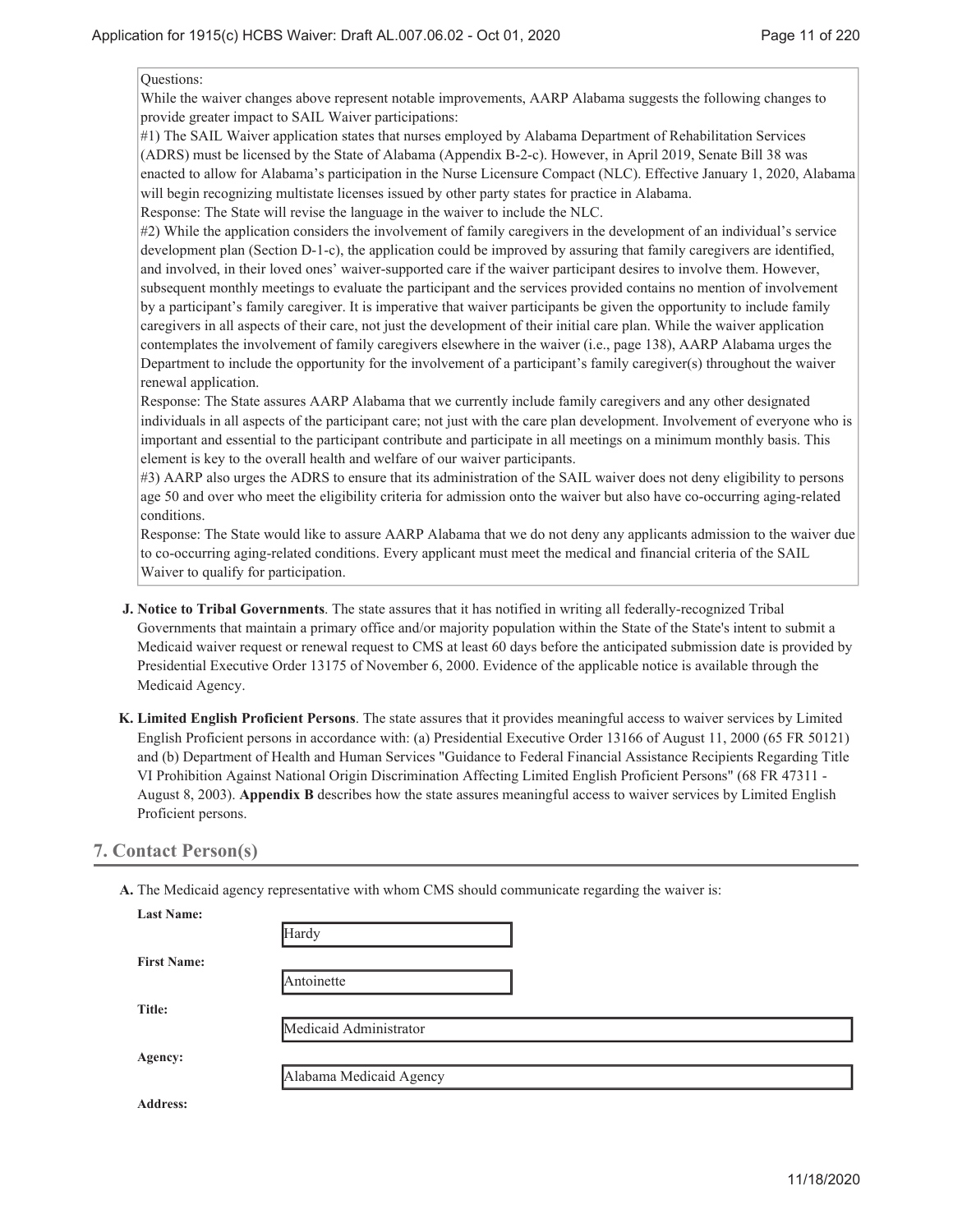Questions:

While the waiver changes above represent notable improvements, AARP Alabama suggests the following changes to provide greater impact to SAIL Waiver participations:

#1) The SAIL Waiver application states that nurses employed by Alabama Department of Rehabilitation Services (ADRS) must be licensed by the State of Alabama (Appendix B-2-c). However, in April 2019, Senate Bill 38 was enacted to allow for Alabama's participation in the Nurse Licensure Compact (NLC). Effective January 1, 2020, Alabama will begin recognizing multistate licenses issued by other party states for practice in Alabama. Response: The State will revise the language in the waiver to include the NLC.

#2) While the application considers the involvement of family caregivers in the development of an individual's service development plan (Section D-1-c), the application could be improved by assuring that family caregivers are identified, and involved, in their loved ones' waiver-supported care if the waiver participant desires to involve them. However, subsequent monthly meetings to evaluate the participant and the services provided contains no mention of involvement by a participant's family caregiver. It is imperative that waiver participants be given the opportunity to include family caregivers in all aspects of their care, not just the development of their initial care plan. While the waiver application contemplates the involvement of family caregivers elsewhere in the waiver (i.e., page 138), AARP Alabama urges the Department to include the opportunity for the involvement of a participant's family caregiver(s) throughout the waiver renewal application.

Response: The State assures AARP Alabama that we currently include family caregivers and any other designated individuals in all aspects of the participant care; not just with the care plan development. Involvement of everyone who is important and essential to the participant contribute and participate in all meetings on a minimum monthly basis. This element is key to the overall health and welfare of our waiver participants.

#3) AARP also urges the ADRS to ensure that its administration of the SAIL waiver does not deny eligibility to persons age 50 and over who meet the eligibility criteria for admission onto the waiver but also have co-occurring aging-related conditions.

Response: The State would like to assure AARP Alabama that we do not deny any applicants admission to the waiver due to co-occurring aging-related conditions. Every applicant must meet the medical and financial criteria of the SAIL Waiver to qualify for participation.

- **Notice to Tribal Governments**. The state assures that it has notified in writing all federally-recognized Tribal **J.** Governments that maintain a primary office and/or majority population within the State of the State's intent to submit a Medicaid waiver request or renewal request to CMS at least 60 days before the anticipated submission date is provided by Presidential Executive Order 13175 of November 6, 2000. Evidence of the applicable notice is available through the Medicaid Agency.
- **Limited English Proficient Persons**. The state assures that it provides meaningful access to waiver services by Limited **K.** English Proficient persons in accordance with: (a) Presidential Executive Order 13166 of August 11, 2000 (65 FR 50121) and (b) Department of Health and Human Services "Guidance to Federal Financial Assistance Recipients Regarding Title VI Prohibition Against National Origin Discrimination Affecting Limited English Proficient Persons" (68 FR 47311 - August 8, 2003). **Appendix B** describes how the state assures meaningful access to waiver services by Limited English Proficient persons.

## **7. Contact Person(s)**

**A.** The Medicaid agency representative with whom CMS should communicate regarding the waiver is:

| <b>Last Name:</b>  | Hardy                   |
|--------------------|-------------------------|
| <b>First Name:</b> |                         |
|                    | Antoinette              |
| Title:             |                         |
|                    | Medicaid Administrator  |
| Agency:            |                         |
|                    | Alabama Medicaid Agency |
| <b>Address:</b>    |                         |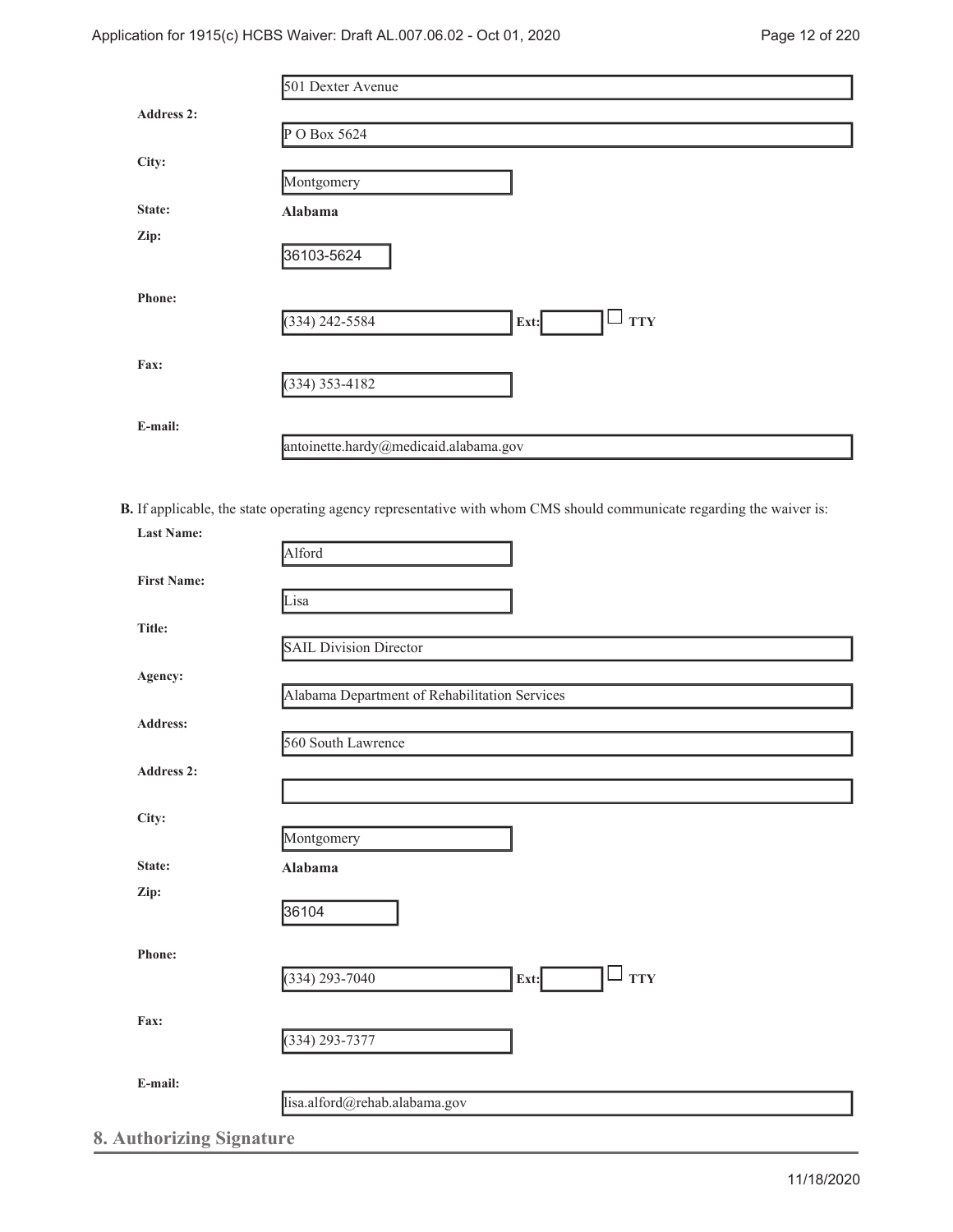|                   | 501 Dexter Avenue                     |
|-------------------|---------------------------------------|
| <b>Address 2:</b> |                                       |
|                   | $P$ O Box 5624                        |
| City:             |                                       |
|                   | Montgomery                            |
| State:            | Alabama                               |
| Zip:              |                                       |
|                   | 36103-5624                            |
| <b>Phone:</b>     |                                       |
|                   | <b>TTY</b><br>(334) 242-5584<br>Ext:  |
|                   |                                       |
| Fax:              |                                       |
|                   | $(334)$ 353-4182                      |
| E-mail:           |                                       |
|                   | antoinette.hardy@medicaid.alabama.gov |
|                   |                                       |

**B.** If applicable, the state operating agency representative with whom CMS should communicate regarding the waiver is: **Last Name:**

| <b>First Name:</b> |                                                  |
|--------------------|--------------------------------------------------|
|                    | Lisa                                             |
| Title:             |                                                  |
|                    | <b>SAIL Division Director</b>                    |
| Agency:            |                                                  |
|                    | Alabama Department of Rehabilitation Services    |
| Address:           |                                                  |
|                    | 560 South Lawrence                               |
| Address 2:         |                                                  |
|                    |                                                  |
| City:              | Montgomery                                       |
| State:             | Alabama                                          |
| Zip:               |                                                  |
|                    | 36104                                            |
|                    |                                                  |
| Phone:             |                                                  |
|                    | <b>TTY</b><br>$(334)$ 293-7040<br>$\Box$<br>Ext: |
| Fax:               |                                                  |
|                    | $(334) 293 - 7377$                               |
|                    |                                                  |
| E-mail:            |                                                  |
|                    | lisa.alford@rehab.alabama.gov                    |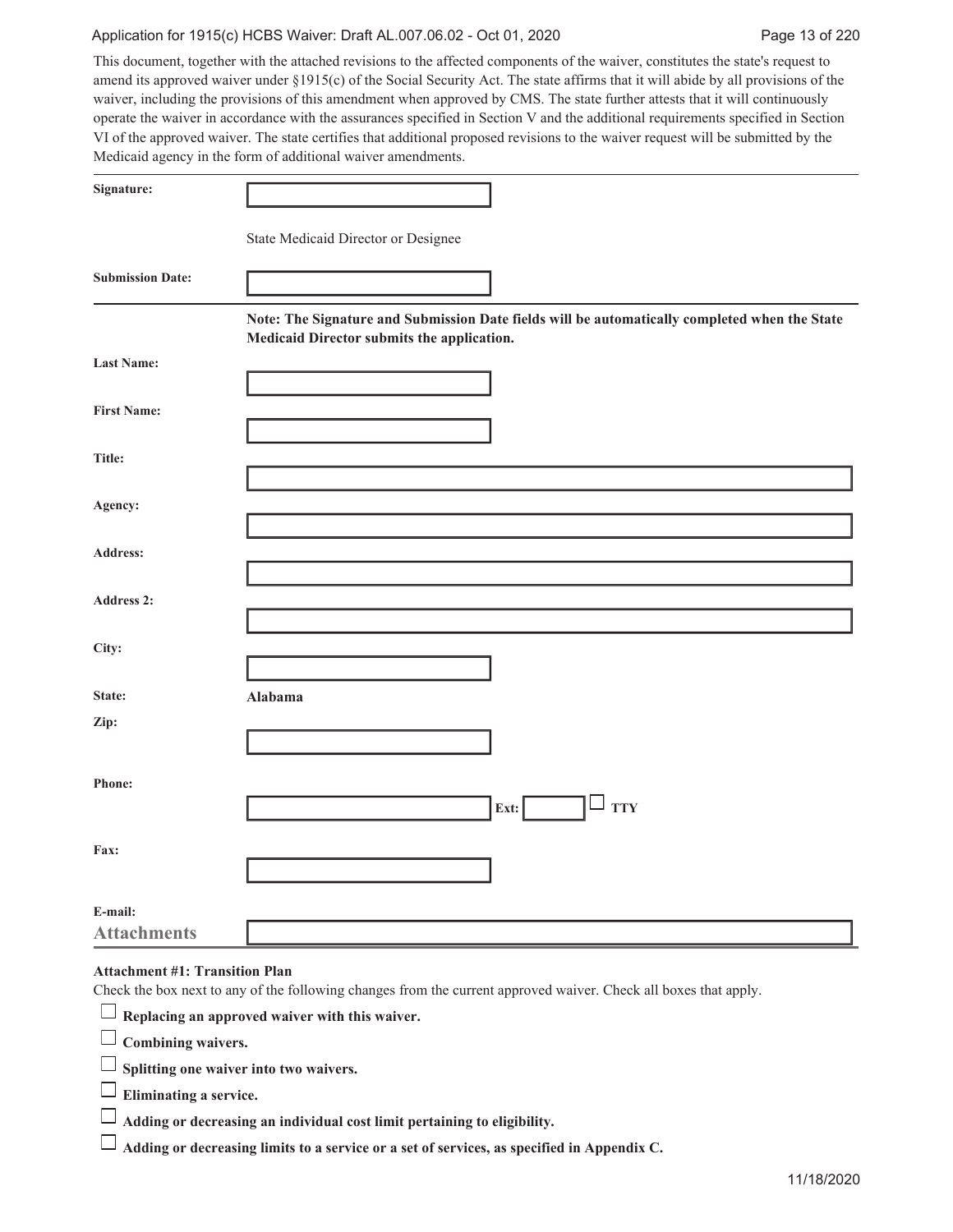#### Application for 1915(c) HCBS Waiver: Draft AL.007.06.02 - Oct 01, 2020 Page 13 of 220

This document, together with the attached revisions to the affected components of the waiver, constitutes the state's request to amend its approved waiver under §1915(c) of the Social Security Act. The state affirms that it will abide by all provisions of the waiver, including the provisions of this amendment when approved by CMS. The state further attests that it will continuously operate the waiver in accordance with the assurances specified in Section V and the additional requirements specified in Section VI of the approved waiver. The state certifies that additional proposed revisions to the waiver request will be submitted by the Medicaid agency in the form of additional waiver amendments.

| Signature:              |                                                                                                                                             |
|-------------------------|---------------------------------------------------------------------------------------------------------------------------------------------|
|                         | State Medicaid Director or Designee                                                                                                         |
| <b>Submission Date:</b> |                                                                                                                                             |
|                         | Note: The Signature and Submission Date fields will be automatically completed when the State<br>Medicaid Director submits the application. |
| <b>Last Name:</b>       |                                                                                                                                             |
| <b>First Name:</b>      |                                                                                                                                             |
| Title:                  |                                                                                                                                             |
| Agency:                 |                                                                                                                                             |
| Address:                |                                                                                                                                             |
| Address 2:              |                                                                                                                                             |
|                         |                                                                                                                                             |
| City:                   |                                                                                                                                             |
| State:                  | Alabama                                                                                                                                     |
| Zip:                    |                                                                                                                                             |
|                         |                                                                                                                                             |
| Phone:                  | <b>TTY</b><br>$\left  \text{Ext:} \right $                                                                                                  |
|                         |                                                                                                                                             |
| Fax:                    |                                                                                                                                             |
| E-mail:                 |                                                                                                                                             |
| <b>Attachments</b>      |                                                                                                                                             |

## **Attachment #1: Transition Plan**

| Check the box next to any of the following changes from the current approved waiver. Check all boxes that apply. |
|------------------------------------------------------------------------------------------------------------------|
| $\Box$ Replacing an approved waiver with this waiver.                                                            |
| $\Box$ Combining waivers.                                                                                        |
| $\Box$ Splitting one waiver into two waivers.                                                                    |
| $\Box$ Eliminating a service.                                                                                    |
| $\Box$ Adding or decreasing an individual cost limit pertaining to eligibility.                                  |
| $\Box$ Adding or decreasing limits to a service or a set of services, as specified in Appendix C.                |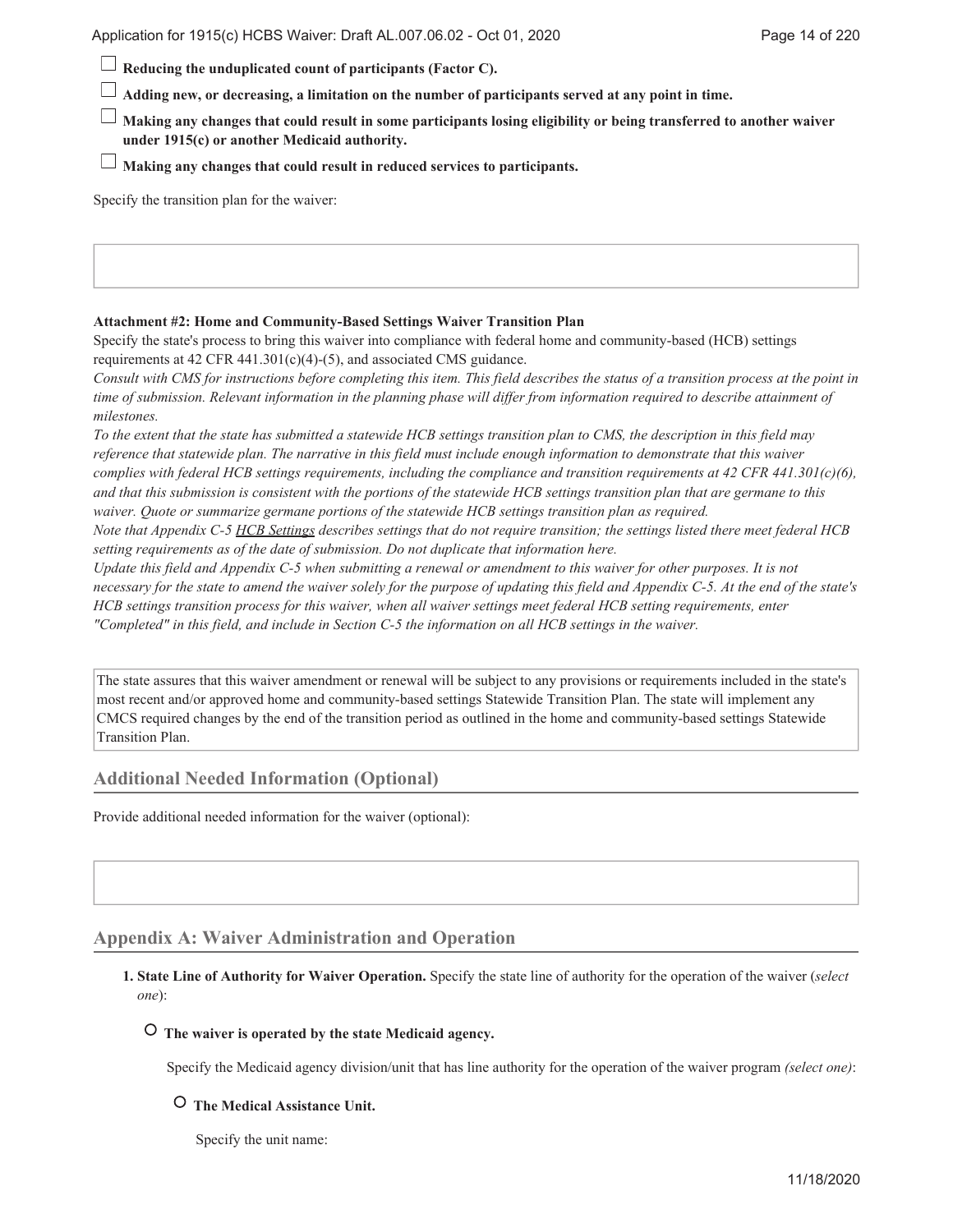**Reducing the unduplicated count of participants (Factor C).**

**Adding new, or decreasing, a limitation on the number of participants served at any point in time.**

**Making any changes that could result in some participants losing eligibility or being transferred to another waiver under 1915(c) or another Medicaid authority.**

**Making any changes that could result in reduced services to participants.**

Specify the transition plan for the waiver:

#### **Attachment #2: Home and Community-Based Settings Waiver Transition Plan**

Specify the state's process to bring this waiver into compliance with federal home and community-based (HCB) settings requirements at 42 CFR 441.301(c)(4)-(5), and associated CMS guidance.

*Consult with CMS for instructions before completing this item. This field describes the status of a transition process at the point in time of submission. Relevant information in the planning phase will differ from information required to describe attainment of milestones.*

*To the extent that the state has submitted a statewide HCB settings transition plan to CMS, the description in this field may reference that statewide plan. The narrative in this field must include enough information to demonstrate that this waiver complies with federal HCB settings requirements, including the compliance and transition requirements at 42 CFR 441.301(c)(6), and that this submission is consistent with the portions of the statewide HCB settings transition plan that are germane to this waiver. Quote or summarize germane portions of the statewide HCB settings transition plan as required.*

*Note that Appendix C-5 HCB Settings describes settings that do not require transition; the settings listed there meet federal HCB setting requirements as of the date of submission. Do not duplicate that information here.*

*Update this field and Appendix C-5 when submitting a renewal or amendment to this waiver for other purposes. It is not necessary for the state to amend the waiver solely for the purpose of updating this field and Appendix C-5. At the end of the state's HCB settings transition process for this waiver, when all waiver settings meet federal HCB setting requirements, enter "Completed" in this field, and include in Section C-5 the information on all HCB settings in the waiver.*

The state assures that this waiver amendment or renewal will be subject to any provisions or requirements included in the state's most recent and/or approved home and community-based settings Statewide Transition Plan. The state will implement any CMCS required changes by the end of the transition period as outlined in the home and community-based settings Statewide Transition Plan.

#### **Additional Needed Information (Optional)**

Provide additional needed information for the waiver (optional):

## **Appendix A: Waiver Administration and Operation**

#### **State Line of Authority for Waiver Operation.** Specify the state line of authority for the operation of the waiver (*select* **1.** *one*):

## **The waiver is operated by the state Medicaid agency.**

Specify the Medicaid agency division/unit that has line authority for the operation of the waiver program *(select one)*:

#### **The Medical Assistance Unit.**

Specify the unit name: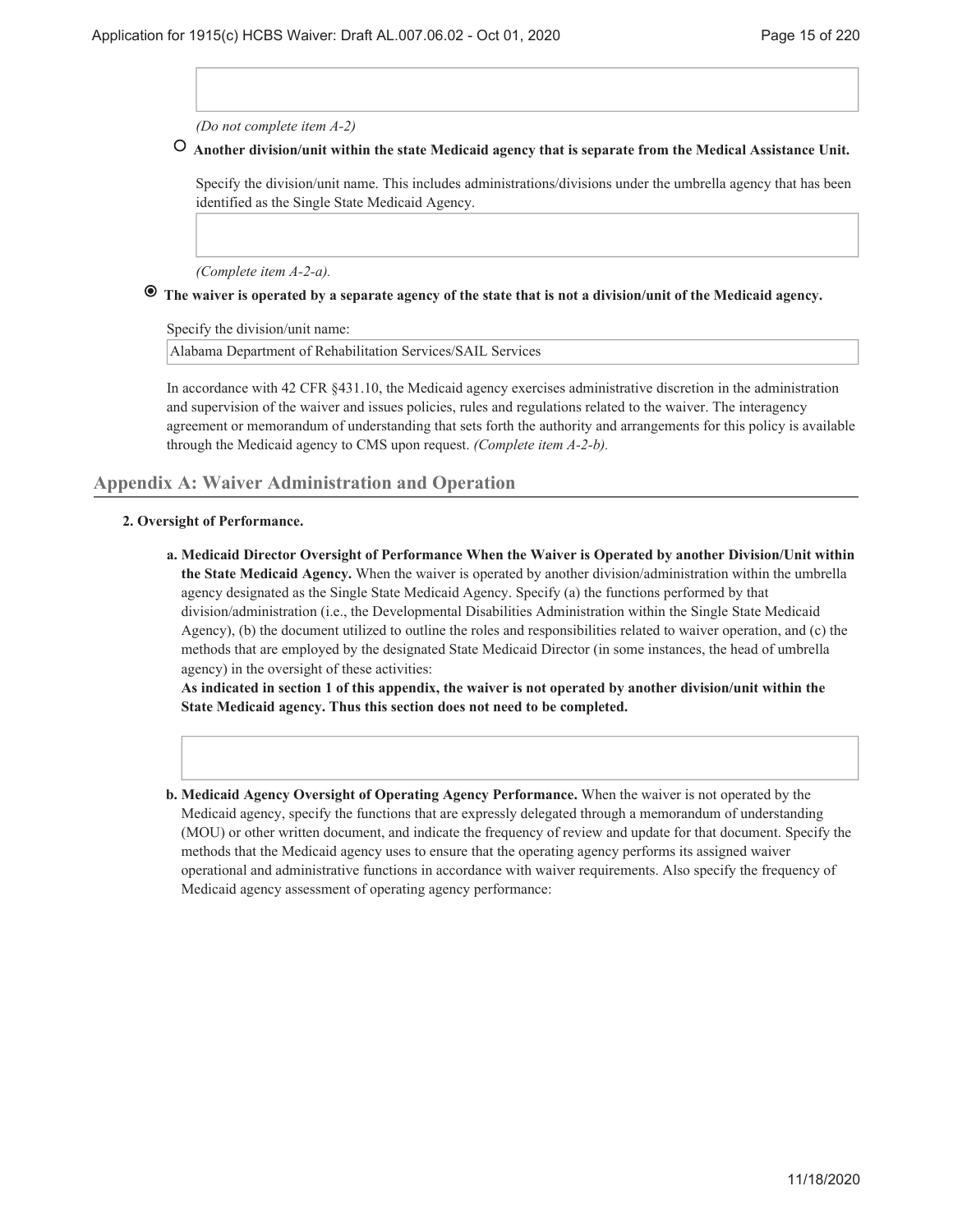*(Do not complete item A-2)*

## **Another division/unit within the state Medicaid agency that is separate from the Medical Assistance Unit.**

Specify the division/unit name. This includes administrations/divisions under the umbrella agency that has been identified as the Single State Medicaid Agency.

*(Complete item A-2-a).*

## **The waiver is operated by a separate agency of the state that is not a division/unit of the Medicaid agency.**

Specify the division/unit name:

Alabama Department of Rehabilitation Services/SAIL Services

In accordance with 42 CFR §431.10, the Medicaid agency exercises administrative discretion in the administration and supervision of the waiver and issues policies, rules and regulations related to the waiver. The interagency agreement or memorandum of understanding that sets forth the authority and arrangements for this policy is available through the Medicaid agency to CMS upon request. *(Complete item A-2-b).*

#### **Appendix A: Waiver Administration and Operation**

#### **Oversight of Performance. 2.**

**Medicaid Director Oversight of Performance When the Waiver is Operated by another Division/Unit within a. the State Medicaid Agency.** When the waiver is operated by another division/administration within the umbrella agency designated as the Single State Medicaid Agency. Specify (a) the functions performed by that division/administration (i.e., the Developmental Disabilities Administration within the Single State Medicaid Agency), (b) the document utilized to outline the roles and responsibilities related to waiver operation, and (c) the methods that are employed by the designated State Medicaid Director (in some instances, the head of umbrella agency) in the oversight of these activities:

**As indicated in section 1 of this appendix, the waiver is not operated by another division/unit within the State Medicaid agency. Thus this section does not need to be completed.**

**Medicaid Agency Oversight of Operating Agency Performance.** When the waiver is not operated by the **b.** Medicaid agency, specify the functions that are expressly delegated through a memorandum of understanding (MOU) or other written document, and indicate the frequency of review and update for that document. Specify the methods that the Medicaid agency uses to ensure that the operating agency performs its assigned waiver operational and administrative functions in accordance with waiver requirements. Also specify the frequency of Medicaid agency assessment of operating agency performance: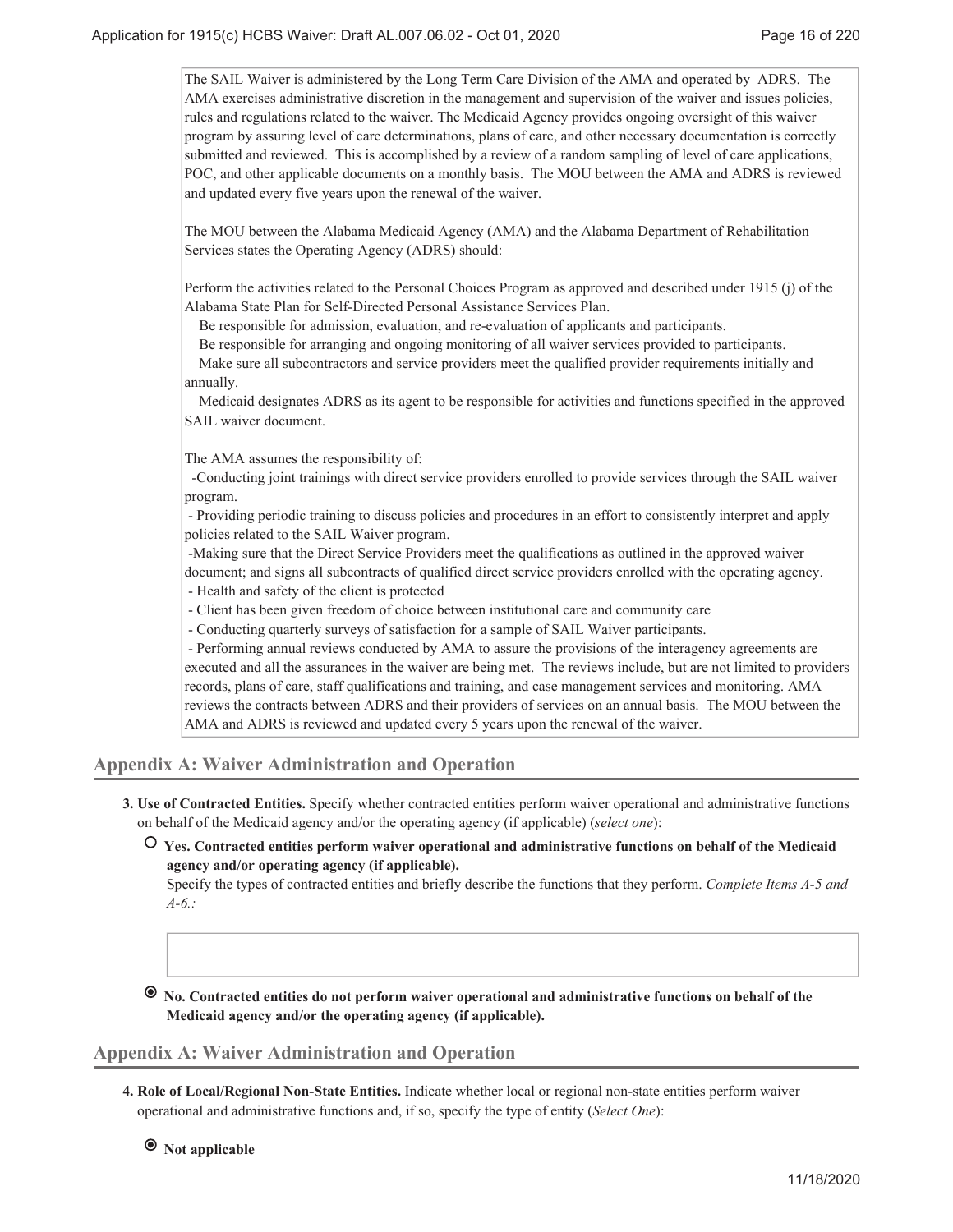The SAIL Waiver is administered by the Long Term Care Division of the AMA and operated by ADRS. The AMA exercises administrative discretion in the management and supervision of the waiver and issues policies, rules and regulations related to the waiver. The Medicaid Agency provides ongoing oversight of this waiver program by assuring level of care determinations, plans of care, and other necessary documentation is correctly submitted and reviewed. This is accomplished by a review of a random sampling of level of care applications, POC, and other applicable documents on a monthly basis. The MOU between the AMA and ADRS is reviewed and updated every five years upon the renewal of the waiver.

The MOU between the Alabama Medicaid Agency (AMA) and the Alabama Department of Rehabilitation Services states the Operating Agency (ADRS) should:

Perform the activities related to the Personal Choices Program as approved and described under 1915 (j) of the Alabama State Plan for Self-Directed Personal Assistance Services Plan.

Be responsible for admission, evaluation, and re-evaluation of applicants and participants.

Be responsible for arranging and ongoing monitoring of all waiver services provided to participants.

Make sure all subcontractors and service providers meet the qualified provider requirements initially and annually.

Medicaid designates ADRS as its agent to be responsible for activities and functions specified in the approved SAIL waiver document.

The AMA assumes the responsibility of:

 -Conducting joint trainings with direct service providers enrolled to provide services through the SAIL waiver program.

 - Providing periodic training to discuss policies and procedures in an effort to consistently interpret and apply policies related to the SAIL Waiver program.

 -Making sure that the Direct Service Providers meet the qualifications as outlined in the approved waiver document; and signs all subcontracts of qualified direct service providers enrolled with the operating agency.

- Health and safety of the client is protected

- Client has been given freedom of choice between institutional care and community care

- Conducting quarterly surveys of satisfaction for a sample of SAIL Waiver participants.

 - Performing annual reviews conducted by AMA to assure the provisions of the interagency agreements are executed and all the assurances in the waiver are being met. The reviews include, but are not limited to providers records, plans of care, staff qualifications and training, and case management services and monitoring. AMA reviews the contracts between ADRS and their providers of services on an annual basis. The MOU between the AMA and ADRS is reviewed and updated every 5 years upon the renewal of the waiver.

## **Appendix A: Waiver Administration and Operation**

**Use of Contracted Entities.** Specify whether contracted entities perform waiver operational and administrative functions **3.** on behalf of the Medicaid agency and/or the operating agency (if applicable) (*select one*):

 **Yes. Contracted entities perform waiver operational and administrative functions on behalf of the Medicaid agency and/or operating agency (if applicable).**

Specify the types of contracted entities and briefly describe the functions that they perform. *Complete Items A-5 and A-6.:*

 **No. Contracted entities do not perform waiver operational and administrative functions on behalf of the Medicaid agency and/or the operating agency (if applicable).**

#### **Appendix A: Waiver Administration and Operation**

**Role of Local/Regional Non-State Entities.** Indicate whether local or regional non-state entities perform waiver **4.** operational and administrative functions and, if so, specify the type of entity (*Select One*):

 **Not applicable**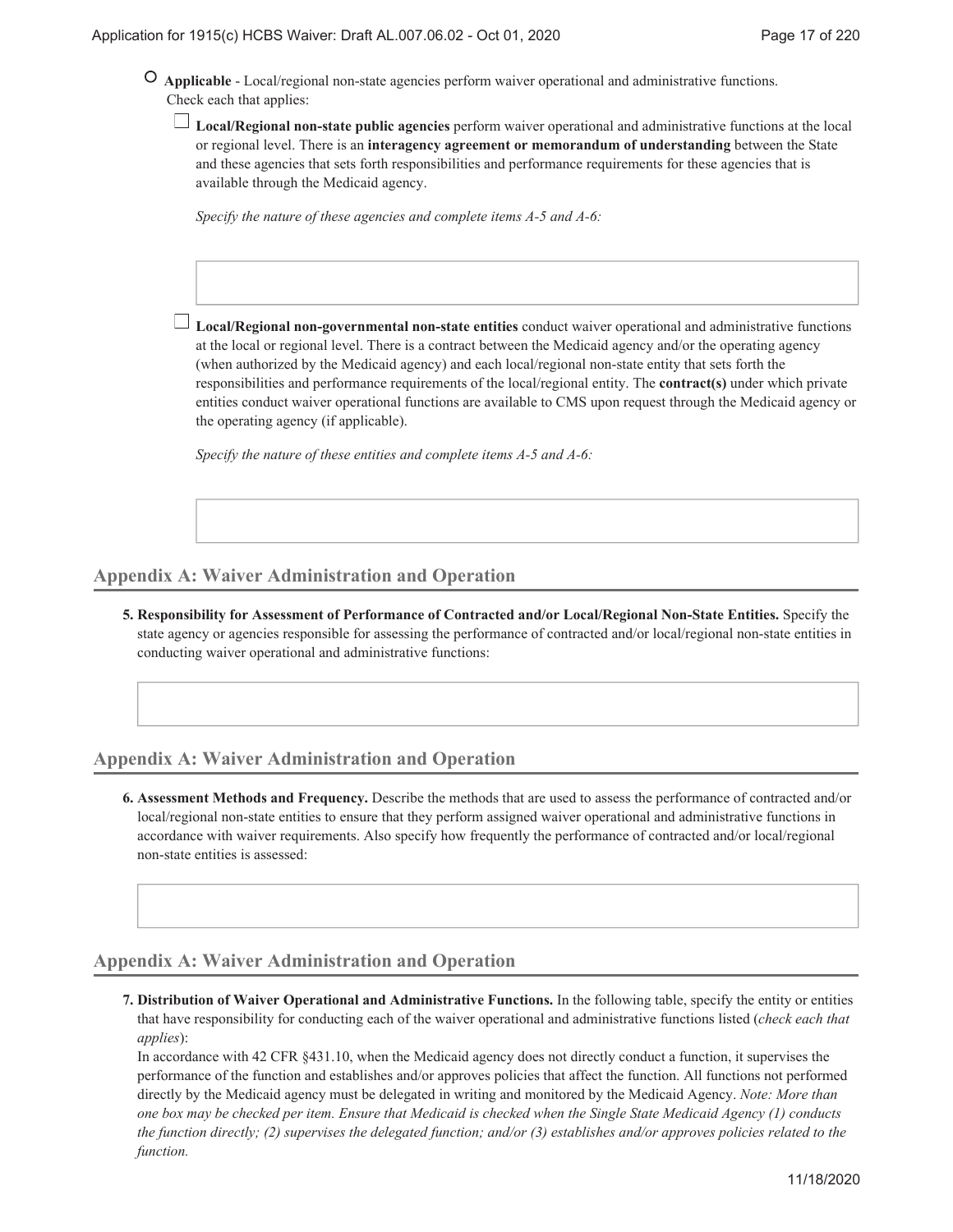- **Applicable** Local/regional non-state agencies perform waiver operational and administrative functions. Check each that applies:
	- **Local/Regional non-state public agencies** perform waiver operational and administrative functions at the local or regional level. There is an **interagency agreement or memorandum of understanding** between the State and these agencies that sets forth responsibilities and performance requirements for these agencies that is available through the Medicaid agency.

*Specify the nature of these agencies and complete items A-5 and A-6:*

**Local/Regional non-governmental non-state entities** conduct waiver operational and administrative functions at the local or regional level. There is a contract between the Medicaid agency and/or the operating agency (when authorized by the Medicaid agency) and each local/regional non-state entity that sets forth the responsibilities and performance requirements of the local/regional entity. The **contract(s)** under which private entities conduct waiver operational functions are available to CMS upon request through the Medicaid agency or the operating agency (if applicable).

*Specify the nature of these entities and complete items A-5 and A-6:*

## **Appendix A: Waiver Administration and Operation**

**Responsibility for Assessment of Performance of Contracted and/or Local/Regional Non-State Entities.** Specify the **5.** state agency or agencies responsible for assessing the performance of contracted and/or local/regional non-state entities in conducting waiver operational and administrative functions:

## **Appendix A: Waiver Administration and Operation**

**Assessment Methods and Frequency.** Describe the methods that are used to assess the performance of contracted and/or **6.** local/regional non-state entities to ensure that they perform assigned waiver operational and administrative functions in accordance with waiver requirements. Also specify how frequently the performance of contracted and/or local/regional non-state entities is assessed:

## **Appendix A: Waiver Administration and Operation**

**Distribution of Waiver Operational and Administrative Functions.** In the following table, specify the entity or entities **7.** that have responsibility for conducting each of the waiver operational and administrative functions listed (*check each that applies*):

In accordance with 42 CFR §431.10, when the Medicaid agency does not directly conduct a function, it supervises the performance of the function and establishes and/or approves policies that affect the function. All functions not performed directly by the Medicaid agency must be delegated in writing and monitored by the Medicaid Agency. *Note: More than one box may be checked per item. Ensure that Medicaid is checked when the Single State Medicaid Agency (1) conducts the function directly; (2) supervises the delegated function; and/or (3) establishes and/or approves policies related to the function.*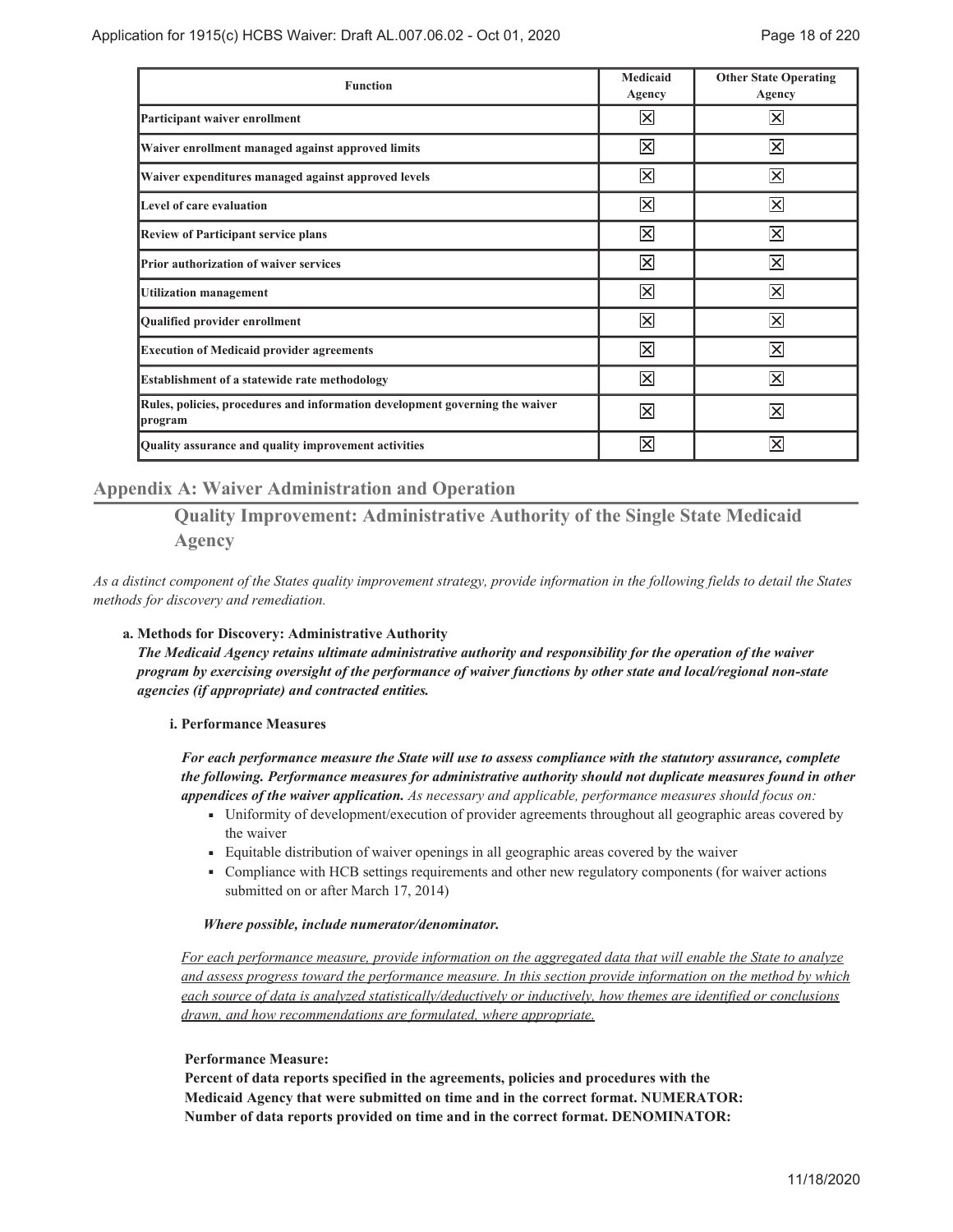| <b>Function</b>                                                                         | Medicaid<br>Agency      | <b>Other State Operating</b><br>Agency |
|-----------------------------------------------------------------------------------------|-------------------------|----------------------------------------|
| Participant waiver enrollment                                                           | $\overline{\mathsf{x}}$ | $\overline{\times}$                    |
| Waiver enrollment managed against approved limits                                       | $\overline{\times}$     | $\overline{\mathsf{x}}$                |
| Waiver expenditures managed against approved levels                                     | $\overline{\times}$     | $\overline{\times}$                    |
| Level of care evaluation                                                                | $\overline{\times}$     | $\overline{\times}$                    |
| <b>Review of Participant service plans</b>                                              | $\overline{\times}$     | $\overline{\mathsf{x}}$                |
| Prior authorization of waiver services                                                  | $\overline{\times}$     | $\overline{\times}$                    |
| <b>Utilization management</b>                                                           | $\overline{\mathsf{x}}$ | $\overline{\bm{\times}}$               |
| Qualified provider enrollment                                                           | $\overline{\times}$     | $ \mathsf{x} $                         |
| <b>Execution of Medicaid provider agreements</b>                                        | $\mathsf{\times}$       | $\vert \times \vert$                   |
| <b>Establishment of a statewide rate methodology</b>                                    | $\overline{\mathsf{x}}$ | $\overline{\times}$                    |
| Rules, policies, procedures and information development governing the waiver<br>program | $\overline{\mathsf{x}}$ | $\overline{\times}$                    |
| Quality assurance and quality improvement activities                                    | $\overline{\times}$     | $\overline{\times}$                    |

## **Appendix A: Waiver Administration and Operation**

**Quality Improvement: Administrative Authority of the Single State Medicaid Agency**

*As a distinct component of the States quality improvement strategy, provide information in the following fields to detail the States methods for discovery and remediation.*

#### **Methods for Discovery: Administrative Authority a.**

*The Medicaid Agency retains ultimate administrative authority and responsibility for the operation of the waiver program by exercising oversight of the performance of waiver functions by other state and local/regional non-state agencies (if appropriate) and contracted entities.*

#### **Performance Measures i.**

*For each performance measure the State will use to assess compliance with the statutory assurance, complete the following. Performance measures for administrative authority should not duplicate measures found in other appendices of the waiver application. As necessary and applicable, performance measures should focus on:*

- Uniformity of development/execution of provider agreements throughout all geographic areas covered by ৢ the waiver
- ৢ Equitable distribution of waiver openings in all geographic areas covered by the waiver
- Compliance with HCB settings requirements and other new regulatory components (for waiver actions ৢ submitted on or after March 17, 2014)

#### *Where possible, include numerator/denominator.*

*For each performance measure, provide information on the aggregated data that will enable the State to analyze and assess progress toward the performance measure. In this section provide information on the method by which each source of data is analyzed statistically/deductively or inductively, how themes are identified or conclusions drawn, and how recommendations are formulated, where appropriate.*

#### **Performance Measure:**

**Percent of data reports specified in the agreements, policies and procedures with the Medicaid Agency that were submitted on time and in the correct format. NUMERATOR: Number of data reports provided on time and in the correct format. DENOMINATOR:**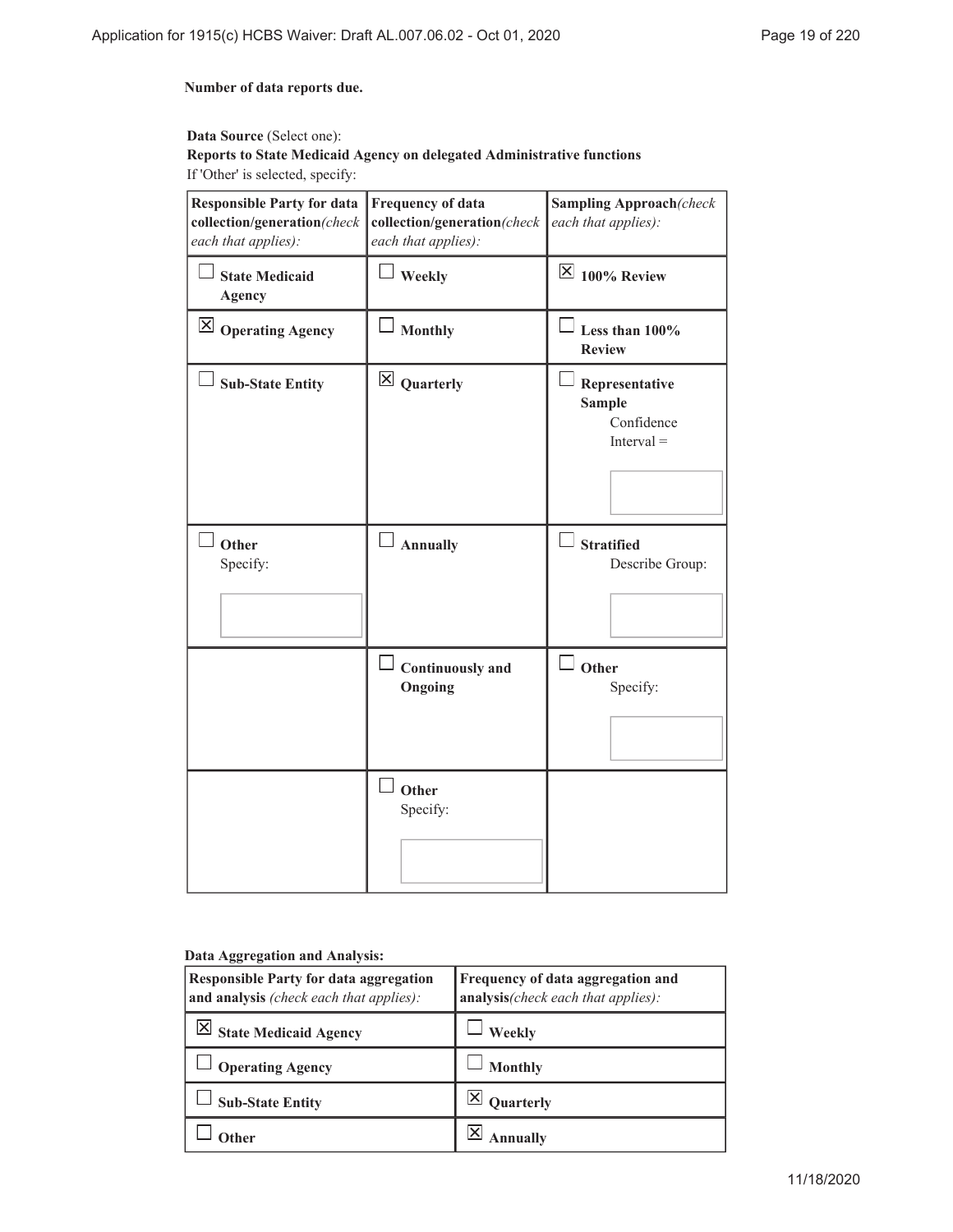#### **Number of data reports due.**

## **Data Source** (Select one): **Reports to State Medicaid Agency on delegated Administrative functions** If 'Other' is selected, specify:

| <b>Responsible Party for data</b><br>collection/generation(check<br>each that applies): | <b>Frequency of data</b><br>collection/generation(check<br>each that applies): | <b>Sampling Approach</b> (check<br>each that applies):        |
|-----------------------------------------------------------------------------------------|--------------------------------------------------------------------------------|---------------------------------------------------------------|
| <b>State Medicaid</b><br><b>Agency</b>                                                  | Weekly                                                                         | $\overline{\times}$ 100% Review                               |
| $\vert \mathsf{X} \vert$ Operating Agency                                               | $\overline{\phantom{a}}$ Monthly                                               | Less than 100%<br><b>Review</b>                               |
| <b>Sub-State Entity</b>                                                                 | $\boxtimes$ Quarterly                                                          | Representative<br><b>Sample</b><br>Confidence<br>$Interval =$ |
| Other<br>Specify:                                                                       | Annually                                                                       | $\Box$ Stratified<br>Describe Group:                          |
|                                                                                         | $\Box$ Continuously and<br>Ongoing                                             | $\square$ Other<br>Specify:                                   |
|                                                                                         | Other<br>Specify:                                                              |                                                               |

#### **Data Aggregation and Analysis:**

| <b>Responsible Party for data aggregation</b><br>and analysis (check each that applies): | Frequency of data aggregation and<br>analysis(check each that applies): |  |
|------------------------------------------------------------------------------------------|-------------------------------------------------------------------------|--|
| <b>State Medicaid Agency</b>                                                             | Weekly                                                                  |  |
| <b>Operating Agency</b>                                                                  | <b>Monthly</b>                                                          |  |
| <b>Sub-State Entity</b>                                                                  | <b>Quarterly</b>                                                        |  |
|                                                                                          |                                                                         |  |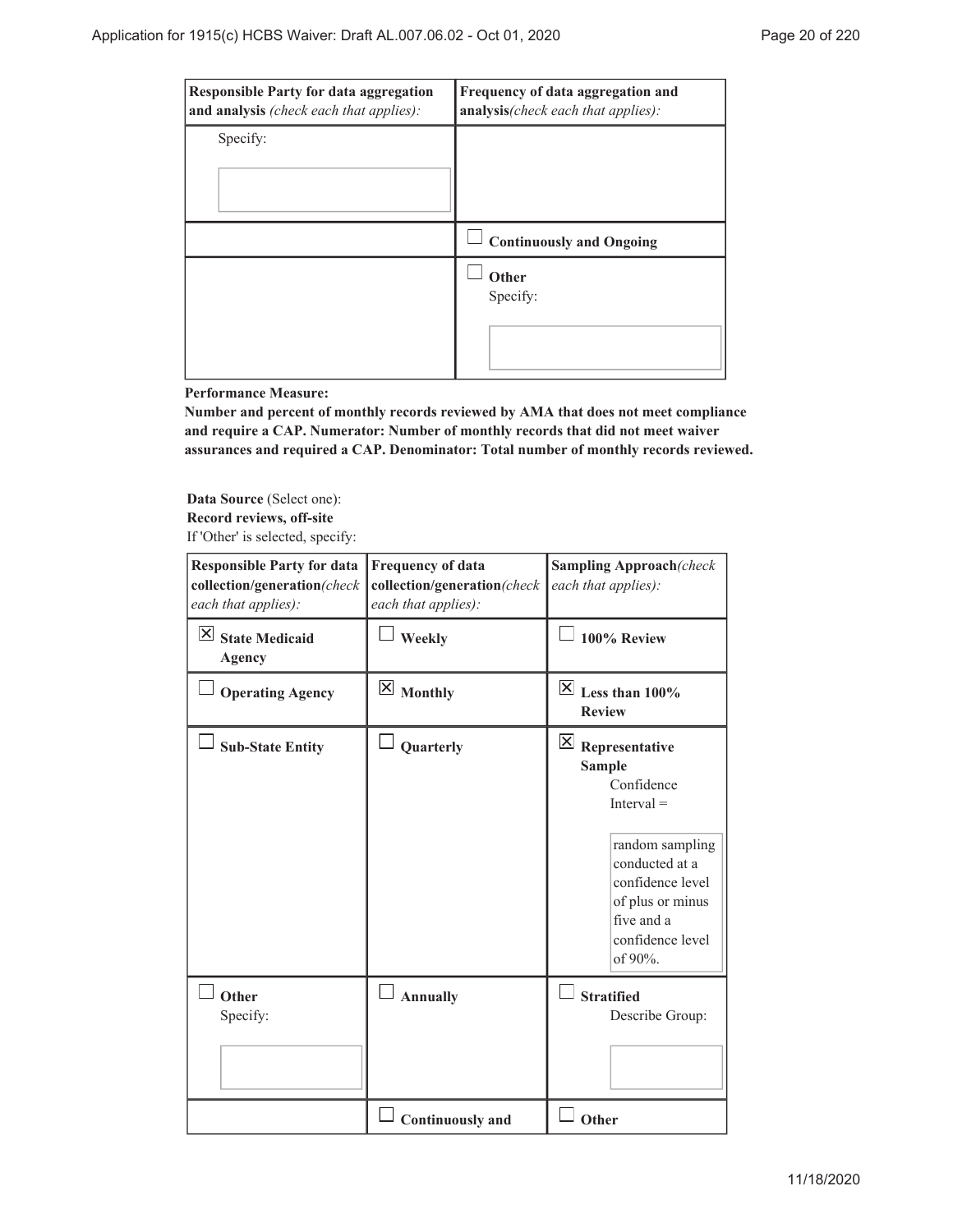| <b>Responsible Party for data aggregation</b><br>and analysis (check each that applies): | Frequency of data aggregation and<br>analysis(check each that applies): |
|------------------------------------------------------------------------------------------|-------------------------------------------------------------------------|
| Specify:                                                                                 |                                                                         |
|                                                                                          | <b>Continuously and Ongoing</b>                                         |
|                                                                                          | Other<br>Specify:                                                       |

#### **Performance Measure:**

**Number and percent of monthly records reviewed by AMA that does not meet compliance and require a CAP. Numerator: Number of monthly records that did not meet waiver assurances and required a CAP. Denominator: Total number of monthly records reviewed.**

**Data Source** (Select one): **Record reviews, off-site** If 'Other' is selected, specify:

| <b>Responsible Party for data</b><br>collection/generation(check<br>each that applies): | <b>Frequency of data</b><br>collection/generation(check<br>each that applies): | <b>Sampling Approach</b> (check<br>each that applies):                                                                                                                                                                 |
|-----------------------------------------------------------------------------------------|--------------------------------------------------------------------------------|------------------------------------------------------------------------------------------------------------------------------------------------------------------------------------------------------------------------|
| $\vert \times \vert$<br><b>State Medicaid</b><br>Agency                                 | Weekly                                                                         | 100% Review                                                                                                                                                                                                            |
| <b>Operating Agency</b>                                                                 | $\boxtimes$ Monthly                                                            | $\overline{\boxtimes}$ Less than 100%<br><b>Review</b>                                                                                                                                                                 |
| <b>Sub-State Entity</b>                                                                 | Quarterly                                                                      | $\mathbf{\overline{X}}$<br>Representative<br><b>Sample</b><br>Confidence<br>$Interval =$<br>random sampling<br>conducted at a<br>confidence level<br>of plus or minus<br>five and a<br>confidence level<br>of $90\%$ . |
| Other<br>Specify:                                                                       | <b>Annually</b>                                                                | <b>Stratified</b><br>Describe Group:                                                                                                                                                                                   |
|                                                                                         | <b>Continuously and</b>                                                        | Other                                                                                                                                                                                                                  |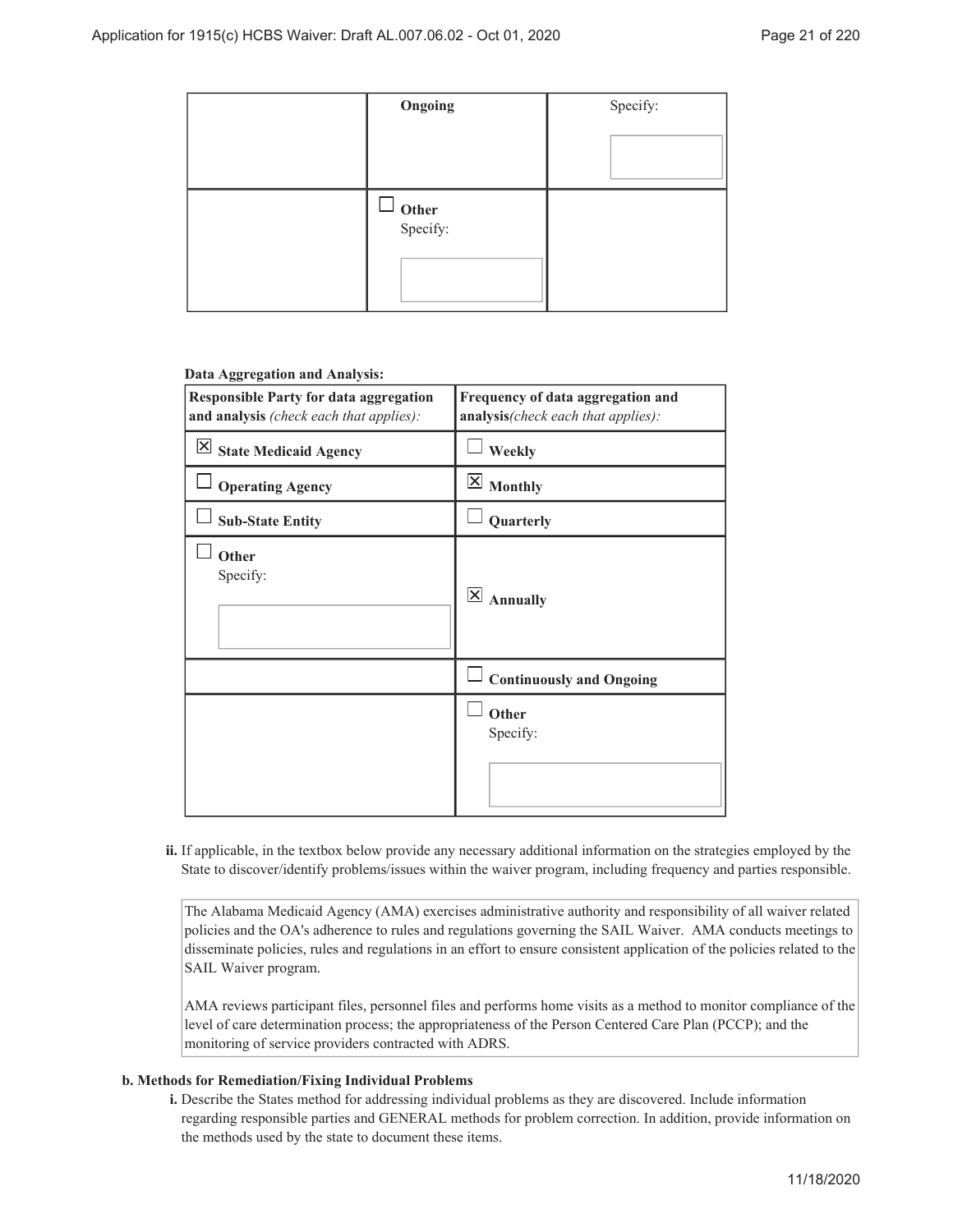| Ongoing                     | Specify: |
|-----------------------------|----------|
|                             |          |
| $\bigcup$ Other<br>Specify: |          |

#### **Data Aggregation and Analysis:**

| <b>Responsible Party for data aggregation</b><br>and analysis (check each that applies): | Frequency of data aggregation and<br>analysis(check each that applies): |  |
|------------------------------------------------------------------------------------------|-------------------------------------------------------------------------|--|
| $\boxtimes$ State Medicaid Agency                                                        | Weekly                                                                  |  |
| <b>Operating Agency</b>                                                                  | $\boxtimes$ Monthly                                                     |  |
| <b>Sub-State Entity</b>                                                                  | Quarterly                                                               |  |
| Other<br>Specify:                                                                        | $\overline{\mathsf{x}}$<br><b>Annually</b>                              |  |
|                                                                                          | $\Box$ Continuously and Ongoing                                         |  |
|                                                                                          | Other<br>Specify:                                                       |  |

ii. If applicable, in the textbox below provide any necessary additional information on the strategies employed by the State to discover/identify problems/issues within the waiver program, including frequency and parties responsible.

The Alabama Medicaid Agency (AMA) exercises administrative authority and responsibility of all waiver related policies and the OA's adherence to rules and regulations governing the SAIL Waiver. AMA conducts meetings to disseminate policies, rules and regulations in an effort to ensure consistent application of the policies related to the SAIL Waiver program.

AMA reviews participant files, personnel files and performs home visits as a method to monitor compliance of the level of care determination process; the appropriateness of the Person Centered Care Plan (PCCP); and the monitoring of service providers contracted with ADRS.

#### **Methods for Remediation/Fixing Individual Problems b.**

Describe the States method for addressing individual problems as they are discovered. Include information **i.** regarding responsible parties and GENERAL methods for problem correction. In addition, provide information on the methods used by the state to document these items.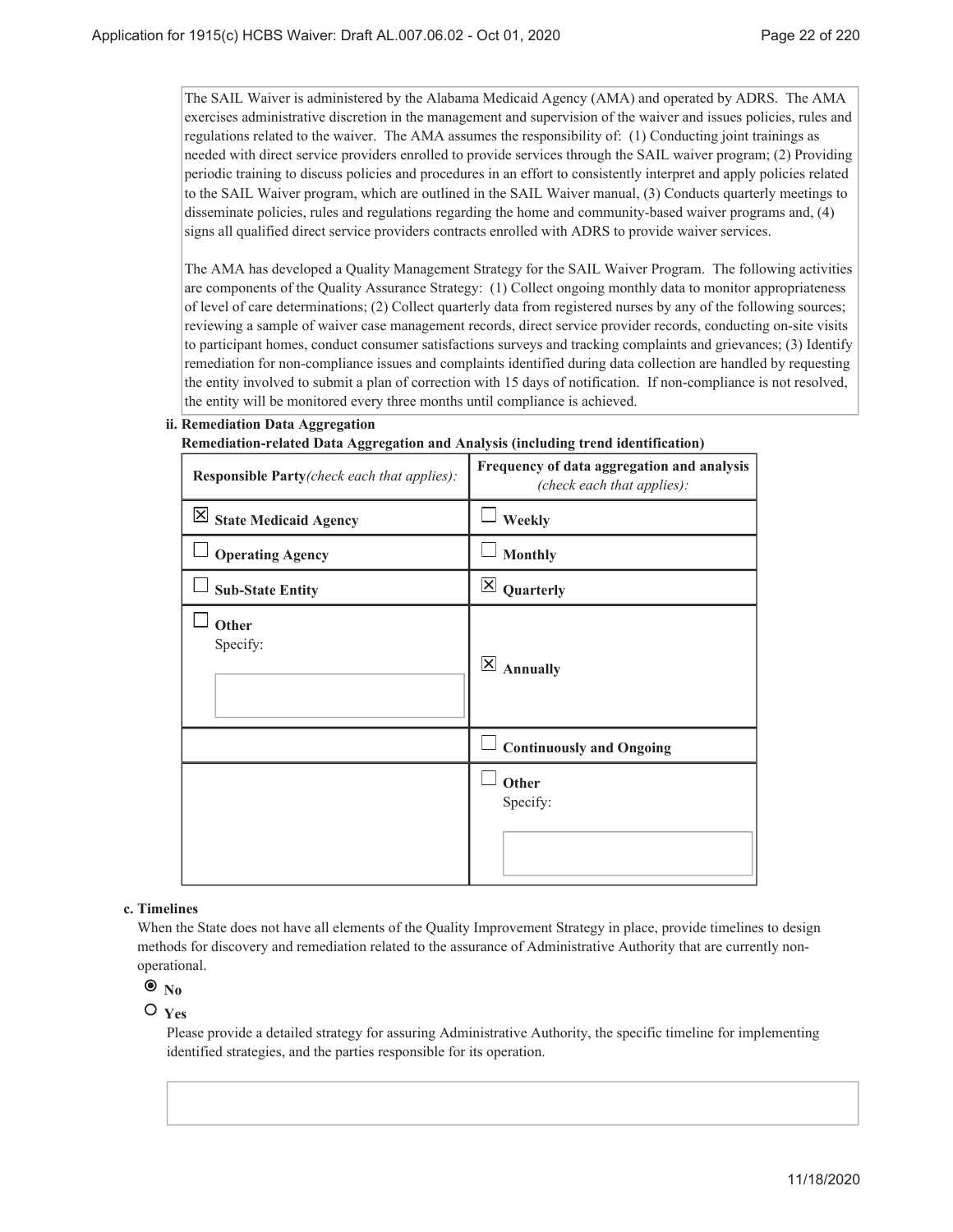The SAIL Waiver is administered by the Alabama Medicaid Agency (AMA) and operated by ADRS. The AMA exercises administrative discretion in the management and supervision of the waiver and issues policies, rules and regulations related to the waiver. The AMA assumes the responsibility of: (1) Conducting joint trainings as needed with direct service providers enrolled to provide services through the SAIL waiver program; (2) Providing periodic training to discuss policies and procedures in an effort to consistently interpret and apply policies related to the SAIL Waiver program, which are outlined in the SAIL Waiver manual, (3) Conducts quarterly meetings to disseminate policies, rules and regulations regarding the home and community-based waiver programs and, (4) signs all qualified direct service providers contracts enrolled with ADRS to provide waiver services.

The AMA has developed a Quality Management Strategy for the SAIL Waiver Program. The following activities are components of the Quality Assurance Strategy: (1) Collect ongoing monthly data to monitor appropriateness of level of care determinations; (2) Collect quarterly data from registered nurses by any of the following sources; reviewing a sample of waiver case management records, direct service provider records, conducting on-site visits to participant homes, conduct consumer satisfactions surveys and tracking complaints and grievances; (3) Identify remediation for non-compliance issues and complaints identified during data collection are handled by requesting the entity involved to submit a plan of correction with 15 days of notification. If non-compliance is not resolved, the entity will be monitored every three months until compliance is achieved.

#### **Remediation Data Aggregation ii.**

**Remediation-related Data Aggregation and Analysis (including trend identification)**

| Responsible Party(check each that applies):   | Frequency of data aggregation and analysis<br>(check each that applies): |  |  |
|-----------------------------------------------|--------------------------------------------------------------------------|--|--|
| $\overline{\mathsf{X}}$ State Medicaid Agency | Weekly                                                                   |  |  |
| <b>Operating Agency</b>                       | <b>Monthly</b>                                                           |  |  |
| <b>Sub-State Entity</b>                       | $\mathsf{\times}$<br>Quarterly                                           |  |  |
| Other<br>Specify:                             | $\overline{\mathsf{x}}$<br><b>Annually</b>                               |  |  |
|                                               | <b>Continuously and Ongoing</b>                                          |  |  |
|                                               | Other<br>Specify:                                                        |  |  |

#### **Timelines c.**

When the State does not have all elements of the Quality Improvement Strategy in place, provide timelines to design methods for discovery and remediation related to the assurance of Administrative Authority that are currently nonoperational.

## $\bullet$ <sub>No</sub>

#### $O_{Yes}$

Please provide a detailed strategy for assuring Administrative Authority, the specific timeline for implementing identified strategies, and the parties responsible for its operation.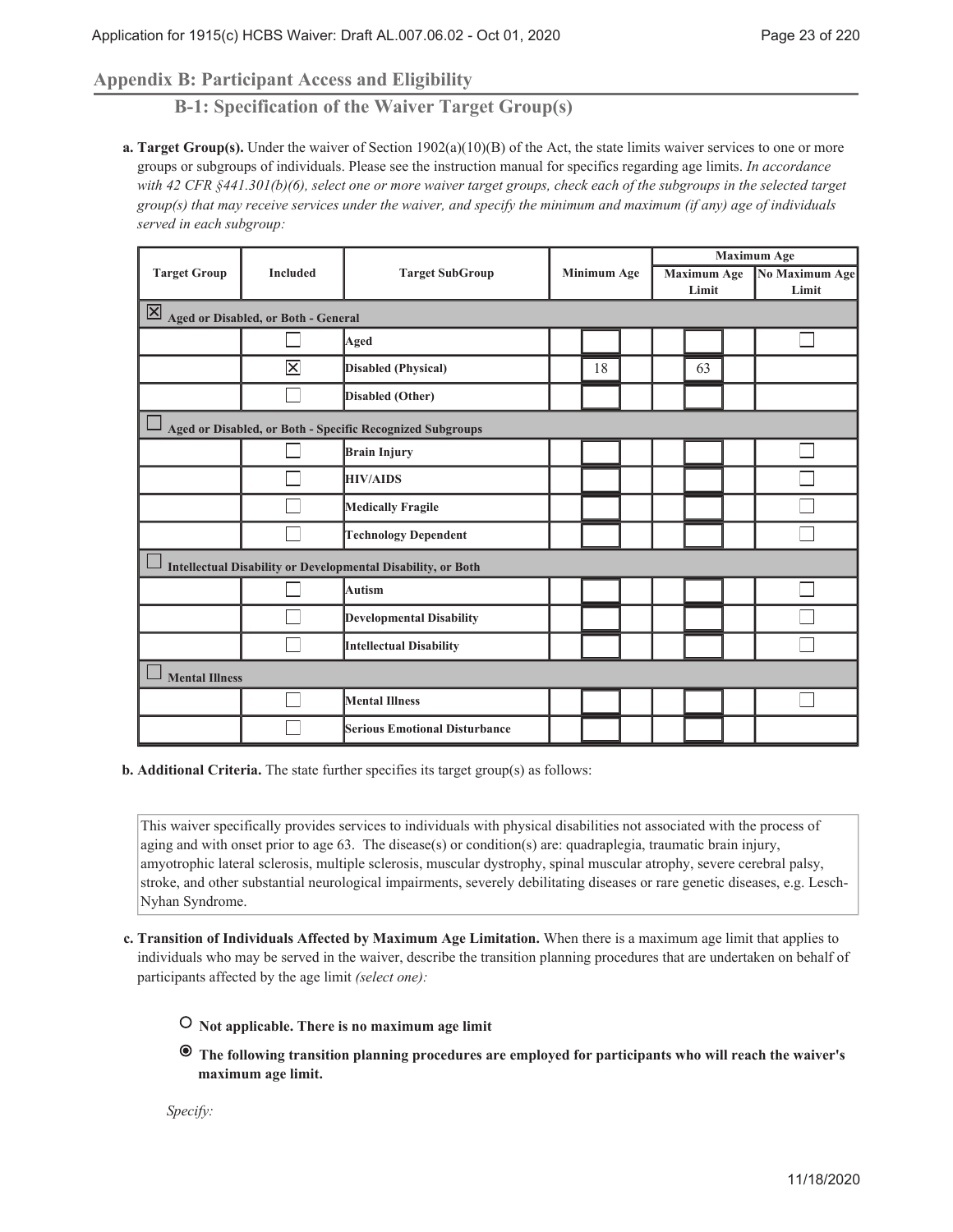## **Appendix B: Participant Access and Eligibility**

**B-1: Specification of the Waiver Target Group(s)**

**Target Group(s).** Under the waiver of Section 1902(a)(10)(B) of the Act, the state limits waiver services to one or more **a.** groups or subgroups of individuals. Please see the instruction manual for specifics regarding age limits. *In accordance with 42 CFR §441.301(b)(6), select one or more waiver target groups, check each of the subgroups in the selected target group(s) that may receive services under the waiver, and specify the minimum and maximum (if any) age of individuals served in each subgroup:*

|                                                              |                                     |                                 |  | <b>Minimum Age</b> |       |                    | <b>Maximum Age</b> |       |                |  |
|--------------------------------------------------------------|-------------------------------------|---------------------------------|--|--------------------|-------|--------------------|--------------------|-------|----------------|--|
| <b>Target Group</b>                                          | <b>Included</b>                     | <b>Target SubGroup</b>          |  |                    |       | <b>Maximum Age</b> |                    |       | No Maximum Age |  |
|                                                              |                                     |                                 |  |                    | Limit |                    |                    | Limit |                |  |
| 区                                                            | Aged or Disabled, or Both - General |                                 |  |                    |       |                    |                    |       |                |  |
|                                                              |                                     | Aged                            |  |                    |       |                    |                    |       |                |  |
|                                                              | $\overline{\mathsf{x}}$             | Disabled (Physical)             |  | 18                 |       |                    | 63                 |       |                |  |
|                                                              |                                     | Disabled (Other)                |  |                    |       |                    |                    |       |                |  |
| Aged or Disabled, or Both - Specific Recognized Subgroups    |                                     |                                 |  |                    |       |                    |                    |       |                |  |
|                                                              |                                     | Brain Injury                    |  |                    |       |                    |                    |       |                |  |
|                                                              |                                     | <b>HIV/AIDS</b>                 |  |                    |       |                    |                    |       |                |  |
|                                                              |                                     | Medically Fragile               |  |                    |       |                    |                    |       |                |  |
|                                                              |                                     | <b>Technology Dependent</b>     |  |                    |       |                    |                    |       |                |  |
| Intellectual Disability or Developmental Disability, or Both |                                     |                                 |  |                    |       |                    |                    |       |                |  |
|                                                              |                                     | Autism                          |  |                    |       |                    |                    |       |                |  |
|                                                              |                                     | <b>Developmental Disability</b> |  |                    |       |                    |                    |       |                |  |
|                                                              |                                     | <b>Intellectual Disability</b>  |  |                    |       |                    |                    |       |                |  |
| <b>Mental Illness</b>                                        |                                     |                                 |  |                    |       |                    |                    |       |                |  |
|                                                              |                                     | <b>Mental Illness</b>           |  |                    |       |                    |                    |       |                |  |
|                                                              |                                     | Serious Emotional Disturbance   |  |                    |       |                    |                    |       |                |  |

**Additional Criteria.** The state further specifies its target group(s) as follows: **b.**

This waiver specifically provides services to individuals with physical disabilities not associated with the process of aging and with onset prior to age 63. The disease(s) or condition(s) are: quadraplegia, traumatic brain injury, amyotrophic lateral sclerosis, multiple sclerosis, muscular dystrophy, spinal muscular atrophy, severe cerebral palsy, stroke, and other substantial neurological impairments, severely debilitating diseases or rare genetic diseases, e.g. Lesch-Nyhan Syndrome.

- **Transition of Individuals Affected by Maximum Age Limitation.** When there is a maximum age limit that applies to **c.** individuals who may be served in the waiver, describe the transition planning procedures that are undertaken on behalf of participants affected by the age limit *(select one):*
	- **Not applicable. There is no maximum age limit**
	- **The following transition planning procedures are employed for participants who will reach the waiver's maximum age limit.**

*Specify:*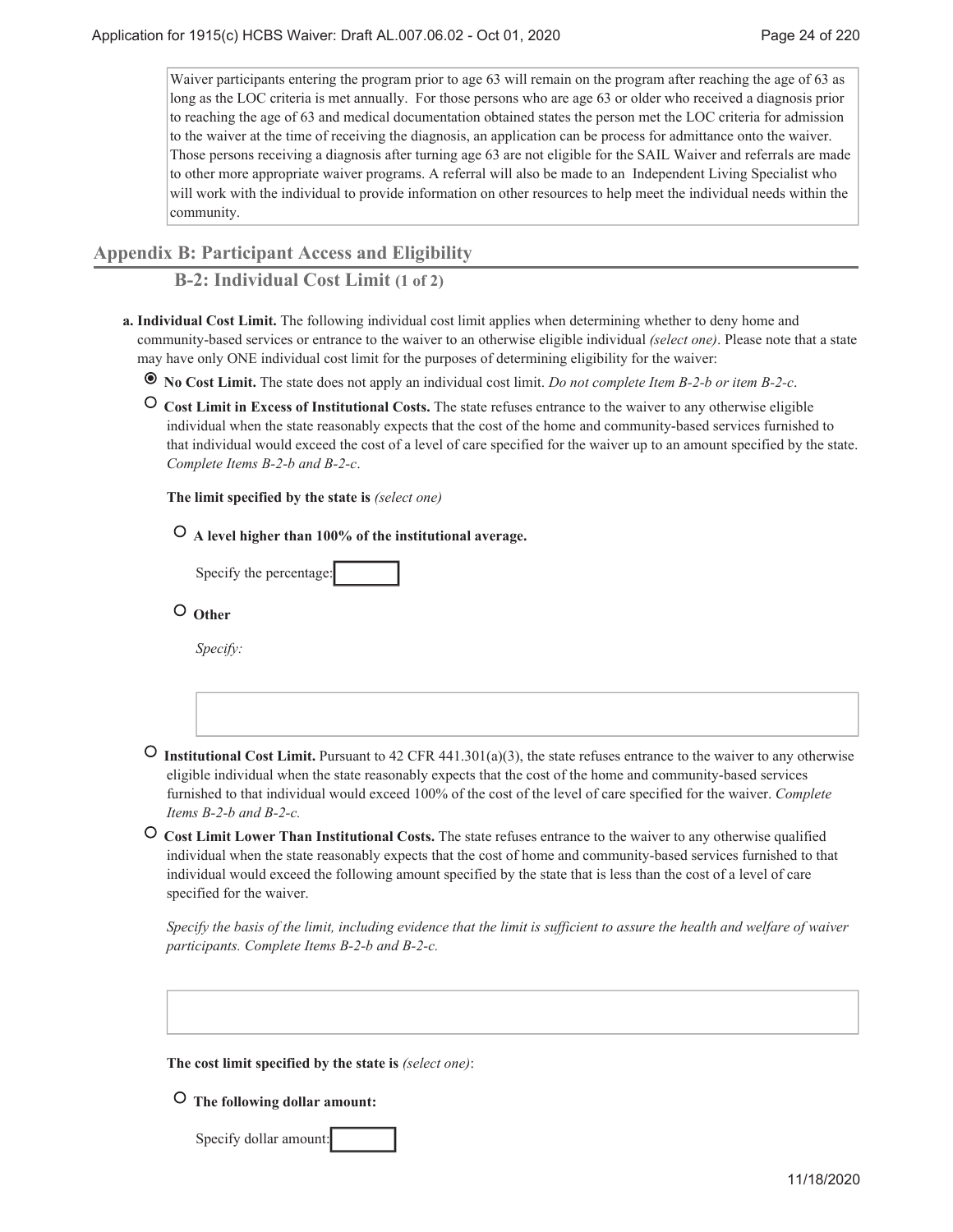Waiver participants entering the program prior to age 63 will remain on the program after reaching the age of 63 as long as the LOC criteria is met annually. For those persons who are age 63 or older who received a diagnosis prior to reaching the age of 63 and medical documentation obtained states the person met the LOC criteria for admission to the waiver at the time of receiving the diagnosis, an application can be process for admittance onto the waiver. Those persons receiving a diagnosis after turning age 63 are not eligible for the SAIL Waiver and referrals are made to other more appropriate waiver programs. A referral will also be made to an Independent Living Specialist who will work with the individual to provide information on other resources to help meet the individual needs within the community.

### **Appendix B: Participant Access and Eligibility**

**B-2: Individual Cost Limit (1 of 2)**

- **Individual Cost Limit.** The following individual cost limit applies when determining whether to deny home and **a.** community-based services or entrance to the waiver to an otherwise eligible individual *(select one)*. Please note that a state may have only ONE individual cost limit for the purposes of determining eligibility for the waiver:
	- **No Cost Limit.** The state does not apply an individual cost limit. *Do not complete Item B-2-b or item B-2-c*.
	- **Cost Limit in Excess of Institutional Costs.** The state refuses entrance to the waiver to any otherwise eligible individual when the state reasonably expects that the cost of the home and community-based services furnished to that individual would exceed the cost of a level of care specified for the waiver up to an amount specified by the state. *Complete Items B-2-b and B-2-c*.

**The limit specified by the state is** *(select one)*

 **A level higher than 100% of the institutional average.**

 **Other**

*Specify:*

- **O** Institutional Cost Limit. Pursuant to 42 CFR 441.301(a)(3), the state refuses entrance to the waiver to any otherwise eligible individual when the state reasonably expects that the cost of the home and community-based services furnished to that individual would exceed 100% of the cost of the level of care specified for the waiver. *Complete Items B-2-b and B-2-c.*
- **Cost Limit Lower Than Institutional Costs.** The state refuses entrance to the waiver to any otherwise qualified individual when the state reasonably expects that the cost of home and community-based services furnished to that individual would exceed the following amount specified by the state that is less than the cost of a level of care specified for the waiver.

*Specify the basis of the limit, including evidence that the limit is sufficient to assure the health and welfare of waiver participants. Complete Items B-2-b and B-2-c.*

**The cost limit specified by the state is** *(select one)*:

 **The following dollar amount:**

Specify dollar amount: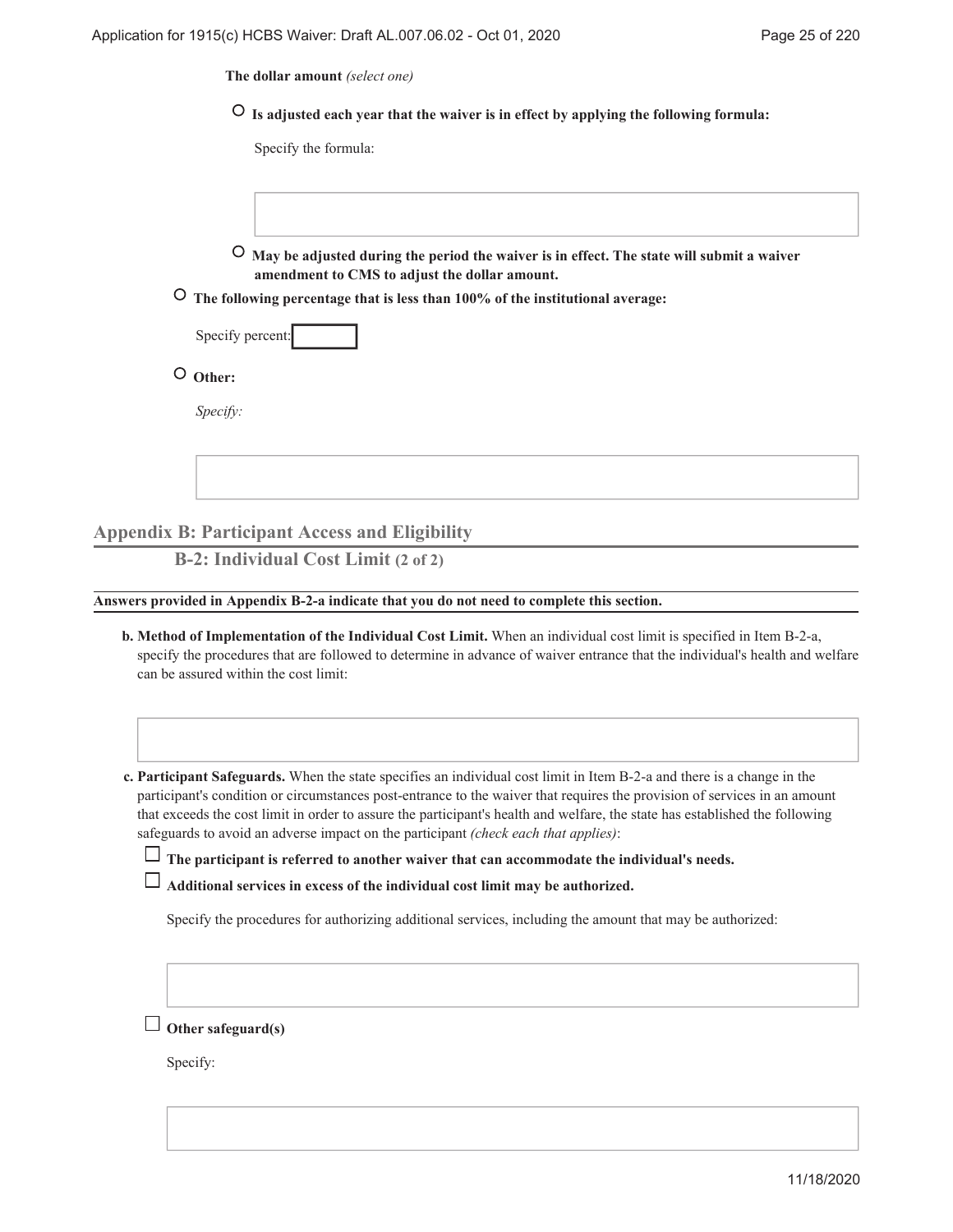**The dollar amount** *(select one)*

 **Is adjusted each year that the waiver is in effect by applying the following formula:**

Specify the formula:

 **May be adjusted during the period the waiver is in effect. The state will submit a waiver amendment to CMS to adjust the dollar amount.**

 **The following percentage that is less than 100% of the institutional average:**

| Specify percent: |  |
|------------------|--|
|                  |  |

 **Other:**

*Specify:*

**Appendix B: Participant Access and Eligibility**

**B-2: Individual Cost Limit (2 of 2)**

**Answers provided in Appendix B-2-a indicate that you do not need to complete this section.**

**Method of Implementation of the Individual Cost Limit.** When an individual cost limit is specified in Item B-2-a, **b.** specify the procedures that are followed to determine in advance of waiver entrance that the individual's health and welfare can be assured within the cost limit:

**Participant Safeguards.** When the state specifies an individual cost limit in Item B-2-a and there is a change in the **c.** participant's condition or circumstances post-entrance to the waiver that requires the provision of services in an amount that exceeds the cost limit in order to assure the participant's health and welfare, the state has established the following safeguards to avoid an adverse impact on the participant *(check each that applies)*:

**The participant is referred to another waiver that can accommodate the individual's needs.**

Specify the procedures for authorizing additional services, including the amount that may be authorized:

**Other safeguard(s)**

Specify: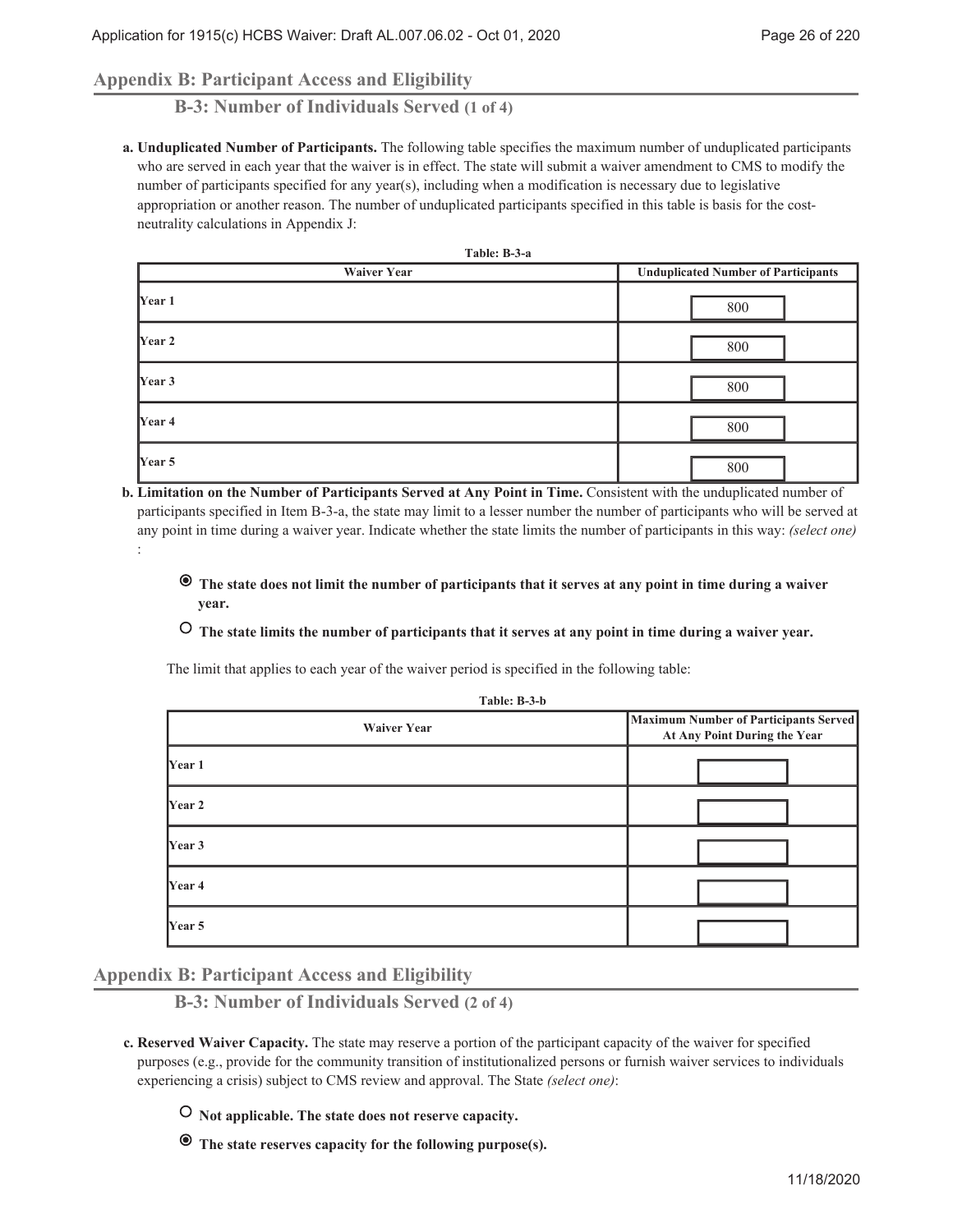## **Appendix B: Participant Access and Eligibility**

**B-3: Number of Individuals Served (1 of 4)**

**Unduplicated Number of Participants.** The following table specifies the maximum number of unduplicated participants **a.** who are served in each year that the waiver is in effect. The state will submit a waiver amendment to CMS to modify the number of participants specified for any year(s), including when a modification is necessary due to legislative appropriation or another reason. The number of unduplicated participants specified in this table is basis for the costneutrality calculations in Appendix J:

| Table: B-3-a       |                                            |
|--------------------|--------------------------------------------|
| <b>Waiver Year</b> | <b>Unduplicated Number of Participants</b> |
| Year 1             | 800                                        |
| Year 2             | 800                                        |
| Year 3             | 800                                        |
| Year 4             | 800                                        |
| Year 5             | 800                                        |

- **Limitation on the Number of Participants Served at Any Point in Time.** Consistent with the unduplicated number of **b.** participants specified in Item B-3-a, the state may limit to a lesser number the number of participants who will be served at any point in time during a waiver year. Indicate whether the state limits the number of participants in this way: *(select one)* :
	- **The state does not limit the number of participants that it serves at any point in time during a waiver year.**
	- **The state limits the number of participants that it serves at any point in time during a waiver year.**

The limit that applies to each year of the waiver period is specified in the following table:

| Table: B-3-b       |                                                                              |  |
|--------------------|------------------------------------------------------------------------------|--|
| <b>Waiver Year</b> | <b>Maximum Number of Participants Served</b><br>At Any Point During the Year |  |
| Year 1             |                                                                              |  |
| <b>Year 2</b>      |                                                                              |  |
| Year 3             |                                                                              |  |
| Year 4             |                                                                              |  |
| Year 5             |                                                                              |  |

**Appendix B: Participant Access and Eligibility**

**B-3: Number of Individuals Served (2 of 4)**

 **Not applicable. The state does not reserve capacity.**

 **The state reserves capacity for the following purpose(s).**

**Reserved Waiver Capacity.** The state may reserve a portion of the participant capacity of the waiver for specified **c.** purposes (e.g., provide for the community transition of institutionalized persons or furnish waiver services to individuals experiencing a crisis) subject to CMS review and approval. The State *(select one)*: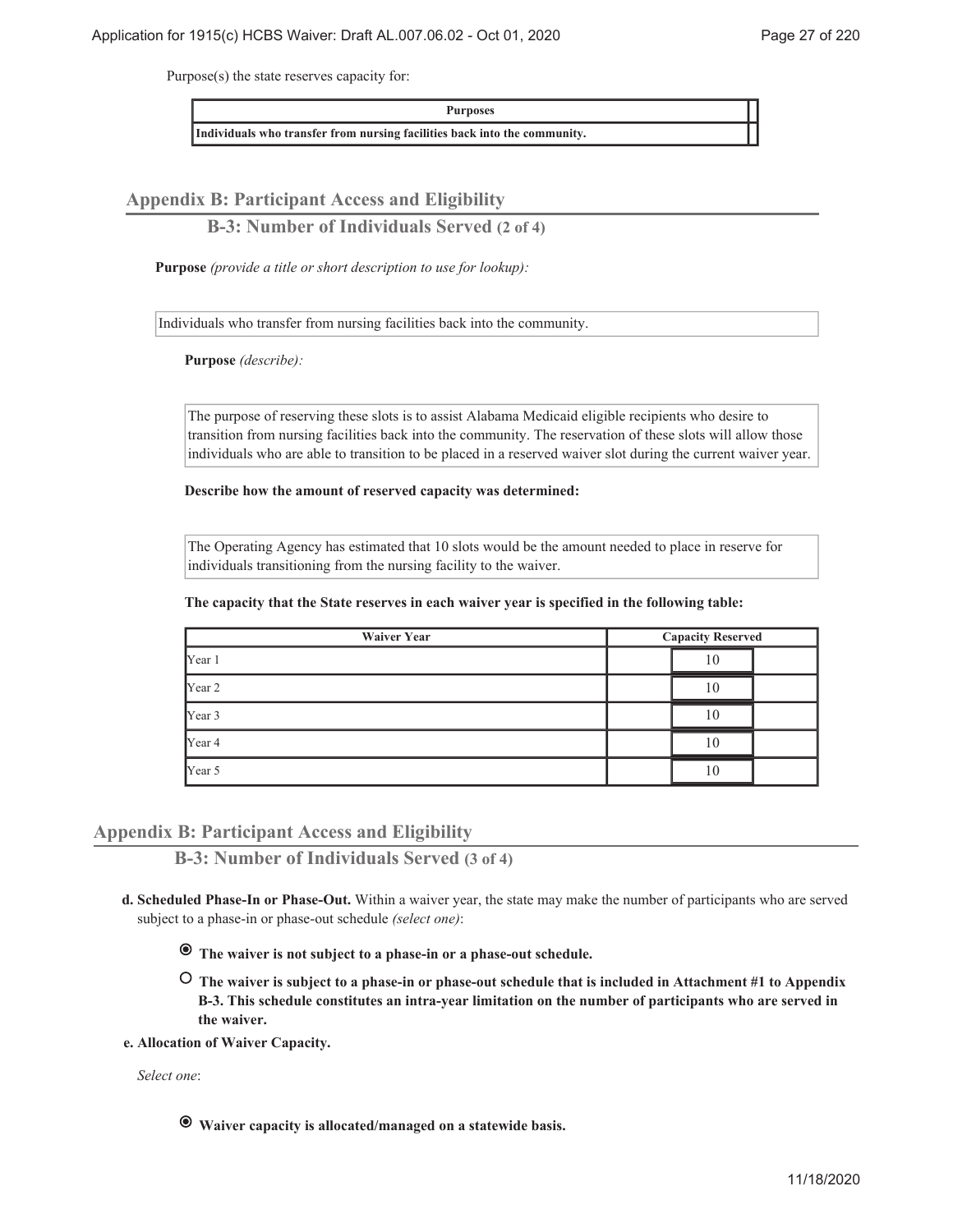Purpose(s) the state reserves capacity for:

**Purposes**

**Individuals who transfer from nursing facilities back into the community.**

**Appendix B: Participant Access and Eligibility**

**B-3: Number of Individuals Served (2 of 4)**

**Purpose** *(provide a title or short description to use for lookup):*

Individuals who transfer from nursing facilities back into the community.

**Purpose** *(describe):*

The purpose of reserving these slots is to assist Alabama Medicaid eligible recipients who desire to transition from nursing facilities back into the community. The reservation of these slots will allow those individuals who are able to transition to be placed in a reserved waiver slot during the current waiver year.

**Describe how the amount of reserved capacity was determined:**

The Operating Agency has estimated that 10 slots would be the amount needed to place in reserve for individuals transitioning from the nursing facility to the waiver.

**The capacity that the State reserves in each waiver year is specified in the following table:**

| <b>Waiver Year</b> | <b>Capacity Reserved</b> |    |  |
|--------------------|--------------------------|----|--|
| Year 1             | 10                       |    |  |
| Year 2             |                          | 10 |  |
| Year 3             |                          | 10 |  |
| Year 4             |                          | 10 |  |
| Year 5             |                          | 10 |  |

### **Appendix B: Participant Access and Eligibility**

**B-3: Number of Individuals Served (3 of 4)**

- **Scheduled Phase-In or Phase-Out.** Within a waiver year, the state may make the number of participants who are served **d.** subject to a phase-in or phase-out schedule *(select one)*:
	- **The waiver is not subject to a phase-in or a phase-out schedule.**
	- **The waiver is subject to a phase-in or phase-out schedule that is included in Attachment #1 to Appendix B-3. This schedule constitutes an intra-year limitation on the number of participants who are served in the waiver.**
- **Allocation of Waiver Capacity. e.**

*Select one*:

 **Waiver capacity is allocated/managed on a statewide basis.**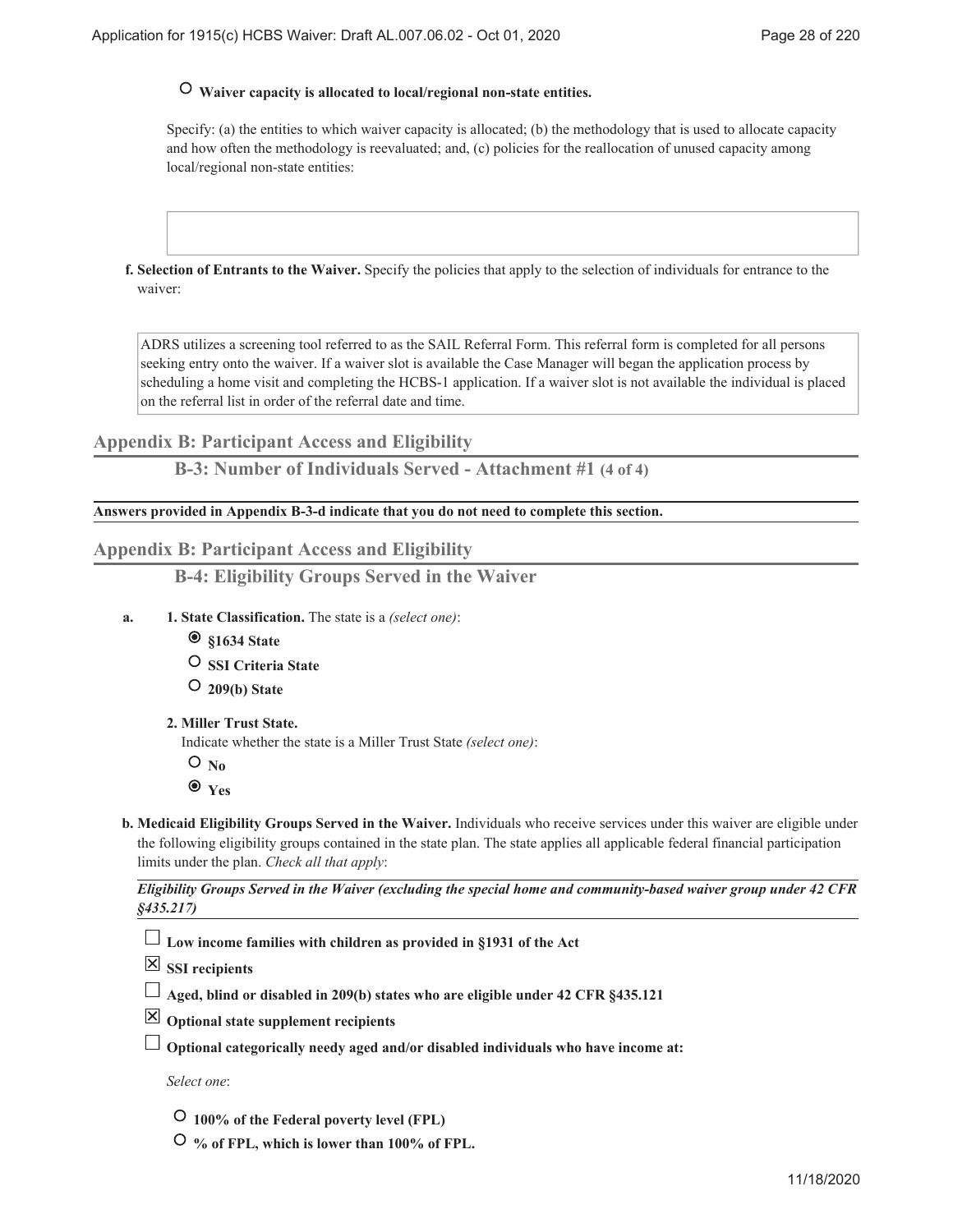## **Waiver capacity is allocated to local/regional non-state entities.**

Specify: (a) the entities to which waiver capacity is allocated; (b) the methodology that is used to allocate capacity and how often the methodology is reevaluated; and, (c) policies for the reallocation of unused capacity among local/regional non-state entities:

**Selection of Entrants to the Waiver.** Specify the policies that apply to the selection of individuals for entrance to the **f.** waiver:

ADRS utilizes a screening tool referred to as the SAIL Referral Form. This referral form is completed for all persons seeking entry onto the waiver. If a waiver slot is available the Case Manager will began the application process by scheduling a home visit and completing the HCBS-1 application. If a waiver slot is not available the individual is placed on the referral list in order of the referral date and time.

**Appendix B: Participant Access and Eligibility**

**B-3: Number of Individuals Served - Attachment #1 (4 of 4)**

**Answers provided in Appendix B-3-d indicate that you do not need to complete this section.**

### **Appendix B: Participant Access and Eligibility**

**B-4: Eligibility Groups Served in the Waiver**

- **State Classification.** The state is a *(select one)*: **1. a.**
	- **§1634 State**
	- **SSI Criteria State**
	- **209(b) State**
	- **Miller Trust State. 2.**

Indicate whether the state is a Miller Trust State *(select one)*:

- $O_{No}$
- **Yes**
- **Medicaid Eligibility Groups Served in the Waiver.** Individuals who receive services under this waiver are eligible under **b.** the following eligibility groups contained in the state plan. The state applies all applicable federal financial participation limits under the plan. *Check all that apply*:

*Eligibility Groups Served in the Waiver (excluding the special home and community-based waiver group under 42 CFR §435.217)*

**Low income families with children as provided in §1931 of the Act**

**SSI recipients**

- **Aged, blind or disabled in 209(b) states who are eligible under 42 CFR §435.121**
- **Optional state supplement recipients**
- **Optional categorically needy aged and/or disabled individuals who have income at:**

*Select one*:

- **100% of the Federal poverty level (FPL)**
- **% of FPL, which is lower than 100% of FPL.**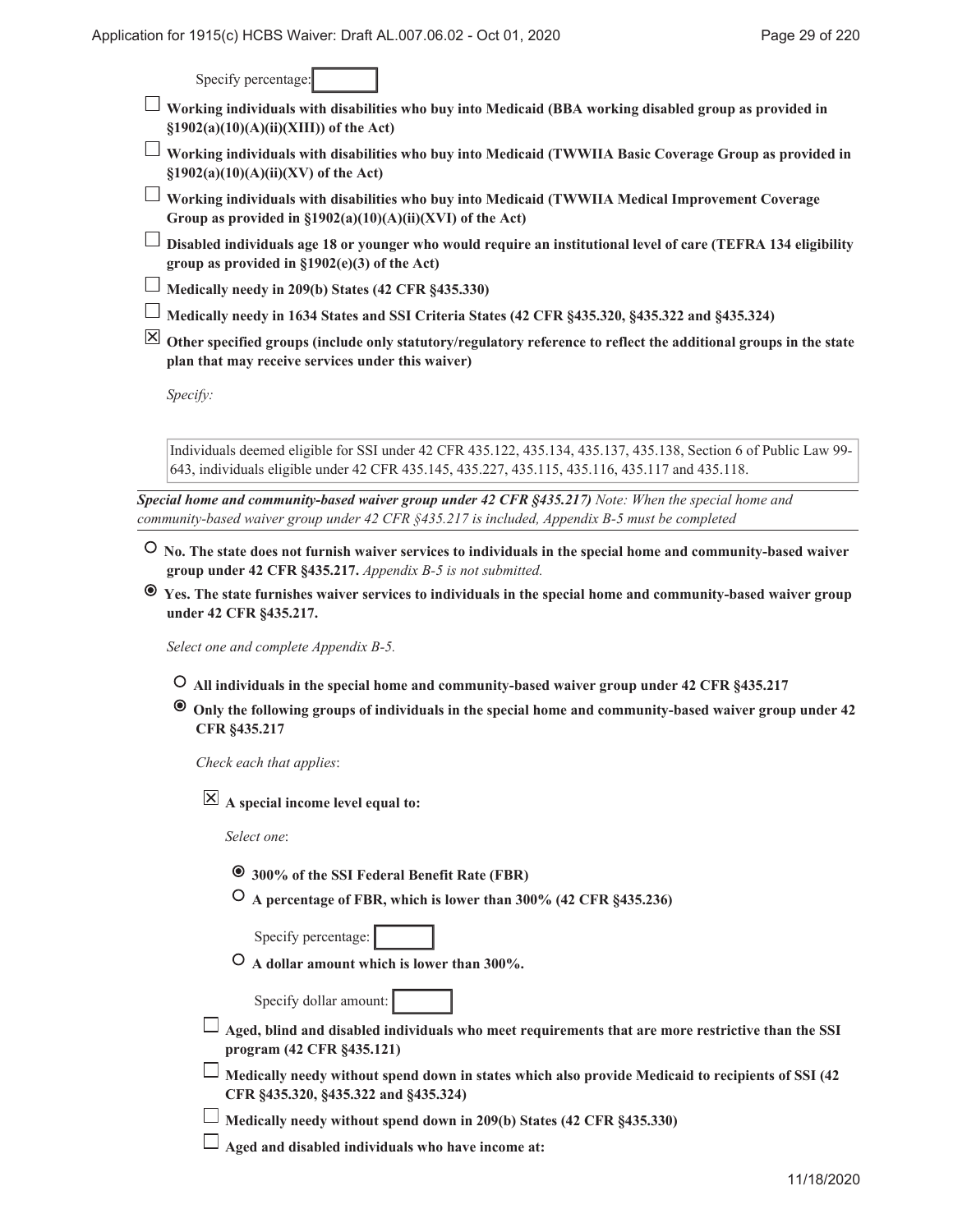Specify percentage:

- **Working individuals with disabilities who buy into Medicaid (BBA working disabled group as provided in §1902(a)(10)(A)(ii)(XIII)) of the Act)**
- **Working individuals with disabilities who buy into Medicaid (TWWIIA Basic Coverage Group as provided in §1902(a)(10)(A)(ii)(XV) of the Act)**
- **Working individuals with disabilities who buy into Medicaid (TWWIIA Medical Improvement Coverage Group as provided in §1902(a)(10)(A)(ii)(XVI) of the Act)**
- **Disabled individuals age 18 or younger who would require an institutional level of care (TEFRA 134 eligibility group as provided in §1902(e)(3) of the Act)**
- **Medically needy in 209(b) States (42 CFR §435.330)**
- **Medically needy in 1634 States and SSI Criteria States (42 CFR §435.320, §435.322 and §435.324)**
- **Other specified groups (include only statutory/regulatory reference to reflect the additional groups in the state plan that may receive services under this waiver)**

*Specify:*

Individuals deemed eligible for SSI under 42 CFR 435.122, 435.134, 435.137, 435.138, Section 6 of Public Law 99- 643, individuals eligible under 42 CFR 435.145, 435.227, 435.115, 435.116, 435.117 and 435.118.

*Special home and community-based waiver group under 42 CFR §435.217) Note: When the special home and community-based waiver group under 42 CFR §435.217 is included, Appendix B-5 must be completed*

- **No. The state does not furnish waiver services to individuals in the special home and community-based waiver group under 42 CFR §435.217.** *Appendix B-5 is not submitted.*
- **Yes. The state furnishes waiver services to individuals in the special home and community-based waiver group under 42 CFR §435.217.**

*Select one and complete Appendix B-5.*

- **All individuals in the special home and community-based waiver group under 42 CFR §435.217**
- **Only the following groups of individuals in the special home and community-based waiver group under 42 CFR §435.217**

*Check each that applies*:

**A special income level equal to:**

*Select one*:

- **300% of the SSI Federal Benefit Rate (FBR)**
- **A percentage of FBR, which is lower than 300% (42 CFR §435.236)**

Specify percentage:

 **A dollar amount which is lower than 300%.**

Specify dollar amount:

**Aged, blind and disabled individuals who meet requirements that are more restrictive than the SSI program (42 CFR §435.121)**

 $\Box$  Medically needy without spend down in states which also provide Medicaid to recipients of SSI (42) **CFR §435.320, §435.322 and §435.324)**

**Medically needy without spend down in 209(b) States (42 CFR §435.330)**

**Aged and disabled individuals who have income at:**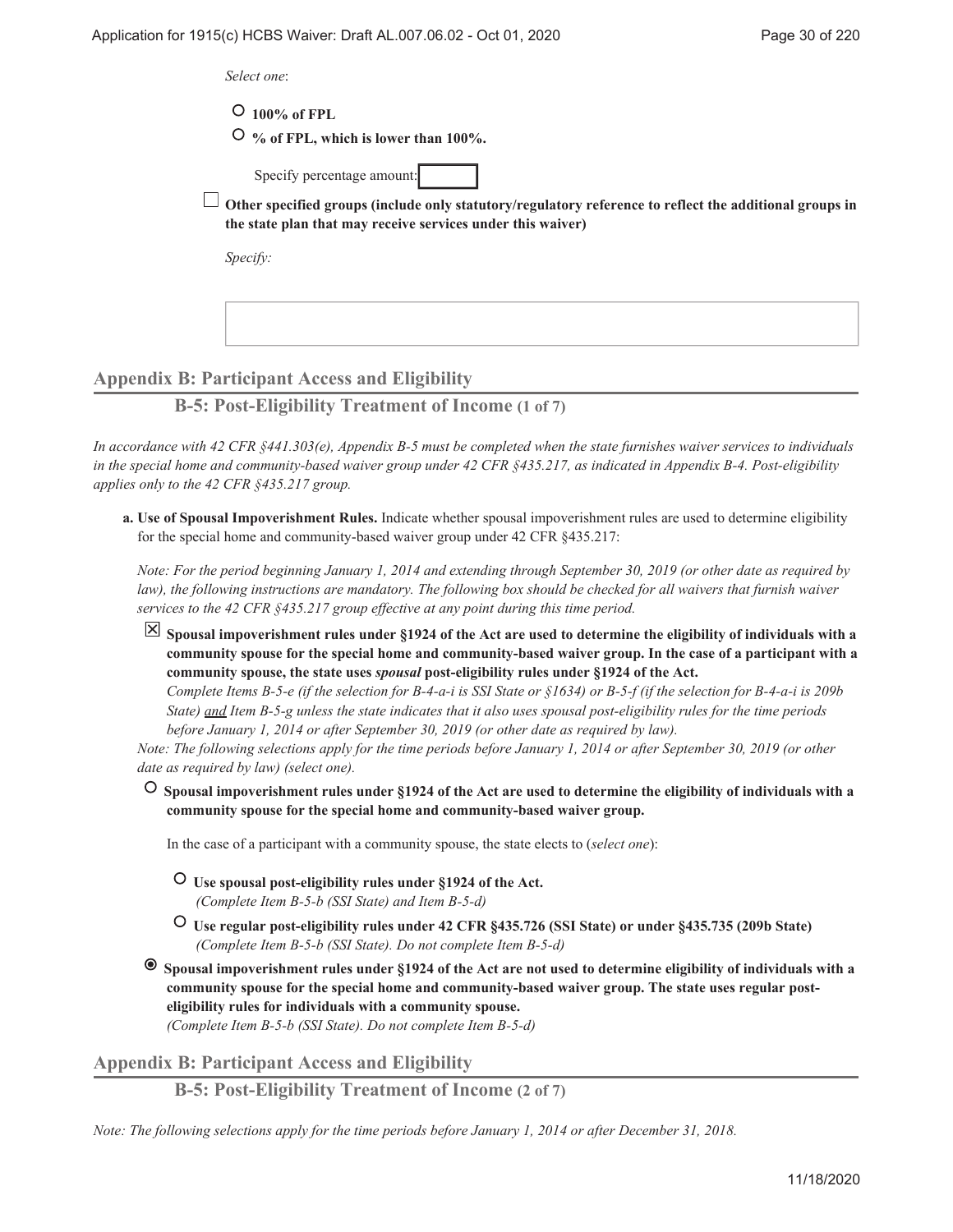*Select one*:

 **100% of FPL**

 **% of FPL, which is lower than 100%.**

Specify percentage amount:

**Other specified groups (include only statutory/regulatory reference to reflect the additional groups in the state plan that may receive services under this waiver)**

*Specify:*

## **Appendix B: Participant Access and Eligibility**

**B-5: Post-Eligibility Treatment of Income (1 of 7)**

*In accordance with 42 CFR §441.303(e), Appendix B-5 must be completed when the state furnishes waiver services to individuals in the special home and community-based waiver group under 42 CFR §435.217, as indicated in Appendix B-4. Post-eligibility applies only to the 42 CFR §435.217 group.*

**Use of Spousal Impoverishment Rules.** Indicate whether spousal impoverishment rules are used to determine eligibility **a.** for the special home and community-based waiver group under 42 CFR §435.217:

*Note: For the period beginning January 1, 2014 and extending through September 30, 2019 (or other date as required by law), the following instructions are mandatory. The following box should be checked for all waivers that furnish waiver services to the 42 CFR §435.217 group effective at any point during this time period.*

**Spousal impoverishment rules under §1924 of the Act are used to determine the eligibility of individuals with a community spouse for the special home and community-based waiver group. In the case of a participant with a community spouse, the state uses** *spousal* **post-eligibility rules under §1924 of the Act.**

*Complete Items B-5-e (if the selection for B-4-a-i is SSI State or §1634) or B-5-f (if the selection for B-4-a-i is 209b State) and Item B-5-g unless the state indicates that it also uses spousal post-eligibility rules for the time periods before January 1, 2014 or after September 30, 2019 (or other date as required by law).*

*Note: The following selections apply for the time periods before January 1, 2014 or after September 30, 2019 (or other date as required by law) (select one).*

 **Spousal impoverishment rules under §1924 of the Act are used to determine the eligibility of individuals with a community spouse for the special home and community-based waiver group.**

In the case of a participant with a community spouse, the state elects to (*select one*):

- **Use spousal post-eligibility rules under §1924 of the Act.** *(Complete Item B-5-b (SSI State) and Item B-5-d)*
- **Use regular post-eligibility rules under 42 CFR §435.726 (SSI State) or under §435.735 (209b State)** *(Complete Item B-5-b (SSI State). Do not complete Item B-5-d)*
- $\bullet$  **Spousal impoverishment rules under §1924 of the Act are not used to determine eligibility of individuals with a community spouse for the special home and community-based waiver group. The state uses regular posteligibility rules for individuals with a community spouse.**

*(Complete Item B-5-b (SSI State). Do not complete Item B-5-d)*

**Appendix B: Participant Access and Eligibility**

**B-5: Post-Eligibility Treatment of Income (2 of 7)**

*Note: The following selections apply for the time periods before January 1, 2014 or after December 31, 2018.*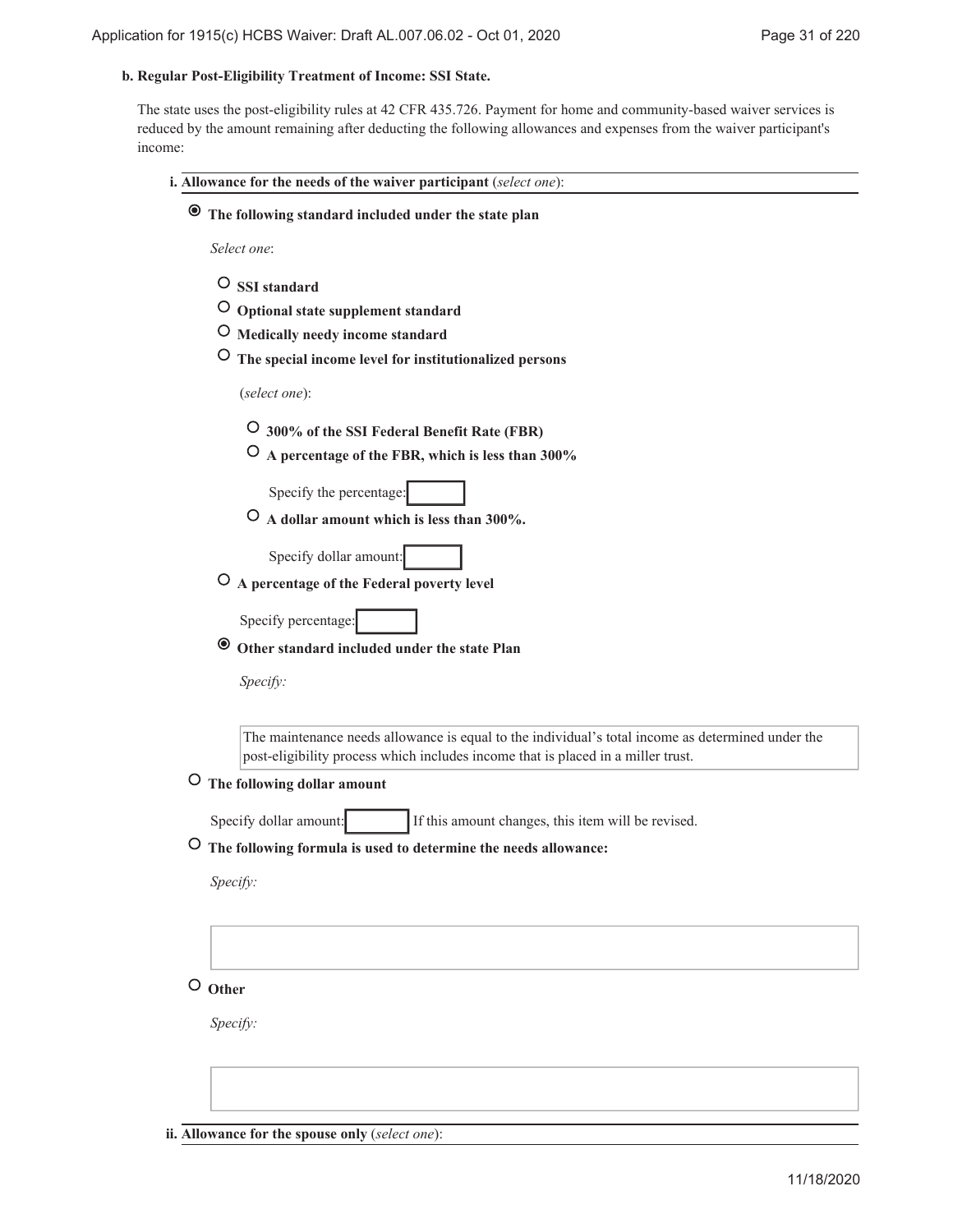#### **Regular Post-Eligibility Treatment of Income: SSI State. b.**

The state uses the post-eligibility rules at 42 CFR 435.726. Payment for home and community-based waiver services is reduced by the amount remaining after deducting the following allowances and expenses from the waiver participant's income:

| i. Allowance for the needs of the waiver participant (select one):                                                                                                                    |
|---------------------------------------------------------------------------------------------------------------------------------------------------------------------------------------|
| The following standard included under the state plan<br>$\bullet$                                                                                                                     |
| Select one:                                                                                                                                                                           |
| $\circ$ SSI standard<br>O Optional state supplement standard                                                                                                                          |
| Medically needy income standard<br>$\circ$                                                                                                                                            |
| The special income level for institutionalized persons                                                                                                                                |
| (select one):                                                                                                                                                                         |
| O 300% of the SSI Federal Benefit Rate (FBR)                                                                                                                                          |
| O A percentage of the FBR, which is less than 300%                                                                                                                                    |
| Specify the percentage:                                                                                                                                                               |
| $\circ$ A dollar amount which is less than 300%.                                                                                                                                      |
| Specify dollar amount:                                                                                                                                                                |
| O A percentage of the Federal poverty level                                                                                                                                           |
| Specify percentage:                                                                                                                                                                   |
| Other standard included under the state Plan<br>$\bullet$                                                                                                                             |
|                                                                                                                                                                                       |
| Specify:                                                                                                                                                                              |
| The maintenance needs allowance is equal to the individual's total income as determined under the<br>post-eligibility process which includes income that is placed in a miller trust. |
| The following dollar amount<br>O                                                                                                                                                      |
| If this amount changes, this item will be revised.<br>Specify dollar amount:                                                                                                          |
| O The following formula is used to determine the needs allowance:                                                                                                                     |
| Specify:                                                                                                                                                                              |
|                                                                                                                                                                                       |
|                                                                                                                                                                                       |
|                                                                                                                                                                                       |
| $\circ$ Other                                                                                                                                                                         |
| Specify:                                                                                                                                                                              |
|                                                                                                                                                                                       |
|                                                                                                                                                                                       |

**ii. Allowance for the spouse only** (*select one*):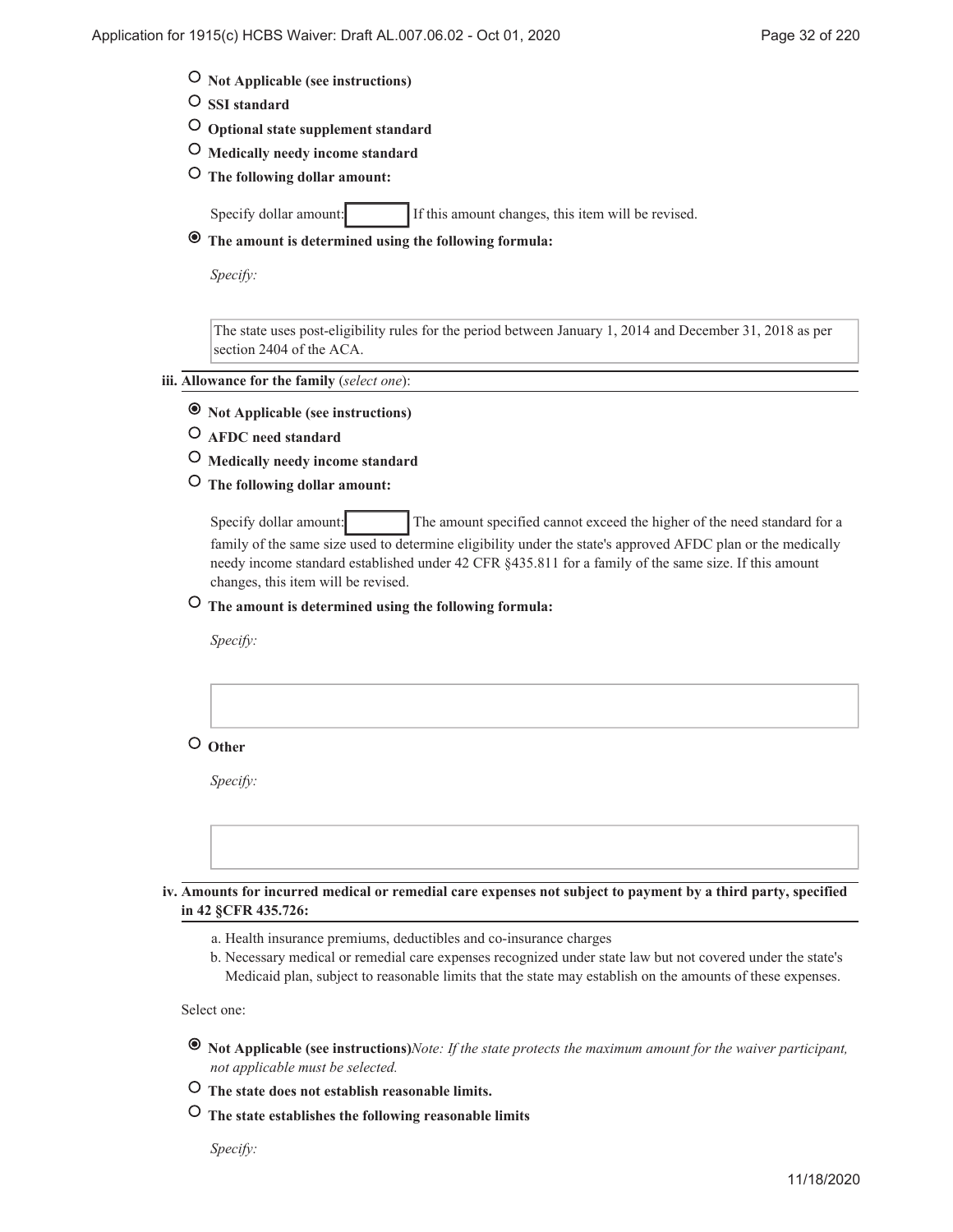- **Not Applicable (see instructions)**
- **SSI standard**
- **Optional state supplement standard**
- **Medically needy income standard**
- **The following dollar amount:**

Specify dollar amount: If this amount changes, this item will be revised.

 **The amount is determined using the following formula:**

*Specify:*

The state uses post-eligibility rules for the period between January 1, 2014 and December 31, 2018 as per section 2404 of the ACA.

#### **Allowance for the family** (*select one*): **iii.**

- **Not Applicable (see instructions)**
- **AFDC need standard**
- **Medically needy income standard**
- **The following dollar amount:**

Specify dollar amount: The amount specified cannot exceed the higher of the need standard for a family of the same size used to determine eligibility under the state's approved AFDC plan or the medically needy income standard established under 42 CFR §435.811 for a family of the same size. If this amount changes, this item will be revised.

## **The amount is determined using the following formula:**

*Specify:*

 **Other**

*Specify:*

**Amounts for incurred medical or remedial care expenses not subject to payment by a third party, specified iv. in 42 §CFR 435.726:**

- a. Health insurance premiums, deductibles and co-insurance charges
- b. Necessary medical or remedial care expenses recognized under state law but not covered under the state's Medicaid plan, subject to reasonable limits that the state may establish on the amounts of these expenses.

Select one:

- **Not Applicable (see instructions)***Note: If the state protects the maximum amount for the waiver participant, not applicable must be selected.*
- **The state does not establish reasonable limits.**
- **The state establishes the following reasonable limits**

*Specify:*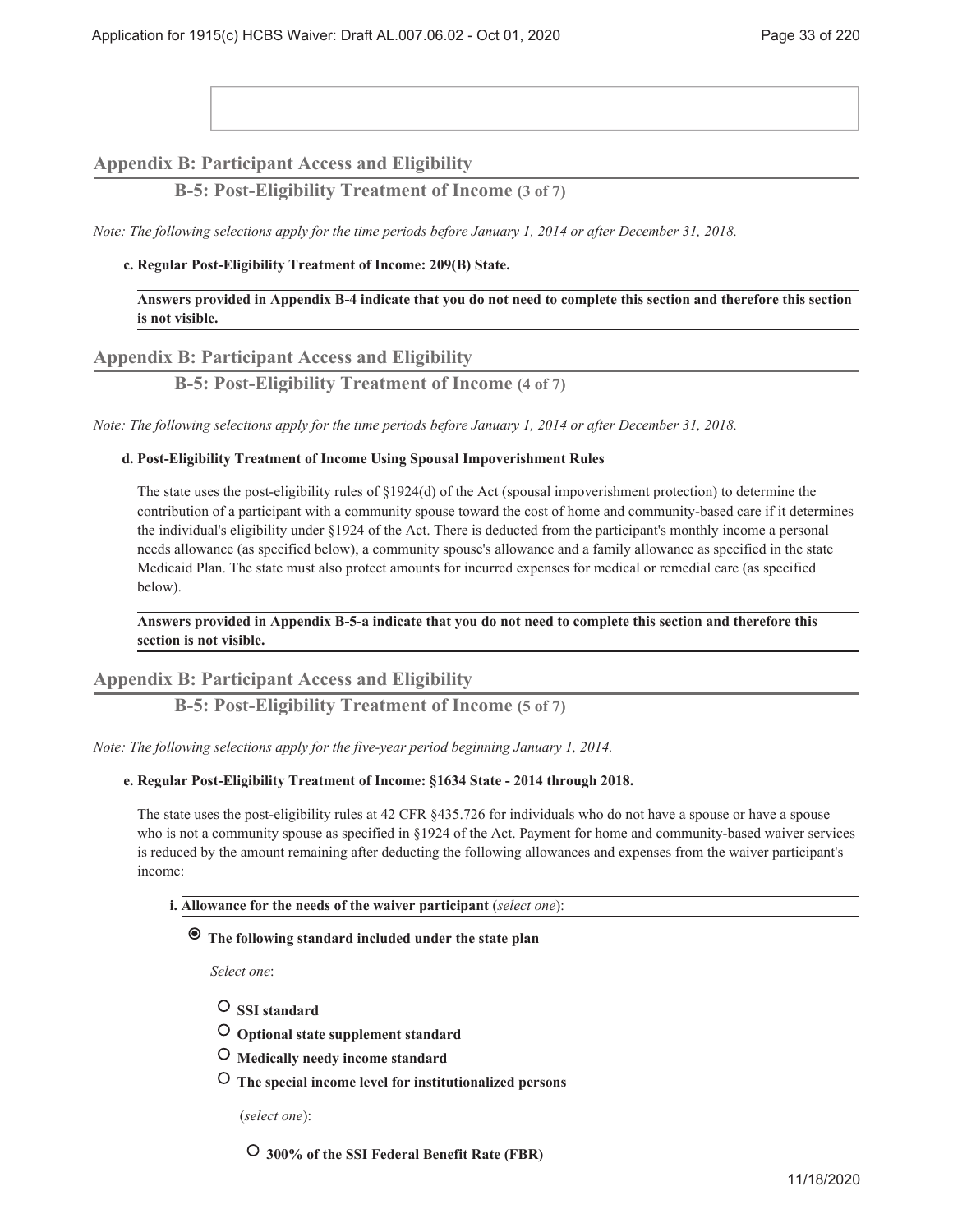## **Appendix B: Participant Access and Eligibility**

## **B-5: Post-Eligibility Treatment of Income (3 of 7)**

*Note: The following selections apply for the time periods before January 1, 2014 or after December 31, 2018.*

#### **Regular Post-Eligibility Treatment of Income: 209(B) State. c.**

**Answers provided in Appendix B-4 indicate that you do not need to complete this section and therefore this section is not visible.**

#### **Appendix B: Participant Access and Eligibility**

## **B-5: Post-Eligibility Treatment of Income (4 of 7)**

*Note: The following selections apply for the time periods before January 1, 2014 or after December 31, 2018.*

#### **Post-Eligibility Treatment of Income Using Spousal Impoverishment Rules d.**

The state uses the post-eligibility rules of §1924(d) of the Act (spousal impoverishment protection) to determine the contribution of a participant with a community spouse toward the cost of home and community-based care if it determines the individual's eligibility under §1924 of the Act. There is deducted from the participant's monthly income a personal needs allowance (as specified below), a community spouse's allowance and a family allowance as specified in the state Medicaid Plan. The state must also protect amounts for incurred expenses for medical or remedial care (as specified below).

#### **Answers provided in Appendix B-5-a indicate that you do not need to complete this section and therefore this section is not visible.**

## **Appendix B: Participant Access and Eligibility**

**B-5: Post-Eligibility Treatment of Income (5 of 7)**

*Note: The following selections apply for the five-year period beginning January 1, 2014.*

#### **Regular Post-Eligibility Treatment of Income: §1634 State - 2014 through 2018. e.**

The state uses the post-eligibility rules at 42 CFR §435.726 for individuals who do not have a spouse or have a spouse who is not a community spouse as specified in §1924 of the Act. Payment for home and community-based waiver services is reduced by the amount remaining after deducting the following allowances and expenses from the waiver participant's income:

#### **Allowance for the needs of the waiver participant** (*select one*): **i.**

### **The following standard included under the state plan**

*Select one*:

- **SSI standard**
- **Optional state supplement standard**
- **Medically needy income standard**
- **The special income level for institutionalized persons**

(*select one*):

 **300% of the SSI Federal Benefit Rate (FBR)**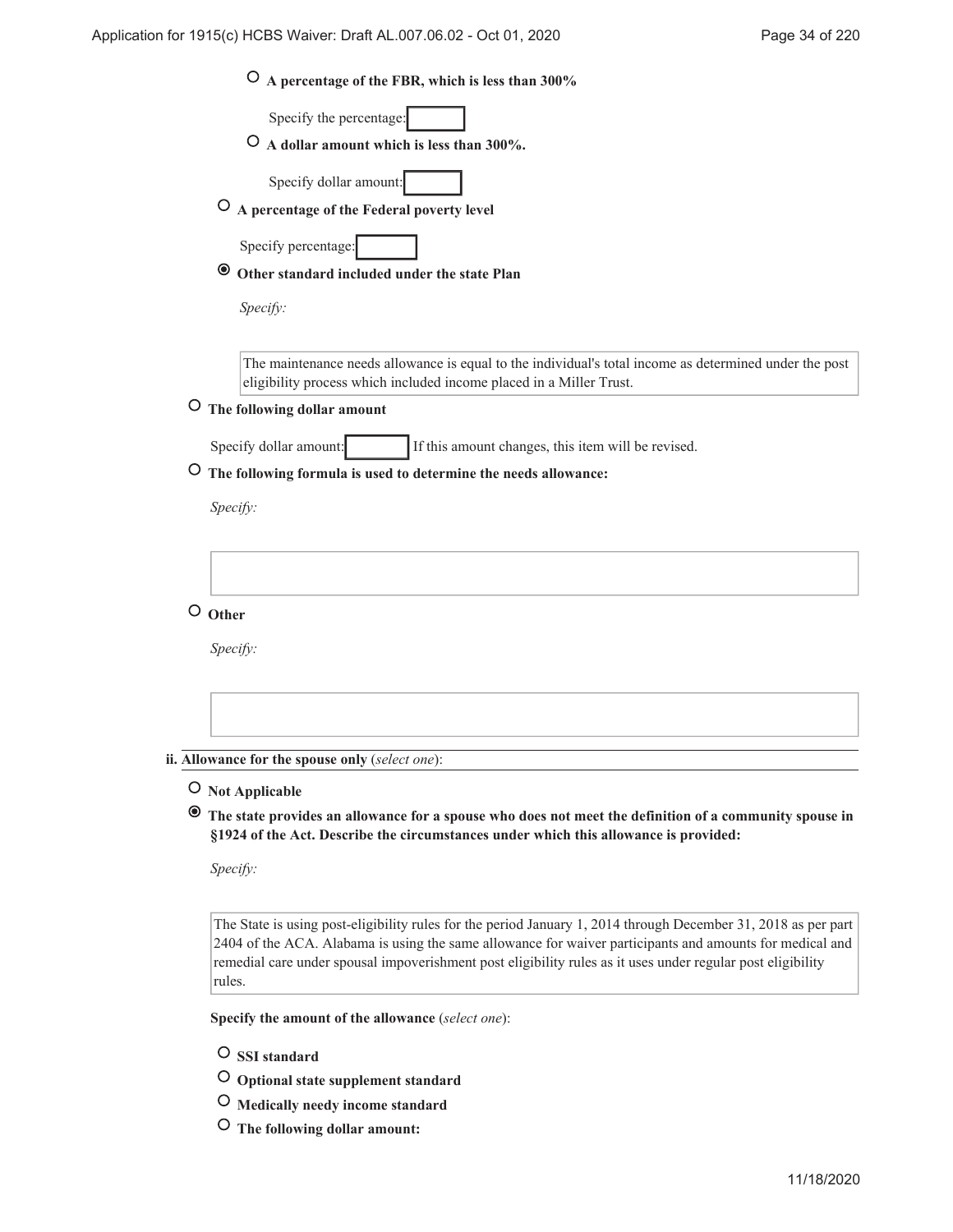| O A percentage of the FBR, which is less than 300%                                                                                                                                             |
|------------------------------------------------------------------------------------------------------------------------------------------------------------------------------------------------|
| Specify the percentage:                                                                                                                                                                        |
| $\circ$ A dollar amount which is less than 300%.                                                                                                                                               |
| Specify dollar amount:                                                                                                                                                                         |
| $\overline{O}$ A percentage of the Federal poverty level                                                                                                                                       |
| Specify percentage:                                                                                                                                                                            |
| Other standard included under the state Plan<br>◉                                                                                                                                              |
| Specify:                                                                                                                                                                                       |
| The maintenance needs allowance is equal to the individual's total income as determined under the post                                                                                         |
| eligibility process which included income placed in a Miller Trust.                                                                                                                            |
| O The following dollar amount                                                                                                                                                                  |
| If this amount changes, this item will be revised.<br>Specify dollar amount:                                                                                                                   |
| The following formula is used to determine the needs allowance:                                                                                                                                |
| Specify:                                                                                                                                                                                       |
|                                                                                                                                                                                                |
|                                                                                                                                                                                                |
| $\circ$ Other                                                                                                                                                                                  |
| Specify:                                                                                                                                                                                       |
|                                                                                                                                                                                                |
|                                                                                                                                                                                                |
|                                                                                                                                                                                                |
| ii. Allowance for the spouse only (select one):                                                                                                                                                |
| $\circ$ Not Applicable                                                                                                                                                                         |
| The state provides an allowance for a spouse who does not meet the definition of a community spouse in<br>§1924 of the Act. Describe the circumstances under which this allowance is provided: |
|                                                                                                                                                                                                |

*Specify:*

The State is using post-eligibility rules for the period January 1, 2014 through December 31, 2018 as per part 2404 of the ACA. Alabama is using the same allowance for waiver participants and amounts for medical and remedial care under spousal impoverishment post eligibility rules as it uses under regular post eligibility rules.

**Specify the amount of the allowance** (*select one*):

- **O** SSI standard
- **Optional state supplement standard**
- **Medically needy income standard**
- **The following dollar amount:**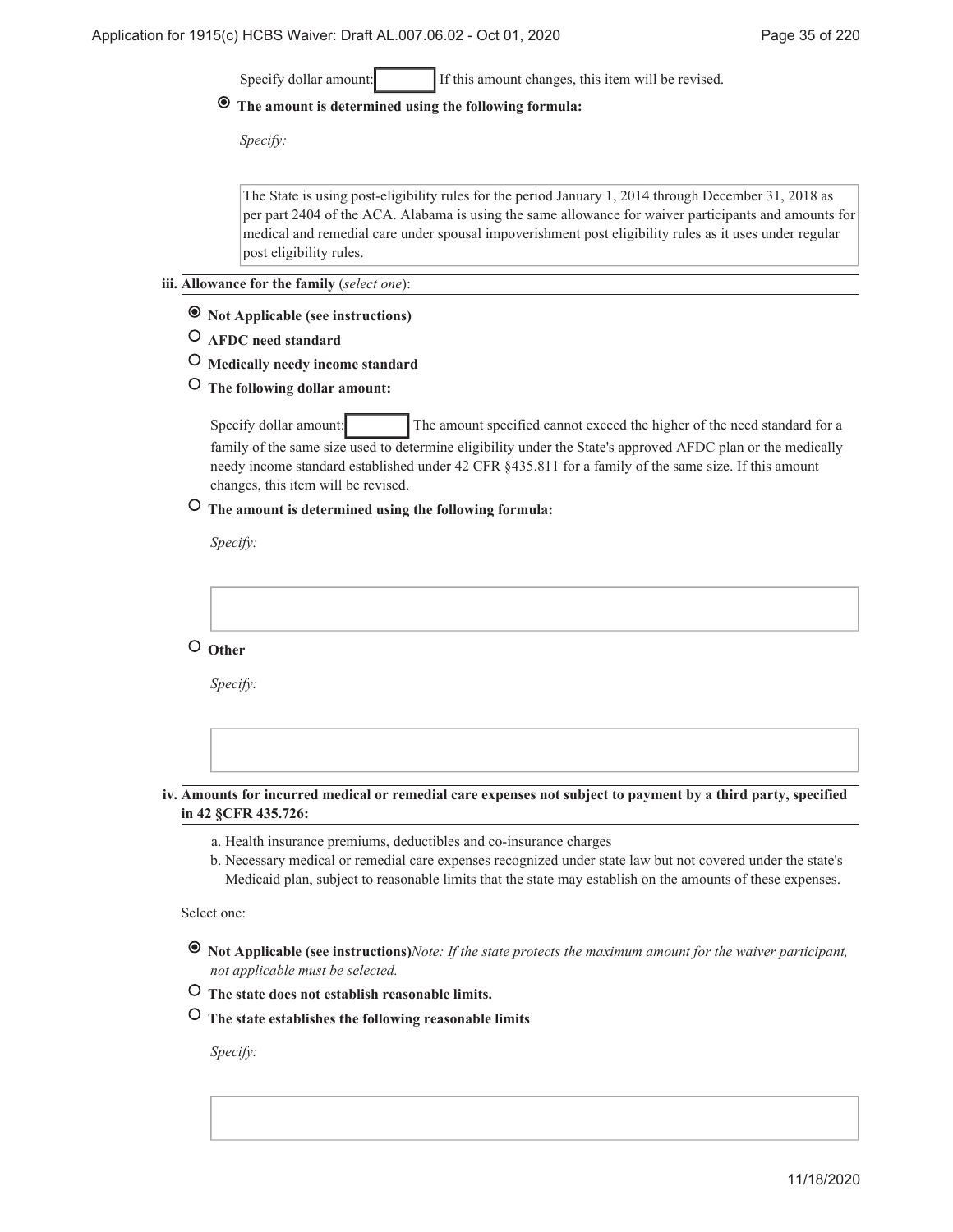Specify dollar amount: If this amount changes, this item will be revised.

## **The amount is determined using the following formula:**

*Specify:*

The State is using post-eligibility rules for the period January 1, 2014 through December 31, 2018 as per part 2404 of the ACA. Alabama is using the same allowance for waiver participants and amounts for medical and remedial care under spousal impoverishment post eligibility rules as it uses under regular post eligibility rules.

- **Allowance for the family** (*select one*): **iii.**
	- **Not Applicable (see instructions)**
	- **AFDC need standard**
	- **Medically needy income standard**
	- **The following dollar amount:**

Specify dollar amount: The amount specified cannot exceed the higher of the need standard for a family of the same size used to determine eligibility under the State's approved AFDC plan or the medically needy income standard established under 42 CFR §435.811 for a family of the same size. If this amount changes, this item will be revised.

## **The amount is determined using the following formula:**

*Specify:*

 **Other**

*Specify:*

#### **Amounts for incurred medical or remedial care expenses not subject to payment by a third party, specified iv. in 42 §CFR 435.726:**

- a. Health insurance premiums, deductibles and co-insurance charges
- b. Necessary medical or remedial care expenses recognized under state law but not covered under the state's Medicaid plan, subject to reasonable limits that the state may establish on the amounts of these expenses.

Select one:

- **Not Applicable (see instructions)***Note: If the state protects the maximum amount for the waiver participant, not applicable must be selected.*
- **The state does not establish reasonable limits.**
- **The state establishes the following reasonable limits**

*Specify:*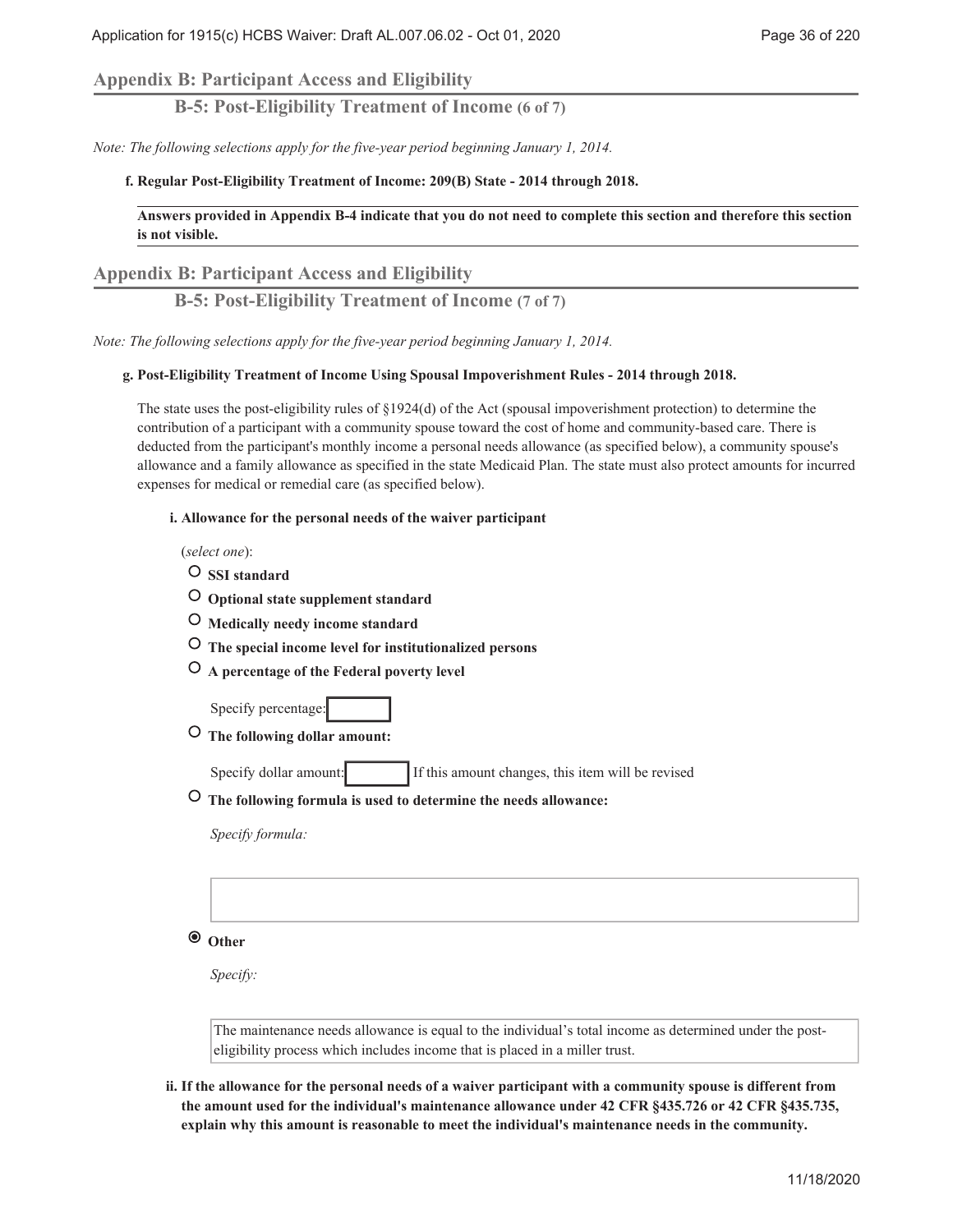## **Appendix B: Participant Access and Eligibility**

**B-5: Post-Eligibility Treatment of Income (6 of 7)**

*Note: The following selections apply for the five-year period beginning January 1, 2014.*

#### **Regular Post-Eligibility Treatment of Income: 209(B) State - 2014 through 2018. f.**

## **Answers provided in Appendix B-4 indicate that you do not need to complete this section and therefore this section is not visible.**

## **Appendix B: Participant Access and Eligibility**

**B-5: Post-Eligibility Treatment of Income (7 of 7)**

*Note: The following selections apply for the five-year period beginning January 1, 2014.*

#### **Post-Eligibility Treatment of Income Using Spousal Impoverishment Rules - 2014 through 2018. g.**

The state uses the post-eligibility rules of §1924(d) of the Act (spousal impoverishment protection) to determine the contribution of a participant with a community spouse toward the cost of home and community-based care. There is deducted from the participant's monthly income a personal needs allowance (as specified below), a community spouse's allowance and a family allowance as specified in the state Medicaid Plan. The state must also protect amounts for incurred expenses for medical or remedial care (as specified below).

**Allowance for the personal needs of the waiver participant i.**

(*select one*):

 **SSI standard**

- **Optional state supplement standard**
- **Medically needy income standard**
- **The special income level for institutionalized persons**
- **A percentage of the Federal poverty level**

Specify percentage:

 **The following dollar amount:**

Specify dollar amount: If this amount changes, this item will be revised

 **The following formula is used to determine the needs allowance:**

*Specify formula:*

## **Other**

*Specify:*

The maintenance needs allowance is equal to the individual's total income as determined under the posteligibility process which includes income that is placed in a miller trust.

**If the allowance for the personal needs of a waiver participant with a community spouse is different from ii. the amount used for the individual's maintenance allowance under 42 CFR §435.726 or 42 CFR §435.735, explain why this amount is reasonable to meet the individual's maintenance needs in the community.**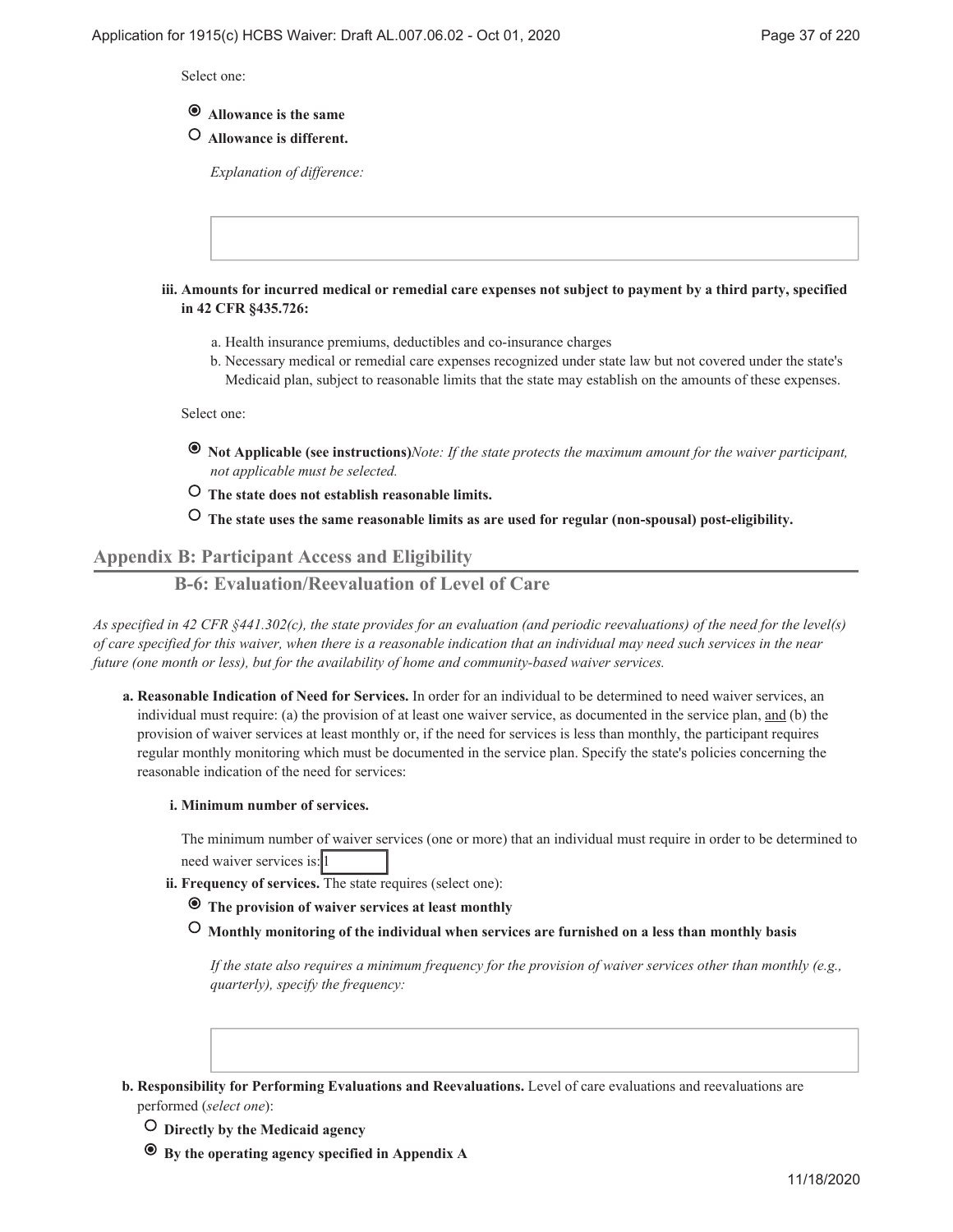Select one:

# **Allowance is the same**

 **Allowance is different.**

*Explanation of difference:*

**Amounts for incurred medical or remedial care expenses not subject to payment by a third party, specified iii. in 42 CFR §435.726:**

- a. Health insurance premiums, deductibles and co-insurance charges
- b. Necessary medical or remedial care expenses recognized under state law but not covered under the state's Medicaid plan, subject to reasonable limits that the state may establish on the amounts of these expenses.

Select one:

- **Not Applicable (see instructions)***Note: If the state protects the maximum amount for the waiver participant, not applicable must be selected.*
- **The state does not establish reasonable limits.**

 **The state uses the same reasonable limits as are used for regular (non-spousal) post-eligibility.**

# **Appendix B: Participant Access and Eligibility**

# **B-6: Evaluation/Reevaluation of Level of Care**

*As specified in 42 CFR §441.302(c), the state provides for an evaluation (and periodic reevaluations) of the need for the level(s) of care specified for this waiver, when there is a reasonable indication that an individual may need such services in the near future (one month or less), but for the availability of home and community-based waiver services.*

**Reasonable Indication of Need for Services.** In order for an individual to be determined to need waiver services, an **a.** individual must require: (a) the provision of at least one waiver service, as documented in the service plan, and (b) the provision of waiver services at least monthly or, if the need for services is less than monthly, the participant requires regular monthly monitoring which must be documented in the service plan. Specify the state's policies concerning the reasonable indication of the need for services:

#### **Minimum number of services. i.**

The minimum number of waiver services (one or more) that an individual must require in order to be determined to need waiver services is: 1

- **Frequency of services.** The state requires (select one): **ii.**
	- **The provision of waiver services at least monthly**
	- **Monthly monitoring of the individual when services are furnished on a less than monthly basis**

*If the state also requires a minimum frequency for the provision of waiver services other than monthly (e.g., quarterly), specify the frequency:*

- **Responsibility for Performing Evaluations and Reevaluations.** Level of care evaluations and reevaluations are **b.** performed (*select one*):
	- **Directly by the Medicaid agency**
	- **By the operating agency specified in Appendix A**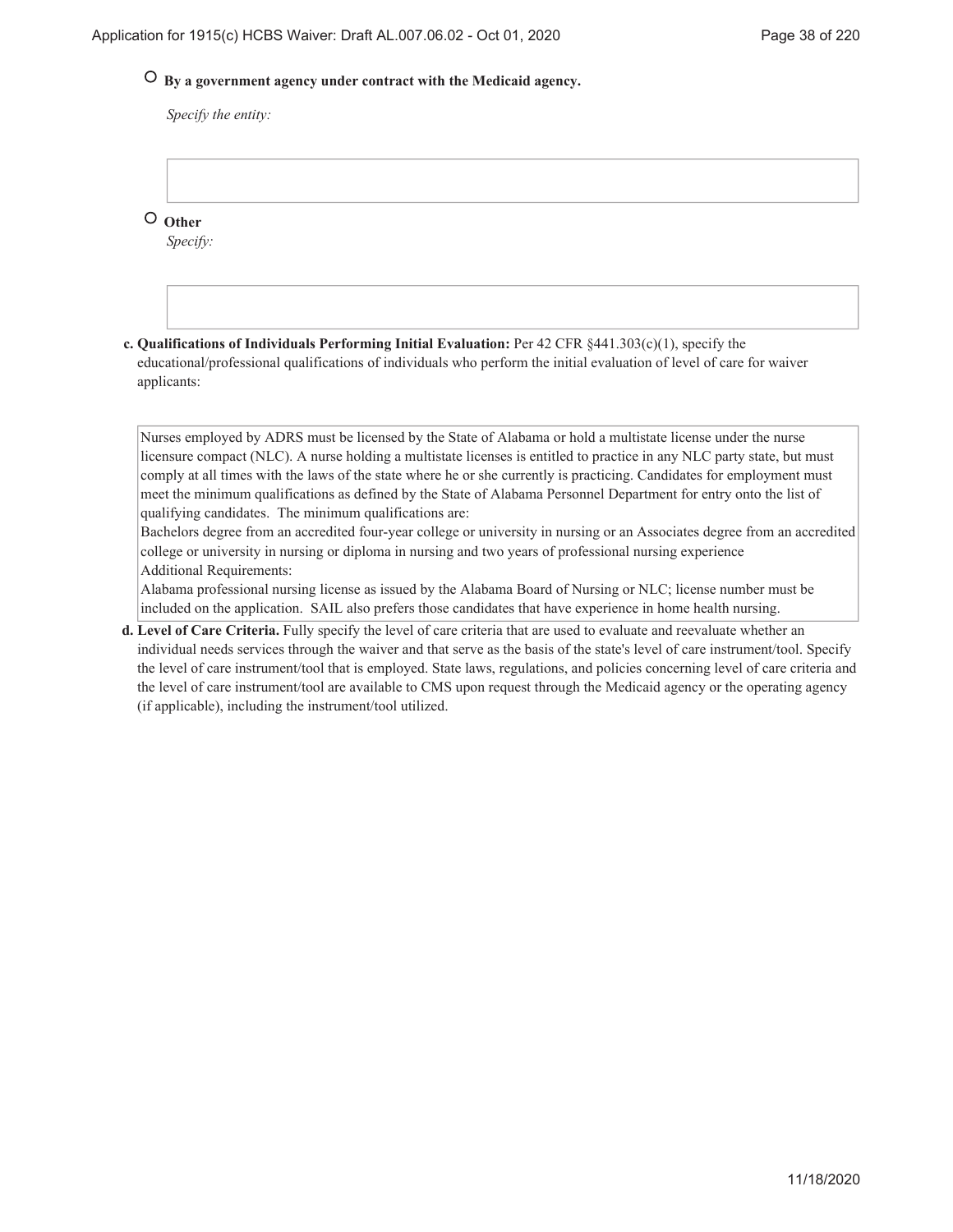# **By a government agency under contract with the Medicaid agency.**

*Specify the entity:*

 **Other**

*Specify:*

**Qualifications of Individuals Performing Initial Evaluation:** Per 42 CFR §441.303(c)(1), specify the **c.** educational/professional qualifications of individuals who perform the initial evaluation of level of care for waiver applicants:

Nurses employed by ADRS must be licensed by the State of Alabama or hold a multistate license under the nurse licensure compact (NLC). A nurse holding a multistate licenses is entitled to practice in any NLC party state, but must comply at all times with the laws of the state where he or she currently is practicing. Candidates for employment must meet the minimum qualifications as defined by the State of Alabama Personnel Department for entry onto the list of qualifying candidates. The minimum qualifications are:

Bachelors degree from an accredited four-year college or university in nursing or an Associates degree from an accredited college or university in nursing or diploma in nursing and two years of professional nursing experience Additional Requirements:

Alabama professional nursing license as issued by the Alabama Board of Nursing or NLC; license number must be included on the application. SAIL also prefers those candidates that have experience in home health nursing.

**Level of Care Criteria.** Fully specify the level of care criteria that are used to evaluate and reevaluate whether an **d.** individual needs services through the waiver and that serve as the basis of the state's level of care instrument/tool. Specify the level of care instrument/tool that is employed. State laws, regulations, and policies concerning level of care criteria and the level of care instrument/tool are available to CMS upon request through the Medicaid agency or the operating agency (if applicable), including the instrument/tool utilized.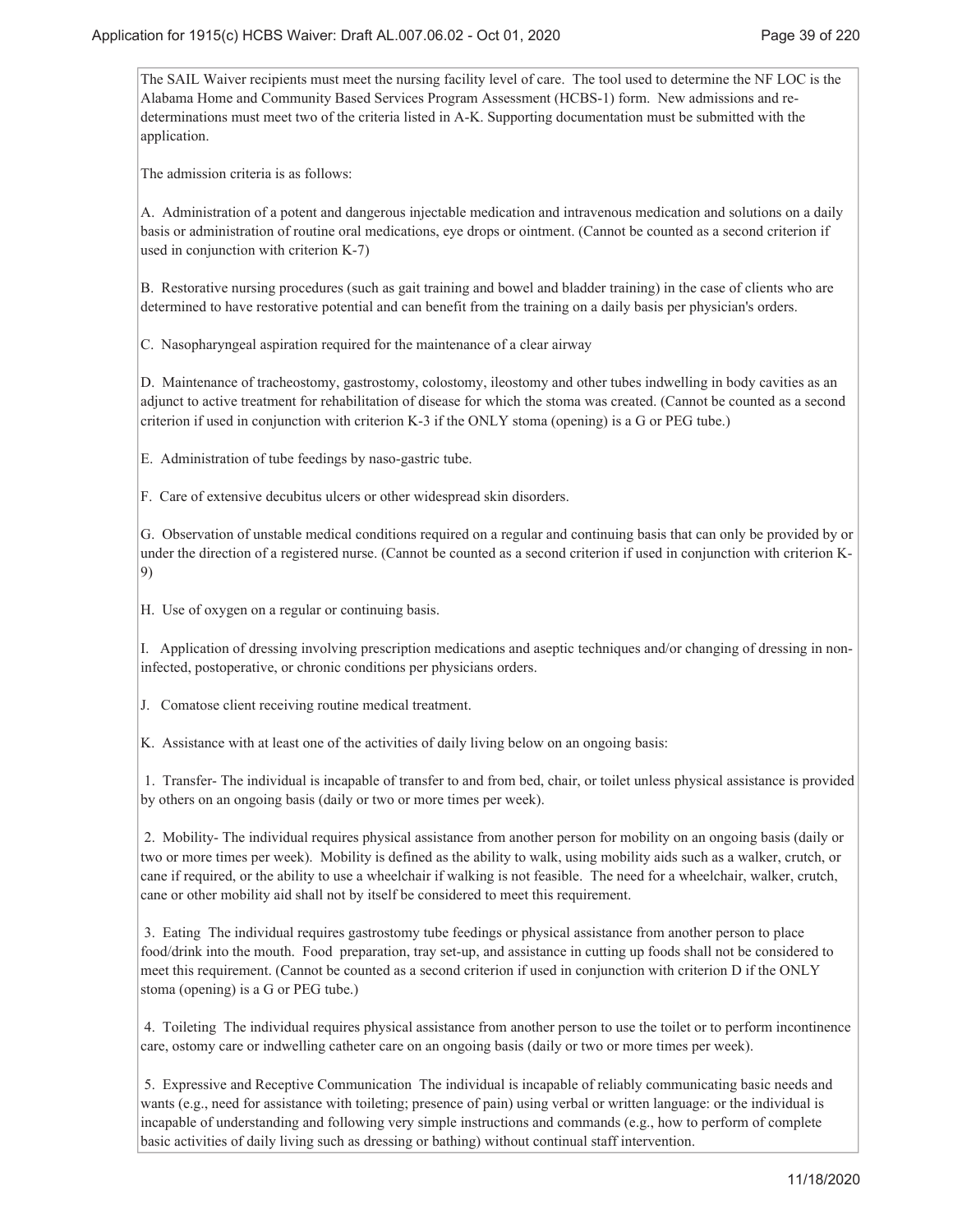The SAIL Waiver recipients must meet the nursing facility level of care. The tool used to determine the NF LOC is the Alabama Home and Community Based Services Program Assessment (HCBS-1) form. New admissions and redeterminations must meet two of the criteria listed in A-K. Supporting documentation must be submitted with the application.

The admission criteria is as follows:

A. Administration of a potent and dangerous injectable medication and intravenous medication and solutions on a daily basis or administration of routine oral medications, eye drops or ointment. (Cannot be counted as a second criterion if used in conjunction with criterion K-7)

B. Restorative nursing procedures (such as gait training and bowel and bladder training) in the case of clients who are determined to have restorative potential and can benefit from the training on a daily basis per physician's orders.

C. Nasopharyngeal aspiration required for the maintenance of a clear airway

D. Maintenance of tracheostomy, gastrostomy, colostomy, ileostomy and other tubes indwelling in body cavities as an adjunct to active treatment for rehabilitation of disease for which the stoma was created. (Cannot be counted as a second criterion if used in conjunction with criterion K-3 if the ONLY stoma (opening) is a G or PEG tube.)

E. Administration of tube feedings by naso-gastric tube.

F. Care of extensive decubitus ulcers or other widespread skin disorders.

G. Observation of unstable medical conditions required on a regular and continuing basis that can only be provided by or under the direction of a registered nurse. (Cannot be counted as a second criterion if used in conjunction with criterion K-9)

H. Use of oxygen on a regular or continuing basis.

I. Application of dressing involving prescription medications and aseptic techniques and/or changing of dressing in noninfected, postoperative, or chronic conditions per physicians orders.

J. Comatose client receiving routine medical treatment.

K. Assistance with at least one of the activities of daily living below on an ongoing basis:

 1. Transfer- The individual is incapable of transfer to and from bed, chair, or toilet unless physical assistance is provided by others on an ongoing basis (daily or two or more times per week).

 2. Mobility- The individual requires physical assistance from another person for mobility on an ongoing basis (daily or two or more times per week). Mobility is defined as the ability to walk, using mobility aids such as a walker, crutch, or cane if required, or the ability to use a wheelchair if walking is not feasible. The need for a wheelchair, walker, crutch, cane or other mobility aid shall not by itself be considered to meet this requirement.

 3. Eating The individual requires gastrostomy tube feedings or physical assistance from another person to place food/drink into the mouth. Food preparation, tray set-up, and assistance in cutting up foods shall not be considered to meet this requirement. (Cannot be counted as a second criterion if used in conjunction with criterion D if the ONLY stoma (opening) is a G or PEG tube.)

 4. Toileting The individual requires physical assistance from another person to use the toilet or to perform incontinence care, ostomy care or indwelling catheter care on an ongoing basis (daily or two or more times per week).

 5. Expressive and Receptive Communication The individual is incapable of reliably communicating basic needs and wants (e.g., need for assistance with toileting; presence of pain) using verbal or written language: or the individual is incapable of understanding and following very simple instructions and commands (e.g., how to perform of complete basic activities of daily living such as dressing or bathing) without continual staff intervention.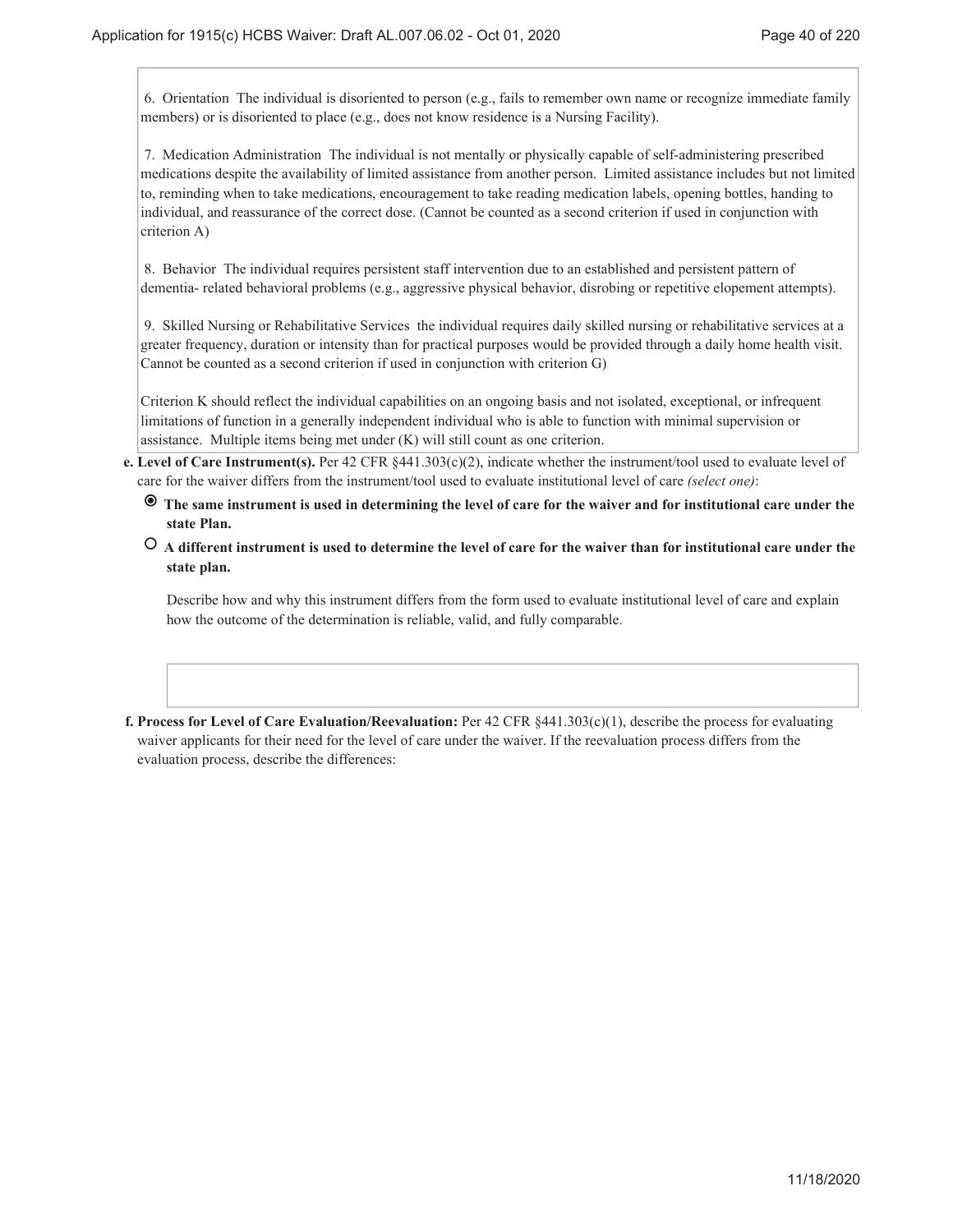6. Orientation The individual is disoriented to person (e.g., fails to remember own name or recognize immediate family members) or is disoriented to place (e.g., does not know residence is a Nursing Facility).

 7. Medication Administration The individual is not mentally or physically capable of self-administering prescribed medications despite the availability of limited assistance from another person. Limited assistance includes but not limited to, reminding when to take medications, encouragement to take reading medication labels, opening bottles, handing to individual, and reassurance of the correct dose. (Cannot be counted as a second criterion if used in conjunction with criterion A)

 8. Behavior The individual requires persistent staff intervention due to an established and persistent pattern of dementia- related behavioral problems (e.g., aggressive physical behavior, disrobing or repetitive elopement attempts).

 9. Skilled Nursing or Rehabilitative Services the individual requires daily skilled nursing or rehabilitative services at a greater frequency, duration or intensity than for practical purposes would be provided through a daily home health visit. Cannot be counted as a second criterion if used in conjunction with criterion G)

Criterion K should reflect the individual capabilities on an ongoing basis and not isolated, exceptional, or infrequent limitations of function in a generally independent individual who is able to function with minimal supervision or assistance. Multiple items being met under (K) will still count as one criterion.

- **Level of Care Instrument(s).** Per 42 CFR §441.303(c)(2), indicate whether the instrument/tool used to evaluate level of **e.** care for the waiver differs from the instrument/tool used to evaluate institutional level of care *(select one)*:
	- **The same instrument is used in determining the level of care for the waiver and for institutional care under the state Plan.**
	- **A different instrument is used to determine the level of care for the waiver than for institutional care under the state plan.**

Describe how and why this instrument differs from the form used to evaluate institutional level of care and explain how the outcome of the determination is reliable, valid, and fully comparable.

**Process for Level of Care Evaluation/Reevaluation:** Per 42 CFR §441.303(c)(1), describe the process for evaluating **f.** waiver applicants for their need for the level of care under the waiver. If the reevaluation process differs from the evaluation process, describe the differences: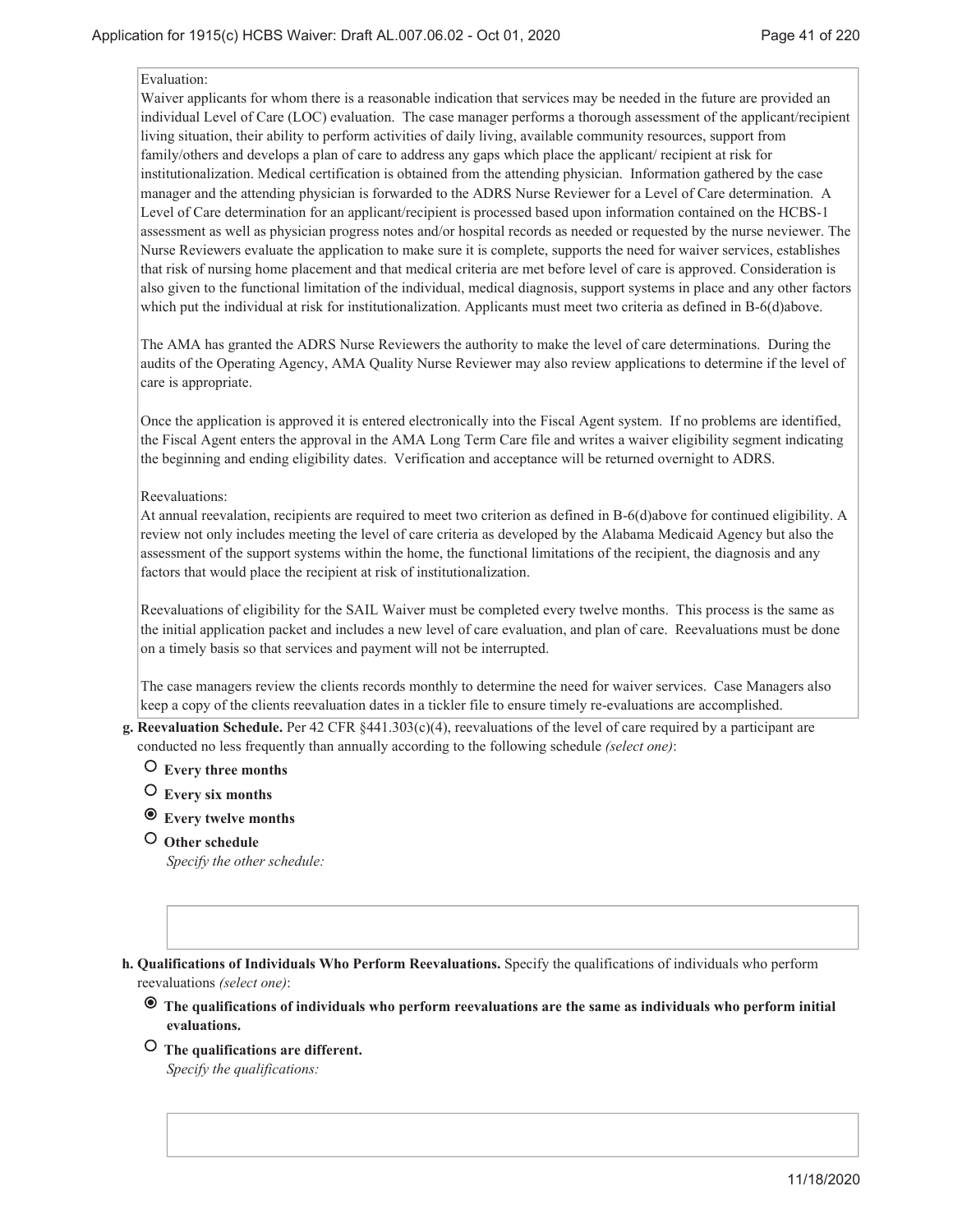#### Evaluation:

Waiver applicants for whom there is a reasonable indication that services may be needed in the future are provided an individual Level of Care (LOC) evaluation. The case manager performs a thorough assessment of the applicant/recipient living situation, their ability to perform activities of daily living, available community resources, support from family/others and develops a plan of care to address any gaps which place the applicant/ recipient at risk for institutionalization. Medical certification is obtained from the attending physician. Information gathered by the case manager and the attending physician is forwarded to the ADRS Nurse Reviewer for a Level of Care determination. A Level of Care determination for an applicant/recipient is processed based upon information contained on the HCBS-1 assessment as well as physician progress notes and/or hospital records as needed or requested by the nurse neviewer. The Nurse Reviewers evaluate the application to make sure it is complete, supports the need for waiver services, establishes that risk of nursing home placement and that medical criteria are met before level of care is approved. Consideration is also given to the functional limitation of the individual, medical diagnosis, support systems in place and any other factors which put the individual at risk for institutionalization. Applicants must meet two criteria as defined in B-6(d)above.

The AMA has granted the ADRS Nurse Reviewers the authority to make the level of care determinations. During the audits of the Operating Agency, AMA Quality Nurse Reviewer may also review applications to determine if the level of care is appropriate.

Once the application is approved it is entered electronically into the Fiscal Agent system. If no problems are identified, the Fiscal Agent enters the approval in the AMA Long Term Care file and writes a waiver eligibility segment indicating the beginning and ending eligibility dates. Verification and acceptance will be returned overnight to ADRS.

#### Reevaluations:

At annual reevalation, recipients are required to meet two criterion as defined in B-6(d)above for continued eligibility. A review not only includes meeting the level of care criteria as developed by the Alabama Medicaid Agency but also the assessment of the support systems within the home, the functional limitations of the recipient, the diagnosis and any factors that would place the recipient at risk of institutionalization.

Reevaluations of eligibility for the SAIL Waiver must be completed every twelve months. This process is the same as the initial application packet and includes a new level of care evaluation, and plan of care. Reevaluations must be done on a timely basis so that services and payment will not be interrupted.

The case managers review the clients records monthly to determine the need for waiver services. Case Managers also keep a copy of the clients reevaluation dates in a tickler file to ensure timely re-evaluations are accomplished.

- **Reevaluation Schedule.** Per 42 CFR §441.303(c)(4), reevaluations of the level of care required by a participant are **g.** conducted no less frequently than annually according to the following schedule *(select one)*:
	- **Every three months**
	- **Every six months**
	- **Every twelve months**
	- **Other schedule**

*Specify the other schedule:*

**Qualifications of Individuals Who Perform Reevaluations.** Specify the qualifications of individuals who perform **h.** reevaluations *(select one)*:

- **The qualifications of individuals who perform reevaluations are the same as individuals who perform initial evaluations.**
- **The qualifications are different.** *Specify the qualifications:*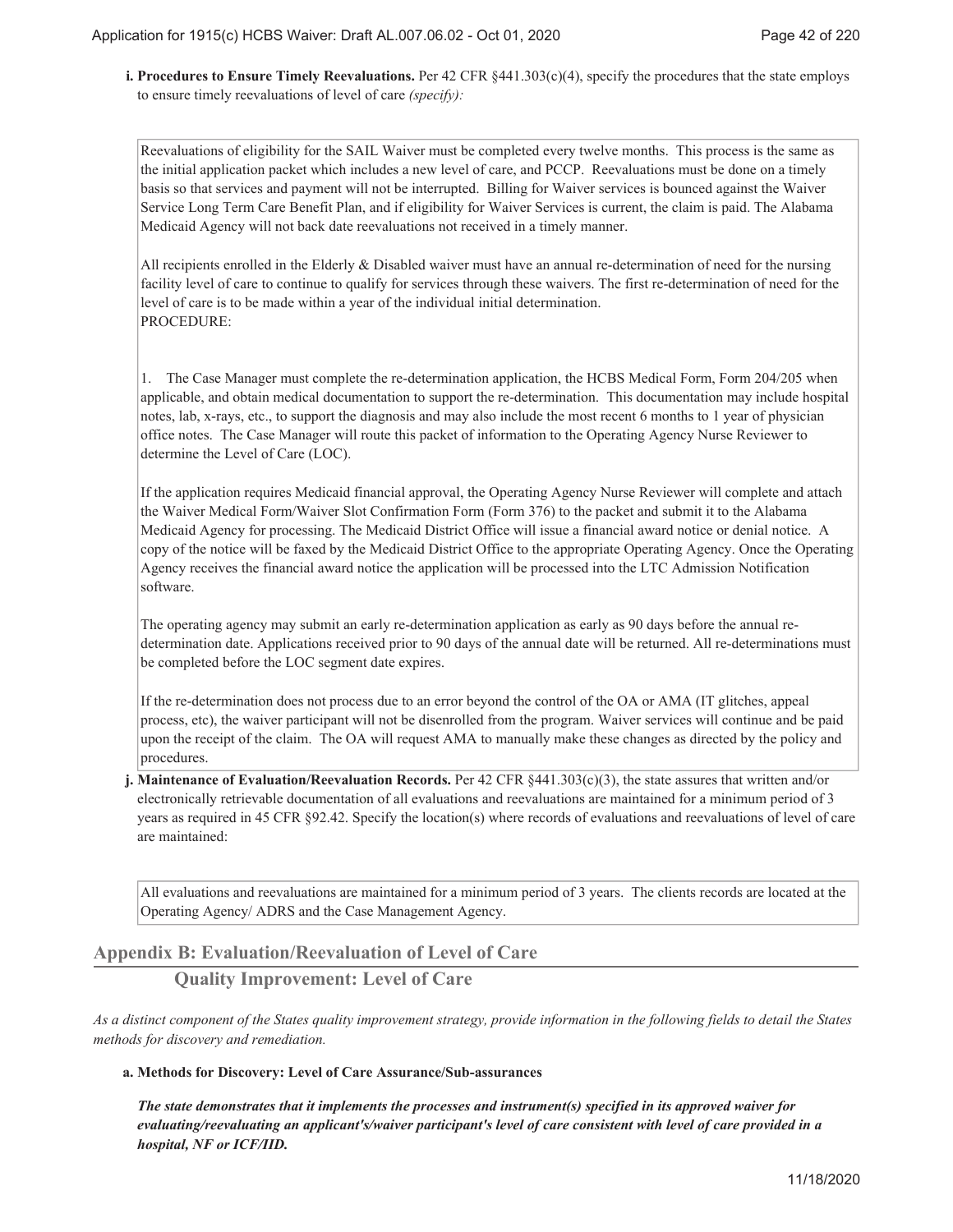**Procedures to Ensure Timely Reevaluations.** Per 42 CFR §441.303(c)(4), specify the procedures that the state employs **i.** to ensure timely reevaluations of level of care *(specify):*

Reevaluations of eligibility for the SAIL Waiver must be completed every twelve months. This process is the same as the initial application packet which includes a new level of care, and PCCP. Reevaluations must be done on a timely basis so that services and payment will not be interrupted. Billing for Waiver services is bounced against the Waiver Service Long Term Care Benefit Plan, and if eligibility for Waiver Services is current, the claim is paid. The Alabama Medicaid Agency will not back date reevaluations not received in a timely manner.

All recipients enrolled in the Elderly & Disabled waiver must have an annual re-determination of need for the nursing facility level of care to continue to qualify for services through these waivers. The first re-determination of need for the level of care is to be made within a year of the individual initial determination. PROCEDURE:

1. The Case Manager must complete the re-determination application, the HCBS Medical Form, Form 204/205 when applicable, and obtain medical documentation to support the re-determination. This documentation may include hospital notes, lab, x-rays, etc., to support the diagnosis and may also include the most recent 6 months to 1 year of physician office notes. The Case Manager will route this packet of information to the Operating Agency Nurse Reviewer to determine the Level of Care (LOC).

If the application requires Medicaid financial approval, the Operating Agency Nurse Reviewer will complete and attach the Waiver Medical Form/Waiver Slot Confirmation Form (Form 376) to the packet and submit it to the Alabama Medicaid Agency for processing. The Medicaid District Office will issue a financial award notice or denial notice. A copy of the notice will be faxed by the Medicaid District Office to the appropriate Operating Agency. Once the Operating Agency receives the financial award notice the application will be processed into the LTC Admission Notification software.

The operating agency may submit an early re-determination application as early as 90 days before the annual redetermination date. Applications received prior to 90 days of the annual date will be returned. All re-determinations must be completed before the LOC segment date expires.

If the re-determination does not process due to an error beyond the control of the OA or AMA (IT glitches, appeal process, etc), the waiver participant will not be disenrolled from the program. Waiver services will continue and be paid upon the receipt of the claim. The OA will request AMA to manually make these changes as directed by the policy and procedures.

**Maintenance of Evaluation/Reevaluation Records.** Per 42 CFR §441.303(c)(3), the state assures that written and/or **j.** electronically retrievable documentation of all evaluations and reevaluations are maintained for a minimum period of 3 years as required in 45 CFR §92.42. Specify the location(s) where records of evaluations and reevaluations of level of care are maintained:

All evaluations and reevaluations are maintained for a minimum period of 3 years. The clients records are located at the Operating Agency/ ADRS and the Case Management Agency.

# **Appendix B: Evaluation/Reevaluation of Level of Care**

# **Quality Improvement: Level of Care**

*As a distinct component of the States quality improvement strategy, provide information in the following fields to detail the States methods for discovery and remediation.*

#### **Methods for Discovery: Level of Care Assurance/Sub-assurances a.**

*The state demonstrates that it implements the processes and instrument(s) specified in its approved waiver for evaluating/reevaluating an applicant's/waiver participant's level of care consistent with level of care provided in a hospital, NF or ICF/IID.*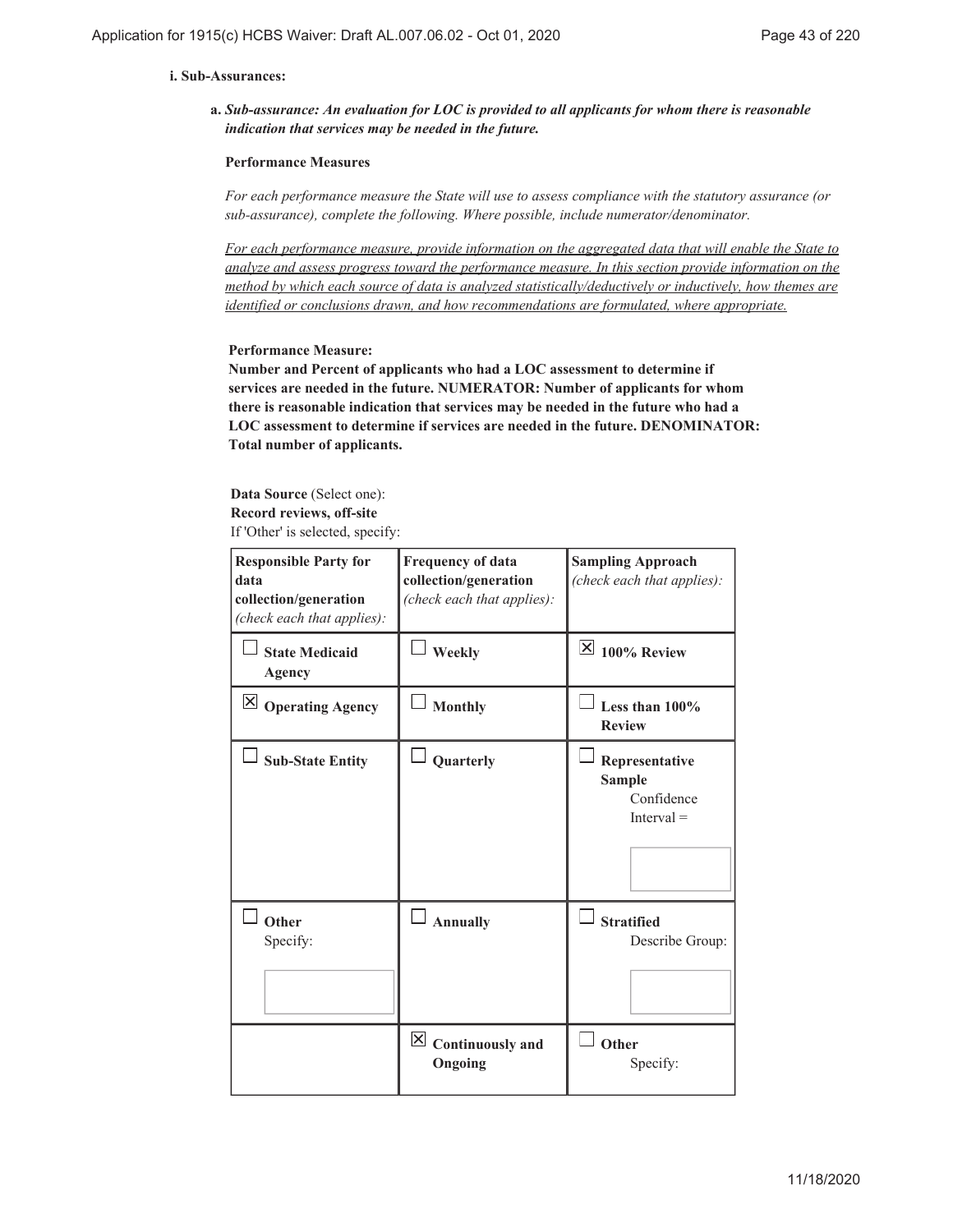#### **Sub-Assurances: i.**

*Sub-assurance: An evaluation for LOC is provided to all applicants for whom there is reasonable* **a.** *indication that services may be needed in the future.*

#### **Performance Measures**

*For each performance measure the State will use to assess compliance with the statutory assurance (or sub-assurance), complete the following. Where possible, include numerator/denominator.*

*For each performance measure, provide information on the aggregated data that will enable the State to analyze and assess progress toward the performance measure. In this section provide information on the method by which each source of data is analyzed statistically/deductively or inductively, how themes are identified or conclusions drawn, and how recommendations are formulated, where appropriate.*

#### **Performance Measure:**

**Number and Percent of applicants who had a LOC assessment to determine if services are needed in the future. NUMERATOR: Number of applicants for whom there is reasonable indication that services may be needed in the future who had a LOC assessment to determine if services are needed in the future. DENOMINATOR: Total number of applicants.**

**Data Source** (Select one): **Record reviews, off-site** If 'Other' is selected, specify:

| <b>Responsible Party for</b><br>data<br>collection/generation<br>(check each that applies): | <b>Frequency of data</b><br>collection/generation<br>(check each that applies): | <b>Sampling Approach</b><br>(check each that applies):        |
|---------------------------------------------------------------------------------------------|---------------------------------------------------------------------------------|---------------------------------------------------------------|
| <b>State Medicaid</b><br>Agency                                                             | Weekly                                                                          | $\vert$ $\times$ 100% Review                                  |
| $\boxtimes$ Operating Agency                                                                | <b>Monthly</b>                                                                  | Less than $100\%$<br><b>Review</b>                            |
| <b>Sub-State Entity</b>                                                                     | Quarterly                                                                       | Representative<br><b>Sample</b><br>Confidence<br>$Interval =$ |
| Other<br>Specify:                                                                           | $\Box$ Annually                                                                 | <b>Stratified</b><br>Describe Group:                          |
|                                                                                             | $\vert \mathbf{X} \vert$ Continuously and<br>Ongoing                            | Other<br>Specify:                                             |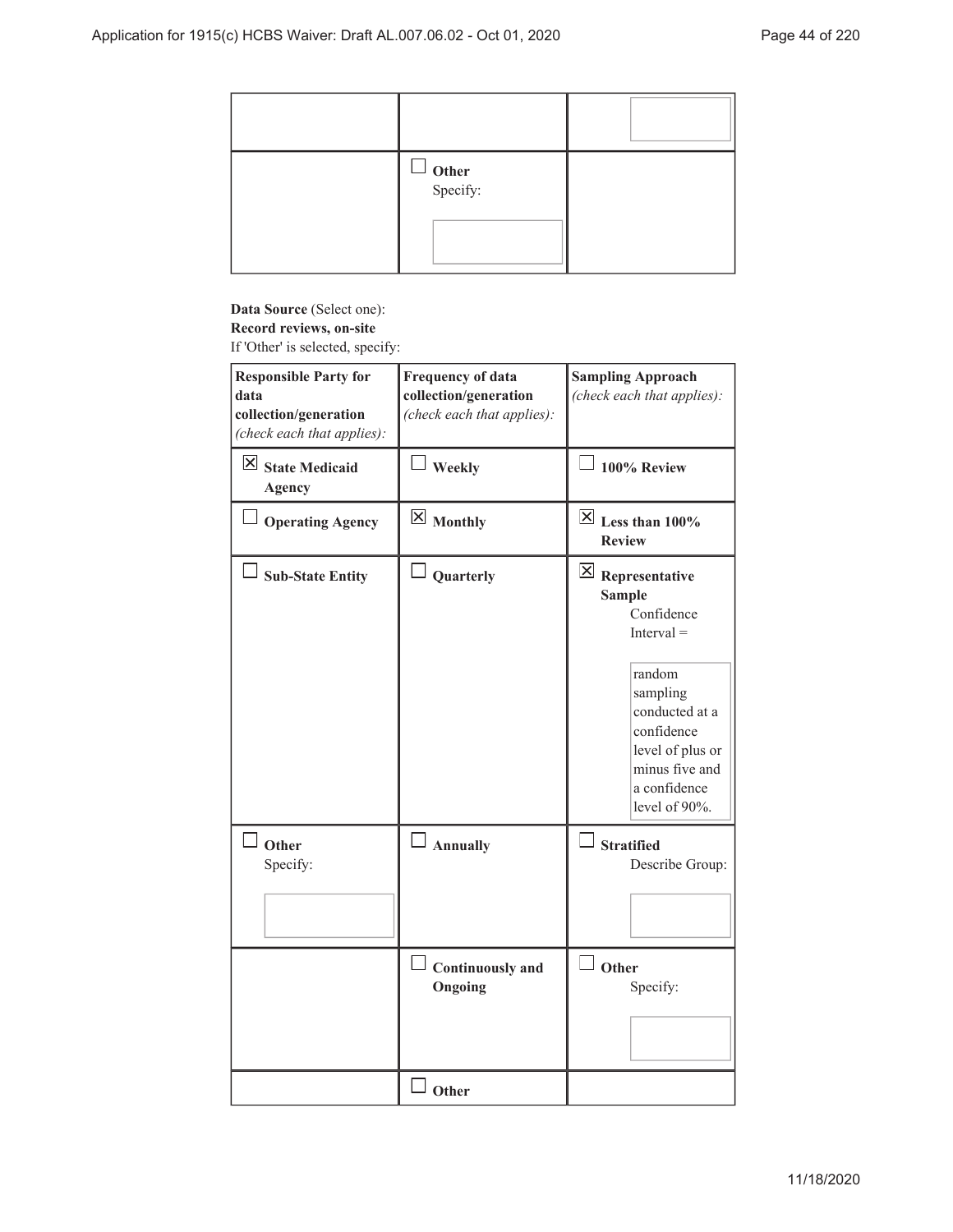| $\Box$ Other<br>Specify: |  |
|--------------------------|--|

# **Data Source** (Select one): **Record reviews, on-site**

If 'Other' is selected, specify:

| <b>Responsible Party for</b><br>data<br>collection/generation<br>(check each that applies): | <b>Frequency of data</b><br>collection/generation<br>(check each that applies): | <b>Sampling Approach</b><br>(check each that applies):                                                                                                                                                 |
|---------------------------------------------------------------------------------------------|---------------------------------------------------------------------------------|--------------------------------------------------------------------------------------------------------------------------------------------------------------------------------------------------------|
| $\boxtimes$ State Medicaid<br><b>Agency</b>                                                 | Weekly                                                                          | $\Box$ 100% Review                                                                                                                                                                                     |
| $\Box$ Operating Agency                                                                     | $\boxtimes$ Monthly                                                             | $\overline{\boxtimes}$ Less than 100%<br><b>Review</b>                                                                                                                                                 |
| <b>Sub-State Entity</b>                                                                     | Quarterly                                                                       | $\boxtimes$ Representative<br><b>Sample</b><br>Confidence<br>$Interval =$<br>random<br>sampling<br>conducted at a<br>confidence<br>level of plus or<br>minus five and<br>a confidence<br>level of 90%. |
| $\Box$ Other<br>Specify:                                                                    | $\Box$ Annually                                                                 | $\Box$ Stratified<br>Describe Group:                                                                                                                                                                   |
|                                                                                             | <b>Continuously and</b><br>Ongoing                                              | $\Box$ Other<br>Specify:                                                                                                                                                                               |
|                                                                                             | d Other                                                                         |                                                                                                                                                                                                        |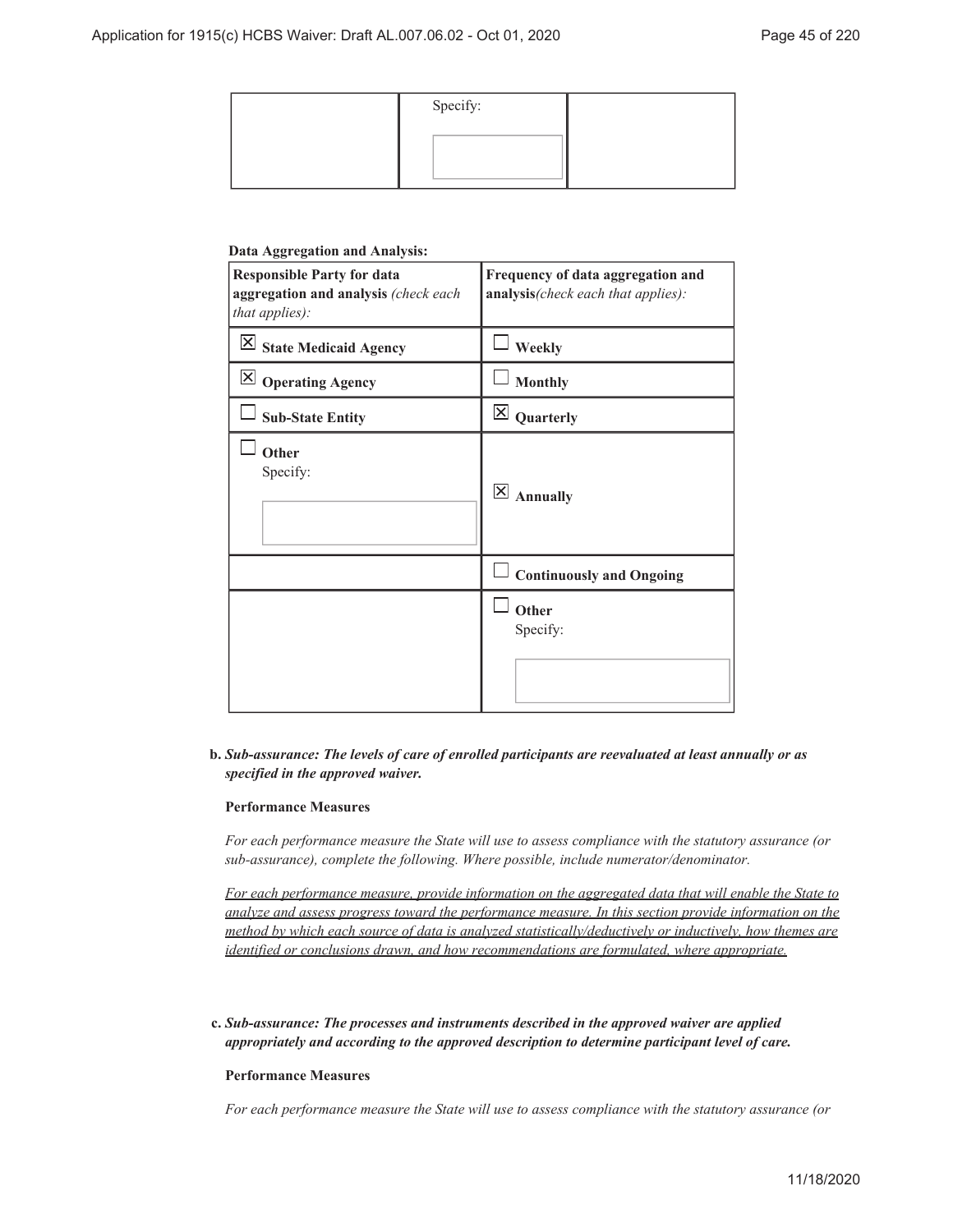| Specify: |  |
|----------|--|
|          |  |
|          |  |

#### **Data Aggregation and Analysis:**

| <b>Responsible Party for data</b><br>aggregation and analysis (check each<br>that applies): | Frequency of data aggregation and<br>analysis(check each that applies): |
|---------------------------------------------------------------------------------------------|-------------------------------------------------------------------------|
| $\boxtimes$ State Medicaid Agency                                                           | Weekly                                                                  |
| $\boxtimes$ Operating Agency                                                                | <b>Monthly</b>                                                          |
| <b>Sub-State Entity</b>                                                                     | $\boxtimes$ Quarterly                                                   |
| Other<br>Specify:                                                                           | $\overline{\mathsf{x}}$<br><b>Annually</b>                              |
|                                                                                             | <b>Continuously and Ongoing</b>                                         |
|                                                                                             | Other<br>Specify:                                                       |

#### *Sub-assurance: The levels of care of enrolled participants are reevaluated at least annually or as* **b.** *specified in the approved waiver.*

#### **Performance Measures**

*For each performance measure the State will use to assess compliance with the statutory assurance (or sub-assurance), complete the following. Where possible, include numerator/denominator.*

*For each performance measure, provide information on the aggregated data that will enable the State to analyze and assess progress toward the performance measure. In this section provide information on the method by which each source of data is analyzed statistically/deductively or inductively, how themes are identified or conclusions drawn, and how recommendations are formulated, where appropriate.*

*Sub-assurance: The processes and instruments described in the approved waiver are applied* **c.** *appropriately and according to the approved description to determine participant level of care.*

#### **Performance Measures**

*For each performance measure the State will use to assess compliance with the statutory assurance (or*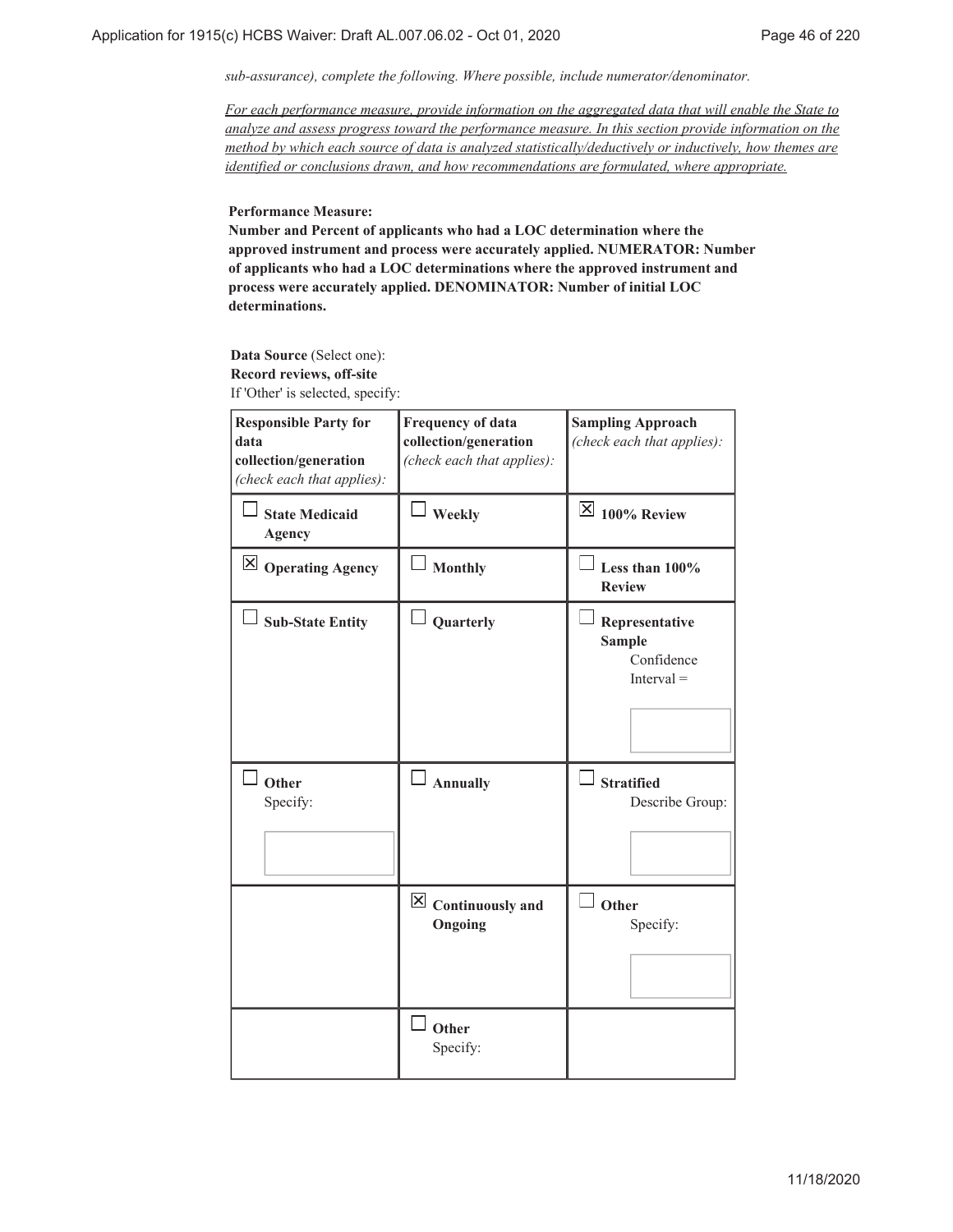*sub-assurance), complete the following. Where possible, include numerator/denominator.*

*For each performance measure, provide information on the aggregated data that will enable the State to analyze and assess progress toward the performance measure. In this section provide information on the method by which each source of data is analyzed statistically/deductively or inductively, how themes are identified or conclusions drawn, and how recommendations are formulated, where appropriate.*

**Performance Measure:**

**Number and Percent of applicants who had a LOC determination where the approved instrument and process were accurately applied. NUMERATOR: Number of applicants who had a LOC determinations where the approved instrument and process were accurately applied. DENOMINATOR: Number of initial LOC determinations.**

**Data Source** (Select one): **Record reviews, off-site** If 'Other' is selected, specify:

| <b>Responsible Party for</b><br>data<br>collection/generation<br>(check each that applies): | <b>Frequency of data</b><br>collection/generation<br>(check each that applies): | <b>Sampling Approach</b><br>(check each that applies):                                                |
|---------------------------------------------------------------------------------------------|---------------------------------------------------------------------------------|-------------------------------------------------------------------------------------------------------|
| <b>State Medicaid</b><br><b>Agency</b>                                                      | Weekly                                                                          | $\mathbb{Z}$ 100% Review                                                                              |
| $\boxtimes$ Operating Agency                                                                | <b>Monthly</b>                                                                  | Less than 100%<br><b>Review</b>                                                                       |
| <b>Sub-State Entity</b><br>Other<br>Specify:                                                | Quarterly<br><b>Annually</b>                                                    | Representative<br><b>Sample</b><br>Confidence<br>$Interval =$<br><b>Stratified</b><br>Describe Group: |
|                                                                                             | $\boxed{\times}$ Continuously and<br>Ongoing                                    | Other<br>Specify:                                                                                     |
|                                                                                             | Other<br>Specify:                                                               |                                                                                                       |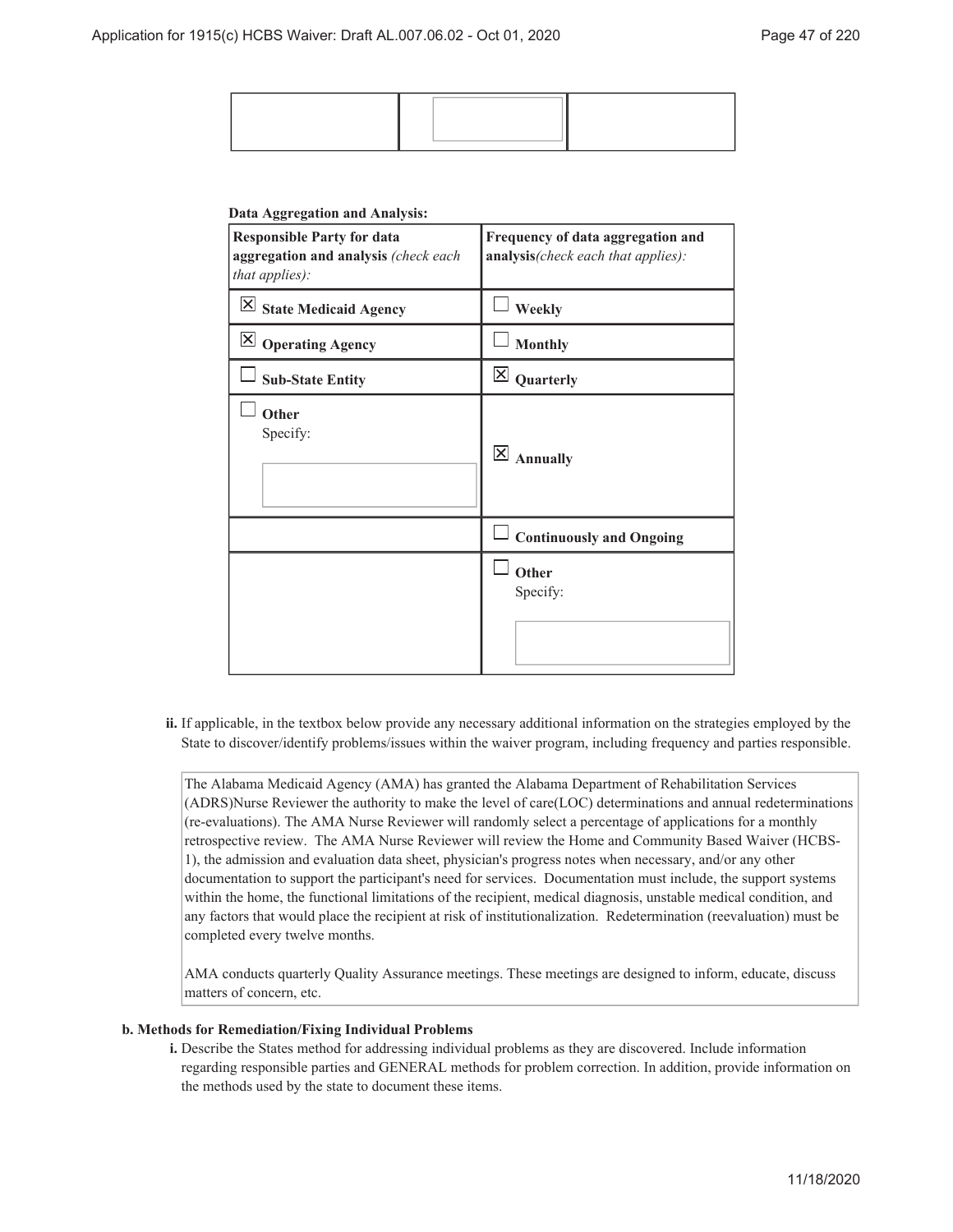#### **Data Aggregation and Analysis:**

| <b>Responsible Party for data</b><br>aggregation and analysis (check each<br>that applies): | Frequency of data aggregation and<br>analysis(check each that applies): |
|---------------------------------------------------------------------------------------------|-------------------------------------------------------------------------|
| $\boxed{\times}$ State Medicaid Agency                                                      | Weekly                                                                  |
| $\boxtimes$ Operating Agency                                                                | <b>Monthly</b>                                                          |
| <b>Sub-State Entity</b>                                                                     | $\times$<br>Quarterly                                                   |
| Other<br>Specify:                                                                           | $\overline{\mathsf{x}}$<br><b>Annually</b>                              |
|                                                                                             | <b>Continuously and Ongoing</b>                                         |
|                                                                                             | Other<br>Specify:                                                       |

ii. If applicable, in the textbox below provide any necessary additional information on the strategies employed by the State to discover/identify problems/issues within the waiver program, including frequency and parties responsible.

The Alabama Medicaid Agency (AMA) has granted the Alabama Department of Rehabilitation Services (ADRS)Nurse Reviewer the authority to make the level of care(LOC) determinations and annual redeterminations (re-evaluations). The AMA Nurse Reviewer will randomly select a percentage of applications for a monthly retrospective review. The AMA Nurse Reviewer will review the Home and Community Based Waiver (HCBS-1), the admission and evaluation data sheet, physician's progress notes when necessary, and/or any other documentation to support the participant's need for services. Documentation must include, the support systems within the home, the functional limitations of the recipient, medical diagnosis, unstable medical condition, and any factors that would place the recipient at risk of institutionalization. Redetermination (reevaluation) must be completed every twelve months.

AMA conducts quarterly Quality Assurance meetings. These meetings are designed to inform, educate, discuss matters of concern, etc.

#### **Methods for Remediation/Fixing Individual Problems b.**

Describe the States method for addressing individual problems as they are discovered. Include information **i.** regarding responsible parties and GENERAL methods for problem correction. In addition, provide information on the methods used by the state to document these items.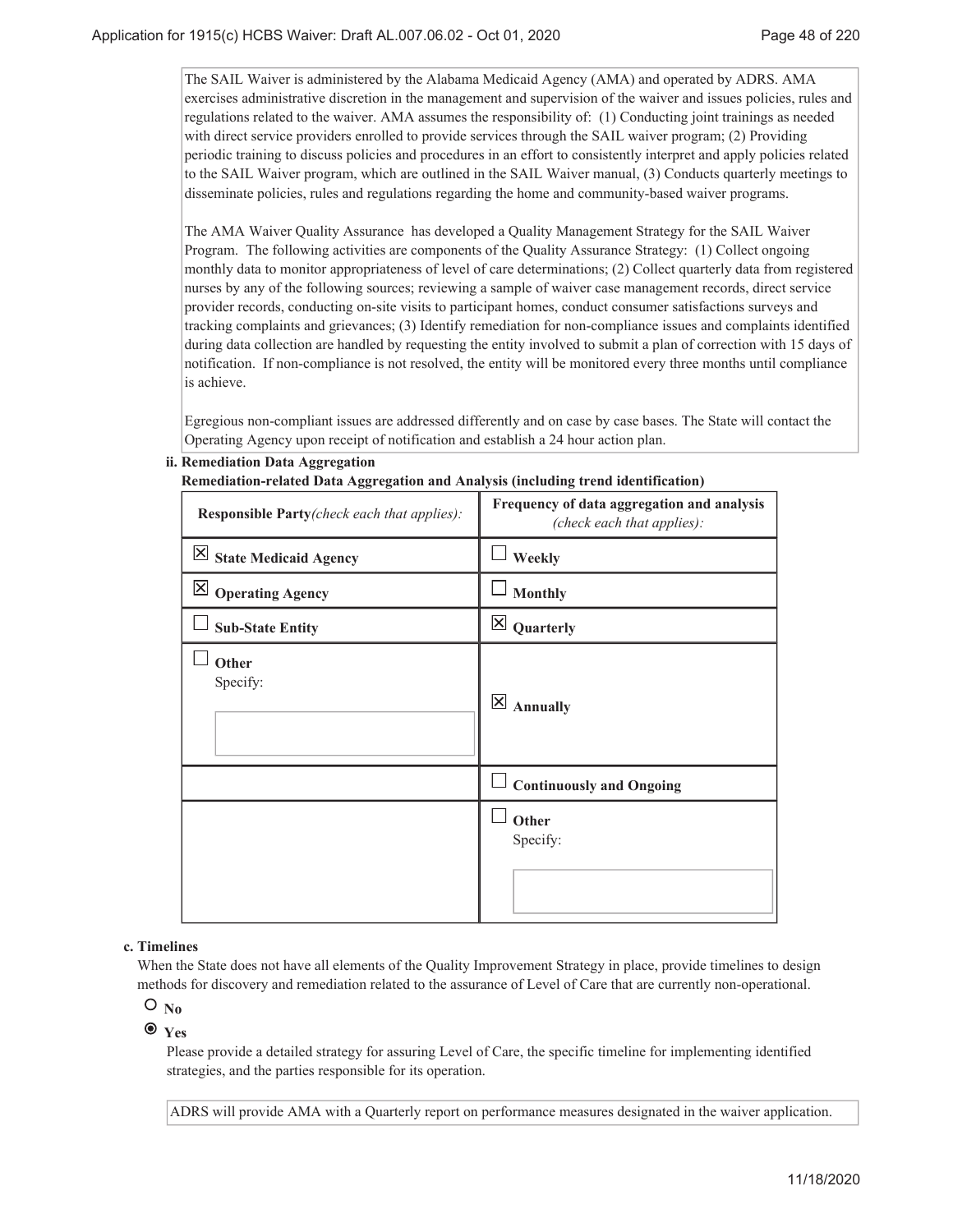The SAIL Waiver is administered by the Alabama Medicaid Agency (AMA) and operated by ADRS. AMA exercises administrative discretion in the management and supervision of the waiver and issues policies, rules and regulations related to the waiver. AMA assumes the responsibility of: (1) Conducting joint trainings as needed with direct service providers enrolled to provide services through the SAIL waiver program; (2) Providing periodic training to discuss policies and procedures in an effort to consistently interpret and apply policies related to the SAIL Waiver program, which are outlined in the SAIL Waiver manual, (3) Conducts quarterly meetings to disseminate policies, rules and regulations regarding the home and community-based waiver programs.

The AMA Waiver Quality Assurance has developed a Quality Management Strategy for the SAIL Waiver Program. The following activities are components of the Quality Assurance Strategy: (1) Collect ongoing monthly data to monitor appropriateness of level of care determinations; (2) Collect quarterly data from registered nurses by any of the following sources; reviewing a sample of waiver case management records, direct service provider records, conducting on-site visits to participant homes, conduct consumer satisfactions surveys and tracking complaints and grievances; (3) Identify remediation for non-compliance issues and complaints identified during data collection are handled by requesting the entity involved to submit a plan of correction with 15 days of notification. If non-compliance is not resolved, the entity will be monitored every three months until compliance is achieve.

Egregious non-compliant issues are addressed differently and on case by case bases. The State will contact the Operating Agency upon receipt of notification and establish a 24 hour action plan.

|  | ii. Remediation Data Aggregation |  |  |  |
|--|----------------------------------|--|--|--|
|--|----------------------------------|--|--|--|

| Remediation-related Data Aggregation and Analysis (including trend identification) |                                                                          |
|------------------------------------------------------------------------------------|--------------------------------------------------------------------------|
| Responsible Party(check each that applies):                                        | Frequency of data aggregation and analysis<br>(check each that applies): |
| $\vert X \vert$ State Medicaid Agency                                              | Weekly                                                                   |
| $\boxtimes$ Operating Agency                                                       | <b>Monthly</b>                                                           |
| <b>Sub-State Entity</b>                                                            | $\times$<br>Quarterly                                                    |
| Other<br>Specify:                                                                  | $\overline{\mathsf{x}}$<br><b>Annually</b>                               |
|                                                                                    | <b>Continuously and Ongoing</b>                                          |
|                                                                                    | Other<br>Specify:                                                        |

#### **Timelines c.**

When the State does not have all elements of the Quality Improvement Strategy in place, provide timelines to design methods for discovery and remediation related to the assurance of Level of Care that are currently non-operational.

### $O_{No}$

# **Yes**

Please provide a detailed strategy for assuring Level of Care, the specific timeline for implementing identified strategies, and the parties responsible for its operation.

ADRS will provide AMA with a Quarterly report on performance measures designated in the waiver application.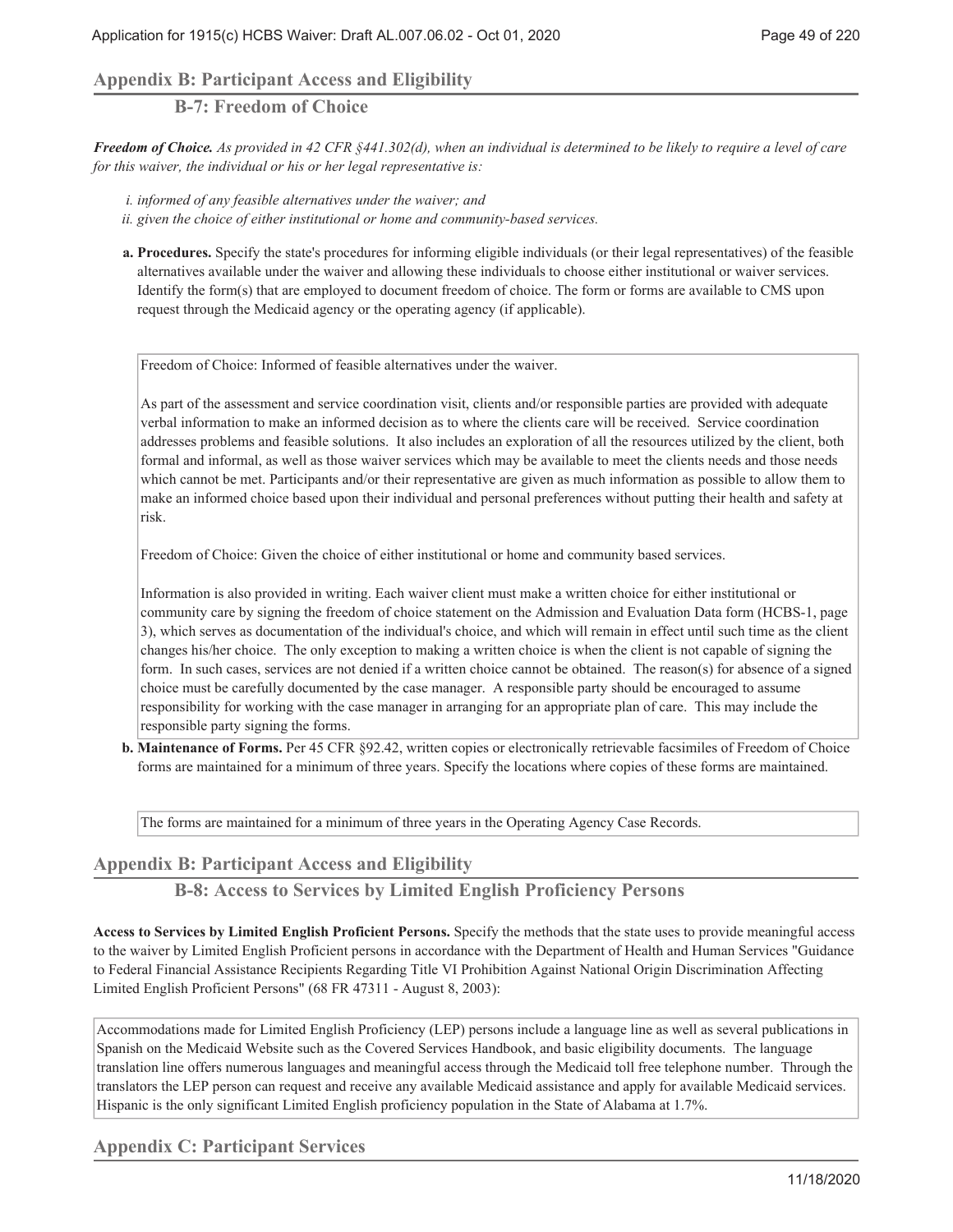# **Appendix B: Participant Access and Eligibility**

**B-7: Freedom of Choice**

*Freedom of Choice. As provided in 42 CFR §441.302(d), when an individual is determined to be likely to require a level of care for this waiver, the individual or his or her legal representative is:*

*i. informed of any feasible alternatives under the waiver; and*

- *ii. given the choice of either institutional or home and community-based services.*
- **Procedures.** Specify the state's procedures for informing eligible individuals (or their legal representatives) of the feasible **a.** alternatives available under the waiver and allowing these individuals to choose either institutional or waiver services. Identify the form(s) that are employed to document freedom of choice. The form or forms are available to CMS upon request through the Medicaid agency or the operating agency (if applicable).

Freedom of Choice: Informed of feasible alternatives under the waiver.

As part of the assessment and service coordination visit, clients and/or responsible parties are provided with adequate verbal information to make an informed decision as to where the clients care will be received. Service coordination addresses problems and feasible solutions. It also includes an exploration of all the resources utilized by the client, both formal and informal, as well as those waiver services which may be available to meet the clients needs and those needs which cannot be met. Participants and/or their representative are given as much information as possible to allow them to make an informed choice based upon their individual and personal preferences without putting their health and safety at risk.

Freedom of Choice: Given the choice of either institutional or home and community based services.

Information is also provided in writing. Each waiver client must make a written choice for either institutional or community care by signing the freedom of choice statement on the Admission and Evaluation Data form (HCBS-1, page 3), which serves as documentation of the individual's choice, and which will remain in effect until such time as the client changes his/her choice. The only exception to making a written choice is when the client is not capable of signing the form. In such cases, services are not denied if a written choice cannot be obtained. The reason(s) for absence of a signed choice must be carefully documented by the case manager. A responsible party should be encouraged to assume responsibility for working with the case manager in arranging for an appropriate plan of care. This may include the responsible party signing the forms.

**Maintenance of Forms.** Per 45 CFR §92.42, written copies or electronically retrievable facsimiles of Freedom of Choice **b.** forms are maintained for a minimum of three years. Specify the locations where copies of these forms are maintained.

The forms are maintained for a minimum of three years in the Operating Agency Case Records.

# **Appendix B: Participant Access and Eligibility**

**B-8: Access to Services by Limited English Proficiency Persons**

**Access to Services by Limited English Proficient Persons.** Specify the methods that the state uses to provide meaningful access to the waiver by Limited English Proficient persons in accordance with the Department of Health and Human Services "Guidance to Federal Financial Assistance Recipients Regarding Title VI Prohibition Against National Origin Discrimination Affecting Limited English Proficient Persons" (68 FR 47311 - August 8, 2003):

Accommodations made for Limited English Proficiency (LEP) persons include a language line as well as several publications in Spanish on the Medicaid Website such as the Covered Services Handbook, and basic eligibility documents. The language translation line offers numerous languages and meaningful access through the Medicaid toll free telephone number. Through the translators the LEP person can request and receive any available Medicaid assistance and apply for available Medicaid services. Hispanic is the only significant Limited English proficiency population in the State of Alabama at 1.7%.

**Appendix C: Participant Services**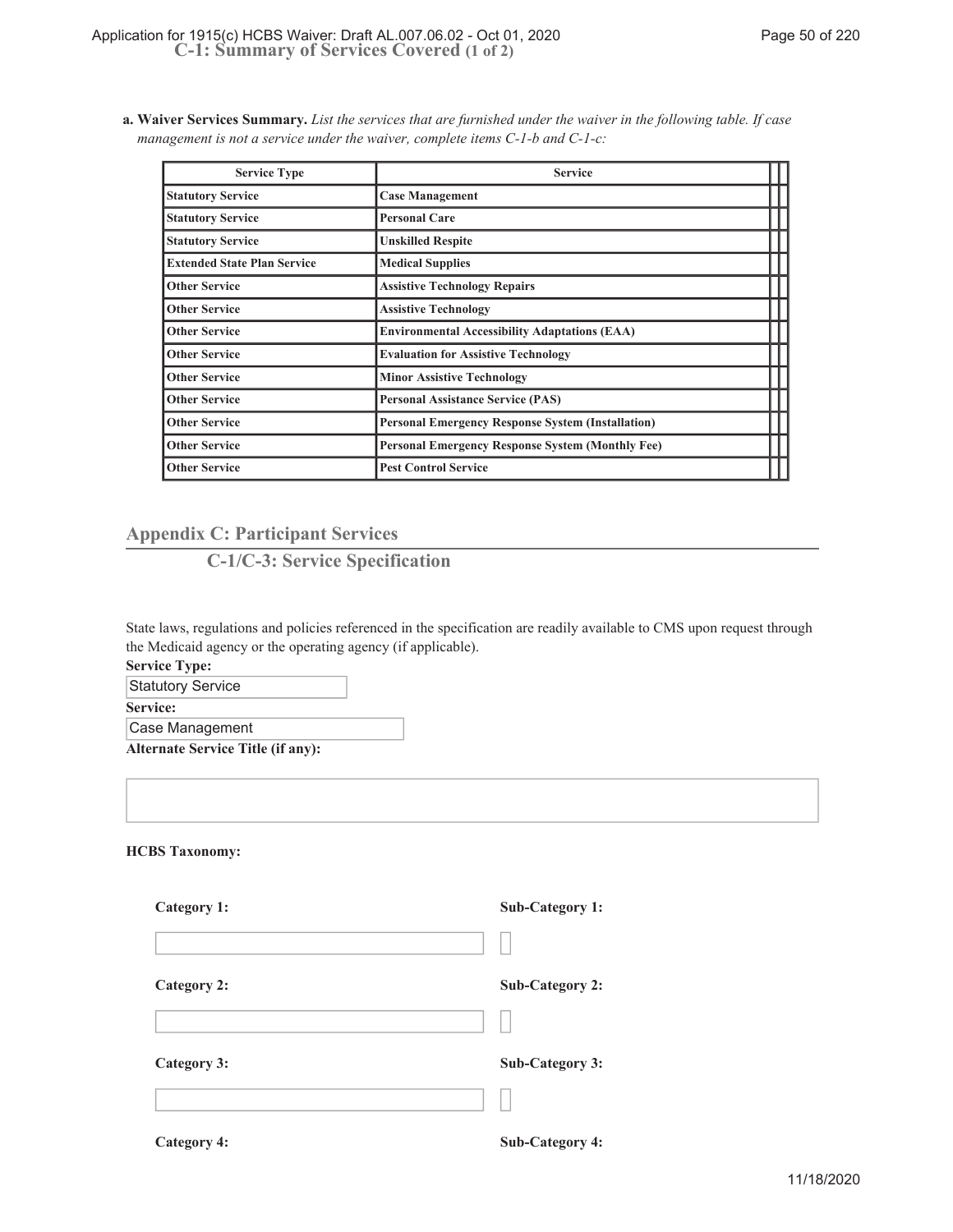**Waiver Services Summary.** *List the services that are furnished under the waiver in the following table. If case* **a.** *management is not a service under the waiver, complete items C-1-b and C-1-c:*

| <b>Service Type</b>                | <b>Service</b>                                           |  |
|------------------------------------|----------------------------------------------------------|--|
| <b>Statutory Service</b>           | <b>Case Management</b>                                   |  |
| <b>Statutory Service</b>           | <b>Personal Care</b>                                     |  |
| <b>Statutory Service</b>           | <b>Unskilled Respite</b>                                 |  |
| <b>Extended State Plan Service</b> | <b>Medical Supplies</b>                                  |  |
| <b>Other Service</b>               | <b>Assistive Technology Repairs</b>                      |  |
| <b>Other Service</b>               | <b>Assistive Technology</b>                              |  |
| <b>Other Service</b>               | <b>Environmental Accessibility Adaptations (EAA)</b>     |  |
| <b>Other Service</b>               | <b>Evaluation for Assistive Technology</b>               |  |
| <b>Other Service</b>               | <b>Minor Assistive Technology</b>                        |  |
| <b>Other Service</b>               | <b>Personal Assistance Service (PAS)</b>                 |  |
| <b>Other Service</b>               | <b>Personal Emergency Response System (Installation)</b> |  |
| <b>Other Service</b>               | <b>Personal Emergency Response System (Monthly Fee)</b>  |  |
| <b>Other Service</b>               | <b>Pest Control Service</b>                              |  |

# **Appendix C: Participant Services**

# **C-1/C-3: Service Specification**

State laws, regulations and policies referenced in the specification are readily available to CMS upon request through the Medicaid agency or the operating agency (if applicable).

**Service Type:**

**Statutory Service** 

**Service:**

Case Management

**Alternate Service Title (if any):**

**HCBS Taxonomy:**

| Category 1:        | <b>Sub-Category 1:</b> |
|--------------------|------------------------|
|                    |                        |
| <b>Category 2:</b> | <b>Sub-Category 2:</b> |
|                    |                        |
| Category 3:        | <b>Sub-Category 3:</b> |
|                    |                        |
| <b>Category 4:</b> | <b>Sub-Category 4:</b> |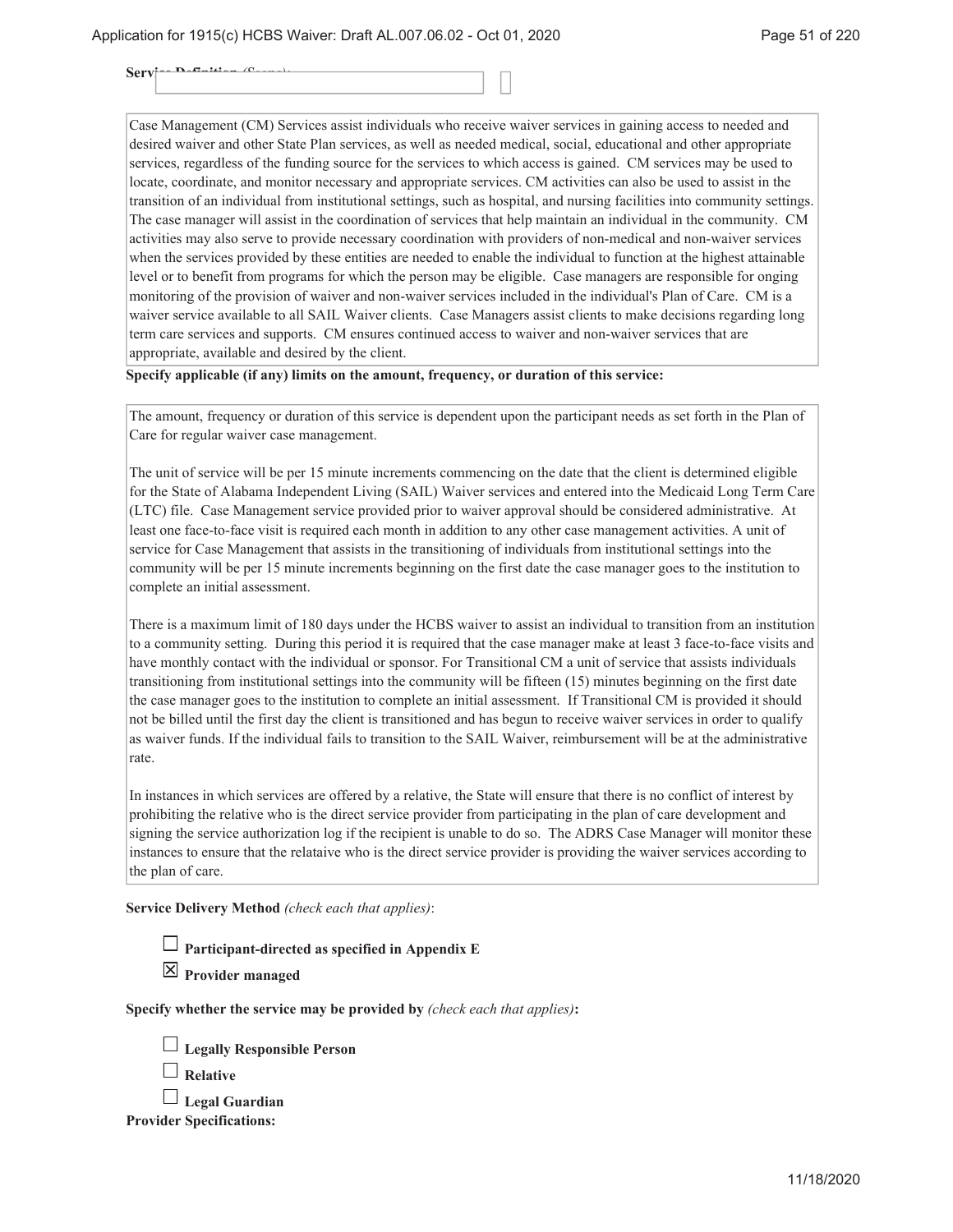$Serv$ 

Case Management (CM) Services assist individuals who receive waiver services in gaining access to needed and desired waiver and other State Plan services, as well as needed medical, social, educational and other appropriate services, regardless of the funding source for the services to which access is gained. CM services may be used to locate, coordinate, and monitor necessary and appropriate services. CM activities can also be used to assist in the transition of an individual from institutional settings, such as hospital, and nursing facilities into community settings. The case manager will assist in the coordination of services that help maintain an individual in the community. CM activities may also serve to provide necessary coordination with providers of non-medical and non-waiver services when the services provided by these entities are needed to enable the individual to function at the highest attainable level or to benefit from programs for which the person may be eligible. Case managers are responsible for onging monitoring of the provision of waiver and non-waiver services included in the individual's Plan of Care. CM is a waiver service available to all SAIL Waiver clients. Case Managers assist clients to make decisions regarding long term care services and supports. CM ensures continued access to waiver and non-waiver services that are appropriate, available and desired by the client.

#### **Specify applicable (if any) limits on the amount, frequency, or duration of this service:**

The amount, frequency or duration of this service is dependent upon the participant needs as set forth in the Plan of Care for regular waiver case management.

The unit of service will be per 15 minute increments commencing on the date that the client is determined eligible for the State of Alabama Independent Living (SAIL) Waiver services and entered into the Medicaid Long Term Care (LTC) file. Case Management service provided prior to waiver approval should be considered administrative. At least one face-to-face visit is required each month in addition to any other case management activities. A unit of service for Case Management that assists in the transitioning of individuals from institutional settings into the community will be per 15 minute increments beginning on the first date the case manager goes to the institution to complete an initial assessment.

There is a maximum limit of 180 days under the HCBS waiver to assist an individual to transition from an institution to a community setting. During this period it is required that the case manager make at least 3 face-to-face visits and have monthly contact with the individual or sponsor. For Transitional CM a unit of service that assists individuals transitioning from institutional settings into the community will be fifteen (15) minutes beginning on the first date the case manager goes to the institution to complete an initial assessment. If Transitional CM is provided it should not be billed until the first day the client is transitioned and has begun to receive waiver services in order to qualify as waiver funds. If the individual fails to transition to the SAIL Waiver, reimbursement will be at the administrative rate.

In instances in which services are offered by a relative, the State will ensure that there is no conflict of interest by prohibiting the relative who is the direct service provider from participating in the plan of care development and signing the service authorization log if the recipient is unable to do so. The ADRS Case Manager will monitor these instances to ensure that the relataive who is the direct service provider is providing the waiver services according to the plan of care.

**Service Delivery Method** *(check each that applies)*:

**Participant-directed as specified in Appendix E**

**Provider managed**

**Specify whether the service may be provided by** *(check each that applies)***:**

|  |  | $\Box$ Legally Responsible Person |  |
|--|--|-----------------------------------|--|
|--|--|-----------------------------------|--|

| Relative |
|----------|
|----------|

**Legal Guardian Provider Specifications:**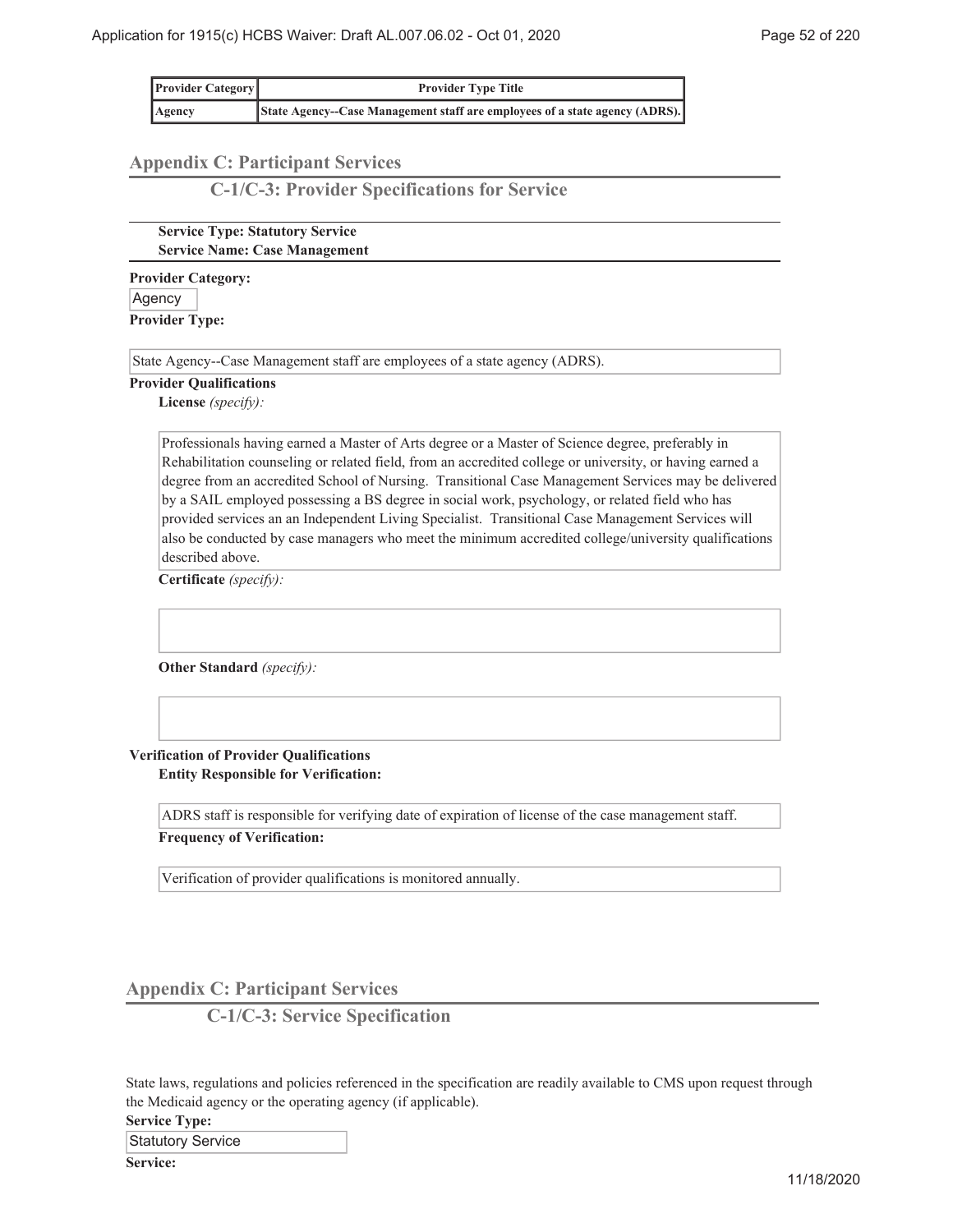| <b>Provider Category</b> | <b>Provider Type Title</b>                                                 |
|--------------------------|----------------------------------------------------------------------------|
| Agency                   | State Agency-Case Management staff are employees of a state agency (ADRS). |

# **Appendix C: Participant Services**

**C-1/C-3: Provider Specifications for Service**

**Service Type: Statutory Service Service Name: Case Management**

**Provider Category:** Agency **Provider Type:**

State Agency--Case Management staff are employees of a state agency (ADRS).

#### **Provider Qualifications**

**License** *(specify):*

Professionals having earned a Master of Arts degree or a Master of Science degree, preferably in Rehabilitation counseling or related field, from an accredited college or university, or having earned a degree from an accredited School of Nursing. Transitional Case Management Services may be delivered by a SAIL employed possessing a BS degree in social work, psychology, or related field who has provided services an an Independent Living Specialist. Transitional Case Management Services will also be conducted by case managers who meet the minimum accredited college/university qualifications described above.

**Certificate** *(specify):*

**Other Standard** *(specify):*

#### **Verification of Provider Qualifications Entity Responsible for Verification:**

ADRS staff is responsible for verifying date of expiration of license of the case management staff.

**Frequency of Verification:**

Verification of provider qualifications is monitored annually.

**Appendix C: Participant Services**

**C-1/C-3: Service Specification**

State laws, regulations and policies referenced in the specification are readily available to CMS upon request through the Medicaid agency or the operating agency (if applicable).

**Service Type:**

Statutory Service

**Service:**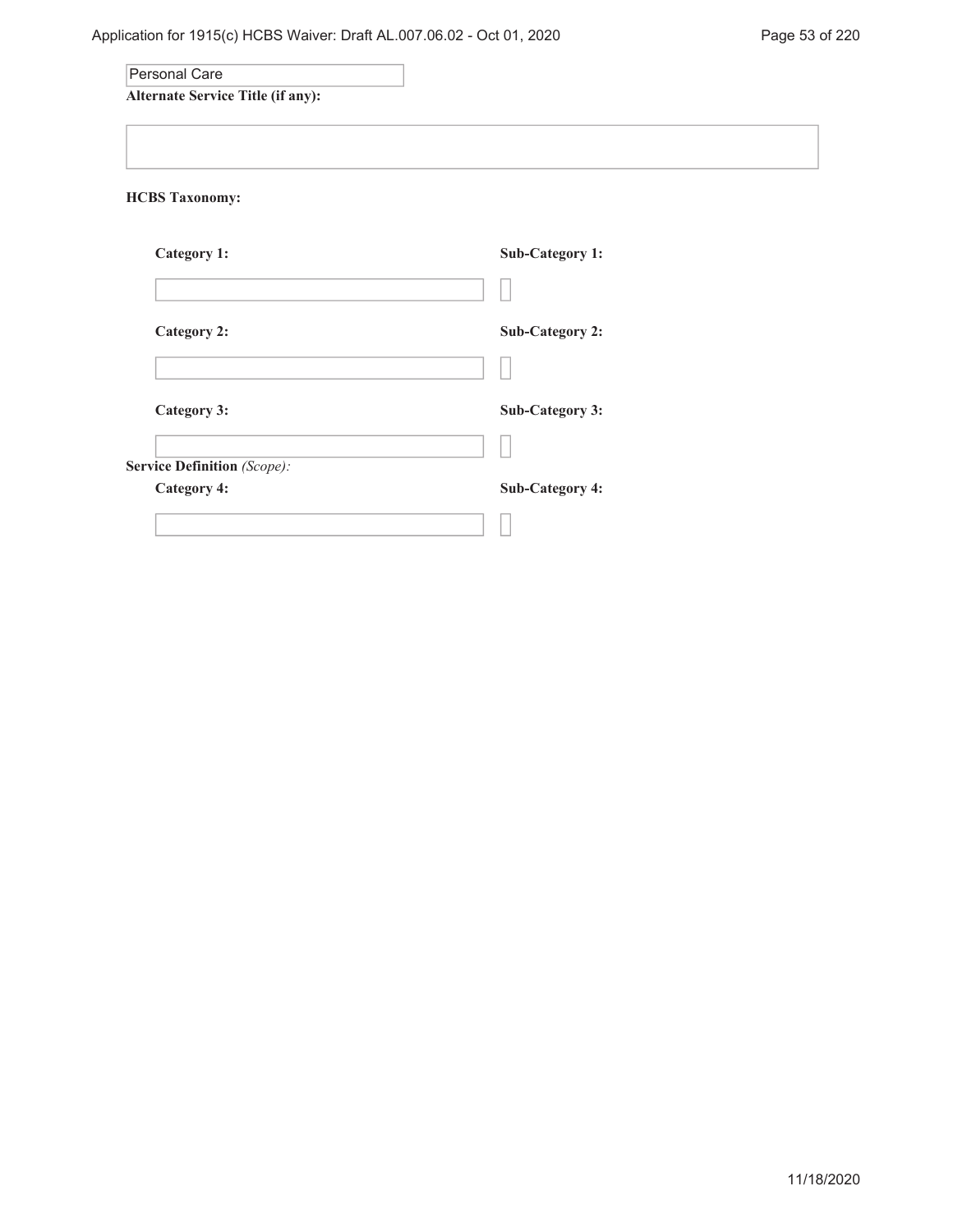| Personal Care                            |                        |
|------------------------------------------|------------------------|
| <b>Alternate Service Title (if any):</b> |                        |
|                                          |                        |
| <b>HCBS Taxonomy:</b>                    |                        |
|                                          |                        |
| Category 1:                              | <b>Sub-Category 1:</b> |
|                                          |                        |
| <b>Category 2:</b>                       | Sub-Category 2:        |
|                                          |                        |
| Category 3:                              | <b>Sub-Category 3:</b> |
|                                          |                        |
| Service Definition (Scope):              |                        |
| <b>Category 4:</b>                       | <b>Sub-Category 4:</b> |
|                                          |                        |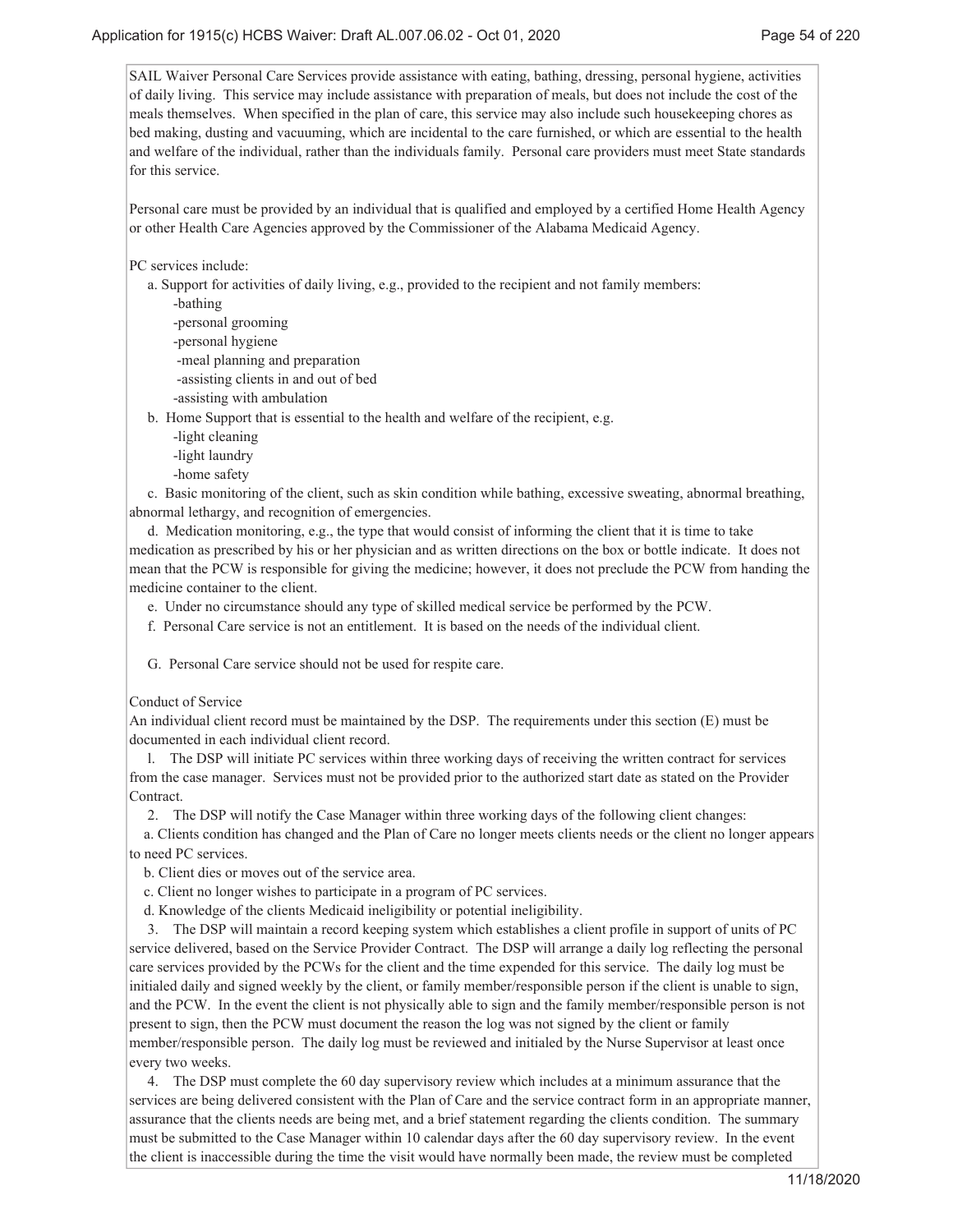SAIL Waiver Personal Care Services provide assistance with eating, bathing, dressing, personal hygiene, activities of daily living. This service may include assistance with preparation of meals, but does not include the cost of the meals themselves. When specified in the plan of care, this service may also include such housekeeping chores as bed making, dusting and vacuuming, which are incidental to the care furnished, or which are essential to the health and welfare of the individual, rather than the individuals family. Personal care providers must meet State standards for this service.

Personal care must be provided by an individual that is qualified and employed by a certified Home Health Agency or other Health Care Agencies approved by the Commissioner of the Alabama Medicaid Agency.

PC services include:

a. Support for activities of daily living, e.g., provided to the recipient and not family members:

-bathing

-personal grooming

-personal hygiene

-meal planning and preparation

-assisting clients in and out of bed

-assisting with ambulation

b. Home Support that is essential to the health and welfare of the recipient, e.g.

-light cleaning

-light laundry

-home safety

 c. Basic monitoring of the client, such as skin condition while bathing, excessive sweating, abnormal breathing, abnormal lethargy, and recognition of emergencies.

 d. Medication monitoring, e.g., the type that would consist of informing the client that it is time to take medication as prescribed by his or her physician and as written directions on the box or bottle indicate. It does not mean that the PCW is responsible for giving the medicine; however, it does not preclude the PCW from handing the medicine container to the client.

e. Under no circumstance should any type of skilled medical service be performed by the PCW.

f. Personal Care service is not an entitlement. It is based on the needs of the individual client.

G. Personal Care service should not be used for respite care.

Conduct of Service

An individual client record must be maintained by the DSP. The requirements under this section (E) must be documented in each individual client record.

 l. The DSP will initiate PC services within three working days of receiving the written contract for services from the case manager. Services must not be provided prior to the authorized start date as stated on the Provider Contract.

2. The DSP will notify the Case Manager within three working days of the following client changes:

a. Clients condition has changed and the Plan of Care no longer meets clients needs or the client no longer appears to need PC services.

b. Client dies or moves out of the service area.

c. Client no longer wishes to participate in a program of PC services.

d. Knowledge of the clients Medicaid ineligibility or potential ineligibility.

 3. The DSP will maintain a record keeping system which establishes a client profile in support of units of PC service delivered, based on the Service Provider Contract. The DSP will arrange a daily log reflecting the personal care services provided by the PCWs for the client and the time expended for this service. The daily log must be initialed daily and signed weekly by the client, or family member/responsible person if the client is unable to sign, and the PCW. In the event the client is not physically able to sign and the family member/responsible person is not present to sign, then the PCW must document the reason the log was not signed by the client or family member/responsible person. The daily log must be reviewed and initialed by the Nurse Supervisor at least once every two weeks.

 4. The DSP must complete the 60 day supervisory review which includes at a minimum assurance that the services are being delivered consistent with the Plan of Care and the service contract form in an appropriate manner, assurance that the clients needs are being met, and a brief statement regarding the clients condition. The summary must be submitted to the Case Manager within 10 calendar days after the 60 day supervisory review. In the event the client is inaccessible during the time the visit would have normally been made, the review must be completed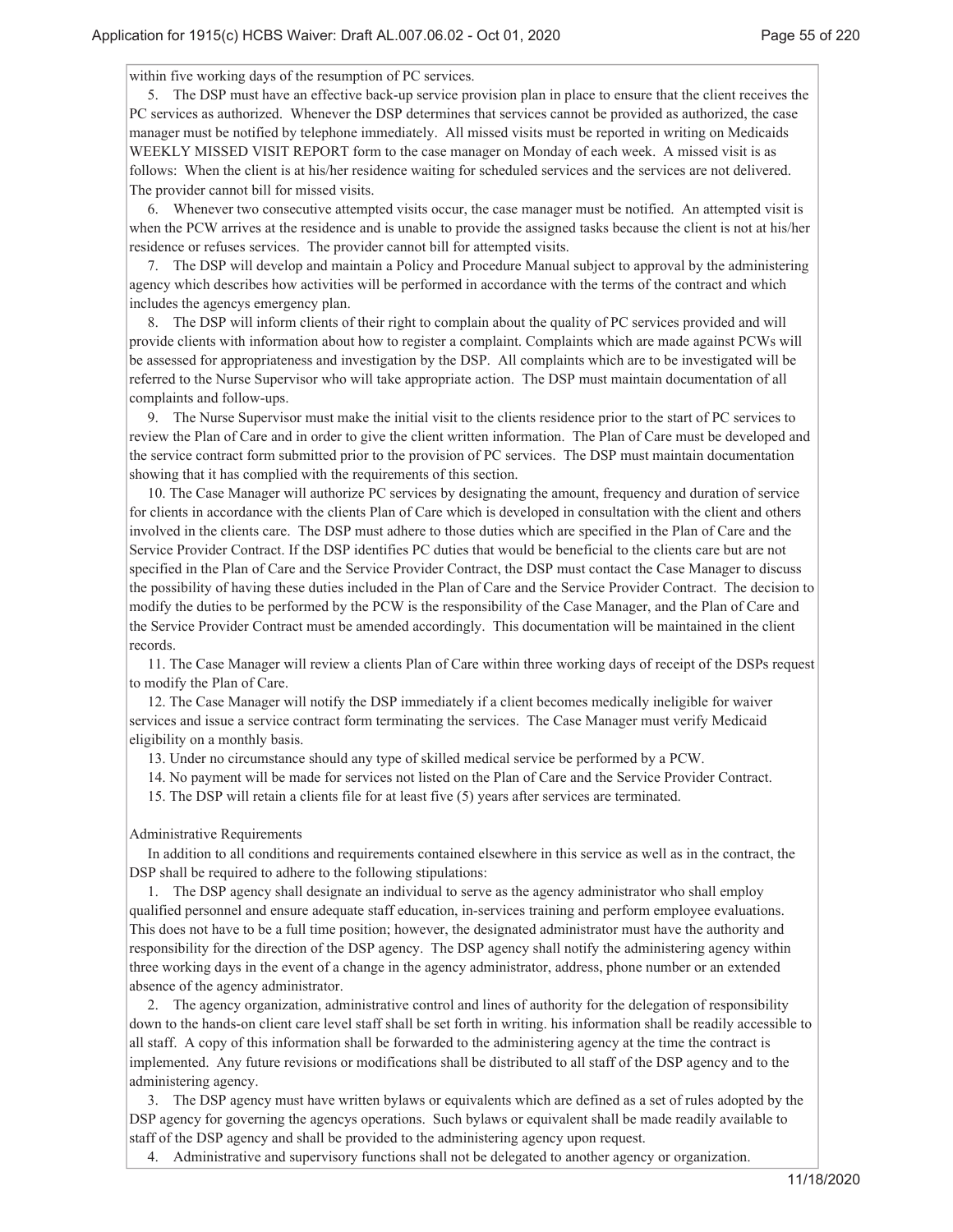within five working days of the resumption of PC services.

 5. The DSP must have an effective back-up service provision plan in place to ensure that the client receives the PC services as authorized. Whenever the DSP determines that services cannot be provided as authorized, the case manager must be notified by telephone immediately. All missed visits must be reported in writing on Medicaids WEEKLY MISSED VISIT REPORT form to the case manager on Monday of each week. A missed visit is as follows: When the client is at his/her residence waiting for scheduled services and the services are not delivered. The provider cannot bill for missed visits.

 6. Whenever two consecutive attempted visits occur, the case manager must be notified. An attempted visit is when the PCW arrives at the residence and is unable to provide the assigned tasks because the client is not at his/her residence or refuses services. The provider cannot bill for attempted visits.

 7. The DSP will develop and maintain a Policy and Procedure Manual subject to approval by the administering agency which describes how activities will be performed in accordance with the terms of the contract and which includes the agencys emergency plan.

 8. The DSP will inform clients of their right to complain about the quality of PC services provided and will provide clients with information about how to register a complaint. Complaints which are made against PCWs will be assessed for appropriateness and investigation by the DSP. All complaints which are to be investigated will be referred to the Nurse Supervisor who will take appropriate action. The DSP must maintain documentation of all complaints and follow-ups.

 9. The Nurse Supervisor must make the initial visit to the clients residence prior to the start of PC services to review the Plan of Care and in order to give the client written information. The Plan of Care must be developed and the service contract form submitted prior to the provision of PC services. The DSP must maintain documentation showing that it has complied with the requirements of this section.

 10. The Case Manager will authorize PC services by designating the amount, frequency and duration of service for clients in accordance with the clients Plan of Care which is developed in consultation with the client and others involved in the clients care. The DSP must adhere to those duties which are specified in the Plan of Care and the Service Provider Contract. If the DSP identifies PC duties that would be beneficial to the clients care but are not specified in the Plan of Care and the Service Provider Contract, the DSP must contact the Case Manager to discuss the possibility of having these duties included in the Plan of Care and the Service Provider Contract. The decision to modify the duties to be performed by the PCW is the responsibility of the Case Manager, and the Plan of Care and the Service Provider Contract must be amended accordingly. This documentation will be maintained in the client records.

 11. The Case Manager will review a clients Plan of Care within three working days of receipt of the DSPs request to modify the Plan of Care.

 12. The Case Manager will notify the DSP immediately if a client becomes medically ineligible for waiver services and issue a service contract form terminating the services. The Case Manager must verify Medicaid eligibility on a monthly basis.

13. Under no circumstance should any type of skilled medical service be performed by a PCW.

14. No payment will be made for services not listed on the Plan of Care and the Service Provider Contract.

15. The DSP will retain a clients file for at least five (5) years after services are terminated.

Administrative Requirements

 In addition to all conditions and requirements contained elsewhere in this service as well as in the contract, the DSP shall be required to adhere to the following stipulations:

 1. The DSP agency shall designate an individual to serve as the agency administrator who shall employ qualified personnel and ensure adequate staff education, in-services training and perform employee evaluations. This does not have to be a full time position; however, the designated administrator must have the authority and responsibility for the direction of the DSP agency. The DSP agency shall notify the administering agency within three working days in the event of a change in the agency administrator, address, phone number or an extended absence of the agency administrator.

 2. The agency organization, administrative control and lines of authority for the delegation of responsibility down to the hands-on client care level staff shall be set forth in writing. his information shall be readily accessible to all staff. A copy of this information shall be forwarded to the administering agency at the time the contract is implemented. Any future revisions or modifications shall be distributed to all staff of the DSP agency and to the administering agency.

 3. The DSP agency must have written bylaws or equivalents which are defined as a set of rules adopted by the DSP agency for governing the agencys operations. Such bylaws or equivalent shall be made readily available to staff of the DSP agency and shall be provided to the administering agency upon request.

4. Administrative and supervisory functions shall not be delegated to another agency or organization.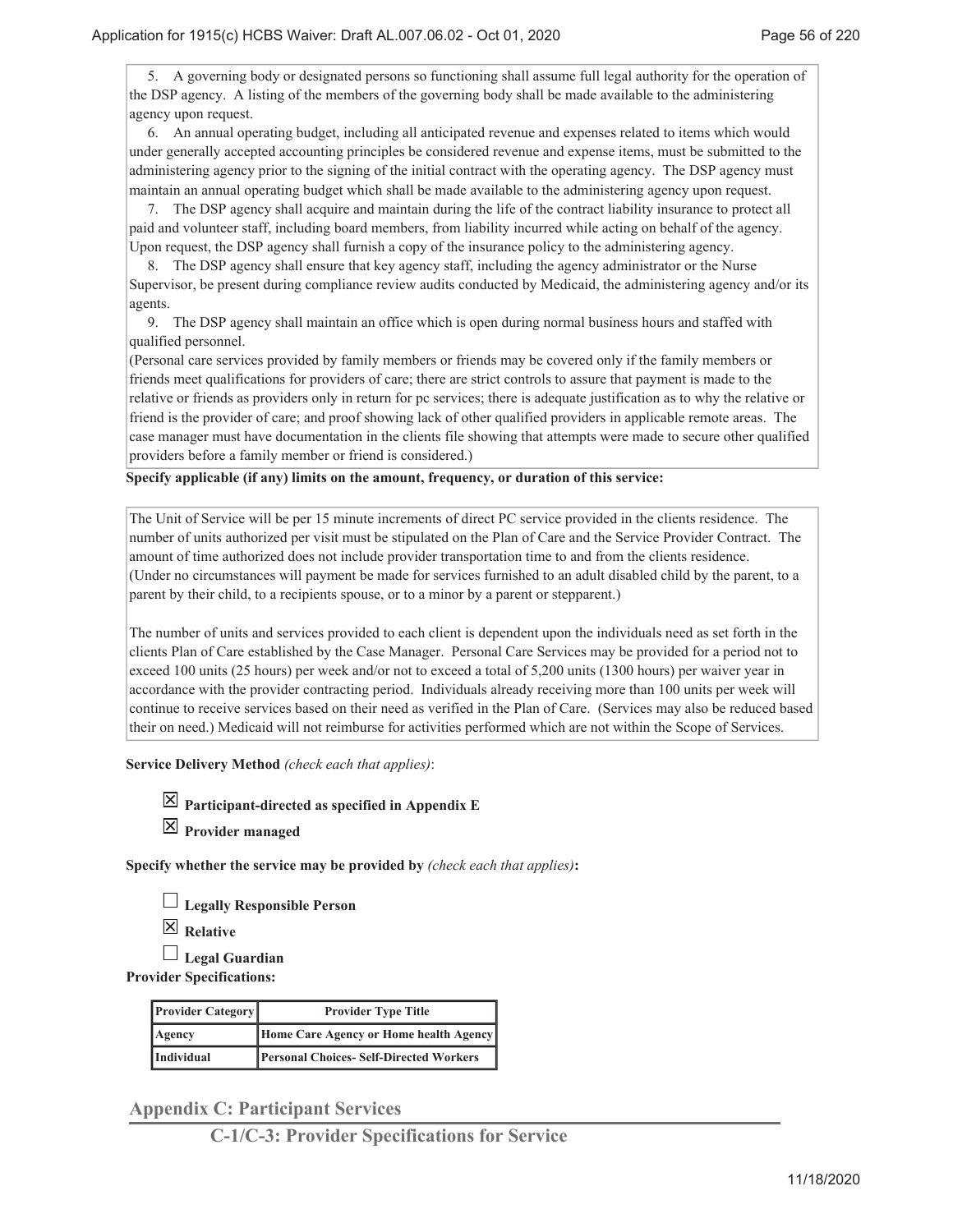5. A governing body or designated persons so functioning shall assume full legal authority for the operation of the DSP agency. A listing of the members of the governing body shall be made available to the administering agency upon request.

 6. An annual operating budget, including all anticipated revenue and expenses related to items which would under generally accepted accounting principles be considered revenue and expense items, must be submitted to the administering agency prior to the signing of the initial contract with the operating agency. The DSP agency must maintain an annual operating budget which shall be made available to the administering agency upon request.

 7. The DSP agency shall acquire and maintain during the life of the contract liability insurance to protect all paid and volunteer staff, including board members, from liability incurred while acting on behalf of the agency. Upon request, the DSP agency shall furnish a copy of the insurance policy to the administering agency.

 8. The DSP agency shall ensure that key agency staff, including the agency administrator or the Nurse Supervisor, be present during compliance review audits conducted by Medicaid, the administering agency and/or its agents.

 9. The DSP agency shall maintain an office which is open during normal business hours and staffed with qualified personnel.

(Personal care services provided by family members or friends may be covered only if the family members or friends meet qualifications for providers of care; there are strict controls to assure that payment is made to the relative or friends as providers only in return for pc services; there is adequate justification as to why the relative or friend is the provider of care; and proof showing lack of other qualified providers in applicable remote areas. The case manager must have documentation in the clients file showing that attempts were made to secure other qualified providers before a family member or friend is considered.)

### **Specify applicable (if any) limits on the amount, frequency, or duration of this service:**

The Unit of Service will be per 15 minute increments of direct PC service provided in the clients residence. The number of units authorized per visit must be stipulated on the Plan of Care and the Service Provider Contract. The amount of time authorized does not include provider transportation time to and from the clients residence. (Under no circumstances will payment be made for services furnished to an adult disabled child by the parent, to a parent by their child, to a recipients spouse, or to a minor by a parent or stepparent.)

The number of units and services provided to each client is dependent upon the individuals need as set forth in the clients Plan of Care established by the Case Manager. Personal Care Services may be provided for a period not to exceed 100 units (25 hours) per week and/or not to exceed a total of 5,200 units (1300 hours) per waiver year in accordance with the provider contracting period. Individuals already receiving more than 100 units per week will continue to receive services based on their need as verified in the Plan of Care. (Services may also be reduced based their on need.) Medicaid will not reimburse for activities performed which are not within the Scope of Services.

**Service Delivery Method** *(check each that applies)*:

**Participant-directed as specified in Appendix E**

**Provider managed**

**Specify whether the service may be provided by** *(check each that applies)***:**

**Legally Responsible Person**

**Relative**

**Legal Guardian**

**Provider Specifications:**

| <b>Provider Category</b> | <b>Provider Type Title</b>                    |  |
|--------------------------|-----------------------------------------------|--|
| Agency                   | Home Care Agency or Home health Agency        |  |
| Individual               | <b>Personal Choices-Self-Directed Workers</b> |  |

**Appendix C: Participant Services**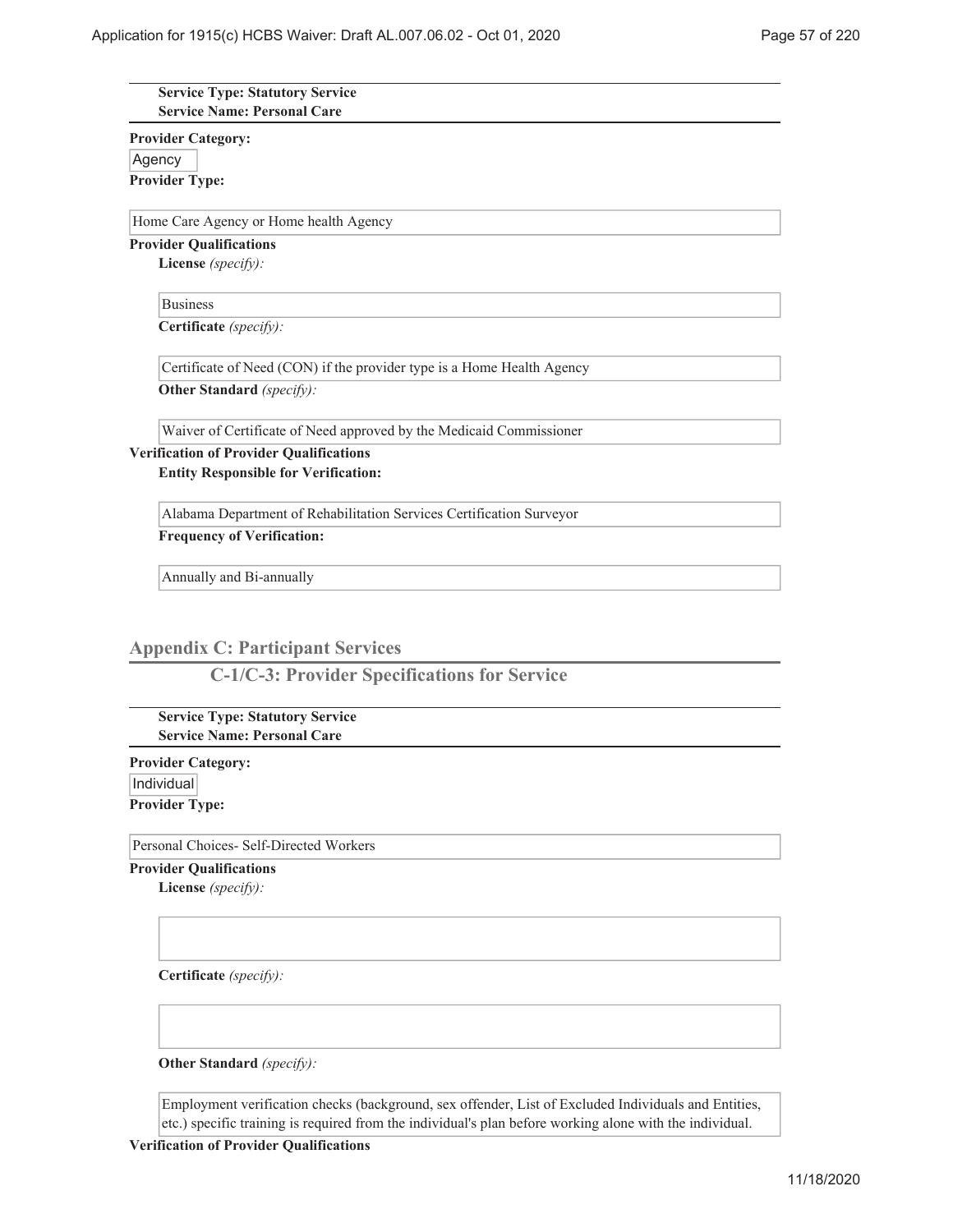### **Service Type: Statutory Service Service Name: Personal Care**

**Provider Category:** Agency **Provider Type:**

Home Care Agency or Home health Agency

**Provider Qualifications**

**License** *(specify):*

Business

**Certificate** *(specify):*

Certificate of Need (CON) if the provider type is a Home Health Agency

**Other Standard** *(specify):*

Waiver of Certificate of Need approved by the Medicaid Commissioner

# **Verification of Provider Qualifications**

**Entity Responsible for Verification:**

Alabama Department of Rehabilitation Services Certification Surveyor

**Frequency of Verification:**

Annually and Bi-annually

## **Appendix C: Participant Services**

**C-1/C-3: Provider Specifications for Service**

**Service Type: Statutory Service Service Name: Personal Care**

**Provider Category:** Individual **Provider Type:**

Personal Choices- Self-Directed Workers

**Provider Qualifications**

**License** *(specify):*

**Certificate** *(specify):*

**Other Standard** *(specify):*

Employment verification checks (background, sex offender, List of Excluded Individuals and Entities, etc.) specific training is required from the individual's plan before working alone with the individual.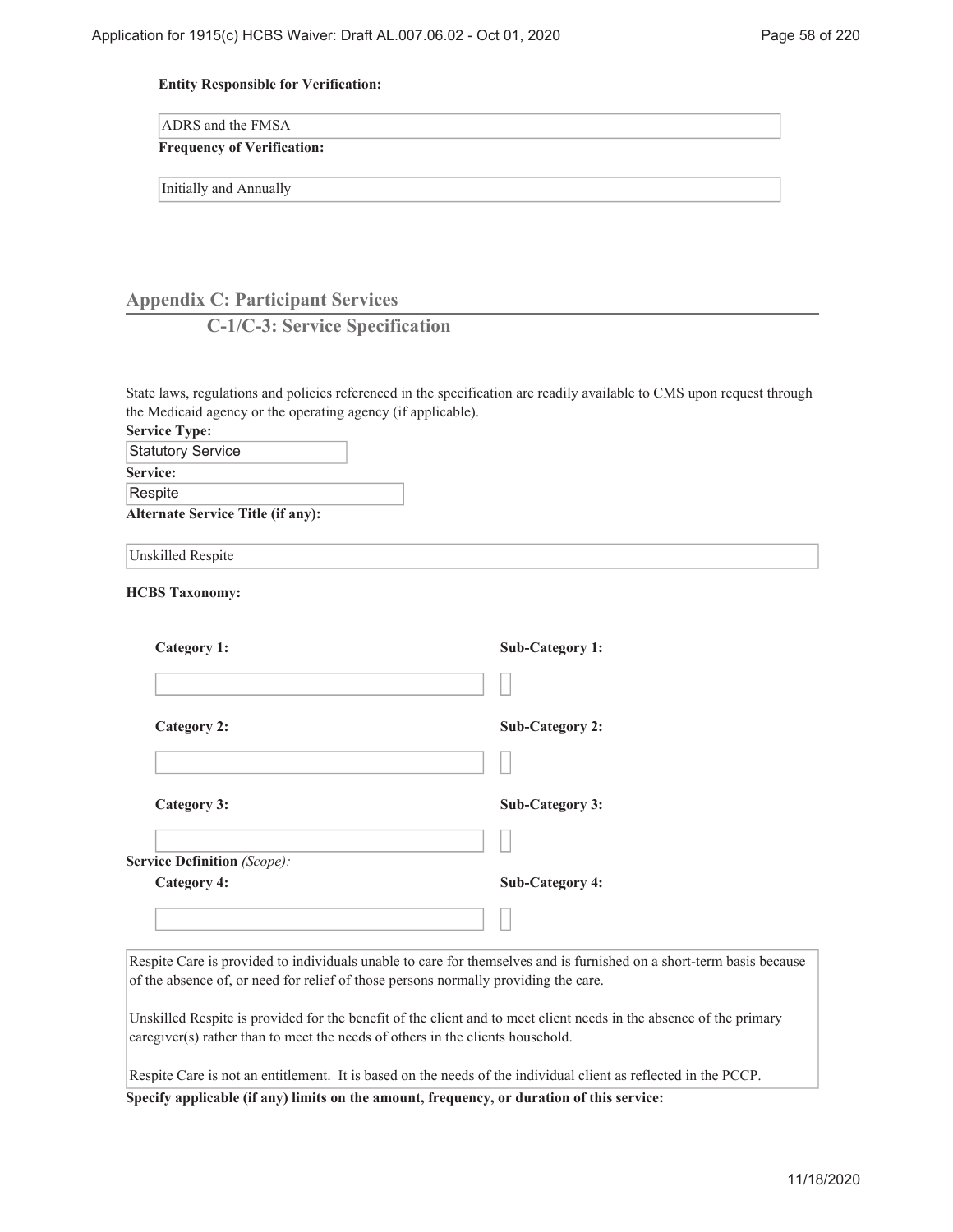### **Entity Responsible for Verification:**

| <b>ADRS</b> and the FMSA |
|--------------------------|
|--------------------------|

# **Frequency of Verification:**

Initially and Annually

# **Appendix C: Participant Services**

# **C-1/C-3: Service Specification**

| State laws, regulations and policies referenced in the specification are readily available to CMS upon request through |                        |
|------------------------------------------------------------------------------------------------------------------------|------------------------|
| the Medicaid agency or the operating agency (if applicable).                                                           |                        |
| <b>Service Type:</b>                                                                                                   |                        |
| <b>Statutory Service</b>                                                                                               |                        |
| Service:                                                                                                               |                        |
| Respite                                                                                                                |                        |
| <b>Alternate Service Title (if any):</b>                                                                               |                        |
| Unskilled Respite                                                                                                      |                        |
| <b>HCBS Taxonomy:</b>                                                                                                  |                        |
| <b>Category 1:</b>                                                                                                     | <b>Sub-Category 1:</b> |
|                                                                                                                        |                        |
| <b>Category 2:</b>                                                                                                     | <b>Sub-Category 2:</b> |
|                                                                                                                        |                        |
| Category 3:                                                                                                            | <b>Sub-Category 3:</b> |
| <b>Service Definition (Scope):</b>                                                                                     |                        |
|                                                                                                                        |                        |
| <b>Category 4:</b>                                                                                                     | <b>Sub-Category 4:</b> |
|                                                                                                                        |                        |
| Respite Care is provided to individuals unable to care for themselves and is furnished on a short-term hasis because   |                        |

Respite Care is provided to individuals unable to care for themselves and is furnished on a short-term basis because of the absence of, or need for relief of those persons normally providing the care.

Unskilled Respite is provided for the benefit of the client and to meet client needs in the absence of the primary caregiver(s) rather than to meet the needs of others in the clients household.

Respite Care is not an entitlement. It is based on the needs of the individual client as reflected in the PCCP.

**Specify applicable (if any) limits on the amount, frequency, or duration of this service:**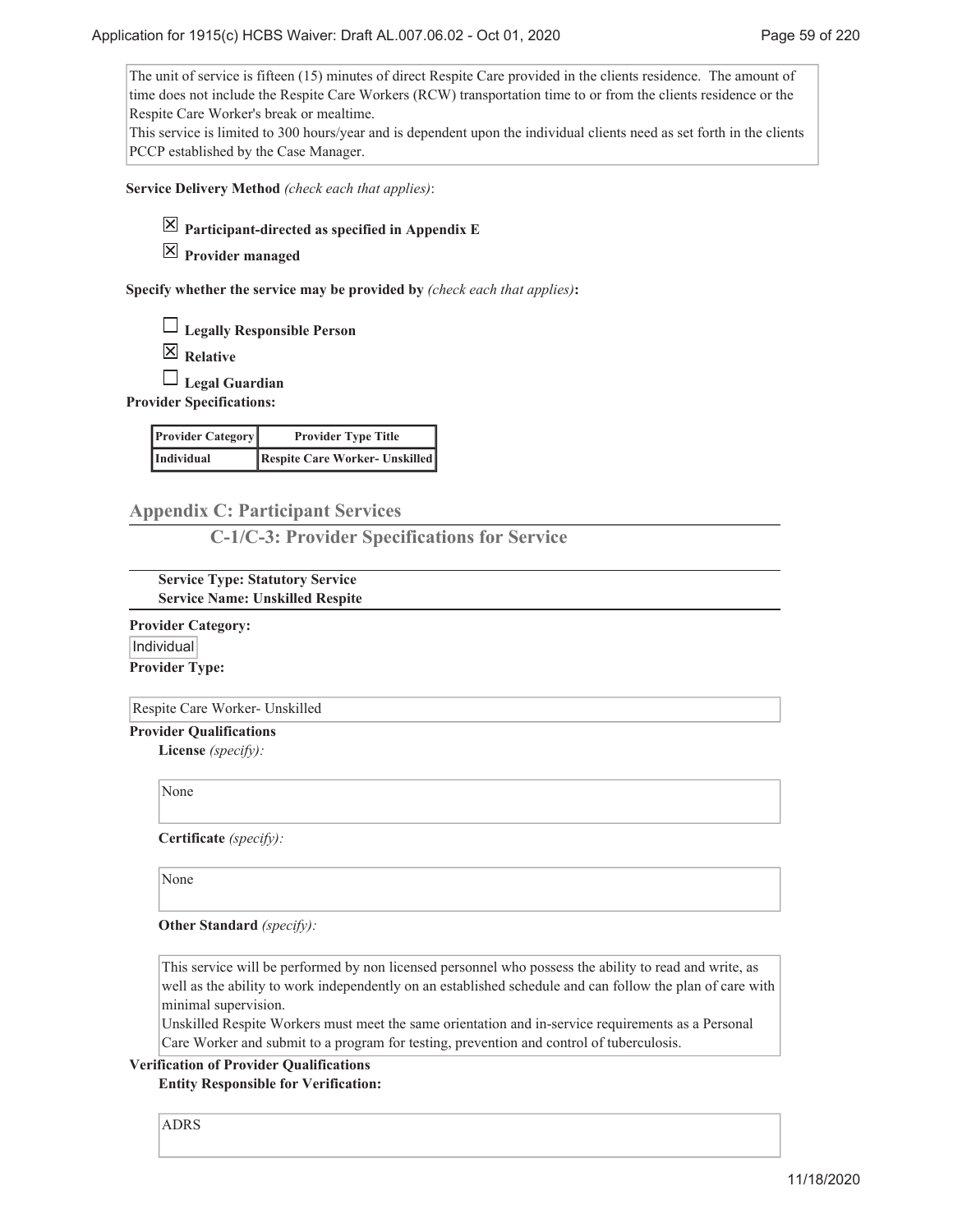The unit of service is fifteen (15) minutes of direct Respite Care provided in the clients residence. The amount of time does not include the Respite Care Workers (RCW) transportation time to or from the clients residence or the Respite Care Worker's break or mealtime.

This service is limited to 300 hours/year and is dependent upon the individual clients need as set forth in the clients PCCP established by the Case Manager.

**Service Delivery Method** *(check each that applies)*:



**Participant-directed as specified in Appendix E**

**Provider managed**

**Specify whether the service may be provided by** *(check each that applies)***:**

**Legally Responsible Person**

**Relative**

**Legal Guardian**

**Provider Specifications:**

| <b>Provider Category</b> | <b>Provider Type Title</b>            |  |
|--------------------------|---------------------------------------|--|
| Individual               | <b>Respite Care Worker- Unskilled</b> |  |

**Appendix C: Participant Services**

**C-1/C-3: Provider Specifications for Service**

**Service Type: Statutory Service Service Name: Unskilled Respite**

**Provider Category:** Individual **Provider Type:**

Respite Care Worker- Unskilled

**Provider Qualifications**

**License** *(specify):*

None

**Certificate** *(specify):*

None

**Other Standard** *(specify):*

This service will be performed by non licensed personnel who possess the ability to read and write, as well as the ability to work independently on an established schedule and can follow the plan of care with minimal supervision.

Unskilled Respite Workers must meet the same orientation and in-service requirements as a Personal Care Worker and submit to a program for testing, prevention and control of tuberculosis.

# **Verification of Provider Qualifications**

**Entity Responsible for Verification:**

ADRS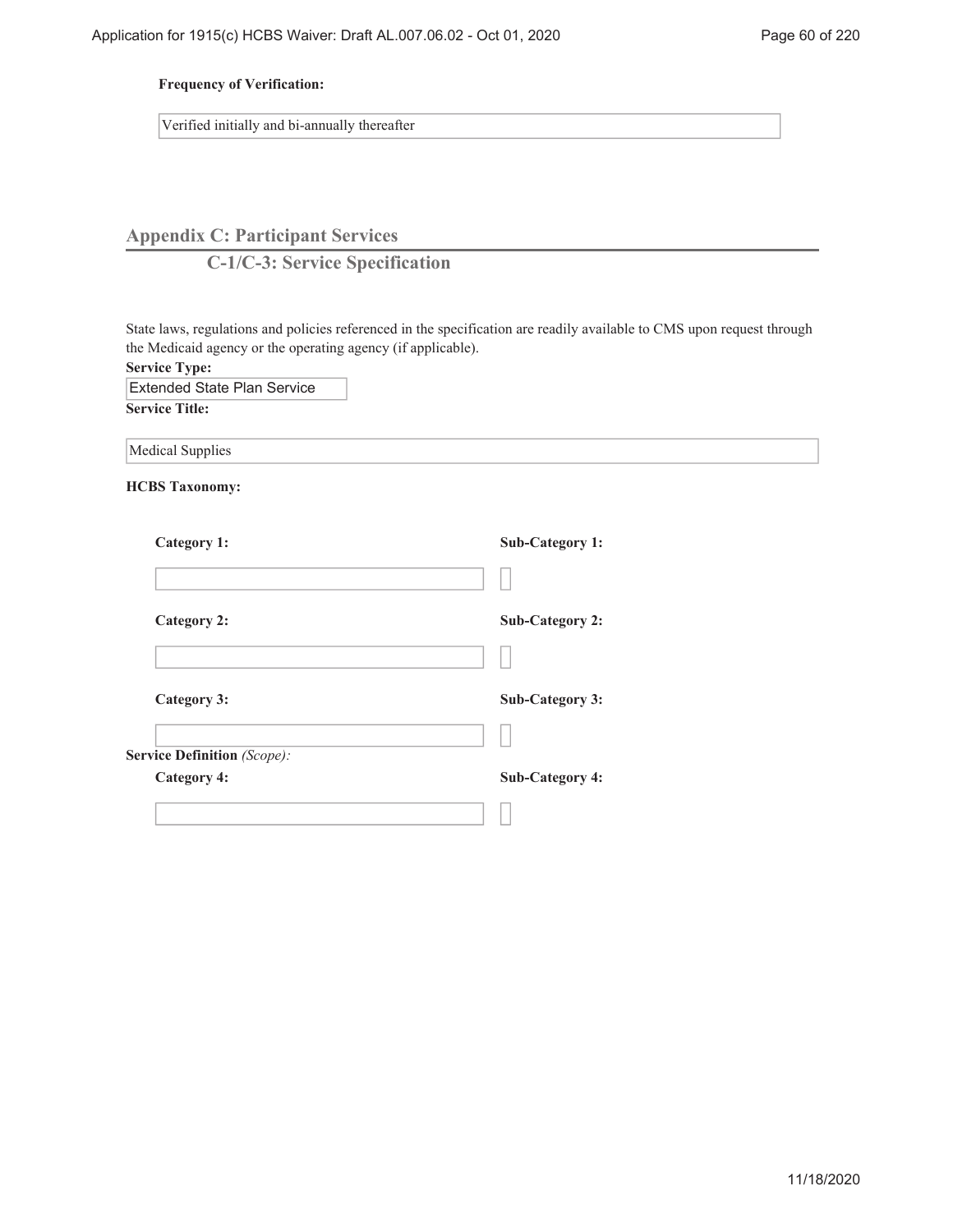# **Frequency of Verification:**

Verified initially and bi-annually thereafter

# **Appendix C: Participant Services**

**C-1/C-3: Service Specification**

State laws, regulations and policies referenced in the specification are readily available to CMS upon request through the Medicaid agency or the operating agency (if applicable).

**Service Type:**

Extended State Plan Service

**Service Title:**

**HCBS Taxonomy:**

| <b>Sub-Category 1:</b> |
|------------------------|
|                        |
| <b>Sub-Category 2:</b> |
|                        |
| <b>Sub-Category 3:</b> |
|                        |
|                        |
| <b>Sub-Category 4:</b> |
|                        |
|                        |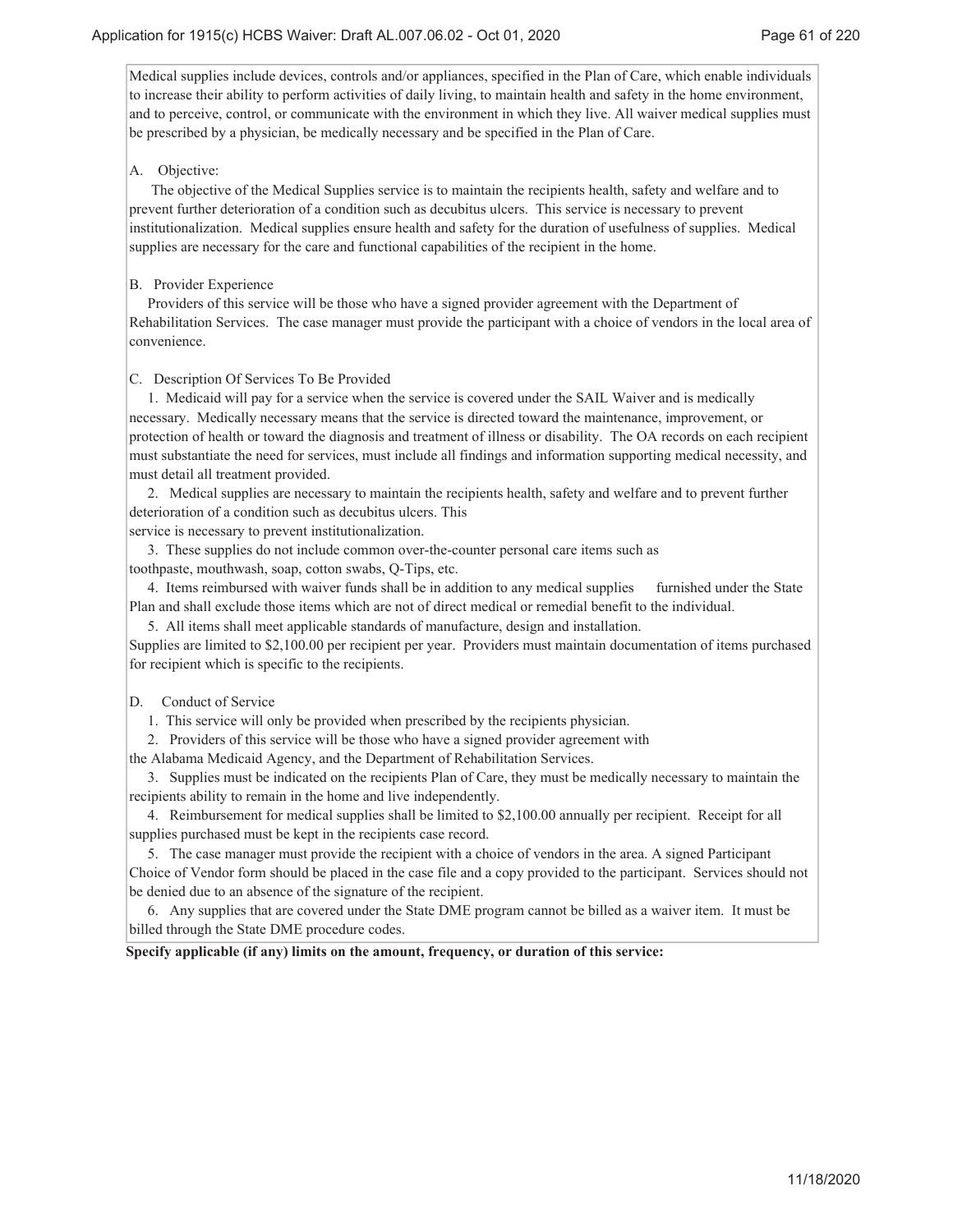Medical supplies include devices, controls and/or appliances, specified in the Plan of Care, which enable individuals to increase their ability to perform activities of daily living, to maintain health and safety in the home environment, and to perceive, control, or communicate with the environment in which they live. All waiver medical supplies must be prescribed by a physician, be medically necessary and be specified in the Plan of Care.

## A. Objective:

 The objective of the Medical Supplies service is to maintain the recipients health, safety and welfare and to prevent further deterioration of a condition such as decubitus ulcers. This service is necessary to prevent institutionalization. Medical supplies ensure health and safety for the duration of usefulness of supplies. Medical supplies are necessary for the care and functional capabilities of the recipient in the home.

## B. Provider Experience

 Providers of this service will be those who have a signed provider agreement with the Department of Rehabilitation Services. The case manager must provide the participant with a choice of vendors in the local area of convenience.

### C. Description Of Services To Be Provided

 1. Medicaid will pay for a service when the service is covered under the SAIL Waiver and is medically necessary. Medically necessary means that the service is directed toward the maintenance, improvement, or protection of health or toward the diagnosis and treatment of illness or disability. The OA records on each recipient must substantiate the need for services, must include all findings and information supporting medical necessity, and must detail all treatment provided.

 2. Medical supplies are necessary to maintain the recipients health, safety and welfare and to prevent further deterioration of a condition such as decubitus ulcers. This

service is necessary to prevent institutionalization.

 3. These supplies do not include common over-the-counter personal care items such as toothpaste, mouthwash, soap, cotton swabs, Q-Tips, etc.

 4. Items reimbursed with waiver funds shall be in addition to any medical supplies furnished under the State Plan and shall exclude those items which are not of direct medical or remedial benefit to the individual.

5. All items shall meet applicable standards of manufacture, design and installation.

Supplies are limited to \$2,100.00 per recipient per year. Providers must maintain documentation of items purchased for recipient which is specific to the recipients.

# D. Conduct of Service

1. This service will only be provided when prescribed by the recipients physician.

2. Providers of this service will be those who have a signed provider agreement with

the Alabama Medicaid Agency, and the Department of Rehabilitation Services.

 3. Supplies must be indicated on the recipients Plan of Care, they must be medically necessary to maintain the recipients ability to remain in the home and live independently.

 4. Reimbursement for medical supplies shall be limited to \$2,100.00 annually per recipient. Receipt for all supplies purchased must be kept in the recipients case record.

 5. The case manager must provide the recipient with a choice of vendors in the area. A signed Participant Choice of Vendor form should be placed in the case file and a copy provided to the participant. Services should not be denied due to an absence of the signature of the recipient.

 6. Any supplies that are covered under the State DME program cannot be billed as a waiver item. It must be billed through the State DME procedure codes.

**Specify applicable (if any) limits on the amount, frequency, or duration of this service:**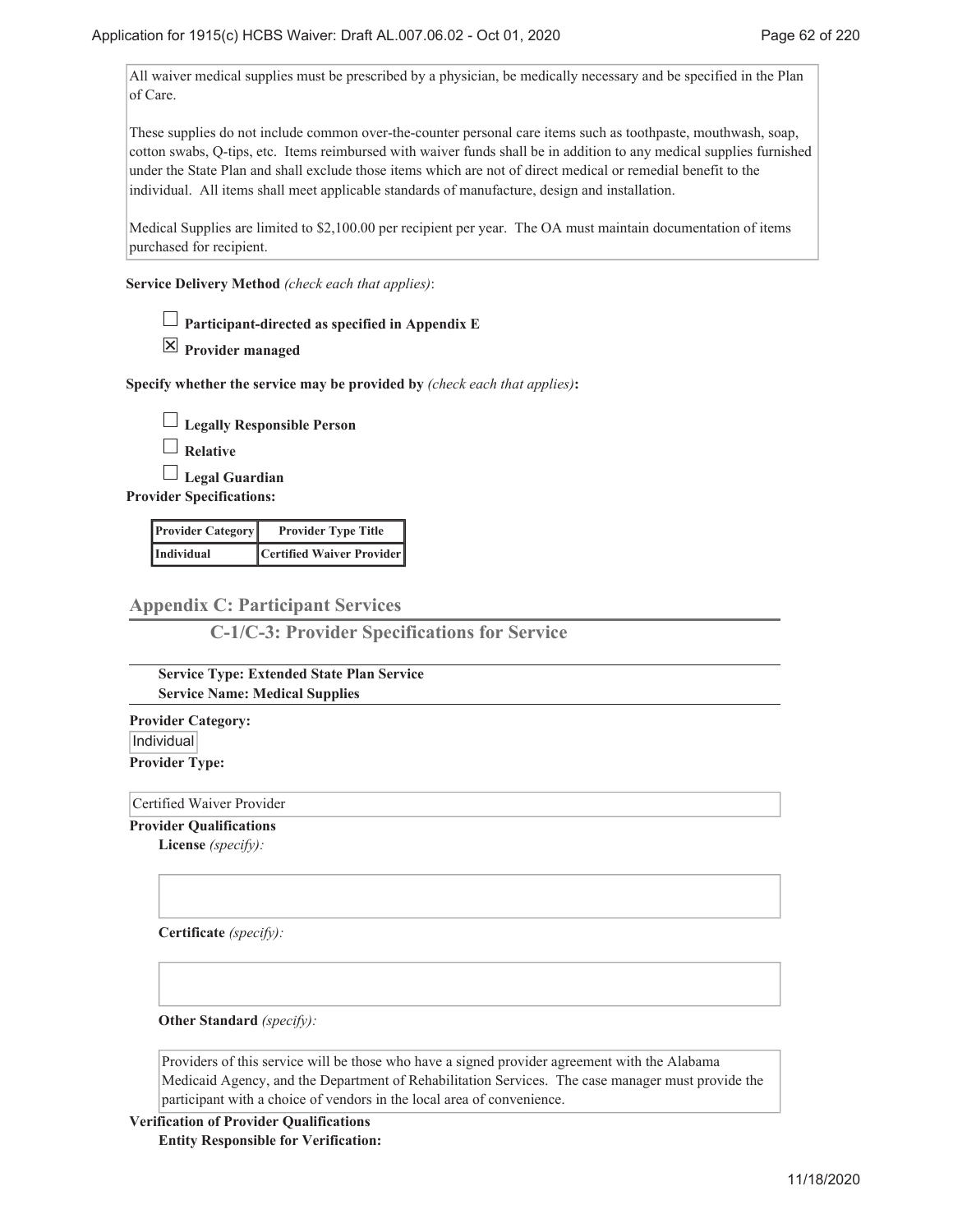All waiver medical supplies must be prescribed by a physician, be medically necessary and be specified in the Plan of Care.

These supplies do not include common over-the-counter personal care items such as toothpaste, mouthwash, soap, cotton swabs, Q-tips, etc. Items reimbursed with waiver funds shall be in addition to any medical supplies furnished under the State Plan and shall exclude those items which are not of direct medical or remedial benefit to the individual. All items shall meet applicable standards of manufacture, design and installation.

Medical Supplies are limited to \$2,100.00 per recipient per year. The OA must maintain documentation of items purchased for recipient.

**Service Delivery Method** *(check each that applies)*:

**Participant-directed as specified in Appendix E**

**Provider managed**

**Specify whether the service may be provided by** *(check each that applies)***:**

**Legally Responsible Person**

**Relative**

**Legal Guardian**

**Provider Specifications:**

| <b>Provider Category</b> | <b>Provider Type Title</b> |
|--------------------------|----------------------------|
| Individual               | Certified Waiver Provider  |

# **Appendix C: Participant Services**

**C-1/C-3: Provider Specifications for Service**

**Service Type: Extended State Plan Service Service Name: Medical Supplies**

**Provider Category:** |Individual| **Provider Type:**

Certified Waiver Provider

**Provider Qualifications**

**License** *(specify):*

**Certificate** *(specify):*

**Other Standard** *(specify):*

Providers of this service will be those who have a signed provider agreement with the Alabama Medicaid Agency, and the Department of Rehabilitation Services. The case manager must provide the participant with a choice of vendors in the local area of convenience.

**Verification of Provider Qualifications Entity Responsible for Verification:**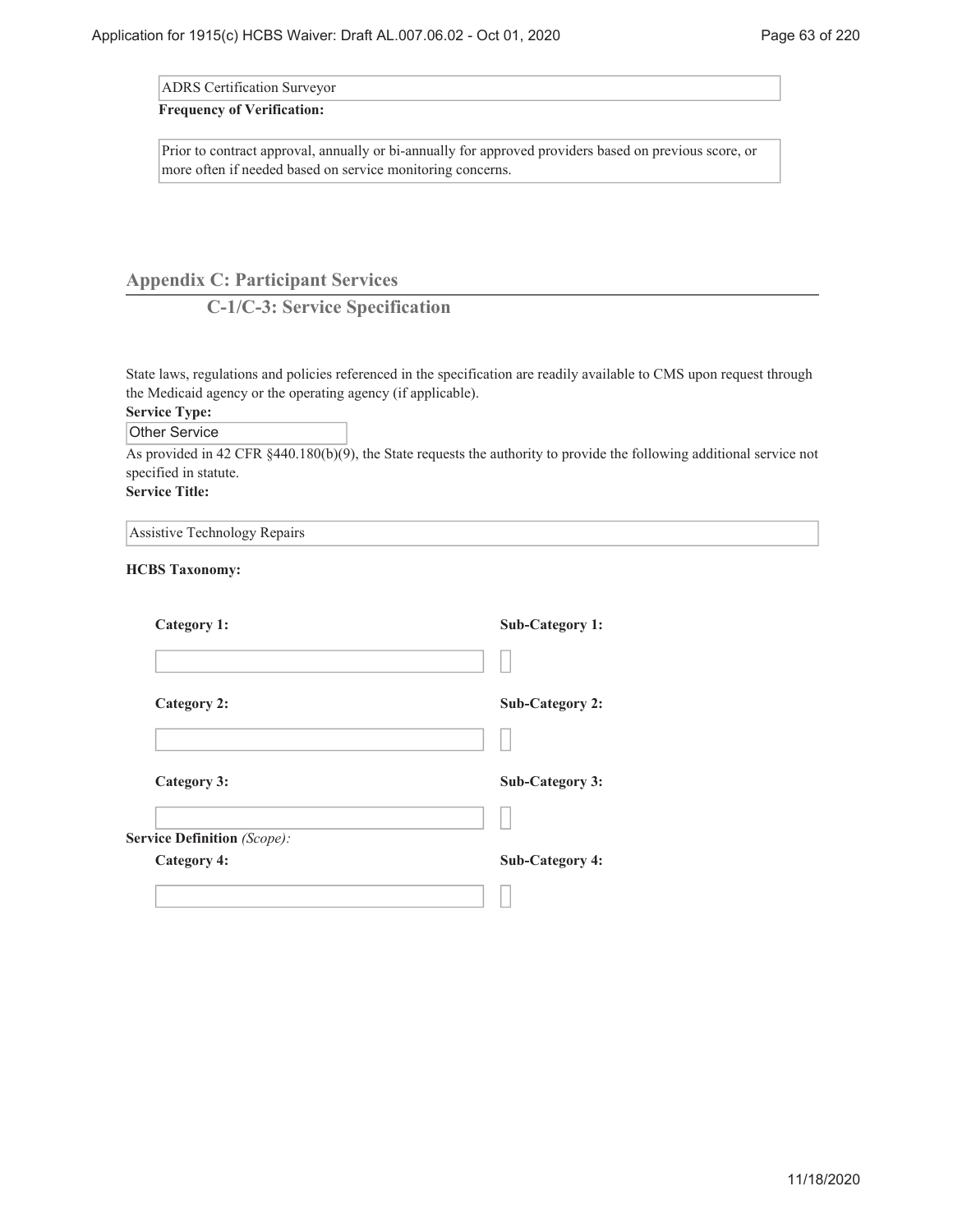ADRS Certification Surveyor

#### **Frequency of Verification:**

Prior to contract approval, annually or bi-annually for approved providers based on previous score, or more often if needed based on service monitoring concerns.

# **Appendix C: Participant Services**

**C-1/C-3: Service Specification**

State laws, regulations and policies referenced in the specification are readily available to CMS upon request through the Medicaid agency or the operating agency (if applicable).

# **Service Type:**

Other Service

As provided in 42 CFR §440.180(b)(9), the State requests the authority to provide the following additional service not specified in statute.

# **Service Title:**

| Assistive Technology Repairs |  |  |  |
|------------------------------|--|--|--|
|------------------------------|--|--|--|

# **HCBS Taxonomy:**

| <b>Category 1:</b>          | <b>Sub-Category 1:</b> |
|-----------------------------|------------------------|
|                             |                        |
| Category 2:                 | <b>Sub-Category 2:</b> |
|                             |                        |
| Category 3:                 | <b>Sub-Category 3:</b> |
|                             |                        |
| Service Definition (Scope): |                        |
| <b>Category 4:</b>          | <b>Sub-Category 4:</b> |
|                             |                        |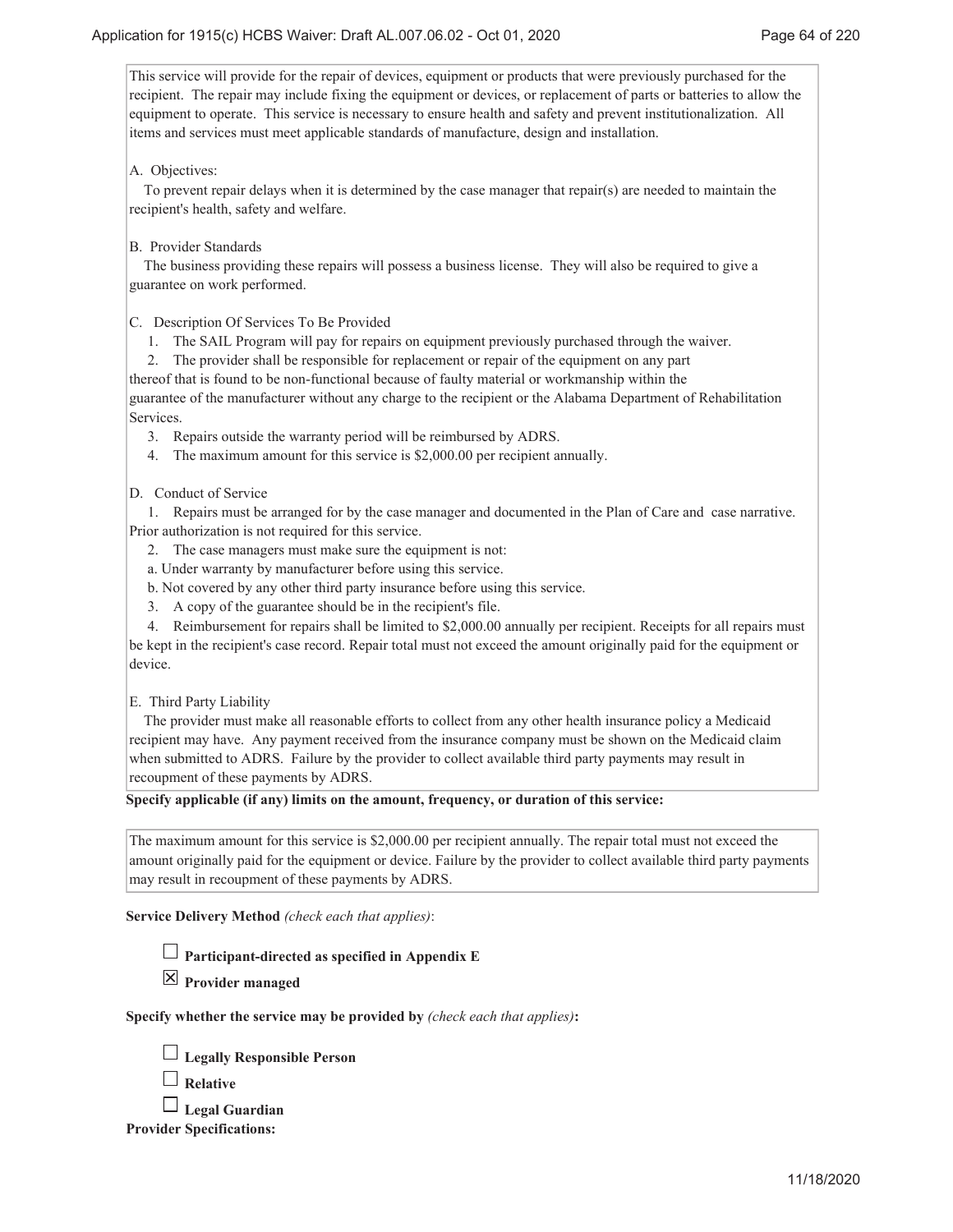This service will provide for the repair of devices, equipment or products that were previously purchased for the recipient. The repair may include fixing the equipment or devices, or replacement of parts or batteries to allow the equipment to operate. This service is necessary to ensure health and safety and prevent institutionalization. All items and services must meet applicable standards of manufacture, design and installation.

## A. Objectives:

 To prevent repair delays when it is determined by the case manager that repair(s) are needed to maintain the recipient's health, safety and welfare.

B. Provider Standards

 The business providing these repairs will possess a business license. They will also be required to give a guarantee on work performed.

C. Description Of Services To Be Provided

1. The SAIL Program will pay for repairs on equipment previously purchased through the waiver.

 2. The provider shall be responsible for replacement or repair of the equipment on any part thereof that is found to be non-functional because of faulty material or workmanship within the guarantee of the manufacturer without any charge to the recipient or the Alabama Department of Rehabilitation Services.

- 3. Repairs outside the warranty period will be reimbursed by ADRS.
- 4. The maximum amount for this service is \$2,000.00 per recipient annually.

D. Conduct of Service

 1. Repairs must be arranged for by the case manager and documented in the Plan of Care and case narrative. Prior authorization is not required for this service.

- 2. The case managers must make sure the equipment is not:
- a. Under warranty by manufacturer before using this service.
- b. Not covered by any other third party insurance before using this service.
- 3. A copy of the guarantee should be in the recipient's file.

 4. Reimbursement for repairs shall be limited to \$2,000.00 annually per recipient. Receipts for all repairs must be kept in the recipient's case record. Repair total must not exceed the amount originally paid for the equipment or device.

#### E. Third Party Liability

 The provider must make all reasonable efforts to collect from any other health insurance policy a Medicaid recipient may have. Any payment received from the insurance company must be shown on the Medicaid claim when submitted to ADRS. Failure by the provider to collect available third party payments may result in recoupment of these payments by ADRS.

**Specify applicable (if any) limits on the amount, frequency, or duration of this service:**

The maximum amount for this service is \$2,000.00 per recipient annually. The repair total must not exceed the amount originally paid for the equipment or device. Failure by the provider to collect available third party payments may result in recoupment of these payments by ADRS.

**Service Delivery Method** *(check each that applies)*:

**Participant-directed as specified in Appendix E**

**Provider managed**

**Specify whether the service may be provided by** *(check each that applies)***:**

|  |  | Legally Responsible Person |  |  |
|--|--|----------------------------|--|--|
|--|--|----------------------------|--|--|

**Relative**

**Legal Guardian**

**Provider Specifications:**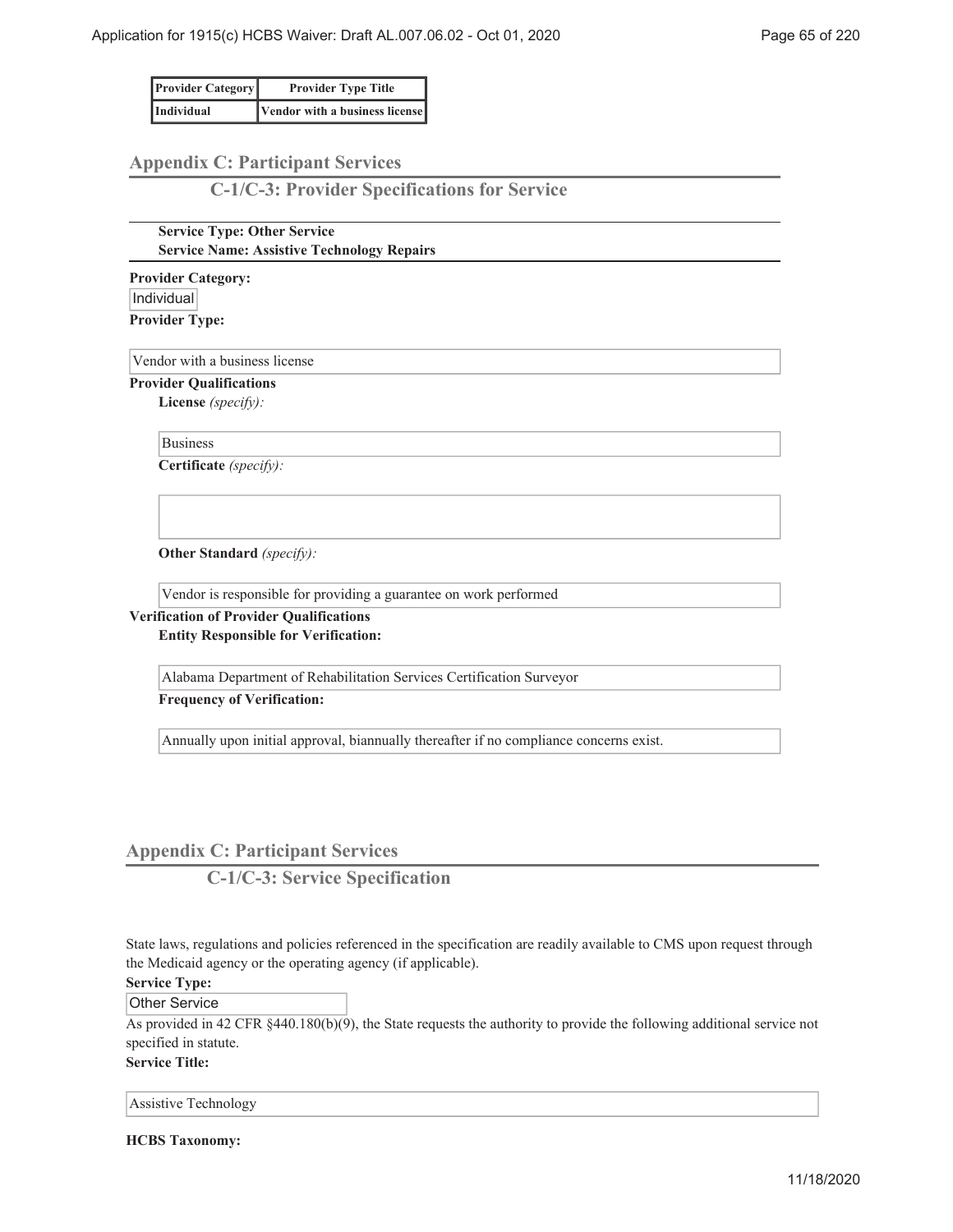| <b>Provider Category</b> | <b>Provider Type Title</b>     |
|--------------------------|--------------------------------|
| <i>Individual</i>        | Vendor with a business license |

# **Appendix C: Participant Services**

**C-1/C-3: Provider Specifications for Service**

**Service Type: Other Service Service Name: Assistive Technology Repairs**

**Provider Category:** Individual **Provider Type:**

Vendor with a business license

**Provider Qualifications**

**License** *(specify):*

Business

**Certificate** *(specify):*

**Other Standard** *(specify):*

Vendor is responsible for providing a guarantee on work performed

**Verification of Provider Qualifications Entity Responsible for Verification:**

Alabama Department of Rehabilitation Services Certification Surveyor

**Frequency of Verification:**

Annually upon initial approval, biannually thereafter if no compliance concerns exist.

# **Appendix C: Participant Services**

**C-1/C-3: Service Specification**

State laws, regulations and policies referenced in the specification are readily available to CMS upon request through the Medicaid agency or the operating agency (if applicable).

**Service Type:**

Other Service

As provided in 42 CFR §440.180(b)(9), the State requests the authority to provide the following additional service not specified in statute.

**Service Title:**

Assistive Technology

**HCBS Taxonomy:**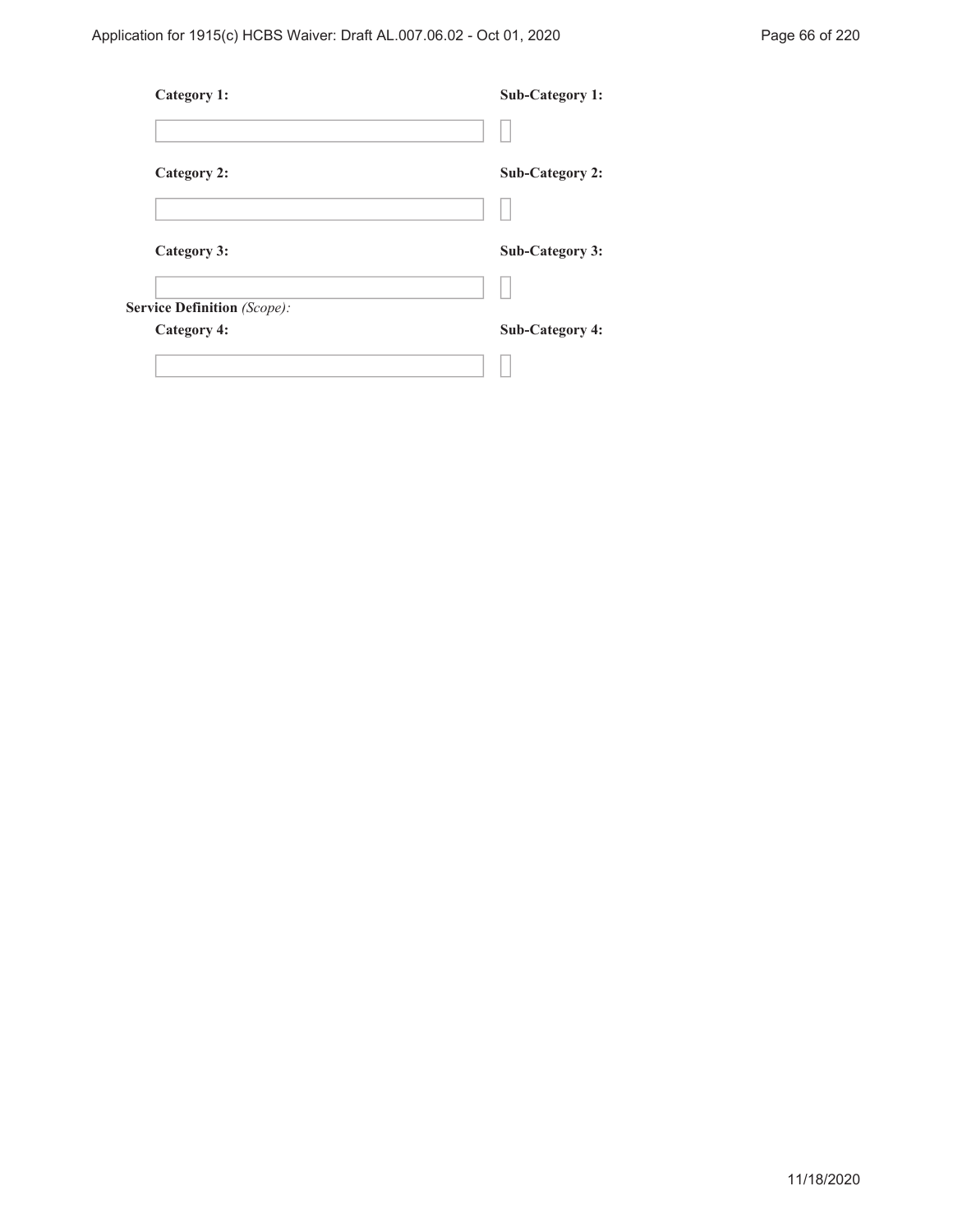| <b>Category 1:</b>                 | <b>Sub-Category 1:</b> |
|------------------------------------|------------------------|
|                                    |                        |
| <b>Category 2:</b>                 | <b>Sub-Category 2:</b> |
|                                    |                        |
| Category 3:                        | <b>Sub-Category 3:</b> |
|                                    |                        |
| <b>Service Definition</b> (Scope): |                        |
| <b>Category 4:</b>                 | <b>Sub-Category 4:</b> |
|                                    |                        |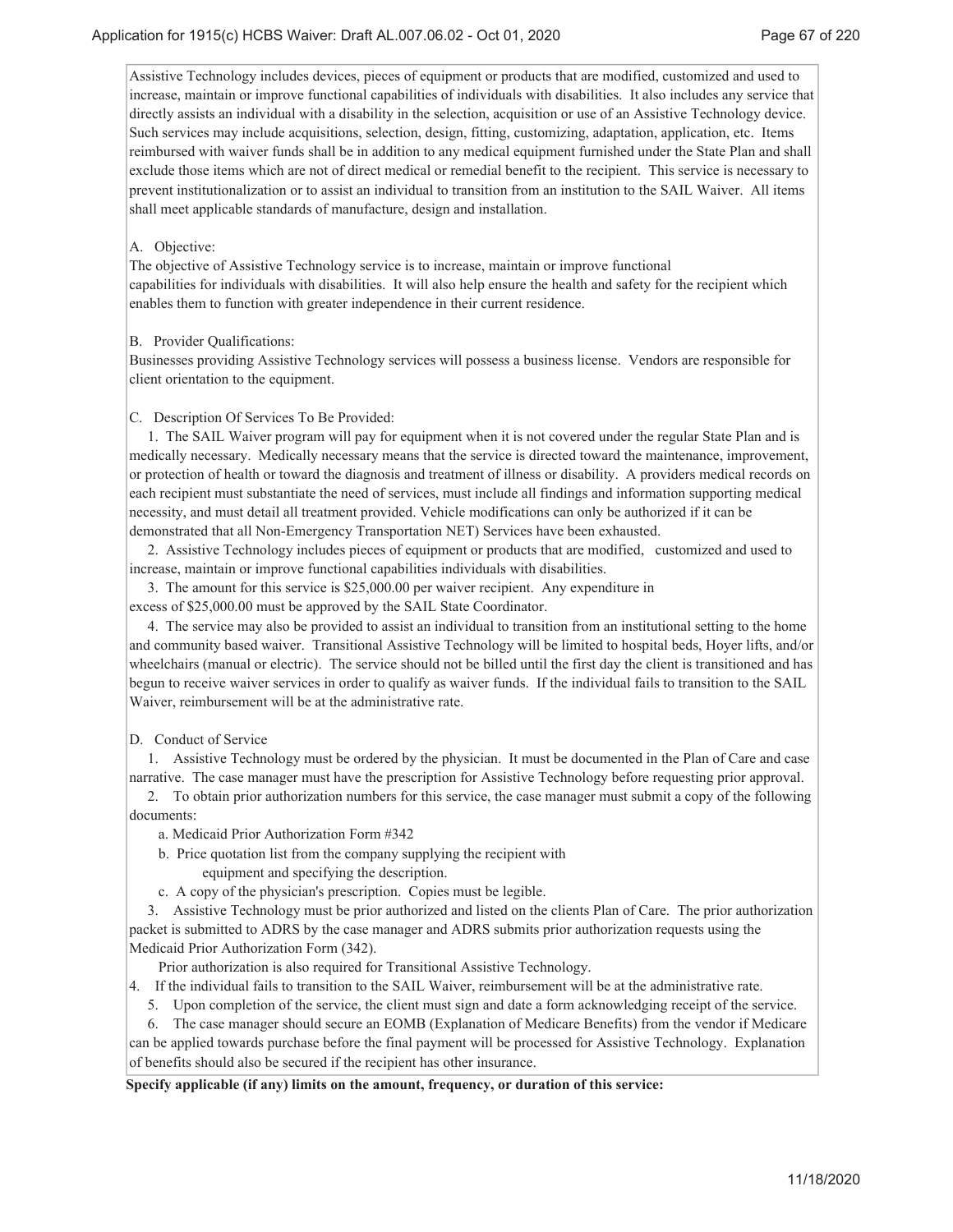Assistive Technology includes devices, pieces of equipment or products that are modified, customized and used to increase, maintain or improve functional capabilities of individuals with disabilities. It also includes any service that directly assists an individual with a disability in the selection, acquisition or use of an Assistive Technology device. Such services may include acquisitions, selection, design, fitting, customizing, adaptation, application, etc. Items reimbursed with waiver funds shall be in addition to any medical equipment furnished under the State Plan and shall exclude those items which are not of direct medical or remedial benefit to the recipient. This service is necessary to prevent institutionalization or to assist an individual to transition from an institution to the SAIL Waiver. All items shall meet applicable standards of manufacture, design and installation.

#### A. Objective:

The objective of Assistive Technology service is to increase, maintain or improve functional capabilities for individuals with disabilities. It will also help ensure the health and safety for the recipient which enables them to function with greater independence in their current residence.

### B. Provider Qualifications:

Businesses providing Assistive Technology services will possess a business license. Vendors are responsible for client orientation to the equipment.

#### C. Description Of Services To Be Provided:

 1. The SAIL Waiver program will pay for equipment when it is not covered under the regular State Plan and is medically necessary. Medically necessary means that the service is directed toward the maintenance, improvement, or protection of health or toward the diagnosis and treatment of illness or disability. A providers medical records on each recipient must substantiate the need of services, must include all findings and information supporting medical necessity, and must detail all treatment provided. Vehicle modifications can only be authorized if it can be demonstrated that all Non-Emergency Transportation NET) Services have been exhausted.

 2. Assistive Technology includes pieces of equipment or products that are modified, customized and used to increase, maintain or improve functional capabilities individuals with disabilities.

 3. The amount for this service is \$25,000.00 per waiver recipient. Any expenditure in excess of \$25,000.00 must be approved by the SAIL State Coordinator.

 4. The service may also be provided to assist an individual to transition from an institutional setting to the home and community based waiver. Transitional Assistive Technology will be limited to hospital beds, Hoyer lifts, and/or wheelchairs (manual or electric). The service should not be billed until the first day the client is transitioned and has begun to receive waiver services in order to qualify as waiver funds. If the individual fails to transition to the SAIL Waiver, reimbursement will be at the administrative rate.

#### D. Conduct of Service

 1. Assistive Technology must be ordered by the physician. It must be documented in the Plan of Care and case narrative. The case manager must have the prescription for Assistive Technology before requesting prior approval.

 2. To obtain prior authorization numbers for this service, the case manager must submit a copy of the following documents:

- a. Medicaid Prior Authorization Form #342
- b. Price quotation list from the company supplying the recipient with equipment and specifying the description.
- c. A copy of the physician's prescription. Copies must be legible.

 3. Assistive Technology must be prior authorized and listed on the clients Plan of Care. The prior authorization packet is submitted to ADRS by the case manager and ADRS submits prior authorization requests using the Medicaid Prior Authorization Form (342).

Prior authorization is also required for Transitional Assistive Technology.

4. If the individual fails to transition to the SAIL Waiver, reimbursement will be at the administrative rate.

5. Upon completion of the service, the client must sign and date a form acknowledging receipt of the service.

 6. The case manager should secure an EOMB (Explanation of Medicare Benefits) from the vendor if Medicare can be applied towards purchase before the final payment will be processed for Assistive Technology. Explanation of benefits should also be secured if the recipient has other insurance.

### **Specify applicable (if any) limits on the amount, frequency, or duration of this service:**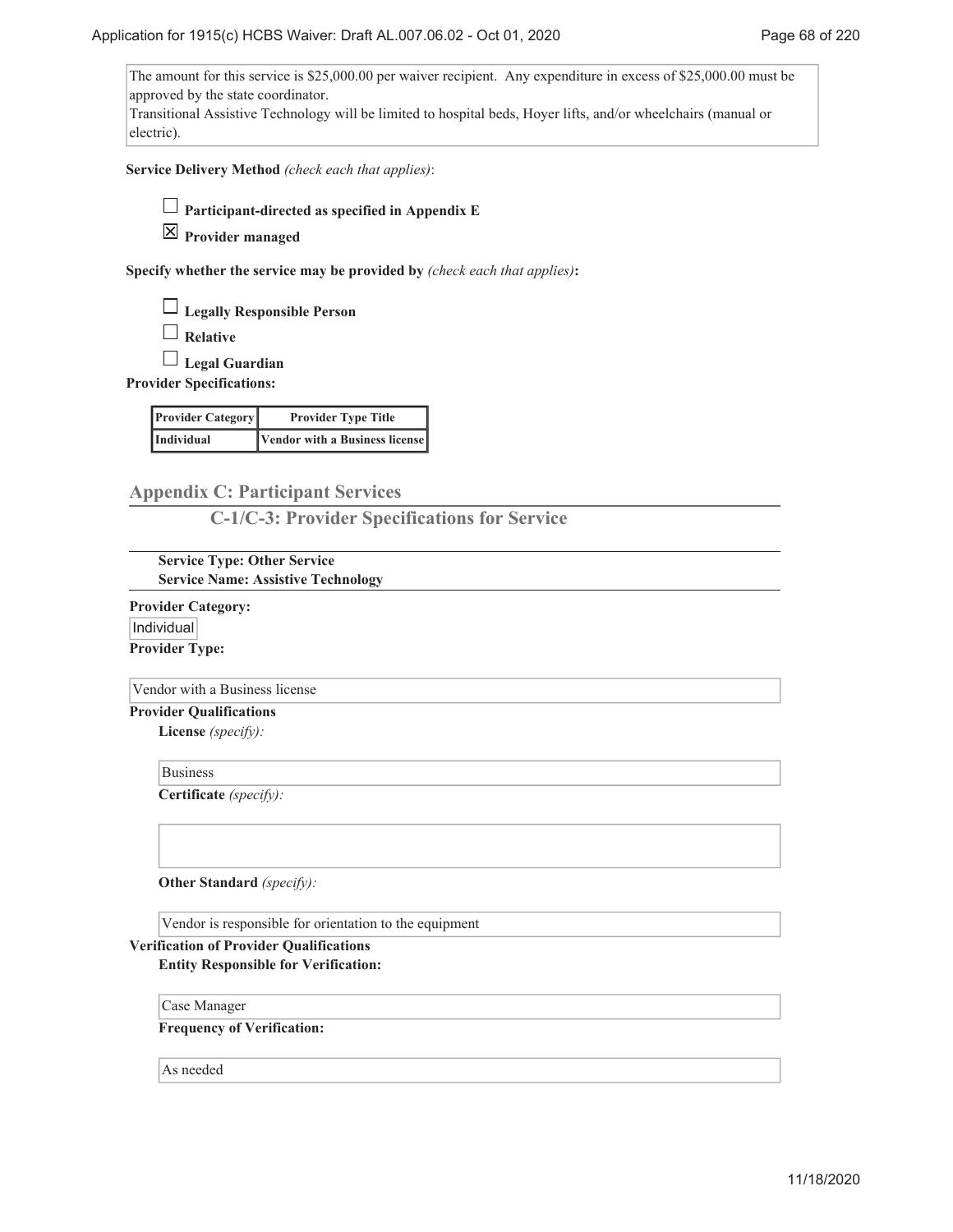The amount for this service is \$25,000.00 per waiver recipient. Any expenditure in excess of \$25,000.00 must be approved by the state coordinator. Transitional Assistive Technology will be limited to hospital beds, Hoyer lifts, and/or wheelchairs (manual or electric).

**Service Delivery Method** *(check each that applies)*:

**Participant-directed as specified in Appendix E**

**Provider managed**

**Specify whether the service may be provided by** *(check each that applies)***:**

**Legally Responsible Person**

**Relative**

**Legal Guardian**

**Provider Specifications:**

| <b>Provider Category</b> | <b>Provider Type Title</b>     |
|--------------------------|--------------------------------|
| Individual               | Vendor with a Business license |

# **Appendix C: Participant Services**

**C-1/C-3: Provider Specifications for Service**

**Service Type: Other Service Service Name: Assistive Technology**

**Provider Category:** Individual **Provider Type:**

Vendor with a Business license

**Provider Qualifications**

**License** *(specify):*

Business

**Certificate** *(specify):*

**Other Standard** *(specify):*

Vendor is responsible for orientation to the equipment

## **Verification of Provider Qualifications Entity Responsible for Verification:**

Case Manager

**Frequency of Verification:**

As needed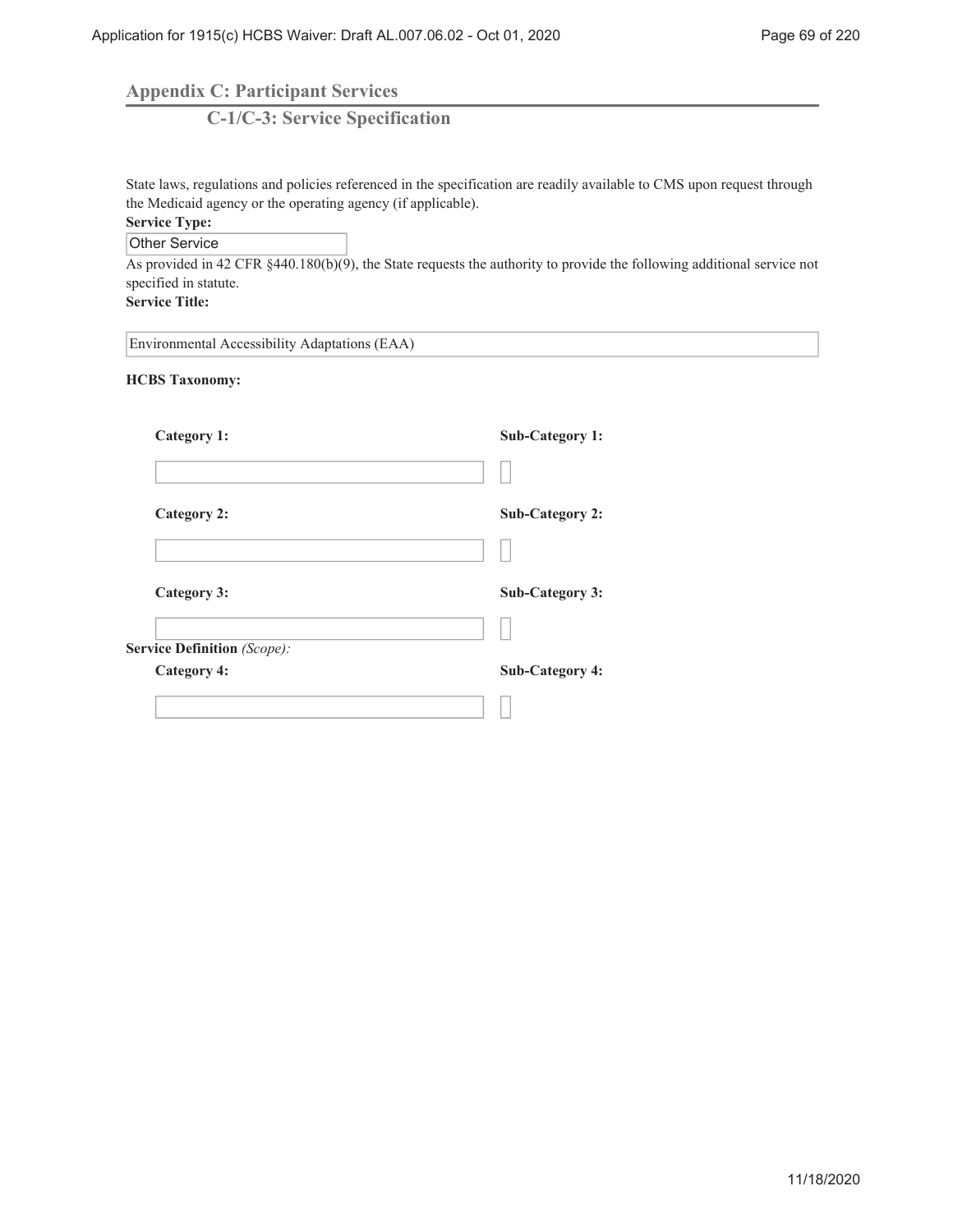**Appendix C: Participant Services**

**C-1/C-3: Service Specification**

State laws, regulations and policies referenced in the specification are readily available to CMS upon request through the Medicaid agency or the operating agency (if applicable).

# **Service Type:**

Other Service

As provided in 42 CFR §440.180(b)(9), the State requests the authority to provide the following additional service not specified in statute.

**Service Title:**

Environmental Accessibility Adaptations (EAA)

**HCBS Taxonomy:**

| Category 1:                 | <b>Sub-Category 1:</b> |
|-----------------------------|------------------------|
|                             |                        |
| <b>Category 2:</b>          | <b>Sub-Category 2:</b> |
|                             |                        |
| Category 3:                 | <b>Sub-Category 3:</b> |
|                             |                        |
| Service Definition (Scope): |                        |
| <b>Category 4:</b>          | <b>Sub-Category 4:</b> |
|                             |                        |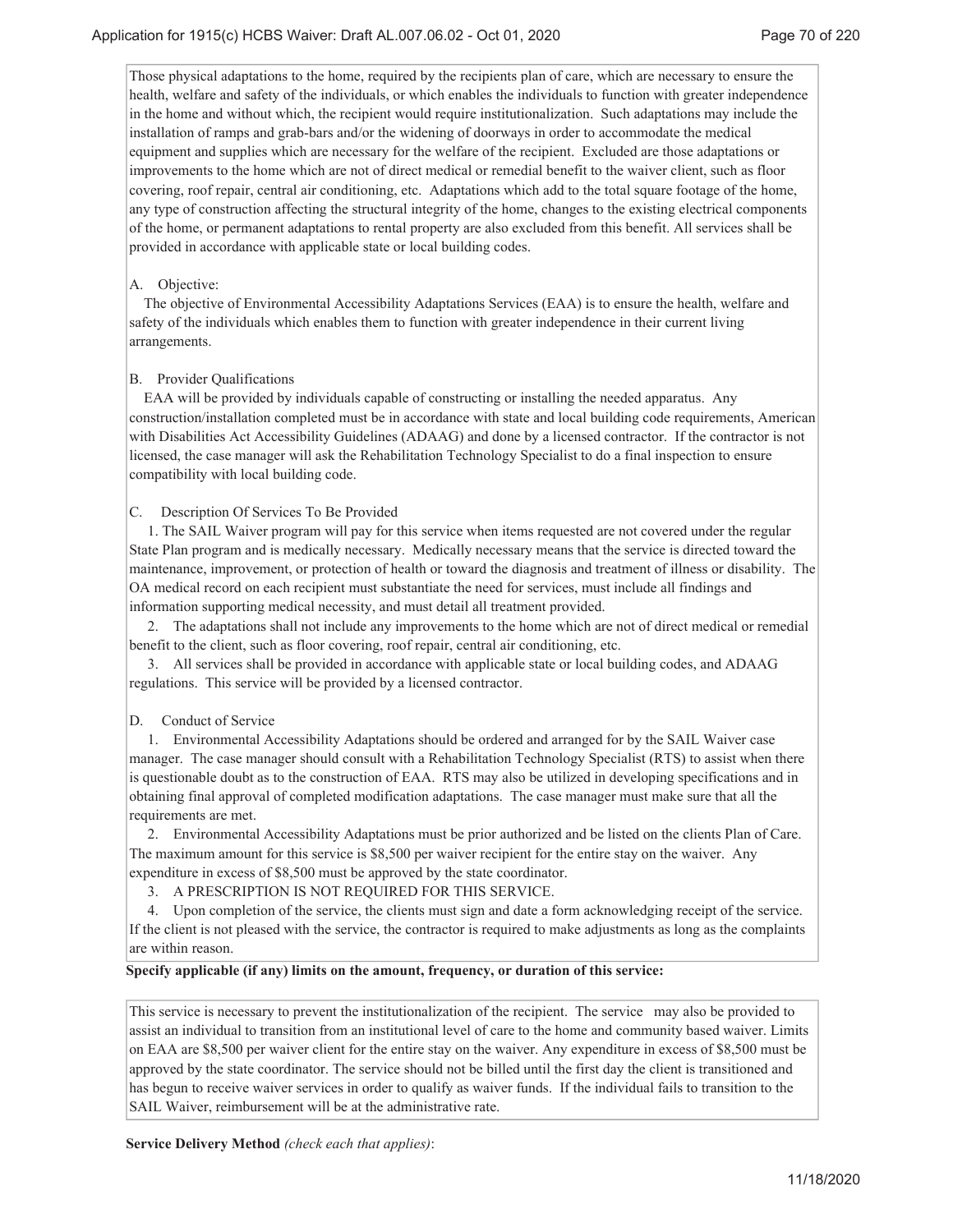Those physical adaptations to the home, required by the recipients plan of care, which are necessary to ensure the health, welfare and safety of the individuals, or which enables the individuals to function with greater independence in the home and without which, the recipient would require institutionalization. Such adaptations may include the installation of ramps and grab-bars and/or the widening of doorways in order to accommodate the medical equipment and supplies which are necessary for the welfare of the recipient. Excluded are those adaptations or improvements to the home which are not of direct medical or remedial benefit to the waiver client, such as floor covering, roof repair, central air conditioning, etc. Adaptations which add to the total square footage of the home, any type of construction affecting the structural integrity of the home, changes to the existing electrical components of the home, or permanent adaptations to rental property are also excluded from this benefit. All services shall be provided in accordance with applicable state or local building codes.

### A. Objective:

The objective of Environmental Accessibility Adaptations Services (EAA) is to ensure the health, welfare and safety of the individuals which enables them to function with greater independence in their current living arrangements.

#### B. Provider Qualifications

EAA will be provided by individuals capable of constructing or installing the needed apparatus. Any construction/installation completed must be in accordance with state and local building code requirements, American with Disabilities Act Accessibility Guidelines (ADAAG) and done by a licensed contractor. If the contractor is not licensed, the case manager will ask the Rehabilitation Technology Specialist to do a final inspection to ensure compatibility with local building code.

#### C. Description Of Services To Be Provided

 1. The SAIL Waiver program will pay for this service when items requested are not covered under the regular State Plan program and is medically necessary. Medically necessary means that the service is directed toward the maintenance, improvement, or protection of health or toward the diagnosis and treatment of illness or disability. The OA medical record on each recipient must substantiate the need for services, must include all findings and information supporting medical necessity, and must detail all treatment provided.

 2. The adaptations shall not include any improvements to the home which are not of direct medical or remedial benefit to the client, such as floor covering, roof repair, central air conditioning, etc.

 3. All services shall be provided in accordance with applicable state or local building codes, and ADAAG regulations. This service will be provided by a licensed contractor.

#### D. Conduct of Service

 1. Environmental Accessibility Adaptations should be ordered and arranged for by the SAIL Waiver case manager. The case manager should consult with a Rehabilitation Technology Specialist (RTS) to assist when there is questionable doubt as to the construction of EAA. RTS may also be utilized in developing specifications and in obtaining final approval of completed modification adaptations. The case manager must make sure that all the requirements are met.

 2. Environmental Accessibility Adaptations must be prior authorized and be listed on the clients Plan of Care. The maximum amount for this service is \$8,500 per waiver recipient for the entire stay on the waiver. Any expenditure in excess of \$8,500 must be approved by the state coordinator.

3. A PRESCRIPTION IS NOT REQUIRED FOR THIS SERVICE.

 4. Upon completion of the service, the clients must sign and date a form acknowledging receipt of the service. If the client is not pleased with the service, the contractor is required to make adjustments as long as the complaints are within reason.

#### **Specify applicable (if any) limits on the amount, frequency, or duration of this service:**

This service is necessary to prevent the institutionalization of the recipient. The service may also be provided to assist an individual to transition from an institutional level of care to the home and community based waiver. Limits on EAA are \$8,500 per waiver client for the entire stay on the waiver. Any expenditure in excess of \$8,500 must be approved by the state coordinator. The service should not be billed until the first day the client is transitioned and has begun to receive waiver services in order to qualify as waiver funds. If the individual fails to transition to the SAIL Waiver, reimbursement will be at the administrative rate.

**Service Delivery Method** *(check each that applies)*: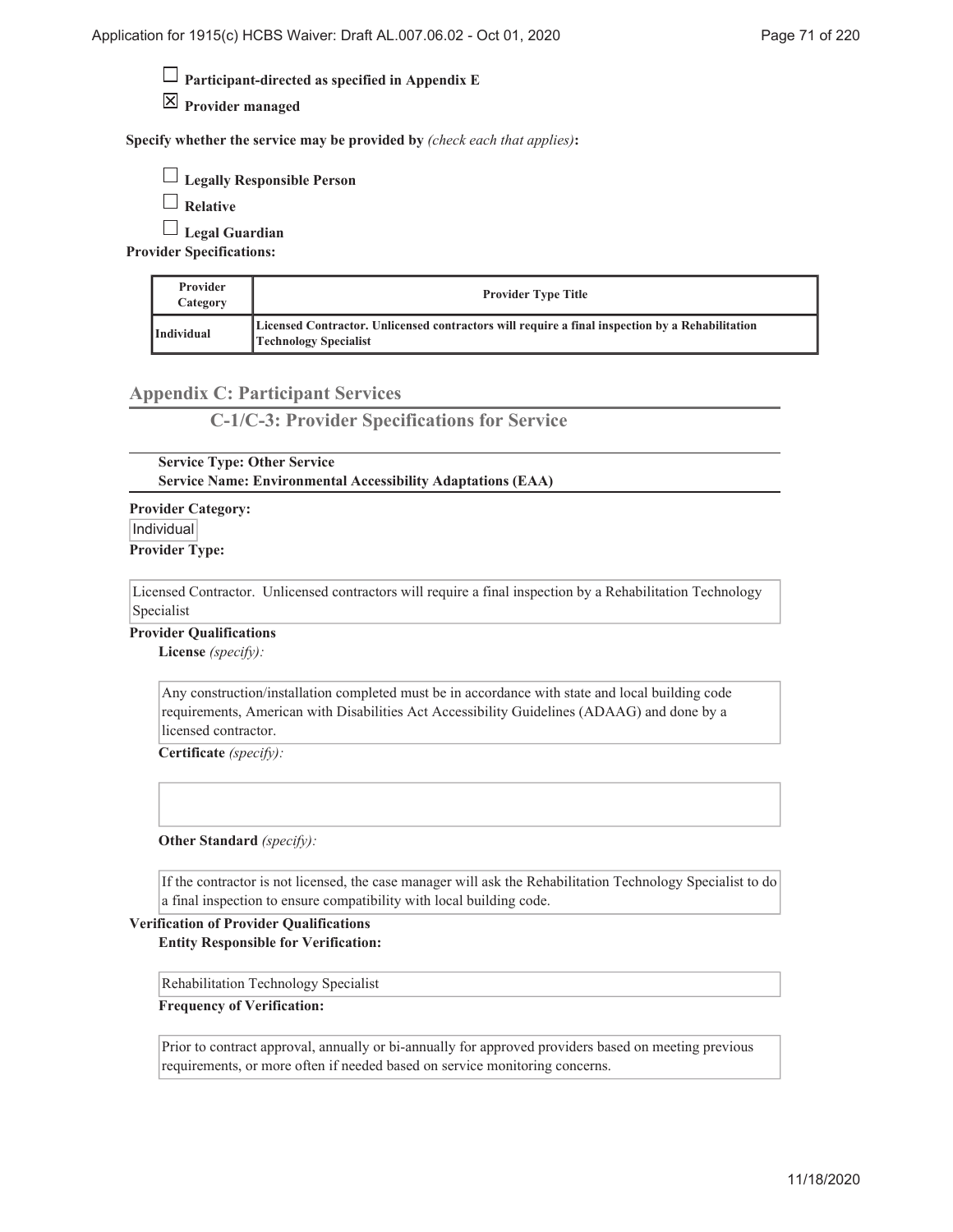**Participant-directed as specified in Appendix E**

**Provider managed**

**Specify whether the service may be provided by** *(check each that applies)***:**

| $\Box$ Legally Responsible Person |  |
|-----------------------------------|--|
|-----------------------------------|--|

**Relative**

**Legal Guardian**

**Provider Specifications:**

| Provider<br>Category | <b>Provider Type Title</b>                                                                                               |
|----------------------|--------------------------------------------------------------------------------------------------------------------------|
| <b>Individual</b>    | Licensed Contractor. Unlicensed contractors will require a final inspection by a Rehabilitation<br>Technology Specialist |

# **Appendix C: Participant Services**

**C-1/C-3: Provider Specifications for Service**

**Service Type: Other Service Service Name: Environmental Accessibility Adaptations (EAA)**

**Provider Category:** Individual **Provider Type:**

Licensed Contractor. Unlicensed contractors will require a final inspection by a Rehabilitation Technology Specialist

**Provider Qualifications**

**License** *(specify):*

Any construction/installation completed must be in accordance with state and local building code requirements, American with Disabilities Act Accessibility Guidelines (ADAAG) and done by a licensed contractor.

**Certificate** *(specify):*

**Other Standard** *(specify):*

If the contractor is not licensed, the case manager will ask the Rehabilitation Technology Specialist to do a final inspection to ensure compatibility with local building code.

### **Verification of Provider Qualifications Entity Responsible for Verification:**

Rehabilitation Technology Specialist

**Frequency of Verification:**

Prior to contract approval, annually or bi-annually for approved providers based on meeting previous requirements, or more often if needed based on service monitoring concerns.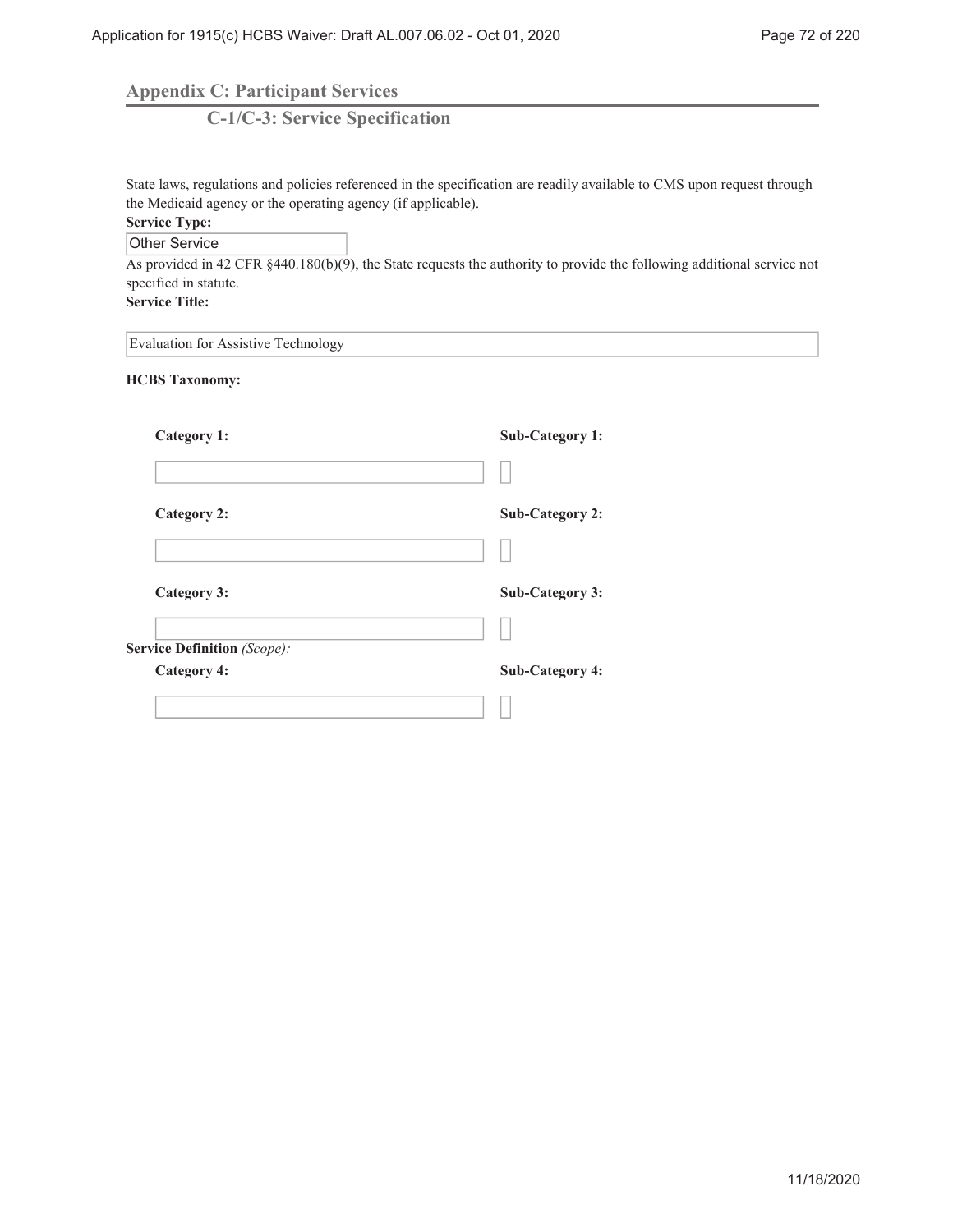**Appendix C: Participant Services**

**C-1/C-3: Service Specification**

State laws, regulations and policies referenced in the specification are readily available to CMS upon request through the Medicaid agency or the operating agency (if applicable).

# **Service Type:**

Other Service

As provided in 42 CFR §440.180(b)(9), the State requests the authority to provide the following additional service not specified in statute.

**Service Title:**

Evaluation for Assistive Technology

**HCBS Taxonomy:**

| Category 1:                 | <b>Sub-Category 1:</b> |
|-----------------------------|------------------------|
|                             |                        |
| <b>Category 2:</b>          | <b>Sub-Category 2:</b> |
|                             |                        |
| <b>Category 3:</b>          | <b>Sub-Category 3:</b> |
|                             |                        |
| Service Definition (Scope): |                        |
| <b>Category 4:</b>          | <b>Sub-Category 4:</b> |
|                             |                        |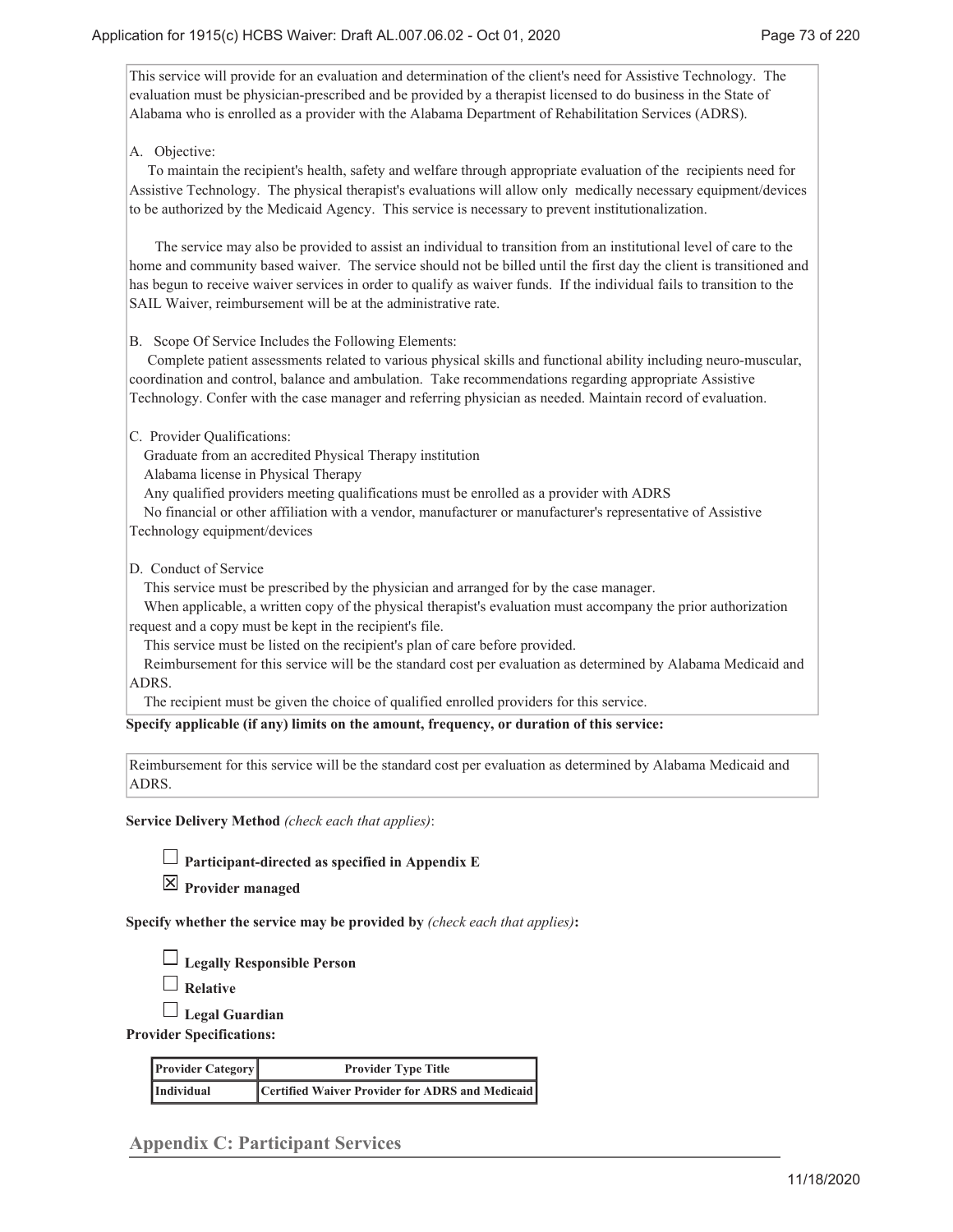This service will provide for an evaluation and determination of the client's need for Assistive Technology. The evaluation must be physician-prescribed and be provided by a therapist licensed to do business in the State of Alabama who is enrolled as a provider with the Alabama Department of Rehabilitation Services (ADRS).

### A. Objective:

 To maintain the recipient's health, safety and welfare through appropriate evaluation of the recipients need for Assistive Technology. The physical therapist's evaluations will allow only medically necessary equipment/devices to be authorized by the Medicaid Agency. This service is necessary to prevent institutionalization.

 The service may also be provided to assist an individual to transition from an institutional level of care to the home and community based waiver. The service should not be billed until the first day the client is transitioned and has begun to receive waiver services in order to qualify as waiver funds. If the individual fails to transition to the SAIL Waiver, reimbursement will be at the administrative rate.

B. Scope Of Service Includes the Following Elements:

 Complete patient assessments related to various physical skills and functional ability including neuro-muscular, coordination and control, balance and ambulation. Take recommendations regarding appropriate Assistive Technology. Confer with the case manager and referring physician as needed. Maintain record of evaluation.

C. Provider Qualifications:

Graduate from an accredited Physical Therapy institution

Alabama license in Physical Therapy

Any qualified providers meeting qualifications must be enrolled as a provider with ADRS

No financial or other affiliation with a vendor, manufacturer or manufacturer's representative of Assistive

Technology equipment/devices

D. Conduct of Service

This service must be prescribed by the physician and arranged for by the case manager.

 When applicable, a written copy of the physical therapist's evaluation must accompany the prior authorization request and a copy must be kept in the recipient's file.

This service must be listed on the recipient's plan of care before provided.

 Reimbursement for this service will be the standard cost per evaluation as determined by Alabama Medicaid and ADRS.

The recipient must be given the choice of qualified enrolled providers for this service.

**Specify applicable (if any) limits on the amount, frequency, or duration of this service:**

Reimbursement for this service will be the standard cost per evaluation as determined by Alabama Medicaid and ADRS.

**Service Delivery Method** *(check each that applies)*:

**Participant-directed as specified in Appendix E**

**Provider managed**

**Specify whether the service may be provided by** *(check each that applies)***:**

**Legally Responsible Person**

**Relative**

**Legal Guardian**

**Provider Specifications:**

| <b>Provider Category</b> | <b>Provider Type Title</b>                      |  |
|--------------------------|-------------------------------------------------|--|
| Individual               | Certified Waiver Provider for ADRS and Medicaid |  |

**Appendix C: Participant Services**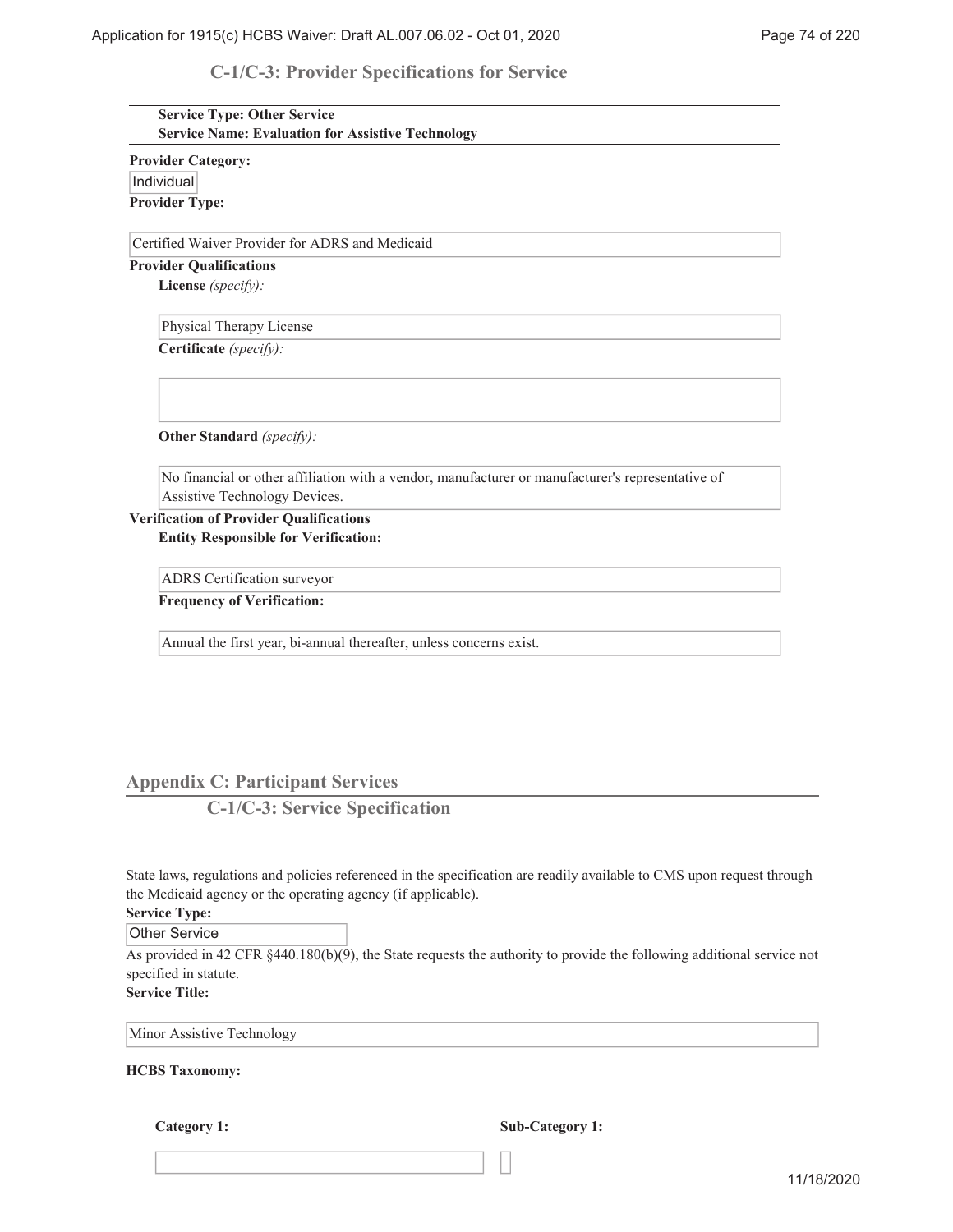# **C-1/C-3: Provider Specifications for Service**

| <b>Service Type: Other Service</b><br><b>Service Name: Evaluation for Assistive Technology</b>    |
|---------------------------------------------------------------------------------------------------|
| <b>Provider Category:</b>                                                                         |
| Individual                                                                                        |
| <b>Provider Type:</b>                                                                             |
| Certified Waiver Provider for ADRS and Medicaid                                                   |
| <b>Provider Qualifications</b>                                                                    |
| License (specify):                                                                                |
| Physical Therapy License                                                                          |
| Certificate (specify):                                                                            |
| Other Standard (specify):                                                                         |
| No financial or other affiliation with a vendor, manufacturer or manufacturer's representative of |
| Assistive Technology Devices.                                                                     |
| <b>Verification of Provider Qualifications</b><br><b>Entity Responsible for Verification:</b>     |
| ADRS Certification surveyor                                                                       |
| <b>Frequency of Verification:</b>                                                                 |
| Annual the first year, bi-annual thereafter, unless concerns exist.                               |
|                                                                                                   |

# **Appendix C: Participant Services**

**C-1/C-3: Service Specification**

State laws, regulations and policies referenced in the specification are readily available to CMS upon request through the Medicaid agency or the operating agency (if applicable).

### **Service Type:**

Other Service

As provided in 42 CFR  $\S$ 440.180(b)(9), the State requests the authority to provide the following additional service not specified in statute.

**Service Title:**

Minor Assistive Technology

#### **HCBS Taxonomy:**

**Category 1: Sub-Category 1:**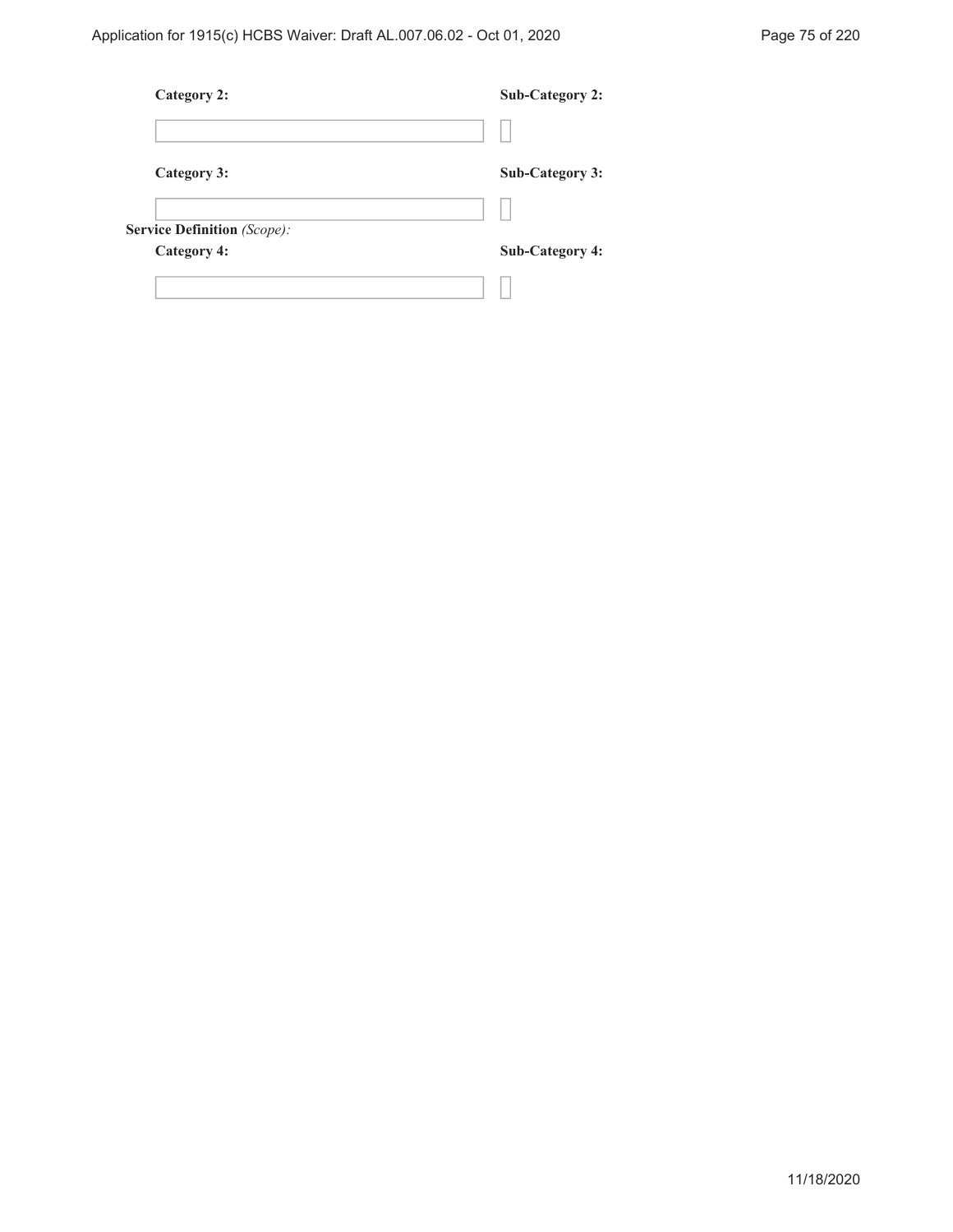| Category 2:                        | <b>Sub-Category 2:</b> |
|------------------------------------|------------------------|
|                                    |                        |
| Category 3:                        | <b>Sub-Category 3:</b> |
|                                    |                        |
| <b>Service Definition</b> (Scope): |                        |
| <b>Category 4:</b>                 | <b>Sub-Category 4:</b> |
|                                    |                        |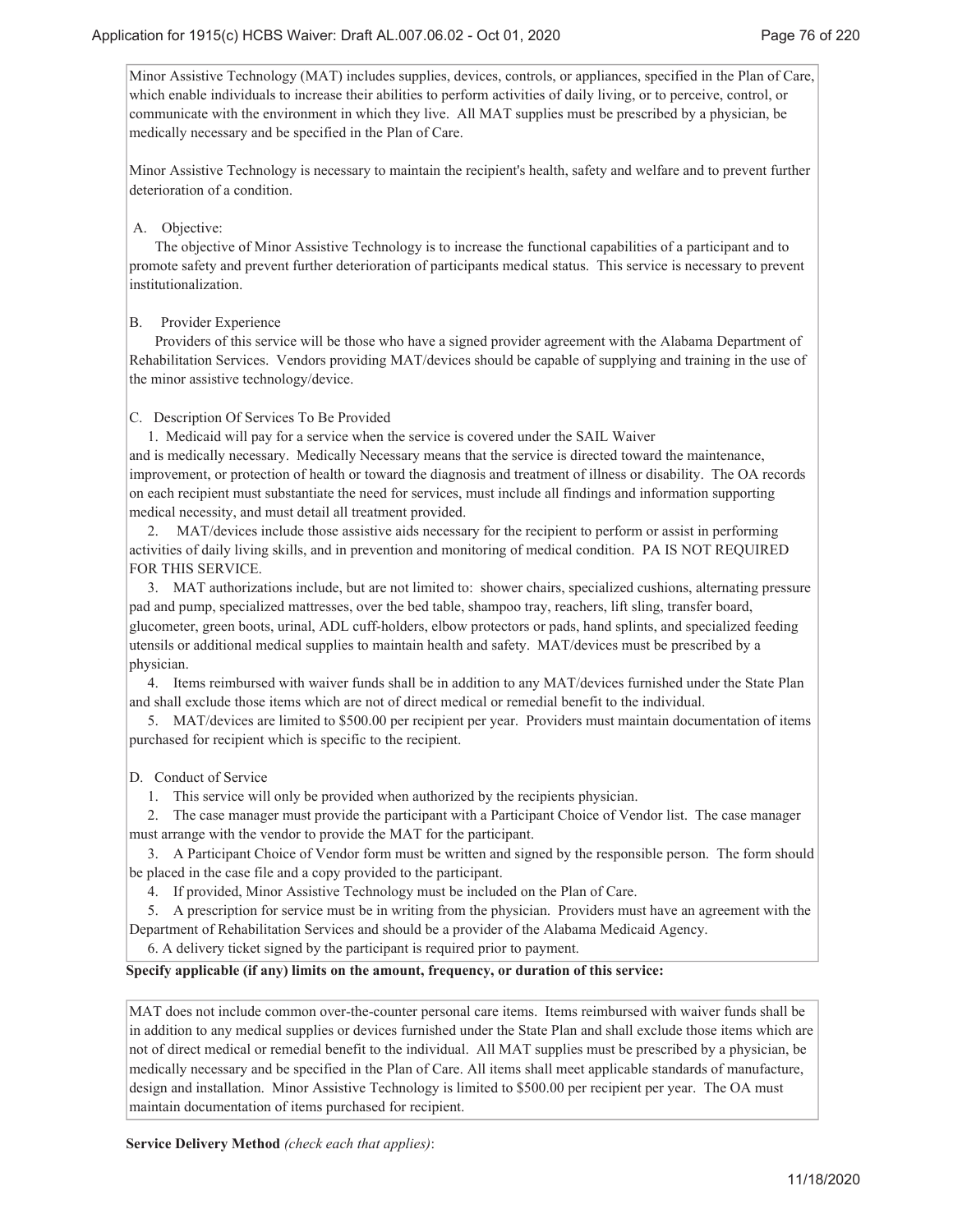Minor Assistive Technology (MAT) includes supplies, devices, controls, or appliances, specified in the Plan of Care, which enable individuals to increase their abilities to perform activities of daily living, or to perceive, control, or communicate with the environment in which they live. All MAT supplies must be prescribed by a physician, be medically necessary and be specified in the Plan of Care.

Minor Assistive Technology is necessary to maintain the recipient's health, safety and welfare and to prevent further deterioration of a condition.

### A. Objective:

 The objective of Minor Assistive Technology is to increase the functional capabilities of a participant and to promote safety and prevent further deterioration of participants medical status. This service is necessary to prevent institutionalization.

### B. Provider Experience

 Providers of this service will be those who have a signed provider agreement with the Alabama Department of Rehabilitation Services. Vendors providing MAT/devices should be capable of supplying and training in the use of the minor assistive technology/device.

# C. Description Of Services To Be Provided

 1. Medicaid will pay for a service when the service is covered under the SAIL Waiver and is medically necessary. Medically Necessary means that the service is directed toward the maintenance, improvement, or protection of health or toward the diagnosis and treatment of illness or disability. The OA records on each recipient must substantiate the need for services, must include all findings and information supporting medical necessity, and must detail all treatment provided.

 2. MAT/devices include those assistive aids necessary for the recipient to perform or assist in performing activities of daily living skills, and in prevention and monitoring of medical condition. PA IS NOT REQUIRED FOR THIS SERVICE.

 3. MAT authorizations include, but are not limited to: shower chairs, specialized cushions, alternating pressure pad and pump, specialized mattresses, over the bed table, shampoo tray, reachers, lift sling, transfer board, glucometer, green boots, urinal, ADL cuff-holders, elbow protectors or pads, hand splints, and specialized feeding utensils or additional medical supplies to maintain health and safety. MAT/devices must be prescribed by a physician.

 4. Items reimbursed with waiver funds shall be in addition to any MAT/devices furnished under the State Plan and shall exclude those items which are not of direct medical or remedial benefit to the individual.

 5. MAT/devices are limited to \$500.00 per recipient per year. Providers must maintain documentation of items purchased for recipient which is specific to the recipient.

# D. Conduct of Service

1. This service will only be provided when authorized by the recipients physician.

 2. The case manager must provide the participant with a Participant Choice of Vendor list. The case manager must arrange with the vendor to provide the MAT for the participant.

 3. A Participant Choice of Vendor form must be written and signed by the responsible person. The form should be placed in the case file and a copy provided to the participant.

4. If provided, Minor Assistive Technology must be included on the Plan of Care.

5. A prescription for service must be in writing from the physician. Providers must have an agreement with the

Department of Rehabilitation Services and should be a provider of the Alabama Medicaid Agency.

6. A delivery ticket signed by the participant is required prior to payment.

### **Specify applicable (if any) limits on the amount, frequency, or duration of this service:**

MAT does not include common over-the-counter personal care items. Items reimbursed with waiver funds shall be in addition to any medical supplies or devices furnished under the State Plan and shall exclude those items which are not of direct medical or remedial benefit to the individual. All MAT supplies must be prescribed by a physician, be medically necessary and be specified in the Plan of Care. All items shall meet applicable standards of manufacture, design and installation. Minor Assistive Technology is limited to \$500.00 per recipient per year. The OA must maintain documentation of items purchased for recipient.

**Service Delivery Method** *(check each that applies)*: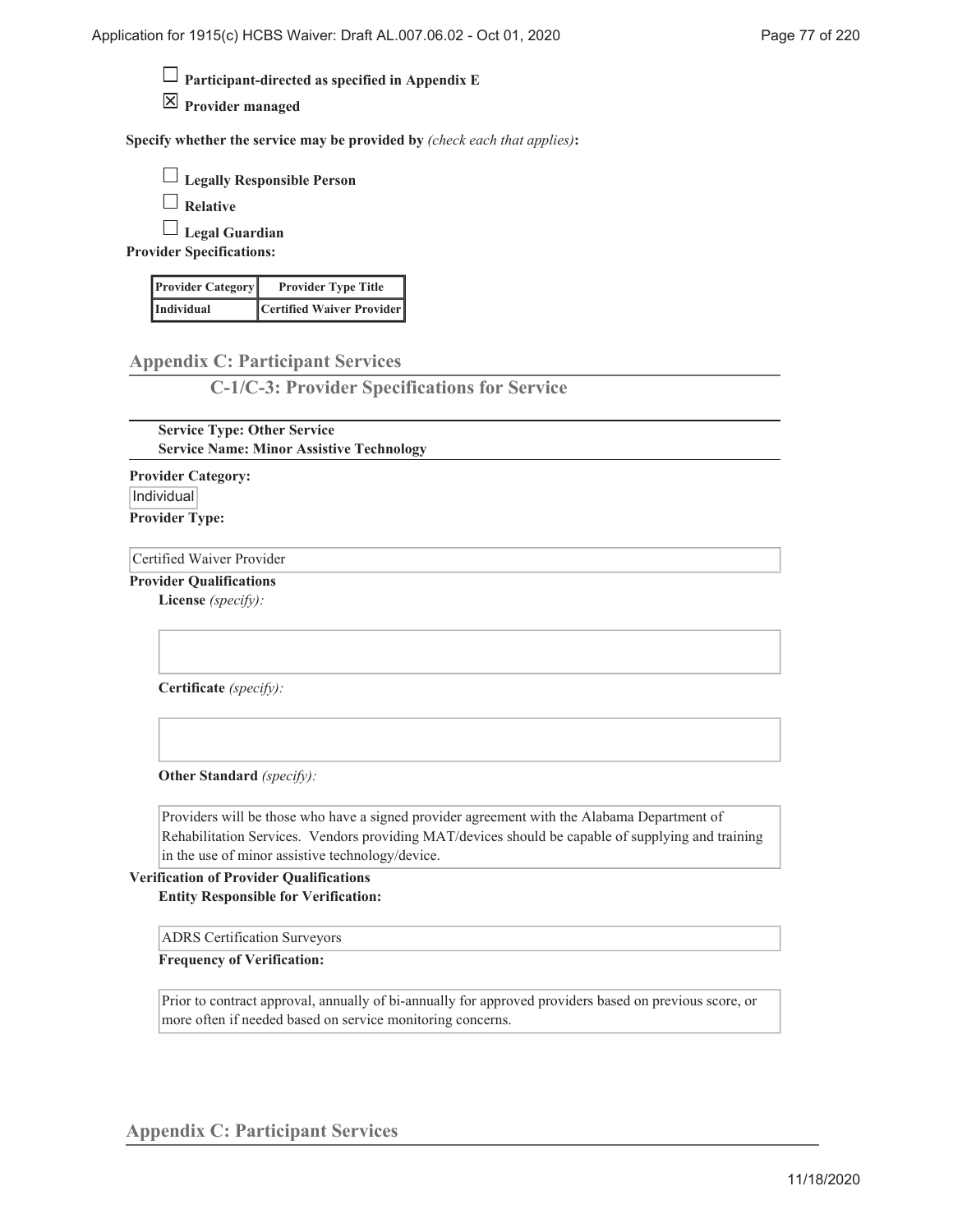**Participant-directed as specified in Appendix E**

**Provider managed**

**Specify whether the service may be provided by** *(check each that applies)***:**

| $\Box$ Legally Responsible Person |
|-----------------------------------|
|-----------------------------------|

**Relative**

**Legal Guardian**

**Provider Specifications:**

| <b>Provider Category</b> | <b>Provider Type Title</b> |
|--------------------------|----------------------------|
| Individual               | Certified Waiver Provider  |

**Appendix C: Participant Services**

**C-1/C-3: Provider Specifications for Service**

**Service Type: Other Service Service Name: Minor Assistive Technology**

**Provider Category:** Individual **Provider Type:**

Certified Waiver Provider

**Provider Qualifications**

**License** *(specify):*

**Certificate** *(specify):*

**Other Standard** *(specify):*

Providers will be those who have a signed provider agreement with the Alabama Department of Rehabilitation Services. Vendors providing MAT/devices should be capable of supplying and training in the use of minor assistive technology/device.

**Verification of Provider Qualifications Entity Responsible for Verification:**

ADRS Certification Surveyors

**Frequency of Verification:**

Prior to contract approval, annually of bi-annually for approved providers based on previous score, or more often if needed based on service monitoring concerns.

**Appendix C: Participant Services**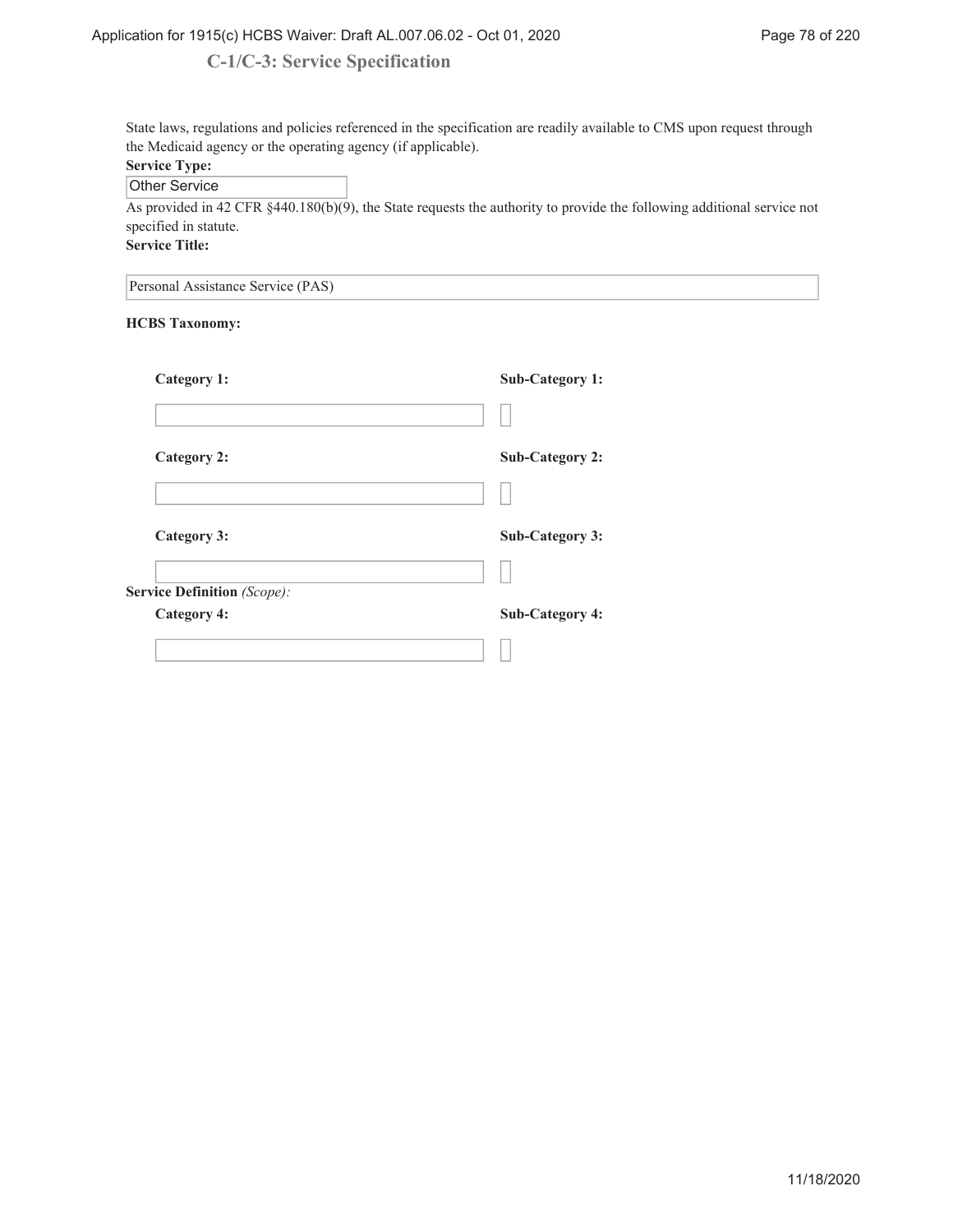# **C-1/C-3: Service Specification**

State laws, regulations and policies referenced in the specification are readily available to CMS upon request through the Medicaid agency or the operating agency (if applicable). **Service Type:**

Other Service

As provided in 42 CFR §440.180(b)(9), the State requests the authority to provide the following additional service not specified in statute.

**Service Title:**

Personal Assistance Service (PAS)

### **HCBS Taxonomy:**

| Category 1:                 | <b>Sub-Category 1:</b> |
|-----------------------------|------------------------|
|                             |                        |
| Category 2:                 | <b>Sub-Category 2:</b> |
|                             |                        |
| Category 3:                 | <b>Sub-Category 3:</b> |
|                             |                        |
| Service Definition (Scope): |                        |
| <b>Category 4:</b>          | Sub-Category 4:        |
|                             |                        |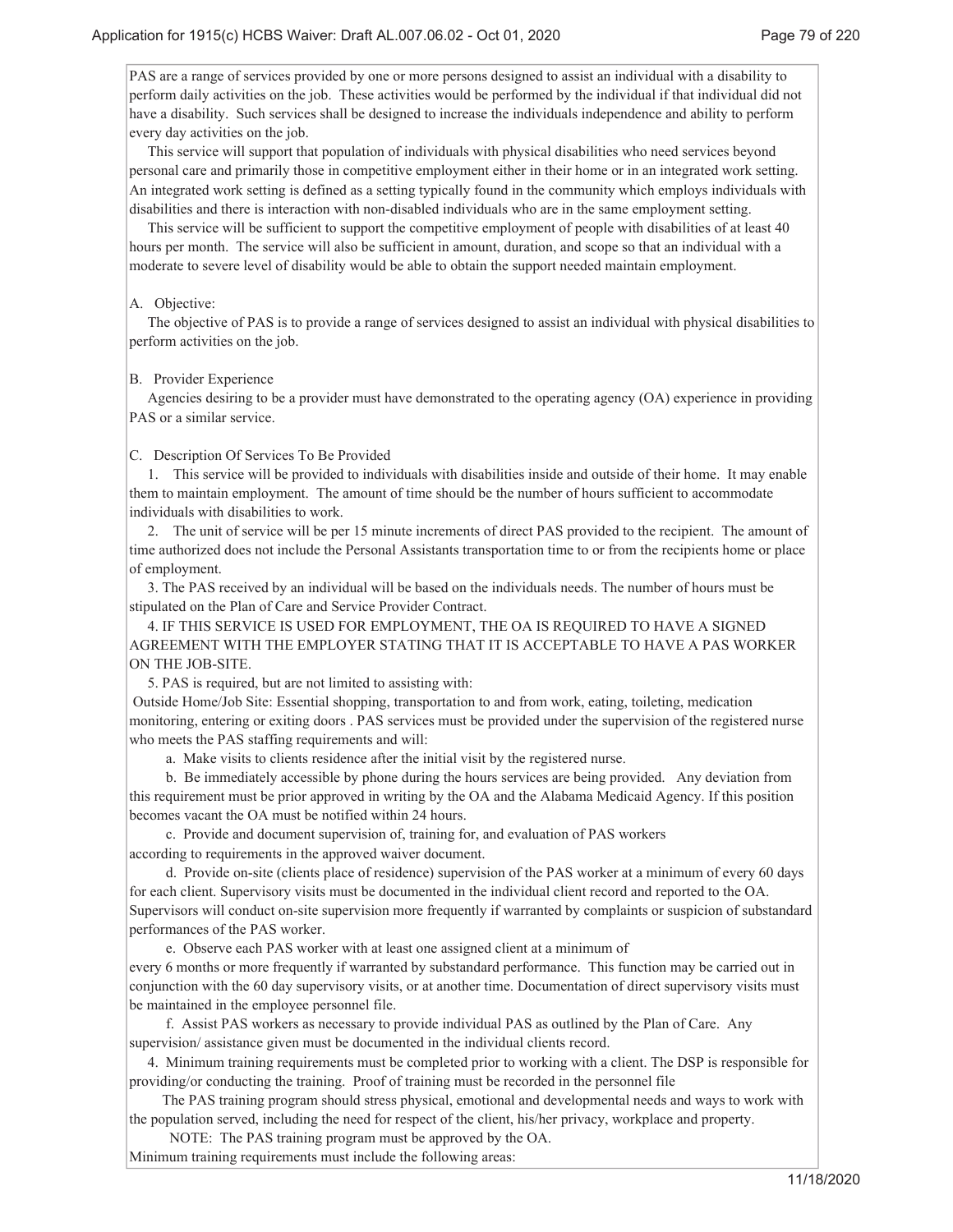PAS are a range of services provided by one or more persons designed to assist an individual with a disability to perform daily activities on the job. These activities would be performed by the individual if that individual did not have a disability. Such services shall be designed to increase the individuals independence and ability to perform every day activities on the job.

 This service will support that population of individuals with physical disabilities who need services beyond personal care and primarily those in competitive employment either in their home or in an integrated work setting. An integrated work setting is defined as a setting typically found in the community which employs individuals with disabilities and there is interaction with non-disabled individuals who are in the same employment setting.

 This service will be sufficient to support the competitive employment of people with disabilities of at least 40 hours per month. The service will also be sufficient in amount, duration, and scope so that an individual with a moderate to severe level of disability would be able to obtain the support needed maintain employment.

#### A. Objective:

 The objective of PAS is to provide a range of services designed to assist an individual with physical disabilities to perform activities on the job.

#### B. Provider Experience

 Agencies desiring to be a provider must have demonstrated to the operating agency (OA) experience in providing PAS or a similar service.

#### C. Description Of Services To Be Provided

 1. This service will be provided to individuals with disabilities inside and outside of their home. It may enable them to maintain employment. The amount of time should be the number of hours sufficient to accommodate individuals with disabilities to work.

 2. The unit of service will be per 15 minute increments of direct PAS provided to the recipient. The amount of time authorized does not include the Personal Assistants transportation time to or from the recipients home or place of employment.

 3. The PAS received by an individual will be based on the individuals needs. The number of hours must be stipulated on the Plan of Care and Service Provider Contract.

 4. IF THIS SERVICE IS USED FOR EMPLOYMENT, THE OA IS REQUIRED TO HAVE A SIGNED AGREEMENT WITH THE EMPLOYER STATING THAT IT IS ACCEPTABLE TO HAVE A PAS WORKER ON THE JOB-SITE.

5. PAS is required, but are not limited to assisting with:

 Outside Home/Job Site: Essential shopping, transportation to and from work, eating, toileting, medication monitoring, entering or exiting doors . PAS services must be provided under the supervision of the registered nurse who meets the PAS staffing requirements and will:

a. Make visits to clients residence after the initial visit by the registered nurse.

 b. Be immediately accessible by phone during the hours services are being provided. Any deviation from this requirement must be prior approved in writing by the OA and the Alabama Medicaid Agency. If this position becomes vacant the OA must be notified within 24 hours.

 c. Provide and document supervision of, training for, and evaluation of PAS workers according to requirements in the approved waiver document.

 d. Provide on-site (clients place of residence) supervision of the PAS worker at a minimum of every 60 days for each client. Supervisory visits must be documented in the individual client record and reported to the OA. Supervisors will conduct on-site supervision more frequently if warranted by complaints or suspicion of substandard performances of the PAS worker.

 e. Observe each PAS worker with at least one assigned client at a minimum of every 6 months or more frequently if warranted by substandard performance. This function may be carried out in conjunction with the 60 day supervisory visits, or at another time. Documentation of direct supervisory visits must be maintained in the employee personnel file.

 f. Assist PAS workers as necessary to provide individual PAS as outlined by the Plan of Care. Any supervision/ assistance given must be documented in the individual clients record.

 4. Minimum training requirements must be completed prior to working with a client. The DSP is responsible for providing/or conducting the training. Proof of training must be recorded in the personnel file

 The PAS training program should stress physical, emotional and developmental needs and ways to work with the population served, including the need for respect of the client, his/her privacy, workplace and property.

 NOTE: The PAS training program must be approved by the OA. Minimum training requirements must include the following areas: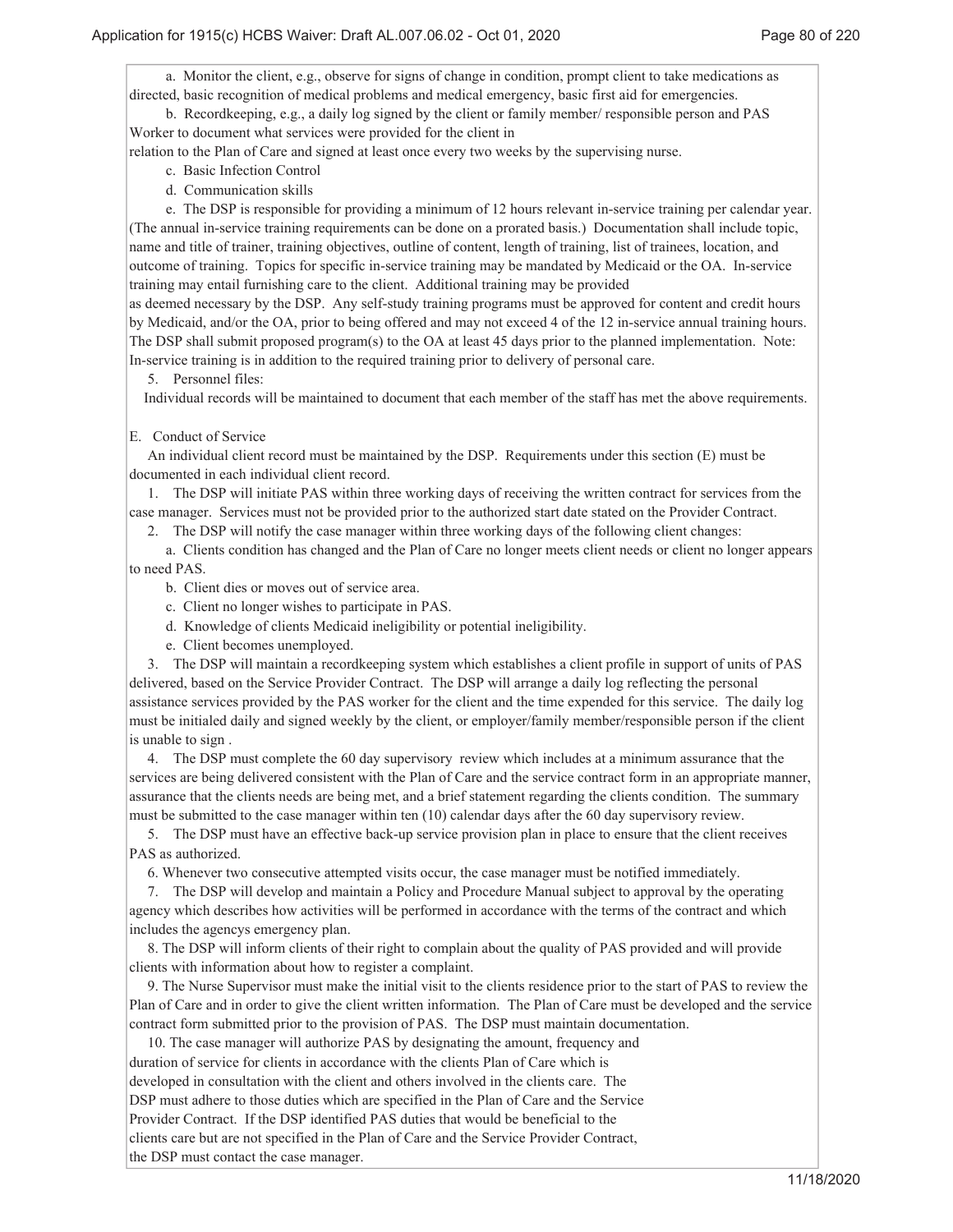a. Monitor the client, e.g., observe for signs of change in condition, prompt client to take medications as directed, basic recognition of medical problems and medical emergency, basic first aid for emergencies.

 b. Recordkeeping, e.g., a daily log signed by the client or family member/ responsible person and PAS Worker to document what services were provided for the client in

relation to the Plan of Care and signed at least once every two weeks by the supervising nurse.

- c. Basic Infection Control
- d. Communication skills

 e. The DSP is responsible for providing a minimum of 12 hours relevant in-service training per calendar year. (The annual in-service training requirements can be done on a prorated basis.) Documentation shall include topic, name and title of trainer, training objectives, outline of content, length of training, list of trainees, location, and outcome of training. Topics for specific in-service training may be mandated by Medicaid or the OA. In-service training may entail furnishing care to the client. Additional training may be provided

as deemed necessary by the DSP. Any self-study training programs must be approved for content and credit hours by Medicaid, and/or the OA, prior to being offered and may not exceed 4 of the 12 in-service annual training hours. The DSP shall submit proposed program(s) to the OA at least 45 days prior to the planned implementation. Note: In-service training is in addition to the required training prior to delivery of personal care.

5. Personnel files:

Individual records will be maintained to document that each member of the staff has met the above requirements.

### E. Conduct of Service

 An individual client record must be maintained by the DSP. Requirements under this section (E) must be documented in each individual client record.

 1. The DSP will initiate PAS within three working days of receiving the written contract for services from the case manager. Services must not be provided prior to the authorized start date stated on the Provider Contract.

2. The DSP will notify the case manager within three working days of the following client changes:

 a. Clients condition has changed and the Plan of Care no longer meets client needs or client no longer appears to need PAS.

- b. Client dies or moves out of service area.
- c. Client no longer wishes to participate in PAS.
- d. Knowledge of clients Medicaid ineligibility or potential ineligibility.
- e. Client becomes unemployed.

 3. The DSP will maintain a recordkeeping system which establishes a client profile in support of units of PAS delivered, based on the Service Provider Contract. The DSP will arrange a daily log reflecting the personal assistance services provided by the PAS worker for the client and the time expended for this service. The daily log must be initialed daily and signed weekly by the client, or employer/family member/responsible person if the client is unable to sign .

 4. The DSP must complete the 60 day supervisory review which includes at a minimum assurance that the services are being delivered consistent with the Plan of Care and the service contract form in an appropriate manner, assurance that the clients needs are being met, and a brief statement regarding the clients condition. The summary must be submitted to the case manager within ten (10) calendar days after the 60 day supervisory review.

 5. The DSP must have an effective back-up service provision plan in place to ensure that the client receives PAS as authorized.

6. Whenever two consecutive attempted visits occur, the case manager must be notified immediately.

 7. The DSP will develop and maintain a Policy and Procedure Manual subject to approval by the operating agency which describes how activities will be performed in accordance with the terms of the contract and which includes the agencys emergency plan.

 8. The DSP will inform clients of their right to complain about the quality of PAS provided and will provide clients with information about how to register a complaint.

 9. The Nurse Supervisor must make the initial visit to the clients residence prior to the start of PAS to review the Plan of Care and in order to give the client written information. The Plan of Care must be developed and the service contract form submitted prior to the provision of PAS. The DSP must maintain documentation.

 10. The case manager will authorize PAS by designating the amount, frequency and duration of service for clients in accordance with the clients Plan of Care which is developed in consultation with the client and others involved in the clients care. The DSP must adhere to those duties which are specified in the Plan of Care and the Service Provider Contract. If the DSP identified PAS duties that would be beneficial to the clients care but are not specified in the Plan of Care and the Service Provider Contract, the DSP must contact the case manager.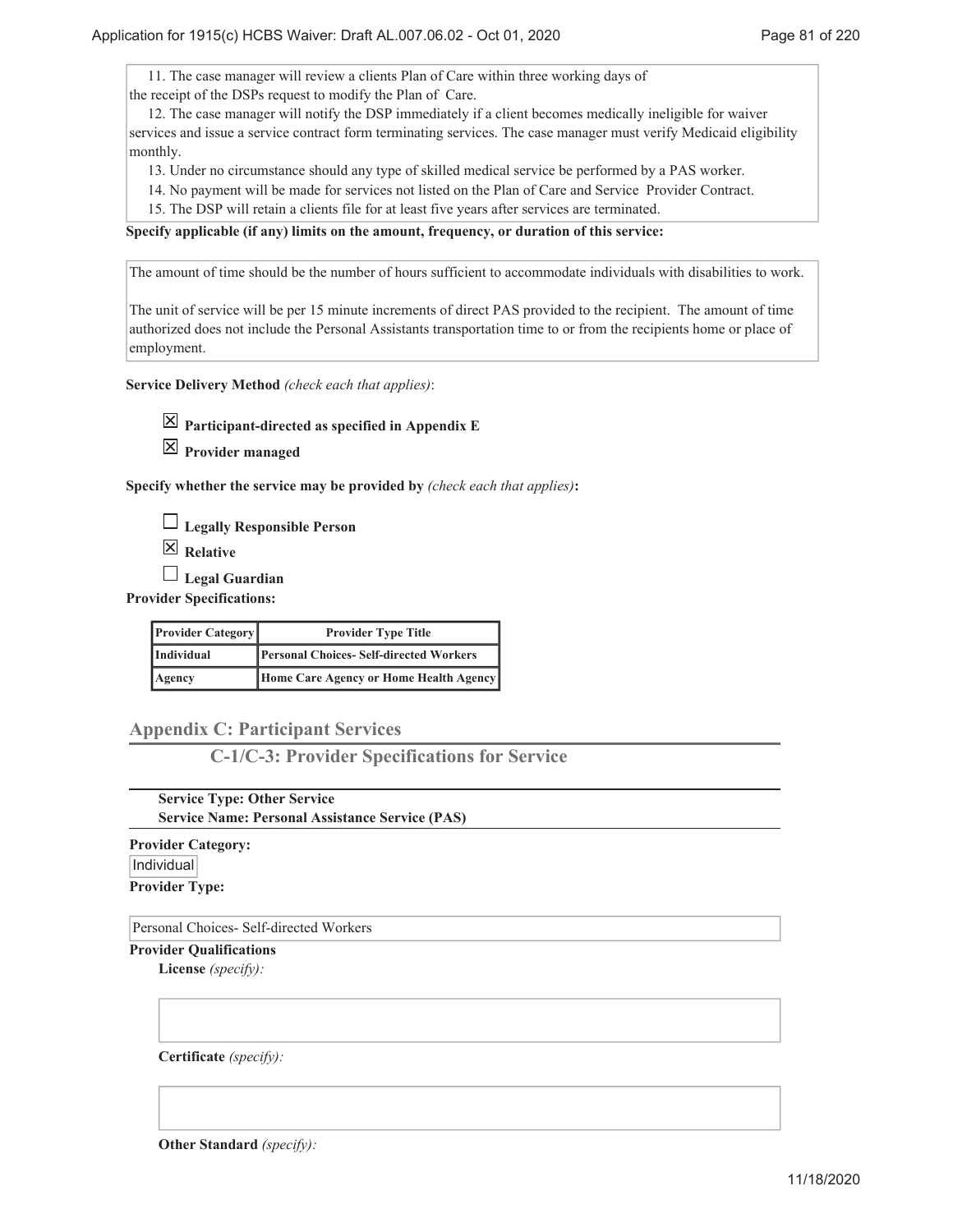11. The case manager will review a clients Plan of Care within three working days of the receipt of the DSPs request to modify the Plan of Care.

 12. The case manager will notify the DSP immediately if a client becomes medically ineligible for waiver services and issue a service contract form terminating services. The case manager must verify Medicaid eligibility monthly.

13. Under no circumstance should any type of skilled medical service be performed by a PAS worker.

14. No payment will be made for services not listed on the Plan of Care and Service Provider Contract.

15. The DSP will retain a clients file for at least five years after services are terminated.

**Specify applicable (if any) limits on the amount, frequency, or duration of this service:**

The amount of time should be the number of hours sufficient to accommodate individuals with disabilities to work.

The unit of service will be per 15 minute increments of direct PAS provided to the recipient. The amount of time authorized does not include the Personal Assistants transportation time to or from the recipients home or place of employment.

**Service Delivery Method** *(check each that applies)*:

**Participant-directed as specified in Appendix E**

**Provider managed**

**Specify whether the service may be provided by** *(check each that applies)***:**

**Legally Responsible Person**

**Relative**

**Legal Guardian**

**Provider Specifications:**

| <b>Provider Category</b> | <b>Provider Type Title</b>                    |  |
|--------------------------|-----------------------------------------------|--|
| Individual               | <b>Personal Choices-Self-directed Workers</b> |  |
| Agency                   | Home Care Agency or Home Health Agency        |  |

**Appendix C: Participant Services**

**C-1/C-3: Provider Specifications for Service**

**Service Type: Other Service Service Name: Personal Assistance Service (PAS)**

**Provider Category:** Individual **Provider Type:**

Personal Choices- Self-directed Workers

**Provider Qualifications**

**License** *(specify):*

**Certificate** *(specify):*

**Other Standard** *(specify):*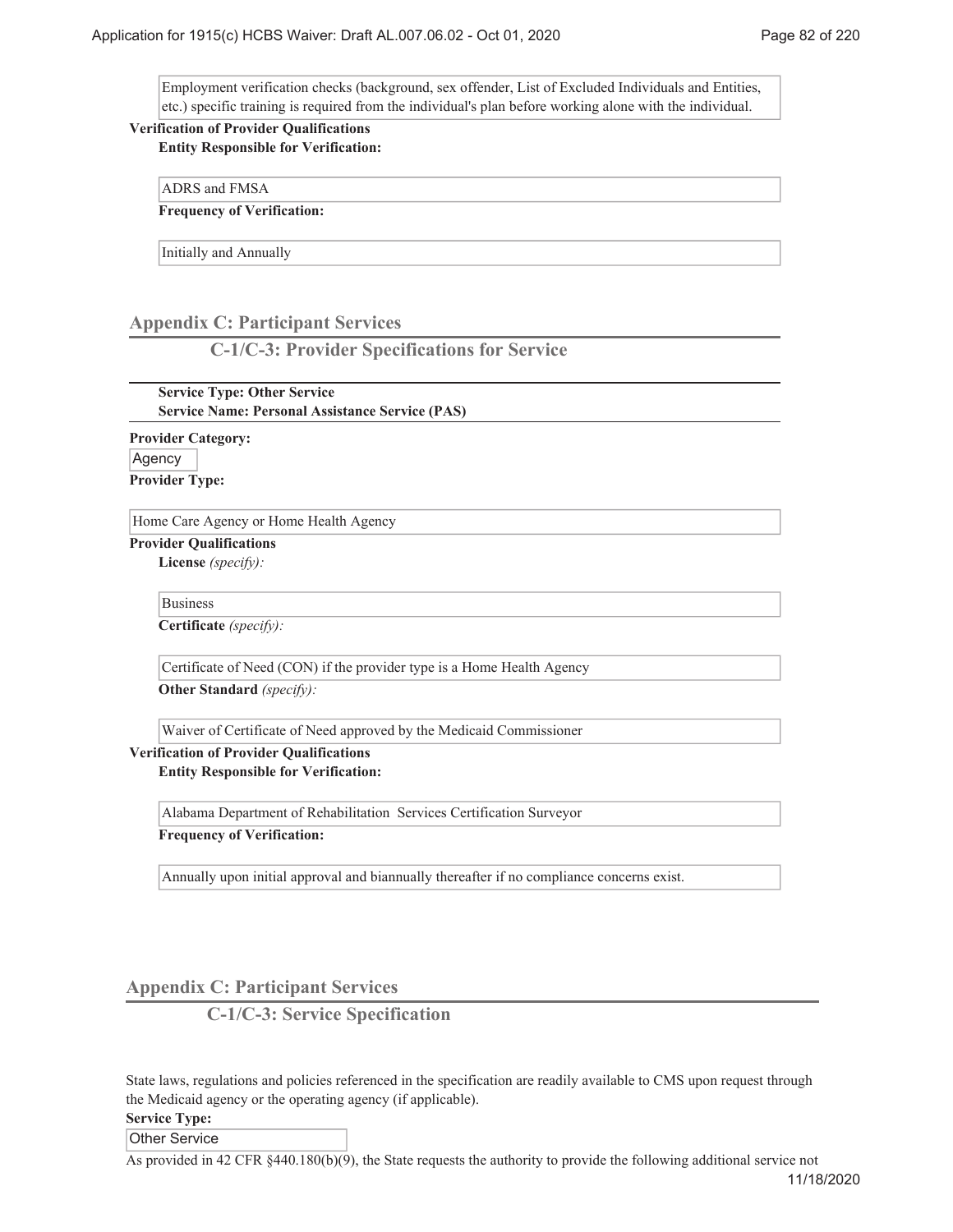Employment verification checks (background, sex offender, List of Excluded Individuals and Entities, etc.) specific training is required from the individual's plan before working alone with the individual.

# **Verification of Provider Qualifications**

**Entity Responsible for Verification:**

ADRS and FMSA

**Frequency of Verification:**

Initially and Annually

# **Appendix C: Participant Services**

**C-1/C-3: Provider Specifications for Service**

**Service Type: Other Service Service Name: Personal Assistance Service (PAS)**

**Provider Category:** Agency **Provider Type:**

Home Care Agency or Home Health Agency

**Provider Qualifications**

**License** *(specify):*

Business

**Certificate** *(specify):*

Certificate of Need (CON) if the provider type is a Home Health Agency

**Other Standard** *(specify):*

Waiver of Certificate of Need approved by the Medicaid Commissioner

# **Verification of Provider Qualifications**

**Entity Responsible for Verification:**

Alabama Department of Rehabilitation Services Certification Surveyor

**Frequency of Verification:**

Annually upon initial approval and biannually thereafter if no compliance concerns exist.

**Appendix C: Participant Services**

**C-1/C-3: Service Specification**

State laws, regulations and policies referenced in the specification are readily available to CMS upon request through the Medicaid agency or the operating agency (if applicable).

**Service Type:**

Other Service

As provided in 42 CFR §440.180(b)(9), the State requests the authority to provide the following additional service not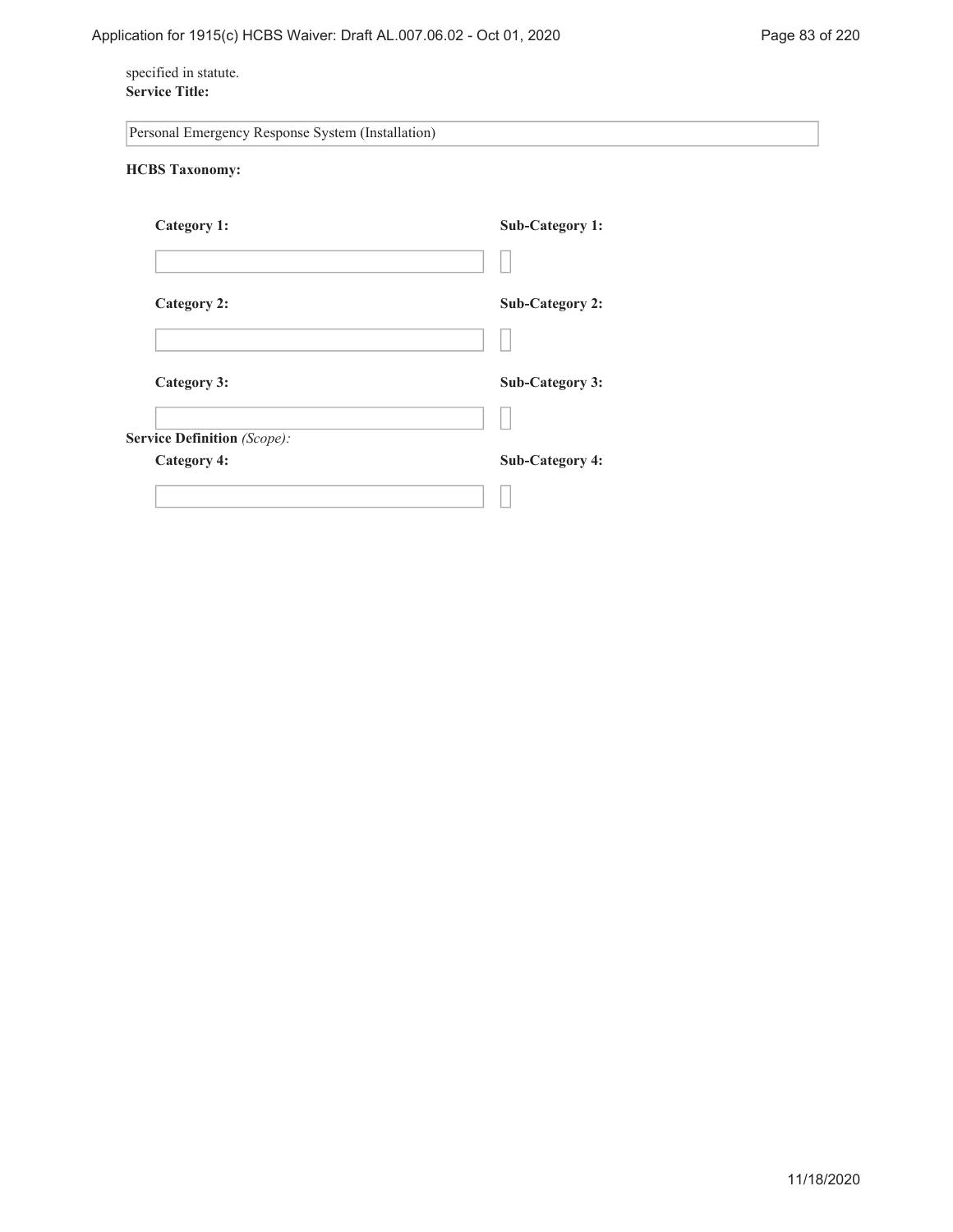# specified in statute. **Service Title:**

| Personal Emergency Response System (Installation) |                        |
|---------------------------------------------------|------------------------|
| <b>HCBS</b> Taxonomy:                             |                        |
| Category 1:                                       | Sub-Category 1:        |
|                                                   |                        |
| <b>Category 2:</b>                                | <b>Sub-Category 2:</b> |
|                                                   |                        |
| Category 3:                                       | <b>Sub-Category 3:</b> |
|                                                   |                        |
| <b>Service Definition (Scope):</b>                | <b>Sub-Category 4:</b> |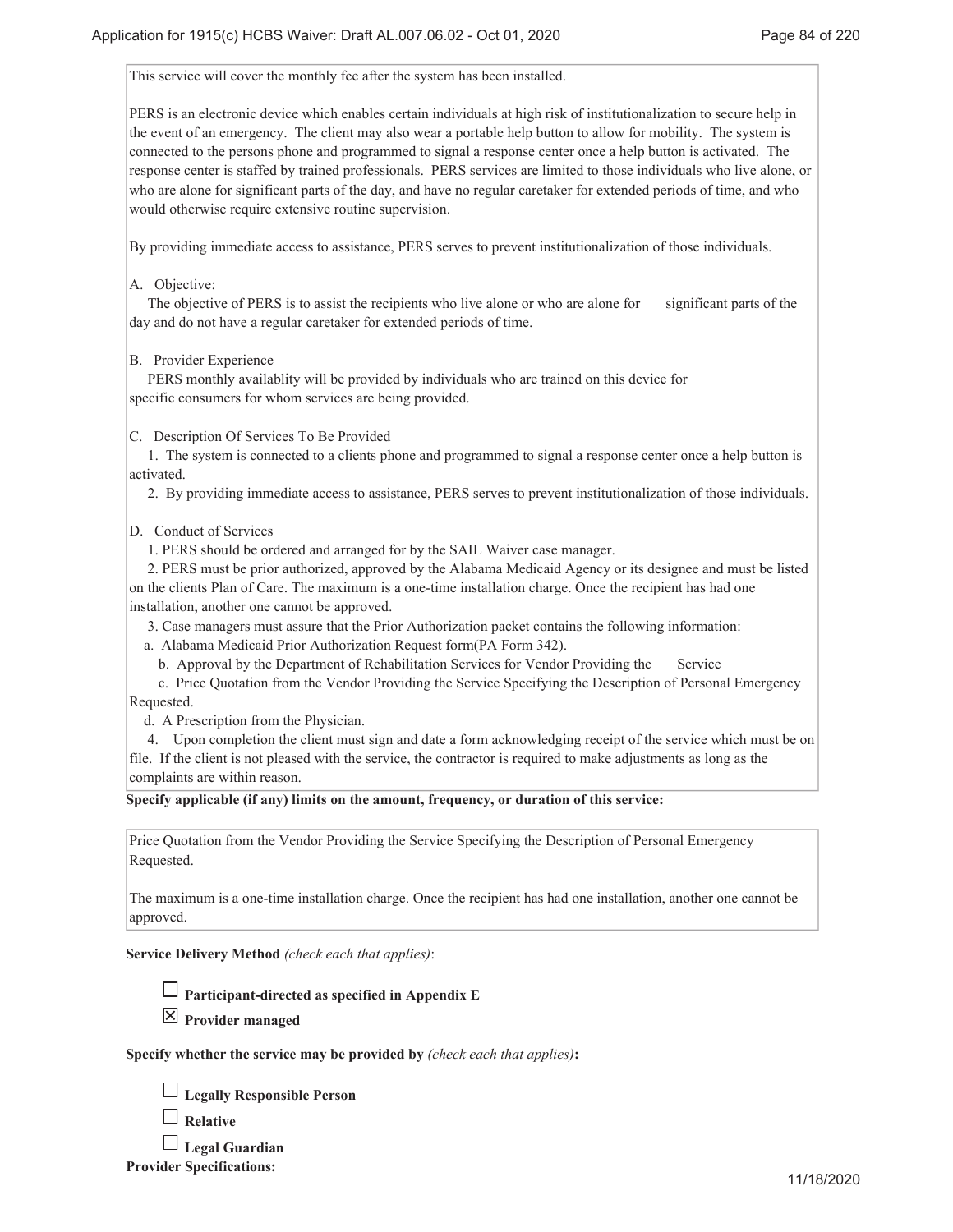This service will cover the monthly fee after the system has been installed.

PERS is an electronic device which enables certain individuals at high risk of institutionalization to secure help in the event of an emergency. The client may also wear a portable help button to allow for mobility. The system is connected to the persons phone and programmed to signal a response center once a help button is activated. The response center is staffed by trained professionals. PERS services are limited to those individuals who live alone, or who are alone for significant parts of the day, and have no regular caretaker for extended periods of time, and who would otherwise require extensive routine supervision.

By providing immediate access to assistance, PERS serves to prevent institutionalization of those individuals.

A. Objective:

 The objective of PERS is to assist the recipients who live alone or who are alone for significant parts of the day and do not have a regular caretaker for extended periods of time.

B. Provider Experience

 PERS monthly availablity will be provided by individuals who are trained on this device for specific consumers for whom services are being provided.

C. Description Of Services To Be Provided

 1. The system is connected to a clients phone and programmed to signal a response center once a help button is activated.

2. By providing immediate access to assistance, PERS serves to prevent institutionalization of those individuals.

D. Conduct of Services

1. PERS should be ordered and arranged for by the SAIL Waiver case manager.

 2. PERS must be prior authorized, approved by the Alabama Medicaid Agency or its designee and must be listed on the clients Plan of Care. The maximum is a one-time installation charge. Once the recipient has had one installation, another one cannot be approved.

3. Case managers must assure that the Prior Authorization packet contains the following information:

a. Alabama Medicaid Prior Authorization Request form(PA Form 342).

b. Approval by the Department of Rehabilitation Services for Vendor Providing the Service

 c. Price Quotation from the Vendor Providing the Service Specifying the Description of Personal Emergency Requested.

d. A Prescription from the Physician.

 4. Upon completion the client must sign and date a form acknowledging receipt of the service which must be on file. If the client is not pleased with the service, the contractor is required to make adjustments as long as the complaints are within reason.

**Specify applicable (if any) limits on the amount, frequency, or duration of this service:**

Price Quotation from the Vendor Providing the Service Specifying the Description of Personal Emergency Requested.

The maximum is a one-time installation charge. Once the recipient has had one installation, another one cannot be approved.

**Service Delivery Method** *(check each that applies)*:



**Provider managed**

**Specify whether the service may be provided by** *(check each that applies)***:**

| $\Box$ Legally Responsible Person |
|-----------------------------------|
| $\Box$ p $\Box$                   |

|  | <b>Relative</b> |
|--|-----------------|
|--|-----------------|

**Legal Guardian**

**Provider Specifications:**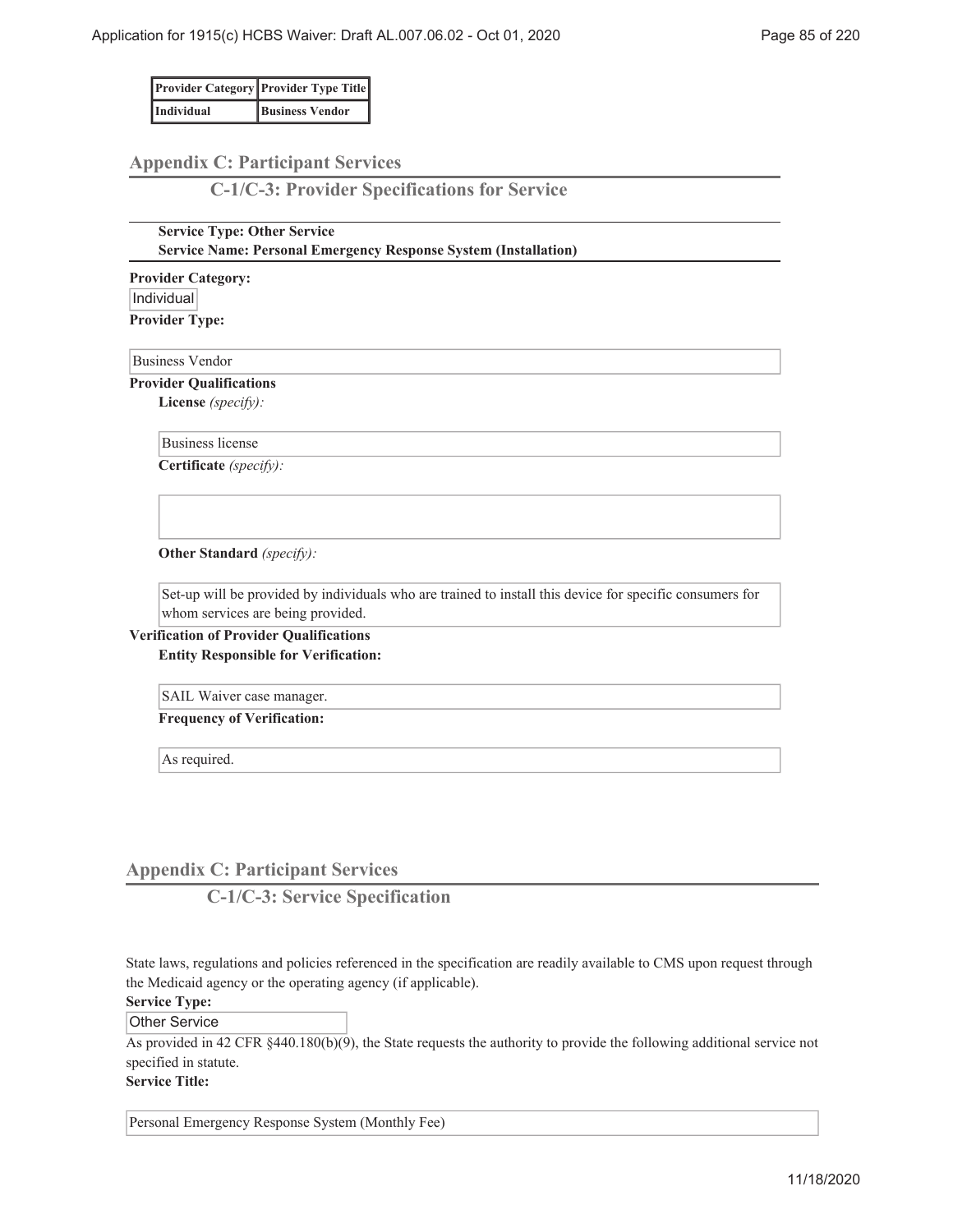|            | <b>Provider Category Provider Type Title</b> |
|------------|----------------------------------------------|
| Individual | <b>Business Vendor</b>                       |

# **Appendix C: Participant Services**

**C-1/C-3: Provider Specifications for Service**

### **Service Type: Other Service Service Name: Personal Emergency Response System (Installation)**

**Provider Category:** Individual **Provider Type:**

Business Vendor

**Provider Qualifications**

**License** *(specify):*

Business license

**Certificate** *(specify):*

**Other Standard** *(specify):*

Set-up will be provided by individuals who are trained to install this device for specific consumers for whom services are being provided.

**Verification of Provider Qualifications Entity Responsible for Verification:**

SAIL Waiver case manager.

**Frequency of Verification:**

As required.

# **Appendix C: Participant Services**

**C-1/C-3: Service Specification**

State laws, regulations and policies referenced in the specification are readily available to CMS upon request through the Medicaid agency or the operating agency (if applicable).

# **Service Type:**

Other Service

As provided in 42 CFR §440.180(b)(9), the State requests the authority to provide the following additional service not specified in statute.

**Service Title:**

Personal Emergency Response System (Monthly Fee)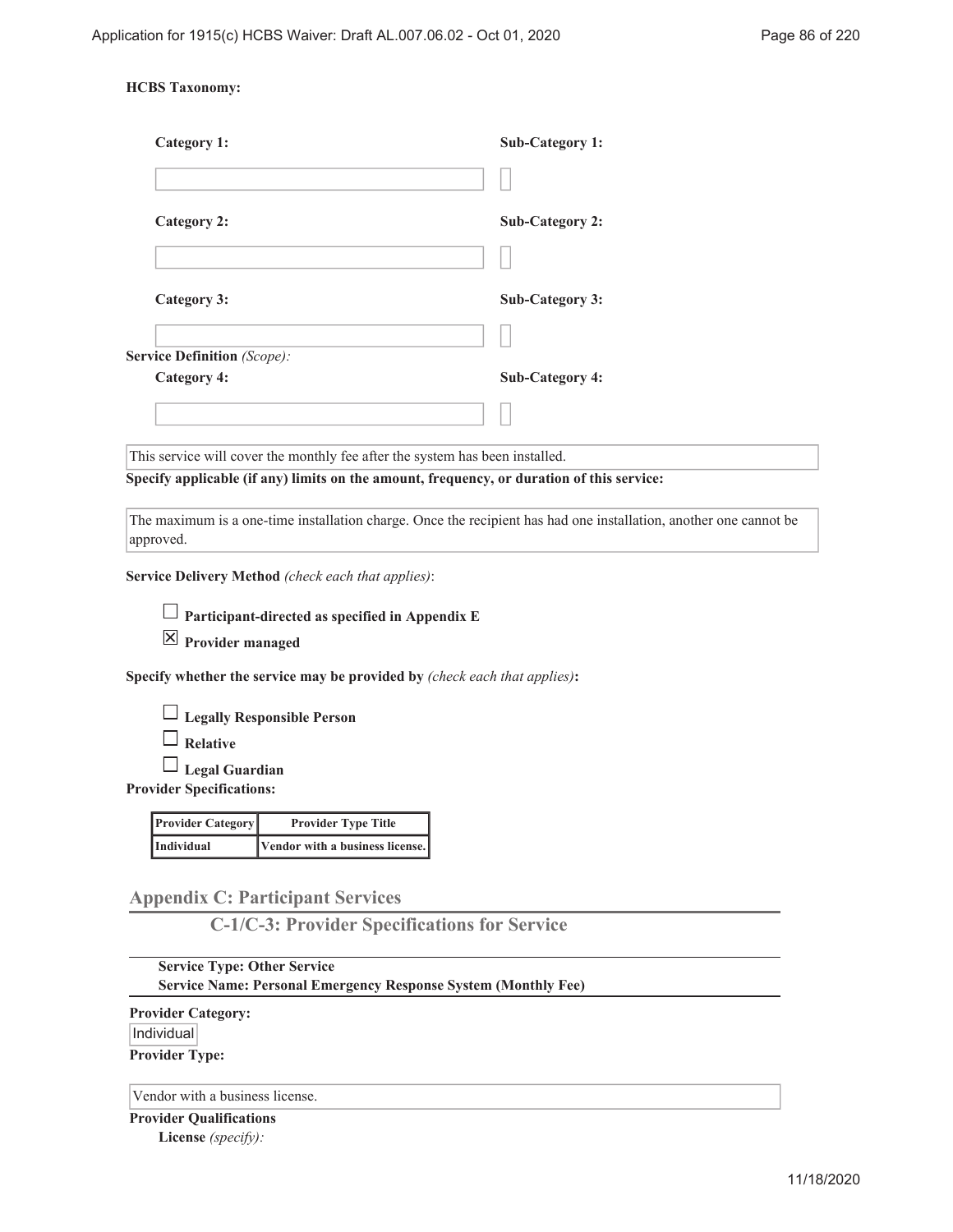### **HCBS Taxonomy:**

| Category 1:                                                                                                       | Sub-Category 1:        |
|-------------------------------------------------------------------------------------------------------------------|------------------------|
|                                                                                                                   |                        |
| Category 2:                                                                                                       | <b>Sub-Category 2:</b> |
|                                                                                                                   |                        |
| <b>Category 3:</b>                                                                                                | <b>Sub-Category 3:</b> |
|                                                                                                                   |                        |
| <b>Service Definition</b> (Scope):                                                                                |                        |
| Category 4:                                                                                                       | <b>Sub-Category 4:</b> |
|                                                                                                                   |                        |
| This service will cover the monthly fee after the system has been installed.                                      |                        |
| Specify applicable (if any) limits on the amount, frequency, or duration of this service:                         |                        |
| The maximum is a one-time installation charge. Once the recipient has had one installation, another one cannot be |                        |

approved.

**Service Delivery Method** *(check each that applies)*:

**Participant-directed as specified in Appendix E**

**Provider managed**

**Specify whether the service may be provided by** *(check each that applies)***:**

**Legally Responsible Person**

**Relative**

**Legal Guardian**

**Provider Specifications:**

| <b>Provider Category</b> | <b>Provider Type Title</b>      |
|--------------------------|---------------------------------|
| Individual               | Vendor with a business license. |

**Appendix C: Participant Services**

**C-1/C-3: Provider Specifications for Service**

**Service Type: Other Service Service Name: Personal Emergency Response System (Monthly Fee)**

**Provider Category:** |Individual| **Provider Type:**

Vendor with a business license.

**Provider Qualifications License** *(specify):*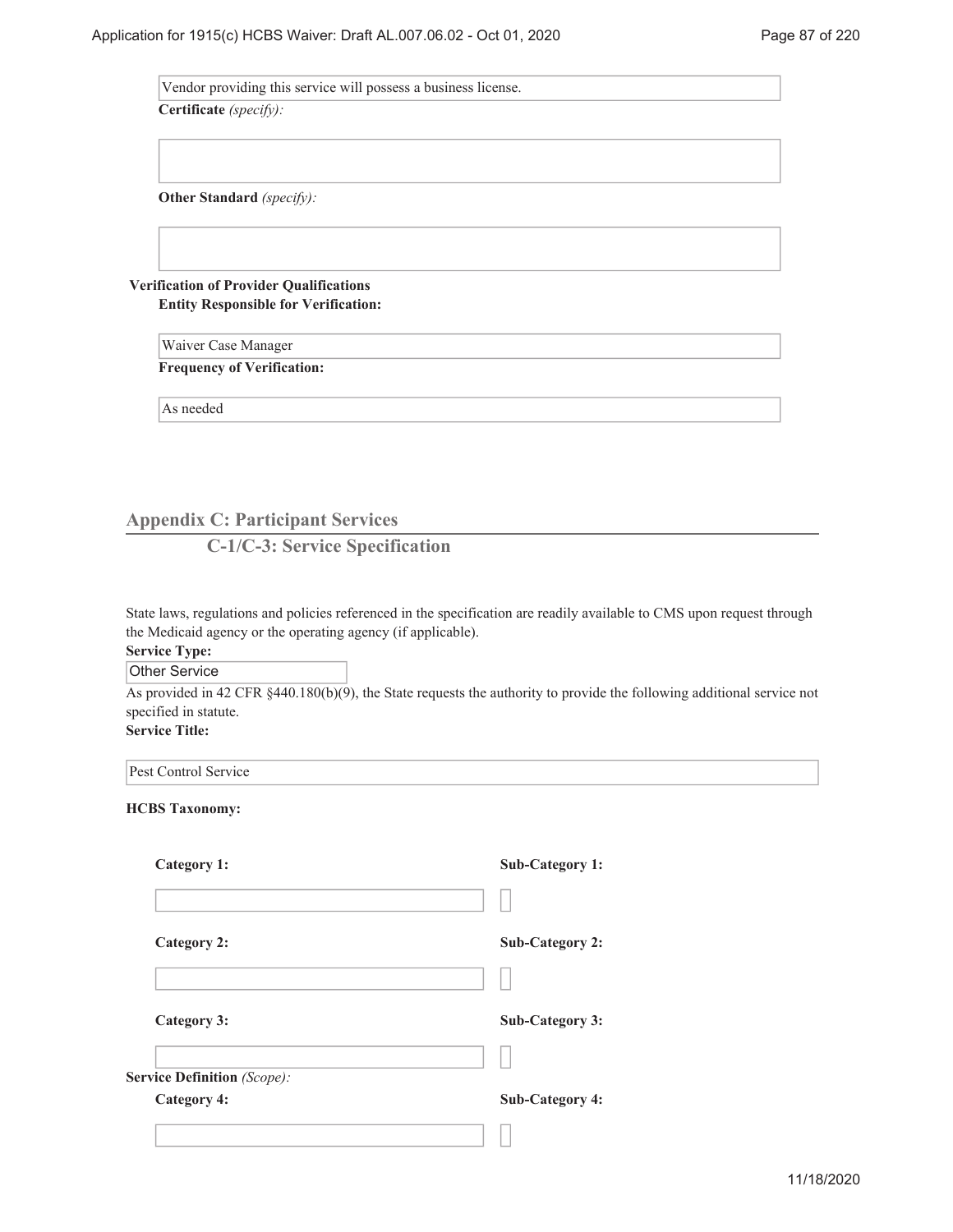Vendor providing this service will possess a business license.

**Certificate** *(specify):*

**Other Standard** *(specify):*

**Verification of Provider Qualifications Entity Responsible for Verification:**

> Waiver Case Manager **Frequency of Verification:**

As needed

# **Appendix C: Participant Services**

**C-1/C-3: Service Specification**

State laws, regulations and policies referenced in the specification are readily available to CMS upon request through the Medicaid agency or the operating agency (if applicable).

# **Service Type:**

Other Service

As provided in 42 CFR §440.180(b)(9), the State requests the authority to provide the following additional service not specified in statute.

**Service Title:**

Pest Control Service

| <b>Category 1:</b>                 | <b>Sub-Category 1:</b> |
|------------------------------------|------------------------|
|                                    |                        |
| <b>Category 2:</b>                 | <b>Sub-Category 2:</b> |
|                                    |                        |
| <b>Category 3:</b>                 | <b>Sub-Category 3:</b> |
|                                    |                        |
| <b>Service Definition</b> (Scope): |                        |
| <b>Category 4:</b>                 | <b>Sub-Category 4:</b> |
|                                    |                        |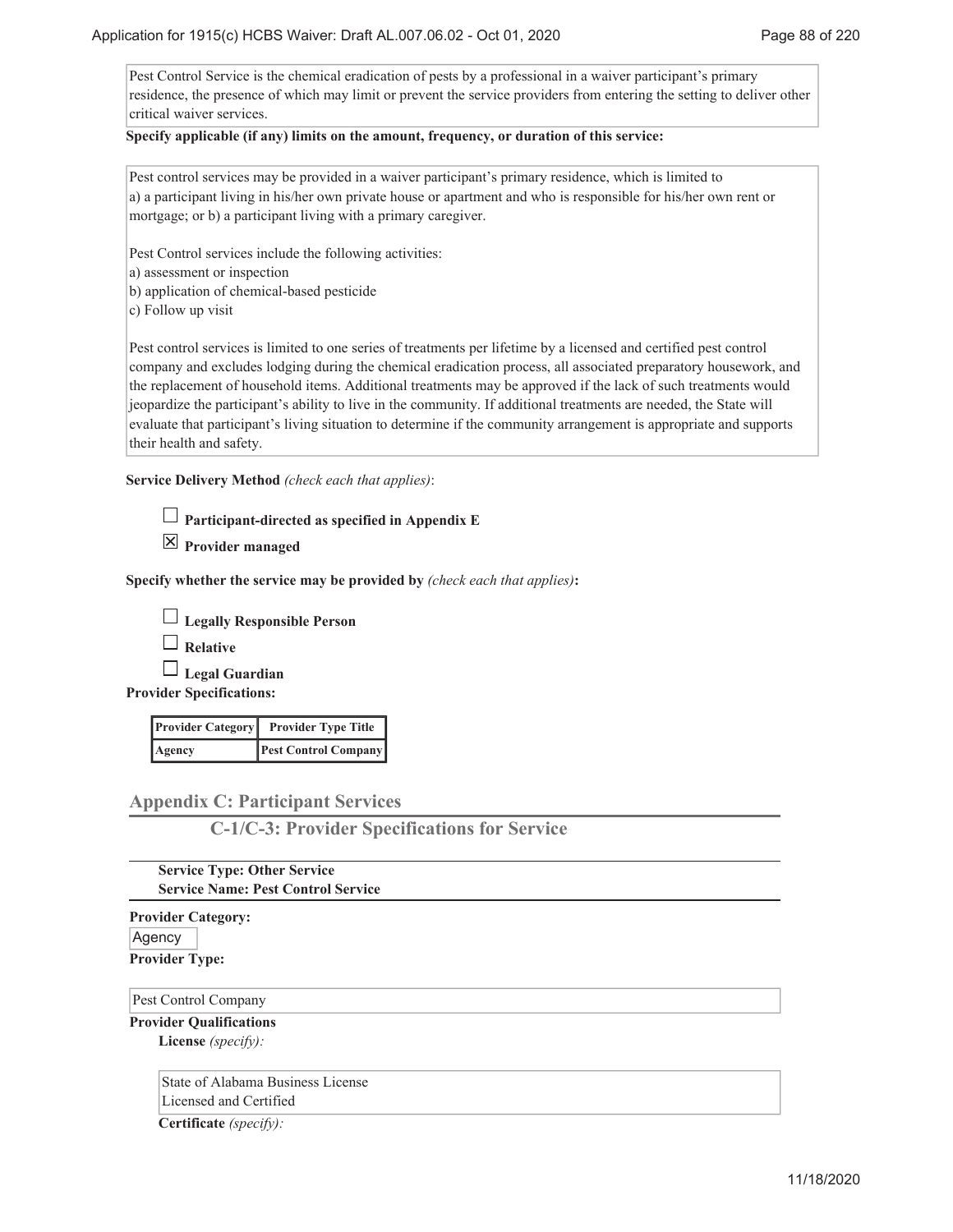Pest Control Service is the chemical eradication of pests by a professional in a waiver participant's primary residence, the presence of which may limit or prevent the service providers from entering the setting to deliver other critical waiver services.

### **Specify applicable (if any) limits on the amount, frequency, or duration of this service:**

Pest control services may be provided in a waiver participant's primary residence, which is limited to a) a participant living in his/her own private house or apartment and who is responsible for his/her own rent or mortgage; or b) a participant living with a primary caregiver.

Pest Control services include the following activities:

a) assessment or inspection

- b) application of chemical-based pesticide
- c) Follow up visit

Pest control services is limited to one series of treatments per lifetime by a licensed and certified pest control company and excludes lodging during the chemical eradication process, all associated preparatory housework, and the replacement of household items. Additional treatments may be approved if the lack of such treatments would jeopardize the participant's ability to live in the community. If additional treatments are needed, the State will evaluate that participant's living situation to determine if the community arrangement is appropriate and supports their health and safety.

**Service Delivery Method** *(check each that applies)*:

| $\Box$ Participant-directed as specified in Appendix E |  |  |
|--------------------------------------------------------|--|--|
|                                                        |  |  |

**Provider managed**

**Specify whether the service may be provided by** *(check each that applies)***:**

**Legally Responsible Person**

**Relative**

**Legal Guardian**

**Provider Specifications:**

|        | <b>Provider Category</b> Provider Type Title |
|--------|----------------------------------------------|
| Agency | <b>Pest Control Company</b>                  |

# **Appendix C: Participant Services**

**C-1/C-3: Provider Specifications for Service**

### **Service Type: Other Service Service Name: Pest Control Service**

**Provider Category:**

Agency **Provider Type:**

### Pest Control Company

**Provider Qualifications License** *(specify):*

> State of Alabama Business License Licensed and Certified

**Certificate** *(specify):*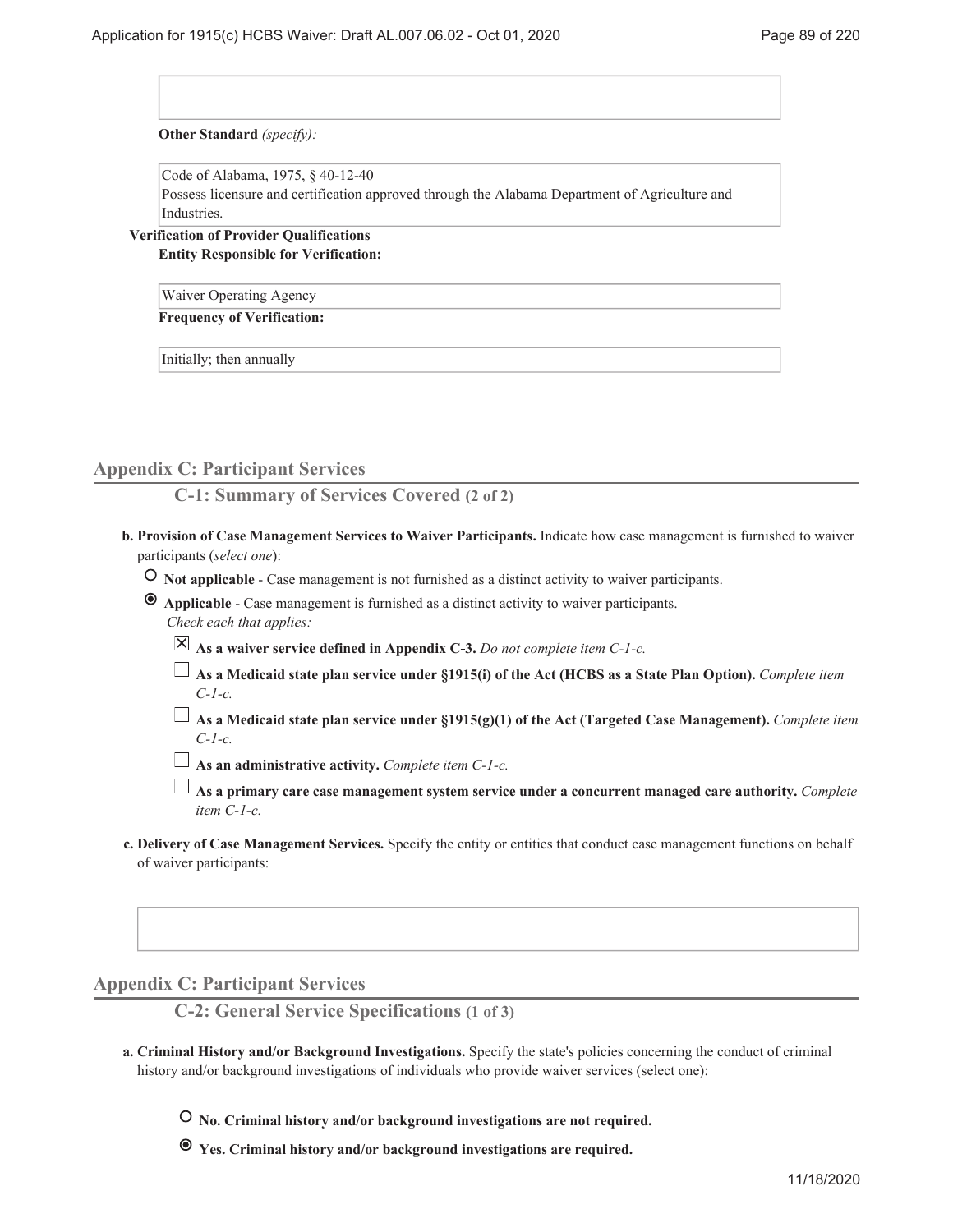**Other Standard** *(specify):*

Code of Alabama, 1975, § 40-12-40

Possess licensure and certification approved through the Alabama Department of Agriculture and Industries.

**Verification of Provider Qualifications Entity Responsible for Verification:**

Waiver Operating Agency

**Frequency of Verification:**

Initially; then annually

### **Appendix C: Participant Services**

**C-1: Summary of Services Covered (2 of 2)**

- **Provision of Case Management Services to Waiver Participants.** Indicate how case management is furnished to waiver **b.** participants (*select one*):
	- **Not applicable** Case management is not furnished as a distinct activity to waiver participants.
	- **Applicable** Case management is furnished as a distinct activity to waiver participants. *Check each that applies:*
		- **As a waiver service defined in Appendix C-3.** *Do not complete item C-1-c.*
		- **As a Medicaid state plan service under §1915(i) of the Act (HCBS as a State Plan Option).** *Complete item C-1-c.*
		- **As a Medicaid state plan service under §1915(g)(1) of the Act (Targeted Case Management).** *Complete item C-1-c.*

**As an administrative activity.** *Complete item C-1-c.*

- **As a primary care case management system service under a concurrent managed care authority.** *Complete item C-1-c.*
- **Delivery of Case Management Services.** Specify the entity or entities that conduct case management functions on behalf **c.** of waiver participants:

**Appendix C: Participant Services**

**C-2: General Service Specifications (1 of 3)**

- **Criminal History and/or Background Investigations.** Specify the state's policies concerning the conduct of criminal **a.** history and/or background investigations of individuals who provide waiver services (select one):
	- **No. Criminal history and/or background investigations are not required.**
	- **Yes. Criminal history and/or background investigations are required.**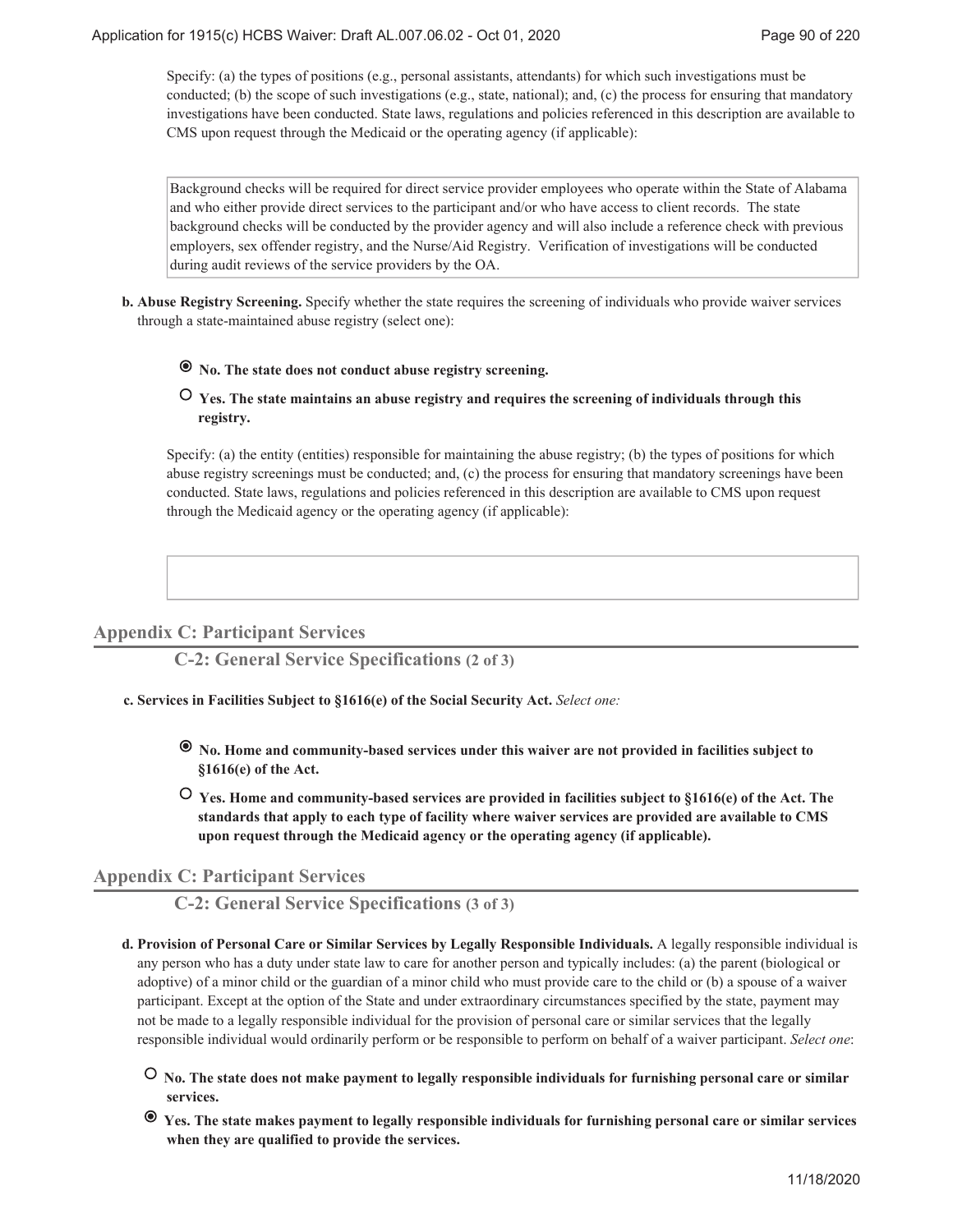Specify: (a) the types of positions (e.g., personal assistants, attendants) for which such investigations must be conducted; (b) the scope of such investigations (e.g., state, national); and, (c) the process for ensuring that mandatory investigations have been conducted. State laws, regulations and policies referenced in this description are available to CMS upon request through the Medicaid or the operating agency (if applicable):

Background checks will be required for direct service provider employees who operate within the State of Alabama and who either provide direct services to the participant and/or who have access to client records. The state background checks will be conducted by the provider agency and will also include a reference check with previous employers, sex offender registry, and the Nurse/Aid Registry. Verification of investigations will be conducted during audit reviews of the service providers by the OA.

**Abuse Registry Screening.** Specify whether the state requires the screening of individuals who provide waiver services **b.** through a state-maintained abuse registry (select one):

# **No. The state does not conduct abuse registry screening.**

# **Yes. The state maintains an abuse registry and requires the screening of individuals through this registry.**

Specify: (a) the entity (entities) responsible for maintaining the abuse registry; (b) the types of positions for which abuse registry screenings must be conducted; and, (c) the process for ensuring that mandatory screenings have been conducted. State laws, regulations and policies referenced in this description are available to CMS upon request through the Medicaid agency or the operating agency (if applicable):

# **Appendix C: Participant Services**

**C-2: General Service Specifications (2 of 3)**

- **Services in Facilities Subject to §1616(e) of the Social Security Act.** *Select one:* **c.**
	- **No. Home and community-based services under this waiver are not provided in facilities subject to §1616(e) of the Act.**
	- **Yes. Home and community-based services are provided in facilities subject to §1616(e) of the Act. The standards that apply to each type of facility where waiver services are provided are available to CMS upon request through the Medicaid agency or the operating agency (if applicable).**

# **Appendix C: Participant Services**

**C-2: General Service Specifications (3 of 3)**

- **Provision of Personal Care or Similar Services by Legally Responsible Individuals.** A legally responsible individual is **d.** any person who has a duty under state law to care for another person and typically includes: (a) the parent (biological or adoptive) of a minor child or the guardian of a minor child who must provide care to the child or (b) a spouse of a waiver participant. Except at the option of the State and under extraordinary circumstances specified by the state, payment may not be made to a legally responsible individual for the provision of personal care or similar services that the legally responsible individual would ordinarily perform or be responsible to perform on behalf of a waiver participant. *Select one*:
	- **No. The state does not make payment to legally responsible individuals for furnishing personal care or similar services.**
	- **Yes. The state makes payment to legally responsible individuals for furnishing personal care or similar services when they are qualified to provide the services.**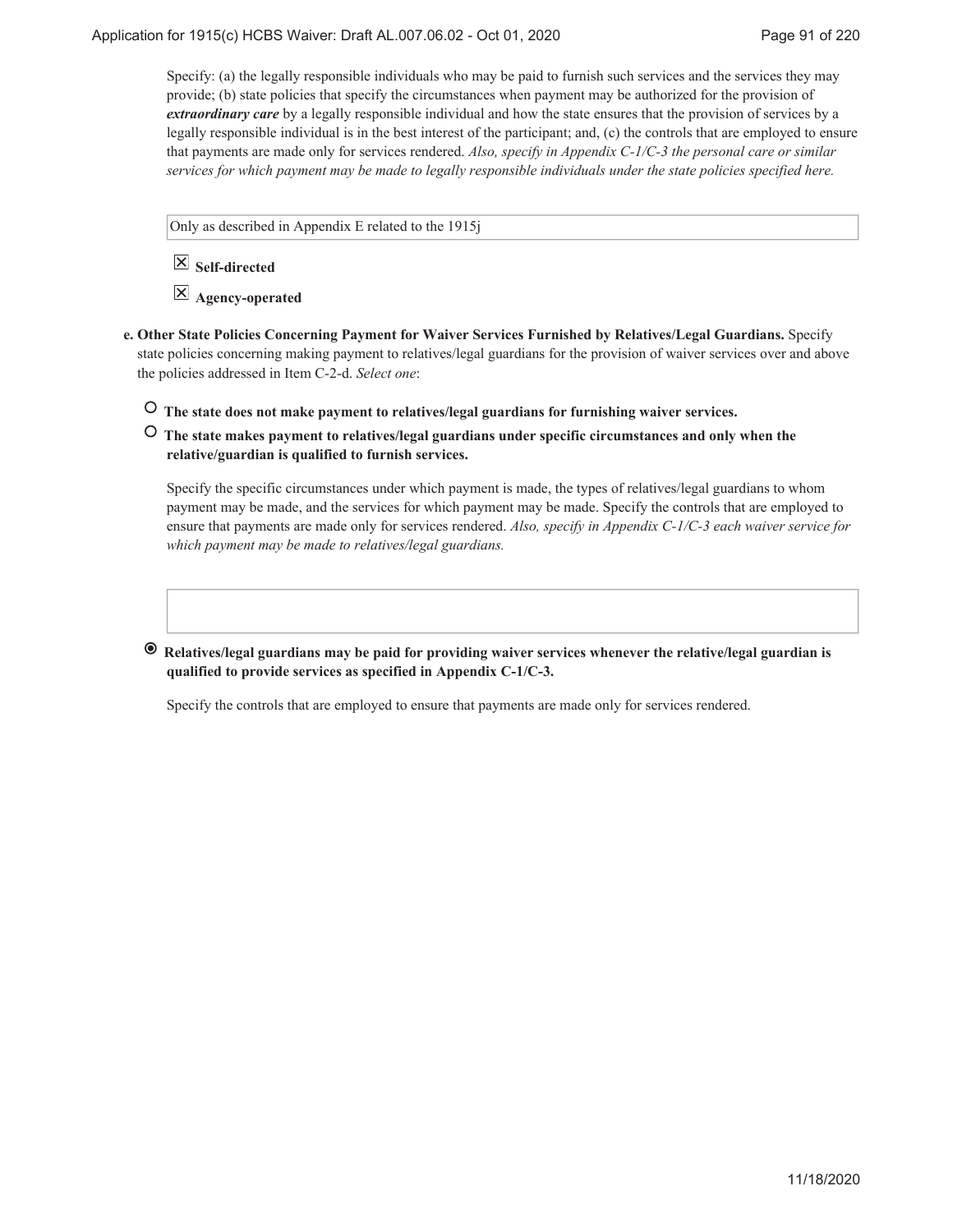Specify: (a) the legally responsible individuals who may be paid to furnish such services and the services they may provide; (b) state policies that specify the circumstances when payment may be authorized for the provision of *extraordinary care* by a legally responsible individual and how the state ensures that the provision of services by a legally responsible individual is in the best interest of the participant; and, (c) the controls that are employed to ensure that payments are made only for services rendered. *Also, specify in Appendix C-1/C-3 the personal care or similar services for which payment may be made to legally responsible individuals under the state policies specified here.*

Only as described in Appendix E related to the 1915j

 **Self-directed**

 **Agency-operated**

- **Other State Policies Concerning Payment for Waiver Services Furnished by Relatives/Legal Guardians.** Specify **e.** state policies concerning making payment to relatives/legal guardians for the provision of waiver services over and above the policies addressed in Item C-2-d. *Select one*:
	- **The state does not make payment to relatives/legal guardians for furnishing waiver services.**
	- **The state makes payment to relatives/legal guardians under specific circumstances and only when the relative/guardian is qualified to furnish services.**

Specify the specific circumstances under which payment is made, the types of relatives/legal guardians to whom payment may be made, and the services for which payment may be made. Specify the controls that are employed to ensure that payments are made only for services rendered. *Also, specify in Appendix C-1/C-3 each waiver service for which payment may be made to relatives/legal guardians.*

 **Relatives/legal guardians may be paid for providing waiver services whenever the relative/legal guardian is qualified to provide services as specified in Appendix C-1/C-3.**

Specify the controls that are employed to ensure that payments are made only for services rendered.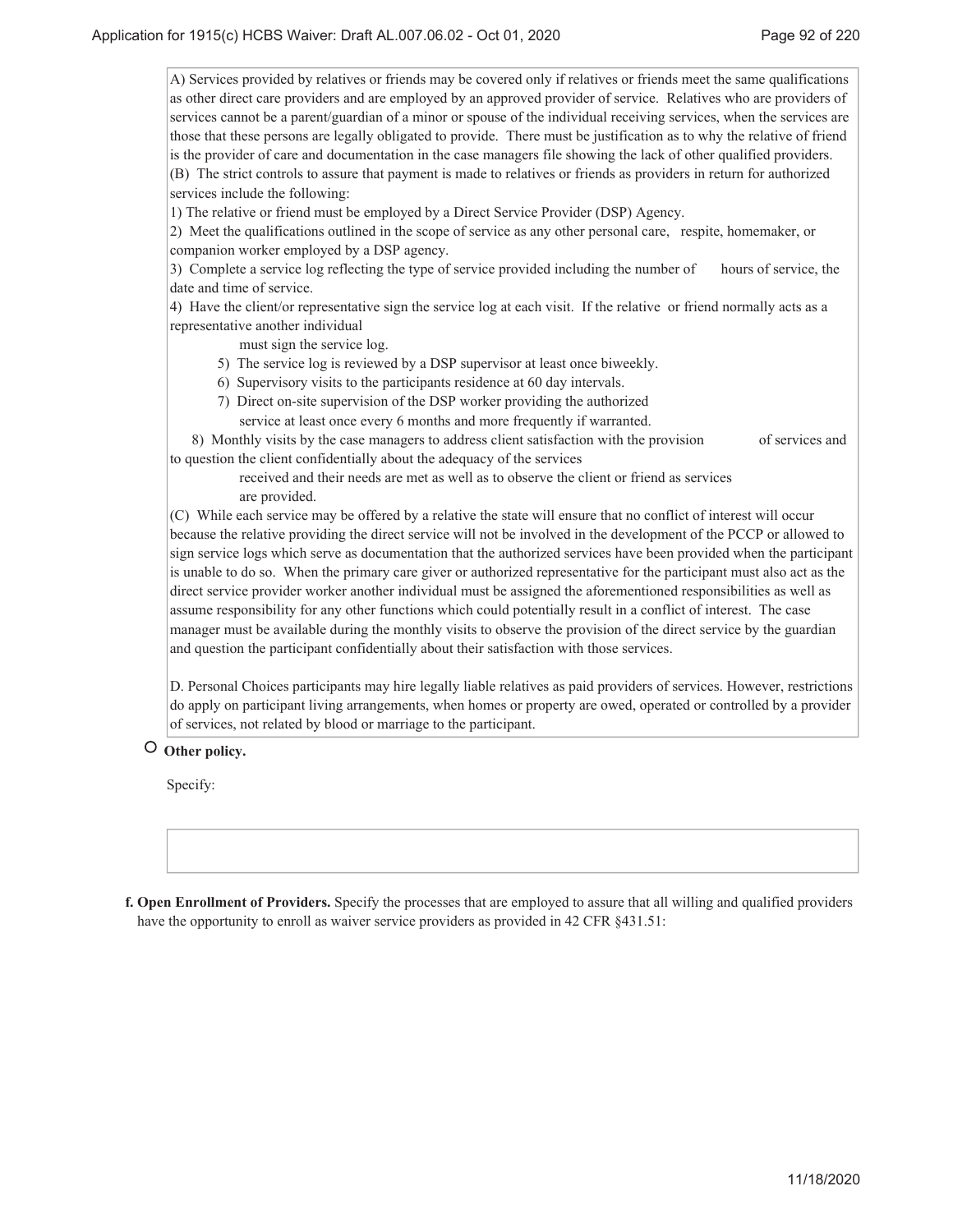A) Services provided by relatives or friends may be covered only if relatives or friends meet the same qualifications as other direct care providers and are employed by an approved provider of service. Relatives who are providers of services cannot be a parent/guardian of a minor or spouse of the individual receiving services, when the services are those that these persons are legally obligated to provide. There must be justification as to why the relative of friend is the provider of care and documentation in the case managers file showing the lack of other qualified providers. (B) The strict controls to assure that payment is made to relatives or friends as providers in return for authorized services include the following:

1) The relative or friend must be employed by a Direct Service Provider (DSP) Agency.

2) Meet the qualifications outlined in the scope of service as any other personal care, respite, homemaker, or companion worker employed by a DSP agency.

3) Complete a service log reflecting the type of service provided including the number of hours of service, the date and time of service.

4) Have the client/or representative sign the service log at each visit. If the relative or friend normally acts as a representative another individual

must sign the service log.

- 5) The service log is reviewed by a DSP supervisor at least once biweekly.
- 6) Supervisory visits to the participants residence at 60 day intervals.
- 7) Direct on-site supervision of the DSP worker providing the authorized
	- service at least once every 6 months and more frequently if warranted.

 8) Monthly visits by the case managers to address client satisfaction with the provision of services and to question the client confidentially about the adequacy of the services

 received and their needs are met as well as to observe the client or friend as services are provided.

(C) While each service may be offered by a relative the state will ensure that no conflict of interest will occur because the relative providing the direct service will not be involved in the development of the PCCP or allowed to sign service logs which serve as documentation that the authorized services have been provided when the participant is unable to do so. When the primary care giver or authorized representative for the participant must also act as the direct service provider worker another individual must be assigned the aforementioned responsibilities as well as assume responsibility for any other functions which could potentially result in a conflict of interest. The case manager must be available during the monthly visits to observe the provision of the direct service by the guardian and question the participant confidentially about their satisfaction with those services.

D. Personal Choices participants may hire legally liable relatives as paid providers of services. However, restrictions do apply on participant living arrangements, when homes or property are owed, operated or controlled by a provider of services, not related by blood or marriage to the participant.

 **Other policy.**

Specify:

**Open Enrollment of Providers.** Specify the processes that are employed to assure that all willing and qualified providers **f.** have the opportunity to enroll as waiver service providers as provided in 42 CFR §431.51: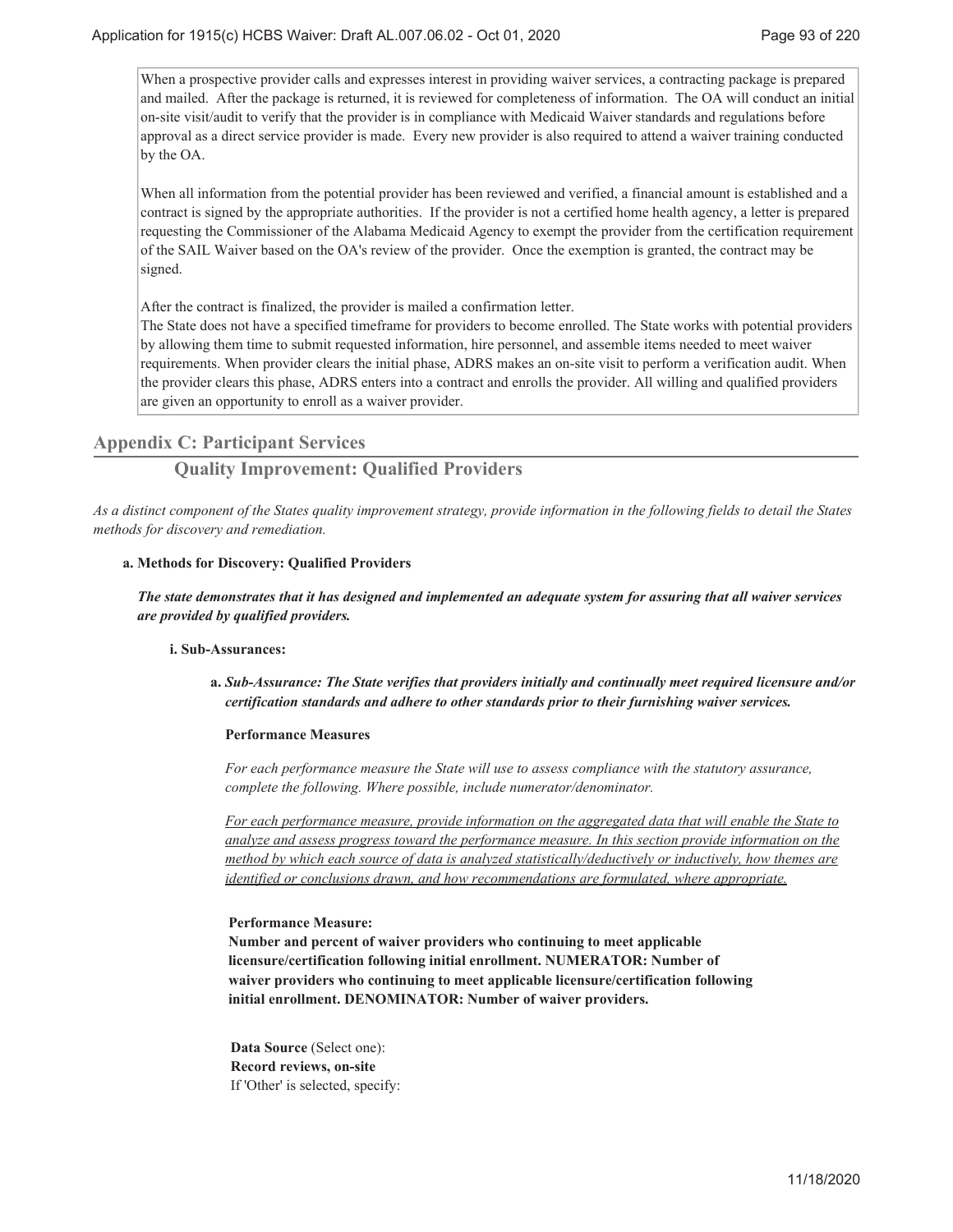When a prospective provider calls and expresses interest in providing waiver services, a contracting package is prepared and mailed. After the package is returned, it is reviewed for completeness of information. The OA will conduct an initial on-site visit/audit to verify that the provider is in compliance with Medicaid Waiver standards and regulations before approval as a direct service provider is made. Every new provider is also required to attend a waiver training conducted by the OA.

When all information from the potential provider has been reviewed and verified, a financial amount is established and a contract is signed by the appropriate authorities. If the provider is not a certified home health agency, a letter is prepared requesting the Commissioner of the Alabama Medicaid Agency to exempt the provider from the certification requirement of the SAIL Waiver based on the OA's review of the provider. Once the exemption is granted, the contract may be signed.

After the contract is finalized, the provider is mailed a confirmation letter.

The State does not have a specified timeframe for providers to become enrolled. The State works with potential providers by allowing them time to submit requested information, hire personnel, and assemble items needed to meet waiver requirements. When provider clears the initial phase, ADRS makes an on-site visit to perform a verification audit. When the provider clears this phase, ADRS enters into a contract and enrolls the provider. All willing and qualified providers are given an opportunity to enroll as a waiver provider.

### **Appendix C: Participant Services**

# **Quality Improvement: Qualified Providers**

*As a distinct component of the States quality improvement strategy, provide information in the following fields to detail the States methods for discovery and remediation.*

#### **Methods for Discovery: Qualified Providers a.**

*The state demonstrates that it has designed and implemented an adequate system for assuring that all waiver services are provided by qualified providers.*

#### **Sub-Assurances: i.**

*Sub-Assurance: The State verifies that providers initially and continually meet required licensure and/or* **a.** *certification standards and adhere to other standards prior to their furnishing waiver services.*

#### **Performance Measures**

*For each performance measure the State will use to assess compliance with the statutory assurance, complete the following. Where possible, include numerator/denominator.*

*For each performance measure, provide information on the aggregated data that will enable the State to analyze and assess progress toward the performance measure. In this section provide information on the method by which each source of data is analyzed statistically/deductively or inductively, how themes are identified or conclusions drawn, and how recommendations are formulated, where appropriate.*

### **Performance Measure:**

**Number and percent of waiver providers who continuing to meet applicable licensure/certification following initial enrollment. NUMERATOR: Number of waiver providers who continuing to meet applicable licensure/certification following initial enrollment. DENOMINATOR: Number of waiver providers.**

**Data Source** (Select one): **Record reviews, on-site** If 'Other' is selected, specify: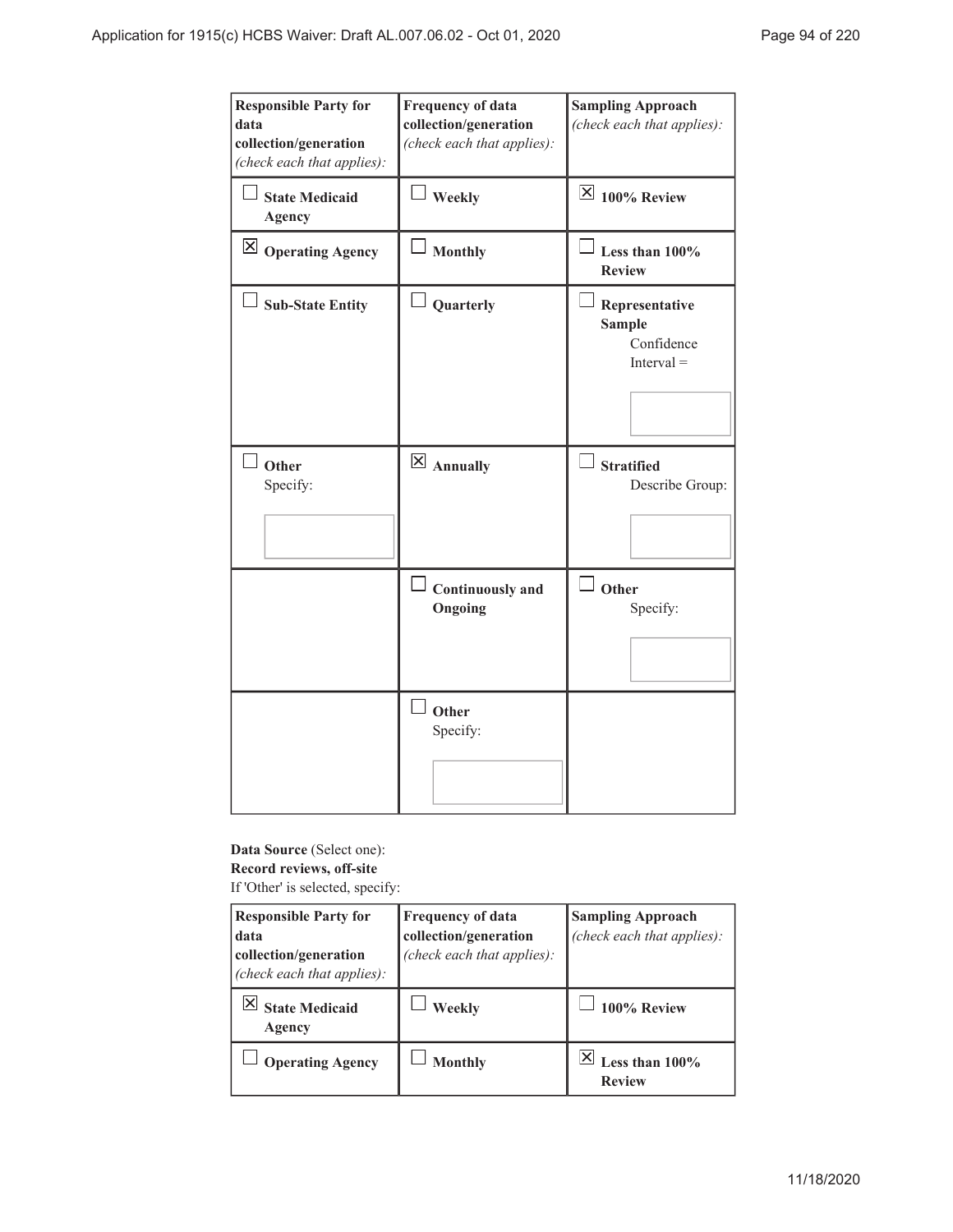| <b>Responsible Party for</b><br>data<br>collection/generation<br>(check each that applies): | <b>Frequency of data</b><br>collection/generation<br>(check each that applies): | <b>Sampling Approach</b><br>(check each that applies):        |
|---------------------------------------------------------------------------------------------|---------------------------------------------------------------------------------|---------------------------------------------------------------|
| <b>State Medicaid</b><br><b>Agency</b>                                                      | $\perp$ Weekly                                                                  | $\overline{\boxtimes}$ 100% Review                            |
| $\boxtimes$ Operating Agency                                                                | <b>Monthly</b>                                                                  | Less than 100%<br><b>Review</b>                               |
| <b>Sub-State Entity</b>                                                                     | Quarterly                                                                       | Representative<br><b>Sample</b><br>Confidence<br>$Interval =$ |
| Other<br>Specify:                                                                           | $\overline{\mathsf{X}}$ Annually                                                | <b>Stratified</b><br>Describe Group:                          |
|                                                                                             | $\perp$ Continuously and<br>Ongoing                                             | $\Box$ Other<br>Specify:                                      |
|                                                                                             | $\overline{\phantom{a}}$ Other<br>Specify:                                      |                                                               |

**Data Source** (Select one): **Record reviews, off-site** If 'Other' is selected, specify:

| <b>Responsible Party for</b><br>data<br>collection/generation<br>(check each that applies): | <b>Frequency of data</b><br>collection/generation<br>(check each that applies): | <b>Sampling Approach</b><br>(check each that applies): |
|---------------------------------------------------------------------------------------------|---------------------------------------------------------------------------------|--------------------------------------------------------|
| <b>State Medicaid</b><br>Agency                                                             | Weekly                                                                          | 100% Review                                            |
| <b>Operating Agency</b>                                                                     | <b>Monthly</b>                                                                  | Less than $100\%$<br><b>Review</b>                     |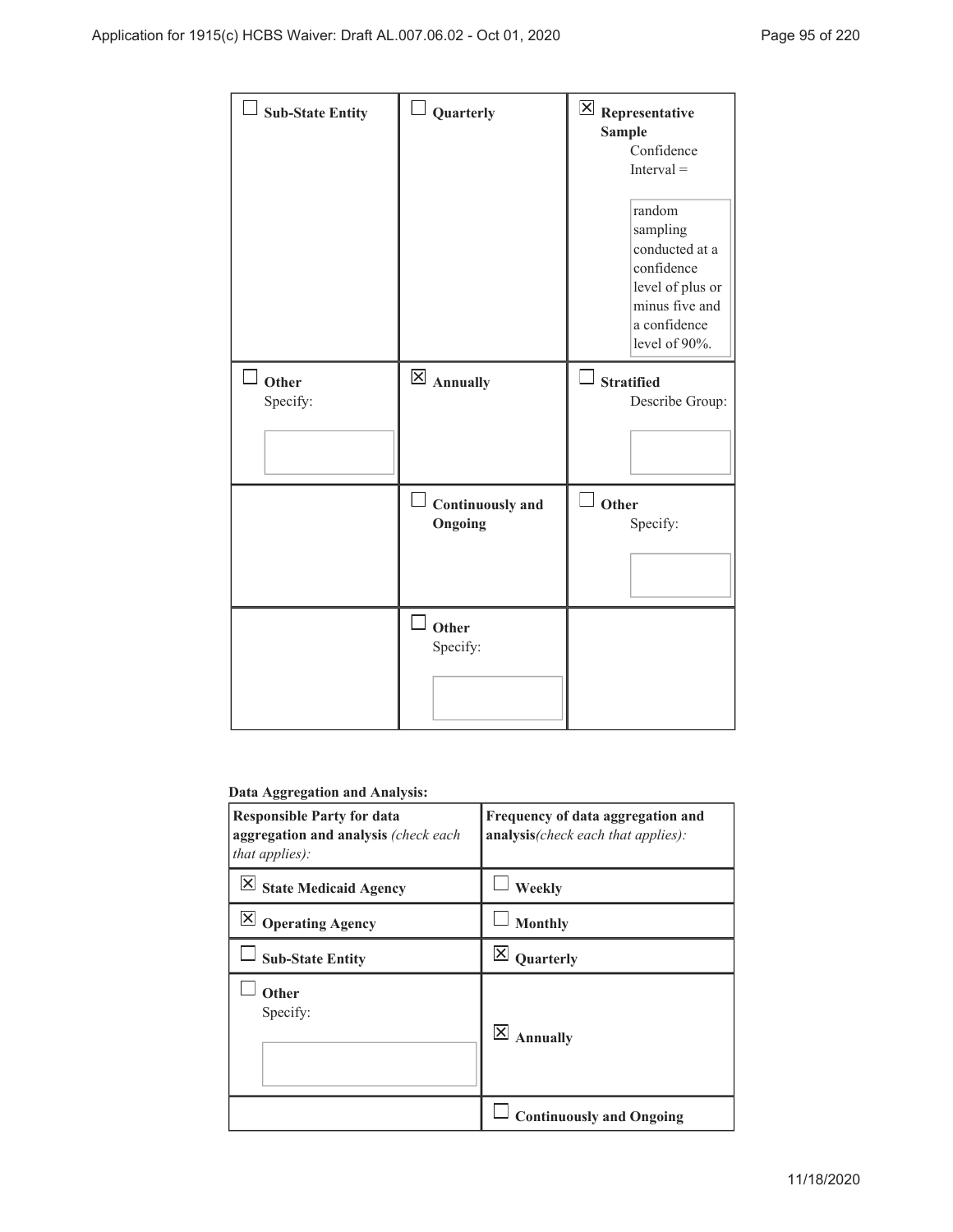| Sub-State Entity          | Quarterly                          | $\overline{\mathsf{X}}$ Representative<br><b>Sample</b><br>Confidence<br>$Interval =$<br>random<br>sampling<br>conducted at a<br>confidence<br>level of plus or<br>minus five and<br>a confidence<br>level of 90%. |
|---------------------------|------------------------------------|--------------------------------------------------------------------------------------------------------------------------------------------------------------------------------------------------------------------|
| $\perp$ Other<br>Specify: | $\boxtimes$ Annually               | <b>Stratified</b><br>Describe Group:                                                                                                                                                                               |
|                           | <b>Continuously</b> and<br>Ongoing | Other<br>Specify:                                                                                                                                                                                                  |
|                           | Other<br>Specify:                  |                                                                                                                                                                                                                    |

# **Data Aggregation and Analysis:**

| <b>Responsible Party for data</b><br>aggregation and analysis (check each<br>that applies): | Frequency of data aggregation and<br>analysis(check each that applies): |
|---------------------------------------------------------------------------------------------|-------------------------------------------------------------------------|
| $\boxtimes$ State Medicaid Agency                                                           | Weekly                                                                  |
| $\boxtimes$ Operating Agency                                                                | <b>Monthly</b>                                                          |
| <b>Sub-State Entity</b>                                                                     | X<br>Quarterly                                                          |
| Other<br>Specify:                                                                           | $\vert \times \vert$<br><b>Annually</b>                                 |
|                                                                                             | <b>Continuously and Ongoing</b>                                         |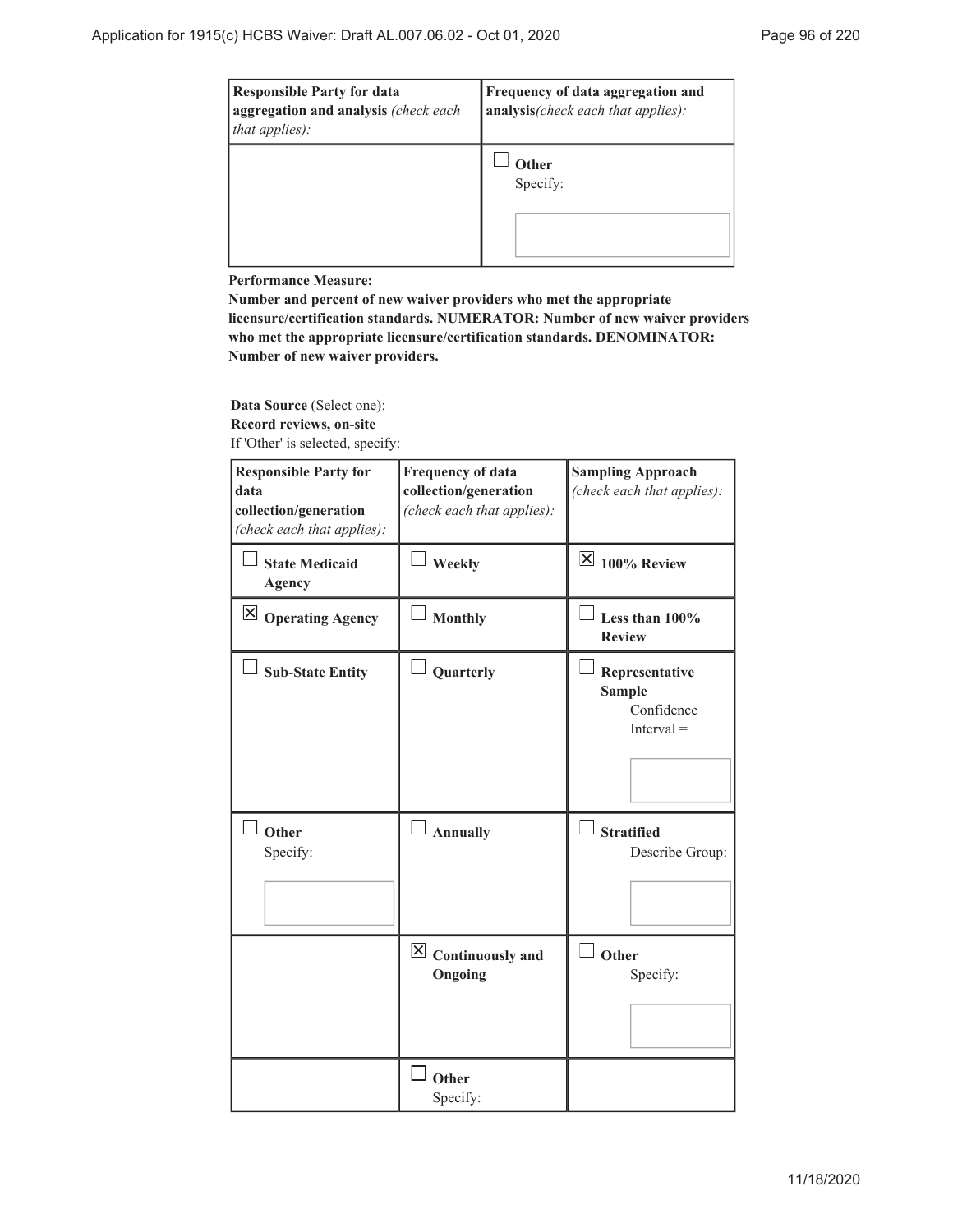| <b>Responsible Party for data</b><br>aggregation and analysis (check each<br>that applies): | Frequency of data aggregation and<br>analysis(check each that applies): |
|---------------------------------------------------------------------------------------------|-------------------------------------------------------------------------|
|                                                                                             | Other<br>Specify:                                                       |

**Performance Measure:**

**Number and percent of new waiver providers who met the appropriate licensure/certification standards. NUMERATOR: Number of new waiver providers who met the appropriate licensure/certification standards. DENOMINATOR: Number of new waiver providers.**

**Data Source** (Select one): **Record reviews, on-site** If 'Other' is selected, specify:

| <b>Responsible Party for</b><br>data<br>collection/generation<br>(check each that applies): | <b>Frequency of data</b><br>collection/generation<br>(check each that applies): | <b>Sampling Approach</b><br>(check each that applies):        |
|---------------------------------------------------------------------------------------------|---------------------------------------------------------------------------------|---------------------------------------------------------------|
| <b>State Medicaid</b><br><b>Agency</b>                                                      | Weekly                                                                          | $\boxtimes$ 100% Review                                       |
| $\boxtimes$ Operating Agency                                                                | <b>Monthly</b>                                                                  | Less than $100\%$<br><b>Review</b>                            |
| <b>Sub-State Entity</b>                                                                     | Quarterly                                                                       | Representative<br><b>Sample</b><br>Confidence<br>$Interval =$ |
| Other<br>Specify:                                                                           | <b>Annually</b>                                                                 | <b>Stratified</b><br>Describe Group:                          |
|                                                                                             | $\boxtimes$ Continuously and<br>Ongoing                                         | $\Box$ Other<br>Specify:                                      |
|                                                                                             | Other<br>Specify:                                                               |                                                               |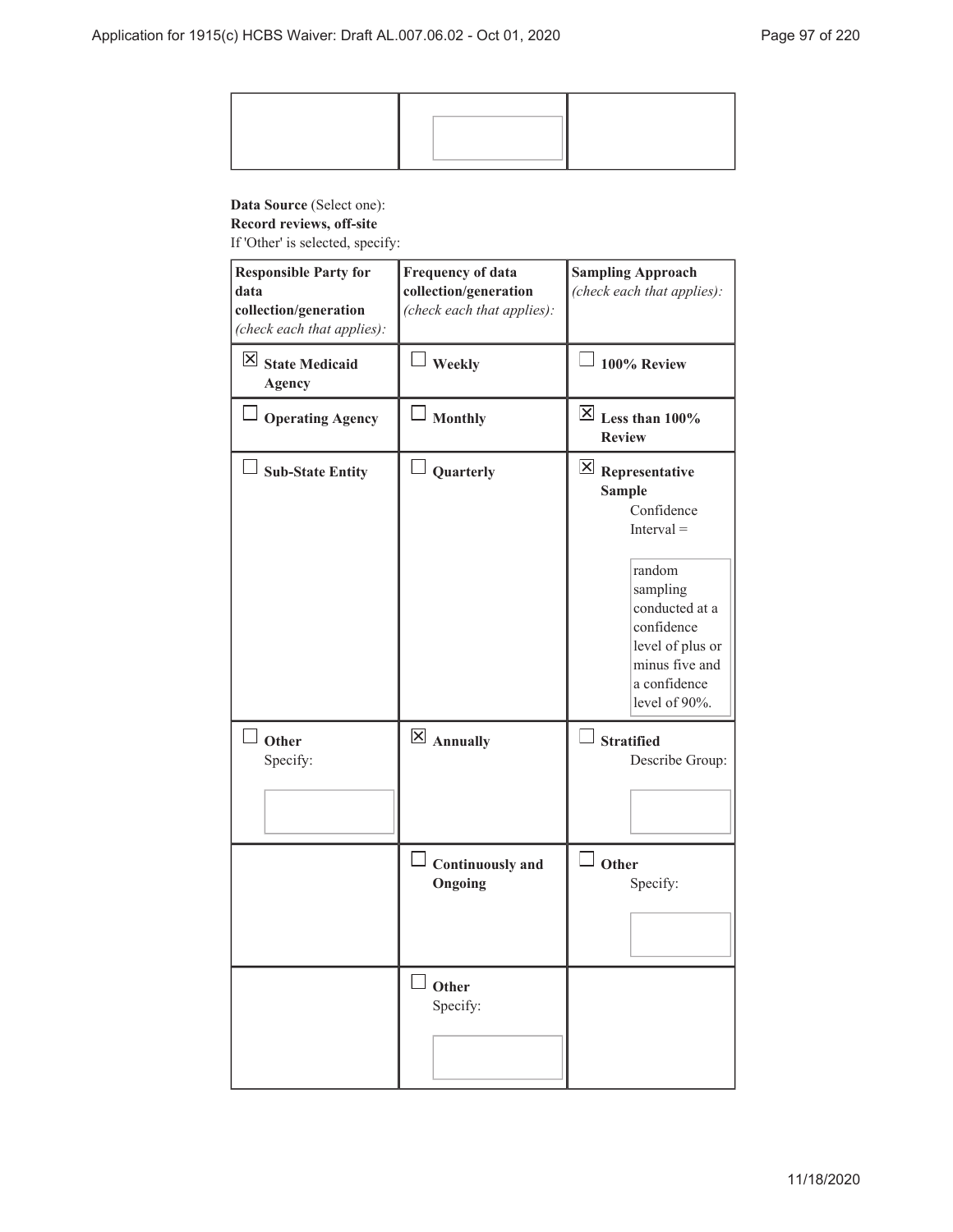# **Data Source** (Select one):

**Record reviews, off-site**

If 'Other' is selected, specify:

| <b>Responsible Party for</b><br>data<br>collection/generation<br>(check each that applies): | <b>Frequency of data</b><br>collection/generation<br>(check each that applies): | <b>Sampling Approach</b><br>(check each that applies):                                                                                                                                                            |
|---------------------------------------------------------------------------------------------|---------------------------------------------------------------------------------|-------------------------------------------------------------------------------------------------------------------------------------------------------------------------------------------------------------------|
| $\boxtimes$ State Medicaid<br><b>Agency</b>                                                 | <b>Weekly</b>                                                                   | 100% Review                                                                                                                                                                                                       |
| <b>Operating Agency</b>                                                                     | <b>Monthly</b>                                                                  | $\boxed{\times}$ Less than 100%<br><b>Review</b>                                                                                                                                                                  |
| <b>Sub-State Entity</b>                                                                     | Quarterly                                                                       | $\vert\mathsf{X}\vert$ Representative<br><b>Sample</b><br>Confidence<br>$Interval =$<br>random<br>sampling<br>conducted at a<br>confidence<br>level of plus or<br>minus five and<br>a confidence<br>level of 90%. |
| Other<br>Specify:                                                                           | $\boxtimes$ Annually                                                            | $\Box$ Stratified<br>Describe Group:                                                                                                                                                                              |
|                                                                                             | Continuously and<br>Ongoing                                                     | Other<br>Specify:                                                                                                                                                                                                 |
|                                                                                             | Other<br>Specify:                                                               |                                                                                                                                                                                                                   |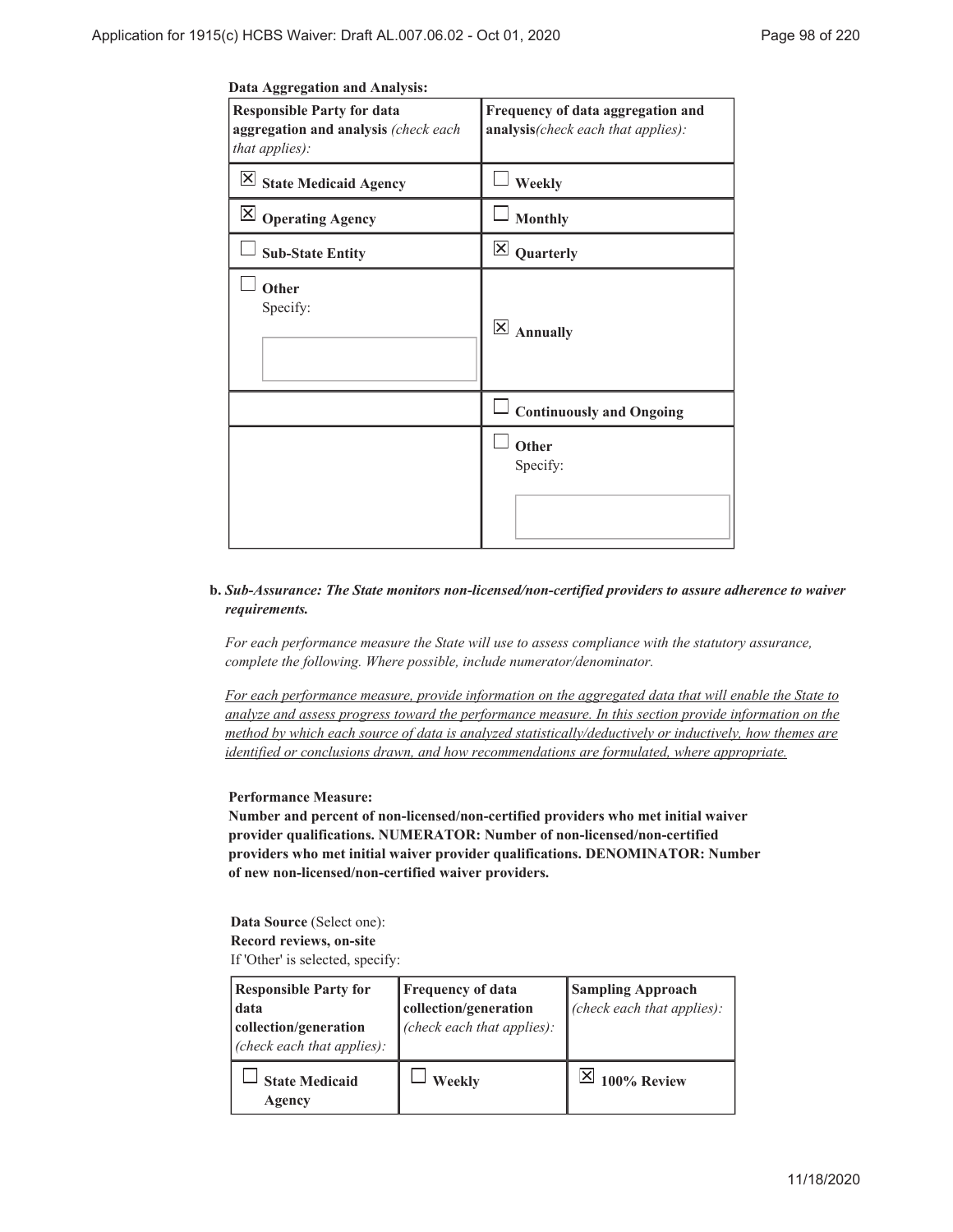| <b>Responsible Party for data</b><br>aggregation and analysis (check each<br><i>that applies</i> ): | Frequency of data aggregation and<br>analysis (check each that applies): |
|-----------------------------------------------------------------------------------------------------|--------------------------------------------------------------------------|
| State Medicaid Agency                                                                               | Weekly                                                                   |
| $\boxtimes$ Operating Agency                                                                        | <b>Monthly</b>                                                           |
| <b>Sub-State Entity</b>                                                                             | Quarterly                                                                |
| Other<br>Specify:                                                                                   | <b>Annually</b>                                                          |

### *Sub-Assurance: The State monitors non-licensed/non-certified providers to assure adherence to waiver* **b.** *requirements.*

**Other** Specify:

**Continuously and Ongoing**

*For each performance measure the State will use to assess compliance with the statutory assurance, complete the following. Where possible, include numerator/denominator.*

*For each performance measure, provide information on the aggregated data that will enable the State to analyze and assess progress toward the performance measure. In this section provide information on the method by which each source of data is analyzed statistically/deductively or inductively, how themes are identified or conclusions drawn, and how recommendations are formulated, where appropriate.*

### **Performance Measure:**

**Number and percent of non-licensed/non-certified providers who met initial waiver provider qualifications. NUMERATOR: Number of non-licensed/non-certified providers who met initial waiver provider qualifications. DENOMINATOR: Number of new non-licensed/non-certified waiver providers.**

### **Data Source** (Select one): **Record reviews, on-site** If 'Other' is selected, specify:

| <b>Responsible Party for</b><br>data<br>collection/generation<br>(check each that applies): | Frequency of data<br>collection/generation<br>(check each that applies): | <b>Sampling Approach</b><br>(check each that applies): |
|---------------------------------------------------------------------------------------------|--------------------------------------------------------------------------|--------------------------------------------------------|
| <b>State Medicaid</b><br>Agency                                                             | Weekly                                                                   | 100% Review                                            |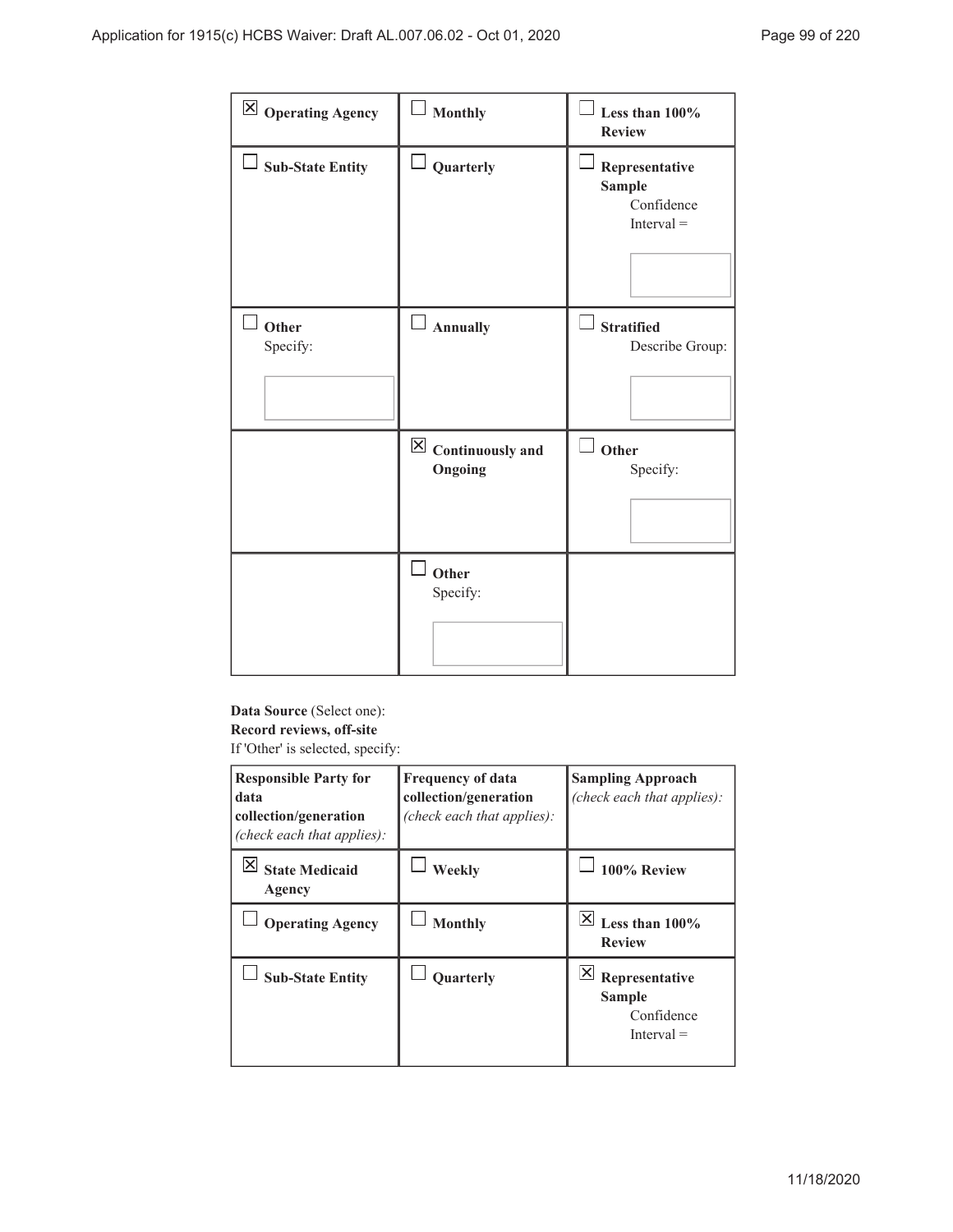| $\boxtimes$ Operating Agency | <b>Monthly</b>                                     | Less than 100%<br><b>Review</b>                               |
|------------------------------|----------------------------------------------------|---------------------------------------------------------------|
| $\Box$ Sub-State Entity      | $\Box$ Quarterly                                   | Representative<br><b>Sample</b><br>Confidence<br>$Interval =$ |
| Other<br>Specify:            | <b>Annually</b>                                    | <b>Stratified</b><br>Describe Group:                          |
|                              | $\overline{\boxtimes}$ Continuously and<br>Ongoing | Other<br>Specify:                                             |
|                              | Other<br>Specify:                                  |                                                               |

# **Data Source** (Select one): **Record reviews, off-site**

If 'Other' is selected, specify:

| <b>Responsible Party for</b><br>data<br>collection/generation<br>(check each that applies): | <b>Frequency of data</b><br>collection/generation<br>(check each that applies): | <b>Sampling Approach</b><br>(check each that applies):        |
|---------------------------------------------------------------------------------------------|---------------------------------------------------------------------------------|---------------------------------------------------------------|
| <b>State Medicaid</b><br>Agency                                                             | Weekly                                                                          | 100% Review                                                   |
| <b>Operating Agency</b>                                                                     | <b>Monthly</b>                                                                  | ΙXΙ<br>Less than $100\%$<br><b>Review</b>                     |
| <b>Sub-State Entity</b>                                                                     | <b>Ouarterly</b>                                                                | Representative<br><b>Sample</b><br>Confidence<br>$Interval =$ |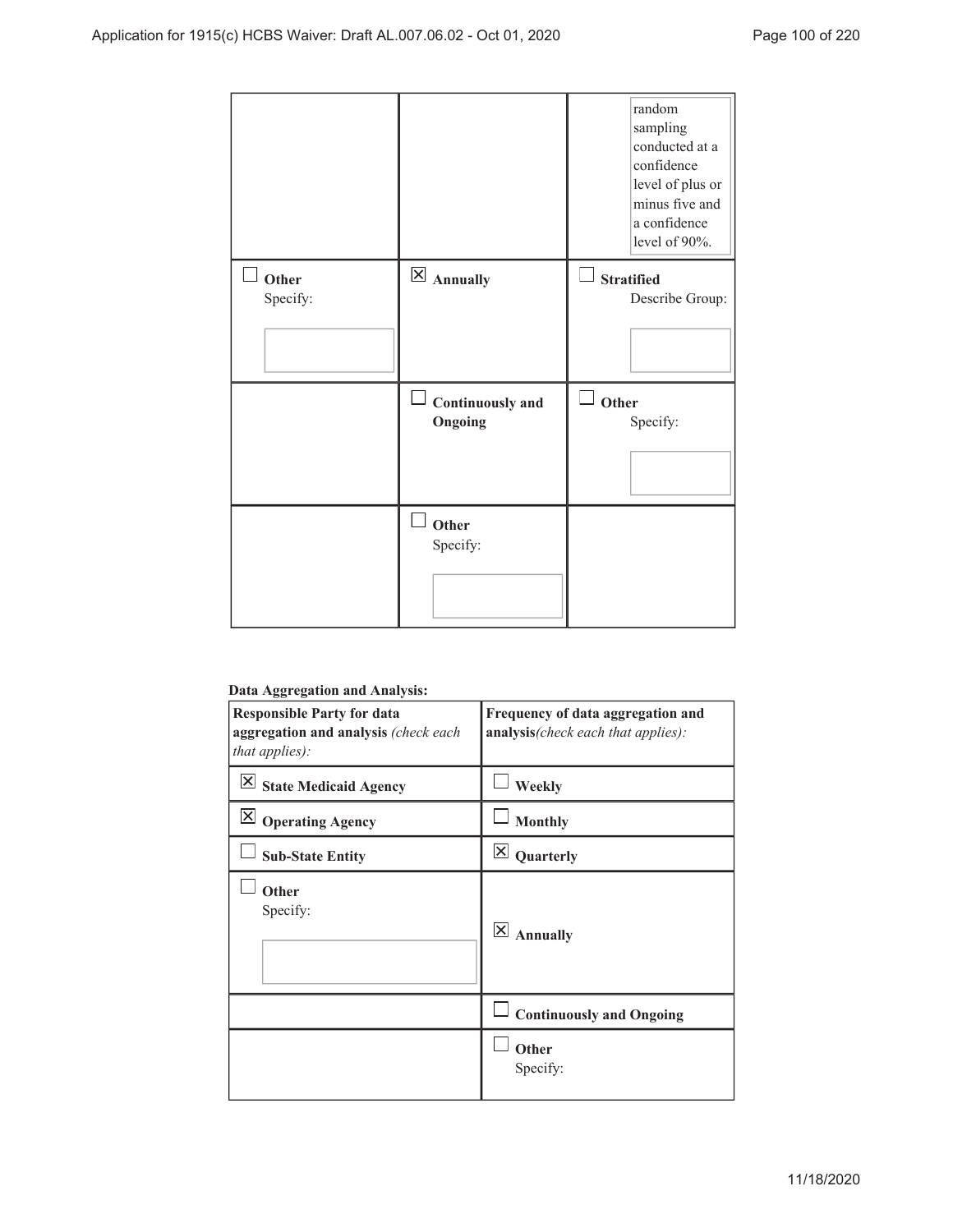|                   |                             | random<br>sampling<br>conducted at a<br>confidence<br>level of plus or<br>minus five and<br>a confidence<br>level of 90%. |
|-------------------|-----------------------------|---------------------------------------------------------------------------------------------------------------------------|
| Other<br>Specify: | $\boxtimes$ Annually        | <b>Stratified</b><br>Describe Group:                                                                                      |
|                   | Continuously and<br>Ongoing | Other<br>ப<br>Specify:                                                                                                    |
|                   | Other<br>Specify:           |                                                                                                                           |

### **Data Aggregation and Analysis:**

| --<br>o<br><b>Responsible Party for data</b><br>aggregation and analysis (check each<br>that applies): | Frequency of data aggregation and<br>analysis(check each that applies): |
|--------------------------------------------------------------------------------------------------------|-------------------------------------------------------------------------|
| $ \times $<br><b>State Medicaid Agency</b>                                                             | Weekly                                                                  |
| $\overline{\mathsf{X}}$<br><b>Operating Agency</b>                                                     | <b>Monthly</b>                                                          |
| <b>Sub-State Entity</b>                                                                                | $\vert \times \vert$<br>Quarterly                                       |
| Other<br>Specify:                                                                                      | $\overline{\mathsf{x}}$<br><b>Annually</b>                              |
|                                                                                                        | <b>Continuously and Ongoing</b>                                         |
|                                                                                                        | Other<br>Specify:                                                       |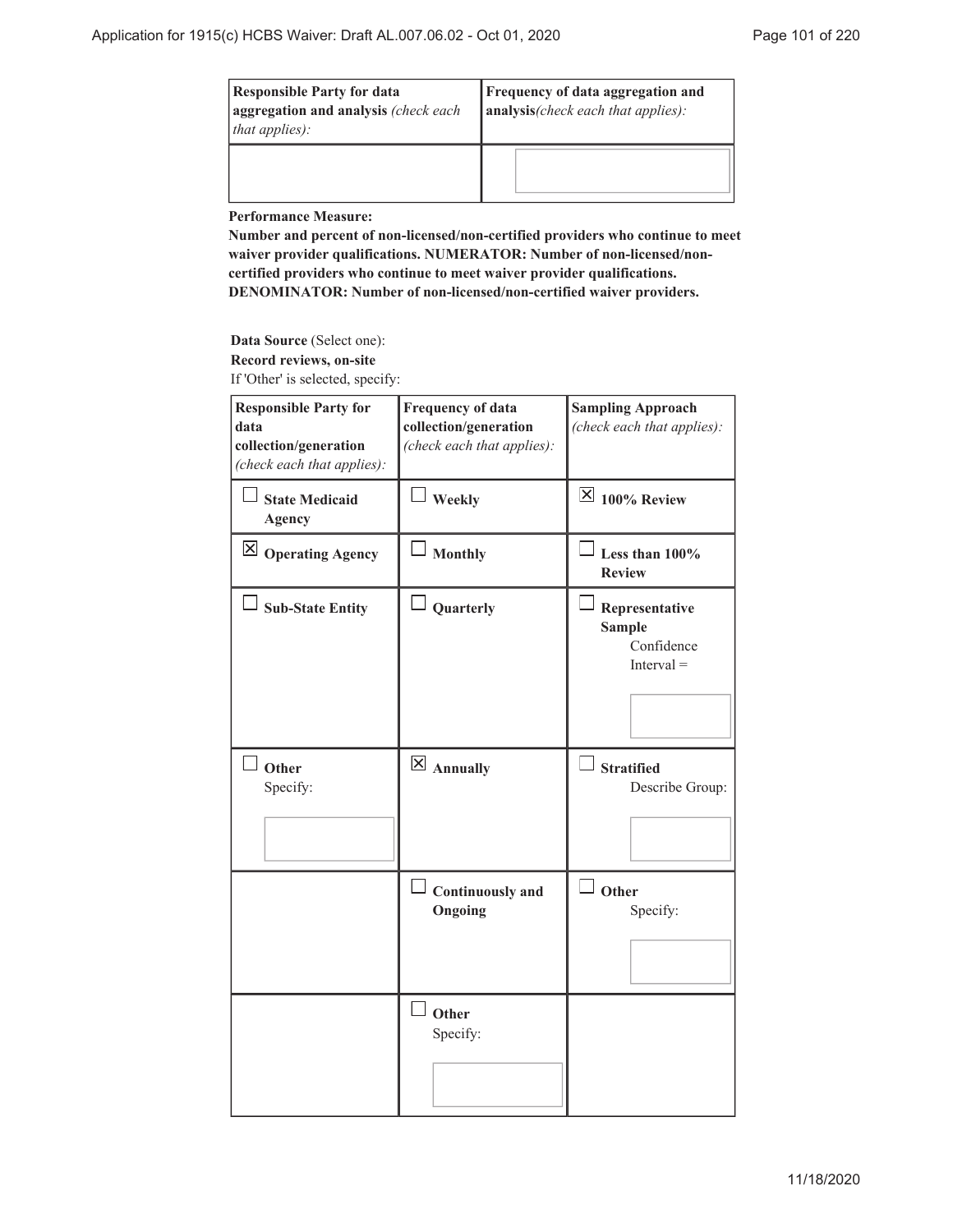| <b>Responsible Party for data</b><br>aggregation and analysis (check each<br><i>that applies):</i> | <b>Frequency of data aggregation and</b><br>analysis(check each that applies): |  |
|----------------------------------------------------------------------------------------------------|--------------------------------------------------------------------------------|--|
|                                                                                                    |                                                                                |  |

**Performance Measure:**

**Number and percent of non-licensed/non-certified providers who continue to meet waiver provider qualifications. NUMERATOR: Number of non-licensed/noncertified providers who continue to meet waiver provider qualifications. DENOMINATOR: Number of non-licensed/non-certified waiver providers.**

**Data Source** (Select one): **Record reviews, on-site**

If 'Other' is selected, specify:

| <b>Responsible Party for</b><br>data<br>collection/generation<br>(check each that applies): | <b>Frequency of data</b><br>collection/generation<br>(check each that applies): | <b>Sampling Approach</b><br>(check each that applies):        |
|---------------------------------------------------------------------------------------------|---------------------------------------------------------------------------------|---------------------------------------------------------------|
| <b>State Medicaid</b><br><b>Agency</b>                                                      | $\perp$ Weekly                                                                  | $\boxtimes$ 100% Review                                       |
| $\boxtimes$ Operating Agency                                                                | <b>Monthly</b>                                                                  | Less than $100\%$<br><b>Review</b>                            |
| <b>Sub-State Entity</b>                                                                     | Quarterly                                                                       | Representative<br><b>Sample</b><br>Confidence<br>$Interval =$ |
| Other<br>Specify:                                                                           | $\overline{\boxtimes}$ Annually                                                 | <b>Stratified</b><br>Describe Group:                          |
|                                                                                             | $\perp$ Continuously and<br>Ongoing                                             | Other<br>Specify:                                             |
|                                                                                             | $\perp$ Other<br>Specify:                                                       |                                                               |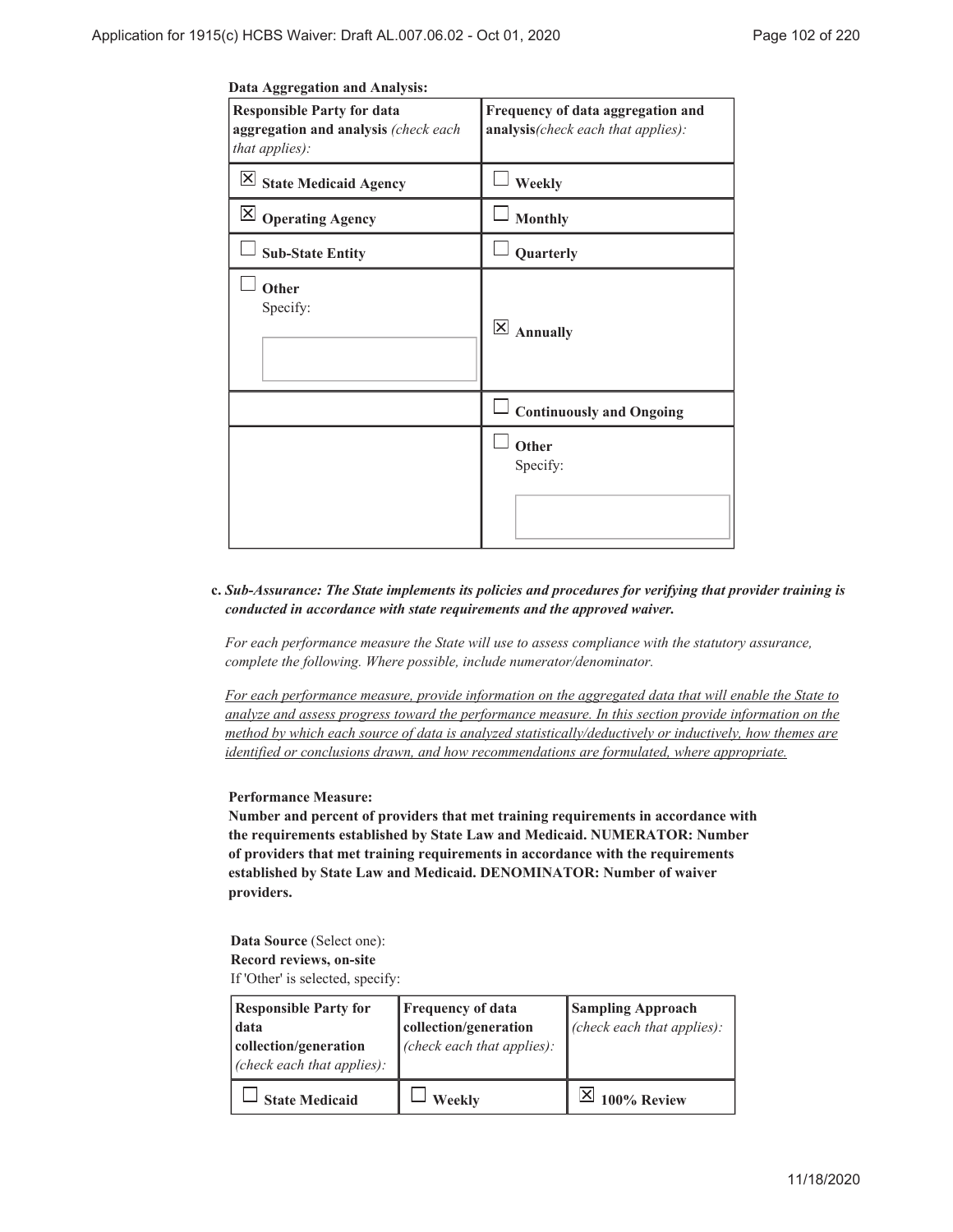| <b>Responsible Party for data</b><br>aggregation and analysis (check each<br>that applies): | Frequency of data aggregation and<br>analysis(check each that applies): |
|---------------------------------------------------------------------------------------------|-------------------------------------------------------------------------|
| $\overline{\mathsf{X}}$ State Medicaid Agency                                               | Weekly                                                                  |
| $\boxtimes$ Operating Agency                                                                | <b>Monthly</b>                                                          |
| <b>Sub-State Entity</b>                                                                     | Quarterly                                                               |
| Other<br>Specify:                                                                           | $\mathsf{X}$<br><b>Annually</b>                                         |
|                                                                                             | <b>Continuously and Ongoing</b>                                         |
|                                                                                             | Other<br>Specify:                                                       |
|                                                                                             |                                                                         |

# *Sub-Assurance: The State implements its policies and procedures for verifying that provider training is* **c.** *conducted in accordance with state requirements and the approved waiver.*

*For each performance measure the State will use to assess compliance with the statutory assurance, complete the following. Where possible, include numerator/denominator.*

*For each performance measure, provide information on the aggregated data that will enable the State to analyze and assess progress toward the performance measure. In this section provide information on the method by which each source of data is analyzed statistically/deductively or inductively, how themes are identified or conclusions drawn, and how recommendations are formulated, where appropriate.*

### **Performance Measure:**

**Number and percent of providers that met training requirements in accordance with the requirements established by State Law and Medicaid. NUMERATOR: Number of providers that met training requirements in accordance with the requirements established by State Law and Medicaid. DENOMINATOR: Number of waiver providers.**

**Data Source** (Select one): **Record reviews, on-site** If 'Other' is selected, specify:

| <b>Responsible Party for</b><br>data<br>collection/generation<br>(check each that applies): | <b>Frequency of data</b><br>collection/generation<br>(check each that applies): | <b>Sampling Approach</b><br>(check each that applies): |
|---------------------------------------------------------------------------------------------|---------------------------------------------------------------------------------|--------------------------------------------------------|
| <b>State Medicaid</b>                                                                       | Weekly                                                                          | 100% Review                                            |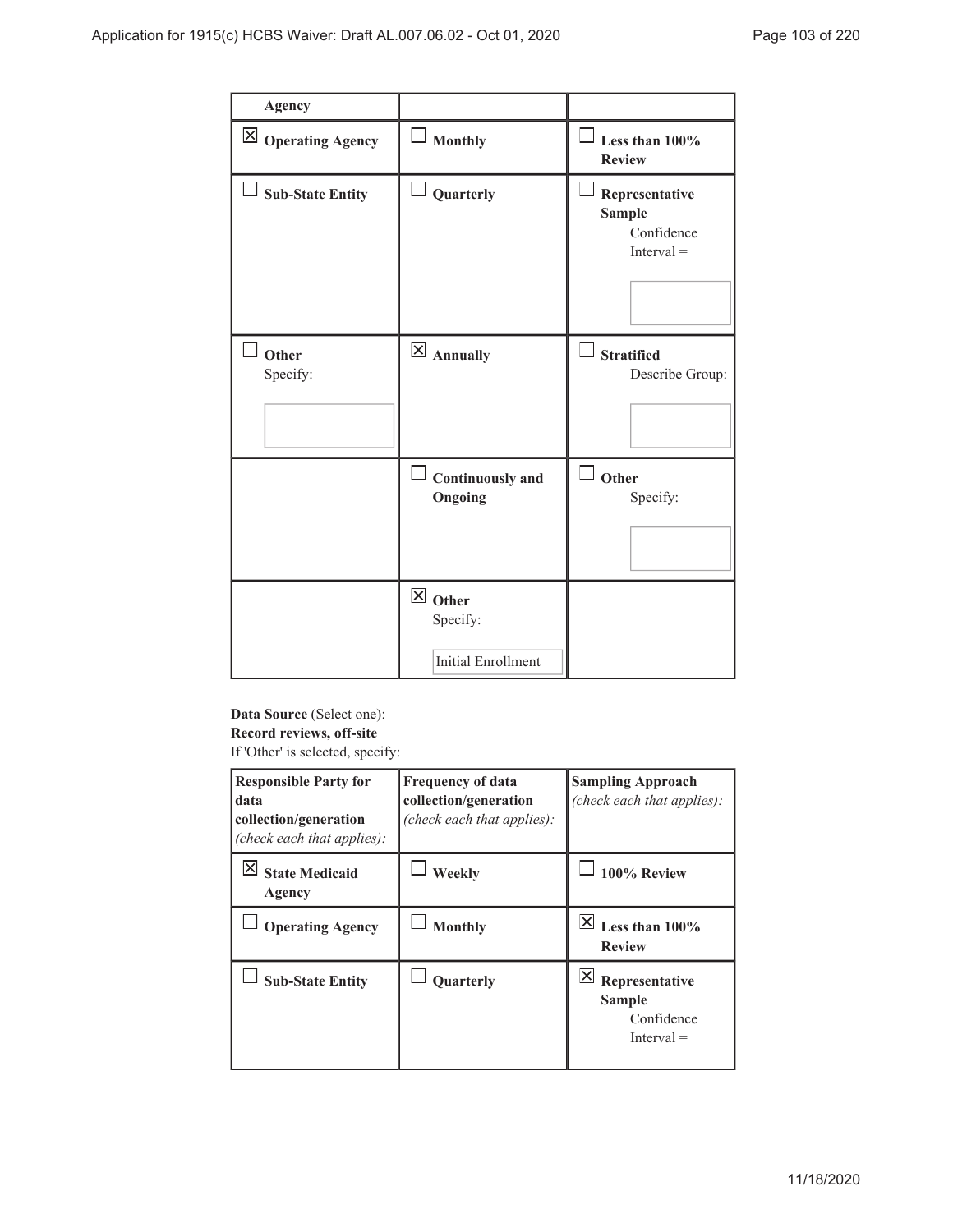| <b>Agency</b>                |                                                            |                                                               |
|------------------------------|------------------------------------------------------------|---------------------------------------------------------------|
| $\boxtimes$ Operating Agency | $\Box$ Monthly                                             | Less than 100%<br><b>Review</b>                               |
| <b>Sub-State Entity</b>      | Quarterly                                                  | Representative<br><b>Sample</b><br>Confidence<br>$Interval =$ |
| Other<br>Specify:            | $\boxtimes$ Annually                                       | ▏▁▏<br><b>Stratified</b><br>Describe Group:                   |
|                              | <b>Continuously and</b><br>Ongoing                         | $\sqcup$<br>Other<br>Specify:                                 |
|                              | $\boxtimes$ Other<br>Specify:<br><b>Initial Enrollment</b> |                                                               |

# **Data Source** (Select one): **Record reviews, off-site**

If 'Other' is selected, specify:

| <b>Responsible Party for</b><br>data<br>collection/generation<br>(check each that applies): | <b>Frequency of data</b><br>collection/generation<br>(check each that applies): | <b>Sampling Approach</b><br>(check each that applies):                             |
|---------------------------------------------------------------------------------------------|---------------------------------------------------------------------------------|------------------------------------------------------------------------------------|
| <b>State Medicaid</b><br>Agency                                                             | Weekly                                                                          | 100% Review                                                                        |
| <b>Operating Agency</b>                                                                     | <b>Monthly</b>                                                                  | $ \mathsf{X} $<br>Less than 100%<br><b>Review</b>                                  |
| <b>Sub-State Entity</b>                                                                     | Quarterly                                                                       | $ \mathsf{X} $<br>Representative<br><b>Sample</b><br>Confidence<br>$[$ nterval $=$ |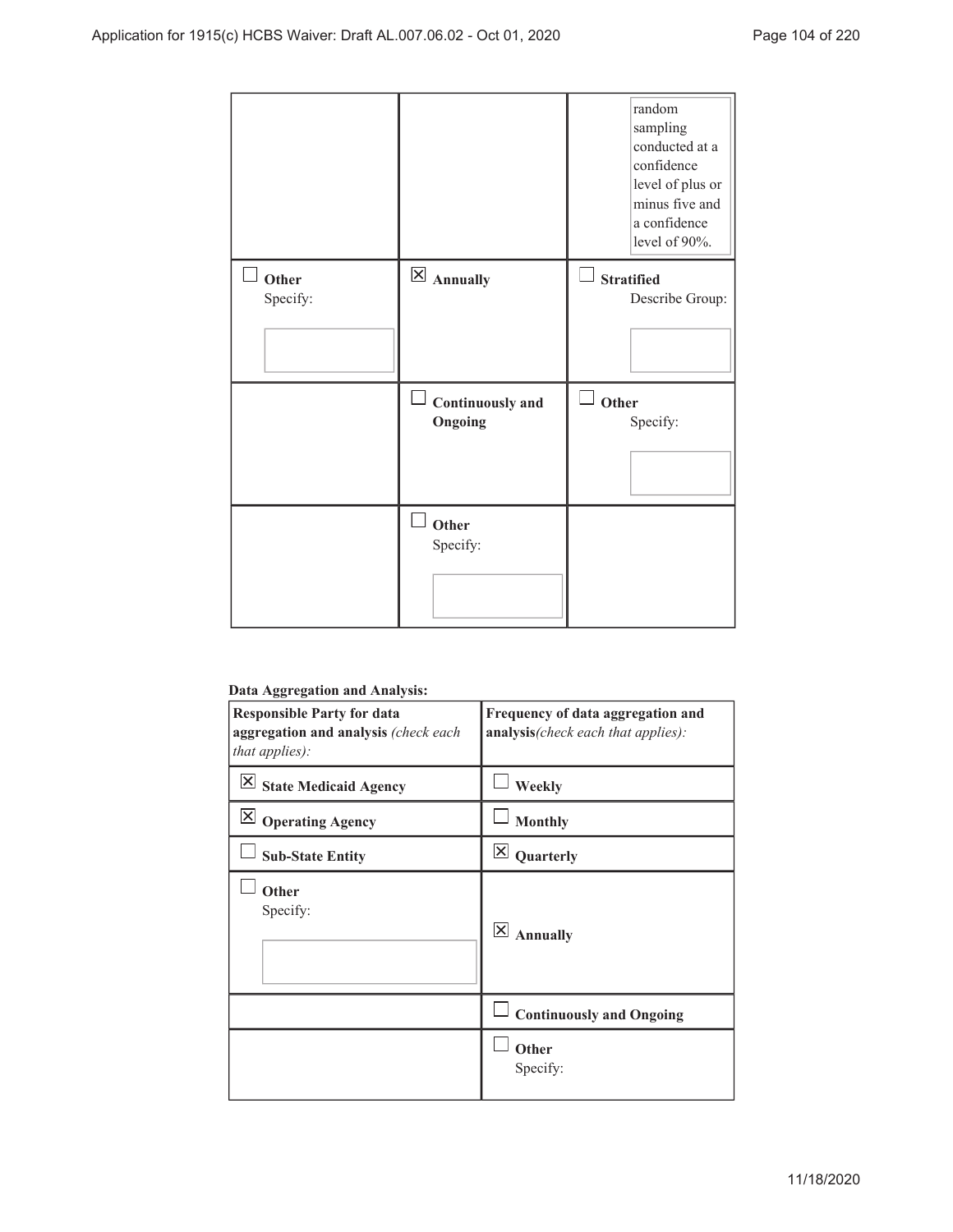|                   |                             | random<br>sampling<br>conducted at a<br>confidence<br>level of plus or<br>minus five and<br>a confidence<br>level of 90%. |
|-------------------|-----------------------------|---------------------------------------------------------------------------------------------------------------------------|
| Other<br>Specify: | $\boxtimes$ Annually        | <b>Stratified</b><br>Describe Group:                                                                                      |
|                   | Continuously and<br>Ongoing | Other<br>Specify:                                                                                                         |
|                   | Other<br>Specify:           |                                                                                                                           |

### **Data Aggregation and Analysis:**

| ---------------                                                                             |                                                                         |  |
|---------------------------------------------------------------------------------------------|-------------------------------------------------------------------------|--|
| <b>Responsible Party for data</b><br>aggregation and analysis (check each<br>that applies): | Frequency of data aggregation and<br>analysis(check each that applies): |  |
| ΙX<br><b>State Medicaid Agency</b>                                                          | Weekly                                                                  |  |
| $\boxtimes$ Operating Agency                                                                | <b>Monthly</b>                                                          |  |
| <b>Sub-State Entity</b>                                                                     | $\mathsf{\overline{X}}$<br>Quarterly                                    |  |
| Other<br>Specify:                                                                           | $\overline{\mathsf{x}}$<br><b>Annually</b>                              |  |
|                                                                                             | <b>Continuously and Ongoing</b>                                         |  |
|                                                                                             | Other<br>Specify:                                                       |  |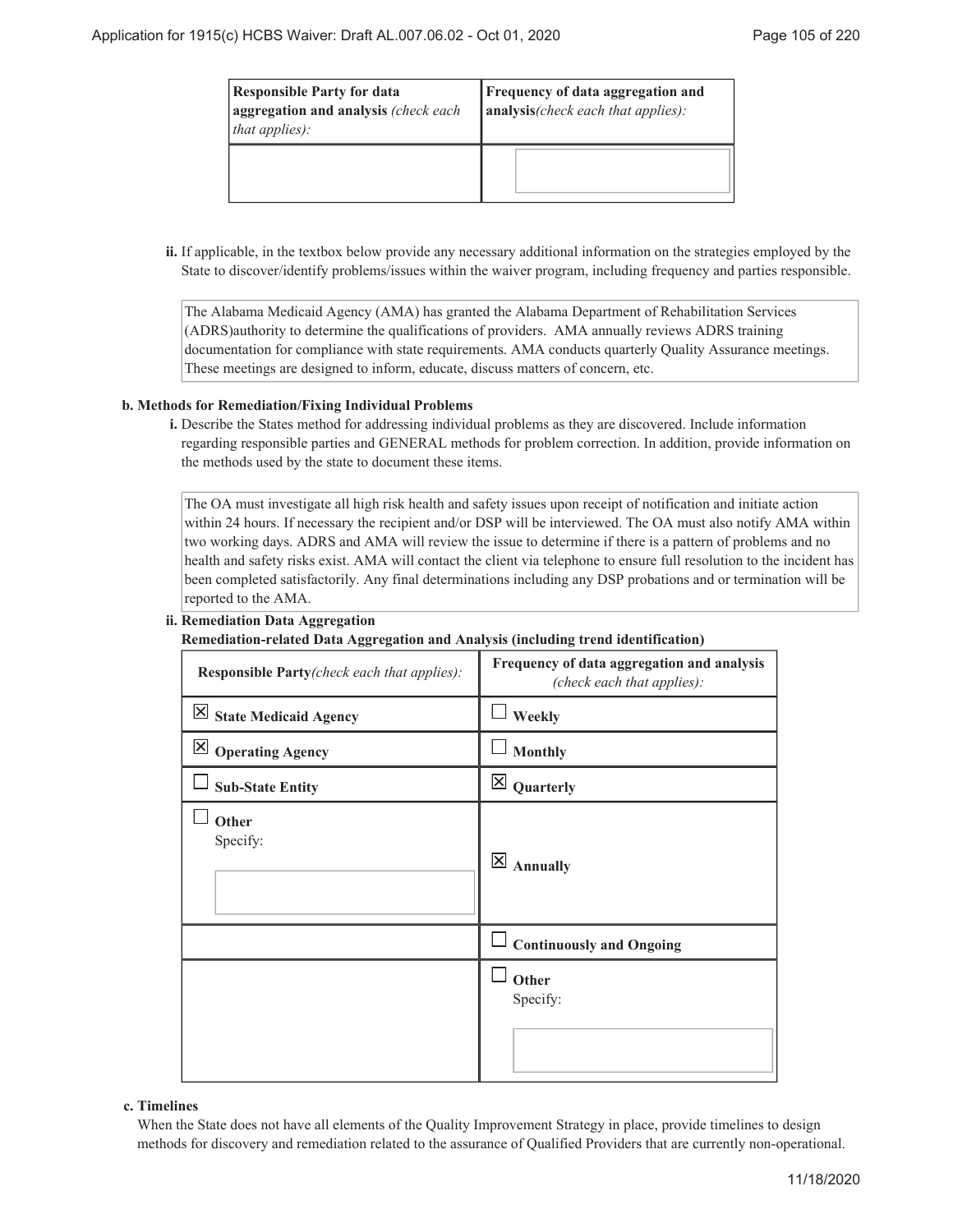| <b>Responsible Party for data</b><br>aggregation and analysis (check each<br>[that applies): | <b>Frequency of data aggregation and</b><br>$ $ analysis(check each that applies): |
|----------------------------------------------------------------------------------------------|------------------------------------------------------------------------------------|
|                                                                                              |                                                                                    |

ii. If applicable, in the textbox below provide any necessary additional information on the strategies employed by the State to discover/identify problems/issues within the waiver program, including frequency and parties responsible.

The Alabama Medicaid Agency (AMA) has granted the Alabama Department of Rehabilitation Services (ADRS)authority to determine the qualifications of providers. AMA annually reviews ADRS training documentation for compliance with state requirements. AMA conducts quarterly Quality Assurance meetings. These meetings are designed to inform, educate, discuss matters of concern, etc.

### **Methods for Remediation/Fixing Individual Problems b.**

Describe the States method for addressing individual problems as they are discovered. Include information **i.** regarding responsible parties and GENERAL methods for problem correction. In addition, provide information on the methods used by the state to document these items.

The OA must investigate all high risk health and safety issues upon receipt of notification and initiate action within 24 hours. If necessary the recipient and/or DSP will be interviewed. The OA must also notify AMA within two working days. ADRS and AMA will review the issue to determine if there is a pattern of problems and no health and safety risks exist. AMA will contact the client via telephone to ensure full resolution to the incident has been completed satisfactorily. Any final determinations including any DSP probations and or termination will be reported to the AMA.

#### **Remediation Data Aggregation ii.**

### **Remediation-related Data Aggregation and Analysis (including trend identification)**

| <b>Responsible Party</b> (check each that applies): | Frequency of data aggregation and analysis<br>(check each that applies): |
|-----------------------------------------------------|--------------------------------------------------------------------------|
| $\overline{\mathbb{X}}$ State Medicaid Agency       | Weekly                                                                   |
| $\boxtimes$ Operating Agency                        | <b>Monthly</b>                                                           |
| <b>Sub-State Entity</b>                             | $\overline{\mathsf{x}}$<br>Quarterly                                     |
| Other<br>Specify:                                   | $\times$<br><b>Annually</b>                                              |
|                                                     | <b>Continuously and Ongoing</b>                                          |
|                                                     | Other<br>Specify:                                                        |

#### **Timelines c.**

When the State does not have all elements of the Quality Improvement Strategy in place, provide timelines to design methods for discovery and remediation related to the assurance of Qualified Providers that are currently non-operational.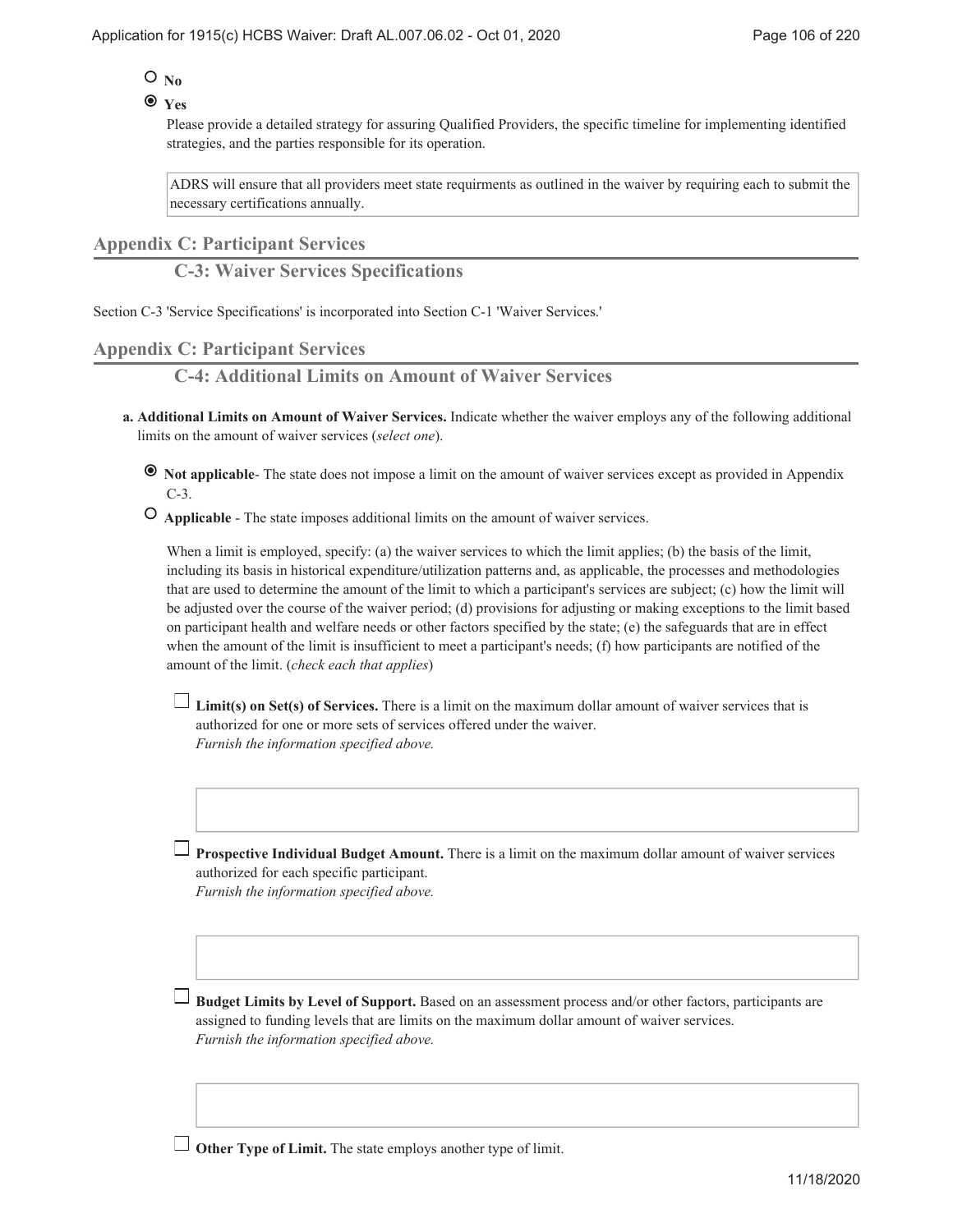# $O_{No}$

### **Yes**

Please provide a detailed strategy for assuring Qualified Providers, the specific timeline for implementing identified strategies, and the parties responsible for its operation.

ADRS will ensure that all providers meet state requirments as outlined in the waiver by requiring each to submit the necessary certifications annually.

### **Appendix C: Participant Services**

**C-3: Waiver Services Specifications**

Section C-3 'Service Specifications' is incorporated into Section C-1 'Waiver Services.'

## **Appendix C: Participant Services**

**C-4: Additional Limits on Amount of Waiver Services**

- **Additional Limits on Amount of Waiver Services.** Indicate whether the waiver employs any of the following additional **a.** limits on the amount of waiver services (*select one*).
	- **Not applicable** The state does not impose a limit on the amount of waiver services except as provided in Appendix  $C-3$
	- **Applicable** The state imposes additional limits on the amount of waiver services.

When a limit is employed, specify: (a) the waiver services to which the limit applies; (b) the basis of the limit, including its basis in historical expenditure/utilization patterns and, as applicable, the processes and methodologies that are used to determine the amount of the limit to which a participant's services are subject; (c) how the limit will be adjusted over the course of the waiver period; (d) provisions for adjusting or making exceptions to the limit based on participant health and welfare needs or other factors specified by the state; (e) the safeguards that are in effect when the amount of the limit is insufficient to meet a participant's needs; (f) how participants are notified of the amount of the limit. (*check each that applies*)

**Limit(s) on Set(s) of Services.** There is a limit on the maximum dollar amount of waiver services that is authorized for one or more sets of services offered under the waiver. *Furnish the information specified above.*

**Prospective Individual Budget Amount.** There is a limit on the maximum dollar amount of waiver services authorized for each specific participant. *Furnish the information specified above.*

**Budget Limits by Level of Support.** Based on an assessment process and/or other factors, participants are assigned to funding levels that are limits on the maximum dollar amount of waiver services. *Furnish the information specified above.*

**Other Type of Limit.** The state employs another type of limit.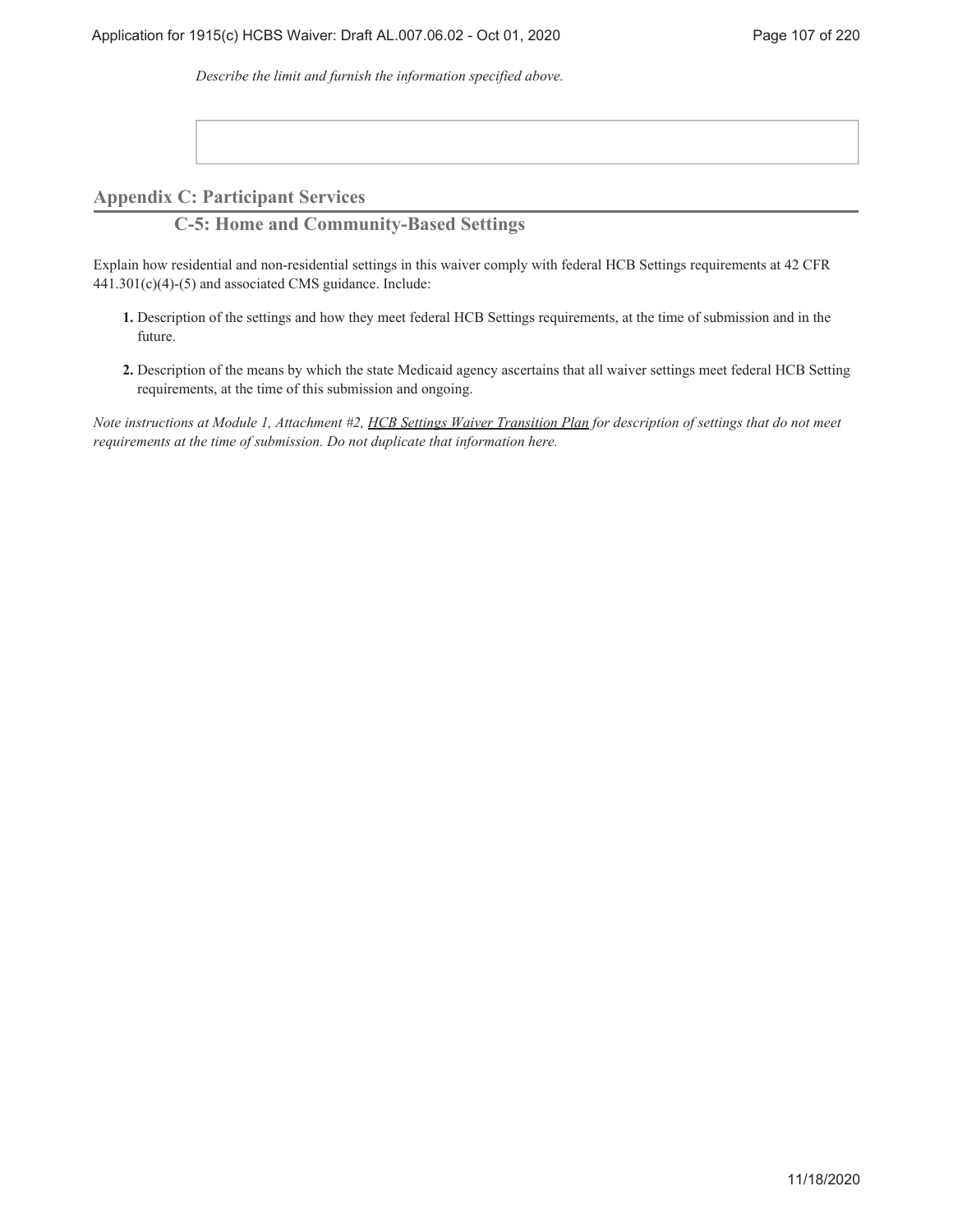*Describe the limit and furnish the information specified above.*

**Appendix C: Participant Services**

**C-5: Home and Community-Based Settings**

Explain how residential and non-residential settings in this waiver comply with federal HCB Settings requirements at 42 CFR 441.301(c)(4)-(5) and associated CMS guidance. Include:

- Description of the settings and how they meet federal HCB Settings requirements, at the time of submission and in the **1.** future.
- Description of the means by which the state Medicaid agency ascertains that all waiver settings meet federal HCB Setting **2.** requirements, at the time of this submission and ongoing.

*Note instructions at Module 1, Attachment #2, HCB Settings Waiver Transition Plan for description of settings that do not meet requirements at the time of submission. Do not duplicate that information here.*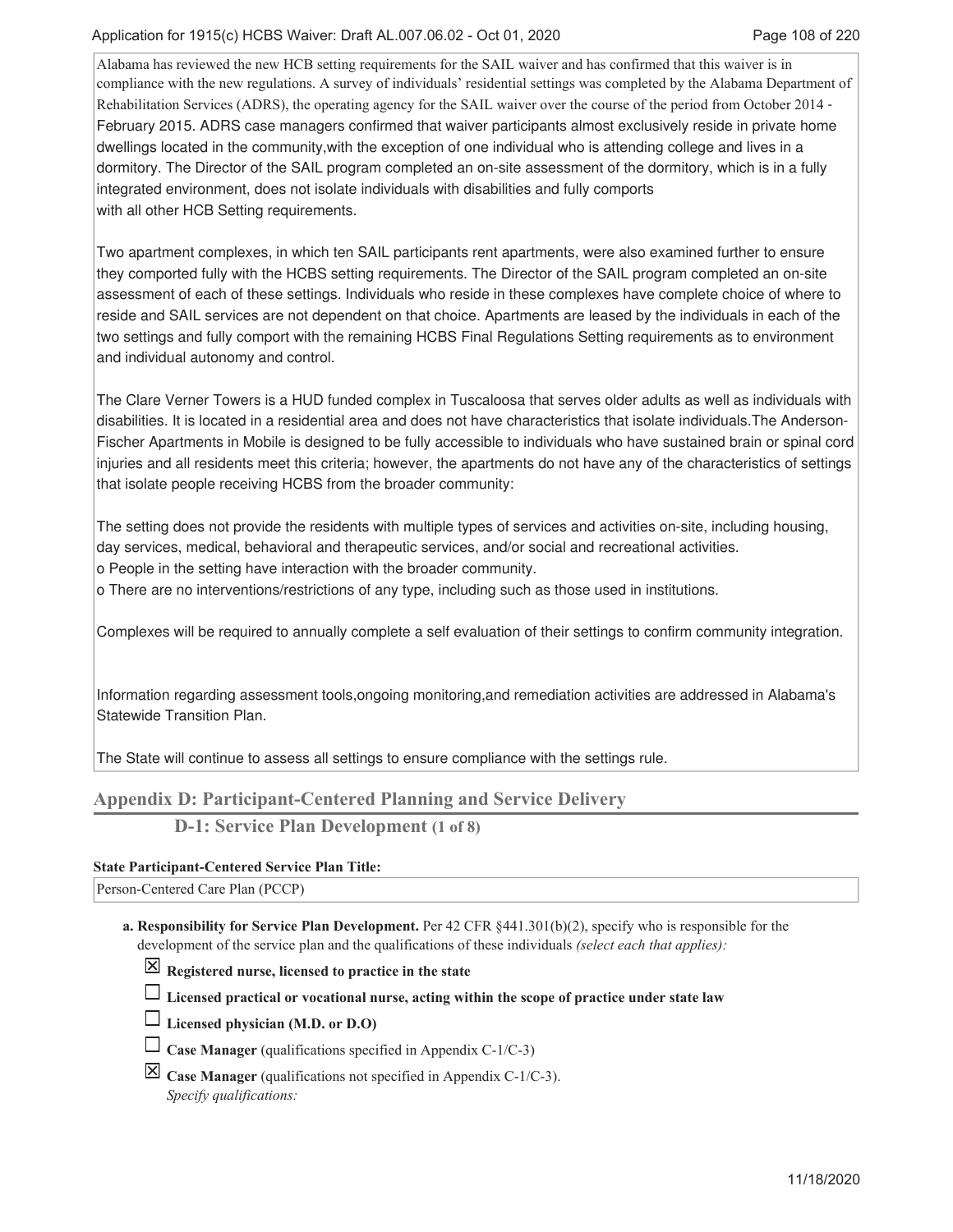Alabama has reviewed the new HCB setting requirements for the SAIL waiver and has confirmed that this waiver is in compliance with the new regulations. A survey of individuals' residential settings was completed by the Alabama Department of Rehabilitation Services (ADRS), the operating agency for the SAIL waiver over the course of the period from October 2014 February 2015. ADRS case managers confirmed that waiver participants almost exclusively reside in private home dwellings located in the community, with the exception of one individual who is attending college and lives in a dormitory. The Director of the SAIL program completed an on-site assessment of the dormitory, which is in a fully integrated environment, does not isolate individuals with disabilities and fully comports with all other HCB Setting requirements.

Two apartment complexes, in which ten SAIL participants rent apartments, were also examined further to ensure they comported fully with the HCBS setting requirements. The Director of the SAIL program completed an on-site assessment of each of these settings. Individuals who reside in these complexes have complete choice of where to reside and SAIL services are not dependent on that choice. Apartments are leased by the individuals in each of the two settings and fully comport with the remaining HCBS Final Regulations Setting requirements as to environment and individual autonomy and control.

The Clare Verner Towers is a HUD funded complex in Tuscaloosa that serves older adults as well as individuals with disabilities. It is located in a residential area and does not have characteristics that isolate individuals. The Anderson-Fischer Apartments in Mobile is designed to be fully accessible to individuals who have sustained brain or spinal cord injuries and all residents meet this criteria; however, the apartments do not have any of the characteristics of settings that isolate people receiving HCBS from the broader community:

The setting does not provide the residents with multiple types of services and activities on-site, including housing, day services, medical, behavioral and therapeutic services, and/or social and recreational activities.

o People in the setting have interaction with the broader community.

o There are no interventions/restrictions of any type, including such as those used in institutions.

Complexes will be required to annually complete a self evaluation of their settings to confirm community integration.

Information regarding assessment tools, ongoing monitoring, and remediation activities are addressed in Alabama's Statewide Transition Plan.

The State will continue to assess all settings to ensure compliance with the settings rule.

# **Appendix D: Participant-Centered Planning and Service Delivery**

**D-1: Service Plan Development (1 of 8)**

### **State Participant-Centered Service Plan Title:**

Person-Centered Care Plan (PCCP)

- **Responsibility for Service Plan Development.** Per 42 CFR §441.301(b)(2), specify who is responsible for the **a.** development of the service plan and the qualifications of these individuals *(select each that applies):*
	- **Registered nurse, licensed to practice in the state**
	- **Licensed practical or vocational nurse, acting within the scope of practice under state law**
	- **Licensed physician (M.D. or D.O)**
	- **Case Manager** (qualifications specified in Appendix C-1/C-3)
	- $\boxed{\times}$  **Case Manager** (qualifications not specified in Appendix C-1/C-3). *Specify qualifications:*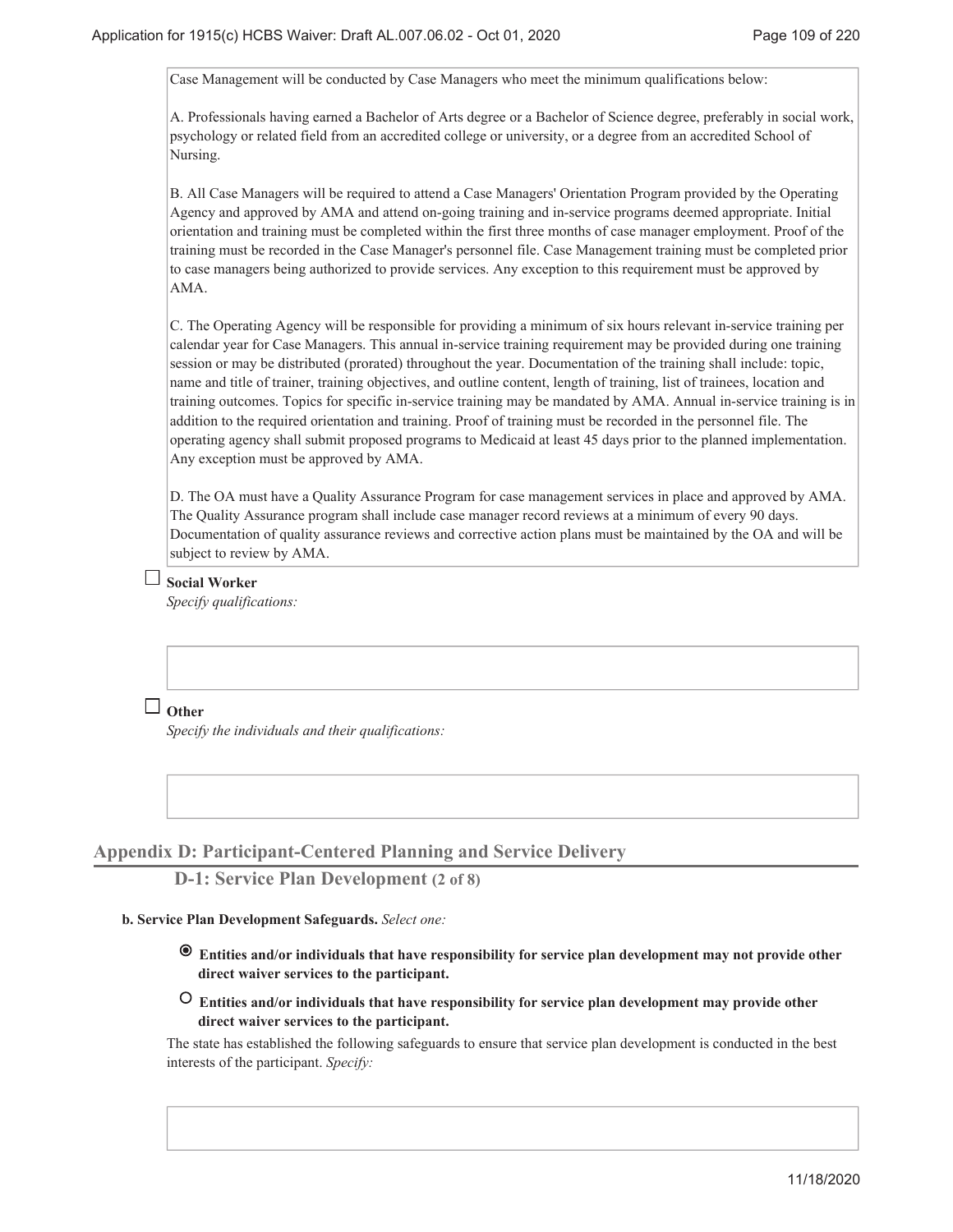Case Management will be conducted by Case Managers who meet the minimum qualifications below:

A. Professionals having earned a Bachelor of Arts degree or a Bachelor of Science degree, preferably in social work, psychology or related field from an accredited college or university, or a degree from an accredited School of Nursing.

B. All Case Managers will be required to attend a Case Managers' Orientation Program provided by the Operating Agency and approved by AMA and attend on-going training and in-service programs deemed appropriate. Initial orientation and training must be completed within the first three months of case manager employment. Proof of the training must be recorded in the Case Manager's personnel file. Case Management training must be completed prior to case managers being authorized to provide services. Any exception to this requirement must be approved by AMA.

C. The Operating Agency will be responsible for providing a minimum of six hours relevant in-service training per calendar year for Case Managers. This annual in-service training requirement may be provided during one training session or may be distributed (prorated) throughout the year. Documentation of the training shall include: topic, name and title of trainer, training objectives, and outline content, length of training, list of trainees, location and training outcomes. Topics for specific in-service training may be mandated by AMA. Annual in-service training is in addition to the required orientation and training. Proof of training must be recorded in the personnel file. The operating agency shall submit proposed programs to Medicaid at least 45 days prior to the planned implementation. Any exception must be approved by AMA.

D. The OA must have a Quality Assurance Program for case management services in place and approved by AMA. The Quality Assurance program shall include case manager record reviews at a minimum of every 90 days. Documentation of quality assurance reviews and corrective action plans must be maintained by the OA and will be subject to review by AMA.

# **Social Worker**

*Specify qualifications:*

# **Other**

*Specify the individuals and their qualifications:*

## **Appendix D: Participant-Centered Planning and Service Delivery**

## **D-1: Service Plan Development (2 of 8)**

#### **Service Plan Development Safeguards.** *Select one:* **b.**

- **Entities and/or individuals that have responsibility for service plan development may not provide other direct waiver services to the participant.**
- **Entities and/or individuals that have responsibility for service plan development may provide other direct waiver services to the participant.**

The state has established the following safeguards to ensure that service plan development is conducted in the best interests of the participant. *Specify:*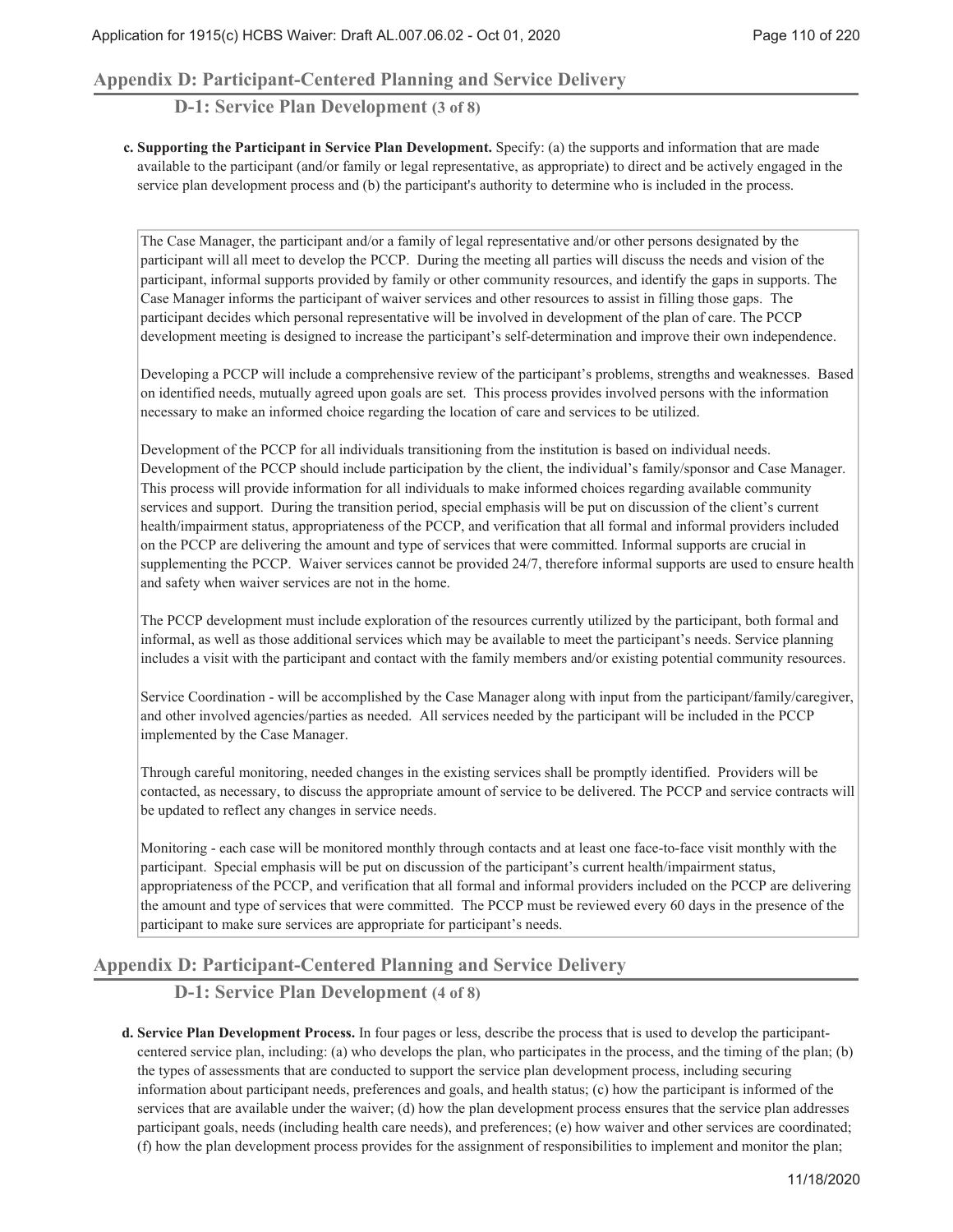## **Appendix D: Participant-Centered Planning and Service Delivery**

## **D-1: Service Plan Development (3 of 8)**

**Supporting the Participant in Service Plan Development.** Specify: (a) the supports and information that are made **c.** available to the participant (and/or family or legal representative, as appropriate) to direct and be actively engaged in the service plan development process and (b) the participant's authority to determine who is included in the process.

The Case Manager, the participant and/or a family of legal representative and/or other persons designated by the participant will all meet to develop the PCCP. During the meeting all parties will discuss the needs and vision of the participant, informal supports provided by family or other community resources, and identify the gaps in supports. The Case Manager informs the participant of waiver services and other resources to assist in filling those gaps. The participant decides which personal representative will be involved in development of the plan of care. The PCCP development meeting is designed to increase the participant's self-determination and improve their own independence.

Developing a PCCP will include a comprehensive review of the participant's problems, strengths and weaknesses. Based on identified needs, mutually agreed upon goals are set. This process provides involved persons with the information necessary to make an informed choice regarding the location of care and services to be utilized.

Development of the PCCP for all individuals transitioning from the institution is based on individual needs. Development of the PCCP should include participation by the client, the individual's family/sponsor and Case Manager. This process will provide information for all individuals to make informed choices regarding available community services and support. During the transition period, special emphasis will be put on discussion of the client's current health/impairment status, appropriateness of the PCCP, and verification that all formal and informal providers included on the PCCP are delivering the amount and type of services that were committed. Informal supports are crucial in supplementing the PCCP. Waiver services cannot be provided 24/7, therefore informal supports are used to ensure health and safety when waiver services are not in the home.

The PCCP development must include exploration of the resources currently utilized by the participant, both formal and informal, as well as those additional services which may be available to meet the participant's needs. Service planning includes a visit with the participant and contact with the family members and/or existing potential community resources.

Service Coordination - will be accomplished by the Case Manager along with input from the participant/family/caregiver, and other involved agencies/parties as needed. All services needed by the participant will be included in the PCCP implemented by the Case Manager.

Through careful monitoring, needed changes in the existing services shall be promptly identified. Providers will be contacted, as necessary, to discuss the appropriate amount of service to be delivered. The PCCP and service contracts will be updated to reflect any changes in service needs.

Monitoring - each case will be monitored monthly through contacts and at least one face-to-face visit monthly with the participant. Special emphasis will be put on discussion of the participant's current health/impairment status, appropriateness of the PCCP, and verification that all formal and informal providers included on the PCCP are delivering the amount and type of services that were committed. The PCCP must be reviewed every 60 days in the presence of the participant to make sure services are appropriate for participant's needs.

## **Appendix D: Participant-Centered Planning and Service Delivery**

# **D-1: Service Plan Development (4 of 8)**

**Service Plan Development Process.** In four pages or less, describe the process that is used to develop the participant-**d.** centered service plan, including: (a) who develops the plan, who participates in the process, and the timing of the plan; (b) the types of assessments that are conducted to support the service plan development process, including securing information about participant needs, preferences and goals, and health status; (c) how the participant is informed of the services that are available under the waiver; (d) how the plan development process ensures that the service plan addresses participant goals, needs (including health care needs), and preferences; (e) how waiver and other services are coordinated; (f) how the plan development process provides for the assignment of responsibilities to implement and monitor the plan;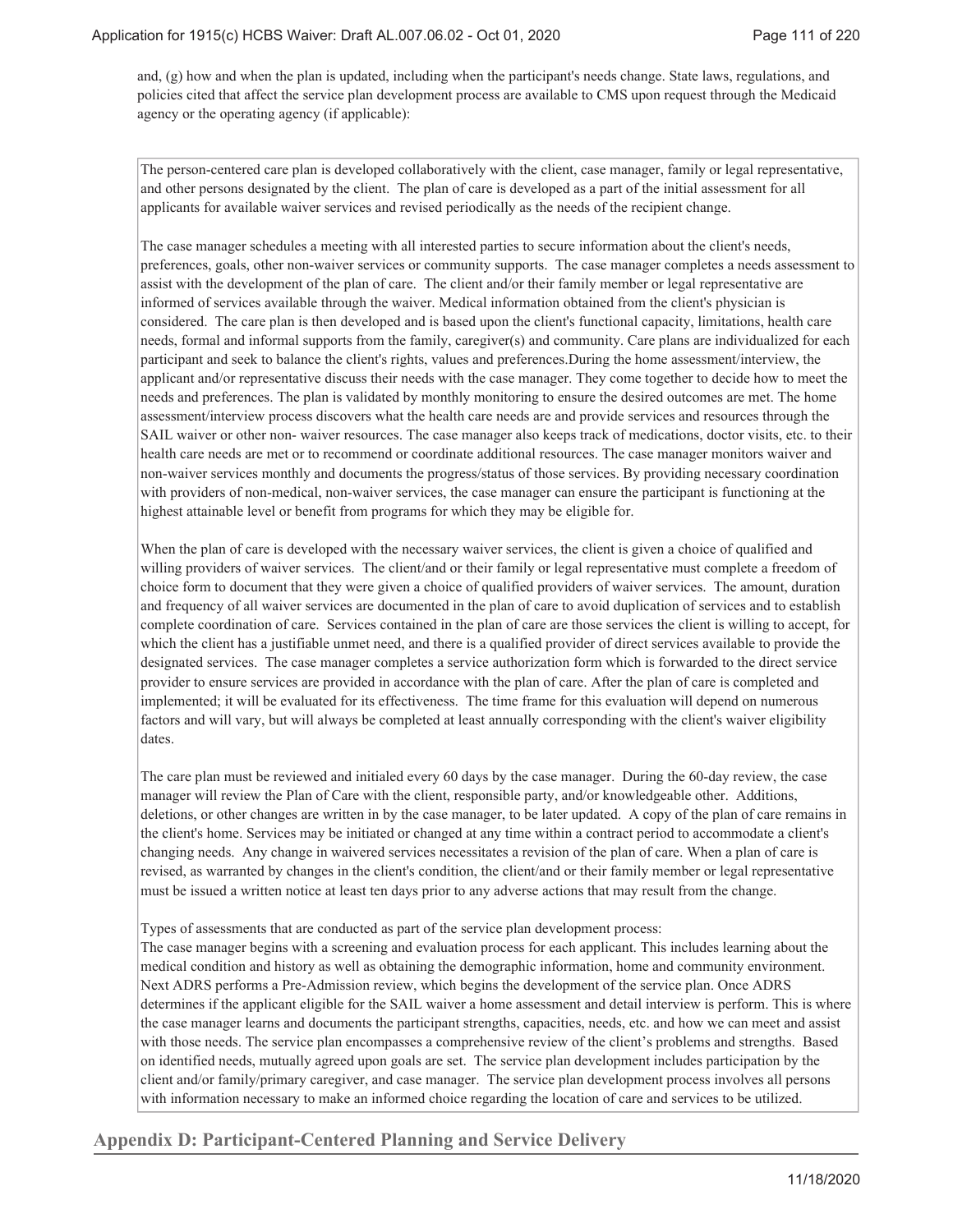and, (g) how and when the plan is updated, including when the participant's needs change. State laws, regulations, and policies cited that affect the service plan development process are available to CMS upon request through the Medicaid agency or the operating agency (if applicable):

The person-centered care plan is developed collaboratively with the client, case manager, family or legal representative, and other persons designated by the client. The plan of care is developed as a part of the initial assessment for all applicants for available waiver services and revised periodically as the needs of the recipient change.

The case manager schedules a meeting with all interested parties to secure information about the client's needs, preferences, goals, other non-waiver services or community supports. The case manager completes a needs assessment to assist with the development of the plan of care. The client and/or their family member or legal representative are informed of services available through the waiver. Medical information obtained from the client's physician is considered. The care plan is then developed and is based upon the client's functional capacity, limitations, health care needs, formal and informal supports from the family, caregiver(s) and community. Care plans are individualized for each participant and seek to balance the client's rights, values and preferences.During the home assessment/interview, the applicant and/or representative discuss their needs with the case manager. They come together to decide how to meet the needs and preferences. The plan is validated by monthly monitoring to ensure the desired outcomes are met. The home assessment/interview process discovers what the health care needs are and provide services and resources through the SAIL waiver or other non- waiver resources. The case manager also keeps track of medications, doctor visits, etc. to their health care needs are met or to recommend or coordinate additional resources. The case manager monitors waiver and non-waiver services monthly and documents the progress/status of those services. By providing necessary coordination with providers of non-medical, non-waiver services, the case manager can ensure the participant is functioning at the highest attainable level or benefit from programs for which they may be eligible for.

When the plan of care is developed with the necessary waiver services, the client is given a choice of qualified and willing providers of waiver services. The client/and or their family or legal representative must complete a freedom of choice form to document that they were given a choice of qualified providers of waiver services. The amount, duration and frequency of all waiver services are documented in the plan of care to avoid duplication of services and to establish complete coordination of care. Services contained in the plan of care are those services the client is willing to accept, for which the client has a justifiable unmet need, and there is a qualified provider of direct services available to provide the designated services. The case manager completes a service authorization form which is forwarded to the direct service provider to ensure services are provided in accordance with the plan of care. After the plan of care is completed and implemented; it will be evaluated for its effectiveness. The time frame for this evaluation will depend on numerous factors and will vary, but will always be completed at least annually corresponding with the client's waiver eligibility dates.

The care plan must be reviewed and initialed every 60 days by the case manager. During the 60-day review, the case manager will review the Plan of Care with the client, responsible party, and/or knowledgeable other. Additions, deletions, or other changes are written in by the case manager, to be later updated. A copy of the plan of care remains in the client's home. Services may be initiated or changed at any time within a contract period to accommodate a client's changing needs. Any change in waivered services necessitates a revision of the plan of care. When a plan of care is revised, as warranted by changes in the client's condition, the client/and or their family member or legal representative must be issued a written notice at least ten days prior to any adverse actions that may result from the change.

Types of assessments that are conducted as part of the service plan development process:

The case manager begins with a screening and evaluation process for each applicant. This includes learning about the medical condition and history as well as obtaining the demographic information, home and community environment. Next ADRS performs a Pre-Admission review, which begins the development of the service plan. Once ADRS determines if the applicant eligible for the SAIL waiver a home assessment and detail interview is perform. This is where the case manager learns and documents the participant strengths, capacities, needs, etc. and how we can meet and assist with those needs. The service plan encompasses a comprehensive review of the client's problems and strengths. Based on identified needs, mutually agreed upon goals are set. The service plan development includes participation by the client and/or family/primary caregiver, and case manager. The service plan development process involves all persons with information necessary to make an informed choice regarding the location of care and services to be utilized.

## **Appendix D: Participant-Centered Planning and Service Delivery**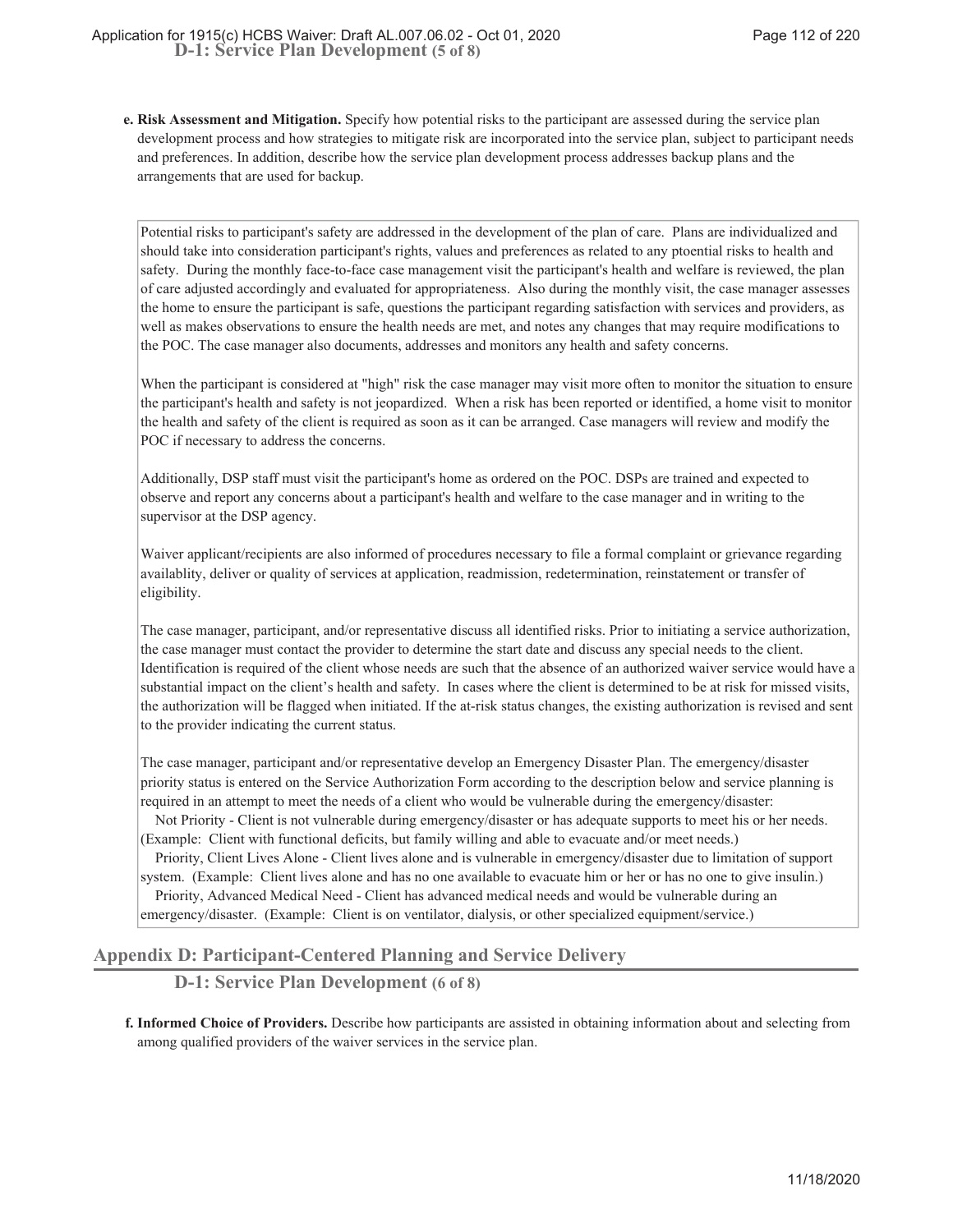**Risk Assessment and Mitigation.** Specify how potential risks to the participant are assessed during the service plan **e.** development process and how strategies to mitigate risk are incorporated into the service plan, subject to participant needs and preferences. In addition, describe how the service plan development process addresses backup plans and the arrangements that are used for backup.

Potential risks to participant's safety are addressed in the development of the plan of care. Plans are individualized and should take into consideration participant's rights, values and preferences as related to any ptoential risks to health and safety. During the monthly face-to-face case management visit the participant's health and welfare is reviewed, the plan of care adjusted accordingly and evaluated for appropriateness. Also during the monthly visit, the case manager assesses the home to ensure the participant is safe, questions the participant regarding satisfaction with services and providers, as well as makes observations to ensure the health needs are met, and notes any changes that may require modifications to the POC. The case manager also documents, addresses and monitors any health and safety concerns.

When the participant is considered at "high" risk the case manager may visit more often to monitor the situation to ensure the participant's health and safety is not jeopardized. When a risk has been reported or identified, a home visit to monitor the health and safety of the client is required as soon as it can be arranged. Case managers will review and modify the POC if necessary to address the concerns.

Additionally, DSP staff must visit the participant's home as ordered on the POC. DSPs are trained and expected to observe and report any concerns about a participant's health and welfare to the case manager and in writing to the supervisor at the DSP agency.

Waiver applicant/recipients are also informed of procedures necessary to file a formal complaint or grievance regarding availablity, deliver or quality of services at application, readmission, redetermination, reinstatement or transfer of eligibility.

The case manager, participant, and/or representative discuss all identified risks. Prior to initiating a service authorization, the case manager must contact the provider to determine the start date and discuss any special needs to the client. Identification is required of the client whose needs are such that the absence of an authorized waiver service would have a substantial impact on the client's health and safety. In cases where the client is determined to be at risk for missed visits, the authorization will be flagged when initiated. If the at-risk status changes, the existing authorization is revised and sent to the provider indicating the current status.

The case manager, participant and/or representative develop an Emergency Disaster Plan. The emergency/disaster priority status is entered on the Service Authorization Form according to the description below and service planning is required in an attempt to meet the needs of a client who would be vulnerable during the emergency/disaster:

Not Priority - Client is not vulnerable during emergency/disaster or has adequate supports to meet his or her needs. (Example: Client with functional deficits, but family willing and able to evacuate and/or meet needs.)

Priority, Client Lives Alone - Client lives alone and is vulnerable in emergency/disaster due to limitation of support system. (Example: Client lives alone and has no one available to evacuate him or her or has no one to give insulin.) Priority, Advanced Medical Need - Client has advanced medical needs and would be vulnerable during an emergency/disaster. (Example: Client is on ventilator, dialysis, or other specialized equipment/service.)

## **Appendix D: Participant-Centered Planning and Service Delivery**

**D-1: Service Plan Development (6 of 8)**

**Informed Choice of Providers.** Describe how participants are assisted in obtaining information about and selecting from **f.** among qualified providers of the waiver services in the service plan.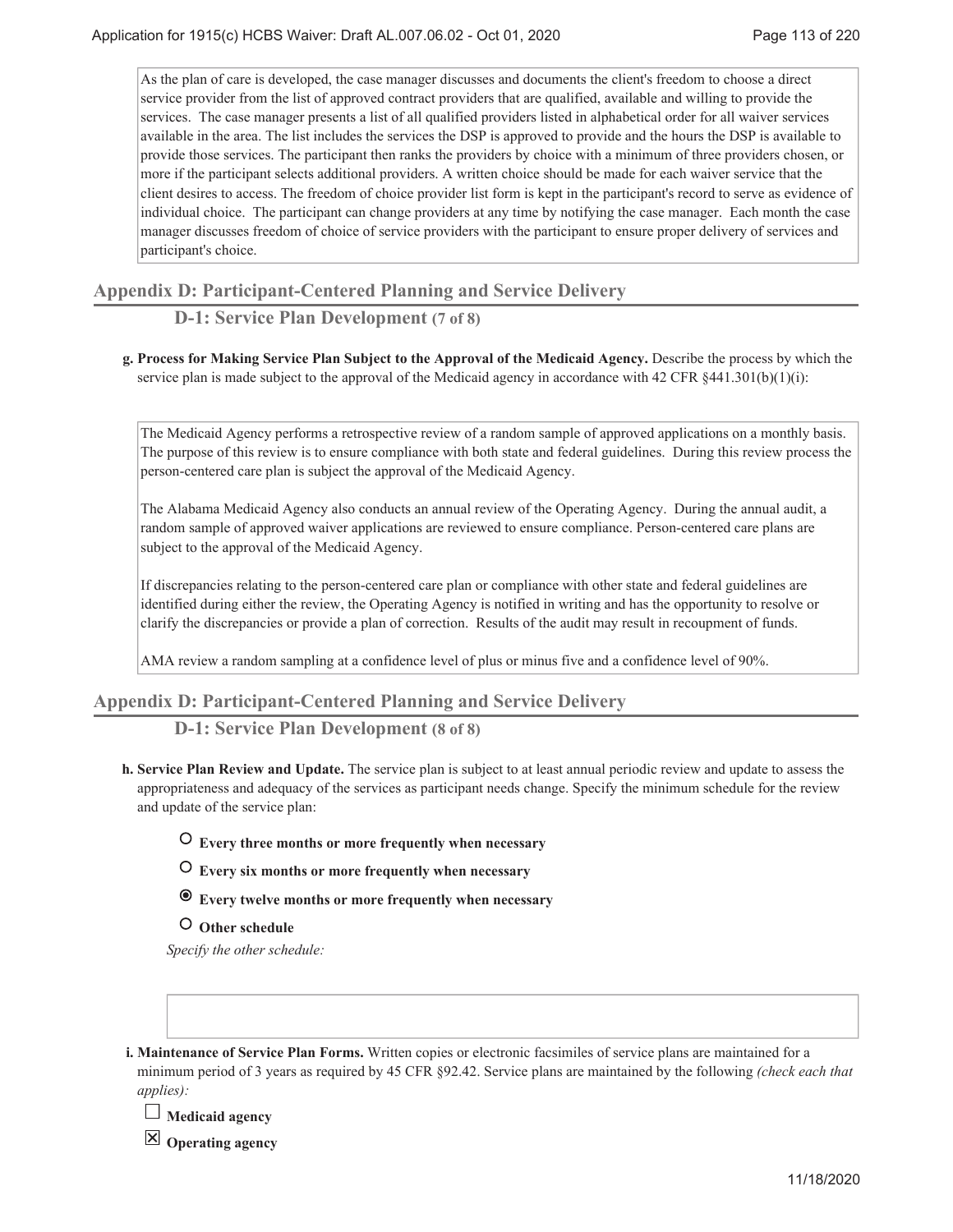As the plan of care is developed, the case manager discusses and documents the client's freedom to choose a direct service provider from the list of approved contract providers that are qualified, available and willing to provide the services. The case manager presents a list of all qualified providers listed in alphabetical order for all waiver services available in the area. The list includes the services the DSP is approved to provide and the hours the DSP is available to provide those services. The participant then ranks the providers by choice with a minimum of three providers chosen, or more if the participant selects additional providers. A written choice should be made for each waiver service that the client desires to access. The freedom of choice provider list form is kept in the participant's record to serve as evidence of individual choice. The participant can change providers at any time by notifying the case manager. Each month the case manager discusses freedom of choice of service providers with the participant to ensure proper delivery of services and participant's choice.

## **Appendix D: Participant-Centered Planning and Service Delivery**

# **D-1: Service Plan Development (7 of 8)**

**Process for Making Service Plan Subject to the Approval of the Medicaid Agency.** Describe the process by which the **g.** service plan is made subject to the approval of the Medicaid agency in accordance with 42 CFR §441.301(b)(1)(i):

The Medicaid Agency performs a retrospective review of a random sample of approved applications on a monthly basis. The purpose of this review is to ensure compliance with both state and federal guidelines. During this review process the person-centered care plan is subject the approval of the Medicaid Agency.

The Alabama Medicaid Agency also conducts an annual review of the Operating Agency. During the annual audit, a random sample of approved waiver applications are reviewed to ensure compliance. Person-centered care plans are subject to the approval of the Medicaid Agency.

If discrepancies relating to the person-centered care plan or compliance with other state and federal guidelines are identified during either the review, the Operating Agency is notified in writing and has the opportunity to resolve or clarify the discrepancies or provide a plan of correction. Results of the audit may result in recoupment of funds.

AMA review a random sampling at a confidence level of plus or minus five and a confidence level of 90%.

## **Appendix D: Participant-Centered Planning and Service Delivery**

**D-1: Service Plan Development (8 of 8)**

**Service Plan Review and Update.** The service plan is subject to at least annual periodic review and update to assess the **h.** appropriateness and adequacy of the services as participant needs change. Specify the minimum schedule for the review and update of the service plan:

## **Every three months or more frequently when necessary**

- **Every six months or more frequently when necessary**
- **Every twelve months or more frequently when necessary**
- **Other schedule**

*Specify the other schedule:*

**Maintenance of Service Plan Forms.** Written copies or electronic facsimiles of service plans are maintained for a **i.** minimum period of 3 years as required by 45 CFR §92.42. Service plans are maintained by the following *(check each that applies):*

**Medicaid agency**

**Operating agency**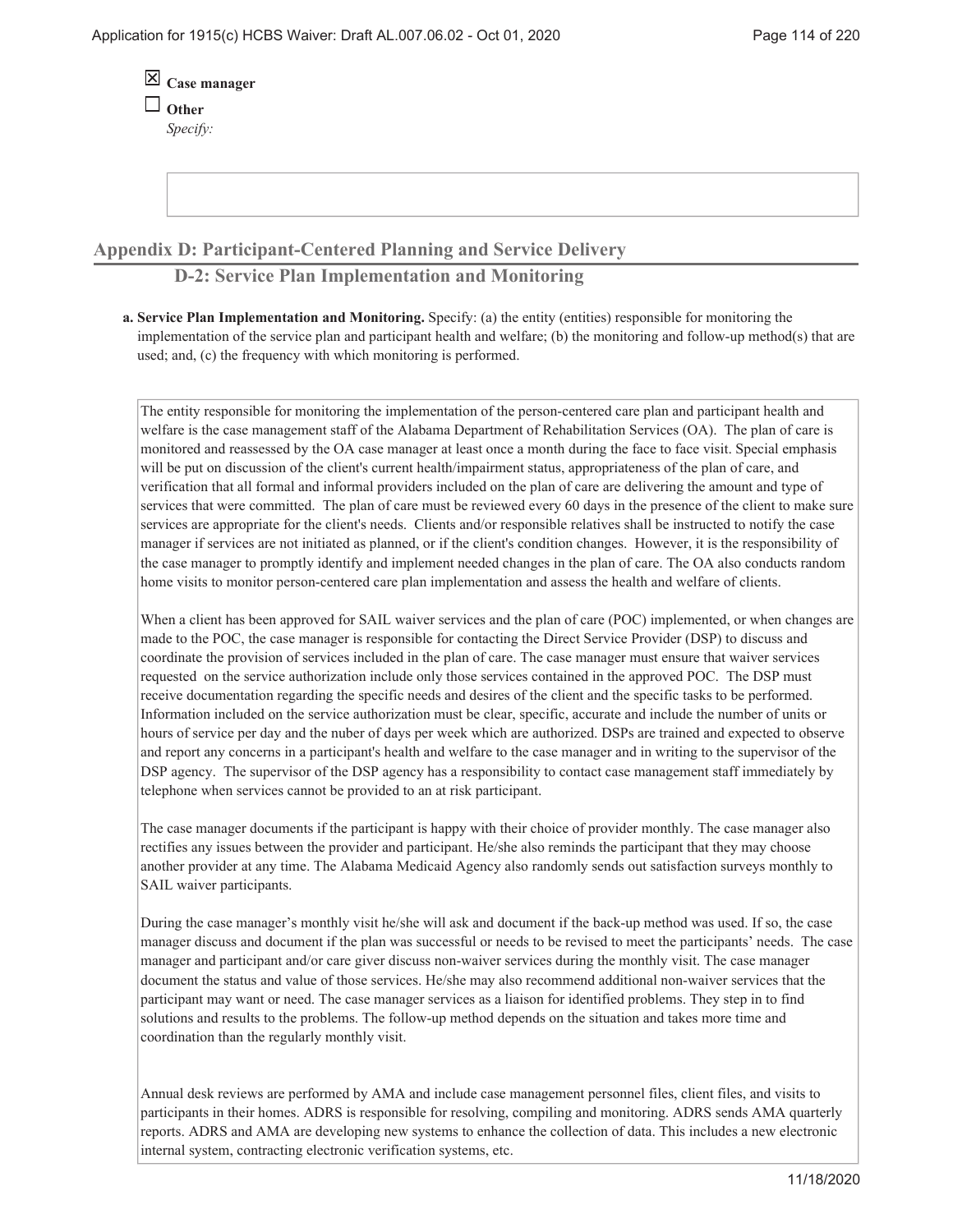| $\overline{\boxtimes}$ Case manager |
|-------------------------------------|
| $\Box$ Other                        |
| Specify:                            |

## **Appendix D: Participant-Centered Planning and Service Delivery**

## **D-2: Service Plan Implementation and Monitoring**

**Service Plan Implementation and Monitoring.** Specify: (a) the entity (entities) responsible for monitoring the **a.** implementation of the service plan and participant health and welfare; (b) the monitoring and follow-up method(s) that are used; and, (c) the frequency with which monitoring is performed.

The entity responsible for monitoring the implementation of the person-centered care plan and participant health and welfare is the case management staff of the Alabama Department of Rehabilitation Services (OA). The plan of care is monitored and reassessed by the OA case manager at least once a month during the face to face visit. Special emphasis will be put on discussion of the client's current health/impairment status, appropriateness of the plan of care, and verification that all formal and informal providers included on the plan of care are delivering the amount and type of services that were committed. The plan of care must be reviewed every 60 days in the presence of the client to make sure services are appropriate for the client's needs. Clients and/or responsible relatives shall be instructed to notify the case manager if services are not initiated as planned, or if the client's condition changes. However, it is the responsibility of the case manager to promptly identify and implement needed changes in the plan of care. The OA also conducts random home visits to monitor person-centered care plan implementation and assess the health and welfare of clients.

When a client has been approved for SAIL waiver services and the plan of care (POC) implemented, or when changes are made to the POC, the case manager is responsible for contacting the Direct Service Provider (DSP) to discuss and coordinate the provision of services included in the plan of care. The case manager must ensure that waiver services requested on the service authorization include only those services contained in the approved POC. The DSP must receive documentation regarding the specific needs and desires of the client and the specific tasks to be performed. Information included on the service authorization must be clear, specific, accurate and include the number of units or hours of service per day and the nuber of days per week which are authorized. DSPs are trained and expected to observe and report any concerns in a participant's health and welfare to the case manager and in writing to the supervisor of the DSP agency. The supervisor of the DSP agency has a responsibility to contact case management staff immediately by telephone when services cannot be provided to an at risk participant.

The case manager documents if the participant is happy with their choice of provider monthly. The case manager also rectifies any issues between the provider and participant. He/she also reminds the participant that they may choose another provider at any time. The Alabama Medicaid Agency also randomly sends out satisfaction surveys monthly to SAIL waiver participants.

During the case manager's monthly visit he/she will ask and document if the back-up method was used. If so, the case manager discuss and document if the plan was successful or needs to be revised to meet the participants' needs. The case manager and participant and/or care giver discuss non-waiver services during the monthly visit. The case manager document the status and value of those services. He/she may also recommend additional non-waiver services that the participant may want or need. The case manager services as a liaison for identified problems. They step in to find solutions and results to the problems. The follow-up method depends on the situation and takes more time and coordination than the regularly monthly visit.

Annual desk reviews are performed by AMA and include case management personnel files, client files, and visits to participants in their homes. ADRS is responsible for resolving, compiling and monitoring. ADRS sends AMA quarterly reports. ADRS and AMA are developing new systems to enhance the collection of data. This includes a new electronic internal system, contracting electronic verification systems, etc.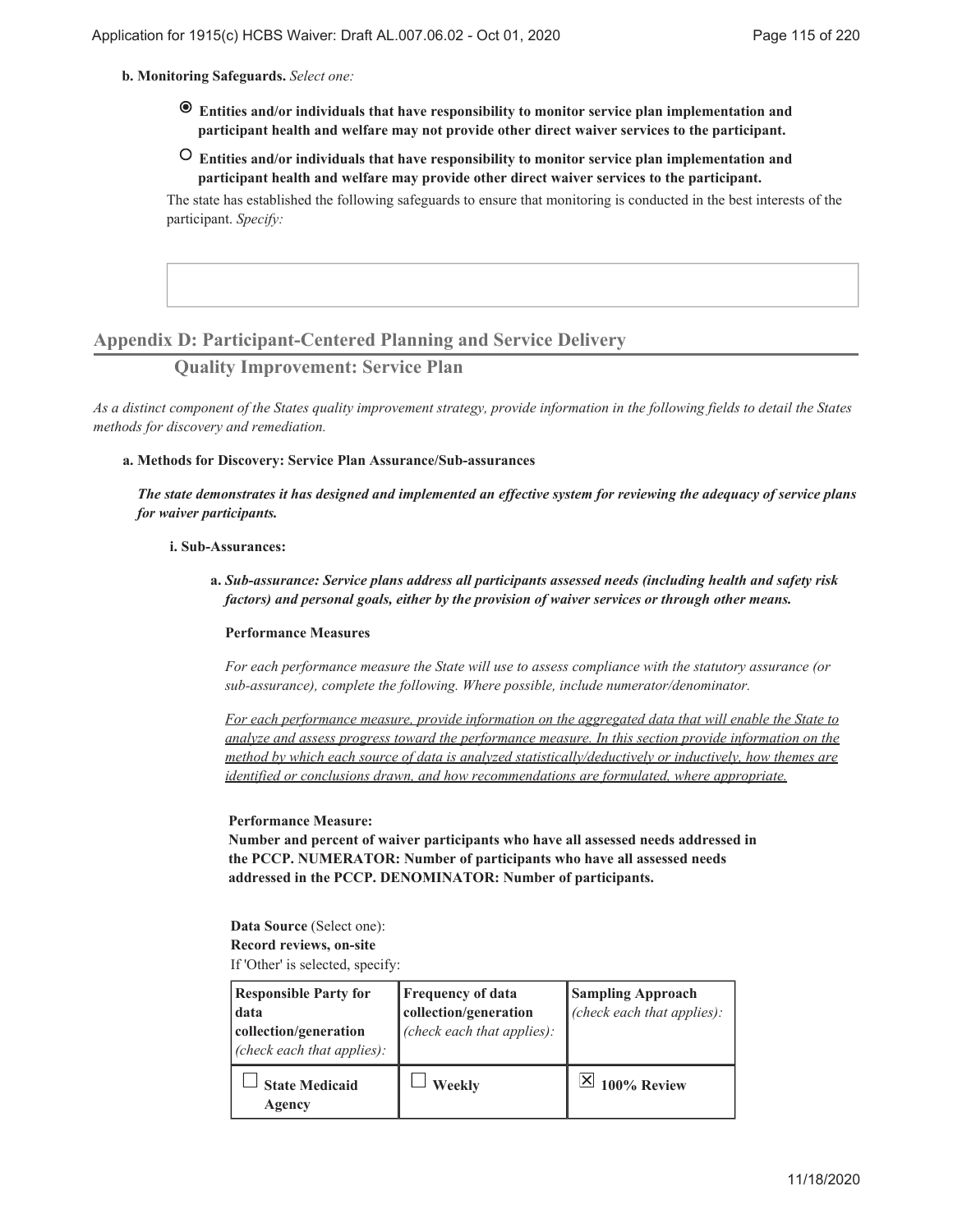#### **Monitoring Safeguards.** *Select one:* **b.**

- **Entities and/or individuals that have responsibility to monitor service plan implementation and participant health and welfare may not provide other direct waiver services to the participant.**
- **Entities and/or individuals that have responsibility to monitor service plan implementation and participant health and welfare may provide other direct waiver services to the participant.**

The state has established the following safeguards to ensure that monitoring is conducted in the best interests of the participant. *Specify:*

## **Appendix D: Participant-Centered Planning and Service Delivery**

## **Quality Improvement: Service Plan**

*As a distinct component of the States quality improvement strategy, provide information in the following fields to detail the States methods for discovery and remediation.*

#### **Methods for Discovery: Service Plan Assurance/Sub-assurances a.**

*The state demonstrates it has designed and implemented an effective system for reviewing the adequacy of service plans for waiver participants.*

#### **Sub-Assurances: i.**

*Sub-assurance: Service plans address all participants assessed needs (including health and safety risk* **a.** *factors) and personal goals, either by the provision of waiver services or through other means.*

#### **Performance Measures**

*For each performance measure the State will use to assess compliance with the statutory assurance (or sub-assurance), complete the following. Where possible, include numerator/denominator.*

*For each performance measure, provide information on the aggregated data that will enable the State to analyze and assess progress toward the performance measure. In this section provide information on the method by which each source of data is analyzed statistically/deductively or inductively, how themes are identified or conclusions drawn, and how recommendations are formulated, where appropriate.*

#### **Performance Measure:**

**Number and percent of waiver participants who have all assessed needs addressed in the PCCP. NUMERATOR: Number of participants who have all assessed needs addressed in the PCCP. DENOMINATOR: Number of participants.**

**Data Source** (Select one): **Record reviews, on-site** If 'Other' is selected, specify:

| <b>Responsible Party for</b><br>data<br>collection/generation<br>(check each that applies): | <b>Frequency of data</b><br>collection/generation<br>(check each that applies): | <b>Sampling Approach</b><br>(check each that applies): |
|---------------------------------------------------------------------------------------------|---------------------------------------------------------------------------------|--------------------------------------------------------|
| <b>State Medicaid</b><br>Agency                                                             | Weekly                                                                          | 100% Review                                            |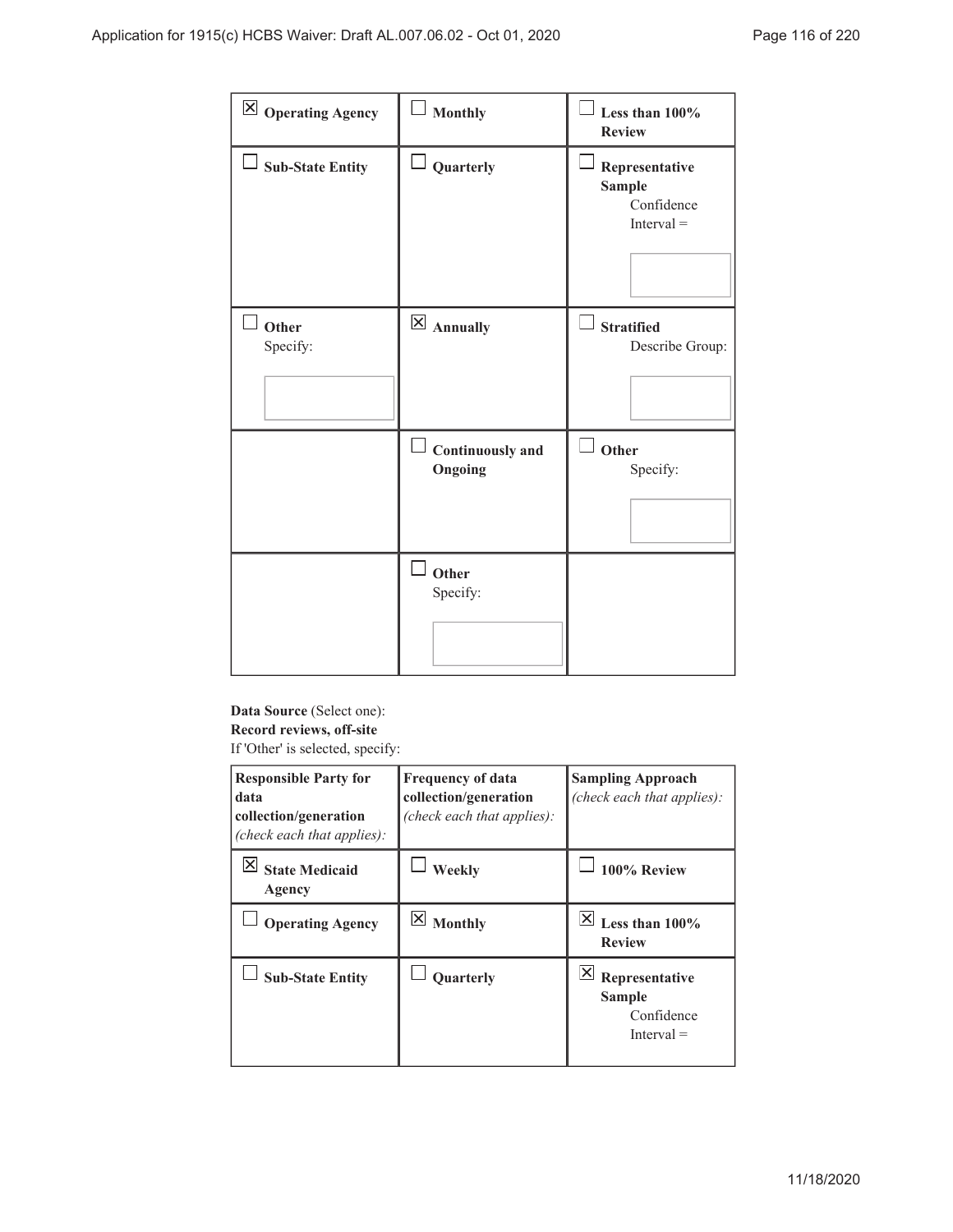| $\boxtimes$ Operating Agency | Monthly                     | Less than 100%<br><b>Review</b>                               |
|------------------------------|-----------------------------|---------------------------------------------------------------|
| $\Box$ Sub-State Entity      | $\Box$ Quarterly            | Representative<br><b>Sample</b><br>Confidence<br>$Interval =$ |
| Other<br>Specify:            | $\boxtimes$ Annually        | <b>Stratified</b><br>Describe Group:                          |
|                              | Continuously and<br>Ongoing | Other<br>Specify:                                             |
|                              | Other<br>Specify:           |                                                               |

# **Data Source** (Select one): **Record reviews, off-site**

If 'Other' is selected, specify:

| <b>Responsible Party for</b><br>data<br>collection/generation<br>(check each that applies): | <b>Frequency of data</b><br>collection/generation<br>(check each that applies): | <b>Sampling Approach</b><br>(check each that applies):               |
|---------------------------------------------------------------------------------------------|---------------------------------------------------------------------------------|----------------------------------------------------------------------|
| <b>State Medicaid</b><br>Agency                                                             | Weekly                                                                          | 100% Review                                                          |
| <b>Operating Agency</b>                                                                     | $\boldsymbol{\times}$<br><b>Monthly</b>                                         | ΙXΙ<br>Less than $100\%$<br><b>Review</b>                            |
| <b>Sub-State Entity</b>                                                                     | <b>Ouarterly</b>                                                                | ∣×∣<br>Representative<br><b>Sample</b><br>Confidence<br>$Interval =$ |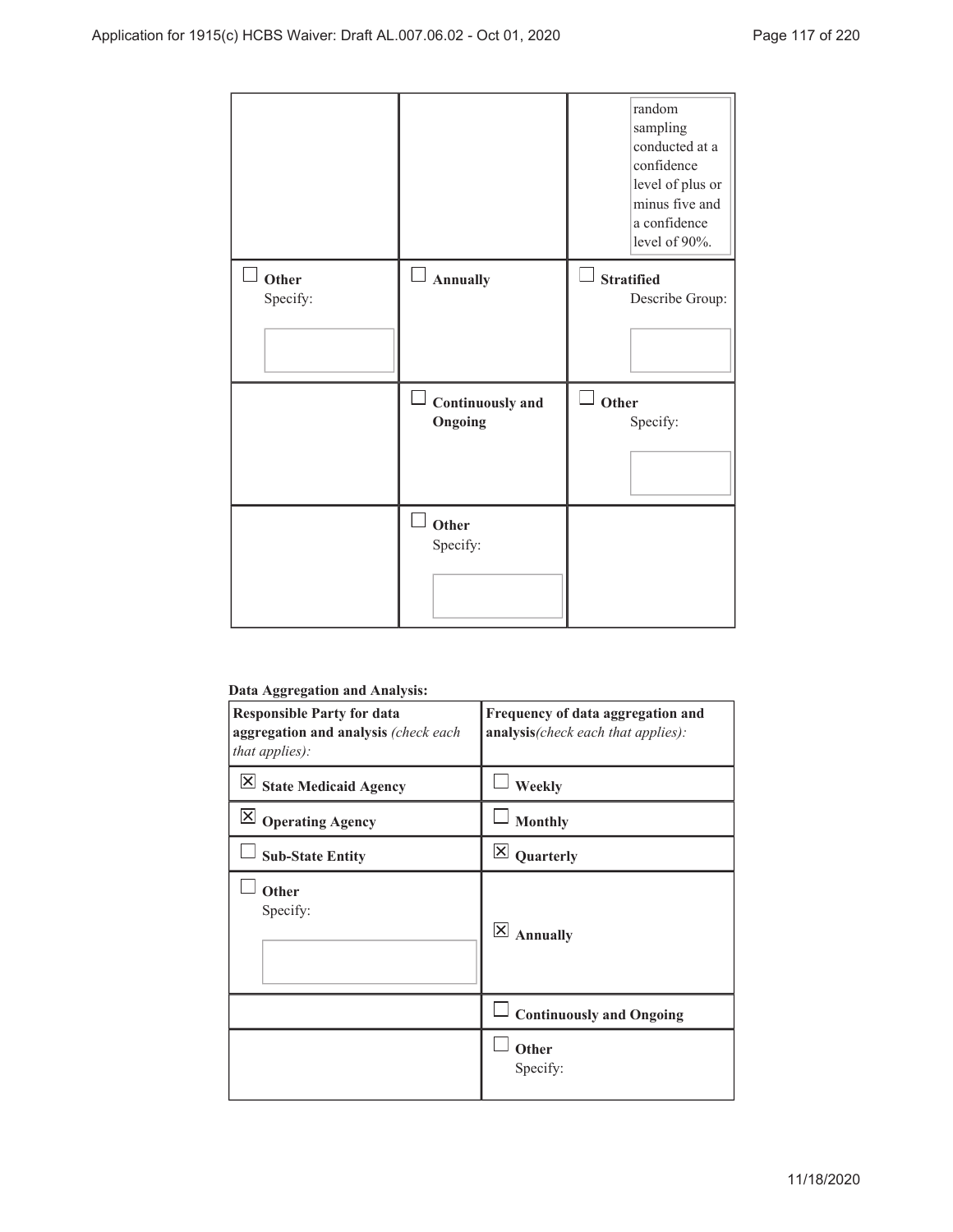|                   |                             | random<br>sampling<br>conducted at a<br>confidence<br>level of plus or<br>minus five and<br>a confidence<br>level of 90%. |
|-------------------|-----------------------------|---------------------------------------------------------------------------------------------------------------------------|
| Other<br>Specify: | Annually                    | <b>Stratified</b><br>Describe Group:                                                                                      |
|                   | Continuously and<br>Ongoing | Other<br>Specify:                                                                                                         |
|                   |                             |                                                                                                                           |

#### **Data Aggregation and Analysis:**

| 88.                                      |                                       |
|------------------------------------------|---------------------------------------|
| <b>Responsible Party for data</b>        | Frequency of data aggregation and     |
| aggregation and analysis (check each     | analysis(check each that applies):    |
| that applies):                           |                                       |
|                                          |                                       |
| $\times$<br><b>State Medicaid Agency</b> | Weekly                                |
| $\boxtimes$ Operating Agency             | <b>Monthly</b>                        |
| <b>Sub-State Entity</b>                  | $\mathsf{\underline{x}}$<br>Quarterly |
| Other                                    |                                       |
| Specify:                                 |                                       |
|                                          | $\times$<br><b>Annually</b>           |
|                                          |                                       |
|                                          |                                       |
|                                          |                                       |
|                                          |                                       |
|                                          | <b>Continuously and Ongoing</b>       |
|                                          | Other                                 |
|                                          | Specify:                              |
|                                          |                                       |
|                                          |                                       |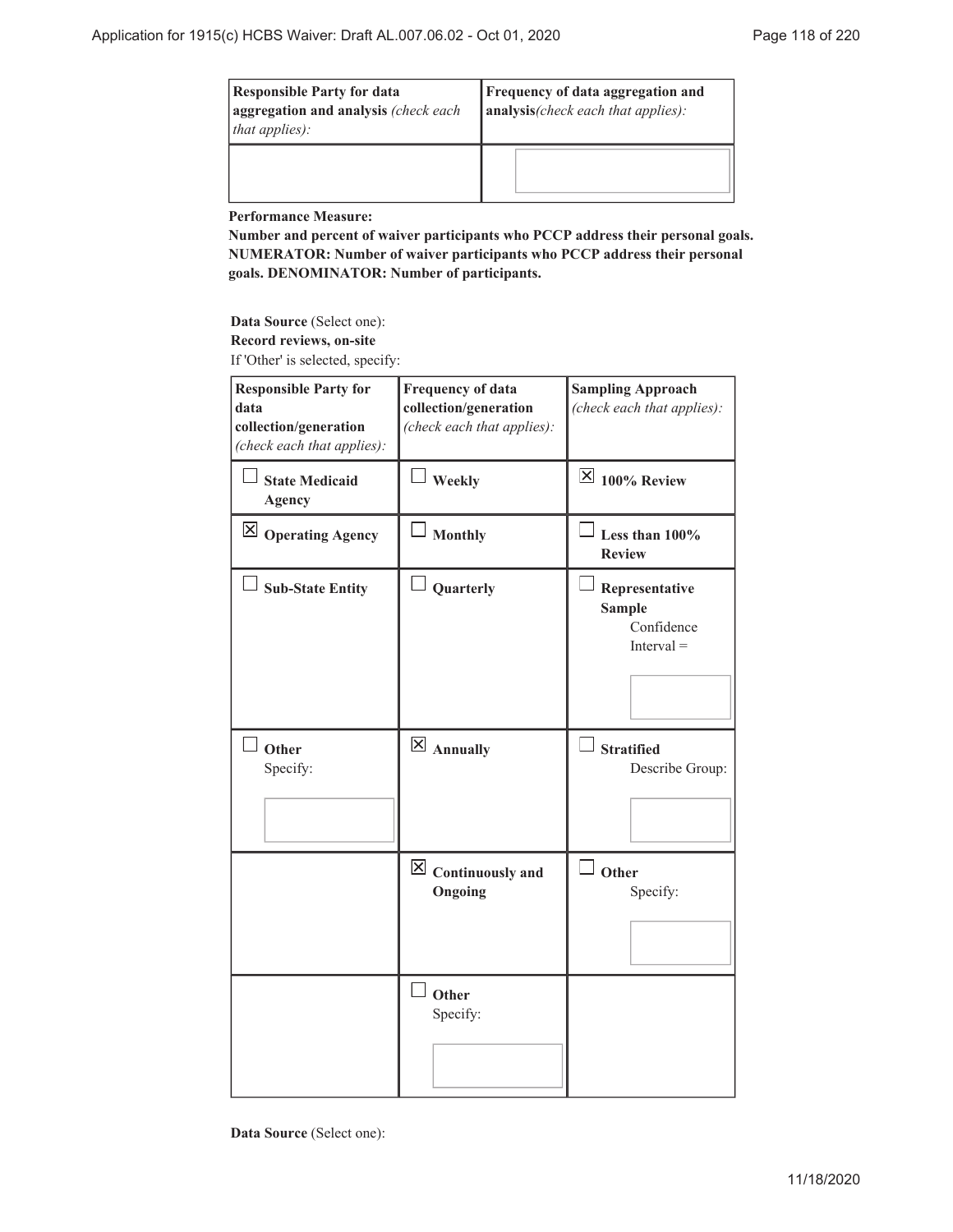| <b>Responsible Party for data</b><br>aggregation and analysis (check each)<br><i>that applies):</i> | <b>Frequency of data aggregation and</b><br>analysis(check each that applies): |
|-----------------------------------------------------------------------------------------------------|--------------------------------------------------------------------------------|
|                                                                                                     |                                                                                |

**Performance Measure:**

**Number and percent of waiver participants who PCCP address their personal goals. NUMERATOR: Number of waiver participants who PCCP address their personal goals. DENOMINATOR: Number of participants.**

**Data Source** (Select one): **Record reviews, on-site** If 'Other' is selected, specify:

| <b>Responsible Party for</b>           | Frequency of data                       | <b>Sampling Approach</b>                                      |
|----------------------------------------|-----------------------------------------|---------------------------------------------------------------|
| data                                   | collection/generation                   | (check each that applies):                                    |
| collection/generation                  | (check each that applies):              |                                                               |
| (check each that applies):             |                                         |                                                               |
| <b>State Medicaid</b><br><b>Agency</b> | Weekly                                  | $\overline{\boxtimes}$ 100% Review                            |
| $\boxtimes$ Operating Agency           | <b>Monthly</b>                          | Less than 100%<br><b>Review</b>                               |
| <b>Sub-State Entity</b>                | Quarterly                               | Representative<br><b>Sample</b><br>Confidence<br>$Interval =$ |
| Other<br>Specify:                      | $\boxtimes$ Annually                    | <b>Stratified</b><br>Describe Group:                          |
|                                        | $\boxtimes$ Continuously and<br>Ongoing | $\perp$ Other<br>Specify:                                     |
|                                        | Other<br>Specify:                       |                                                               |

**Data Source** (Select one):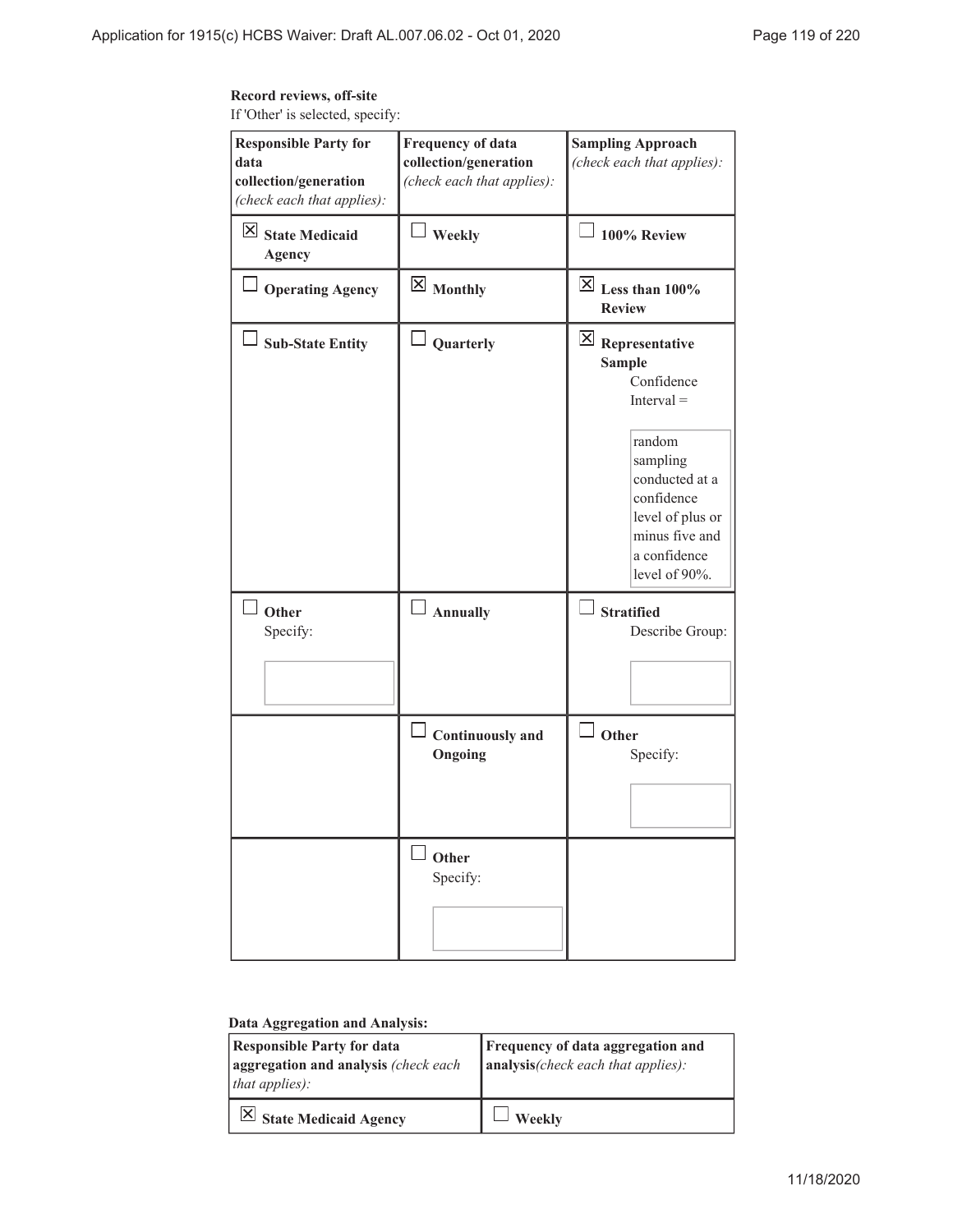## **Record reviews, off-site**

If 'Other' is selected, specify:

| <b>Responsible Party for</b><br>data<br>collection/generation<br>(check each that applies): | <b>Frequency of data</b><br>collection/generation<br>(check each that applies): | <b>Sampling Approach</b><br>(check each that applies):                                                                                                                                                                                                     |
|---------------------------------------------------------------------------------------------|---------------------------------------------------------------------------------|------------------------------------------------------------------------------------------------------------------------------------------------------------------------------------------------------------------------------------------------------------|
| $\boxtimes$ State Medicaid<br><b>Agency</b>                                                 | <b>Weekly</b>                                                                   | $\Box$ 100% Review                                                                                                                                                                                                                                         |
| <b>Operating Agency</b>                                                                     | $\boxtimes$ Monthly                                                             | $\overline{\boxtimes}$ Less than 100%<br><b>Review</b>                                                                                                                                                                                                     |
| <b>Sub-State Entity</b><br>Other<br>Specify:                                                | $\overline{\phantom{a}}$ Quarterly<br>Annually                                  | $\overline{\mathsf{X}}$ Representative<br><b>Sample</b><br>Confidence<br>$Interval =$<br>random<br>sampling<br>conducted at a<br>confidence<br>level of plus or<br>minus five and<br>a confidence<br>level of 90%.<br><b>Stratified</b><br>Describe Group: |
|                                                                                             |                                                                                 |                                                                                                                                                                                                                                                            |
|                                                                                             | <b>Continuously</b> and<br>Ongoing                                              | $\Box$ Other<br>Specify:                                                                                                                                                                                                                                   |
|                                                                                             | Other<br>Specify:                                                               |                                                                                                                                                                                                                                                            |

### **Data Aggregation and Analysis:**

| <b>Responsible Party for data</b><br>aggregation and analysis (check each<br><i>that applies</i> $)$ : | Frequency of data aggregation and<br>$ $ analysis(check each that applies): |
|--------------------------------------------------------------------------------------------------------|-----------------------------------------------------------------------------|
| $\boxed{\times}$ State Medicaid Agency                                                                 | Weekly                                                                      |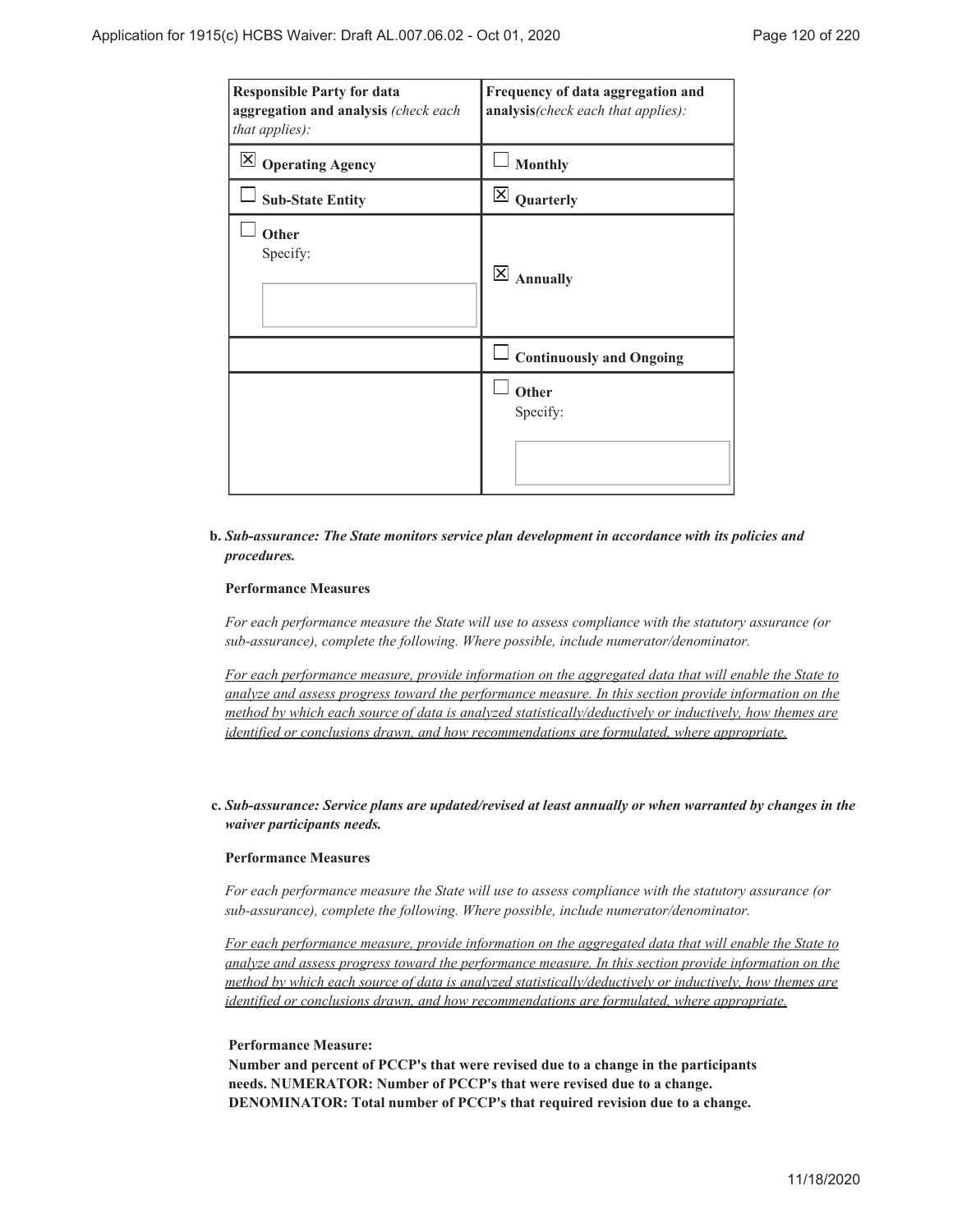| <b>Responsible Party for data</b><br>aggregation and analysis (check each<br>that applies): | Frequency of data aggregation and<br>analysis(check each that applies): |
|---------------------------------------------------------------------------------------------|-------------------------------------------------------------------------|
| $\mathsf{X}$<br><b>Operating Agency</b>                                                     | <b>Monthly</b>                                                          |
| <b>Sub-State Entity</b>                                                                     | $\mathsf{\times}$<br>Quarterly                                          |
| Other<br>Specify:                                                                           | $\times$<br><b>Annually</b>                                             |
|                                                                                             | <b>Continuously and Ongoing</b>                                         |
|                                                                                             | Other<br>Specify:                                                       |

#### *Sub-assurance: The State monitors service plan development in accordance with its policies and* **b.** *procedures.*

### **Performance Measures**

*For each performance measure the State will use to assess compliance with the statutory assurance (or sub-assurance), complete the following. Where possible, include numerator/denominator.*

*For each performance measure, provide information on the aggregated data that will enable the State to analyze and assess progress toward the performance measure. In this section provide information on the method by which each source of data is analyzed statistically/deductively or inductively, how themes are identified or conclusions drawn, and how recommendations are formulated, where appropriate.*

#### *Sub-assurance: Service plans are updated/revised at least annually or when warranted by changes in the* **c.** *waiver participants needs.*

#### **Performance Measures**

*For each performance measure the State will use to assess compliance with the statutory assurance (or sub-assurance), complete the following. Where possible, include numerator/denominator.*

*For each performance measure, provide information on the aggregated data that will enable the State to analyze and assess progress toward the performance measure. In this section provide information on the method by which each source of data is analyzed statistically/deductively or inductively, how themes are identified or conclusions drawn, and how recommendations are formulated, where appropriate.*

#### **Performance Measure:**

**Number and percent of PCCP's that were revised due to a change in the participants needs. NUMERATOR: Number of PCCP's that were revised due to a change. DENOMINATOR: Total number of PCCP's that required revision due to a change.**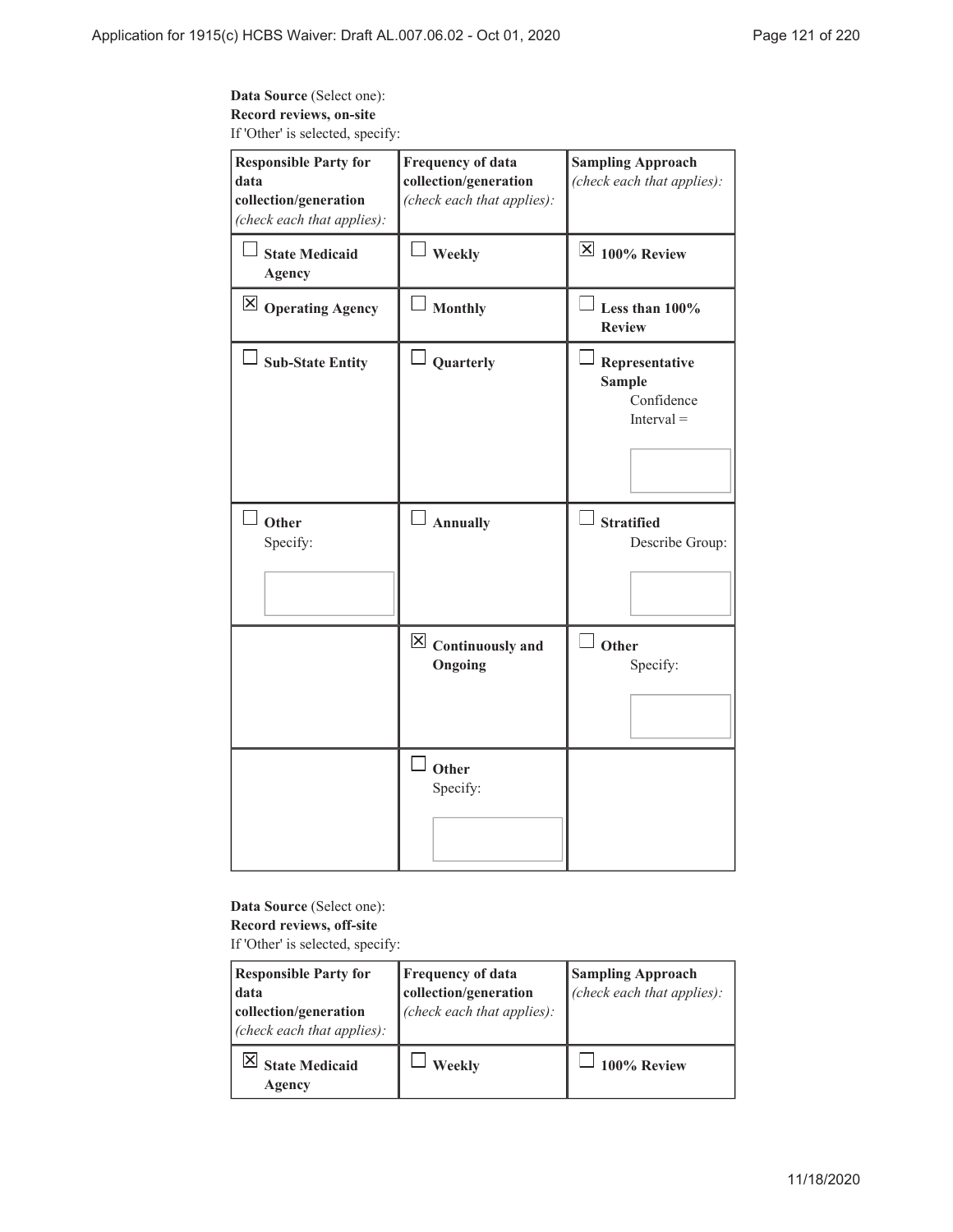## **Data Source** (Select one): **Record reviews, on-site** If 'Other' is selected, specify:

| <b>Responsible Party for</b><br>data<br>collection/generation<br>(check each that applies): | <b>Frequency of data</b><br>collection/generation<br>(check each that applies): | <b>Sampling Approach</b><br>(check each that applies):        |
|---------------------------------------------------------------------------------------------|---------------------------------------------------------------------------------|---------------------------------------------------------------|
| <b>State Medicaid</b><br>Agency                                                             | $\perp$ Weekly                                                                  | $\overline{\boxtimes}$ 100% Review                            |
| $\boxtimes$ Operating Agency                                                                | Monthly                                                                         | Less than $100\%$<br><b>Review</b>                            |
| <b>Sub-State Entity</b>                                                                     | Quarterly                                                                       | Representative<br><b>Sample</b><br>Confidence<br>$Interval =$ |
| $\Box$ Other<br>Specify:                                                                    | $\Box$ Annually                                                                 | $\Box$ Stratified<br>Describe Group:                          |
|                                                                                             | $\boxtimes$ Continuously and<br>Ongoing                                         | $\perp$ Other<br>Specify:                                     |
|                                                                                             | Other<br>Specify:                                                               |                                                               |

### **Data Source** (Select one): **Record reviews, off-site**

If 'Other' is selected, specify:

| <b>Responsible Party for</b><br>data<br>collection/generation<br>(check each that applies): | <b>Frequency of data</b><br>collection/generation<br>(check each that applies): | <b>Sampling Approach</b><br>(check each that applies): |
|---------------------------------------------------------------------------------------------|---------------------------------------------------------------------------------|--------------------------------------------------------|
| <b>State Medicaid</b><br>Agency                                                             | Weekly                                                                          | 100% Review                                            |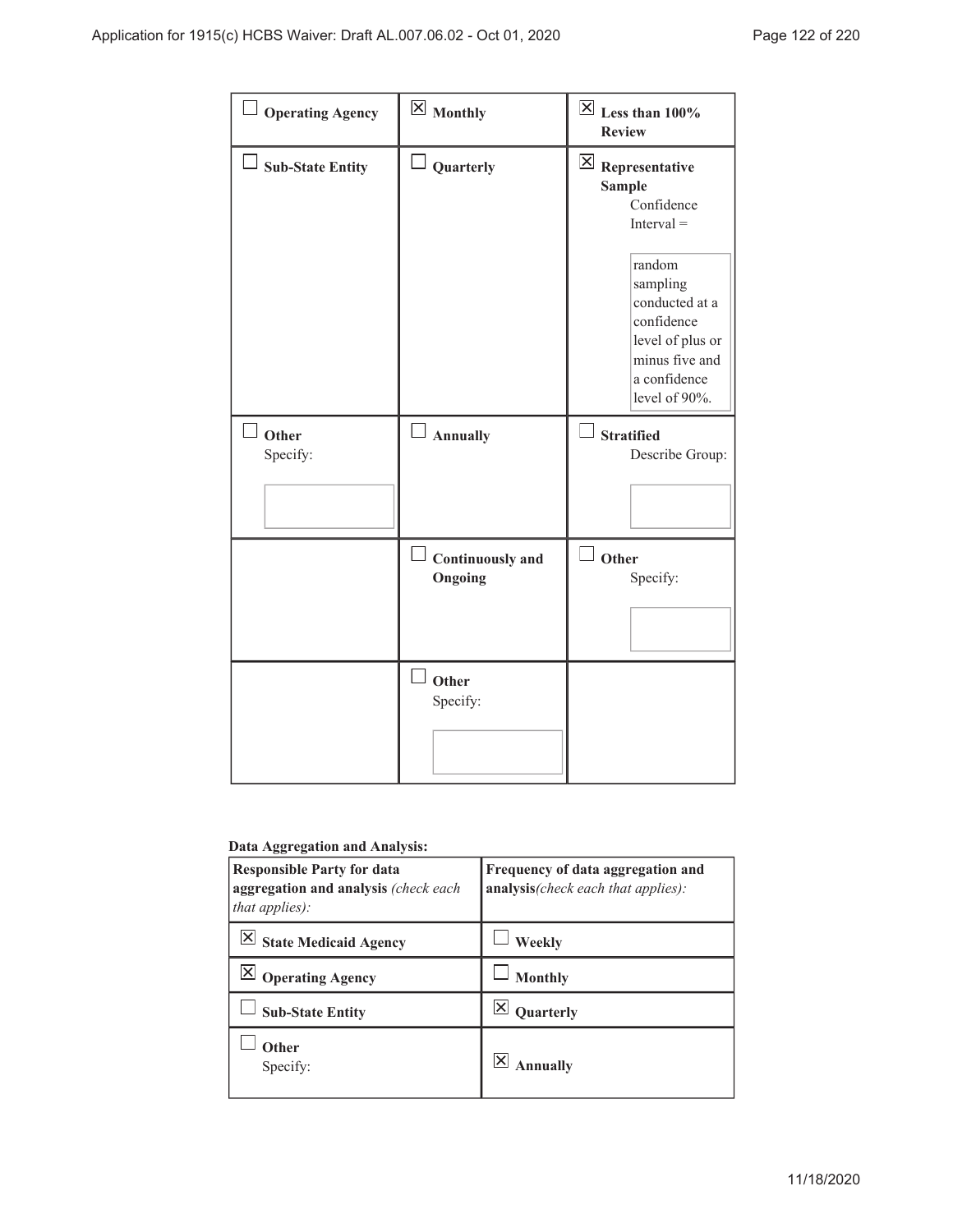| $\Box$ Operating Agency | $\boxtimes$ Monthly                        | $\overline{\boxtimes}$ Less than 100%<br><b>Review</b>                                                                                                                                                 |
|-------------------------|--------------------------------------------|--------------------------------------------------------------------------------------------------------------------------------------------------------------------------------------------------------|
| <b>Sub-State Entity</b> | $\Box$ Quarterly                           | $\boxtimes$ Representative<br><b>Sample</b><br>Confidence<br>$Interval =$<br>random<br>sampling<br>conducted at a<br>confidence<br>level of plus or<br>minus five and<br>a confidence<br>level of 90%. |
| Other<br>Specify:       | $\Box$ Annually                            | $\sqcup$<br><b>Stratified</b><br>Describe Group:                                                                                                                                                       |
|                         | $\Box$ Continuously and<br>Ongoing         | Other<br>Specify:                                                                                                                                                                                      |
|                         | $\overline{\phantom{a}}$ Other<br>Specify: |                                                                                                                                                                                                        |

### **Data Aggregation and Analysis:**

| <b>Responsible Party for data</b><br>aggregation and analysis (check each<br><i>that applies</i> ): | Frequency of data aggregation and<br>analysis(check each that applies): |
|-----------------------------------------------------------------------------------------------------|-------------------------------------------------------------------------|
| State Medicaid Agency                                                                               | Weekly                                                                  |
| <b>Operating Agency</b>                                                                             | <b>Monthly</b>                                                          |
| <b>Sub-State Entity</b>                                                                             | Quarterly                                                               |
| Other<br>Specify:                                                                                   | <b>Annually</b>                                                         |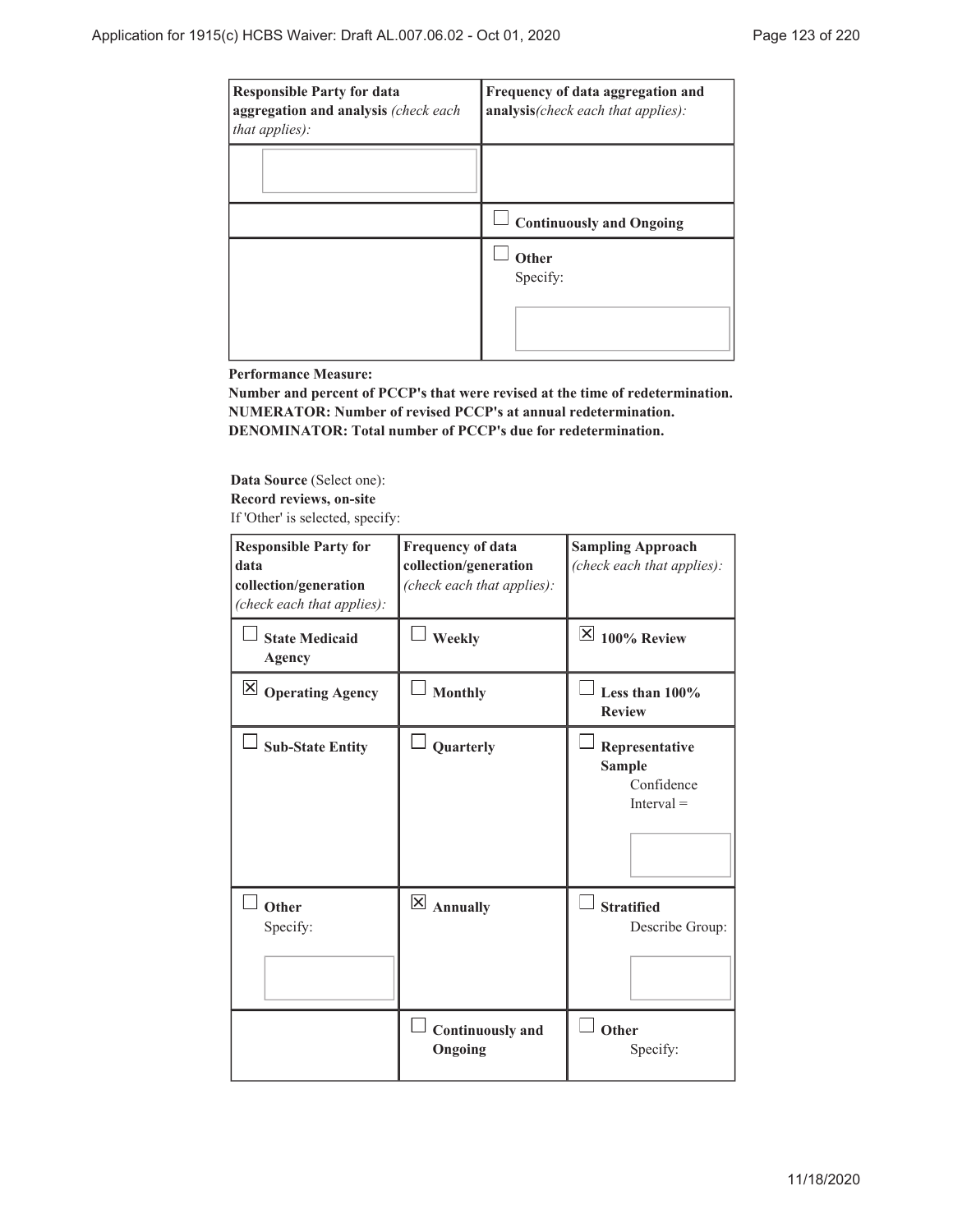| <b>Responsible Party for data</b><br>aggregation and analysis (check each<br>that applies): | Frequency of data aggregation and<br>analysis(check each that applies): |
|---------------------------------------------------------------------------------------------|-------------------------------------------------------------------------|
|                                                                                             |                                                                         |
|                                                                                             | <b>Continuously and Ongoing</b>                                         |
|                                                                                             | Other<br>Specify:                                                       |

**Performance Measure:**

**Number and percent of PCCP's that were revised at the time of redetermination. NUMERATOR: Number of revised PCCP's at annual redetermination. DENOMINATOR: Total number of PCCP's due for redetermination.**

**Data Source** (Select one):

**Record reviews, on-site**

If 'Other' is selected, specify:

| <b>Responsible Party for</b><br>data<br>collection/generation<br>(check each that applies): | <b>Frequency of data</b><br>collection/generation<br>(check each that applies): | <b>Sampling Approach</b><br>(check each that applies):        |
|---------------------------------------------------------------------------------------------|---------------------------------------------------------------------------------|---------------------------------------------------------------|
| <b>State Medicaid</b><br>Agency                                                             | Weekly                                                                          | $\mathbb{X}$ 100% Review                                      |
| $\boxtimes$ Operating Agency                                                                | <b>Monthly</b>                                                                  | Less than 100%<br><b>Review</b>                               |
| <b>Sub-State Entity</b>                                                                     | Quarterly                                                                       | Representative<br><b>Sample</b><br>Confidence<br>$Interval =$ |
| Other<br>Specify:                                                                           | $\boxtimes$ Annually                                                            | <b>Stratified</b><br>Describe Group:                          |
|                                                                                             | <b>Continuously and</b><br>Ongoing                                              | Other<br>Specify:                                             |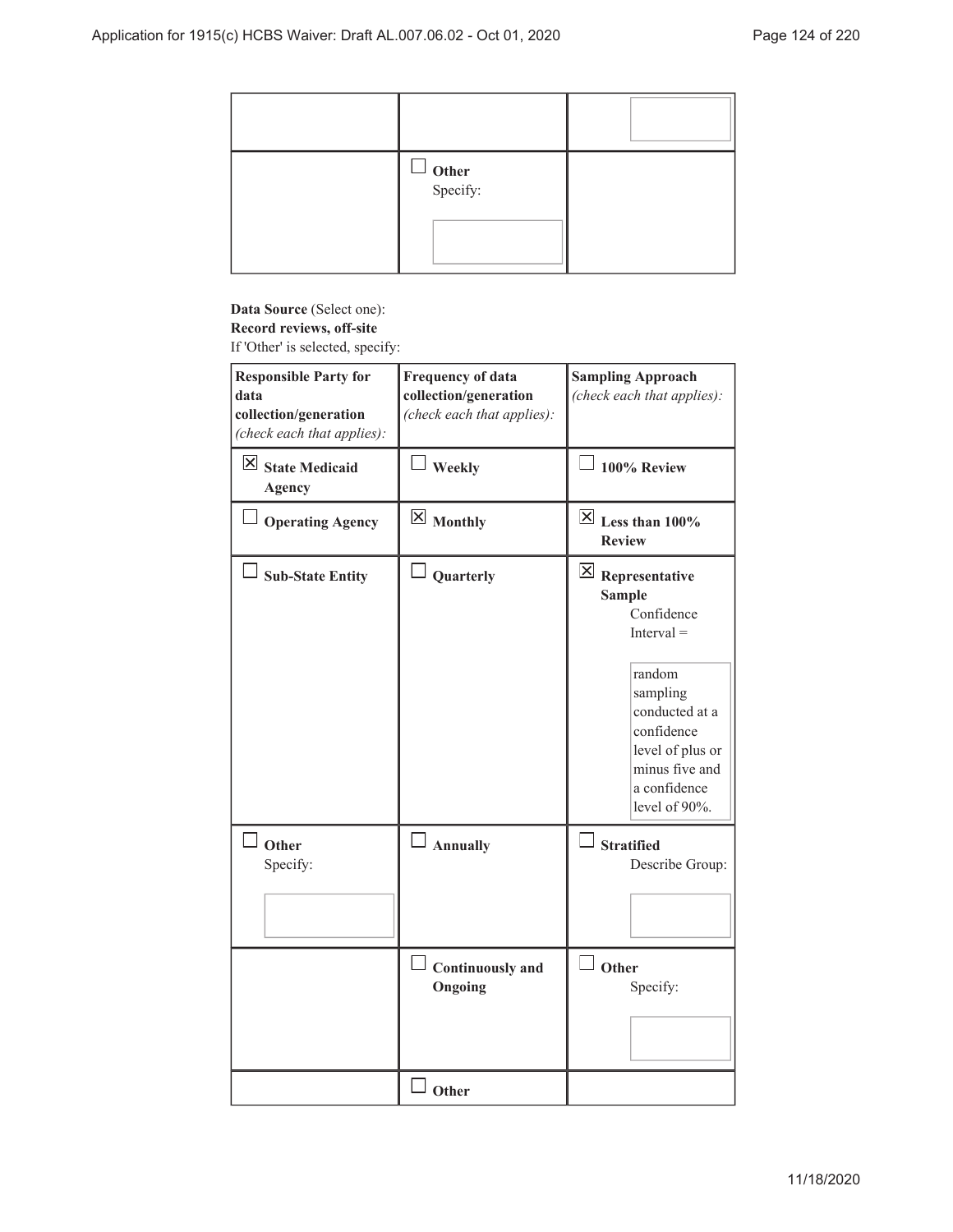| $\Box$ Other<br>Specify: |  |
|--------------------------|--|
|                          |  |

## **Data Source** (Select one): **Record reviews, off-site**

If 'Other' is selected, specify:

| <b>Responsible Party for</b><br>data<br>collection/generation<br>(check each that applies): | Frequency of data<br>collection/generation<br>(check each that applies): | <b>Sampling Approach</b><br>(check each that applies):                                                                                                                                                          |
|---------------------------------------------------------------------------------------------|--------------------------------------------------------------------------|-----------------------------------------------------------------------------------------------------------------------------------------------------------------------------------------------------------------|
| $\boxtimes$ State Medicaid<br>Agency                                                        | Weekly                                                                   | 100% Review                                                                                                                                                                                                     |
| <b>Operating Agency</b>                                                                     | $\boxtimes$ Monthly                                                      | $\overline{\boxtimes}$ Less than 100%<br><b>Review</b>                                                                                                                                                          |
| <b>Sub-State Entity</b>                                                                     | Quarterly                                                                | $\boxed{\times}$ Representative<br><b>Sample</b><br>Confidence<br>$Interval =$<br>random<br>sampling<br>conducted at a<br>confidence<br>level of plus or<br>minus five and<br>a confidence<br>level of $90\%$ . |
| $\Box$ Other<br>Specify:                                                                    | $\Box$ Annually                                                          | $\Box$ Stratified<br>Describe Group:                                                                                                                                                                            |
|                                                                                             | <b>Continuously and</b><br>Ongoing                                       | Other<br>Specify:                                                                                                                                                                                               |
|                                                                                             | Other                                                                    |                                                                                                                                                                                                                 |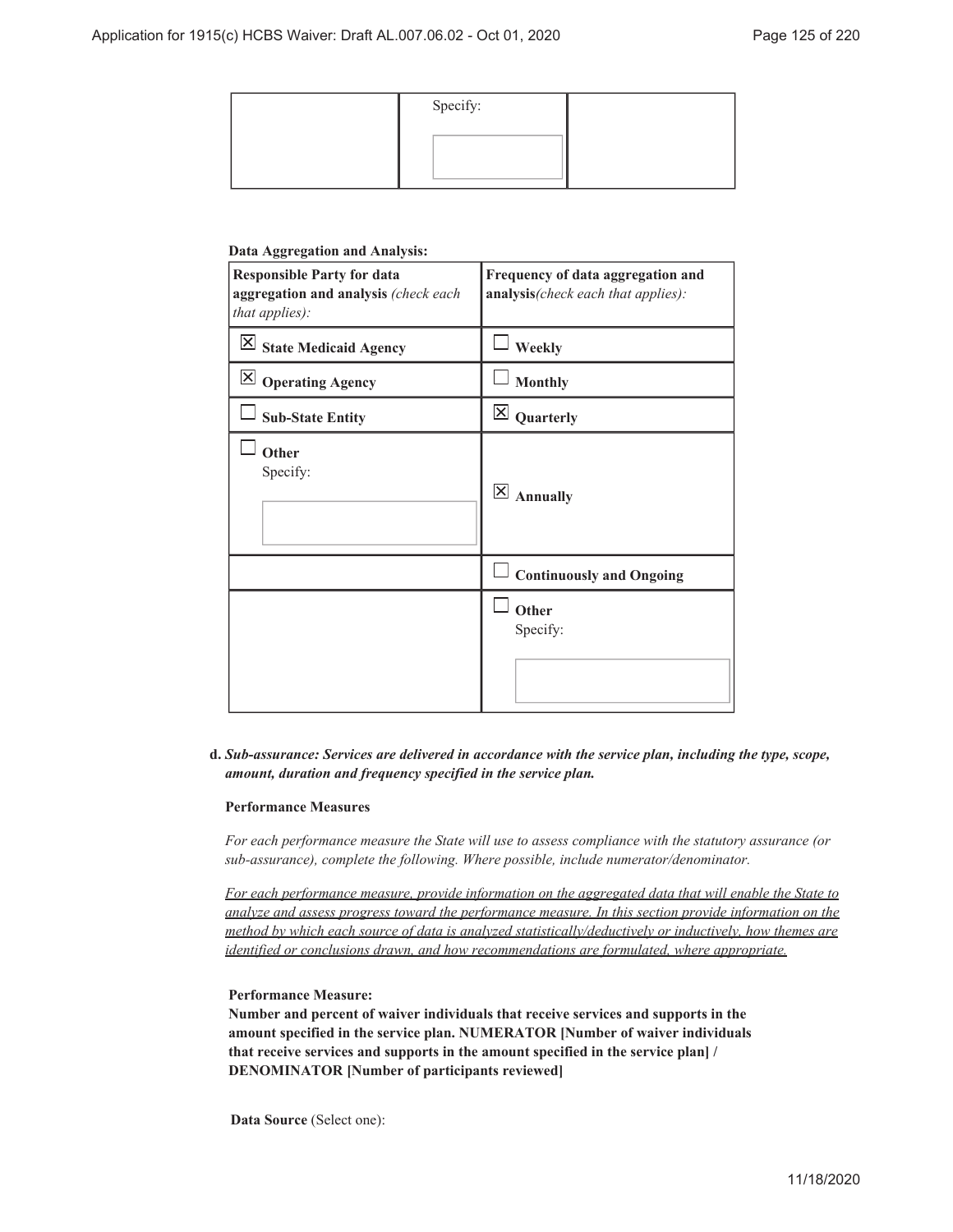| Specify: |  |
|----------|--|
|          |  |
|          |  |

#### **Data Aggregation and Analysis:**

| <b>Responsible Party for data</b><br>aggregation and analysis (check each<br>that applies): | Frequency of data aggregation and<br>analysis(check each that applies): |
|---------------------------------------------------------------------------------------------|-------------------------------------------------------------------------|
| $\overline{\mathsf{X}}$ State Medicaid Agency                                               | Weekly                                                                  |
| $\overline{\boxtimes}$ Operating Agency                                                     | <b>Monthly</b>                                                          |
| <b>Sub-State Entity</b>                                                                     | $\vert\mathsf{X}\vert$<br>Quarterly                                     |
| Other<br>Specify:                                                                           | $\vert\mathsf{X}\vert$<br><b>Annually</b>                               |
|                                                                                             | <b>Continuously and Ongoing</b>                                         |
|                                                                                             | Other<br>Specify:                                                       |

#### *Sub-assurance: Services are delivered in accordance with the service plan, including the type, scope,* **d.** *amount, duration and frequency specified in the service plan.*

#### **Performance Measures**

*For each performance measure the State will use to assess compliance with the statutory assurance (or sub-assurance), complete the following. Where possible, include numerator/denominator.*

*For each performance measure, provide information on the aggregated data that will enable the State to analyze and assess progress toward the performance measure. In this section provide information on the method by which each source of data is analyzed statistically/deductively or inductively, how themes are identified or conclusions drawn, and how recommendations are formulated, where appropriate.*

#### **Performance Measure:**

**Number and percent of waiver individuals that receive services and supports in the amount specified in the service plan. NUMERATOR [Number of waiver individuals that receive services and supports in the amount specified in the service plan] / DENOMINATOR [Number of participants reviewed]**

**Data Source** (Select one):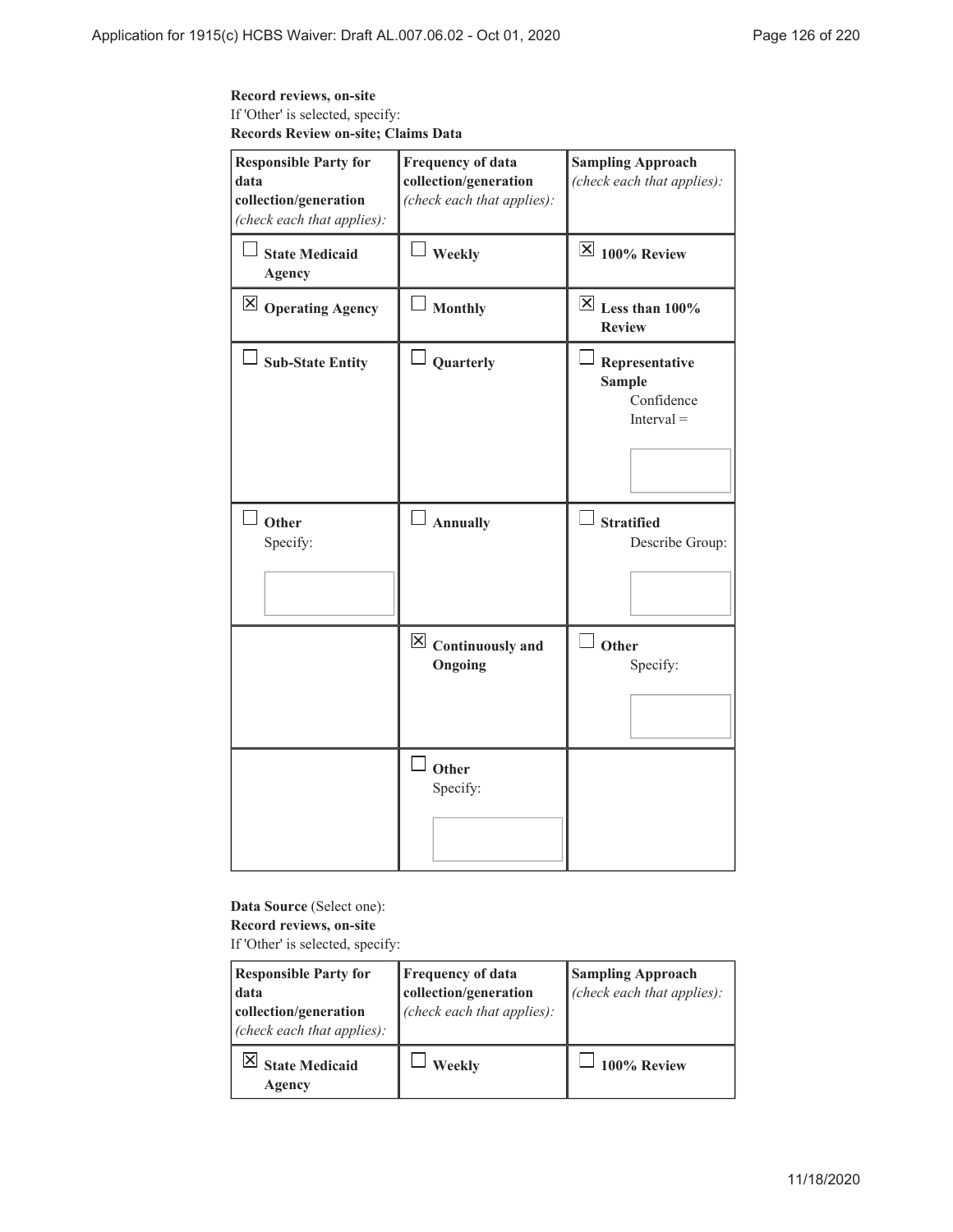### **Record reviews, on-site** If 'Other' is selected, specify: **Records Review on-site; Claims Data**

| <b>Responsible Party for</b><br>data<br>collection/generation<br>(check each that applies): | <b>Frequency of data</b><br>collection/generation<br>(check each that applies): | <b>Sampling Approach</b><br>(check each that applies):        |
|---------------------------------------------------------------------------------------------|---------------------------------------------------------------------------------|---------------------------------------------------------------|
| <b>State Medicaid</b><br><b>Agency</b>                                                      | $\perp$ Weekly                                                                  | $\overline{\boxtimes}$ 100% Review                            |
| $\boxtimes$ Operating Agency                                                                | <b>Monthly</b>                                                                  | $\overline{\boxtimes}$ Less than 100%<br><b>Review</b>        |
| <b>Sub-State Entity</b>                                                                     | Quarterly                                                                       | Representative<br><b>Sample</b><br>Confidence<br>$Interval =$ |
| Other<br>Specify:                                                                           | $\Box$ Annually                                                                 | <b>Stratified</b><br>Describe Group:                          |
|                                                                                             | $\boxtimes$ Continuously and<br>Ongoing                                         | Other<br>Specify:                                             |
|                                                                                             | $\overline{\phantom{a}}$ Other<br>Specify:                                      |                                                               |

### **Data Source** (Select one): **Record reviews, on-site**

If 'Other' is selected, specify:

| <b>Responsible Party for</b>                        | <b>Frequency of data</b>   | <b>Sampling Approach</b>   |
|-----------------------------------------------------|----------------------------|----------------------------|
| data                                                | collection/generation      | (check each that applies): |
| collection/generation<br>(check each that applies): | (check each that applies): |                            |
| <b>State Medicaid</b><br>Agency                     | Weekly                     | 100% Review                |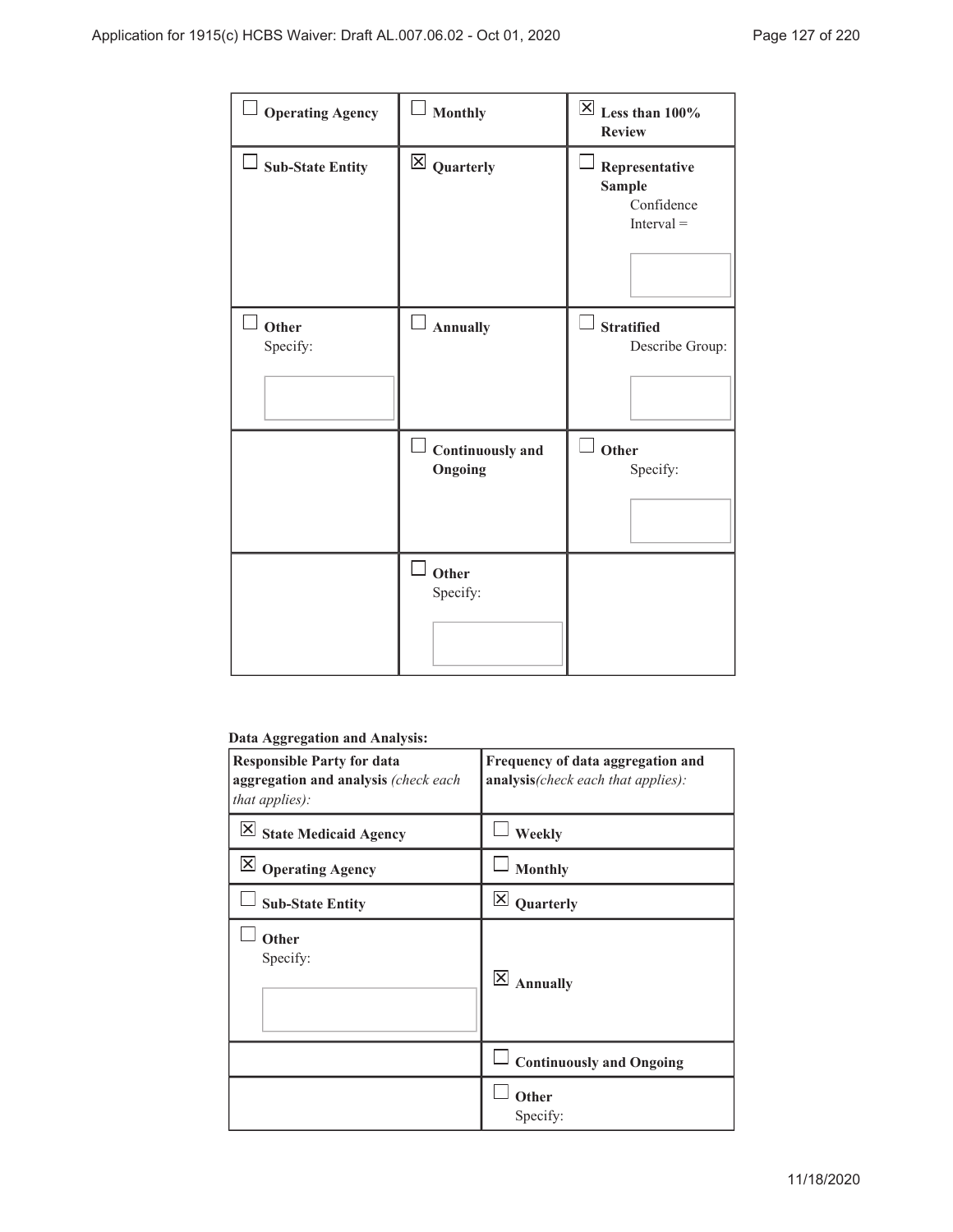| <b>Operating Agency</b> | Monthly                            | $\overline{\mathsf{X}}$ Less than 100%<br><b>Review</b>       |
|-------------------------|------------------------------------|---------------------------------------------------------------|
| $\Box$ Sub-State Entity | $\boxtimes$ Quarterly              | Representative<br><b>Sample</b><br>Confidence<br>$Interval =$ |
| Other<br>Specify:       | <b>Annually</b>                    | <b>Stratified</b><br>Describe Group:                          |
|                         | <b>Continuously and</b><br>Ongoing | Other<br>Specify:                                             |
|                         | Other<br>Specify:                  |                                                               |

## **Data Aggregation and Analysis:**

| <b>Responsible Party for data</b><br>aggregation and analysis (check each<br>that applies):                                                                                                                                                                                                                                                                                                                                                                                              | Frequency of data aggregation and<br>analysis(check each that applies): |
|------------------------------------------------------------------------------------------------------------------------------------------------------------------------------------------------------------------------------------------------------------------------------------------------------------------------------------------------------------------------------------------------------------------------------------------------------------------------------------------|-------------------------------------------------------------------------|
| $\mathsf{X}% _{T}=\mathsf{X}_{T}\!\left( a,b\right) ,\ \mathsf{Y}_{T}=\mathsf{Y}_{T}\!\left( a,b\right) ,\ \mathsf{Y}_{T}=\mathsf{Y}_{T}\!\left( a,b\right) ,\ \mathsf{Y}_{T}=\mathsf{Y}_{T}\!\left( a,b\right) ,\ \mathsf{Y}_{T}=\mathsf{Y}_{T}\!\left( a,b\right) ,\ \mathsf{Y}_{T}=\mathsf{Y}_{T}\!\left( a,b\right) ,\ \mathsf{Y}_{T}=\mathsf{Y}_{T}\!\left( a,b\right) ,\ \mathsf{Y}_{T}=\mathsf{Y}_{T}\!\left( a,b\right) ,\ \mathsf{Y}_{T}=\math$<br><b>State Medicaid Agency</b> | Weekly                                                                  |
| $\mathbf{X}$<br><b>Operating Agency</b>                                                                                                                                                                                                                                                                                                                                                                                                                                                  | <b>Monthly</b>                                                          |
| <b>Sub-State Entity</b>                                                                                                                                                                                                                                                                                                                                                                                                                                                                  | $\overline{\mathsf{x}}$<br>Quarterly                                    |
| Other<br>Specify:                                                                                                                                                                                                                                                                                                                                                                                                                                                                        | $\overline{\mathsf{x}}$<br><b>Annually</b>                              |
|                                                                                                                                                                                                                                                                                                                                                                                                                                                                                          | <b>Continuously and Ongoing</b>                                         |
|                                                                                                                                                                                                                                                                                                                                                                                                                                                                                          | Other<br>Specify:                                                       |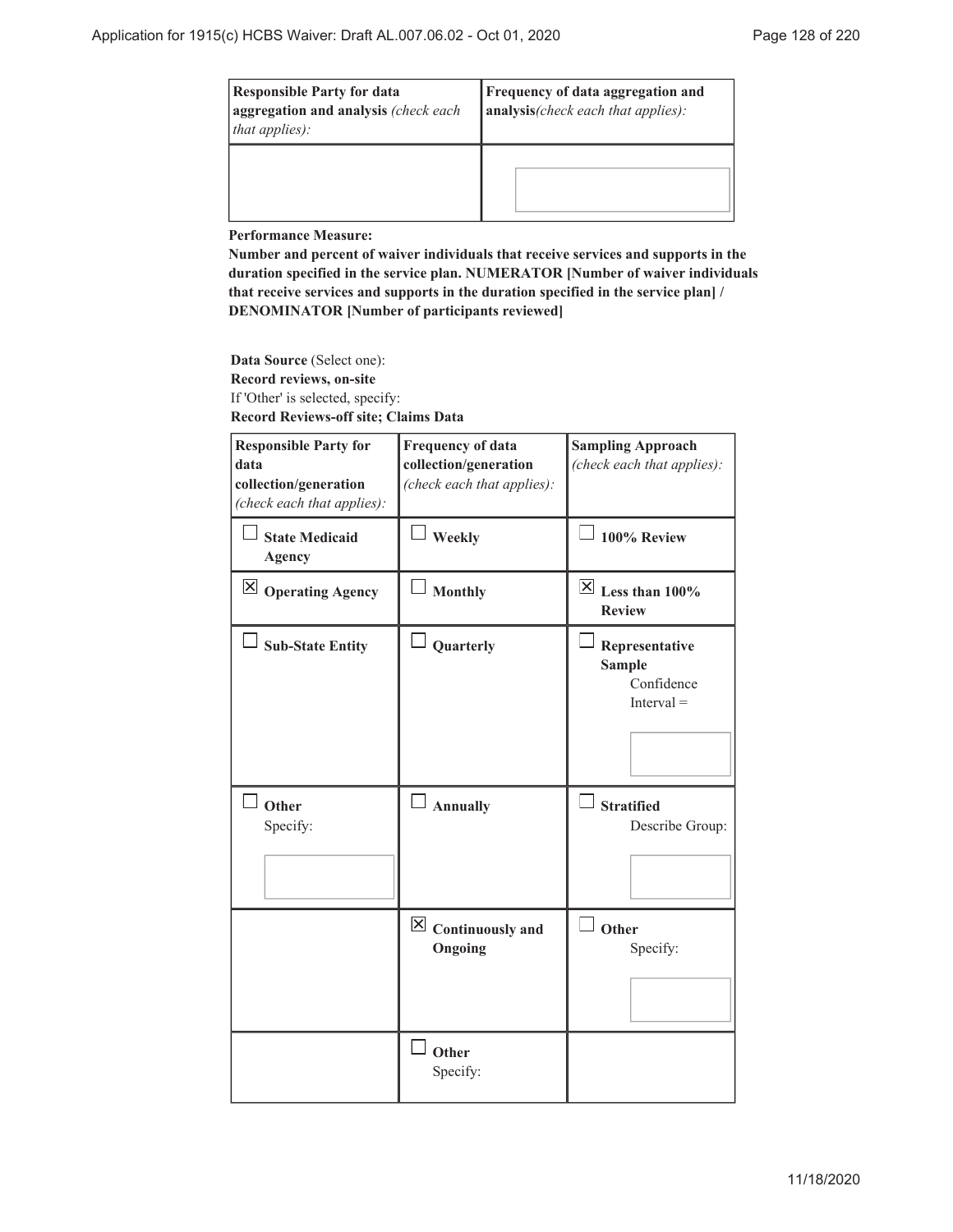| <b>Responsible Party for data</b><br>aggregation and analysis (check each<br>that applies): | Frequency of data aggregation and<br>analysis(check each that applies): |
|---------------------------------------------------------------------------------------------|-------------------------------------------------------------------------|
|                                                                                             |                                                                         |

**Performance Measure:**

**Number and percent of waiver individuals that receive services and supports in the duration specified in the service plan. NUMERATOR [Number of waiver individuals that receive services and supports in the duration specified in the service plan] / DENOMINATOR [Number of participants reviewed]**

**Data Source** (Select one): **Record reviews, on-site** If 'Other' is selected, specify: **Record Reviews-off site; Claims Data**

| <b>Responsible Party for</b><br>data<br>collection/generation<br>(check each that applies): | <b>Frequency of data</b><br>collection/generation<br>(check each that applies): | <b>Sampling Approach</b><br>(check each that applies):                             |
|---------------------------------------------------------------------------------------------|---------------------------------------------------------------------------------|------------------------------------------------------------------------------------|
| <b>State Medicaid</b><br><b>Agency</b>                                                      | $\perp$ Weekly                                                                  | 100% Review                                                                        |
| $\boxtimes$ Operating Agency                                                                | <b>Monthly</b>                                                                  | $\boxed{\times}$ Less than 100%<br><b>Review</b>                                   |
| <b>Sub-State Entity</b><br>Other                                                            | Quarterly<br><b>Annually</b>                                                    | Representative<br><b>Sample</b><br>Confidence<br>$Interval =$<br><b>Stratified</b> |
| Specify:                                                                                    |                                                                                 | Describe Group:                                                                    |
|                                                                                             | $\boxtimes$ Continuously and<br>Ongoing                                         | Other<br>Specify:                                                                  |
|                                                                                             | Other<br>Specify:                                                               |                                                                                    |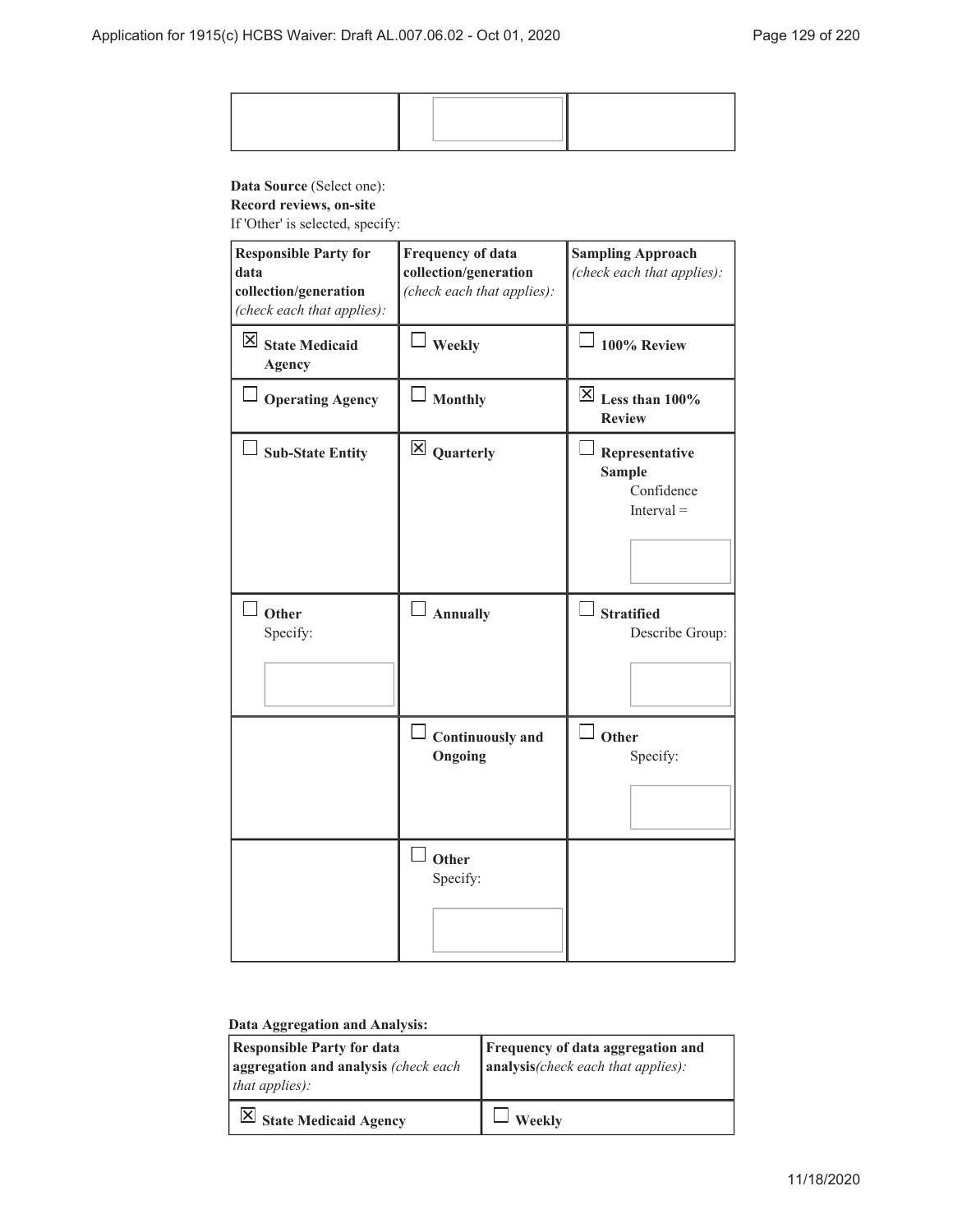## **Data Source** (Select one):

**Record reviews, on-site**

If 'Other' is selected, specify:

| <b>Responsible Party for</b><br>data<br>collection/generation<br>(check each that applies): | <b>Frequency of data</b><br>collection/generation<br>(check each that applies): | <b>Sampling Approach</b><br>(check each that applies):        |
|---------------------------------------------------------------------------------------------|---------------------------------------------------------------------------------|---------------------------------------------------------------|
| $\boxtimes$ State Medicaid<br>Agency                                                        | Weekly                                                                          | 100% Review                                                   |
| <b>Operating Agency</b>                                                                     | <b>Monthly</b>                                                                  | $\overline{\boxtimes}$ Less than 100%<br><b>Review</b>        |
| <b>Sub-State Entity</b>                                                                     | $\boxtimes$ Quarterly                                                           | Representative<br><b>Sample</b><br>Confidence<br>$Interval =$ |
| Other<br>Specify:                                                                           | Annually                                                                        | <b>Stratified</b><br>Describe Group:                          |
|                                                                                             | <b>Continuously and</b><br>Ongoing                                              | $\Box$ Other<br>Specify:                                      |
|                                                                                             | Other<br>Specify:                                                               |                                                               |

### **Data Aggregation and Analysis:**

| <b>Responsible Party for data</b><br>aggregation and analysis (check each<br>that applies): | Frequency of data aggregation and<br>$\vert$ analysis(check each that applies): |
|---------------------------------------------------------------------------------------------|---------------------------------------------------------------------------------|
| $\vert$ State Medicaid Agency                                                               | Weekly                                                                          |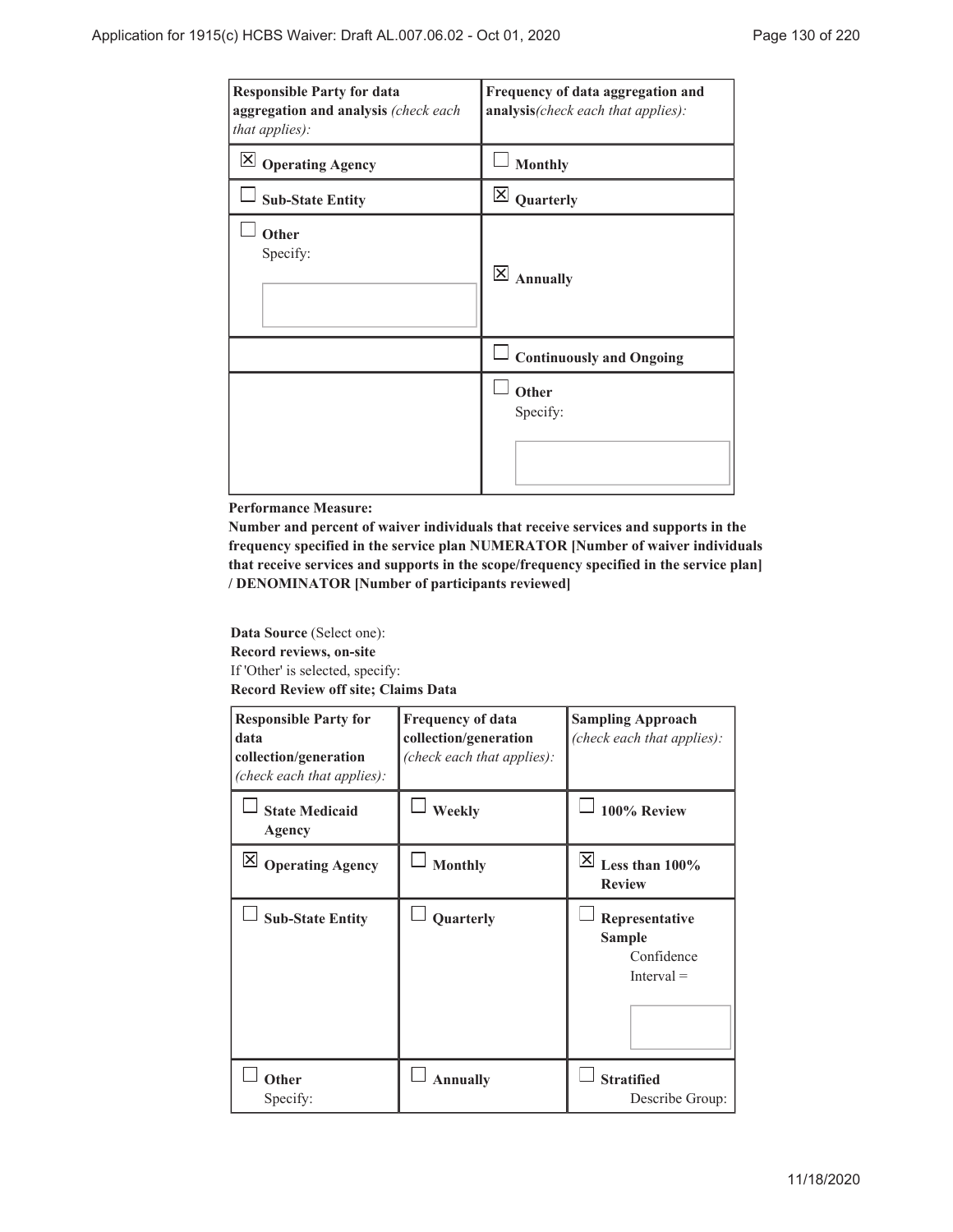| <b>Responsible Party for data</b><br>aggregation and analysis (check each<br>that applies): | Frequency of data aggregation and<br>analysis(check each that applies): |
|---------------------------------------------------------------------------------------------|-------------------------------------------------------------------------|
| $\mathsf{\times}$<br><b>Operating Agency</b>                                                | <b>Monthly</b>                                                          |
| <b>Sub-State Entity</b>                                                                     | $\overline{\mathsf{x}}$<br>Quarterly                                    |
| Other<br>Specify:                                                                           | $\overline{\mathsf{x}}$<br><b>Annually</b>                              |
|                                                                                             | <b>Continuously and Ongoing</b>                                         |
|                                                                                             | Other<br>Specify:                                                       |

#### **Performance Measure:**

**Number and percent of waiver individuals that receive services and supports in the frequency specified in the service plan NUMERATOR [Number of waiver individuals that receive services and supports in the scope/frequency specified in the service plan] / DENOMINATOR [Number of participants reviewed]**

**Data Source** (Select one): **Record reviews, on-site** If 'Other' is selected, specify: **Record Review off site; Claims Data**

| <b>Responsible Party for</b><br>data<br>collection/generation<br>(check each that applies): | <b>Frequency of data</b><br>collection/generation<br>(check each that applies): | <b>Sampling Approach</b><br>(check each that applies):        |
|---------------------------------------------------------------------------------------------|---------------------------------------------------------------------------------|---------------------------------------------------------------|
| <b>State Medicaid</b><br>Agency                                                             | Weekly                                                                          | 100% Review                                                   |
| $\mathsf{X}$<br><b>Operating Agency</b>                                                     | <b>Monthly</b>                                                                  | X <br>Less than $100\%$<br><b>Review</b>                      |
| <b>Sub-State Entity</b>                                                                     | Quarterly                                                                       | Representative<br><b>Sample</b><br>Confidence<br>$Interval =$ |
| Other<br>Specify:                                                                           | <b>Annually</b>                                                                 | <b>Stratified</b><br>Describe Group:                          |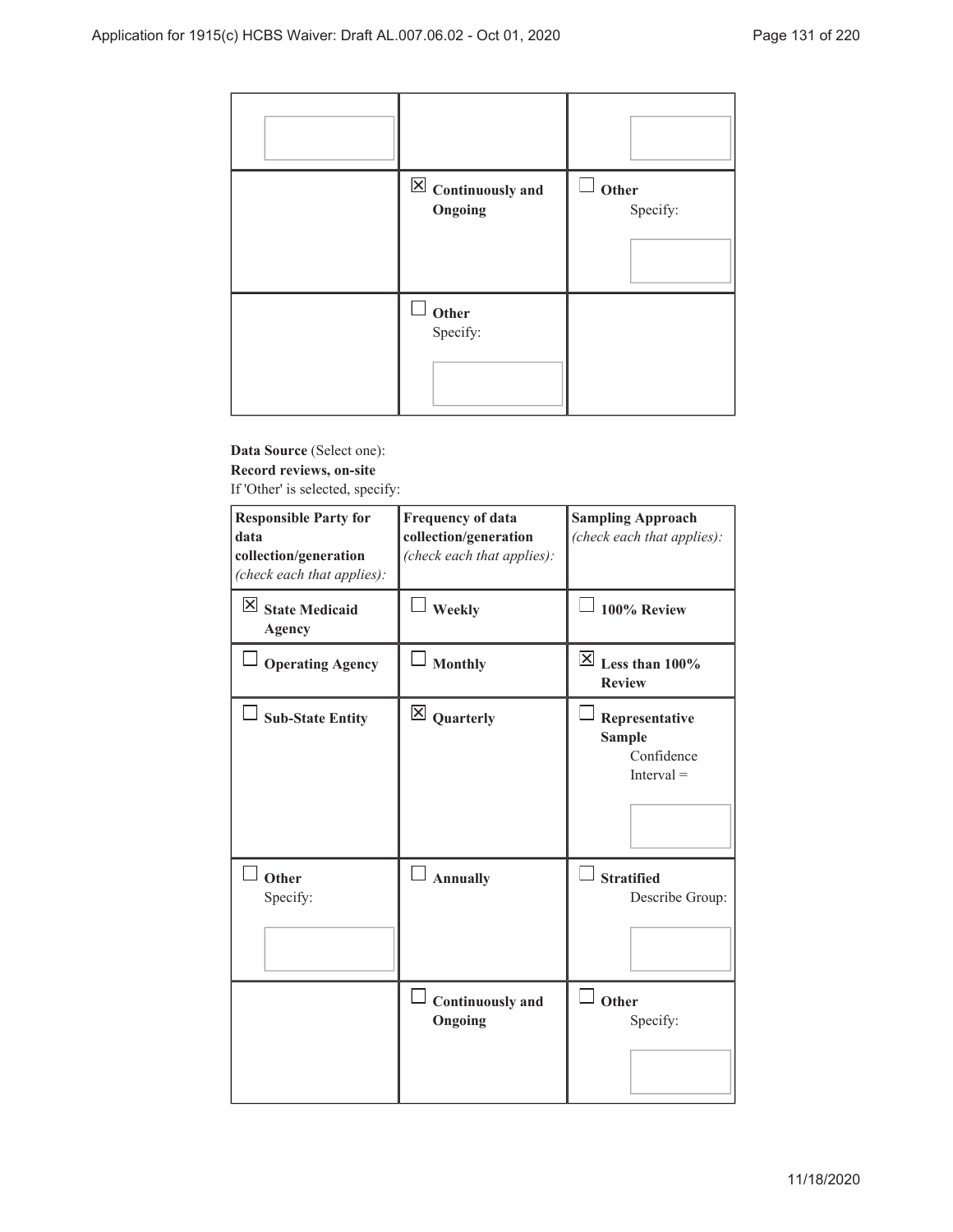| $\boxed{\times}$ Continuously and<br>Ongoing | $\mathcal{L}$<br>Other<br>Specify: |
|----------------------------------------------|------------------------------------|
| Other<br>Specify:                            |                                    |

### **Data Source** (Select one): **Record reviews, on-site** If 'Other' is selected, specify:

| <b>Responsible Party for</b><br>data<br>collection/generation<br>(check each that applies): | <b>Frequency of data</b><br>collection/generation<br>(check each that applies): | <b>Sampling Approach</b><br>(check each that applies):        |
|---------------------------------------------------------------------------------------------|---------------------------------------------------------------------------------|---------------------------------------------------------------|
| $\boxtimes$ State Medicaid<br><b>Agency</b>                                                 | Weekly                                                                          | 100% Review                                                   |
| <b>Operating Agency</b>                                                                     | <b>Monthly</b>                                                                  | $\boxed{\times}$ Less than 100%<br><b>Review</b>              |
| <b>Sub-State Entity</b>                                                                     | $\boxtimes$ Quarterly                                                           | Representative<br><b>Sample</b><br>Confidence<br>$Interval =$ |
| Other<br>Specify:                                                                           | <b>Annually</b>                                                                 | <b>Stratified</b><br>Describe Group:                          |
|                                                                                             | <b>Continuously</b> and<br>Ongoing                                              | Other<br>Specify:                                             |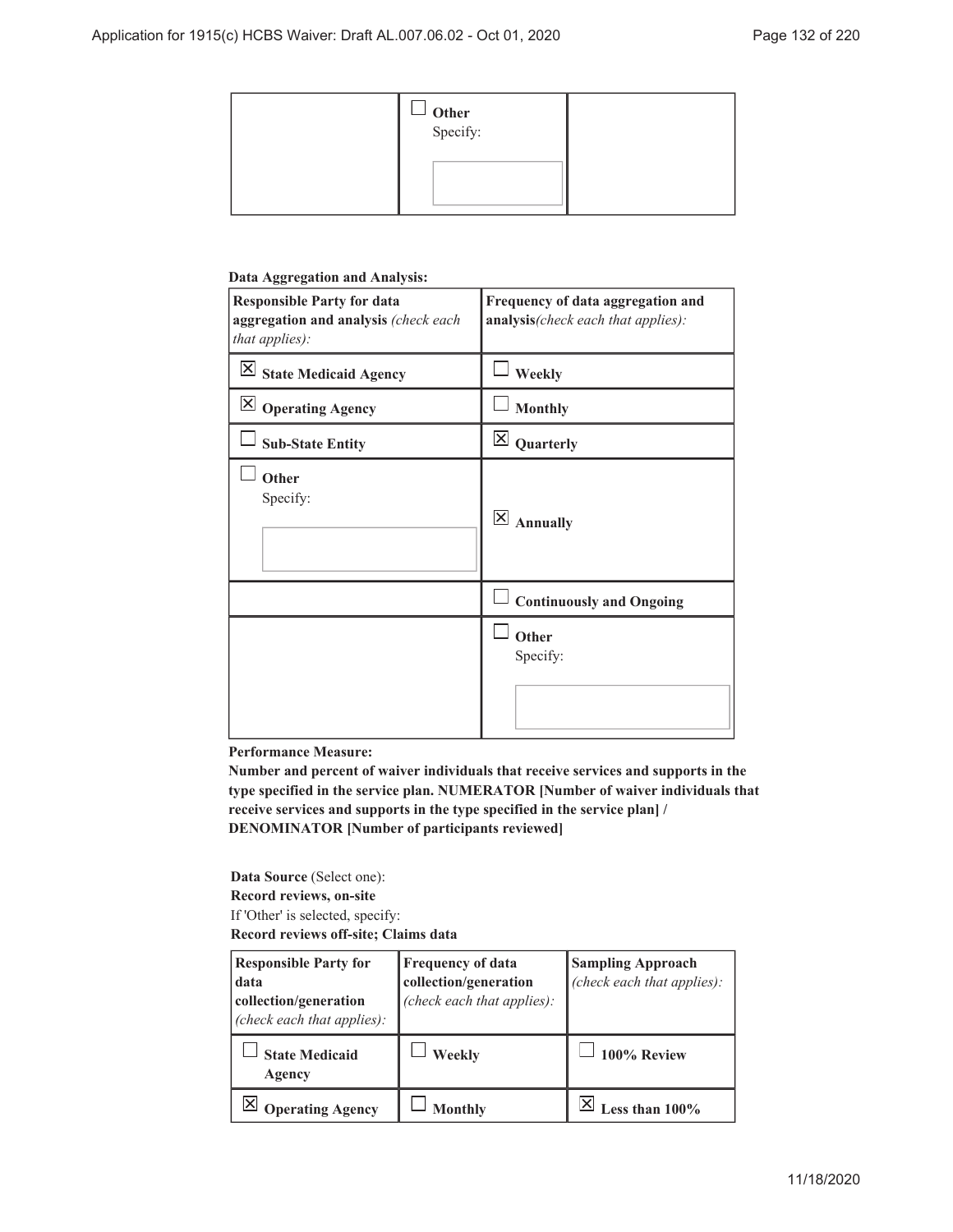| $\Box$ Other<br>Specify: |  |
|--------------------------|--|
|                          |  |

#### **Data Aggregation and Analysis:**

| <b>Responsible Party for data</b><br>aggregation and analysis (check each<br>that applies): | Frequency of data aggregation and<br>analysis(check each that applies): |
|---------------------------------------------------------------------------------------------|-------------------------------------------------------------------------|
| <b>X</b> State Medicaid Agency                                                              | Weekly                                                                  |
| $\mathsf{X}$<br><b>Operating Agency</b>                                                     | <b>Monthly</b>                                                          |
| <b>Sub-State Entity</b>                                                                     | $\times$<br>Quarterly                                                   |
| Other<br>Specify:                                                                           | $\overline{\mathsf{x}}$<br><b>Annually</b>                              |
|                                                                                             | <b>Continuously and Ongoing</b>                                         |
|                                                                                             | Other<br>Specify:                                                       |

### **Performance Measure:**

**Number and percent of waiver individuals that receive services and supports in the type specified in the service plan. NUMERATOR [Number of waiver individuals that receive services and supports in the type specified in the service plan] / DENOMINATOR [Number of participants reviewed]**

**Data Source** (Select one): **Record reviews, on-site** If 'Other' is selected, specify: **Record reviews off-site; Claims data**

| <b>Responsible Party for</b><br>data<br>collection/generation<br>(check each that applies): | <b>Frequency of data</b><br>collection/generation<br>(check each that applies): | <b>Sampling Approach</b><br>(check each that applies): |
|---------------------------------------------------------------------------------------------|---------------------------------------------------------------------------------|--------------------------------------------------------|
| <b>State Medicaid</b><br>Agency                                                             | Weekly                                                                          | 100% Review                                            |
| <b>Operating Agency</b>                                                                     | <b>Monthly</b>                                                                  | ess than 100%                                          |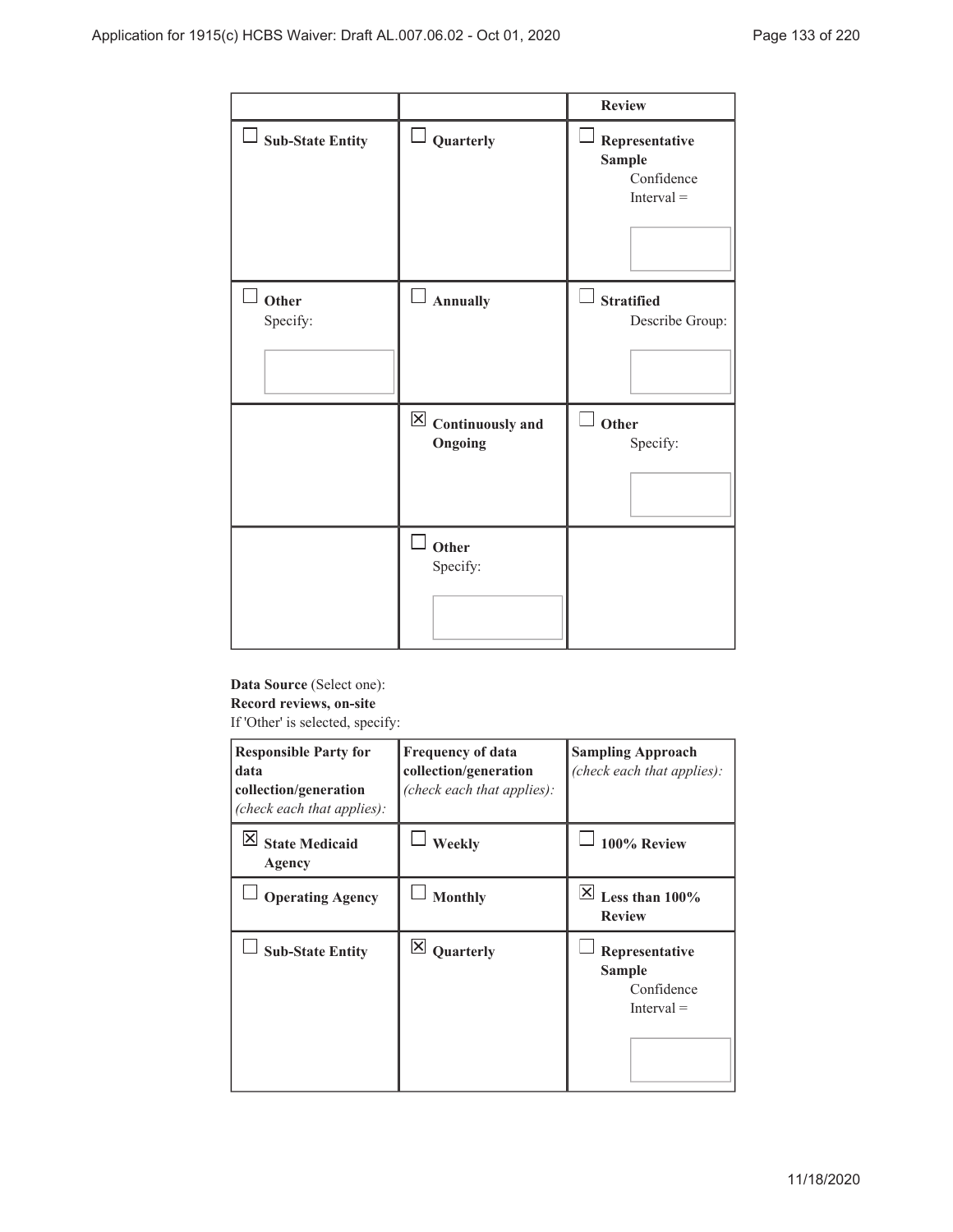|                         |                                            | <b>Review</b>                                                 |
|-------------------------|--------------------------------------------|---------------------------------------------------------------|
| $\Box$ Sub-State Entity | $\perp$ Quarterly                          | Representative<br><b>Sample</b><br>Confidence<br>$Interval =$ |
| Other<br>Specify:       | $\Box$ Annually                            | <b>Stratified</b><br>Describe Group:                          |
|                         | $\boxtimes$ Continuously and<br>Ongoing    | Ù,<br>Other<br>Specify:                                       |
|                         | $\overline{\phantom{a}}$ Other<br>Specify: |                                                               |

**Data Source** (Select one): **Record reviews, on-site** If 'Other' is selected, specify:

| <b>Responsible Party for</b><br>data<br>collection/generation<br>(check each that applies): | <b>Frequency of data</b><br>collection/generation<br>(check each that applies): | <b>Sampling Approach</b><br>(check each that applies):        |
|---------------------------------------------------------------------------------------------|---------------------------------------------------------------------------------|---------------------------------------------------------------|
| IХI<br><b>State Medicaid</b><br>Agency                                                      | Weekly                                                                          | 100% Review                                                   |
| <b>Operating Agency</b>                                                                     | <b>Monthly</b>                                                                  | ∣×∣<br>Less than 100%<br><b>Review</b>                        |
| <b>Sub-State Entity</b>                                                                     | $\times$<br>Quarterly                                                           | Representative<br><b>Sample</b><br>Confidence<br>$Interval =$ |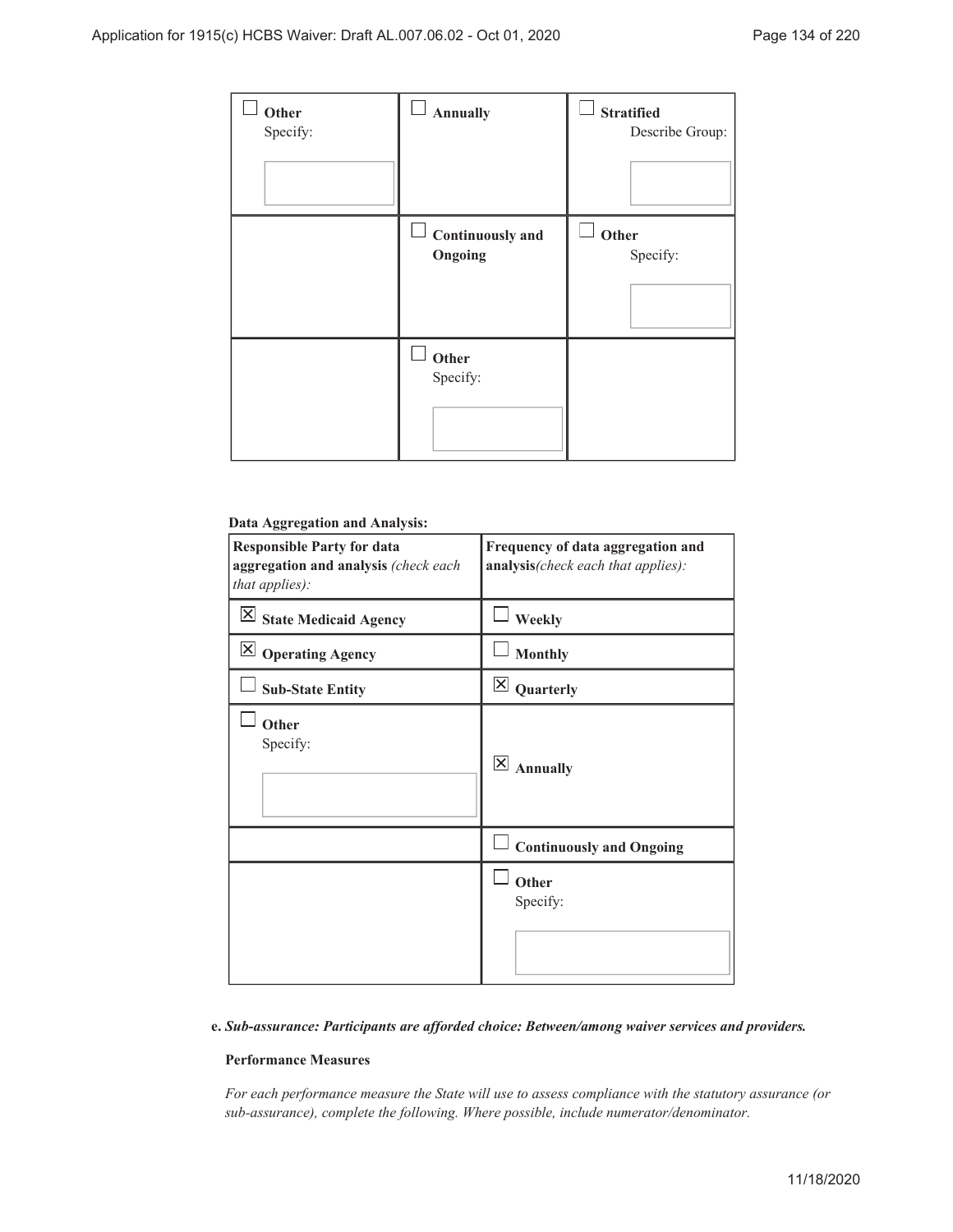| Other<br>Specify: | <b>Annually</b>                    | <b>Stratified</b><br>Describe Group: |
|-------------------|------------------------------------|--------------------------------------|
|                   | <b>Continuously and</b><br>Ongoing | Other<br>Specify:                    |
|                   | Other<br>Specify:                  |                                      |

## **Data Aggregation and Analysis:**

| <b>Responsible Party for data</b><br>aggregation and analysis (check each<br>that applies): | Frequency of data aggregation and<br>analysis(check each that applies): |
|---------------------------------------------------------------------------------------------|-------------------------------------------------------------------------|
| $\overline{\mathsf{X}}$ State Medicaid Agency                                               | Weekly                                                                  |
| $\boxtimes$ Operating Agency                                                                | <b>Monthly</b>                                                          |
| <b>Sub-State Entity</b>                                                                     | $\mathsf{\overline{X}}$<br>Quarterly                                    |
| Other<br>Specify:                                                                           | $\vert\mathsf{X}\vert$<br><b>Annually</b>                               |
|                                                                                             | <b>Continuously and Ongoing</b>                                         |
|                                                                                             | Other<br>Specify:                                                       |

#### *Sub-assurance: Participants are afforded choice: Between/among waiver services and providers.* **e.**

### **Performance Measures**

*For each performance measure the State will use to assess compliance with the statutory assurance (or sub-assurance), complete the following. Where possible, include numerator/denominator.*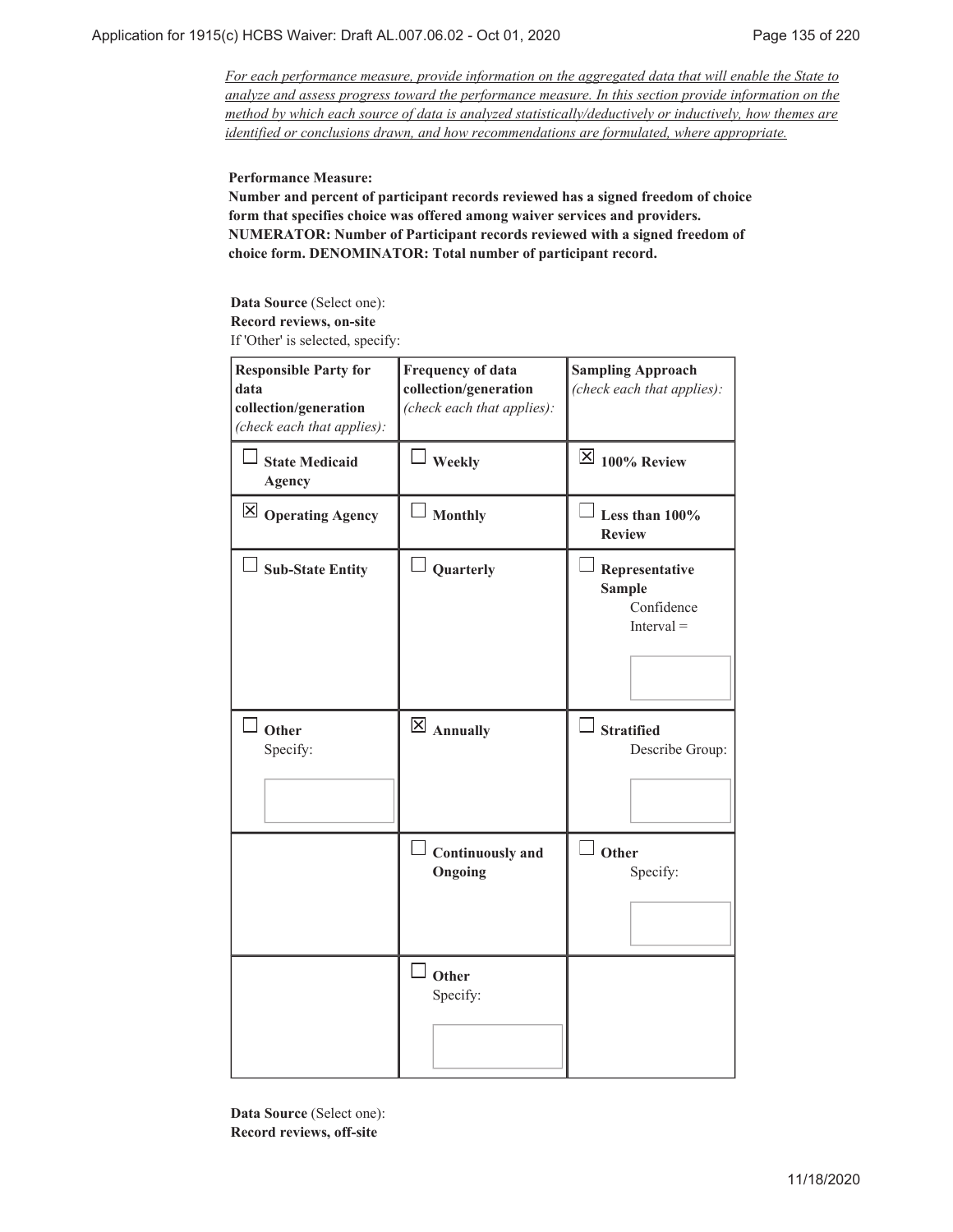*For each performance measure, provide information on the aggregated data that will enable the State to analyze and assess progress toward the performance measure. In this section provide information on the method by which each source of data is analyzed statistically/deductively or inductively, how themes are identified or conclusions drawn, and how recommendations are formulated, where appropriate.*

#### **Performance Measure:**

**Number and percent of participant records reviewed has a signed freedom of choice form that specifies choice was offered among waiver services and providers. NUMERATOR: Number of Participant records reviewed with a signed freedom of choice form. DENOMINATOR: Total number of participant record.**

**Data Source** (Select one): **Record reviews, on-site** If 'Other' is selected, specify:

| <b>Responsible Party for</b><br>data<br>collection/generation<br>(check each that applies): | <b>Frequency of data</b><br>collection/generation<br>(check each that applies): | <b>Sampling Approach</b><br>(check each that applies):        |
|---------------------------------------------------------------------------------------------|---------------------------------------------------------------------------------|---------------------------------------------------------------|
| <b>State Medicaid</b><br><b>Agency</b>                                                      | $\Box$ Weekly                                                                   | $\overline{\times}$ 100% Review                               |
| $\boxtimes$ Operating Agency                                                                | <b>Monthly</b>                                                                  | Less than 100%<br><b>Review</b>                               |
| <b>Sub-State Entity</b>                                                                     | Quarterly                                                                       | Representative<br><b>Sample</b><br>Confidence<br>$Interval =$ |
| Other<br>Specify:                                                                           | $\overline{X}$ Annually                                                         | <b>Stratified</b><br>Describe Group:                          |
|                                                                                             | <b>Continuously</b> and<br>Ongoing                                              | $\overline{\phantom{a}}$ Other<br>Specify:                    |
|                                                                                             | Other<br>Specify:                                                               |                                                               |

**Data Source** (Select one): **Record reviews, off-site**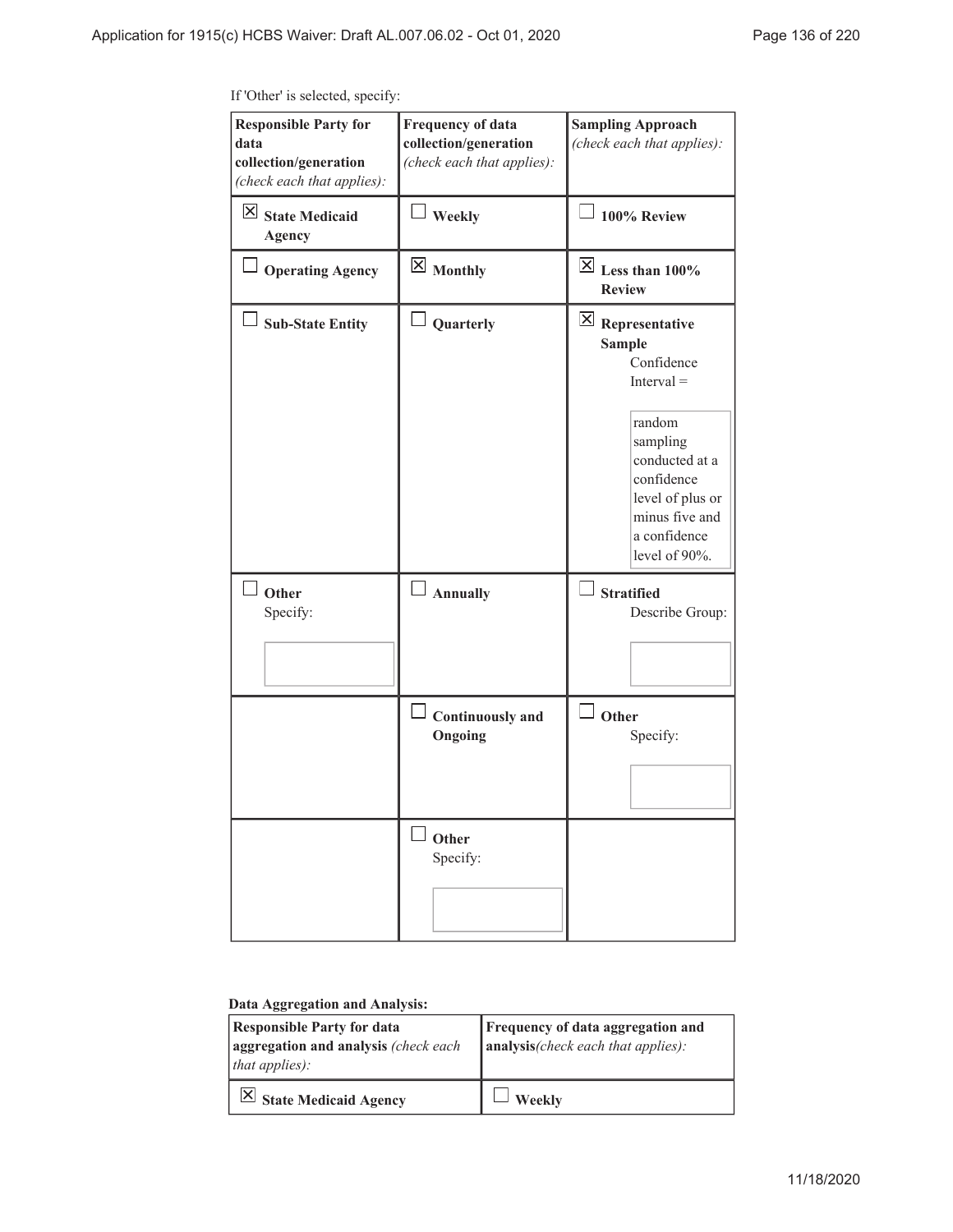| <b>Responsible Party for</b><br>data<br>collection/generation<br>(check each that applies): | <b>Frequency of data</b><br>collection/generation<br>(check each that applies): | <b>Sampling Approach</b><br>(check each that applies):                                                                                                                                                  |  |
|---------------------------------------------------------------------------------------------|---------------------------------------------------------------------------------|---------------------------------------------------------------------------------------------------------------------------------------------------------------------------------------------------------|--|
| $\boxtimes$ State Medicaid<br><b>Agency</b>                                                 | Weekly                                                                          | 100% Review                                                                                                                                                                                             |  |
| <b>Operating Agency</b>                                                                     | $\boxtimes$ Monthly                                                             | $\overline{\boxtimes}$ Less than 100%<br><b>Review</b>                                                                                                                                                  |  |
| <b>Sub-State Entity</b>                                                                     | Quarterly                                                                       | $\mathbf{X}$ Representative<br><b>Sample</b><br>Confidence<br>$Interval =$<br>random<br>sampling<br>conducted at a<br>confidence<br>level of plus or<br>minus five and<br>a confidence<br>level of 90%. |  |
| $\Box$ Other<br>Specify:                                                                    | $\Box$ Annually                                                                 | $\Box$ Stratified<br>Describe Group:                                                                                                                                                                    |  |
|                                                                                             | $\Box$ Continuously and<br>Ongoing                                              | Other<br>Specify:                                                                                                                                                                                       |  |
|                                                                                             | Other<br>Specify:                                                               |                                                                                                                                                                                                         |  |

If 'Other' is selected, specify:

### **Data Aggregation and Analysis:**

| <b>Responsible Party for data</b><br>aggregation and analysis (check each<br>that applies): | Frequency of data aggregation and<br>analysis(check each that applies): |
|---------------------------------------------------------------------------------------------|-------------------------------------------------------------------------|
| $\vert$ State Medicaid Agency                                                               | Weekly                                                                  |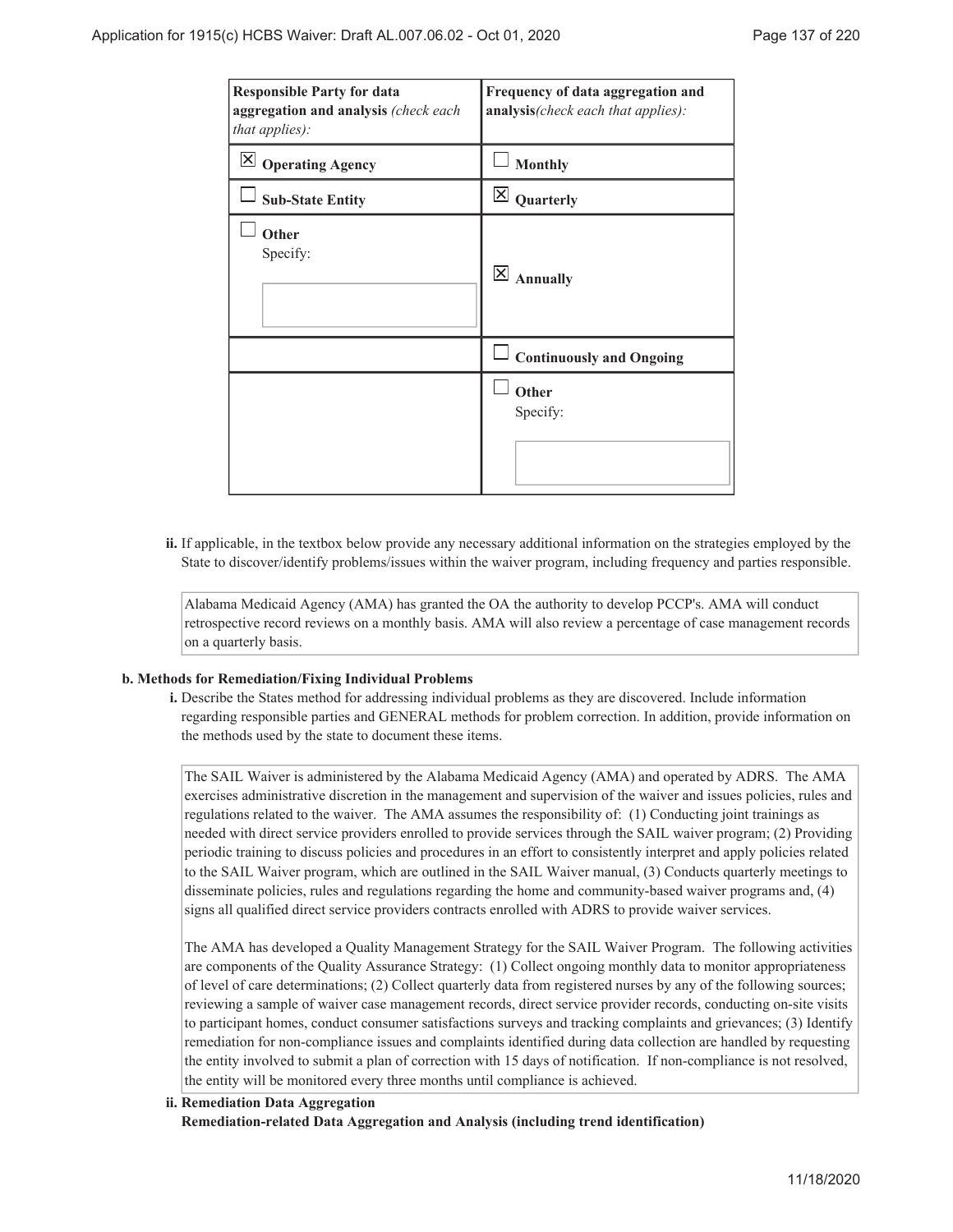| <b>Responsible Party for data</b><br>aggregation and analysis (check each<br>that applies): | Frequency of data aggregation and<br>analysis(check each that applies): |
|---------------------------------------------------------------------------------------------|-------------------------------------------------------------------------|
| IХI<br><b>Operating Agency</b>                                                              | <b>Monthly</b>                                                          |
| <b>Sub-State Entity</b>                                                                     | $\overline{\mathsf{x}}$<br>Quarterly                                    |
| Other<br>Specify:                                                                           | $\overline{\mathsf{x}}$<br><b>Annually</b>                              |
|                                                                                             | <b>Continuously and Ongoing</b>                                         |
|                                                                                             | Other<br>Specify:                                                       |

ii. If applicable, in the textbox below provide any necessary additional information on the strategies employed by the State to discover/identify problems/issues within the waiver program, including frequency and parties responsible.

Alabama Medicaid Agency (AMA) has granted the OA the authority to develop PCCP's. AMA will conduct retrospective record reviews on a monthly basis. AMA will also review a percentage of case management records on a quarterly basis.

#### **Methods for Remediation/Fixing Individual Problems b.**

Describe the States method for addressing individual problems as they are discovered. Include information **i.** regarding responsible parties and GENERAL methods for problem correction. In addition, provide information on the methods used by the state to document these items.

The SAIL Waiver is administered by the Alabama Medicaid Agency (AMA) and operated by ADRS. The AMA exercises administrative discretion in the management and supervision of the waiver and issues policies, rules and regulations related to the waiver. The AMA assumes the responsibility of: (1) Conducting joint trainings as needed with direct service providers enrolled to provide services through the SAIL waiver program; (2) Providing periodic training to discuss policies and procedures in an effort to consistently interpret and apply policies related to the SAIL Waiver program, which are outlined in the SAIL Waiver manual, (3) Conducts quarterly meetings to disseminate policies, rules and regulations regarding the home and community-based waiver programs and, (4) signs all qualified direct service providers contracts enrolled with ADRS to provide waiver services.

The AMA has developed a Quality Management Strategy for the SAIL Waiver Program. The following activities are components of the Quality Assurance Strategy: (1) Collect ongoing monthly data to monitor appropriateness of level of care determinations; (2) Collect quarterly data from registered nurses by any of the following sources; reviewing a sample of waiver case management records, direct service provider records, conducting on-site visits to participant homes, conduct consumer satisfactions surveys and tracking complaints and grievances; (3) Identify remediation for non-compliance issues and complaints identified during data collection are handled by requesting the entity involved to submit a plan of correction with 15 days of notification. If non-compliance is not resolved, the entity will be monitored every three months until compliance is achieved.

**Remediation Data Aggregation ii. Remediation-related Data Aggregation and Analysis (including trend identification)**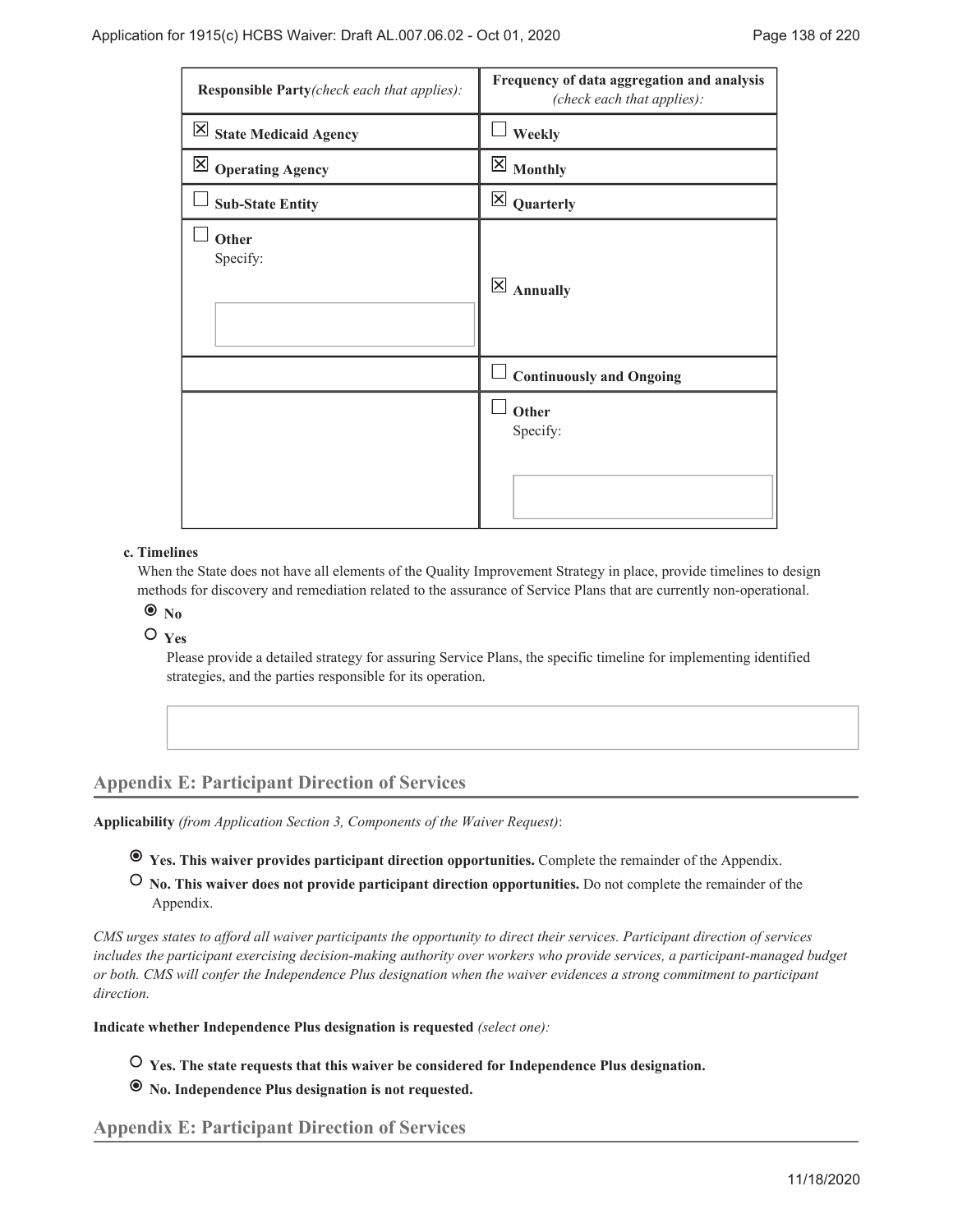| Responsible Party(check each that applies):   | Frequency of data aggregation and analysis<br>(check each that applies): |
|-----------------------------------------------|--------------------------------------------------------------------------|
| $\overline{\mathbf{X}}$ State Medicaid Agency | Weekly                                                                   |
| $\boxtimes$ Operating Agency                  | $\boxtimes$ Monthly                                                      |
| <b>Sub-State Entity</b>                       | $\boxtimes$ Quarterly                                                    |
| Other<br>Specify:                             | $\mathbf{\overline{X}}$<br><b>Annually</b>                               |
|                                               | <b>Continuously and Ongoing</b>                                          |
|                                               | Other<br>Specify:                                                        |

#### **Timelines c.**

When the State does not have all elements of the Quality Improvement Strategy in place, provide timelines to design methods for discovery and remediation related to the assurance of Service Plans that are currently non-operational.

 $\bullet$ <sub>No</sub>

## **Yes**

Please provide a detailed strategy for assuring Service Plans, the specific timeline for implementing identified strategies, and the parties responsible for its operation.

# **Appendix E: Participant Direction of Services**

**Applicability** *(from Application Section 3, Components of the Waiver Request)*:

- **Yes. This waiver provides participant direction opportunities.** Complete the remainder of the Appendix.
- **No. This waiver does not provide participant direction opportunities.** Do not complete the remainder of the Appendix.

*CMS urges states to afford all waiver participants the opportunity to direct their services. Participant direction of services includes the participant exercising decision-making authority over workers who provide services, a participant-managed budget or both. CMS will confer the Independence Plus designation when the waiver evidences a strong commitment to participant direction.*

**Indicate whether Independence Plus designation is requested** *(select one):*

 **Yes. The state requests that this waiver be considered for Independence Plus designation.**

 **No. Independence Plus designation is not requested.**

**Appendix E: Participant Direction of Services**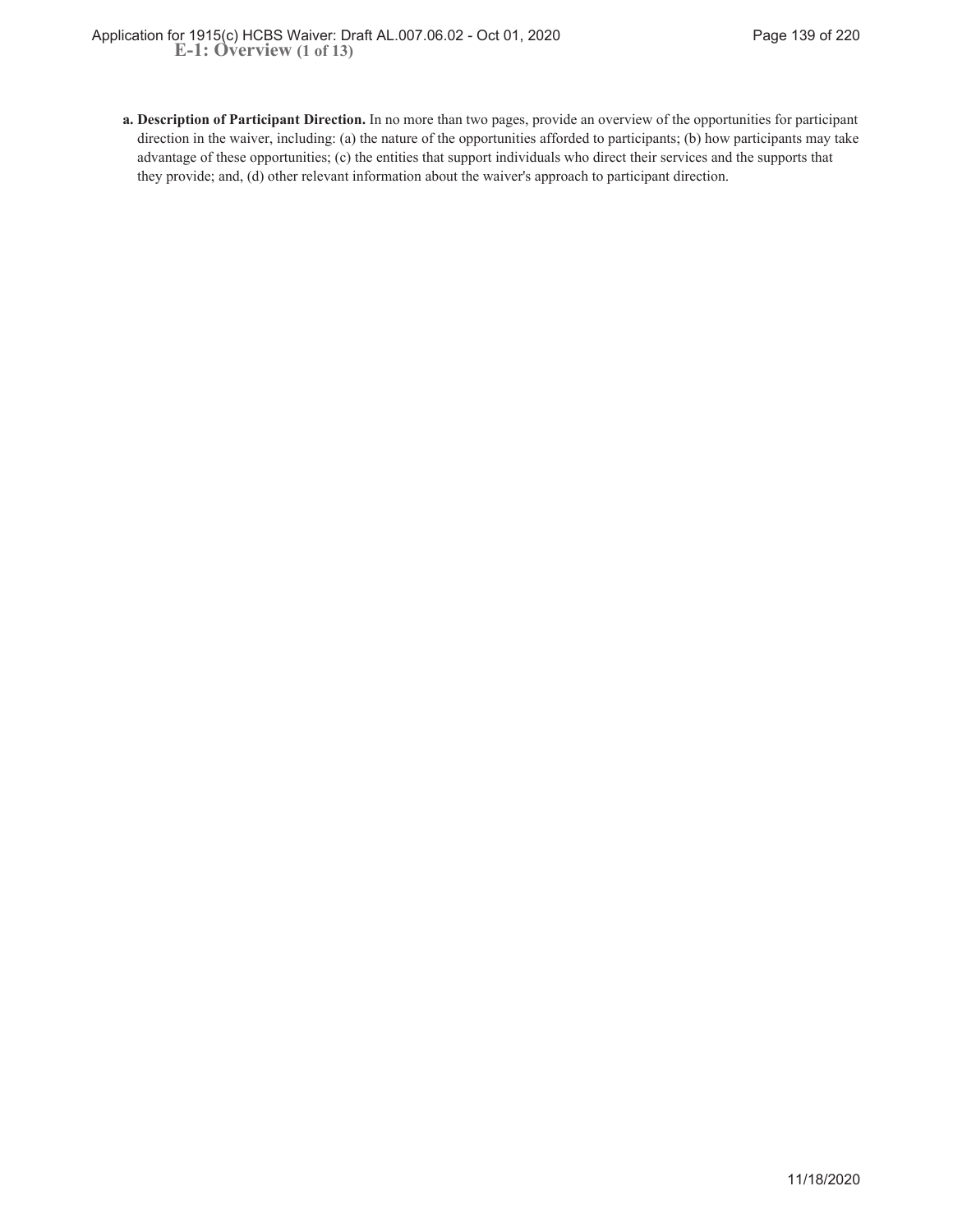**Description of Participant Direction.** In no more than two pages, provide an overview of the opportunities for participant **a.** direction in the waiver, including: (a) the nature of the opportunities afforded to participants; (b) how participants may take advantage of these opportunities; (c) the entities that support individuals who direct their services and the supports that they provide; and, (d) other relevant information about the waiver's approach to participant direction.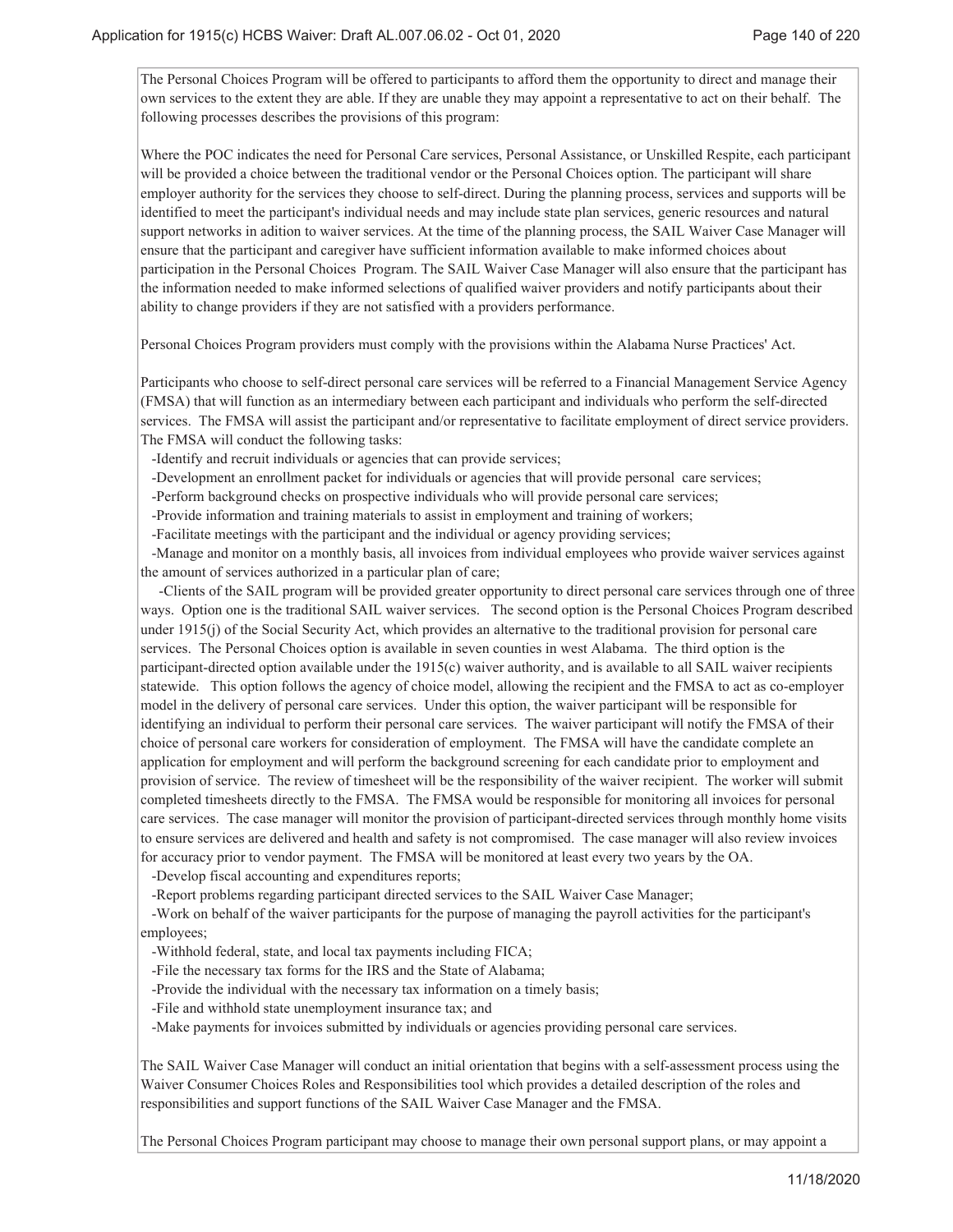The Personal Choices Program will be offered to participants to afford them the opportunity to direct and manage their own services to the extent they are able. If they are unable they may appoint a representative to act on their behalf. The following processes describes the provisions of this program:

Where the POC indicates the need for Personal Care services, Personal Assistance, or Unskilled Respite, each participant will be provided a choice between the traditional vendor or the Personal Choices option. The participant will share employer authority for the services they choose to self-direct. During the planning process, services and supports will be identified to meet the participant's individual needs and may include state plan services, generic resources and natural support networks in adition to waiver services. At the time of the planning process, the SAIL Waiver Case Manager will ensure that the participant and caregiver have sufficient information available to make informed choices about participation in the Personal Choices Program. The SAIL Waiver Case Manager will also ensure that the participant has the information needed to make informed selections of qualified waiver providers and notify participants about their ability to change providers if they are not satisfied with a providers performance.

Personal Choices Program providers must comply with the provisions within the Alabama Nurse Practices' Act.

Participants who choose to self-direct personal care services will be referred to a Financial Management Service Agency (FMSA) that will function as an intermediary between each participant and individuals who perform the self-directed services. The FMSA will assist the participant and/or representative to facilitate employment of direct service providers. The FMSA will conduct the following tasks:

-Identify and recruit individuals or agencies that can provide services;

-Development an enrollment packet for individuals or agencies that will provide personal care services;

-Perform background checks on prospective individuals who will provide personal care services;

-Provide information and training materials to assist in employment and training of workers;

-Facilitate meetings with the participant and the individual or agency providing services;

 -Manage and monitor on a monthly basis, all invoices from individual employees who provide waiver services against the amount of services authorized in a particular plan of care;

 -Clients of the SAIL program will be provided greater opportunity to direct personal care services through one of three ways. Option one is the traditional SAIL waiver services. The second option is the Personal Choices Program described under 1915(j) of the Social Security Act, which provides an alternative to the traditional provision for personal care services. The Personal Choices option is available in seven counties in west Alabama. The third option is the participant-directed option available under the 1915(c) waiver authority, and is available to all SAIL waiver recipients statewide. This option follows the agency of choice model, allowing the recipient and the FMSA to act as co-employer model in the delivery of personal care services. Under this option, the waiver participant will be responsible for identifying an individual to perform their personal care services. The waiver participant will notify the FMSA of their choice of personal care workers for consideration of employment. The FMSA will have the candidate complete an application for employment and will perform the background screening for each candidate prior to employment and provision of service. The review of timesheet will be the responsibility of the waiver recipient. The worker will submit completed timesheets directly to the FMSA. The FMSA would be responsible for monitoring all invoices for personal care services. The case manager will monitor the provision of participant-directed services through monthly home visits to ensure services are delivered and health and safety is not compromised. The case manager will also review invoices for accuracy prior to vendor payment. The FMSA will be monitored at least every two years by the OA.

-Develop fiscal accounting and expenditures reports;

-Report problems regarding participant directed services to the SAIL Waiver Case Manager;

 -Work on behalf of the waiver participants for the purpose of managing the payroll activities for the participant's employees;

-Withhold federal, state, and local tax payments including FICA;

-File the necessary tax forms for the IRS and the State of Alabama;

-Provide the individual with the necessary tax information on a timely basis;

-File and withhold state unemployment insurance tax; and

-Make payments for invoices submitted by individuals or agencies providing personal care services.

The SAIL Waiver Case Manager will conduct an initial orientation that begins with a self-assessment process using the Waiver Consumer Choices Roles and Responsibilities tool which provides a detailed description of the roles and responsibilities and support functions of the SAIL Waiver Case Manager and the FMSA.

The Personal Choices Program participant may choose to manage their own personal support plans, or may appoint a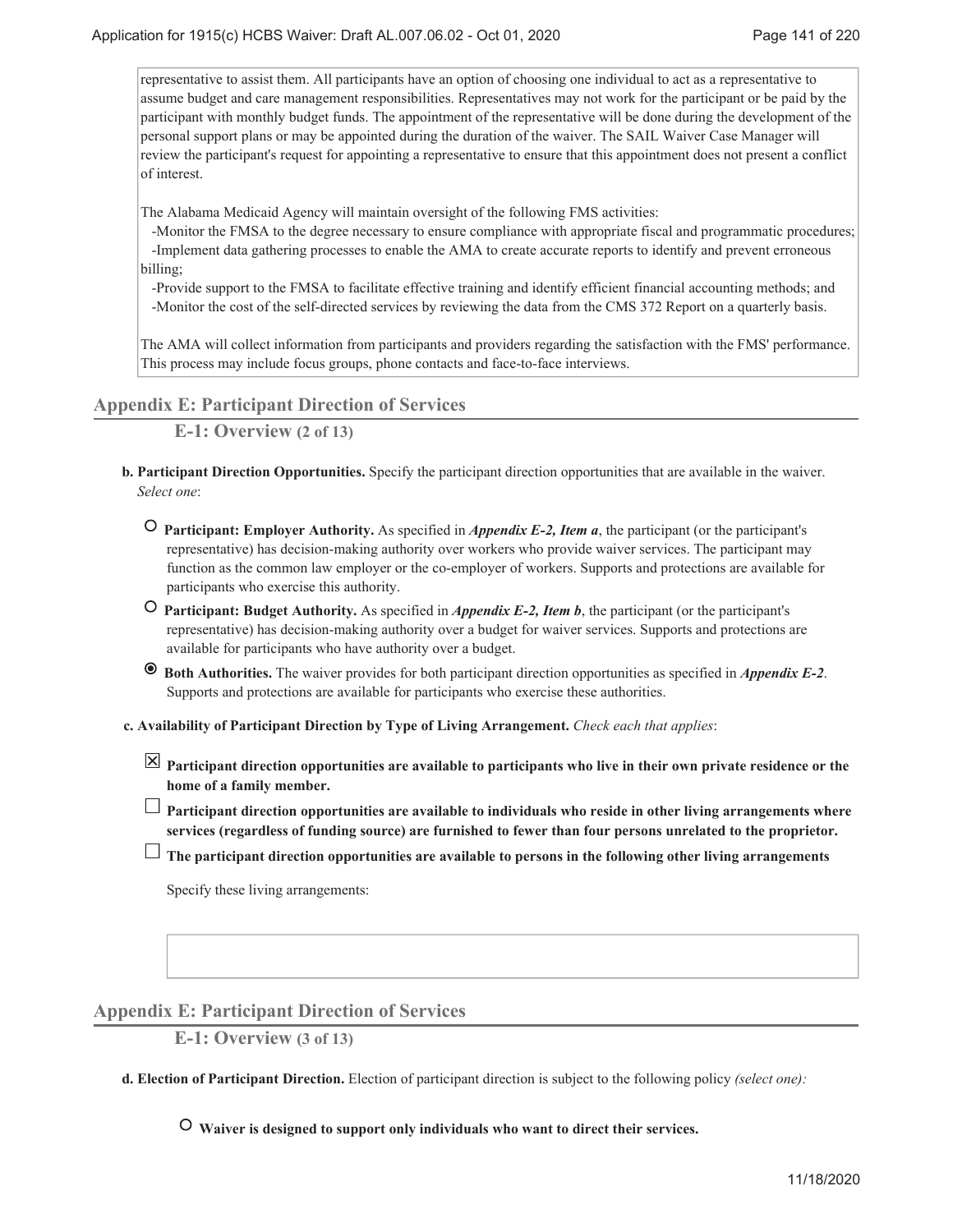representative to assist them. All participants have an option of choosing one individual to act as a representative to assume budget and care management responsibilities. Representatives may not work for the participant or be paid by the participant with monthly budget funds. The appointment of the representative will be done during the development of the personal support plans or may be appointed during the duration of the waiver. The SAIL Waiver Case Manager will review the participant's request for appointing a representative to ensure that this appointment does not present a conflict of interest.

The Alabama Medicaid Agency will maintain oversight of the following FMS activities:

 -Monitor the FMSA to the degree necessary to ensure compliance with appropriate fiscal and programmatic procedures; -Implement data gathering processes to enable the AMA to create accurate reports to identify and prevent erroneous billing;

 -Provide support to the FMSA to facilitate effective training and identify efficient financial accounting methods; and -Monitor the cost of the self-directed services by reviewing the data from the CMS 372 Report on a quarterly basis.

The AMA will collect information from participants and providers regarding the satisfaction with the FMS' performance. This process may include focus groups, phone contacts and face-to-face interviews.

**Appendix E: Participant Direction of Services**

**E-1: Overview (2 of 13)**

- **Participant Direction Opportunities.** Specify the participant direction opportunities that are available in the waiver. **b.** *Select one*:
	- **Participant: Employer Authority.** As specified in *Appendix E-2, Item a*, the participant (or the participant's representative) has decision-making authority over workers who provide waiver services. The participant may function as the common law employer or the co-employer of workers. Supports and protections are available for participants who exercise this authority.
	- **Participant: Budget Authority.** As specified in *Appendix E-2, Item b*, the participant (or the participant's representative) has decision-making authority over a budget for waiver services. Supports and protections are available for participants who have authority over a budget.
	- **Both Authorities.** The waiver provides for both participant direction opportunities as specified in *Appendix E-2*. Supports and protections are available for participants who exercise these authorities.

**Availability of Participant Direction by Type of Living Arrangement.** *Check each that applies*: **c.**

**Participant direction opportunities are available to participants who live in their own private residence or the home of a family member.**

**Participant direction opportunities are available to individuals who reside in other living arrangements where services (regardless of funding source) are furnished to fewer than four persons unrelated to the proprietor.**

**The participant direction opportunities are available to persons in the following other living arrangements**

Specify these living arrangements:

## **Appendix E: Participant Direction of Services**

**E-1: Overview (3 of 13)**

**Election of Participant Direction.** Election of participant direction is subject to the following policy *(select one):* **d.**

 **Waiver is designed to support only individuals who want to direct their services.**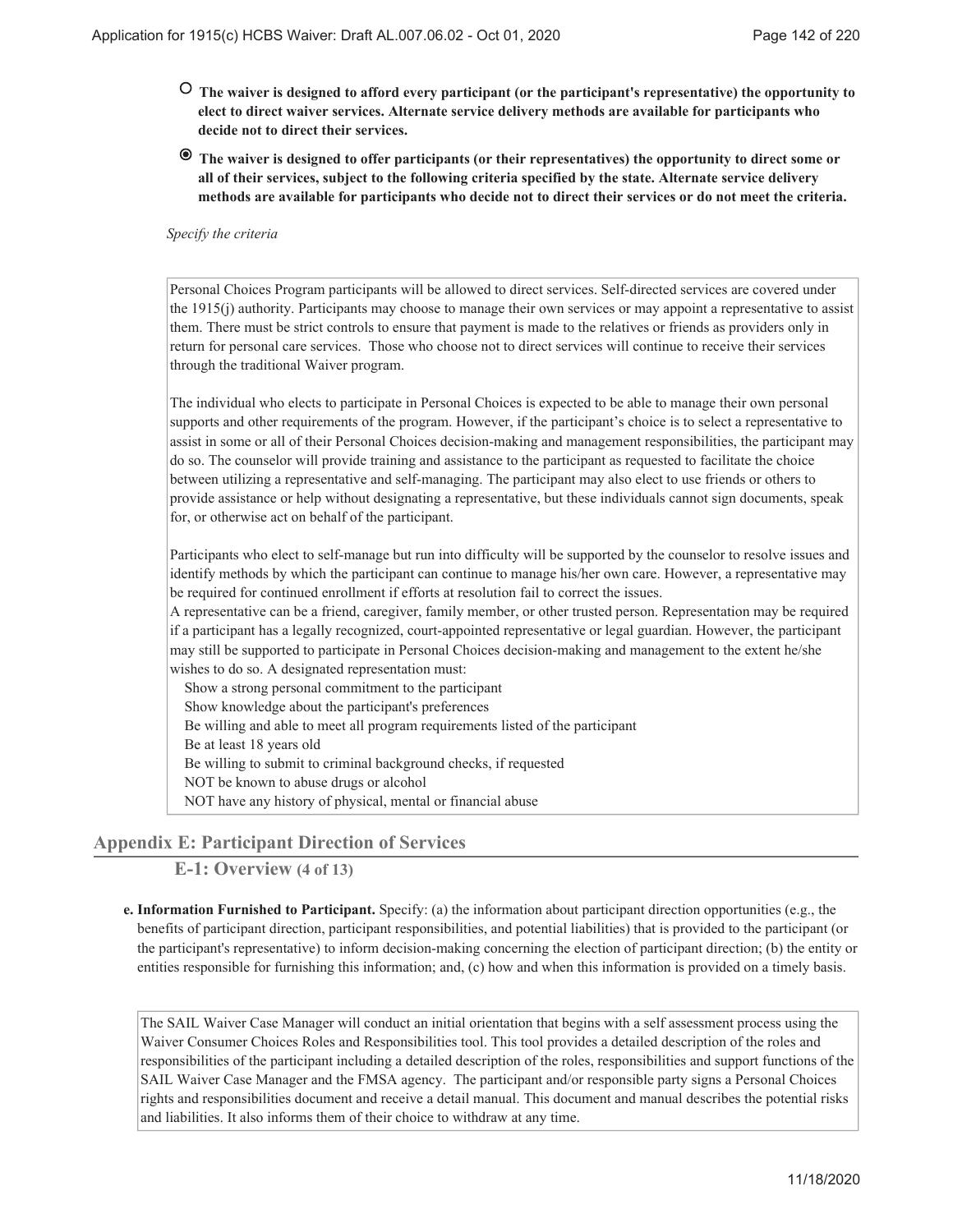- **The waiver is designed to afford every participant (or the participant's representative) the opportunity to elect to direct waiver services. Alternate service delivery methods are available for participants who decide not to direct their services.**
- **The waiver is designed to offer participants (or their representatives) the opportunity to direct some or all of their services, subject to the following criteria specified by the state. Alternate service delivery methods are available for participants who decide not to direct their services or do not meet the criteria.**

#### *Specify the criteria*

Personal Choices Program participants will be allowed to direct services. Self-directed services are covered under the 1915(j) authority. Participants may choose to manage their own services or may appoint a representative to assist them. There must be strict controls to ensure that payment is made to the relatives or friends as providers only in return for personal care services. Those who choose not to direct services will continue to receive their services through the traditional Waiver program.

The individual who elects to participate in Personal Choices is expected to be able to manage their own personal supports and other requirements of the program. However, if the participant's choice is to select a representative to assist in some or all of their Personal Choices decision-making and management responsibilities, the participant may do so. The counselor will provide training and assistance to the participant as requested to facilitate the choice between utilizing a representative and self-managing. The participant may also elect to use friends or others to provide assistance or help without designating a representative, but these individuals cannot sign documents, speak for, or otherwise act on behalf of the participant.

Participants who elect to self-manage but run into difficulty will be supported by the counselor to resolve issues and identify methods by which the participant can continue to manage his/her own care. However, a representative may be required for continued enrollment if efforts at resolution fail to correct the issues.

A representative can be a friend, caregiver, family member, or other trusted person. Representation may be required if a participant has a legally recognized, court-appointed representative or legal guardian. However, the participant may still be supported to participate in Personal Choices decision-making and management to the extent he/she wishes to do so. A designated representation must:

Show a strong personal commitment to the participant Show knowledge about the participant's preferences Be willing and able to meet all program requirements listed of the participant Be at least 18 years old Be willing to submit to criminal background checks, if requested NOT be known to abuse drugs or alcohol NOT have any history of physical, mental or financial abuse

# **Appendix E: Participant Direction of Services**

**E-1: Overview (4 of 13)**

**Information Furnished to Participant.** Specify: (a) the information about participant direction opportunities (e.g., the **e.** benefits of participant direction, participant responsibilities, and potential liabilities) that is provided to the participant (or the participant's representative) to inform decision-making concerning the election of participant direction; (b) the entity or entities responsible for furnishing this information; and, (c) how and when this information is provided on a timely basis.

The SAIL Waiver Case Manager will conduct an initial orientation that begins with a self assessment process using the Waiver Consumer Choices Roles and Responsibilities tool. This tool provides a detailed description of the roles and responsibilities of the participant including a detailed description of the roles, responsibilities and support functions of the SAIL Waiver Case Manager and the FMSA agency. The participant and/or responsible party signs a Personal Choices rights and responsibilities document and receive a detail manual. This document and manual describes the potential risks and liabilities. It also informs them of their choice to withdraw at any time.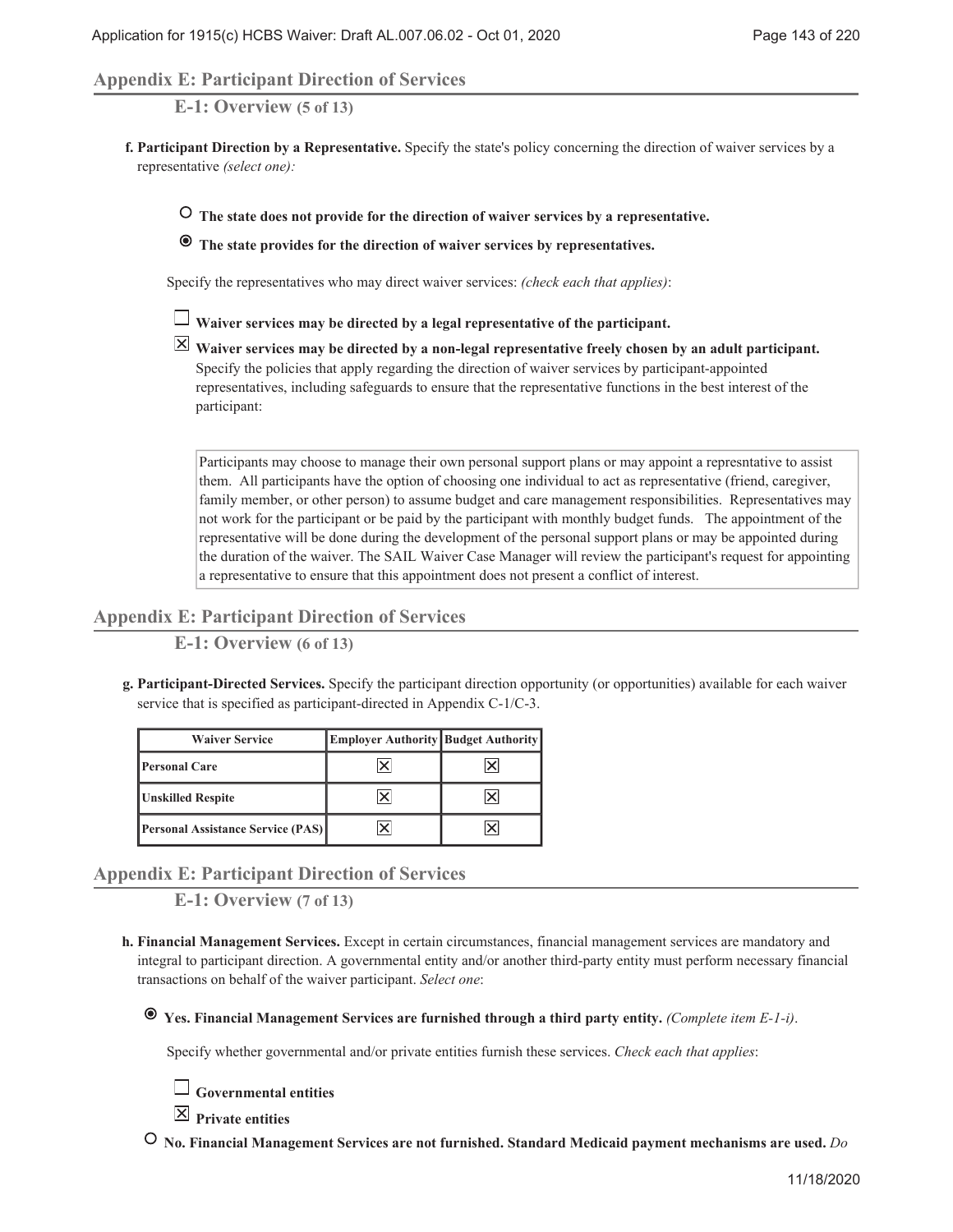### **Appendix E: Participant Direction of Services**

**E-1: Overview (5 of 13)**

**Participant Direction by a Representative.** Specify the state's policy concerning the direction of waiver services by a **f.** representative *(select one):*

 **The state does not provide for the direction of waiver services by a representative.**

 **The state provides for the direction of waiver services by representatives.**

Specify the representatives who may direct waiver services: *(check each that applies)*:

**Waiver services may be directed by a legal representative of the participant.**

**Waiver services may be directed by a non-legal representative freely chosen by an adult participant.** Specify the policies that apply regarding the direction of waiver services by participant-appointed representatives, including safeguards to ensure that the representative functions in the best interest of the participant:

Participants may choose to manage their own personal support plans or may appoint a represntative to assist them. All participants have the option of choosing one individual to act as representative (friend, caregiver, family member, or other person) to assume budget and care management responsibilities. Representatives may not work for the participant or be paid by the participant with monthly budget funds. The appointment of the representative will be done during the development of the personal support plans or may be appointed during the duration of the waiver. The SAIL Waiver Case Manager will review the participant's request for appointing a representative to ensure that this appointment does not present a conflict of interest.

### **Appendix E: Participant Direction of Services**

**E-1: Overview (6 of 13)**

**Participant-Directed Services.** Specify the participant direction opportunity (or opportunities) available for each waiver **g.** service that is specified as participant-directed in Appendix C-1/C-3.

| <b>Waiver Service</b>                    | <b>Employer Authority Budget Authority</b> |  |
|------------------------------------------|--------------------------------------------|--|
| <b>Personal Care</b>                     |                                            |  |
| <b>Unskilled Respite</b>                 |                                            |  |
| <b>Personal Assistance Service (PAS)</b> |                                            |  |

## **Appendix E: Participant Direction of Services**

**E-1: Overview (7 of 13)**

- **Financial Management Services.** Except in certain circumstances, financial management services are mandatory and **h.** integral to participant direction. A governmental entity and/or another third-party entity must perform necessary financial transactions on behalf of the waiver participant. *Select one*:
	- **Yes. Financial Management Services are furnished through a third party entity.** *(Complete item E-1-i)*.

Specify whether governmental and/or private entities furnish these services. *Check each that applies*:



**Private entities**

 **No. Financial Management Services are not furnished. Standard Medicaid payment mechanisms are used.** *Do*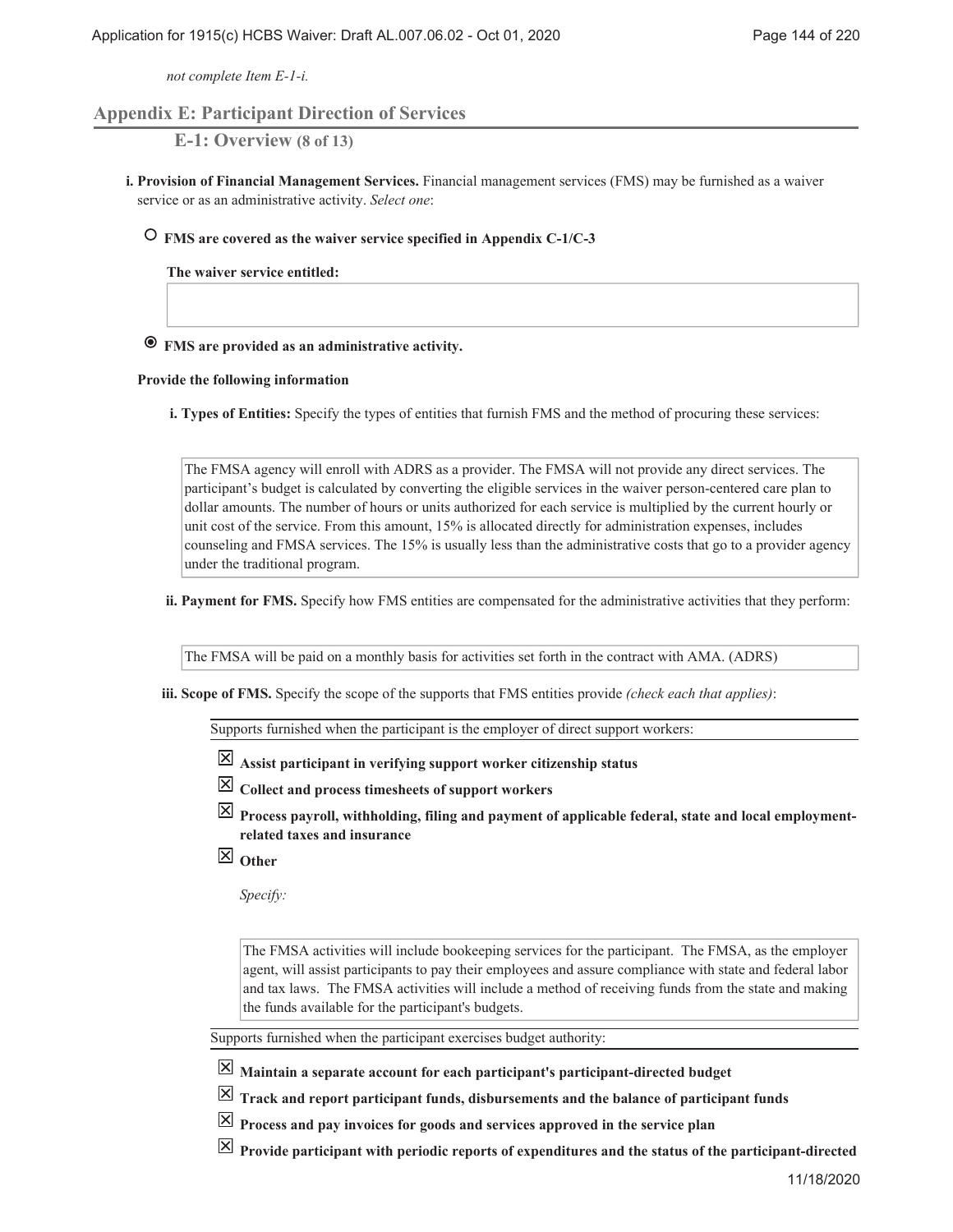*not complete Item E-1-i.*

## **Appendix E: Participant Direction of Services**

**E-1: Overview (8 of 13)**

**Provision of Financial Management Services.** Financial management services (FMS) may be furnished as a waiver **i.** service or as an administrative activity. *Select one*:

### **FMS are covered as the waiver service specified in Appendix C-1/C-3**

**The waiver service entitled:**

## **FMS are provided as an administrative activity.**

#### **Provide the following information**

**Types of Entities:** Specify the types of entities that furnish FMS and the method of procuring these services: **i.**

The FMSA agency will enroll with ADRS as a provider. The FMSA will not provide any direct services. The participant's budget is calculated by converting the eligible services in the waiver person-centered care plan to dollar amounts. The number of hours or units authorized for each service is multiplied by the current hourly or unit cost of the service. From this amount, 15% is allocated directly for administration expenses, includes counseling and FMSA services. The 15% is usually less than the administrative costs that go to a provider agency under the traditional program.

**Payment for FMS.** Specify how FMS entities are compensated for the administrative activities that they perform: **ii.**

The FMSA will be paid on a monthly basis for activities set forth in the contract with AMA. (ADRS)

**Scope of FMS.** Specify the scope of the supports that FMS entities provide *(check each that applies)*: **iii.**

Supports furnished when the participant is the employer of direct support workers:

- **Assist participant in verifying support worker citizenship status**
- **Collect and process timesheets of support workers**
- **Process payroll, withholding, filing and payment of applicable federal, state and local employmentrelated taxes and insurance**
- **Other**

*Specify:*

The FMSA activities will include bookeeping services for the participant. The FMSA, as the employer agent, will assist participants to pay their employees and assure compliance with state and federal labor and tax laws. The FMSA activities will include a method of receiving funds from the state and making the funds available for the participant's budgets.

Supports furnished when the participant exercises budget authority:

**Maintain a separate account for each participant's participant-directed budget**

 $\boxed{\times}$  Track and report participant funds, disbursements and the balance of participant funds

- **Process and pay invoices for goods and services approved in the service plan**
- $\boxed{\times}$  Provide participant with periodic reports of expenditures and the status of the participant-directed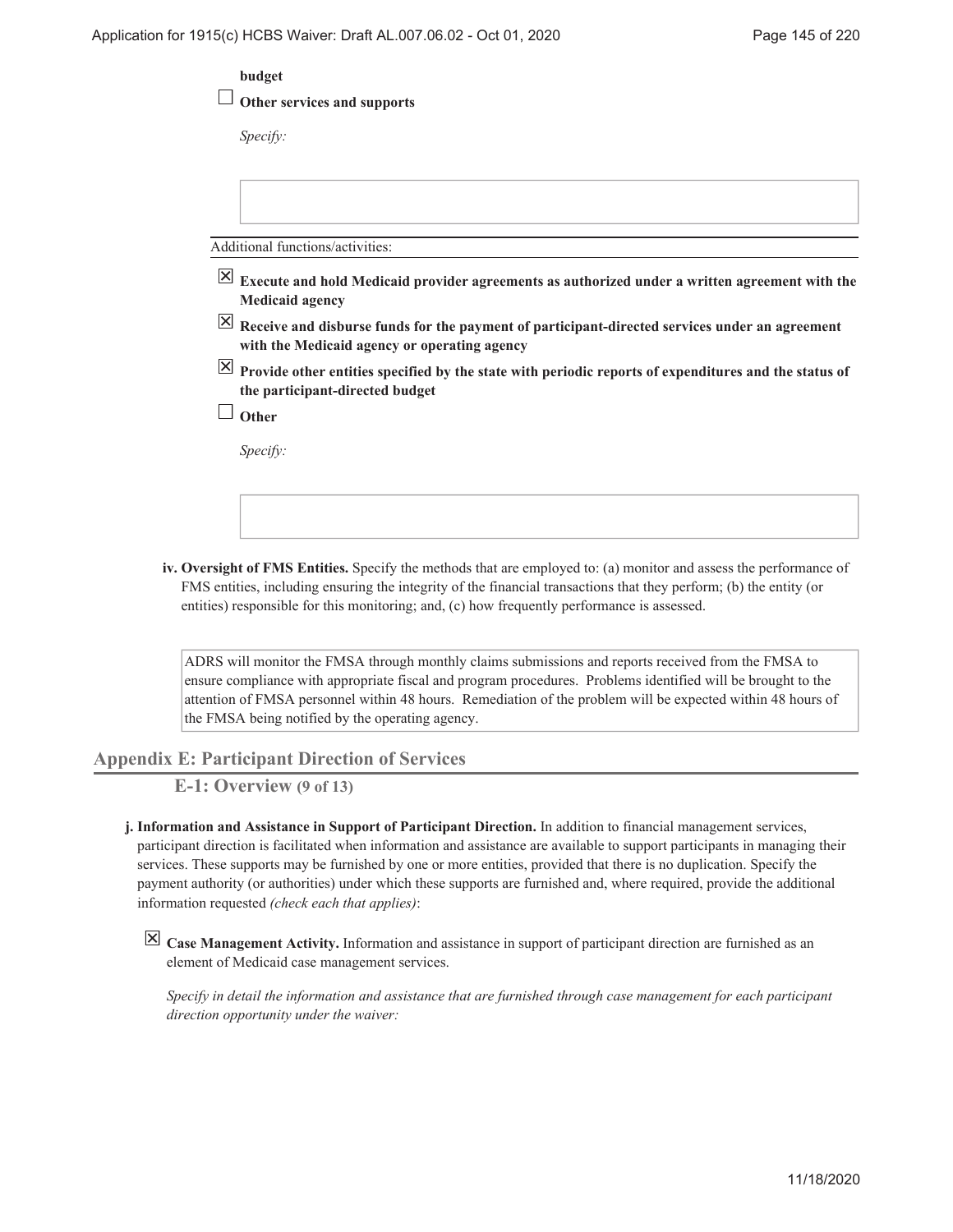|                          | budget                                                                                                                                                        |
|--------------------------|---------------------------------------------------------------------------------------------------------------------------------------------------------------|
|                          | Other services and supports                                                                                                                                   |
|                          | Specify:                                                                                                                                                      |
|                          |                                                                                                                                                               |
|                          | Additional functions/activities:                                                                                                                              |
| $\mathsf{X}$             | Execute and hold Medicaid provider agreements as authorized under a written agreement with the<br><b>Medicaid agency</b>                                      |
|                          | $\overline{X}$ Receive and disburse funds for the payment of participant-directed services under an agreement<br>with the Medicaid agency or operating agency |
| $\mathsf{\underline{x}}$ | Provide other entities specified by the state with periodic reports of expenditures and the status of<br>the participant-directed budget                      |
|                          | Other                                                                                                                                                         |
|                          | Specify:                                                                                                                                                      |
|                          |                                                                                                                                                               |

**Oversight of FMS Entities.** Specify the methods that are employed to: (a) monitor and assess the performance of **iv.** FMS entities, including ensuring the integrity of the financial transactions that they perform; (b) the entity (or entities) responsible for this monitoring; and, (c) how frequently performance is assessed.

ADRS will monitor the FMSA through monthly claims submissions and reports received from the FMSA to ensure compliance with appropriate fiscal and program procedures. Problems identified will be brought to the attention of FMSA personnel within 48 hours. Remediation of the problem will be expected within 48 hours of the FMSA being notified by the operating agency.

**Appendix E: Participant Direction of Services**

**E-1: Overview (9 of 13)**

- **Information and Assistance in Support of Participant Direction.** In addition to financial management services, **j.** participant direction is facilitated when information and assistance are available to support participants in managing their services. These supports may be furnished by one or more entities, provided that there is no duplication. Specify the payment authority (or authorities) under which these supports are furnished and, where required, provide the additional information requested *(check each that applies)*:
	- **Case Management Activity.** Information and assistance in support of participant direction are furnished as an element of Medicaid case management services.

*Specify in detail the information and assistance that are furnished through case management for each participant direction opportunity under the waiver:*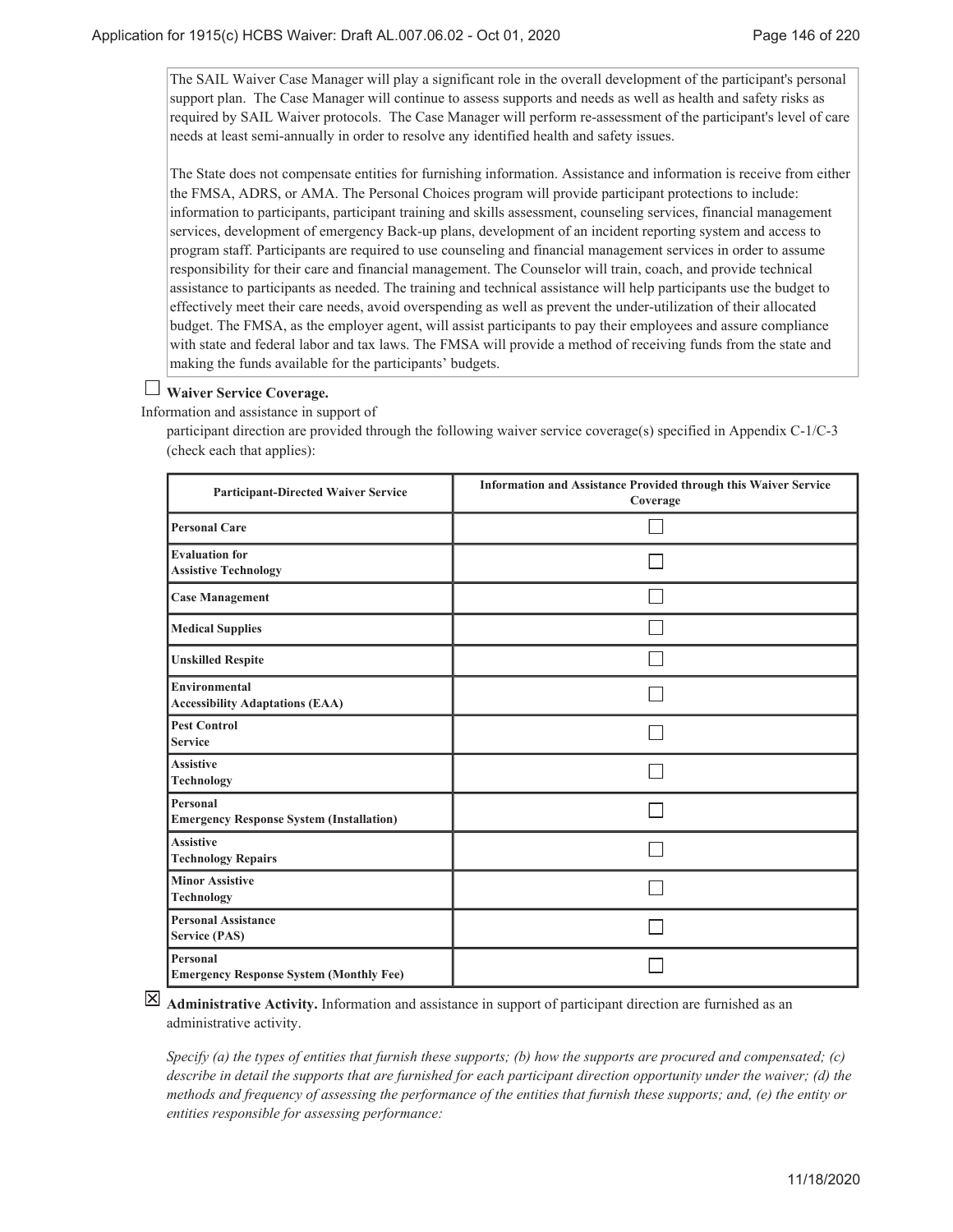The SAIL Waiver Case Manager will play a significant role in the overall development of the participant's personal support plan. The Case Manager will continue to assess supports and needs as well as health and safety risks as required by SAIL Waiver protocols. The Case Manager will perform re-assessment of the participant's level of care needs at least semi-annually in order to resolve any identified health and safety issues.

The State does not compensate entities for furnishing information. Assistance and information is receive from either the FMSA, ADRS, or AMA. The Personal Choices program will provide participant protections to include: information to participants, participant training and skills assessment, counseling services, financial management services, development of emergency Back-up plans, development of an incident reporting system and access to program staff. Participants are required to use counseling and financial management services in order to assume responsibility for their care and financial management. The Counselor will train, coach, and provide technical assistance to participants as needed. The training and technical assistance will help participants use the budget to effectively meet their care needs, avoid overspending as well as prevent the under-utilization of their allocated budget. The FMSA, as the employer agent, will assist participants to pay their employees and assure compliance with state and federal labor and tax laws. The FMSA will provide a method of receiving funds from the state and making the funds available for the participants' budgets.

# **Waiver Service Coverage.**

Information and assistance in support of

participant direction are provided through the following waiver service coverage(s) specified in Appendix C-1/C-3 (check each that applies):

| <b>Participant-Directed Waiver Service</b>                  | Information and Assistance Provided through this Waiver Service<br>Coverage |
|-------------------------------------------------------------|-----------------------------------------------------------------------------|
| Personal Care                                               |                                                                             |
| <b>Evaluation for</b><br><b>Assistive Technology</b>        |                                                                             |
| <b>Case Management</b>                                      |                                                                             |
| <b>Medical Supplies</b>                                     |                                                                             |
| <b>Unskilled Respite</b>                                    |                                                                             |
| Environmental<br><b>Accessibility Adaptations (EAA)</b>     |                                                                             |
| <b>Pest Control</b><br><b>Service</b>                       |                                                                             |
| <b>Assistive</b><br>Technology                              |                                                                             |
| Personal<br><b>Emergency Response System (Installation)</b> |                                                                             |
| <b>Assistive</b><br><b>Technology Repairs</b>               |                                                                             |
| Minor Assistive<br>Technology                               |                                                                             |
| Personal Assistance<br>Service (PAS)                        |                                                                             |
| Personal<br><b>Emergency Response System (Monthly Fee)</b>  |                                                                             |

**Administrative Activity.** Information and assistance in support of participant direction are furnished as an administrative activity.

*Specify (a) the types of entities that furnish these supports; (b) how the supports are procured and compensated; (c) describe in detail the supports that are furnished for each participant direction opportunity under the waiver; (d) the methods and frequency of assessing the performance of the entities that furnish these supports; and, (e) the entity or entities responsible for assessing performance:*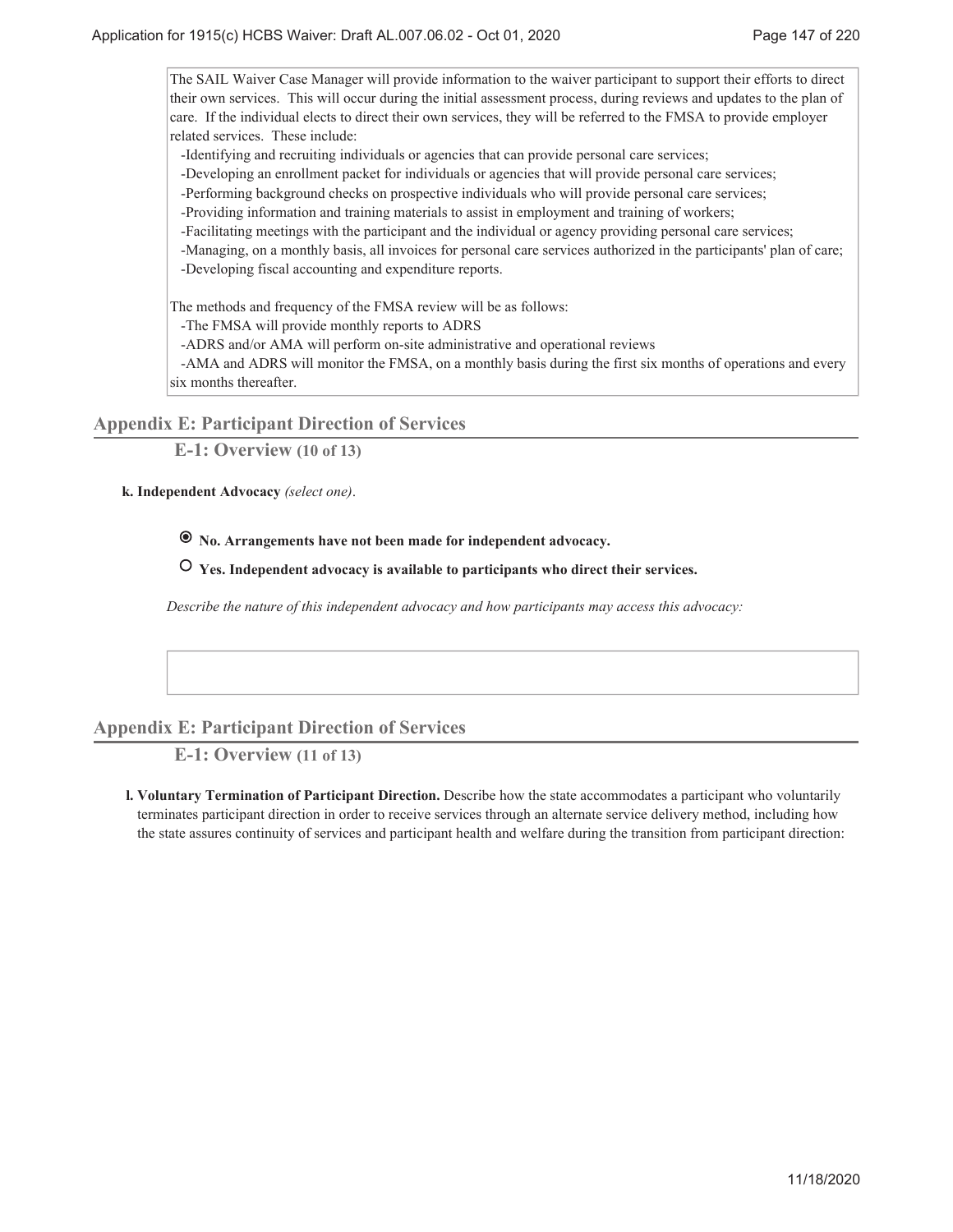The SAIL Waiver Case Manager will provide information to the waiver participant to support their efforts to direct their own services. This will occur during the initial assessment process, during reviews and updates to the plan of care. If the individual elects to direct their own services, they will be referred to the FMSA to provide employer related services. These include:

-Identifying and recruiting individuals or agencies that can provide personal care services;

-Developing an enrollment packet for individuals or agencies that will provide personal care services;

-Performing background checks on prospective individuals who will provide personal care services;

-Providing information and training materials to assist in employment and training of workers;

-Facilitating meetings with the participant and the individual or agency providing personal care services;

 -Managing, on a monthly basis, all invoices for personal care services authorized in the participants' plan of care; -Developing fiscal accounting and expenditure reports.

The methods and frequency of the FMSA review will be as follows:

-The FMSA will provide monthly reports to ADRS

-ADRS and/or AMA will perform on-site administrative and operational reviews

 -AMA and ADRS will monitor the FMSA, on a monthly basis during the first six months of operations and every six months thereafter.

**Appendix E: Participant Direction of Services**

**E-1: Overview (10 of 13)**

**Independent Advocacy** *(select one)*. **k.**

 **No. Arrangements have not been made for independent advocacy.**

 **Yes. Independent advocacy is available to participants who direct their services.**

*Describe the nature of this independent advocacy and how participants may access this advocacy:*

# **Appendix E: Participant Direction of Services**

**E-1: Overview (11 of 13)**

**Voluntary Termination of Participant Direction.** Describe how the state accommodates a participant who voluntarily **l.** terminates participant direction in order to receive services through an alternate service delivery method, including how the state assures continuity of services and participant health and welfare during the transition from participant direction: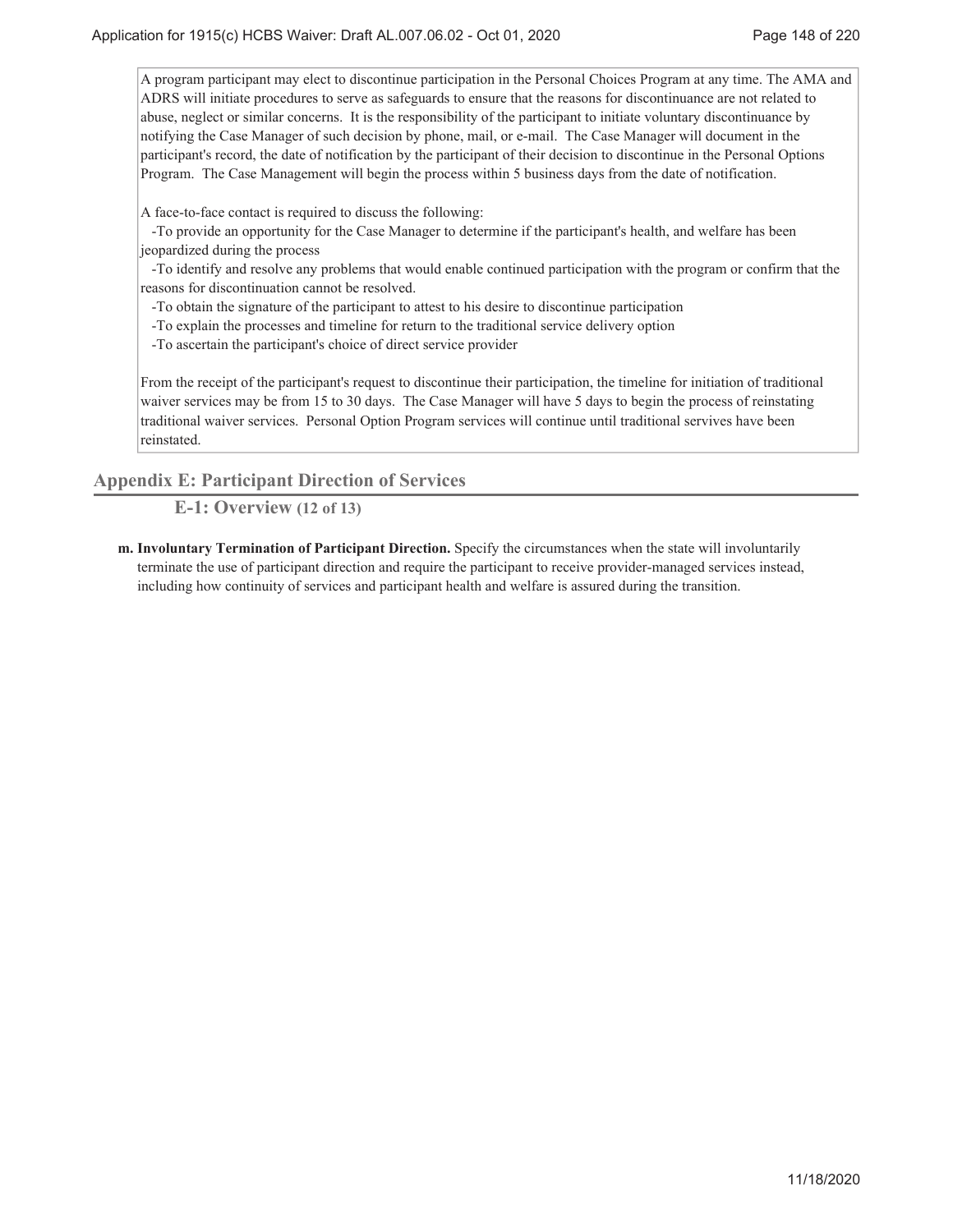A program participant may elect to discontinue participation in the Personal Choices Program at any time. The AMA and ADRS will initiate procedures to serve as safeguards to ensure that the reasons for discontinuance are not related to abuse, neglect or similar concerns. It is the responsibility of the participant to initiate voluntary discontinuance by notifying the Case Manager of such decision by phone, mail, or e-mail. The Case Manager will document in the participant's record, the date of notification by the participant of their decision to discontinue in the Personal Options Program. The Case Management will begin the process within 5 business days from the date of notification.

A face-to-face contact is required to discuss the following:

 -To provide an opportunity for the Case Manager to determine if the participant's health, and welfare has been jeopardized during the process

 -To identify and resolve any problems that would enable continued participation with the program or confirm that the reasons for discontinuation cannot be resolved.

-To obtain the signature of the participant to attest to his desire to discontinue participation

-To explain the processes and timeline for return to the traditional service delivery option

-To ascertain the participant's choice of direct service provider

From the receipt of the participant's request to discontinue their participation, the timeline for initiation of traditional waiver services may be from 15 to 30 days. The Case Manager will have 5 days to begin the process of reinstating traditional waiver services. Personal Option Program services will continue until traditional servives have been reinstated.

**Appendix E: Participant Direction of Services**

**E-1: Overview (12 of 13)**

**Involuntary Termination of Participant Direction.** Specify the circumstances when the state will involuntarily **m.** terminate the use of participant direction and require the participant to receive provider-managed services instead, including how continuity of services and participant health and welfare is assured during the transition.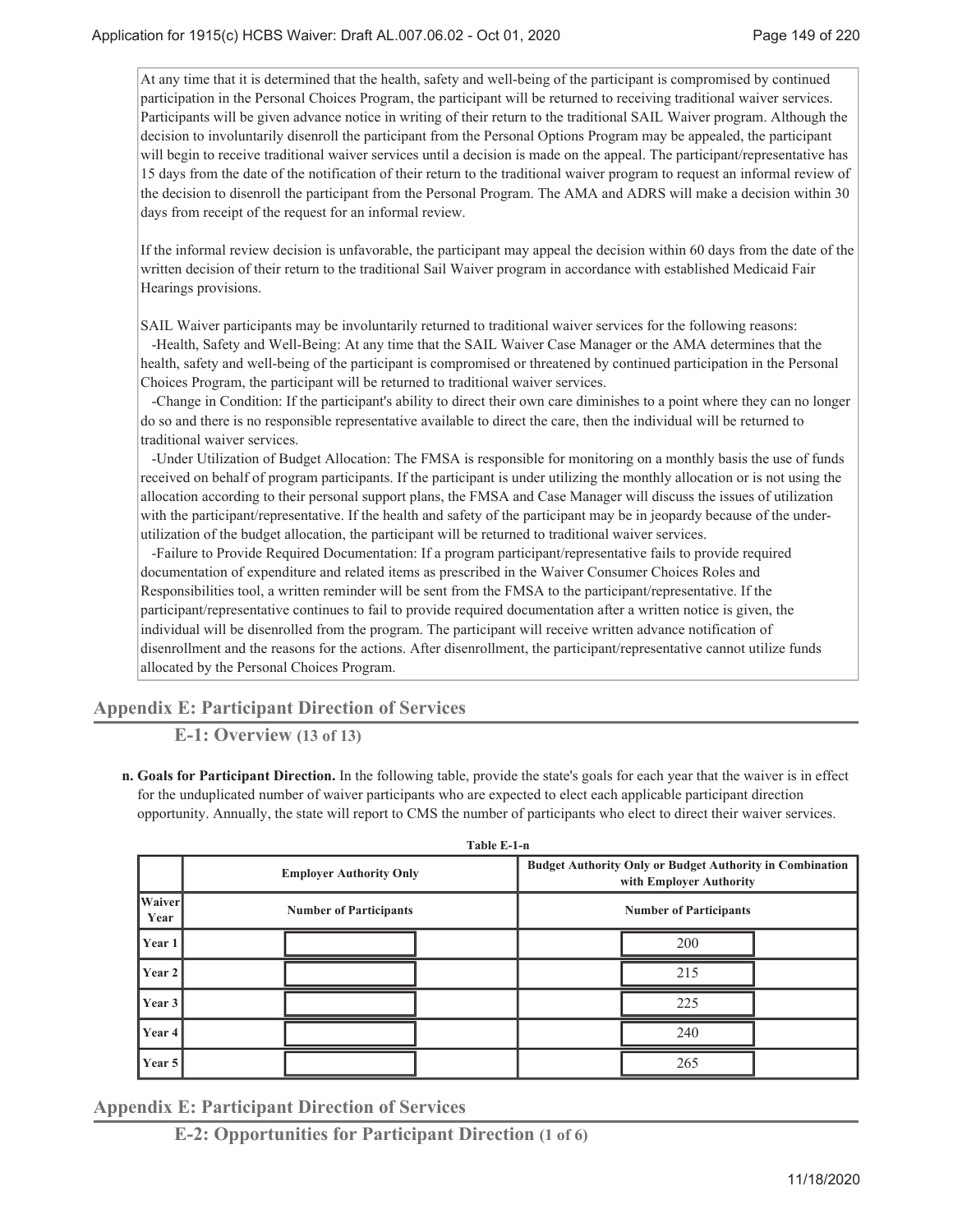At any time that it is determined that the health, safety and well-being of the participant is compromised by continued participation in the Personal Choices Program, the participant will be returned to receiving traditional waiver services. Participants will be given advance notice in writing of their return to the traditional SAIL Waiver program. Although the decision to involuntarily disenroll the participant from the Personal Options Program may be appealed, the participant will begin to receive traditional waiver services until a decision is made on the appeal. The participant/representative has 15 days from the date of the notification of their return to the traditional waiver program to request an informal review of the decision to disenroll the participant from the Personal Program. The AMA and ADRS will make a decision within 30 days from receipt of the request for an informal review.

If the informal review decision is unfavorable, the participant may appeal the decision within 60 days from the date of the written decision of their return to the traditional Sail Waiver program in accordance with established Medicaid Fair Hearings provisions.

SAIL Waiver participants may be involuntarily returned to traditional waiver services for the following reasons:

 -Health, Safety and Well-Being: At any time that the SAIL Waiver Case Manager or the AMA determines that the health, safety and well-being of the participant is compromised or threatened by continued participation in the Personal Choices Program, the participant will be returned to traditional waiver services.

 -Change in Condition: If the participant's ability to direct their own care diminishes to a point where they can no longer do so and there is no responsible representative available to direct the care, then the individual will be returned to traditional waiver services.

 -Under Utilization of Budget Allocation: The FMSA is responsible for monitoring on a monthly basis the use of funds received on behalf of program participants. If the participant is under utilizing the monthly allocation or is not using the allocation according to their personal support plans, the FMSA and Case Manager will discuss the issues of utilization with the participant/representative. If the health and safety of the participant may be in jeopardy because of the underutilization of the budget allocation, the participant will be returned to traditional waiver services.

 -Failure to Provide Required Documentation: If a program participant/representative fails to provide required documentation of expenditure and related items as prescribed in the Waiver Consumer Choices Roles and Responsibilities tool, a written reminder will be sent from the FMSA to the participant/representative. If the participant/representative continues to fail to provide required documentation after a written notice is given, the individual will be disenrolled from the program. The participant will receive written advance notification of disenrollment and the reasons for the actions. After disenrollment, the participant/representative cannot utilize funds allocated by the Personal Choices Program.

# **Appendix E: Participant Direction of Services**

**E-1: Overview (13 of 13)**

**Goals for Participant Direction.** In the following table, provide the state's goals for each year that the waiver is in effect **n.** for the unduplicated number of waiver participants who are expected to elect each applicable participant direction opportunity. Annually, the state will report to CMS the number of participants who elect to direct their waiver services.

**Table E-1-n**

| 1 avit E-1-II  |                                |                                                                                            |
|----------------|--------------------------------|--------------------------------------------------------------------------------------------|
|                | <b>Employer Authority Only</b> | <b>Budget Authority Only or Budget Authority in Combination</b><br>with Employer Authority |
| Waiver<br>Year | <b>Number of Participants</b>  | <b>Number of Participants</b>                                                              |
| Year 1         |                                | 200                                                                                        |
| Year 2         |                                | 215                                                                                        |
| Year 3         |                                | 225                                                                                        |
| Year 4         |                                | 240                                                                                        |
| Year 5         |                                | 265                                                                                        |

**Appendix E: Participant Direction of Services**

**E-2: Opportunities for Participant Direction (1 of 6)**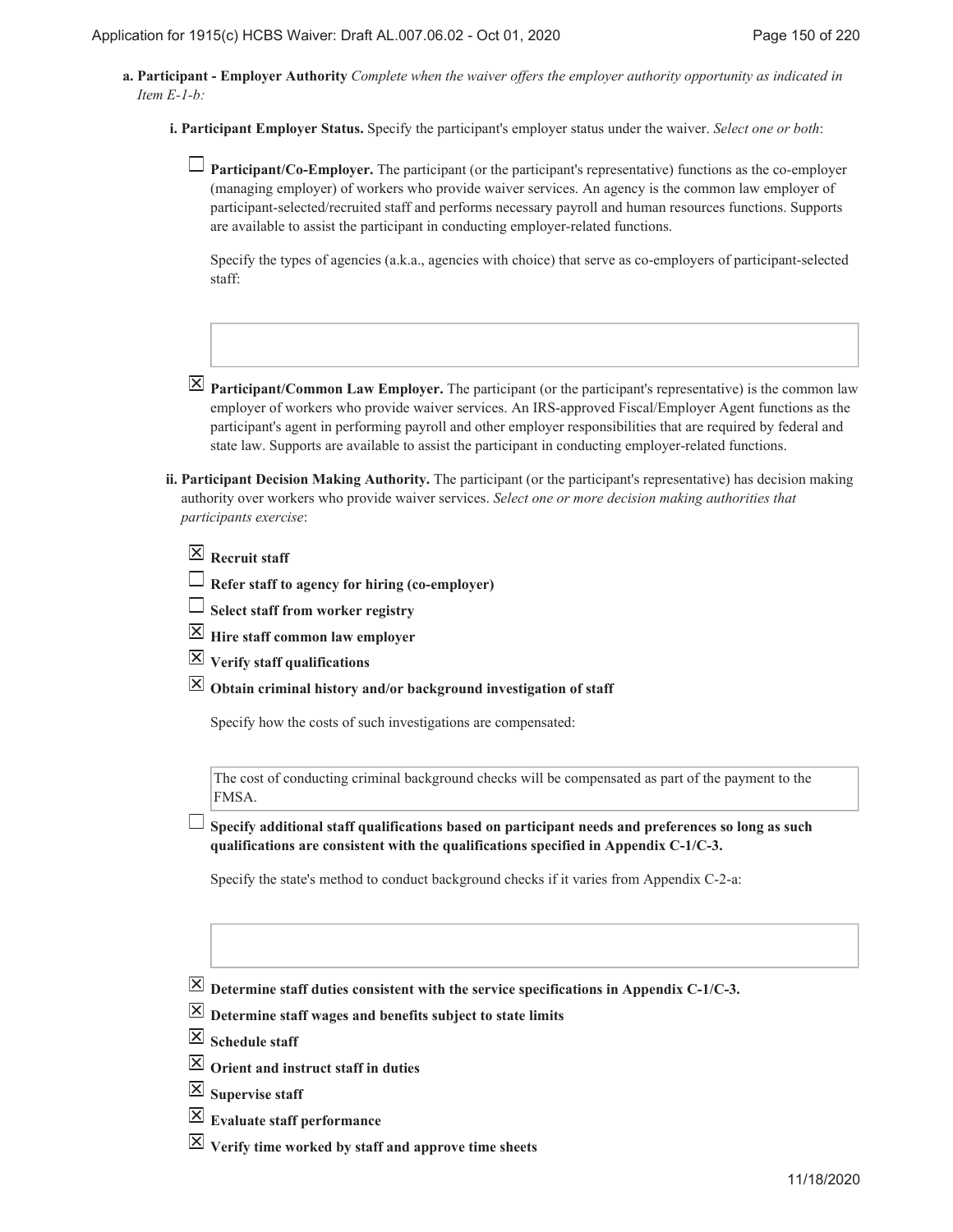**Participant - Employer Authority** *Complete when the waiver offers the employer authority opportunity as indicated in* **a.** *Item E-1-b:*

**Participant Employer Status.** Specify the participant's employer status under the waiver. *Select one or both*: **i.**

**Participant/Co-Employer.** The participant (or the participant's representative) functions as the co-employer (managing employer) of workers who provide waiver services. An agency is the common law employer of participant-selected/recruited staff and performs necessary payroll and human resources functions. Supports are available to assist the participant in conducting employer-related functions.

Specify the types of agencies (a.k.a., agencies with choice) that serve as co-employers of participant-selected staff:

- $\overline{X}$  **Participant/Common Law Employer.** The participant (or the participant's representative) is the common law employer of workers who provide waiver services. An IRS-approved Fiscal/Employer Agent functions as the participant's agent in performing payroll and other employer responsibilities that are required by federal and state law. Supports are available to assist the participant in conducting employer-related functions.
- **Participant Decision Making Authority.** The participant (or the participant's representative) has decision making **ii.** authority over workers who provide waiver services. *Select one or more decision making authorities that participants exercise*:

|  | $\boxtimes$ Recruit staff |  |
|--|---------------------------|--|
|--|---------------------------|--|

- **Refer staff to agency for hiring (co-employer)**
- **Select staff from worker registry**
- **Hire staff common law employer**
- **Verify staff qualifications**
- **Obtain criminal history and/or background investigation of staff**

Specify how the costs of such investigations are compensated:

The cost of conducting criminal background checks will be compensated as part of the payment to the FMSA.

**Specify additional staff qualifications based on participant needs and preferences so long as such qualifications are consistent with the qualifications specified in Appendix C-1/C-3.**

Specify the state's method to conduct background checks if it varies from Appendix C-2-a:

- $\boxed{\times}$  Determine staff duties consistent with the service specifications in Appendix C-1/C-3.
- **Determine staff wages and benefits subject to state limits**
- $\boxtimes$  Schedule staff
- **Orient and instruct staff in duties**
- **Supervise staff**
- **Evaluate staff performance**
- **Verify time worked by staff and approve time sheets**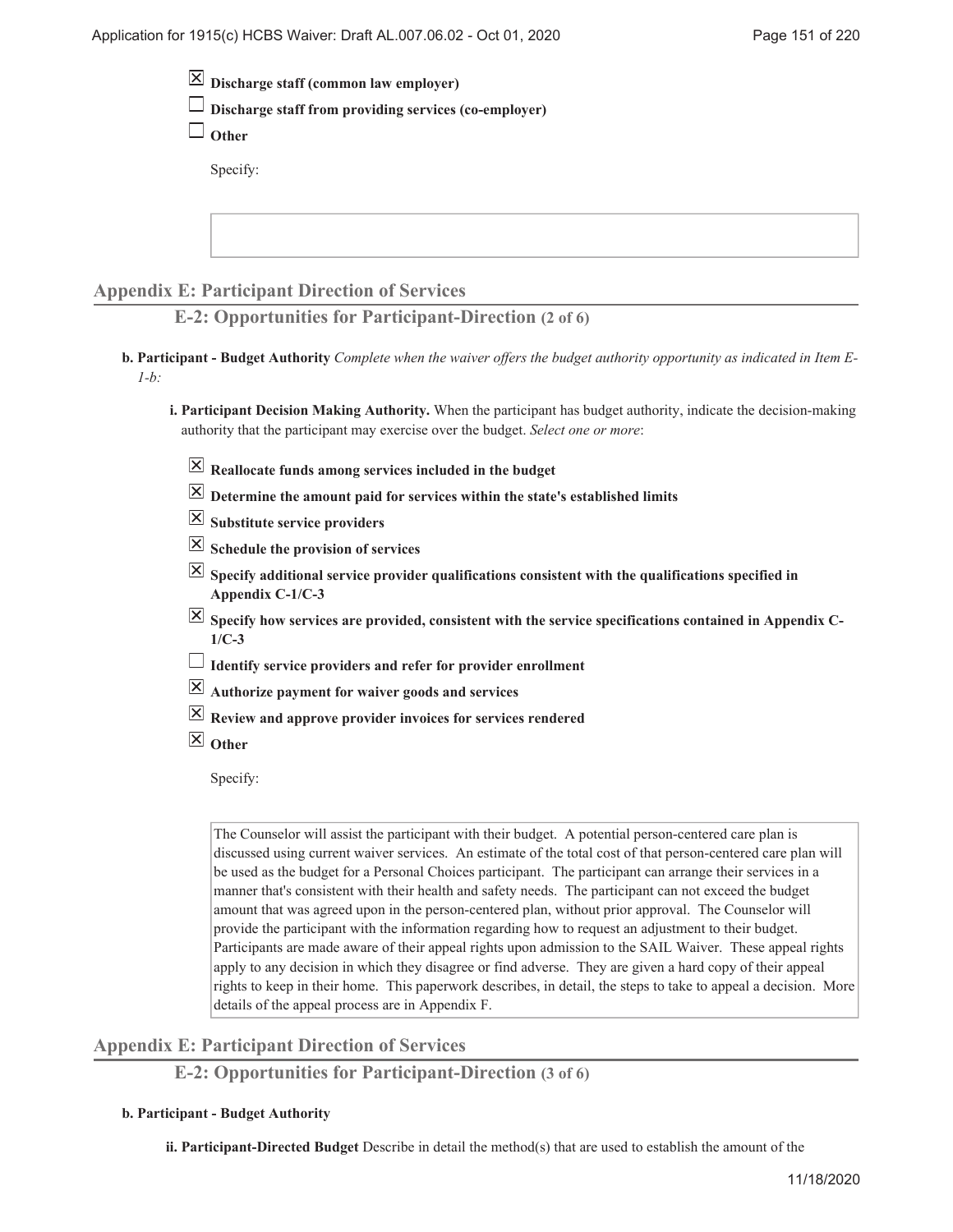- **Discharge staff (common law employer)**
- **Discharge staff from providing services (co-employer)**

**Other**

Specify:

# **Appendix E: Participant Direction of Services**

**E-2: Opportunities for Participant-Direction (2 of 6)**

**Participant - Budget Authority** *Complete when the waiver offers the budget authority opportunity as indicated in Item E-***b.** *1-b:*

**Participant Decision Making Authority.** When the participant has budget authority, indicate the decision-making **i.** authority that the participant may exercise over the budget. *Select one or more*:

- **Reallocate funds among services included in the budget**
- $\overline{\boxtimes}$  Determine the amount paid for services within the state's established limits
- **Substitute service providers**
- **Schedule the provision of services**
- $\overline{X}$  Specify additional service provider qualifications consistent with the qualifications specified in **Appendix C-1/C-3**
- Specify how services are provided, consistent with the service specifications contained in Appendix C-**1/C-3**
- **Identify service providers and refer for provider enrollment**
- **Authorize payment for waiver goods and services**
- **Review and approve provider invoices for services rendered**
- **Other**

Specify:

The Counselor will assist the participant with their budget. A potential person-centered care plan is discussed using current waiver services. An estimate of the total cost of that person-centered care plan will be used as the budget for a Personal Choices participant. The participant can arrange their services in a manner that's consistent with their health and safety needs. The participant can not exceed the budget amount that was agreed upon in the person-centered plan, without prior approval. The Counselor will provide the participant with the information regarding how to request an adjustment to their budget. Participants are made aware of their appeal rights upon admission to the SAIL Waiver. These appeal rights apply to any decision in which they disagree or find adverse. They are given a hard copy of their appeal rights to keep in their home. This paperwork describes, in detail, the steps to take to appeal a decision. More details of the appeal process are in Appendix F.

# **Appendix E: Participant Direction of Services**

**E-2: Opportunities for Participant-Direction (3 of 6)**

### **Participant - Budget Authority b.**

**ii. Participant-Directed Budget** Describe in detail the method(s) that are used to establish the amount of the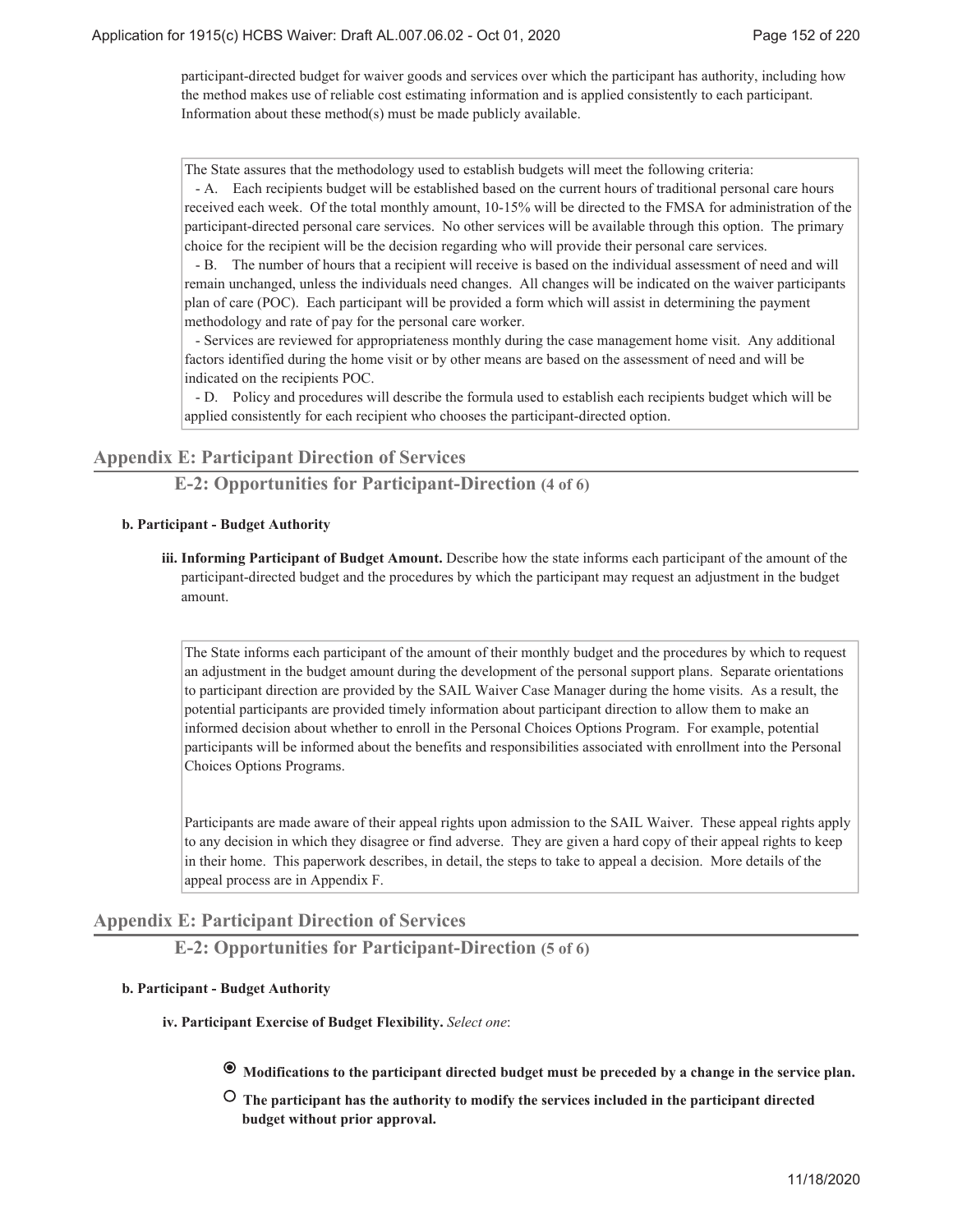participant-directed budget for waiver goods and services over which the participant has authority, including how the method makes use of reliable cost estimating information and is applied consistently to each participant. Information about these method(s) must be made publicly available.

The State assures that the methodology used to establish budgets will meet the following criteria: - A. Each recipients budget will be established based on the current hours of traditional personal care hours received each week. Of the total monthly amount, 10-15% will be directed to the FMSA for administration of the participant-directed personal care services. No other services will be available through this option. The primary

choice for the recipient will be the decision regarding who will provide their personal care services. - B. The number of hours that a recipient will receive is based on the individual assessment of need and will remain unchanged, unless the individuals need changes. All changes will be indicated on the waiver participants plan of care (POC). Each participant will be provided a form which will assist in determining the payment methodology and rate of pay for the personal care worker.

 - Services are reviewed for appropriateness monthly during the case management home visit. Any additional factors identified during the home visit or by other means are based on the assessment of need and will be indicated on the recipients POC.

 - D. Policy and procedures will describe the formula used to establish each recipients budget which will be applied consistently for each recipient who chooses the participant-directed option.

# **Appendix E: Participant Direction of Services**

**E-2: Opportunities for Participant-Direction (4 of 6)**

#### **Participant - Budget Authority b.**

iii. Informing Participant of Budget Amount. Describe how the state informs each participant of the amount of the participant-directed budget and the procedures by which the participant may request an adjustment in the budget amount.

The State informs each participant of the amount of their monthly budget and the procedures by which to request an adjustment in the budget amount during the development of the personal support plans. Separate orientations to participant direction are provided by the SAIL Waiver Case Manager during the home visits. As a result, the potential participants are provided timely information about participant direction to allow them to make an informed decision about whether to enroll in the Personal Choices Options Program. For example, potential participants will be informed about the benefits and responsibilities associated with enrollment into the Personal Choices Options Programs.

Participants are made aware of their appeal rights upon admission to the SAIL Waiver. These appeal rights apply to any decision in which they disagree or find adverse. They are given a hard copy of their appeal rights to keep in their home. This paperwork describes, in detail, the steps to take to appeal a decision. More details of the appeal process are in Appendix F.

### **Appendix E: Participant Direction of Services**

**E-2: Opportunities for Participant-Direction (5 of 6)**

#### **Participant - Budget Authority b.**

**Participant Exercise of Budget Flexibility.** *Select one*: **iv.**

- **Modifications to the participant directed budget must be preceded by a change in the service plan.**
- **The participant has the authority to modify the services included in the participant directed budget without prior approval.**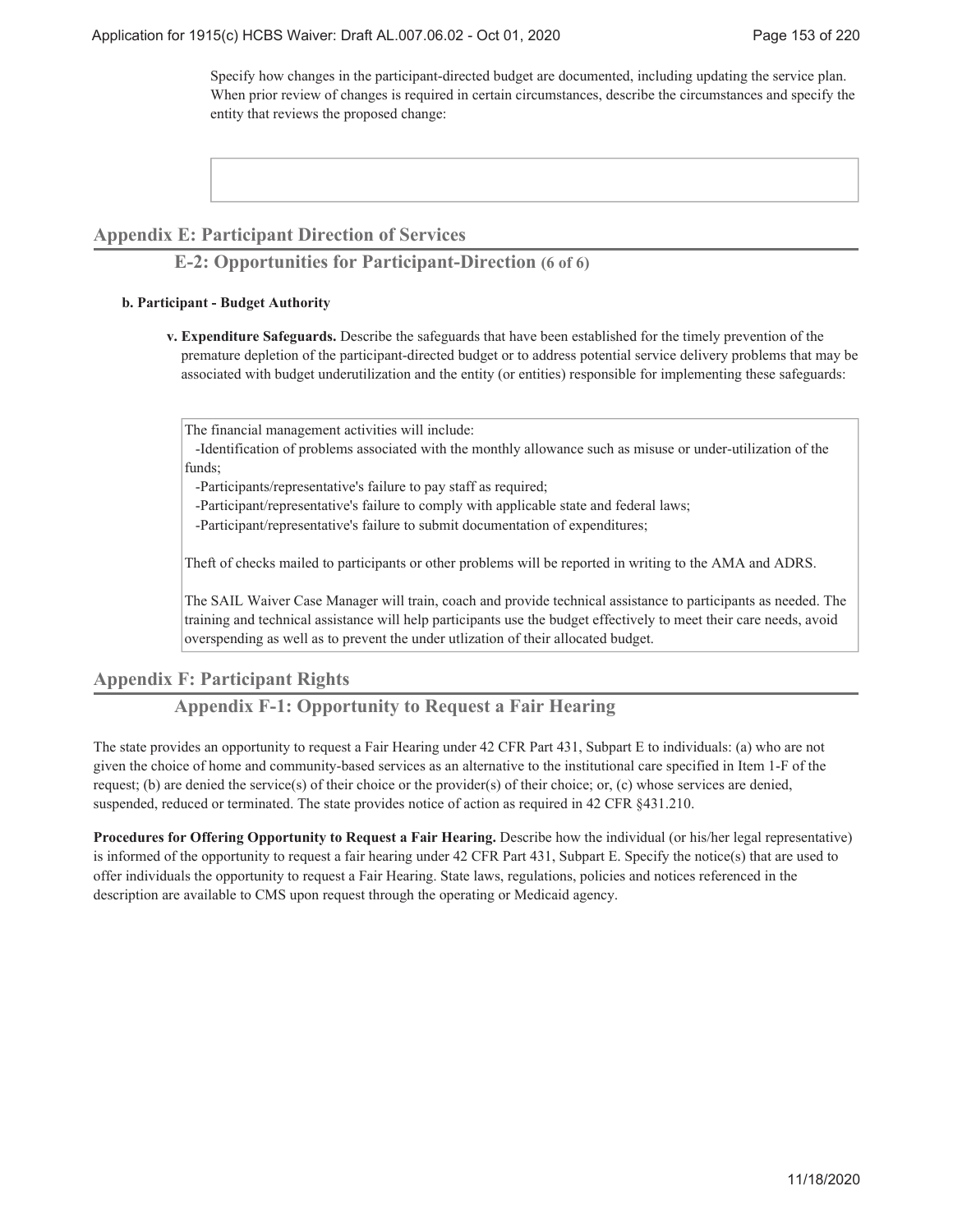Specify how changes in the participant-directed budget are documented, including updating the service plan. When prior review of changes is required in certain circumstances, describe the circumstances and specify the entity that reviews the proposed change:

# **Appendix E: Participant Direction of Services**

# **E-2: Opportunities for Participant-Direction (6 of 6)**

#### **Participant - Budget Authority b.**

**Expenditure Safeguards.** Describe the safeguards that have been established for the timely prevention of the **v.** premature depletion of the participant-directed budget or to address potential service delivery problems that may be associated with budget underutilization and the entity (or entities) responsible for implementing these safeguards:

The financial management activities will include:

 -Identification of problems associated with the monthly allowance such as misuse or under-utilization of the funds;

-Participants/representative's failure to pay staff as required;

-Participant/representative's failure to comply with applicable state and federal laws;

-Participant/representative's failure to submit documentation of expenditures;

Theft of checks mailed to participants or other problems will be reported in writing to the AMA and ADRS.

The SAIL Waiver Case Manager will train, coach and provide technical assistance to participants as needed. The training and technical assistance will help participants use the budget effectively to meet their care needs, avoid overspending as well as to prevent the under utlization of their allocated budget.

# **Appendix F: Participant Rights**

# **Appendix F-1: Opportunity to Request a Fair Hearing**

The state provides an opportunity to request a Fair Hearing under 42 CFR Part 431, Subpart E to individuals: (a) who are not given the choice of home and community-based services as an alternative to the institutional care specified in Item 1-F of the request; (b) are denied the service(s) of their choice or the provider(s) of their choice; or, (c) whose services are denied, suspended, reduced or terminated. The state provides notice of action as required in 42 CFR §431.210.

**Procedures for Offering Opportunity to Request a Fair Hearing.** Describe how the individual (or his/her legal representative) is informed of the opportunity to request a fair hearing under 42 CFR Part 431, Subpart E. Specify the notice(s) that are used to offer individuals the opportunity to request a Fair Hearing. State laws, regulations, policies and notices referenced in the description are available to CMS upon request through the operating or Medicaid agency.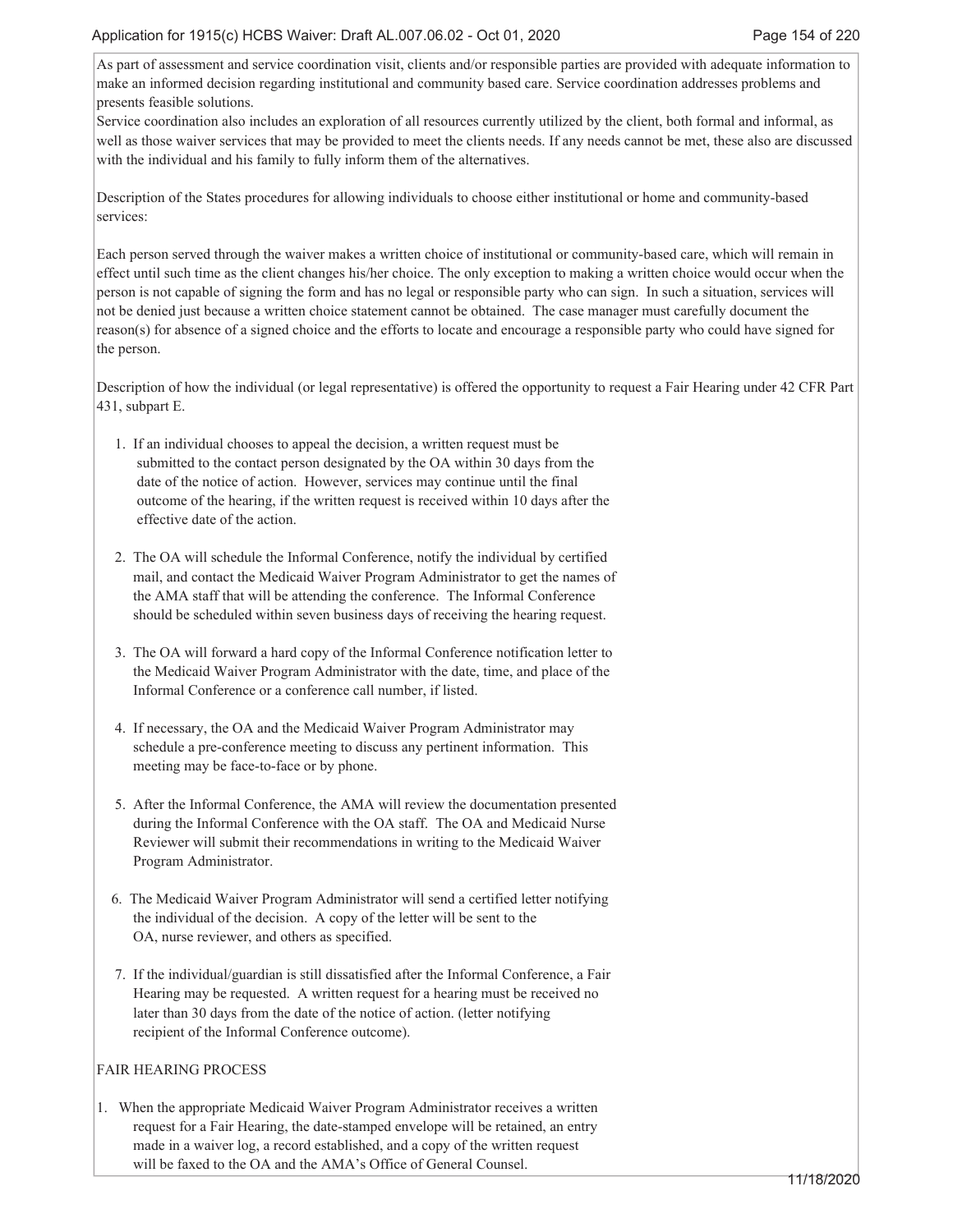As part of assessment and service coordination visit, clients and/or responsible parties are provided with adequate information to make an informed decision regarding institutional and community based care. Service coordination addresses problems and presents feasible solutions.

Service coordination also includes an exploration of all resources currently utilized by the client, both formal and informal, as well as those waiver services that may be provided to meet the clients needs. If any needs cannot be met, these also are discussed with the individual and his family to fully inform them of the alternatives.

Description of the States procedures for allowing individuals to choose either institutional or home and community-based services:

Each person served through the waiver makes a written choice of institutional or community-based care, which will remain in effect until such time as the client changes his/her choice. The only exception to making a written choice would occur when the person is not capable of signing the form and has no legal or responsible party who can sign. In such a situation, services will not be denied just because a written choice statement cannot be obtained. The case manager must carefully document the reason(s) for absence of a signed choice and the efforts to locate and encourage a responsible party who could have signed for the person.

Description of how the individual (or legal representative) is offered the opportunity to request a Fair Hearing under 42 CFR Part 431, subpart E.

- 1. If an individual chooses to appeal the decision, a written request must be submitted to the contact person designated by the OA within 30 days from the date of the notice of action. However, services may continue until the final outcome of the hearing, if the written request is received within 10 days after the effective date of the action.
- 2. The OA will schedule the Informal Conference, notify the individual by certified mail, and contact the Medicaid Waiver Program Administrator to get the names of the AMA staff that will be attending the conference. The Informal Conference should be scheduled within seven business days of receiving the hearing request.
- 3. The OA will forward a hard copy of the Informal Conference notification letter to the Medicaid Waiver Program Administrator with the date, time, and place of the Informal Conference or a conference call number, if listed.
- 4. If necessary, the OA and the Medicaid Waiver Program Administrator may schedule a pre-conference meeting to discuss any pertinent information. This meeting may be face-to-face or by phone.
- 5. After the Informal Conference, the AMA will review the documentation presented during the Informal Conference with the OA staff. The OA and Medicaid Nurse Reviewer will submit their recommendations in writing to the Medicaid Waiver Program Administrator.
- 6. The Medicaid Waiver Program Administrator will send a certified letter notifying the individual of the decision. A copy of the letter will be sent to the OA, nurse reviewer, and others as specified.
- 7. If the individual/guardian is still dissatisfied after the Informal Conference, a Fair Hearing may be requested. A written request for a hearing must be received no later than 30 days from the date of the notice of action. (letter notifying recipient of the Informal Conference outcome).

### FAIR HEARING PROCESS

1. When the appropriate Medicaid Waiver Program Administrator receives a written request for a Fair Hearing, the date-stamped envelope will be retained, an entry made in a waiver log, a record established, and a copy of the written request will be faxed to the OA and the AMA's Office of General Counsel.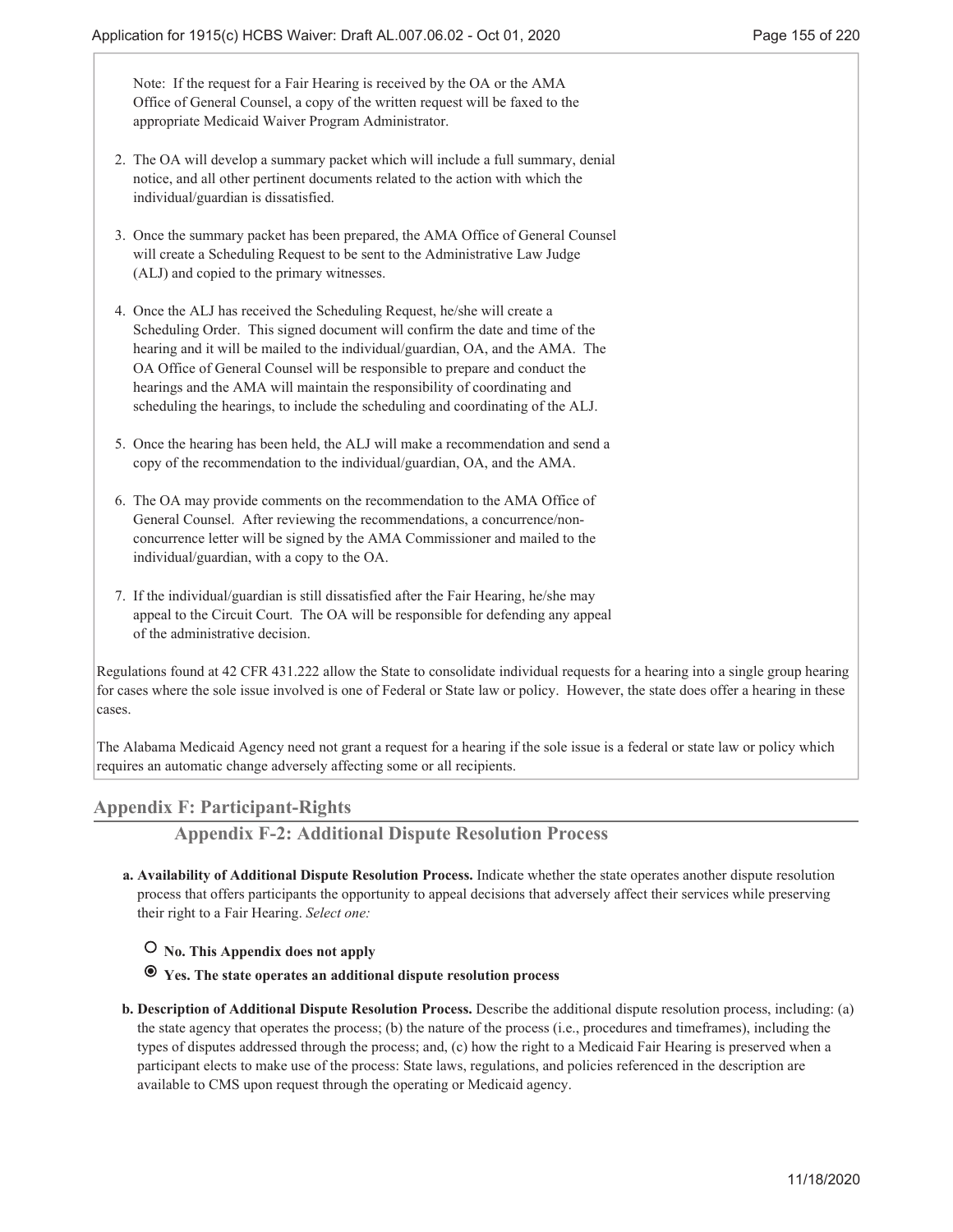Note: If the request for a Fair Hearing is received by the OA or the AMA Office of General Counsel, a copy of the written request will be faxed to the appropriate Medicaid Waiver Program Administrator.

- 2. The OA will develop a summary packet which will include a full summary, denial notice, and all other pertinent documents related to the action with which the individual/guardian is dissatisfied.
- 3. Once the summary packet has been prepared, the AMA Office of General Counsel will create a Scheduling Request to be sent to the Administrative Law Judge (ALJ) and copied to the primary witnesses.
- 4. Once the ALJ has received the Scheduling Request, he/she will create a Scheduling Order. This signed document will confirm the date and time of the hearing and it will be mailed to the individual/guardian, OA, and the AMA. The OA Office of General Counsel will be responsible to prepare and conduct the hearings and the AMA will maintain the responsibility of coordinating and scheduling the hearings, to include the scheduling and coordinating of the ALJ.
- 5. Once the hearing has been held, the ALJ will make a recommendation and send a copy of the recommendation to the individual/guardian, OA, and the AMA.
- 6. The OA may provide comments on the recommendation to the AMA Office of General Counsel. After reviewing the recommendations, a concurrence/non concurrence letter will be signed by the AMA Commissioner and mailed to the individual/guardian, with a copy to the OA.
- 7. If the individual/guardian is still dissatisfied after the Fair Hearing, he/she may appeal to the Circuit Court. The OA will be responsible for defending any appeal of the administrative decision.

Regulations found at 42 CFR 431.222 allow the State to consolidate individual requests for a hearing into a single group hearing for cases where the sole issue involved is one of Federal or State law or policy. However, the state does offer a hearing in these cases.

The Alabama Medicaid Agency need not grant a request for a hearing if the sole issue is a federal or state law or policy which requires an automatic change adversely affecting some or all recipients.

# **Appendix F: Participant-Rights**

**Appendix F-2: Additional Dispute Resolution Process**

- **Availability of Additional Dispute Resolution Process.** Indicate whether the state operates another dispute resolution **a.** process that offers participants the opportunity to appeal decisions that adversely affect their services while preserving their right to a Fair Hearing. *Select one:*
	- **No. This Appendix does not apply**
	- **Yes. The state operates an additional dispute resolution process**
- **Description of Additional Dispute Resolution Process.** Describe the additional dispute resolution process, including: (a) **b.** the state agency that operates the process; (b) the nature of the process (i.e., procedures and timeframes), including the types of disputes addressed through the process; and, (c) how the right to a Medicaid Fair Hearing is preserved when a participant elects to make use of the process: State laws, regulations, and policies referenced in the description are available to CMS upon request through the operating or Medicaid agency.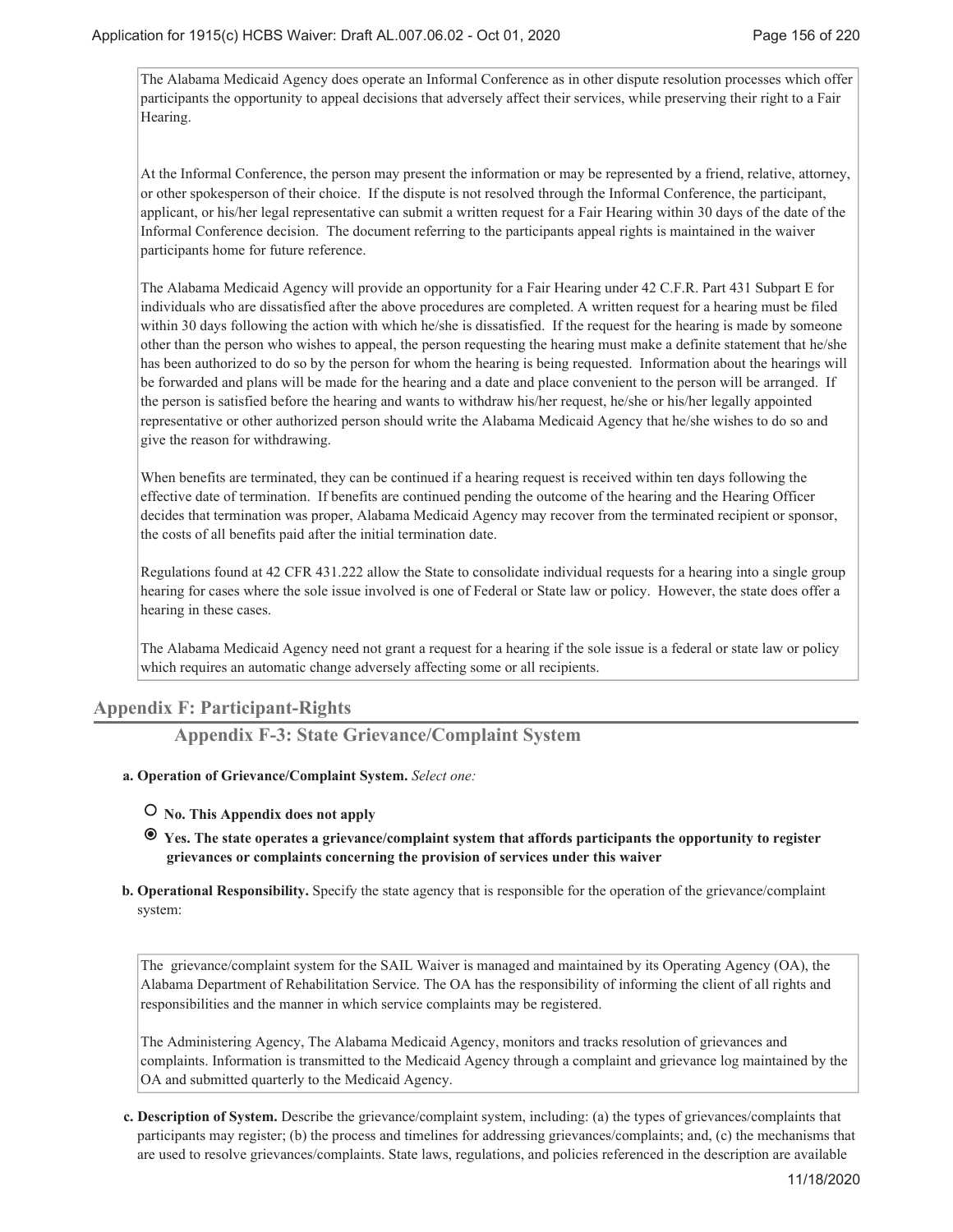The Alabama Medicaid Agency does operate an Informal Conference as in other dispute resolution processes which offer participants the opportunity to appeal decisions that adversely affect their services, while preserving their right to a Fair Hearing.

At the Informal Conference, the person may present the information or may be represented by a friend, relative, attorney, or other spokesperson of their choice. If the dispute is not resolved through the Informal Conference, the participant, applicant, or his/her legal representative can submit a written request for a Fair Hearing within 30 days of the date of the Informal Conference decision. The document referring to the participants appeal rights is maintained in the waiver participants home for future reference.

The Alabama Medicaid Agency will provide an opportunity for a Fair Hearing under 42 C.F.R. Part 431 Subpart E for individuals who are dissatisfied after the above procedures are completed. A written request for a hearing must be filed within 30 days following the action with which he/she is dissatisfied. If the request for the hearing is made by someone other than the person who wishes to appeal, the person requesting the hearing must make a definite statement that he/she has been authorized to do so by the person for whom the hearing is being requested. Information about the hearings will be forwarded and plans will be made for the hearing and a date and place convenient to the person will be arranged. If the person is satisfied before the hearing and wants to withdraw his/her request, he/she or his/her legally appointed representative or other authorized person should write the Alabama Medicaid Agency that he/she wishes to do so and give the reason for withdrawing.

When benefits are terminated, they can be continued if a hearing request is received within ten days following the effective date of termination. If benefits are continued pending the outcome of the hearing and the Hearing Officer decides that termination was proper, Alabama Medicaid Agency may recover from the terminated recipient or sponsor, the costs of all benefits paid after the initial termination date.

Regulations found at 42 CFR 431.222 allow the State to consolidate individual requests for a hearing into a single group hearing for cases where the sole issue involved is one of Federal or State law or policy. However, the state does offer a hearing in these cases.

The Alabama Medicaid Agency need not grant a request for a hearing if the sole issue is a federal or state law or policy which requires an automatic change adversely affecting some or all recipients.

# **Appendix F: Participant-Rights**

**Appendix F-3: State Grievance/Complaint System**

- **Operation of Grievance/Complaint System.** *Select one:* **a.**
	- **No. This Appendix does not apply**
	- **Yes. The state operates a grievance/complaint system that affords participants the opportunity to register grievances or complaints concerning the provision of services under this waiver**
- **b.** Operational Responsibility. Specify the state agency that is responsible for the operation of the grievance/complaint system:

The grievance/complaint system for the SAIL Waiver is managed and maintained by its Operating Agency (OA), the Alabama Department of Rehabilitation Service. The OA has the responsibility of informing the client of all rights and responsibilities and the manner in which service complaints may be registered.

The Administering Agency, The Alabama Medicaid Agency, monitors and tracks resolution of grievances and complaints. Information is transmitted to the Medicaid Agency through a complaint and grievance log maintained by the OA and submitted quarterly to the Medicaid Agency.

**Description of System.** Describe the grievance/complaint system, including: (a) the types of grievances/complaints that **c.** participants may register; (b) the process and timelines for addressing grievances/complaints; and, (c) the mechanisms that are used to resolve grievances/complaints. State laws, regulations, and policies referenced in the description are available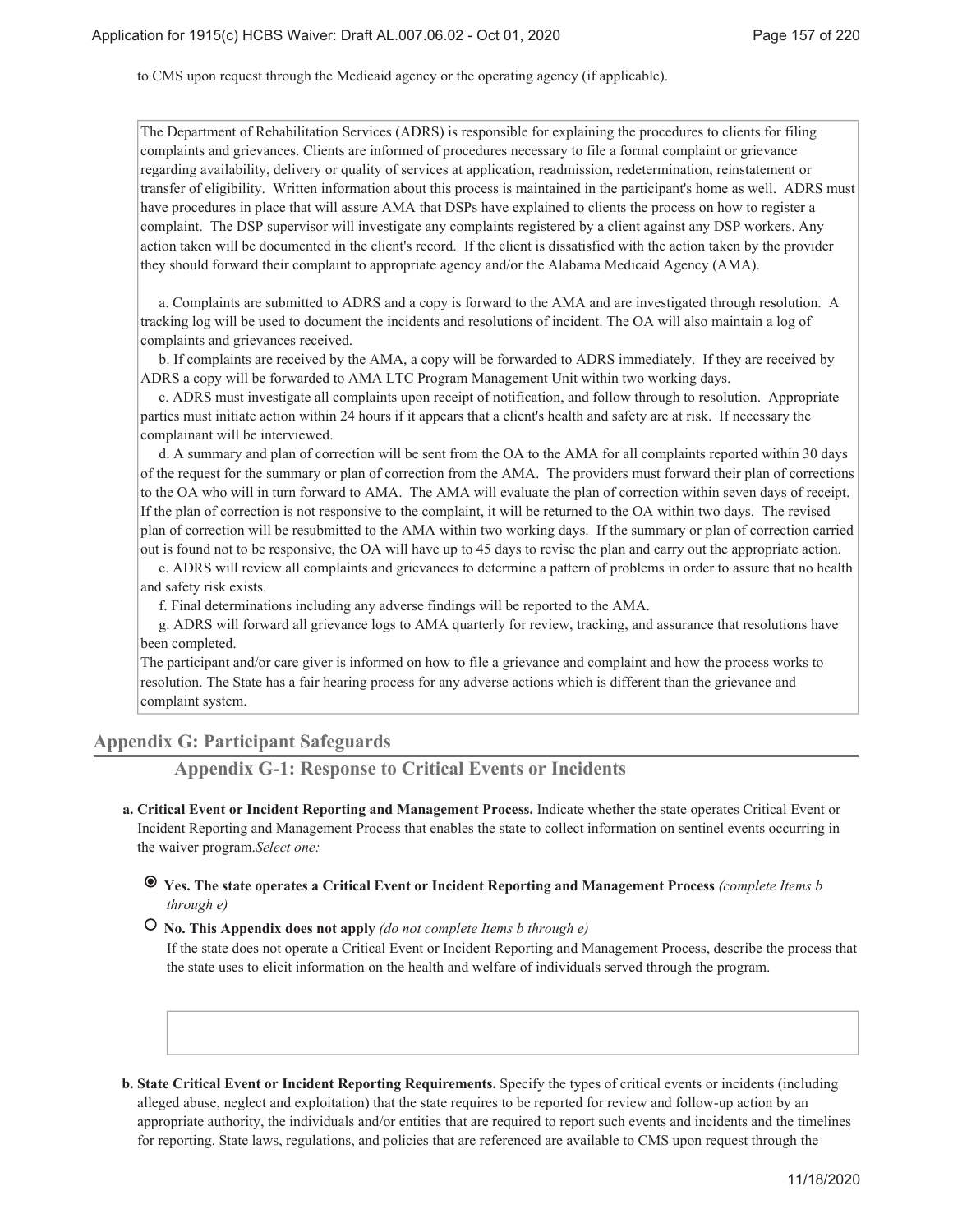to CMS upon request through the Medicaid agency or the operating agency (if applicable).

The Department of Rehabilitation Services (ADRS) is responsible for explaining the procedures to clients for filing complaints and grievances. Clients are informed of procedures necessary to file a formal complaint or grievance regarding availability, delivery or quality of services at application, readmission, redetermination, reinstatement or transfer of eligibility. Written information about this process is maintained in the participant's home as well. ADRS must have procedures in place that will assure AMA that DSPs have explained to clients the process on how to register a complaint. The DSP supervisor will investigate any complaints registered by a client against any DSP workers. Any action taken will be documented in the client's record. If the client is dissatisfied with the action taken by the provider they should forward their complaint to appropriate agency and/or the Alabama Medicaid Agency (AMA).

 a. Complaints are submitted to ADRS and a copy is forward to the AMA and are investigated through resolution. A tracking log will be used to document the incidents and resolutions of incident. The OA will also maintain a log of complaints and grievances received.

 b. If complaints are received by the AMA, a copy will be forwarded to ADRS immediately. If they are received by ADRS a copy will be forwarded to AMA LTC Program Management Unit within two working days.

 c. ADRS must investigate all complaints upon receipt of notification, and follow through to resolution. Appropriate parties must initiate action within 24 hours if it appears that a client's health and safety are at risk. If necessary the complainant will be interviewed.

 d. A summary and plan of correction will be sent from the OA to the AMA for all complaints reported within 30 days of the request for the summary or plan of correction from the AMA. The providers must forward their plan of corrections to the OA who will in turn forward to AMA. The AMA will evaluate the plan of correction within seven days of receipt. If the plan of correction is not responsive to the complaint, it will be returned to the OA within two days. The revised plan of correction will be resubmitted to the AMA within two working days. If the summary or plan of correction carried out is found not to be responsive, the OA will have up to 45 days to revise the plan and carry out the appropriate action.

 e. ADRS will review all complaints and grievances to determine a pattern of problems in order to assure that no health and safety risk exists.

f. Final determinations including any adverse findings will be reported to the AMA.

 g. ADRS will forward all grievance logs to AMA quarterly for review, tracking, and assurance that resolutions have been completed.

The participant and/or care giver is informed on how to file a grievance and complaint and how the process works to resolution. The State has a fair hearing process for any adverse actions which is different than the grievance and complaint system.

### **Appendix G: Participant Safeguards**

**Appendix G-1: Response to Critical Events or Incidents**

**Critical Event or Incident Reporting and Management Process.** Indicate whether the state operates Critical Event or **a.** Incident Reporting and Management Process that enables the state to collect information on sentinel events occurring in the waiver program.*Select one:*

# **Yes. The state operates a Critical Event or Incident Reporting and Management Process** *(complete Items b through e)*

# **No. This Appendix does not apply** *(do not complete Items b through e)*

If the state does not operate a Critical Event or Incident Reporting and Management Process, describe the process that the state uses to elicit information on the health and welfare of individuals served through the program.

**State Critical Event or Incident Reporting Requirements.** Specify the types of critical events or incidents (including **b.** alleged abuse, neglect and exploitation) that the state requires to be reported for review and follow-up action by an appropriate authority, the individuals and/or entities that are required to report such events and incidents and the timelines for reporting. State laws, regulations, and policies that are referenced are available to CMS upon request through the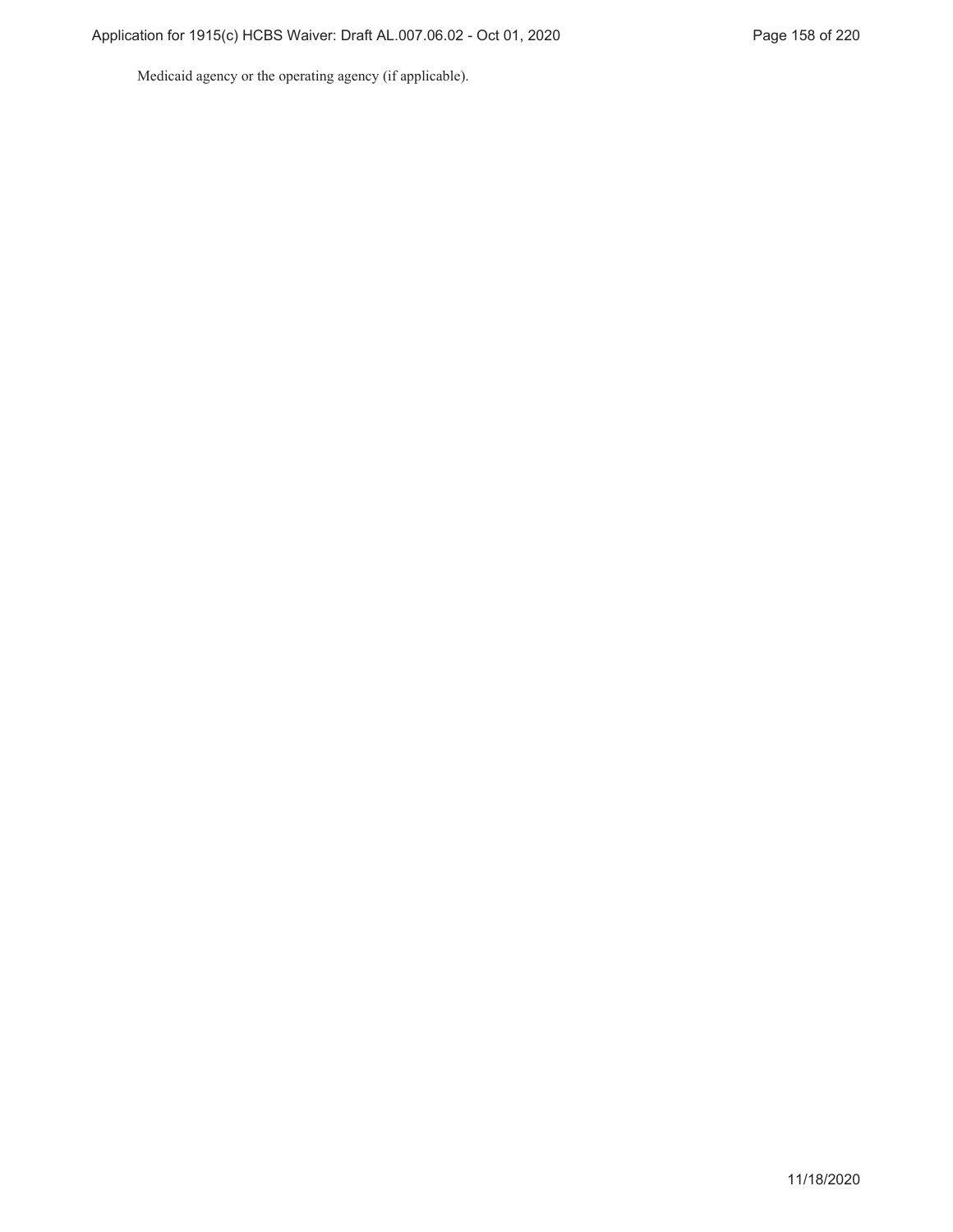Medicaid agency or the operating agency (if applicable).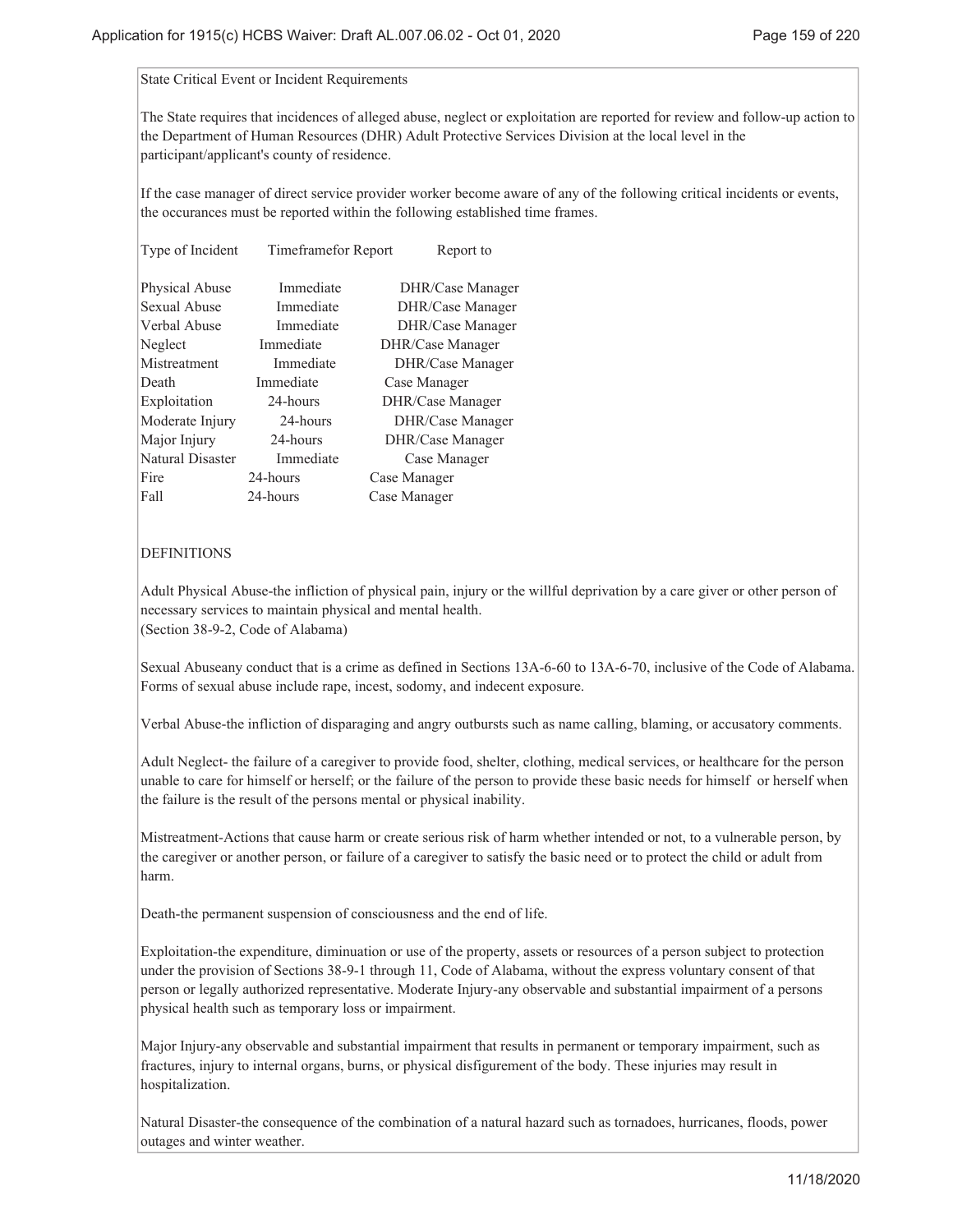#### State Critical Event or Incident Requirements

The State requires that incidences of alleged abuse, neglect or exploitation are reported for review and follow-up action to the Department of Human Resources (DHR) Adult Protective Services Division at the local level in the participant/applicant's county of residence.

If the case manager of direct service provider worker become aware of any of the following critical incidents or events, the occurances must be reported within the following established time frames.

|           | Report to                  |
|-----------|----------------------------|
| Immediate | DHR/Case Manager           |
| Immediate | DHR/Case Manager           |
| Immediate | DHR/Case Manager           |
| Immediate | DHR/Case Manager           |
| Immediate | DHR/Case Manager           |
| Immediate | Case Manager               |
| 24-hours  | DHR/Case Manager           |
| 24-hours  | DHR/Case Manager           |
| 24-hours  | DHR/Case Manager           |
| Immediate | Case Manager               |
| 24-hours  | Case Manager               |
| 24-hours  | Case Manager               |
|           | <b>Timeframefor Report</b> |

### DEFINITIONS

Adult Physical Abuse-the infliction of physical pain, injury or the willful deprivation by a care giver or other person of necessary services to maintain physical and mental health. (Section 38-9-2, Code of Alabama)

Sexual Abuseany conduct that is a crime as defined in Sections 13A-6-60 to 13A-6-70, inclusive of the Code of Alabama. Forms of sexual abuse include rape, incest, sodomy, and indecent exposure.

Verbal Abuse-the infliction of disparaging and angry outbursts such as name calling, blaming, or accusatory comments.

Adult Neglect- the failure of a caregiver to provide food, shelter, clothing, medical services, or healthcare for the person unable to care for himself or herself; or the failure of the person to provide these basic needs for himself or herself when the failure is the result of the persons mental or physical inability.

Mistreatment-Actions that cause harm or create serious risk of harm whether intended or not, to a vulnerable person, by the caregiver or another person, or failure of a caregiver to satisfy the basic need or to protect the child or adult from harm.

Death-the permanent suspension of consciousness and the end of life.

Exploitation-the expenditure, diminuation or use of the property, assets or resources of a person subject to protection under the provision of Sections 38-9-1 through 11, Code of Alabama, without the express voluntary consent of that person or legally authorized representative. Moderate Injury-any observable and substantial impairment of a persons physical health such as temporary loss or impairment.

Major Injury-any observable and substantial impairment that results in permanent or temporary impairment, such as fractures, injury to internal organs, burns, or physical disfigurement of the body. These injuries may result in hospitalization.

Natural Disaster-the consequence of the combination of a natural hazard such as tornadoes, hurricanes, floods, power outages and winter weather.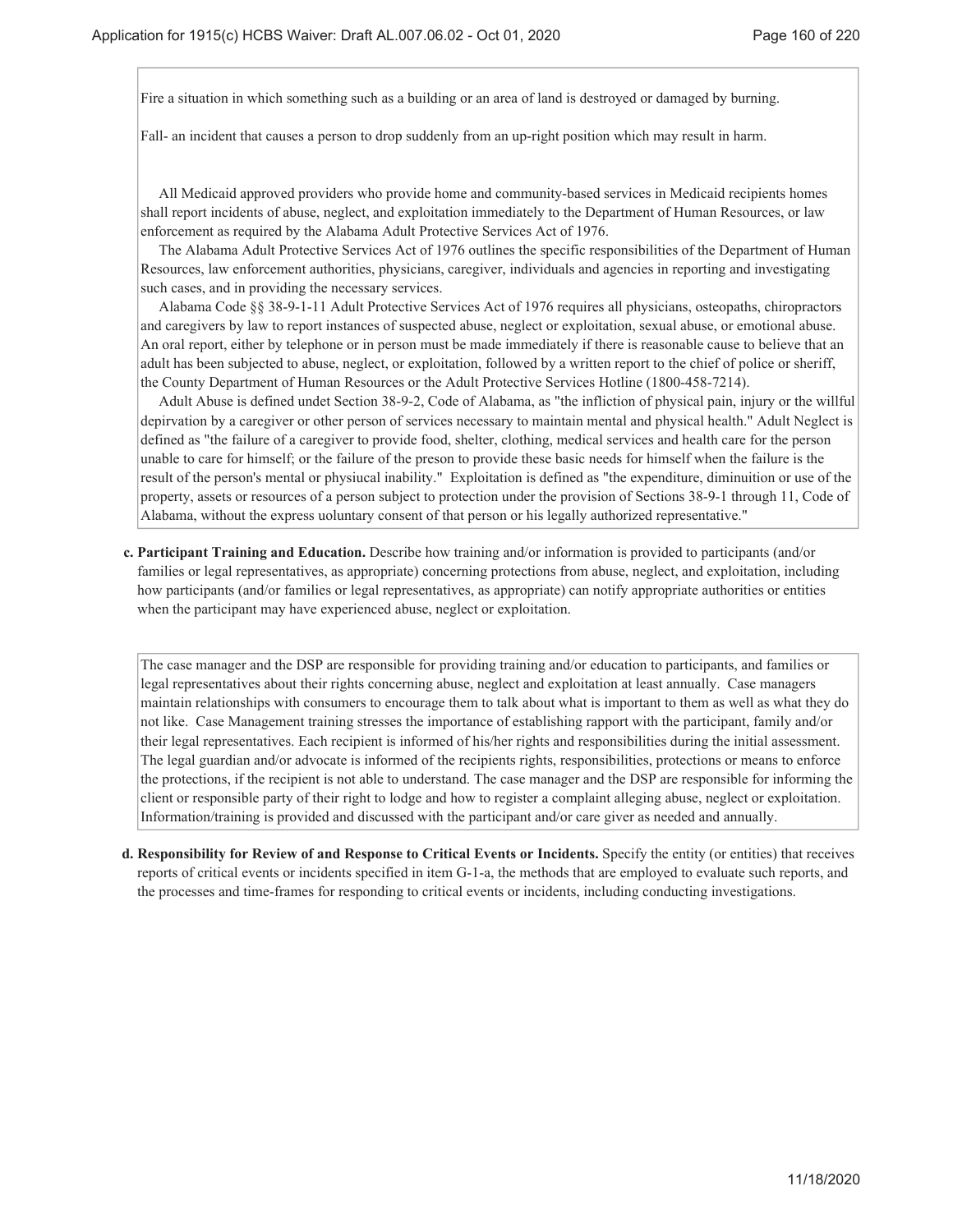Fire a situation in which something such as a building or an area of land is destroyed or damaged by burning.

Fall- an incident that causes a person to drop suddenly from an up-right position which may result in harm.

 All Medicaid approved providers who provide home and community-based services in Medicaid recipients homes shall report incidents of abuse, neglect, and exploitation immediately to the Department of Human Resources, or law enforcement as required by the Alabama Adult Protective Services Act of 1976.

 The Alabama Adult Protective Services Act of 1976 outlines the specific responsibilities of the Department of Human Resources, law enforcement authorities, physicians, caregiver, individuals and agencies in reporting and investigating such cases, and in providing the necessary services.

 Alabama Code §§ 38-9-1-11 Adult Protective Services Act of 1976 requires all physicians, osteopaths, chiropractors and caregivers by law to report instances of suspected abuse, neglect or exploitation, sexual abuse, or emotional abuse. An oral report, either by telephone or in person must be made immediately if there is reasonable cause to believe that an adult has been subjected to abuse, neglect, or exploitation, followed by a written report to the chief of police or sheriff, the County Department of Human Resources or the Adult Protective Services Hotline (1800-458-7214).

 Adult Abuse is defined undet Section 38-9-2, Code of Alabama, as "the infliction of physical pain, injury or the willful depirvation by a caregiver or other person of services necessary to maintain mental and physical health." Adult Neglect is defined as "the failure of a caregiver to provide food, shelter, clothing, medical services and health care for the person unable to care for himself; or the failure of the preson to provide these basic needs for himself when the failure is the result of the person's mental or physiucal inability." Exploitation is defined as "the expenditure, diminuition or use of the property, assets or resources of a person subject to protection under the provision of Sections 38-9-1 through 11, Code of Alabama, without the express uoluntary consent of that person or his legally authorized representative."

**Participant Training and Education.** Describe how training and/or information is provided to participants (and/or **c.** families or legal representatives, as appropriate) concerning protections from abuse, neglect, and exploitation, including how participants (and/or families or legal representatives, as appropriate) can notify appropriate authorities or entities when the participant may have experienced abuse, neglect or exploitation.

The case manager and the DSP are responsible for providing training and/or education to participants, and families or legal representatives about their rights concerning abuse, neglect and exploitation at least annually. Case managers maintain relationships with consumers to encourage them to talk about what is important to them as well as what they do not like. Case Management training stresses the importance of establishing rapport with the participant, family and/or their legal representatives. Each recipient is informed of his/her rights and responsibilities during the initial assessment. The legal guardian and/or advocate is informed of the recipients rights, responsibilities, protections or means to enforce the protections, if the recipient is not able to understand. The case manager and the DSP are responsible for informing the client or responsible party of their right to lodge and how to register a complaint alleging abuse, neglect or exploitation. Information/training is provided and discussed with the participant and/or care giver as needed and annually.

**Responsibility for Review of and Response to Critical Events or Incidents.** Specify the entity (or entities) that receives **d.** reports of critical events or incidents specified in item G-1-a, the methods that are employed to evaluate such reports, and the processes and time-frames for responding to critical events or incidents, including conducting investigations.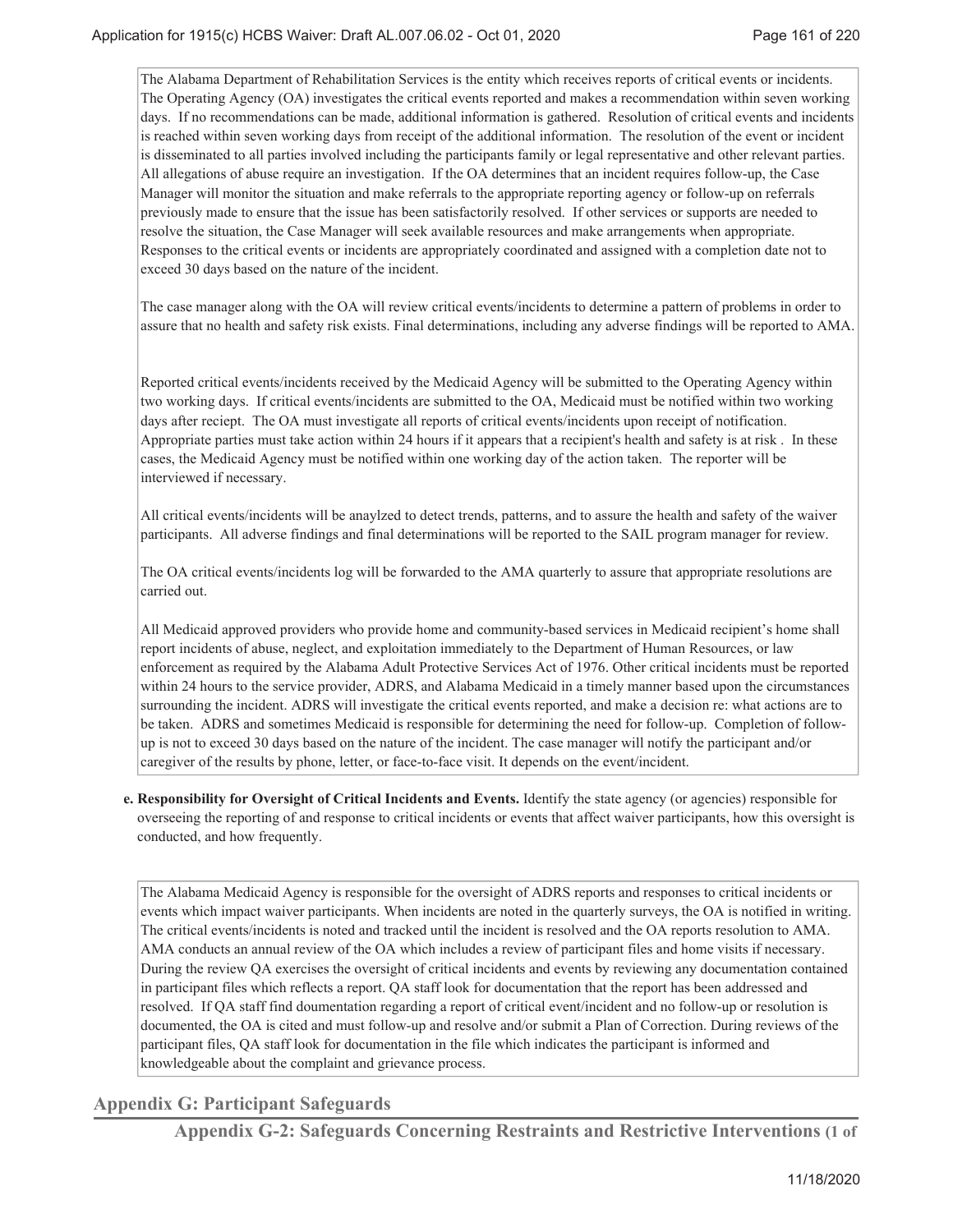The Alabama Department of Rehabilitation Services is the entity which receives reports of critical events or incidents. The Operating Agency (OA) investigates the critical events reported and makes a recommendation within seven working days. If no recommendations can be made, additional information is gathered. Resolution of critical events and incidents is reached within seven working days from receipt of the additional information. The resolution of the event or incident is disseminated to all parties involved including the participants family or legal representative and other relevant parties. All allegations of abuse require an investigation. If the OA determines that an incident requires follow-up, the Case Manager will monitor the situation and make referrals to the appropriate reporting agency or follow-up on referrals previously made to ensure that the issue has been satisfactorily resolved. If other services or supports are needed to resolve the situation, the Case Manager will seek available resources and make arrangements when appropriate. Responses to the critical events or incidents are appropriately coordinated and assigned with a completion date not to exceed 30 days based on the nature of the incident.

The case manager along with the OA will review critical events/incidents to determine a pattern of problems in order to assure that no health and safety risk exists. Final determinations, including any adverse findings will be reported to AMA.

Reported critical events/incidents received by the Medicaid Agency will be submitted to the Operating Agency within two working days. If critical events/incidents are submitted to the OA, Medicaid must be notified within two working days after reciept. The OA must investigate all reports of critical events/incidents upon receipt of notification. Appropriate parties must take action within 24 hours if it appears that a recipient's health and safety is at risk . In these cases, the Medicaid Agency must be notified within one working day of the action taken. The reporter will be interviewed if necessary.

All critical events/incidents will be anaylzed to detect trends, patterns, and to assure the health and safety of the waiver participants. All adverse findings and final determinations will be reported to the SAIL program manager for review.

The OA critical events/incidents log will be forwarded to the AMA quarterly to assure that appropriate resolutions are carried out.

All Medicaid approved providers who provide home and community-based services in Medicaid recipient's home shall report incidents of abuse, neglect, and exploitation immediately to the Department of Human Resources, or law enforcement as required by the Alabama Adult Protective Services Act of 1976. Other critical incidents must be reported within 24 hours to the service provider, ADRS, and Alabama Medicaid in a timely manner based upon the circumstances surrounding the incident. ADRS will investigate the critical events reported, and make a decision re: what actions are to be taken. ADRS and sometimes Medicaid is responsible for determining the need for follow-up. Completion of followup is not to exceed 30 days based on the nature of the incident. The case manager will notify the participant and/or caregiver of the results by phone, letter, or face-to-face visit. It depends on the event/incident.

**Responsibility for Oversight of Critical Incidents and Events.** Identify the state agency (or agencies) responsible for **e.** overseeing the reporting of and response to critical incidents or events that affect waiver participants, how this oversight is conducted, and how frequently.

The Alabama Medicaid Agency is responsible for the oversight of ADRS reports and responses to critical incidents or events which impact waiver participants. When incidents are noted in the quarterly surveys, the OA is notified in writing. The critical events/incidents is noted and tracked until the incident is resolved and the OA reports resolution to AMA. AMA conducts an annual review of the OA which includes a review of participant files and home visits if necessary. During the review QA exercises the oversight of critical incidents and events by reviewing any documentation contained in participant files which reflects a report. QA staff look for documentation that the report has been addressed and resolved. If QA staff find doumentation regarding a report of critical event/incident and no follow-up or resolution is documented, the OA is cited and must follow-up and resolve and/or submit a Plan of Correction. During reviews of the participant files, QA staff look for documentation in the file which indicates the participant is informed and knowledgeable about the complaint and grievance process.

# **Appendix G: Participant Safeguards**

**Appendix G-2: Safeguards Concerning Restraints and Restrictive Interventions (1 of**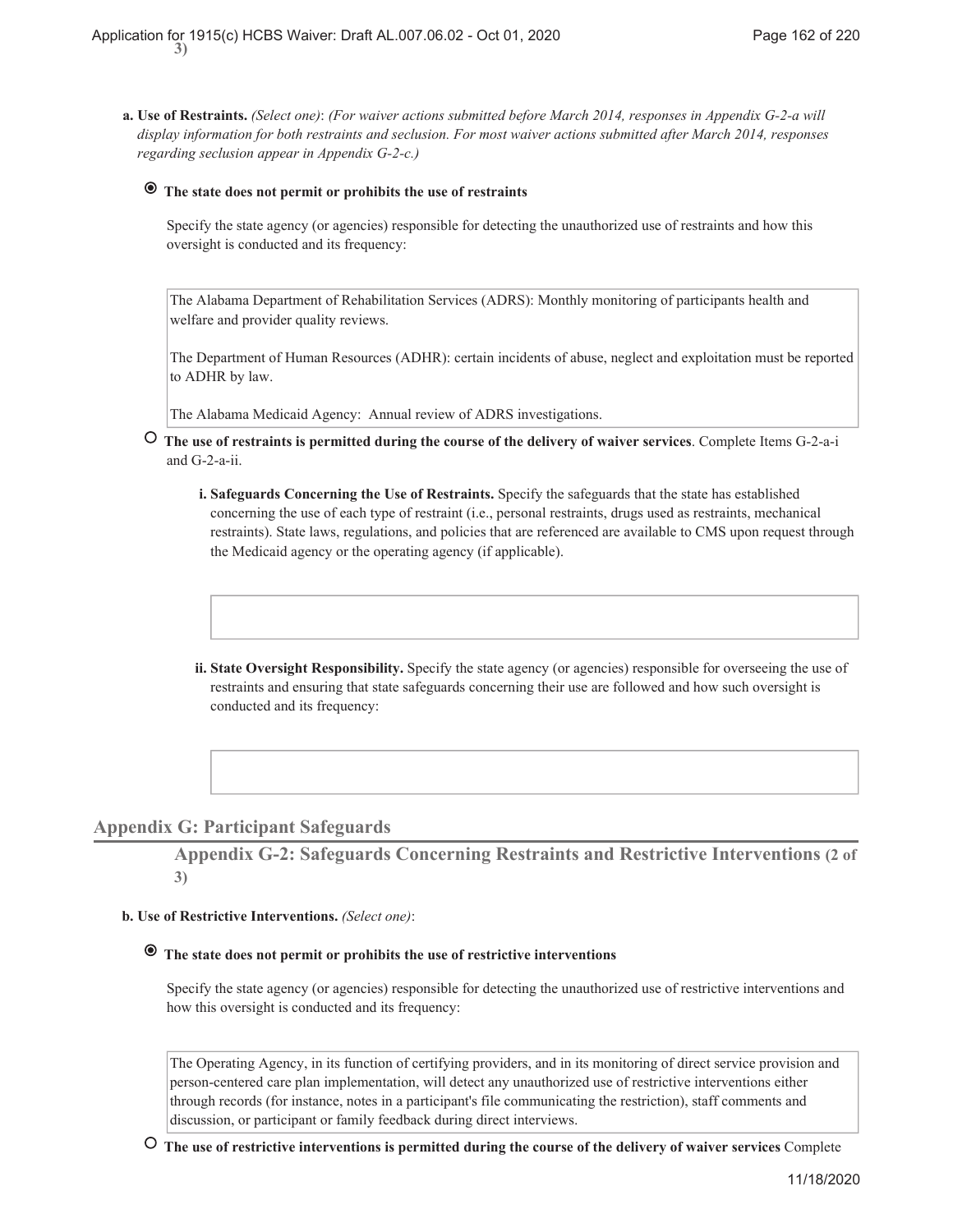**Use of Restraints.** *(Select one)*: *(For waiver actions submitted before March 2014, responses in Appendix G-2-a will* **a.** *display information for both restraints and seclusion. For most waiver actions submitted after March 2014, responses regarding seclusion appear in Appendix G-2-c.)*

# **The state does not permit or prohibits the use of restraints**

Specify the state agency (or agencies) responsible for detecting the unauthorized use of restraints and how this oversight is conducted and its frequency:

The Alabama Department of Rehabilitation Services (ADRS): Monthly monitoring of participants health and welfare and provider quality reviews.

The Department of Human Resources (ADHR): certain incidents of abuse, neglect and exploitation must be reported to ADHR by law.

The Alabama Medicaid Agency: Annual review of ADRS investigations.

- **The use of restraints is permitted during the course of the delivery of waiver services**. Complete Items G-2-a-i and G-2-a-ii.
	- **Safeguards Concerning the Use of Restraints.** Specify the safeguards that the state has established **i.** concerning the use of each type of restraint (i.e., personal restraints, drugs used as restraints, mechanical restraints). State laws, regulations, and policies that are referenced are available to CMS upon request through the Medicaid agency or the operating agency (if applicable).
	- ii. State Oversight Responsibility. Specify the state agency (or agencies) responsible for overseeing the use of restraints and ensuring that state safeguards concerning their use are followed and how such oversight is conducted and its frequency:

### **Appendix G: Participant Safeguards**

**Appendix G-2: Safeguards Concerning Restraints and Restrictive Interventions (2 of 3)**

#### **Use of Restrictive Interventions.** *(Select one)*: **b.**

# **The state does not permit or prohibits the use of restrictive interventions**

Specify the state agency (or agencies) responsible for detecting the unauthorized use of restrictive interventions and how this oversight is conducted and its frequency:

The Operating Agency, in its function of certifying providers, and in its monitoring of direct service provision and person-centered care plan implementation, will detect any unauthorized use of restrictive interventions either through records (for instance, notes in a participant's file communicating the restriction), staff comments and discussion, or participant or family feedback during direct interviews.

 **The use of restrictive interventions is permitted during the course of the delivery of waiver services** Complete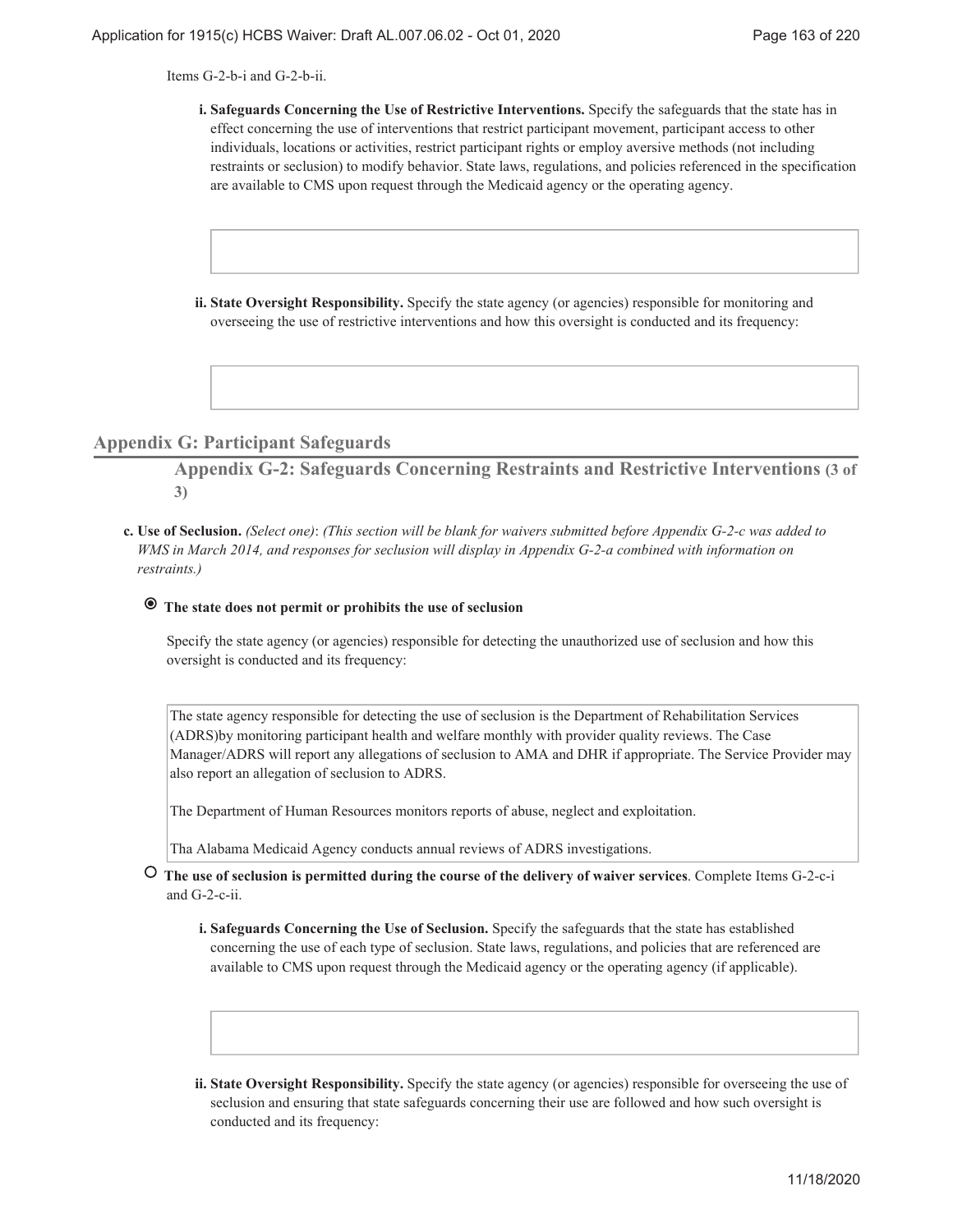Items G-2-b-i and G-2-b-ii.

- **Safeguards Concerning the Use of Restrictive Interventions.** Specify the safeguards that the state has in **i.** effect concerning the use of interventions that restrict participant movement, participant access to other individuals, locations or activities, restrict participant rights or employ aversive methods (not including restraints or seclusion) to modify behavior. State laws, regulations, and policies referenced in the specification are available to CMS upon request through the Medicaid agency or the operating agency.
- ii. State Oversight Responsibility. Specify the state agency (or agencies) responsible for monitoring and overseeing the use of restrictive interventions and how this oversight is conducted and its frequency:

### **Appendix G: Participant Safeguards**

**Appendix G-2: Safeguards Concerning Restraints and Restrictive Interventions (3 of 3)**

**Use of Seclusion.** *(Select one)*: *(This section will be blank for waivers submitted before Appendix G-2-c was added to* **c.** *WMS in March 2014, and responses for seclusion will display in Appendix G-2-a combined with information on restraints.)*

# **The state does not permit or prohibits the use of seclusion**

Specify the state agency (or agencies) responsible for detecting the unauthorized use of seclusion and how this oversight is conducted and its frequency:

The state agency responsible for detecting the use of seclusion is the Department of Rehabilitation Services (ADRS)by monitoring participant health and welfare monthly with provider quality reviews. The Case Manager/ADRS will report any allegations of seclusion to AMA and DHR if appropriate. The Service Provider may also report an allegation of seclusion to ADRS.

The Department of Human Resources monitors reports of abuse, neglect and exploitation.

Tha Alabama Medicaid Agency conducts annual reviews of ADRS investigations.

- **The use of seclusion is permitted during the course of the delivery of waiver services**. Complete Items G-2-c-i and G-2-c-ii.
	- **Safeguards Concerning the Use of Seclusion.** Specify the safeguards that the state has established **i.** concerning the use of each type of seclusion. State laws, regulations, and policies that are referenced are available to CMS upon request through the Medicaid agency or the operating agency (if applicable).
	- **State Oversight Responsibility.** Specify the state agency (or agencies) responsible for overseeing the use of **ii.** seclusion and ensuring that state safeguards concerning their use are followed and how such oversight is conducted and its frequency: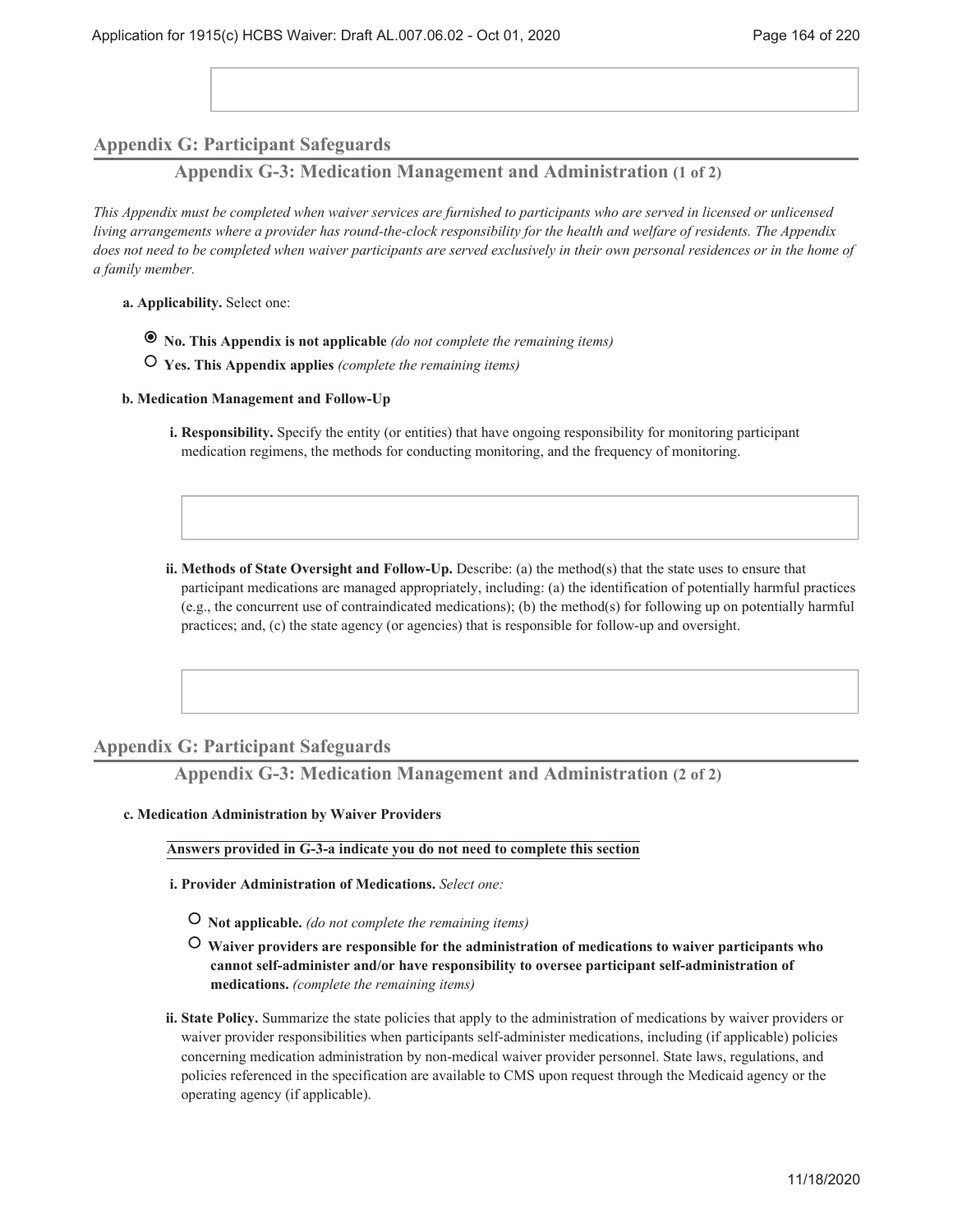# **Appendix G: Participant Safeguards**

**Appendix G-3: Medication Management and Administration (1 of 2)**

*This Appendix must be completed when waiver services are furnished to participants who are served in licensed or unlicensed living arrangements where a provider has round-the-clock responsibility for the health and welfare of residents. The Appendix does not need to be completed when waiver participants are served exclusively in their own personal residences or in the home of a family member.*

- **Applicability.** Select one: **a.**
	- **No. This Appendix is not applicable** *(do not complete the remaining items)*
	- **Yes. This Appendix applies** *(complete the remaining items)*
- **Medication Management and Follow-Up b.**
	- **Responsibility.** Specify the entity (or entities) that have ongoing responsibility for monitoring participant **i.** medication regimens, the methods for conducting monitoring, and the frequency of monitoring.
	- **Methods of State Oversight and Follow-Up.** Describe: (a) the method(s) that the state uses to ensure that **ii.** participant medications are managed appropriately, including: (a) the identification of potentially harmful practices (e.g., the concurrent use of contraindicated medications); (b) the method(s) for following up on potentially harmful practices; and, (c) the state agency (or agencies) that is responsible for follow-up and oversight.

### **Appendix G: Participant Safeguards**

**Appendix G-3: Medication Management and Administration (2 of 2)**

**Medication Administration by Waiver Providers c.**

#### **Answers provided in G-3-a indicate you do not need to complete this section**

- **Provider Administration of Medications.** *Select one:* **i.**
	- **Not applicable.** *(do not complete the remaining items)*
	- **Waiver providers are responsible for the administration of medications to waiver participants who cannot self-administer and/or have responsibility to oversee participant self-administration of medications.** *(complete the remaining items)*
- ii. State Policy. Summarize the state policies that apply to the administration of medications by waiver providers or waiver provider responsibilities when participants self-administer medications, including (if applicable) policies concerning medication administration by non-medical waiver provider personnel. State laws, regulations, and policies referenced in the specification are available to CMS upon request through the Medicaid agency or the operating agency (if applicable).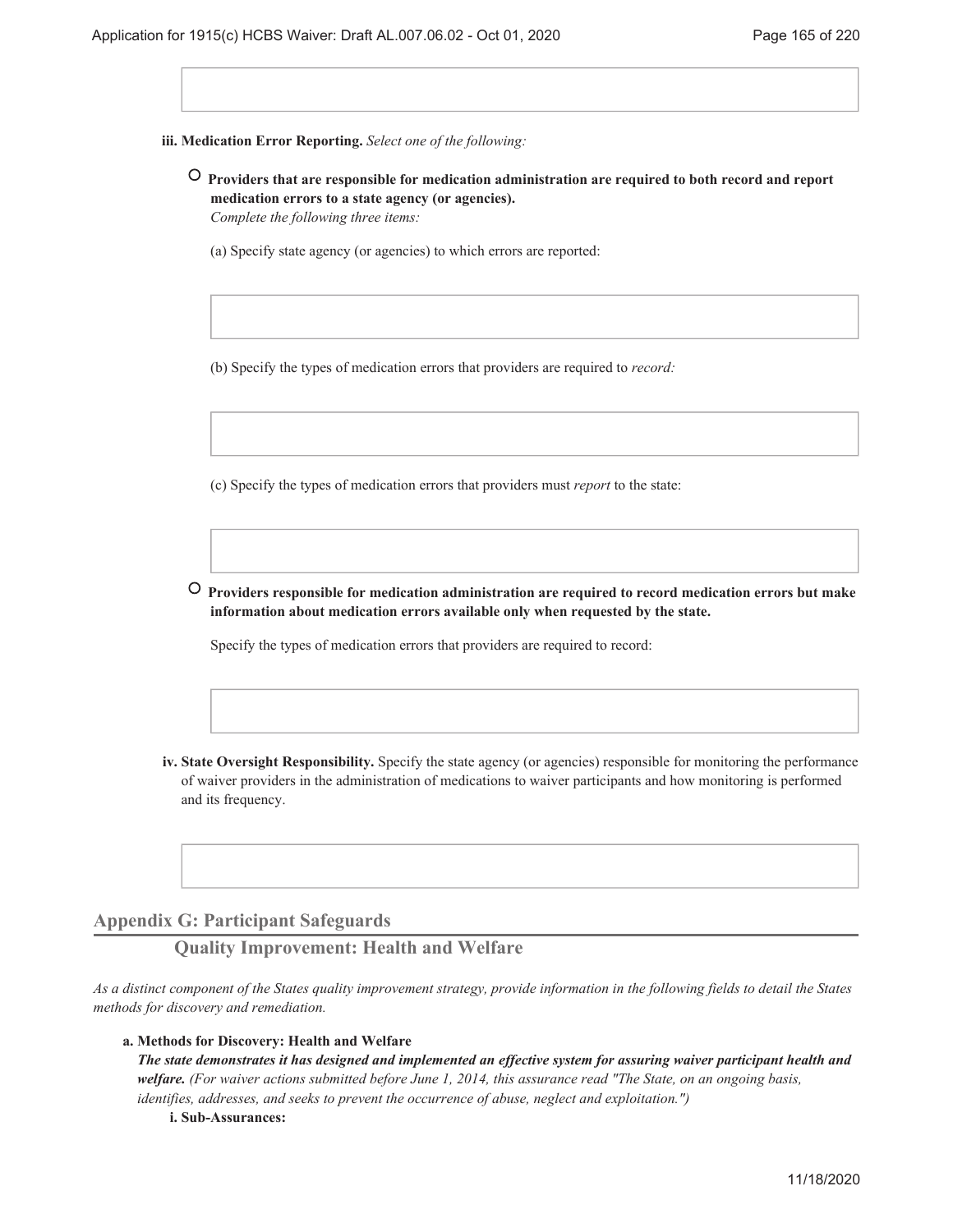**Medication Error Reporting.** *Select one of the following:* **iii.**

- **Providers that are responsible for medication administration are required to both record and report medication errors to a state agency (or agencies).** *Complete the following three items:*
	- (a) Specify state agency (or agencies) to which errors are reported:

(b) Specify the types of medication errors that providers are required to *record:*

(c) Specify the types of medication errors that providers must *report* to the state:

 **Providers responsible for medication administration are required to record medication errors but make information about medication errors available only when requested by the state.**

Specify the types of medication errors that providers are required to record:

**State Oversight Responsibility.** Specify the state agency (or agencies) responsible for monitoring the performance **iv.** of waiver providers in the administration of medications to waiver participants and how monitoring is performed and its frequency.

### **Appendix G: Participant Safeguards**

**Quality Improvement: Health and Welfare**

*As a distinct component of the States quality improvement strategy, provide information in the following fields to detail the States methods for discovery and remediation.*

#### **Methods for Discovery: Health and Welfare a.**

*The state demonstrates it has designed and implemented an effective system for assuring waiver participant health and welfare. (For waiver actions submitted before June 1, 2014, this assurance read "The State, on an ongoing basis, identifies, addresses, and seeks to prevent the occurrence of abuse, neglect and exploitation.")*

**i. Sub-Assurances:**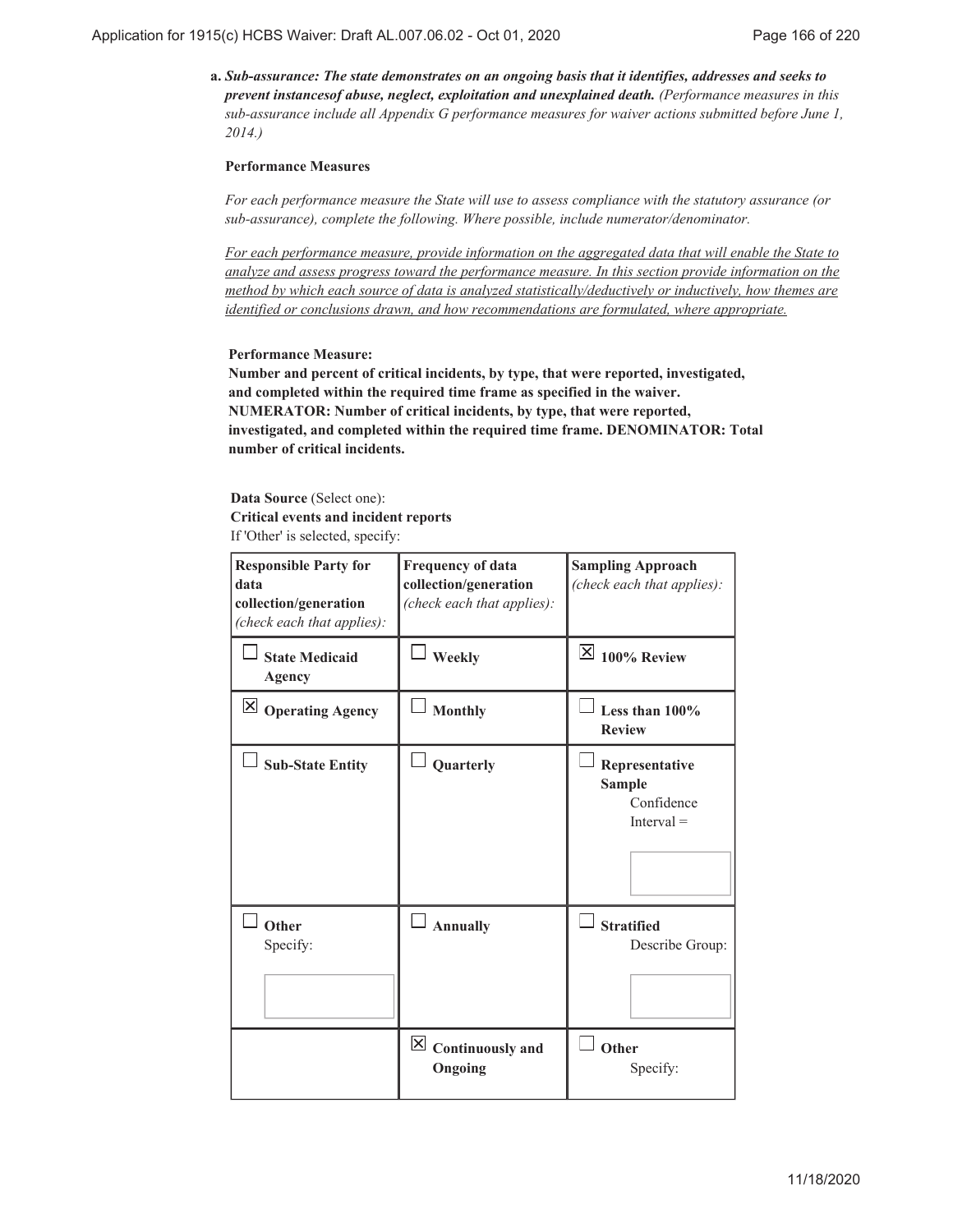*Sub-assurance: The state demonstrates on an ongoing basis that it identifies, addresses and seeks to* **a.** *prevent instancesof abuse, neglect, exploitation and unexplained death. (Performance measures in this sub-assurance include all Appendix G performance measures for waiver actions submitted before June 1, 2014.)*

#### **Performance Measures**

*For each performance measure the State will use to assess compliance with the statutory assurance (or sub-assurance), complete the following. Where possible, include numerator/denominator.*

*For each performance measure, provide information on the aggregated data that will enable the State to analyze and assess progress toward the performance measure. In this section provide information on the method by which each source of data is analyzed statistically/deductively or inductively, how themes are identified or conclusions drawn, and how recommendations are formulated, where appropriate.*

#### **Performance Measure:**

**Number and percent of critical incidents, by type, that were reported, investigated, and completed within the required time frame as specified in the waiver. NUMERATOR: Number of critical incidents, by type, that were reported, investigated, and completed within the required time frame. DENOMINATOR: Total number of critical incidents.**

**Data Source** (Select one): **Critical events and incident reports** If 'Other' is selected, specify:

| <b>Responsible Party for</b><br>data<br>collection/generation<br>(check each that applies): | <b>Frequency of data</b><br>collection/generation<br>(check each that applies): | <b>Sampling Approach</b><br>(check each that applies):        |
|---------------------------------------------------------------------------------------------|---------------------------------------------------------------------------------|---------------------------------------------------------------|
| <b>State Medicaid</b><br><b>Agency</b>                                                      | <b>Weekly</b>                                                                   | $\mathbb{X}$ 100% Review                                      |
| $\boxtimes$ Operating Agency                                                                | <b>Monthly</b>                                                                  | Less than $100\%$<br><b>Review</b>                            |
| <b>Sub-State Entity</b>                                                                     | Quarterly                                                                       | Representative<br><b>Sample</b><br>Confidence<br>$Interval =$ |
| Other<br>Specify:                                                                           | <b>Annually</b>                                                                 | <b>Stratified</b><br>Describe Group:                          |
|                                                                                             | $\vert \mathbf{X} \vert$ Continuously and<br>Ongoing                            | Other<br>Specify:                                             |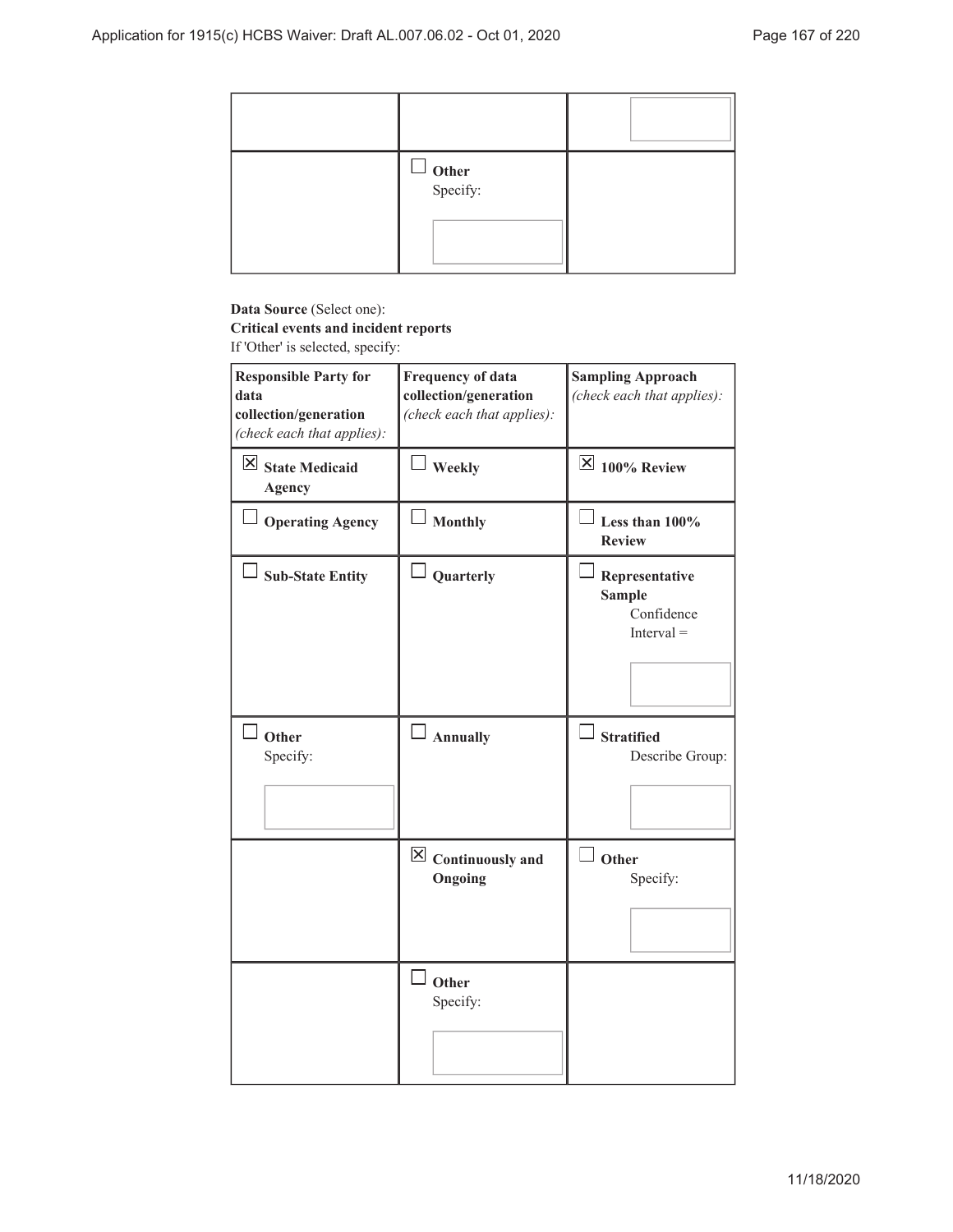| $\Box$ Other<br>Specify: |  |
|--------------------------|--|

# **Data Source** (Select one):

# **Critical events and incident reports**

If 'Other' is selected, specify:

| <b>Responsible Party for</b><br>data<br>collection/generation<br>(check each that applies): | <b>Frequency of data</b><br>collection/generation<br>(check each that applies): | <b>Sampling Approach</b><br>(check each that applies):        |
|---------------------------------------------------------------------------------------------|---------------------------------------------------------------------------------|---------------------------------------------------------------|
| $\boxtimes$ State Medicaid<br><b>Agency</b>                                                 | Weekly                                                                          | $\overline{\mathsf{K}}$ 100% Review                           |
| Operating Agency                                                                            | Monthly                                                                         | Less than 100%<br><b>Review</b>                               |
| <b>Sub-State Entity</b>                                                                     | Quarterly                                                                       | Representative<br><b>Sample</b><br>Confidence<br>$Interval =$ |
| <sup>J</sup> Other<br>Specify:                                                              | $\Box$ Annually                                                                 | <b>Stratified</b><br>Describe Group:                          |
|                                                                                             | $\boxtimes$ Continuously and<br>Ongoing                                         | Other<br>Specify:                                             |
|                                                                                             | Other<br>Specify:                                                               |                                                               |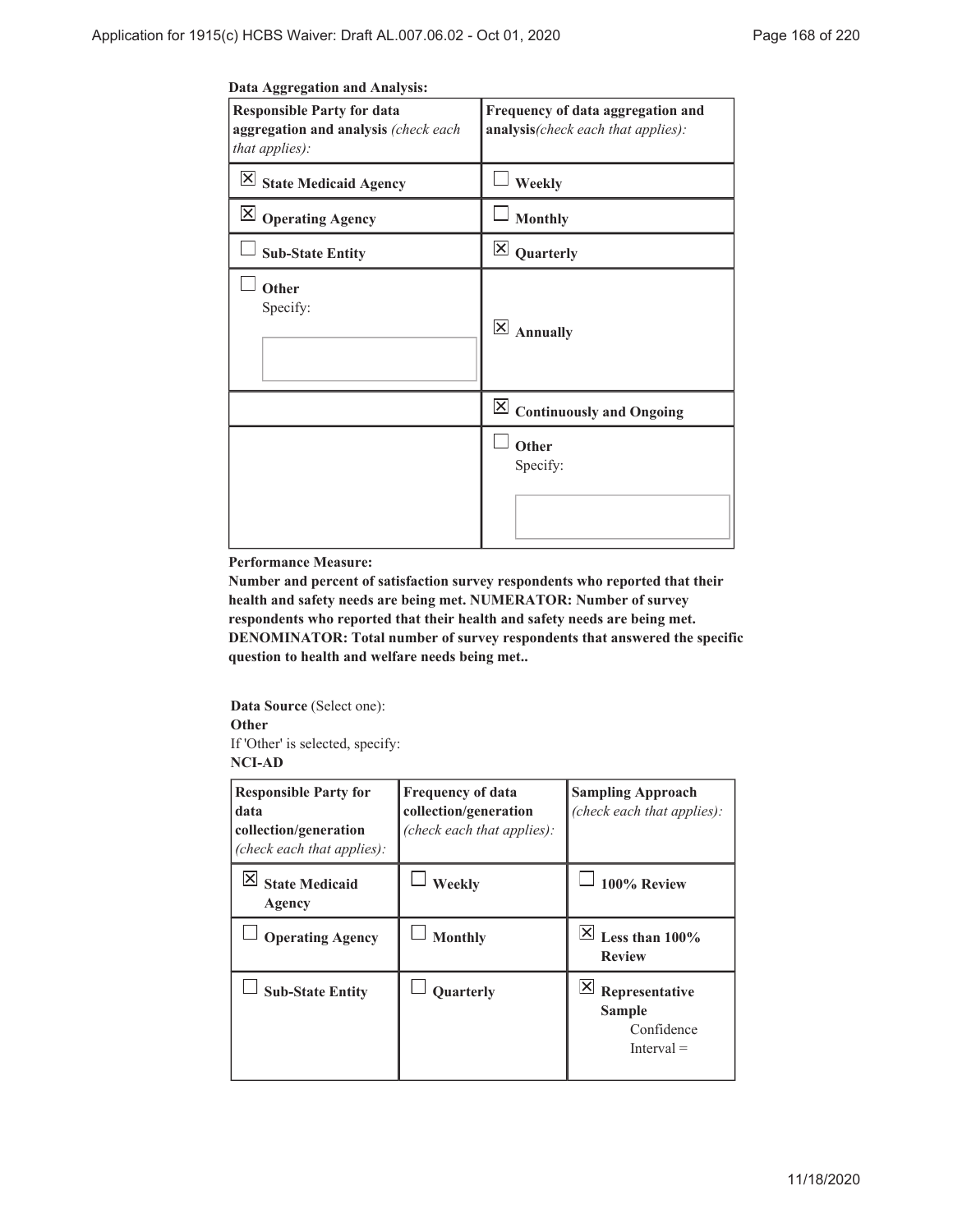| Data Aggregation and Analysis: |  |
|--------------------------------|--|
|                                |  |

| <b>Responsible Party for data</b><br>aggregation and analysis (check each<br>that applies): | Frequency of data aggregation and<br>analysis(check each that applies): |
|---------------------------------------------------------------------------------------------|-------------------------------------------------------------------------|
| $\overline{\mathsf{X}}$ State Medicaid Agency                                               | Weekly                                                                  |
| $\boxtimes$ Operating Agency                                                                | <b>Monthly</b>                                                          |
| <b>Sub-State Entity</b>                                                                     | $\boxtimes$ Quarterly                                                   |
| Other<br>Specify:                                                                           | $\overline{\mathsf{x}}$<br><b>Annually</b>                              |
|                                                                                             | $\boxed{\times}$ Continuously and Ongoing                               |
|                                                                                             | Other<br>Specify:                                                       |

#### **Performance Measure:**

**Number and percent of satisfaction survey respondents who reported that their health and safety needs are being met. NUMERATOR: Number of survey respondents who reported that their health and safety needs are being met. DENOMINATOR: Total number of survey respondents that answered the specific question to health and welfare needs being met..**

**Data Source** (Select one): **Other** If 'Other' is selected, specify:

### **NCI-AD**

| <b>Responsible Party for</b><br>data<br>collection/generation<br>(check each that applies): | <b>Frequency of data</b><br>collection/generation<br>(check each that applies): | <b>Sampling Approach</b><br>(check each that applies):                      |
|---------------------------------------------------------------------------------------------|---------------------------------------------------------------------------------|-----------------------------------------------------------------------------|
| <b>State Medicaid</b><br>Agency                                                             | Weekly                                                                          | 100% Review                                                                 |
| <b>Operating Agency</b>                                                                     | <b>Monthly</b>                                                                  | X <br>Less than $100\%$<br><b>Review</b>                                    |
| <b>Sub-State Entity</b>                                                                     | Quarterly                                                                       | $ \mathsf{X} $<br>Representative<br>Sample<br>Confidence<br>$[$ nterval $=$ |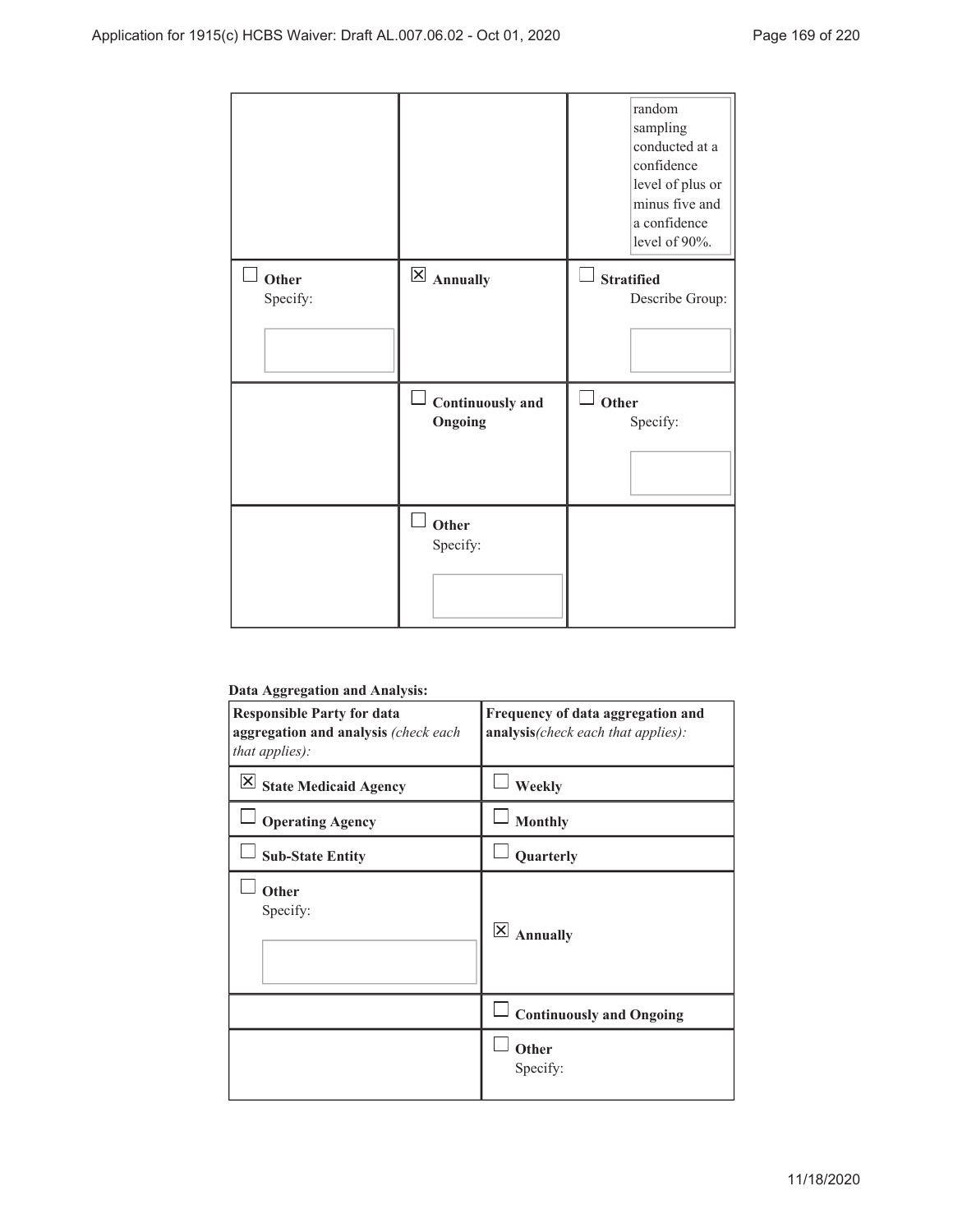|                   |                                       | random<br>sampling<br>conducted at a<br>confidence<br>level of plus or<br>minus five and<br>a confidence<br>level of 90%. |
|-------------------|---------------------------------------|---------------------------------------------------------------------------------------------------------------------------|
| Other<br>Specify: | $\boxtimes$ Annually                  | <b>Stratified</b><br>Describe Group:                                                                                      |
|                   | $\Box$<br>Continuously and<br>Ongoing | ப<br>Other<br>Specify:                                                                                                    |
|                   | Other<br>Specify:                     |                                                                                                                           |

### **Data Aggregation and Analysis:**

| --<br>o<br><b>Responsible Party for data</b><br>aggregation and analysis (check each<br>that applies): | Frequency of data aggregation and<br>analysis(check each that applies): |
|--------------------------------------------------------------------------------------------------------|-------------------------------------------------------------------------|
| ΙX<br><b>State Medicaid Agency</b>                                                                     | Weekly                                                                  |
| <b>Operating Agency</b>                                                                                | <b>Monthly</b>                                                          |
| <b>Sub-State Entity</b>                                                                                | Quarterly                                                               |
| Other<br>Specify:                                                                                      | $\mathsf{\overline{X}}$<br><b>Annually</b>                              |
|                                                                                                        | <b>Continuously and Ongoing</b>                                         |
|                                                                                                        | Other<br>Specify:                                                       |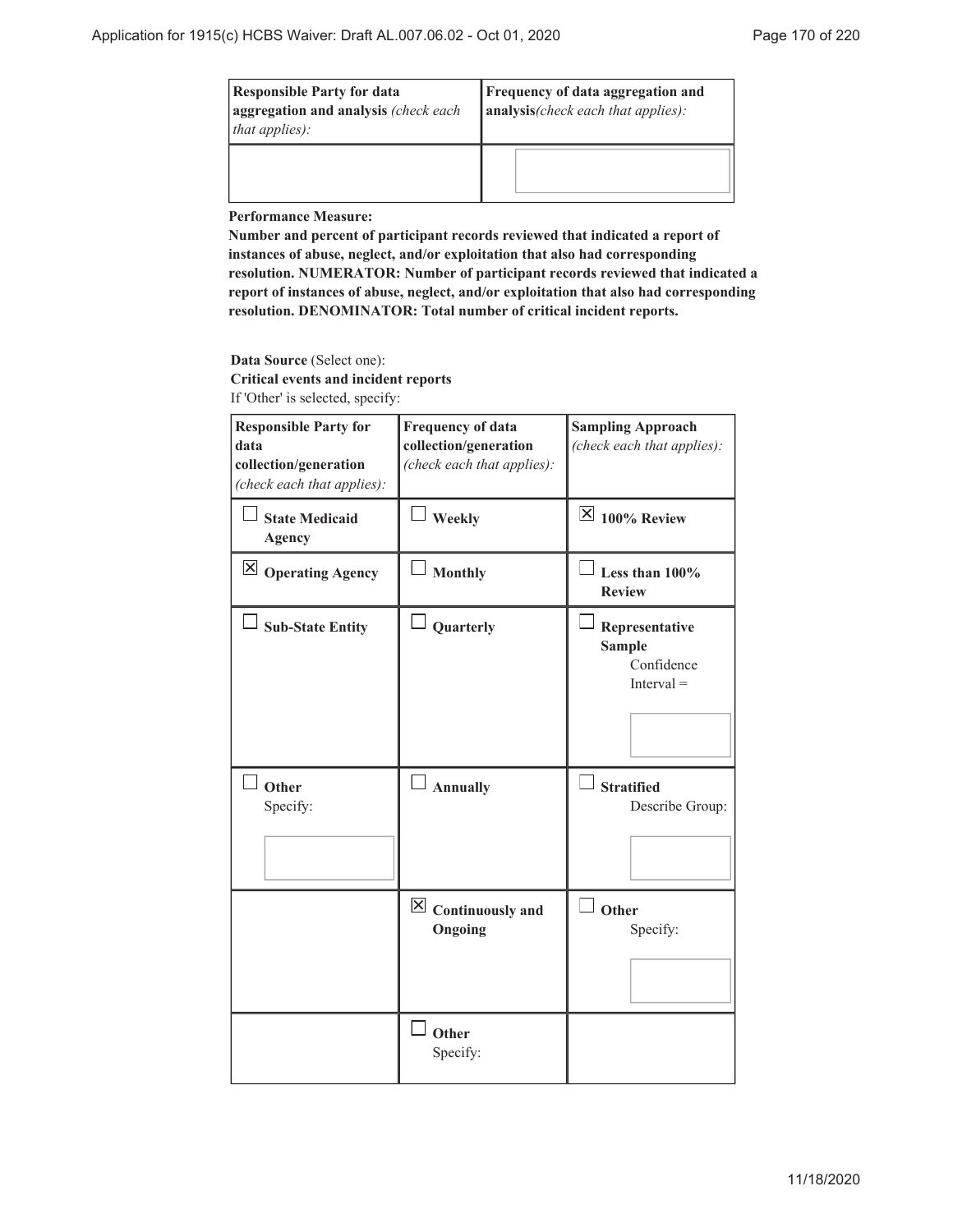| <b>Responsible Party for data</b><br>aggregation and analysis (check each<br>that applies): | <b>Frequency of data aggregation and</b><br>analysis(check each that applies): |
|---------------------------------------------------------------------------------------------|--------------------------------------------------------------------------------|
|                                                                                             |                                                                                |

**Performance Measure:**

**Number and percent of participant records reviewed that indicated a report of instances of abuse, neglect, and/or exploitation that also had corresponding resolution. NUMERATOR: Number of participant records reviewed that indicated a report of instances of abuse, neglect, and/or exploitation that also had corresponding resolution. DENOMINATOR: Total number of critical incident reports.**

#### **Data Source** (Select one):

**Critical events and incident reports** If 'Other' is selected, specify:

| <b>Responsible Party for</b><br>data<br>collection/generation<br>(check each that applies): | <b>Frequency of data</b><br>collection/generation<br>(check each that applies): | <b>Sampling Approach</b><br>(check each that applies):        |
|---------------------------------------------------------------------------------------------|---------------------------------------------------------------------------------|---------------------------------------------------------------|
| <b>State Medicaid</b><br><b>Agency</b>                                                      | Weekly                                                                          | $\mathbb{X}$ 100% Review                                      |
| $\boxtimes$ Operating Agency                                                                | <b>Monthly</b>                                                                  | Less than 100%<br><b>Review</b>                               |
| <b>Sub-State Entity</b>                                                                     | Quarterly                                                                       | Representative<br><b>Sample</b><br>Confidence<br>$Interval =$ |
| Other<br>Specify:                                                                           | $\Box$ Annually                                                                 | <b>Stratified</b><br>Describe Group:                          |
|                                                                                             | $\boxed{\times}$ Continuously and<br>Ongoing                                    | Other<br>Specify:                                             |
|                                                                                             | Other<br>Specify:                                                               |                                                               |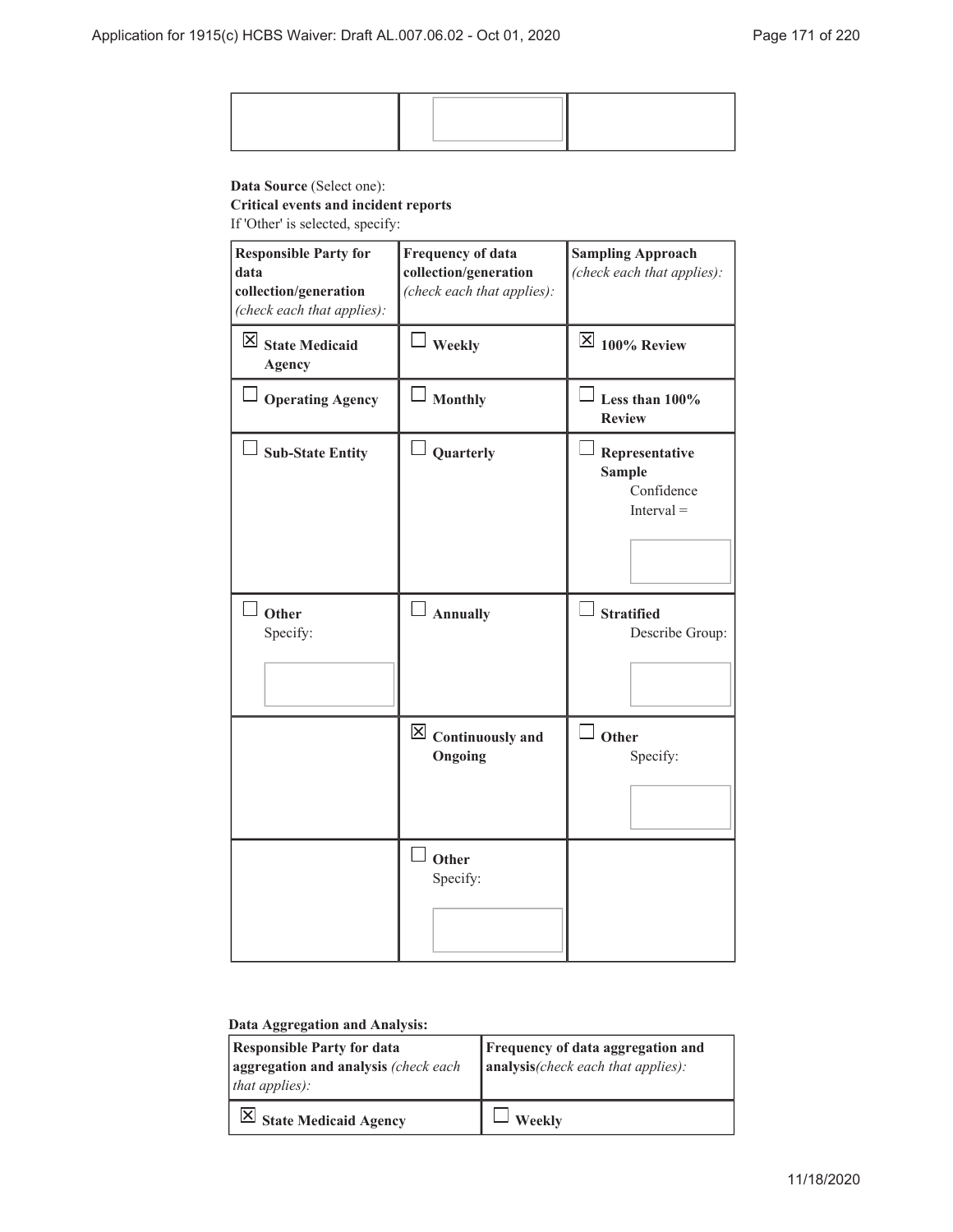### **Data Source** (Select one):

### **Critical events and incident reports**

If 'Other' is selected, specify:

| <b>Responsible Party for</b><br>data<br>collection/generation<br>(check each that applies): | <b>Frequency of data</b><br>collection/generation<br>(check each that applies): | <b>Sampling Approach</b><br>(check each that applies):        |
|---------------------------------------------------------------------------------------------|---------------------------------------------------------------------------------|---------------------------------------------------------------|
| $\boxtimes$ State Medicaid<br><b>Agency</b>                                                 | $\perp$ Weekly                                                                  | $\overline{\boxtimes}$ 100% Review                            |
| <b>Operating Agency</b>                                                                     | <b>Monthly</b>                                                                  | Less than 100%<br><b>Review</b>                               |
| <b>Sub-State Entity</b>                                                                     | Quarterly                                                                       | Representative<br><b>Sample</b><br>Confidence<br>$Interval =$ |
| Other<br>Specify:                                                                           | Annually                                                                        | <b>Stratified</b><br>Describe Group:                          |
|                                                                                             | $\boxtimes$ Continuously and<br>Ongoing                                         | Other<br>Specify:                                             |
|                                                                                             | $\overline{\phantom{a}}$ Other<br>Specify:                                      |                                                               |

# **Data Aggregation and Analysis:**

| <b>Responsible Party for data</b><br>aggregation and analysis (check each<br>that applies): | <b>Frequency of data aggregation and</b><br>$\vert$ analysis(check each that applies): |
|---------------------------------------------------------------------------------------------|----------------------------------------------------------------------------------------|
| $\vert$ State Medicaid Agency                                                               | <b>Weekly</b>                                                                          |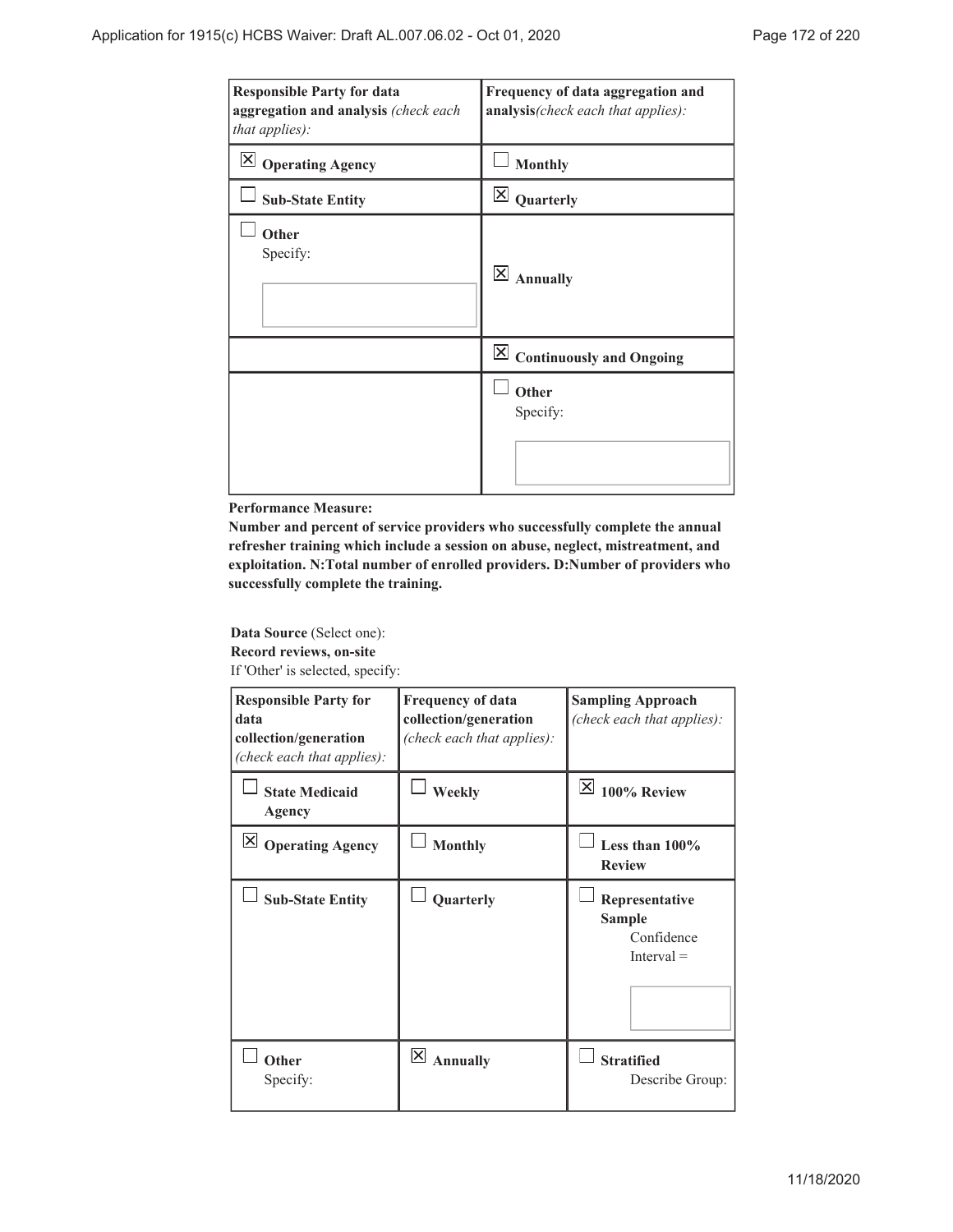| <b>Responsible Party for data</b><br>aggregation and analysis (check each<br>that applies): | Frequency of data aggregation and<br>analysis(check each that applies): |
|---------------------------------------------------------------------------------------------|-------------------------------------------------------------------------|
| $\vert\mathsf{X}\vert$<br><b>Operating Agency</b>                                           | <b>Monthly</b>                                                          |
| <b>Sub-State Entity</b>                                                                     | $\overline{\mathsf{x}}$<br>Quarterly                                    |
| Other<br>Specify:                                                                           | $\times$<br><b>Annually</b>                                             |
|                                                                                             | $\boxed{\times}$ Continuously and Ongoing                               |
|                                                                                             | Other<br>Specify:                                                       |

**Performance Measure:**

**Number and percent of service providers who successfully complete the annual refresher training which include a session on abuse, neglect, mistreatment, and exploitation. N:Total number of enrolled providers. D:Number of providers who successfully complete the training.**

**Data Source** (Select one): **Record reviews, on-site** If 'Other' is selected, specify:

| <b>Responsible Party for</b><br>data<br>collection/generation<br>(check each that applies): | <b>Frequency of data</b><br>collection/generation<br>(check each that applies): | <b>Sampling Approach</b><br>(check each that applies): |
|---------------------------------------------------------------------------------------------|---------------------------------------------------------------------------------|--------------------------------------------------------|
| <b>State Medicaid</b><br>Agency                                                             | Weekly                                                                          | $ \times $<br>100% Review                              |
| X <br><b>Operating Agency</b>                                                               | <b>Monthly</b>                                                                  | Less than $100\%$<br><b>Review</b>                     |
| <b>Sub-State Entity</b>                                                                     | Quarterly                                                                       | Representative<br>Sample<br>Confidence<br>$Interval =$ |
| Other<br>Specify:                                                                           | X <br><b>Annually</b>                                                           | <b>Stratified</b><br>Describe Group:                   |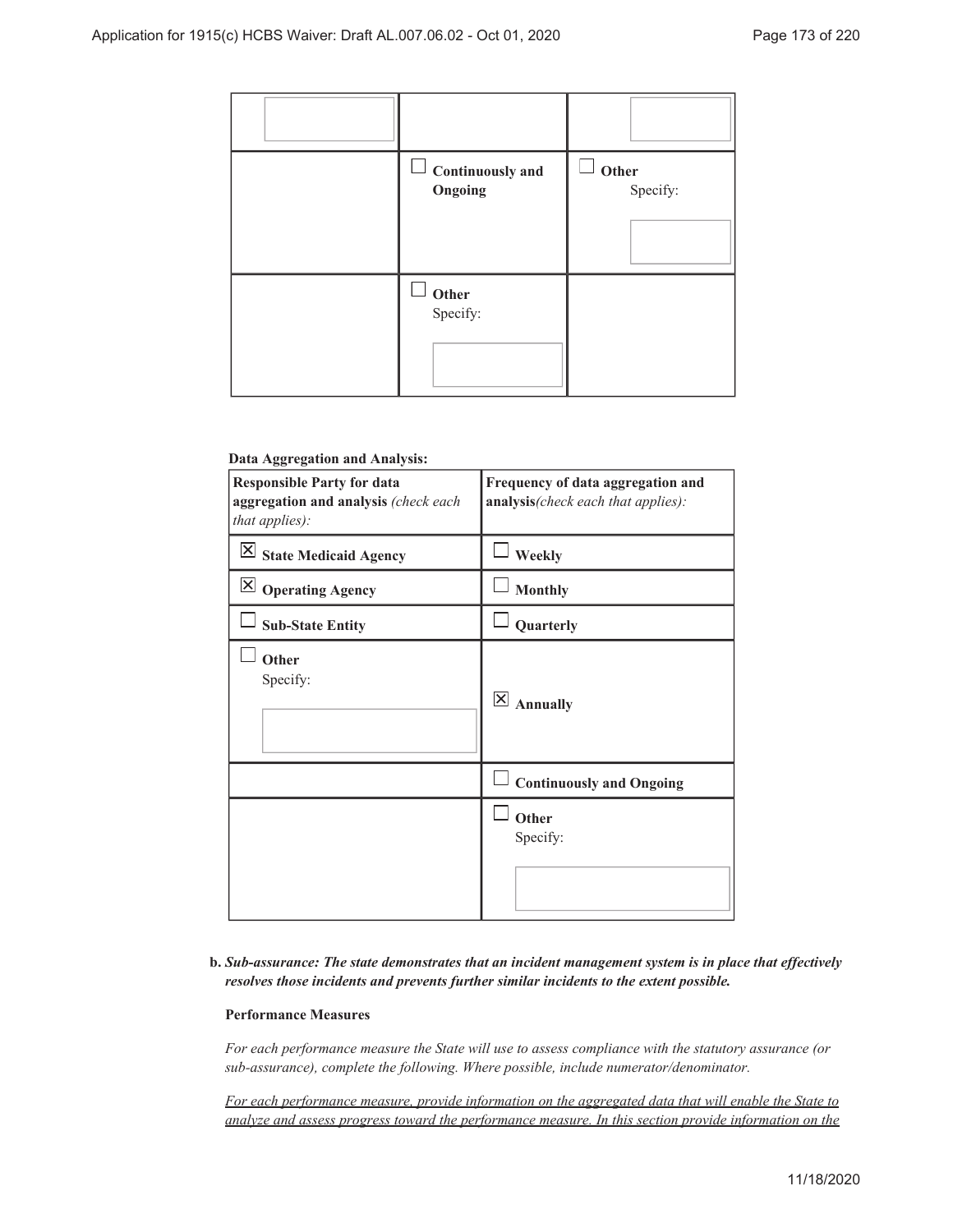| Continuously and<br>Ongoing                | Other<br>Specify: |
|--------------------------------------------|-------------------|
| $\overline{\phantom{a}}$ Other<br>Specify: |                   |

#### **Data Aggregation and Analysis:**

| <b>Responsible Party for data</b><br>aggregation and analysis (check each<br>that applies): | Frequency of data aggregation and<br>analysis(check each that applies): |
|---------------------------------------------------------------------------------------------|-------------------------------------------------------------------------|
| $\overline{\boxtimes}$ State Medicaid Agency                                                | Weekly                                                                  |
| $\boxtimes$ Operating Agency                                                                | <b>Monthly</b>                                                          |
| <b>Sub-State Entity</b>                                                                     | Quarterly                                                               |
| Other<br>Specify:                                                                           | $\vert\mathsf{X}\vert$<br><b>Annually</b>                               |
|                                                                                             | <b>Continuously and Ongoing</b>                                         |
|                                                                                             | Other<br>Specify:                                                       |

### *Sub-assurance: The state demonstrates that an incident management system is in place that effectively* **b.** *resolves those incidents and prevents further similar incidents to the extent possible.*

#### **Performance Measures**

*For each performance measure the State will use to assess compliance with the statutory assurance (or sub-assurance), complete the following. Where possible, include numerator/denominator.*

*For each performance measure, provide information on the aggregated data that will enable the State to analyze and assess progress toward the performance measure. In this section provide information on the*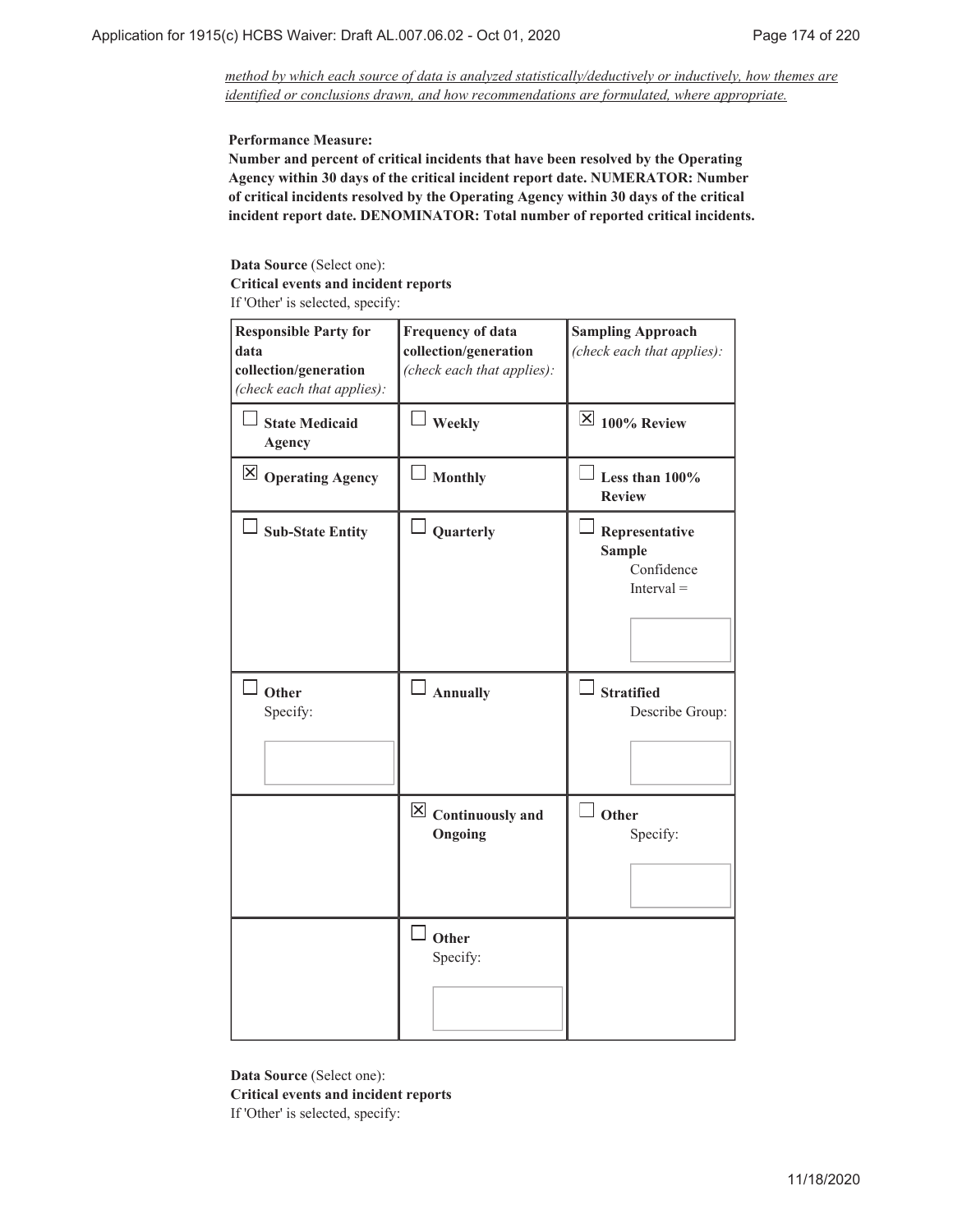*method by which each source of data is analyzed statistically/deductively or inductively, how themes are identified or conclusions drawn, and how recommendations are formulated, where appropriate.*

**Performance Measure:**

**Number and percent of critical incidents that have been resolved by the Operating Agency within 30 days of the critical incident report date. NUMERATOR: Number of critical incidents resolved by the Operating Agency within 30 days of the critical incident report date. DENOMINATOR: Total number of reported critical incidents.**

**Data Source** (Select one):

**Critical events and incident reports**

If 'Other' is selected, specify:

| <b>Responsible Party for</b><br>data<br>collection/generation<br>(check each that applies): | <b>Frequency of data</b><br>collection/generation<br>(check each that applies): | <b>Sampling Approach</b><br>(check each that applies):        |
|---------------------------------------------------------------------------------------------|---------------------------------------------------------------------------------|---------------------------------------------------------------|
| <b>State Medicaid</b><br><b>Agency</b>                                                      | Weekly                                                                          | $\overline{\boxtimes}$ 100% Review                            |
| $\boxtimes$ Operating Agency                                                                | <b>Monthly</b>                                                                  | Less than $100\%$<br><b>Review</b>                            |
| <b>Sub-State Entity</b>                                                                     | Quarterly                                                                       | Representative<br><b>Sample</b><br>Confidence<br>$Interval =$ |
| <sup>1</sup> Other<br>Specify:                                                              | Annually                                                                        | $\Box$ Stratified<br>Describe Group:                          |
|                                                                                             | $\overline{\boxtimes}$ Continuously and<br>Ongoing                              | $\overline{\phantom{a}}$ Other<br>Specify:                    |
|                                                                                             | Other<br>Specify:                                                               |                                                               |

**Data Source** (Select one): **Critical events and incident reports** If 'Other' is selected, specify: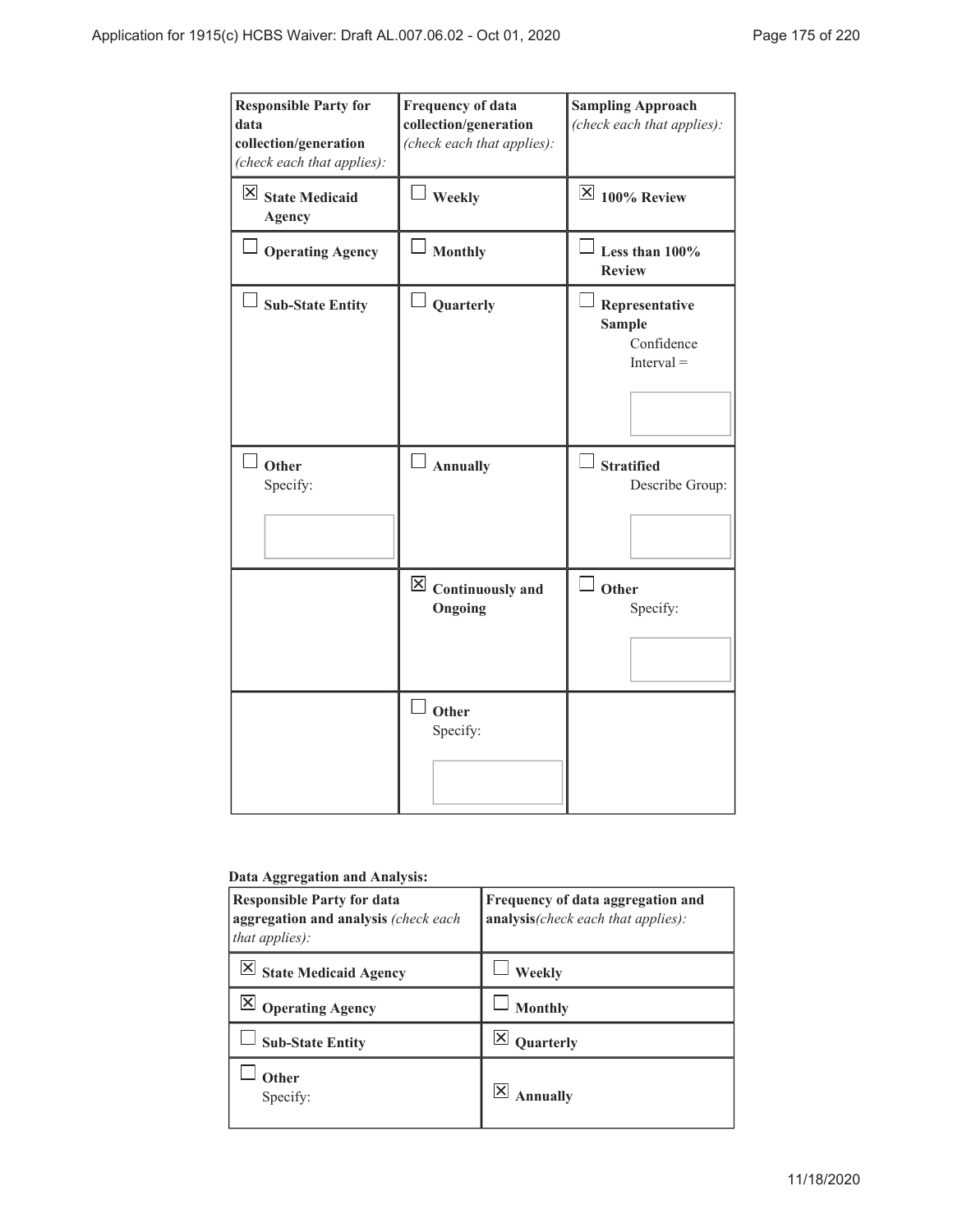| <b>Responsible Party for</b><br>data<br>collection/generation<br>(check each that applies): | <b>Frequency of data</b><br>collection/generation<br>(check each that applies): | <b>Sampling Approach</b><br>(check each that applies):        |
|---------------------------------------------------------------------------------------------|---------------------------------------------------------------------------------|---------------------------------------------------------------|
| $\boxtimes$ State Medicaid<br><b>Agency</b>                                                 | $\Box$ Weekly                                                                   | $\overline{\mathsf{X}}$ 100% Review                           |
| Operating Agency                                                                            | Monthly                                                                         | Less than 100%<br><b>Review</b>                               |
| <b>Sub-State Entity</b>                                                                     | Quarterly                                                                       | Representative<br><b>Sample</b><br>Confidence<br>$Interval =$ |
| Other<br>Specify:                                                                           | $\Box$ Annually                                                                 | $\Box$ Stratified<br>Describe Group:                          |
|                                                                                             | $\boxtimes$ Continuously and<br>Ongoing                                         | $\Box$ Other<br>Specify:                                      |
|                                                                                             | J Other<br>Specify:                                                             |                                                               |

# **Data Aggregation and Analysis:**

| <b>Responsible Party for data</b><br>aggregation and analysis (check each<br><i>that applies</i> ): | Frequency of data aggregation and<br>analysis (check each that applies): |
|-----------------------------------------------------------------------------------------------------|--------------------------------------------------------------------------|
| ⋉<br><b>State Medicaid Agency</b>                                                                   | Weekly                                                                   |
| <b>Operating Agency</b>                                                                             | <b>Monthly</b>                                                           |
| <b>Sub-State Entity</b>                                                                             | Quarterly                                                                |
| Other<br>Specify:                                                                                   | nnually                                                                  |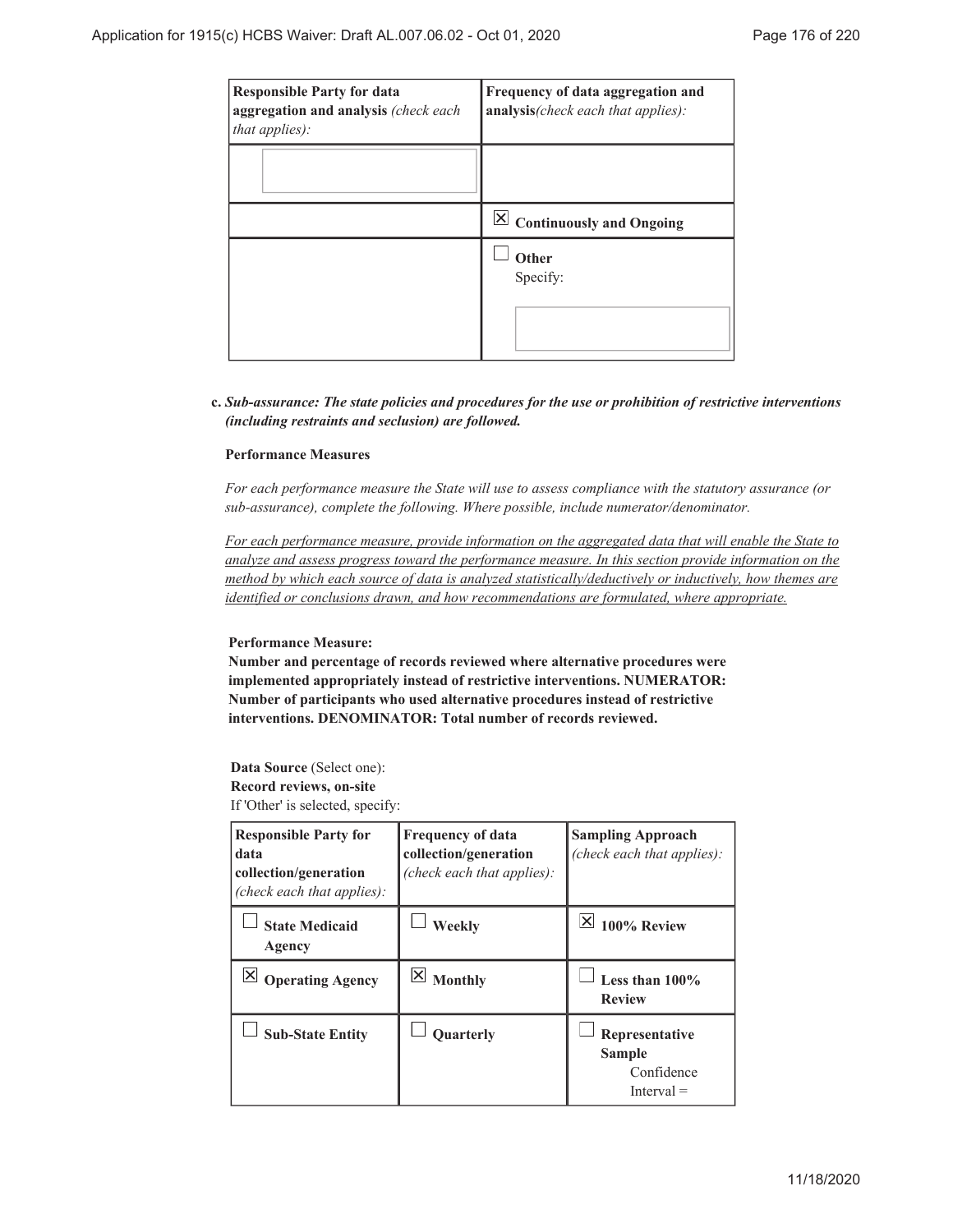| <b>Responsible Party for data</b><br>aggregation and analysis (check each<br>that applies): | Frequency of data aggregation and<br>analysis(check each that applies): |
|---------------------------------------------------------------------------------------------|-------------------------------------------------------------------------|
|                                                                                             |                                                                         |
|                                                                                             | $\boxed{\times}$ Continuously and Ongoing                               |
|                                                                                             | Other<br>Specify:                                                       |

### *Sub-assurance: The state policies and procedures for the use or prohibition of restrictive interventions* **c.** *(including restraints and seclusion) are followed.*

### **Performance Measures**

*For each performance measure the State will use to assess compliance with the statutory assurance (or sub-assurance), complete the following. Where possible, include numerator/denominator.*

*For each performance measure, provide information on the aggregated data that will enable the State to analyze and assess progress toward the performance measure. In this section provide information on the method by which each source of data is analyzed statistically/deductively or inductively, how themes are identified or conclusions drawn, and how recommendations are formulated, where appropriate.*

#### **Performance Measure:**

**Number and percentage of records reviewed where alternative procedures were implemented appropriately instead of restrictive interventions. NUMERATOR: Number of participants who used alternative procedures instead of restrictive interventions. DENOMINATOR: Total number of records reviewed.**

#### **Data Source** (Select one): **Record reviews, on-site**

If 'Other' is selected, specify:

| <b>Responsible Party for</b><br>data<br>collection/generation<br>(check each that applies): | <b>Frequency of data</b><br>collection/generation<br>(check each that applies): | <b>Sampling Approach</b><br>(check each that applies):           |
|---------------------------------------------------------------------------------------------|---------------------------------------------------------------------------------|------------------------------------------------------------------|
| <b>State Medicaid</b><br>Agency                                                             | Weekly                                                                          | 100% Review                                                      |
| <b>Operating Agency</b>                                                                     | $\mathbf{\times}$<br><b>Monthly</b>                                             | Less than $100\%$<br><b>Review</b>                               |
| <b>Sub-State Entity</b>                                                                     | <b>Ouarterly</b>                                                                | Representative<br><b>Sample</b><br>Confidence<br>$[$ nterval $=$ |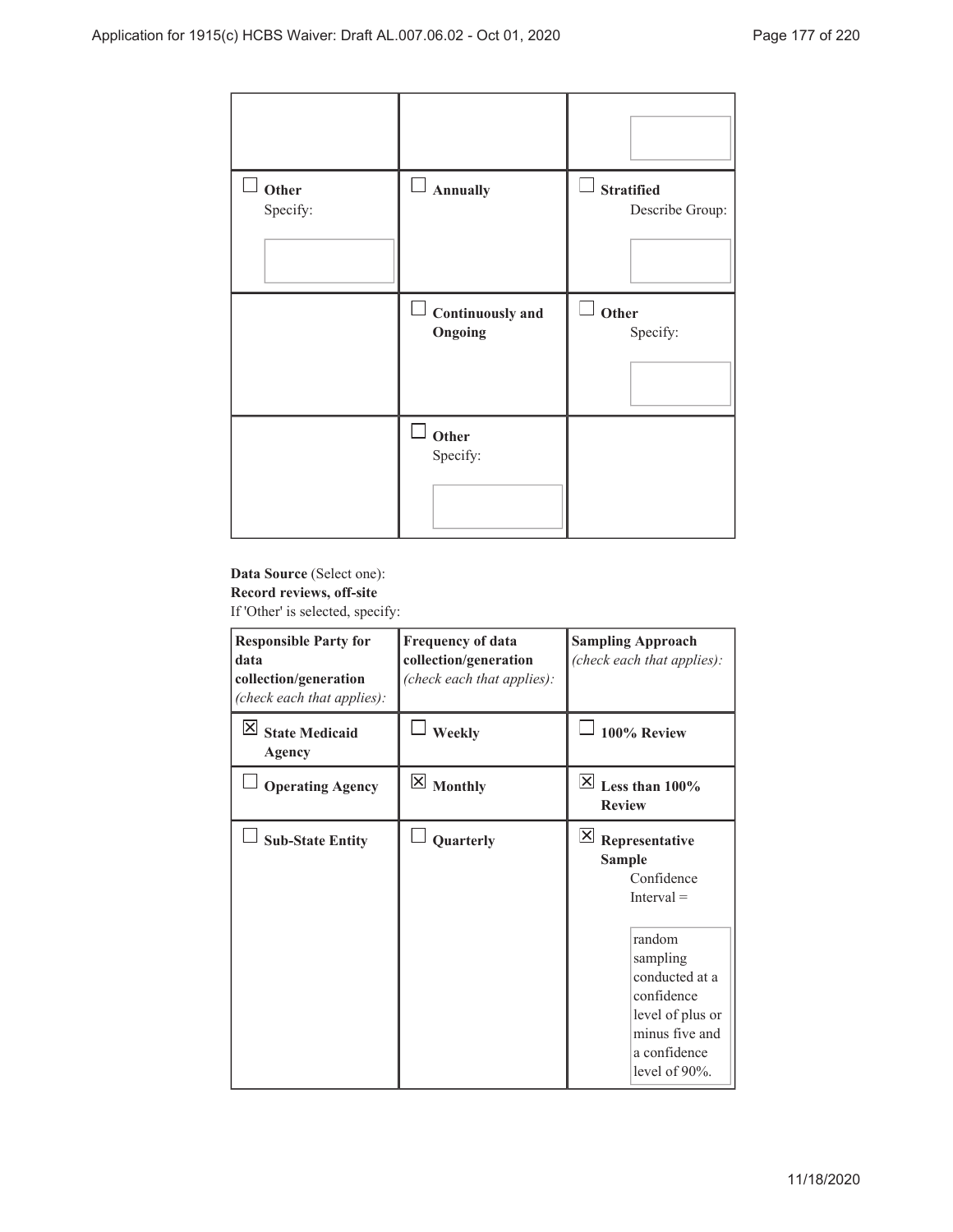| $\mathbf{r}$<br>Other | े।<br>Annually             | ĚЦ<br><b>Stratified</b> |
|-----------------------|----------------------------|-------------------------|
| Specify:              |                            | Describe Group:         |
|                       | $\Box$<br>Continuously and | $\sqcup$<br>Other       |
|                       | Ongoing                    | Specify:                |
|                       |                            |                         |
|                       | Other<br>Specify:          |                         |
|                       |                            |                         |

# **Data Source** (Select one): **Record reviews, off-site**

If 'Other' is selected, specify:

| <b>Responsible Party for</b><br>data<br>collection/generation<br>(check each that applies): | <b>Frequency of data</b><br>collection/generation<br>(check each that applies): | <b>Sampling Approach</b><br>(check each that applies):                                                                                                                                                         |  |
|---------------------------------------------------------------------------------------------|---------------------------------------------------------------------------------|----------------------------------------------------------------------------------------------------------------------------------------------------------------------------------------------------------------|--|
| IХ<br><b>State Medicaid</b><br>Agency                                                       | Weekly                                                                          | 100% Review                                                                                                                                                                                                    |  |
| <b>Operating Agency</b>                                                                     | $\boxtimes$ Monthly                                                             | $\overline{\times}$ Less than 100%<br><b>Review</b>                                                                                                                                                            |  |
| <b>Sub-State Entity</b>                                                                     | Quarterly                                                                       | $\mathbf{X}$<br>Representative<br><b>Sample</b><br>Confidence<br>$Interval =$<br>random<br>sampling<br>conducted at a<br>confidence<br>level of plus or<br>minus five and<br>a confidence<br>level of $90\%$ . |  |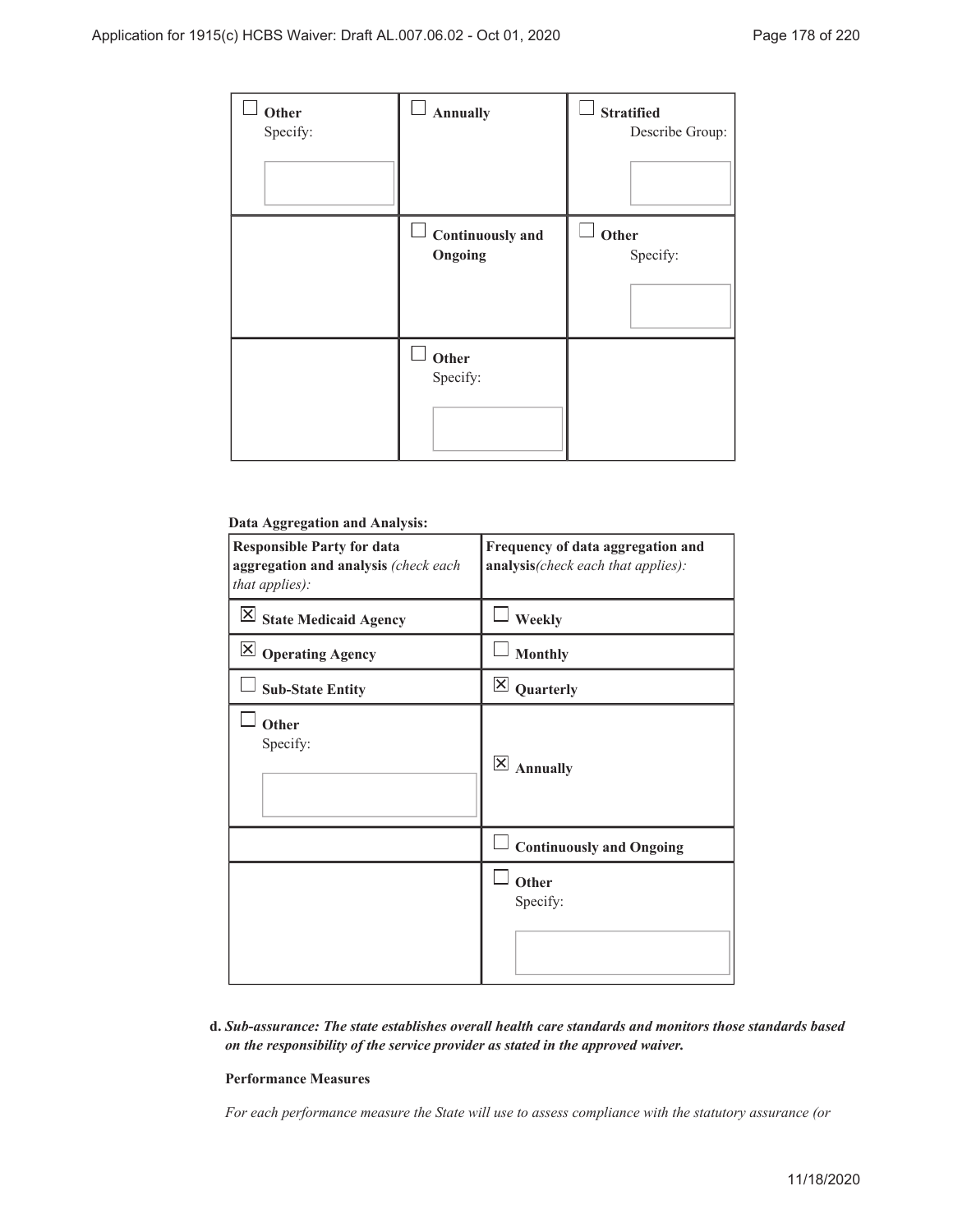| Other<br>Specify: | <b>Annually</b>                    | <b>Stratified</b><br>Describe Group: |
|-------------------|------------------------------------|--------------------------------------|
|                   | <b>Continuously and</b><br>Ongoing | Other<br>Specify:                    |
|                   | Other<br>Specify:                  |                                      |

# **Data Aggregation and Analysis:**

| <b>Responsible Party for data</b><br>aggregation and analysis (check each<br>that applies): | Frequency of data aggregation and<br>analysis(check each that applies): |
|---------------------------------------------------------------------------------------------|-------------------------------------------------------------------------|
| $\overline{\mathsf{X}}$ State Medicaid Agency                                               | Weekly                                                                  |
| Operating Agency                                                                            | <b>Monthly</b>                                                          |
| <b>Sub-State Entity</b>                                                                     | $\mathsf{X}$<br>Quarterly                                               |
| Other<br>Specify:                                                                           | $\overline{\mathsf{x}}$<br><b>Annually</b>                              |
|                                                                                             | <b>Continuously and Ongoing</b>                                         |
|                                                                                             | Other<br>Specify:                                                       |

*Sub-assurance: The state establishes overall health care standards and monitors those standards based* **d.** *on the responsibility of the service provider as stated in the approved waiver.*

#### **Performance Measures**

*For each performance measure the State will use to assess compliance with the statutory assurance (or*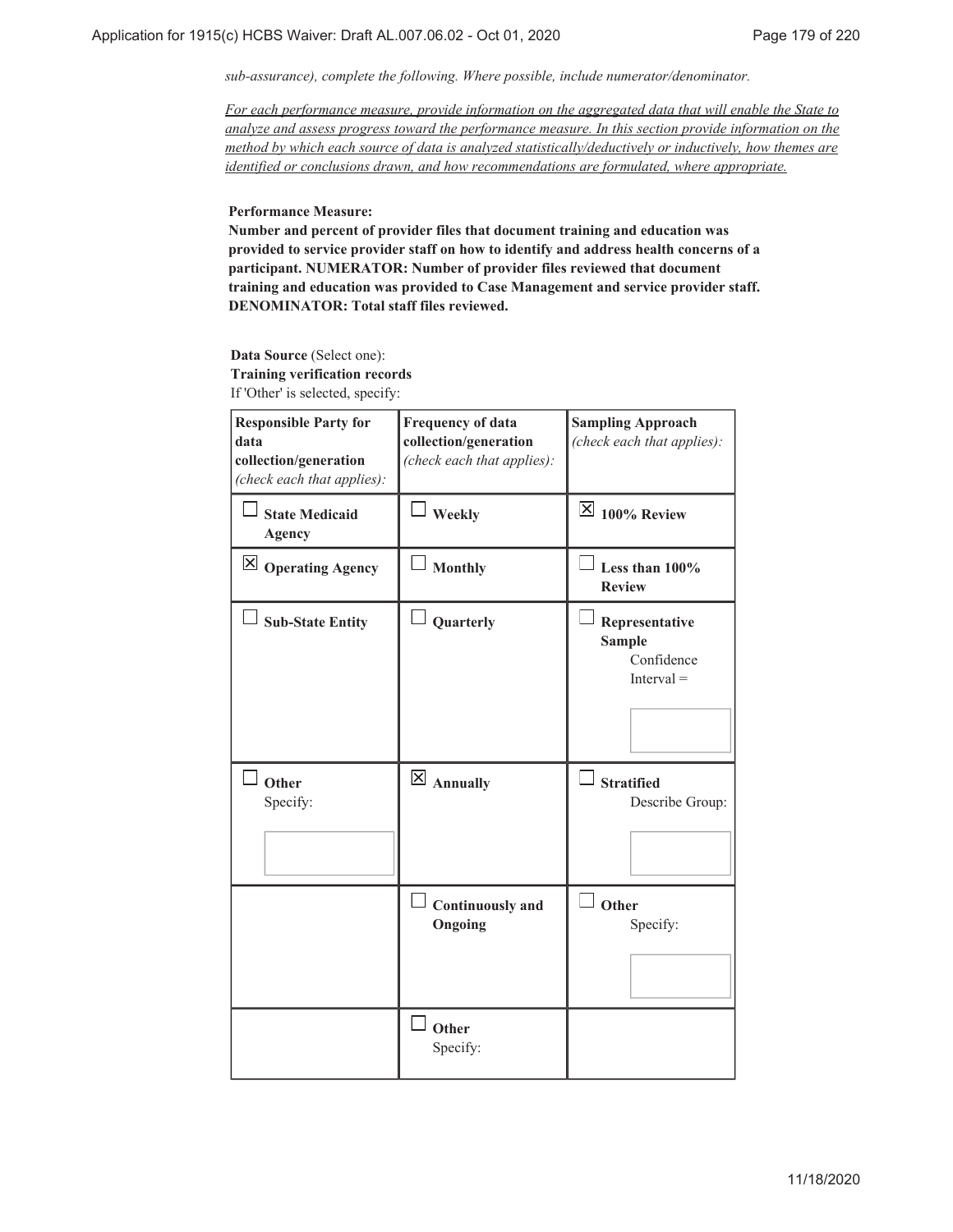*sub-assurance), complete the following. Where possible, include numerator/denominator.*

*For each performance measure, provide information on the aggregated data that will enable the State to analyze and assess progress toward the performance measure. In this section provide information on the method by which each source of data is analyzed statistically/deductively or inductively, how themes are identified or conclusions drawn, and how recommendations are formulated, where appropriate.*

**Performance Measure:**

**Number and percent of provider files that document training and education was provided to service provider staff on how to identify and address health concerns of a participant. NUMERATOR: Number of provider files reviewed that document training and education was provided to Case Management and service provider staff. DENOMINATOR: Total staff files reviewed.**

**Data Source** (Select one): **Training verification records** If 'Other' is selected, specify:

| <b>Responsible Party for</b><br>data<br>collection/generation<br>(check each that applies): | <b>Frequency of data</b><br>collection/generation<br>(check each that applies): | <b>Sampling Approach</b><br>(check each that applies):        |
|---------------------------------------------------------------------------------------------|---------------------------------------------------------------------------------|---------------------------------------------------------------|
| <b>State Medicaid</b><br><b>Agency</b>                                                      | Weekly                                                                          | $\overline{\mathsf{X}}$ 100% Review                           |
| $\boxtimes$ Operating Agency                                                                | <b>Monthly</b>                                                                  | Less than 100%<br><b>Review</b>                               |
| <b>Sub-State Entity</b>                                                                     | Quarterly                                                                       | Representative<br><b>Sample</b><br>Confidence<br>$Interval =$ |
| Other<br>Specify:                                                                           | $\overline{X}$ Annually                                                         | <b>Stratified</b><br>Describe Group:                          |
|                                                                                             | <b>Continuously and</b><br>Ongoing                                              | Other<br>Specify:                                             |
|                                                                                             | Other<br>Specify:                                                               |                                                               |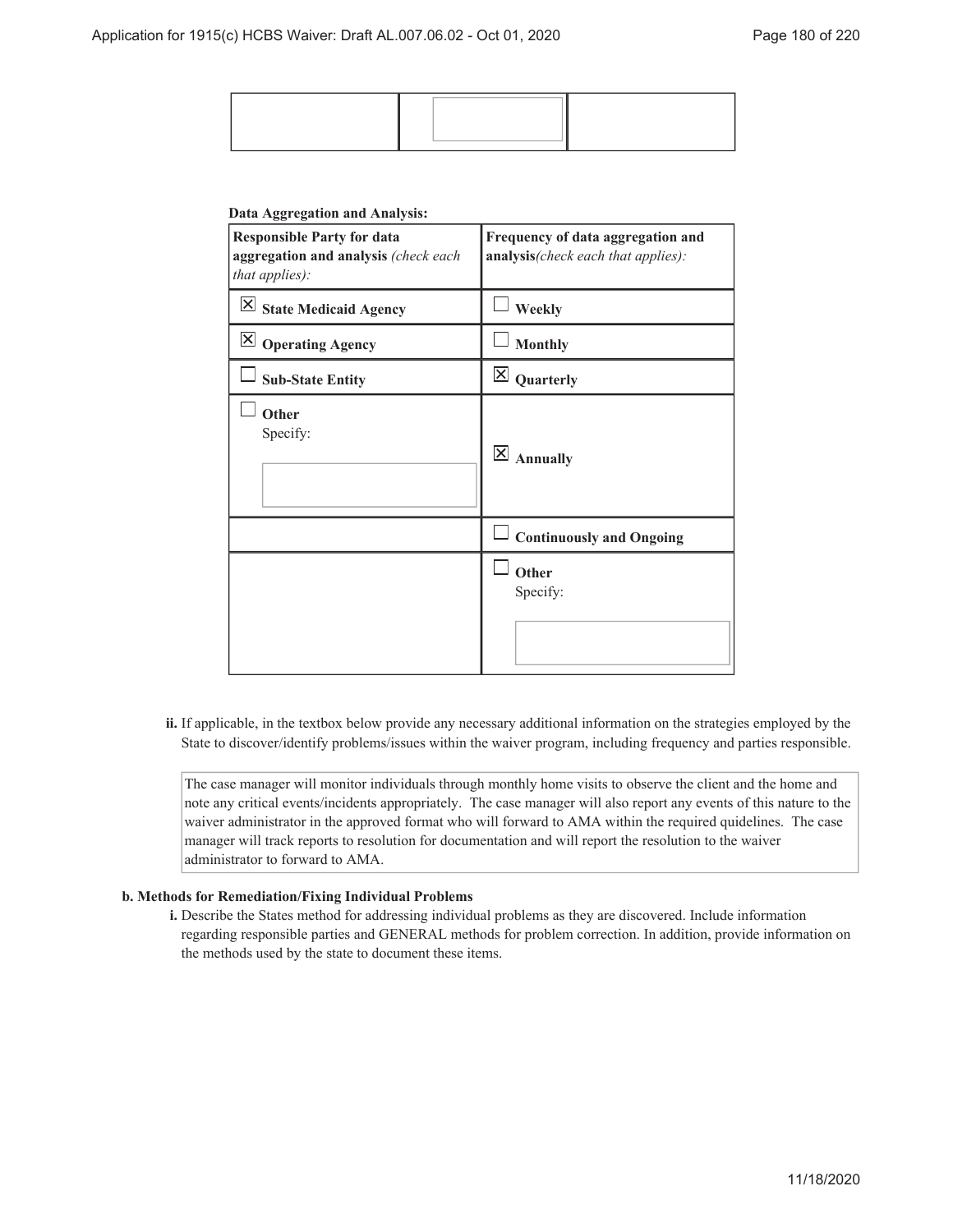#### **Data Aggregation and Analysis:**

| <b>Responsible Party for data</b><br>aggregation and analysis (check each<br>that applies): | Frequency of data aggregation and<br>analysis(check each that applies): |
|---------------------------------------------------------------------------------------------|-------------------------------------------------------------------------|
| $\boxed{\times}$ State Medicaid Agency                                                      | Weekly                                                                  |
| $\boxtimes$ Operating Agency                                                                | <b>Monthly</b>                                                          |
| <b>Sub-State Entity</b>                                                                     | $\times$<br>Quarterly                                                   |
| Other<br>Specify:                                                                           | $\overline{\mathsf{x}}$<br><b>Annually</b>                              |
|                                                                                             | <b>Continuously and Ongoing</b>                                         |
|                                                                                             | Other<br>Specify:                                                       |

ii. If applicable, in the textbox below provide any necessary additional information on the strategies employed by the State to discover/identify problems/issues within the waiver program, including frequency and parties responsible.

The case manager will monitor individuals through monthly home visits to observe the client and the home and note any critical events/incidents appropriately. The case manager will also report any events of this nature to the waiver administrator in the approved format who will forward to AMA within the required quidelines. The case manager will track reports to resolution for documentation and will report the resolution to the waiver administrator to forward to AMA.

#### **Methods for Remediation/Fixing Individual Problems b.**

Describe the States method for addressing individual problems as they are discovered. Include information **i.** regarding responsible parties and GENERAL methods for problem correction. In addition, provide information on the methods used by the state to document these items.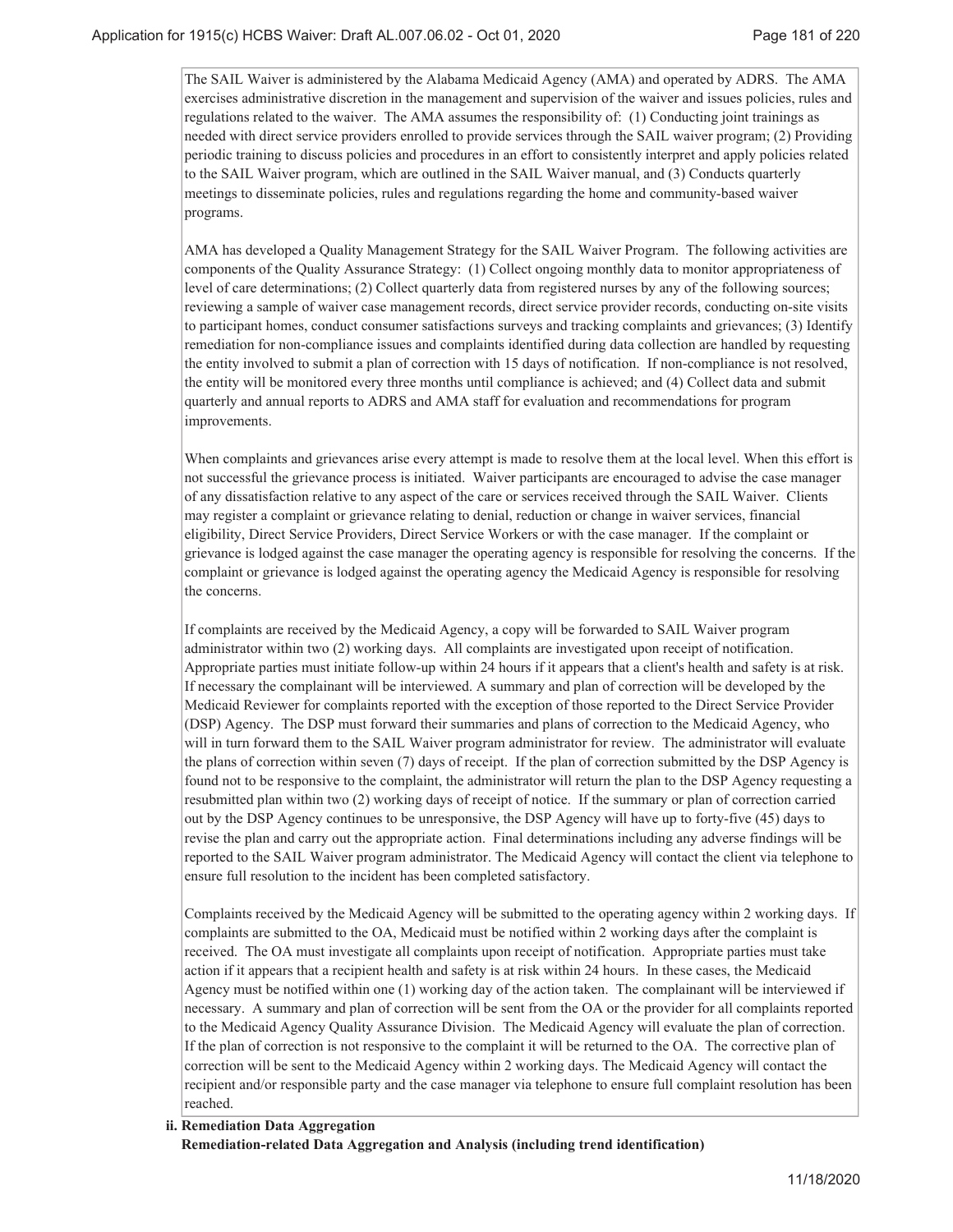The SAIL Waiver is administered by the Alabama Medicaid Agency (AMA) and operated by ADRS. The AMA exercises administrative discretion in the management and supervision of the waiver and issues policies, rules and regulations related to the waiver. The AMA assumes the responsibility of: (1) Conducting joint trainings as needed with direct service providers enrolled to provide services through the SAIL waiver program; (2) Providing periodic training to discuss policies and procedures in an effort to consistently interpret and apply policies related to the SAIL Waiver program, which are outlined in the SAIL Waiver manual, and (3) Conducts quarterly meetings to disseminate policies, rules and regulations regarding the home and community-based waiver programs.

AMA has developed a Quality Management Strategy for the SAIL Waiver Program. The following activities are components of the Quality Assurance Strategy: (1) Collect ongoing monthly data to monitor appropriateness of level of care determinations; (2) Collect quarterly data from registered nurses by any of the following sources; reviewing a sample of waiver case management records, direct service provider records, conducting on-site visits to participant homes, conduct consumer satisfactions surveys and tracking complaints and grievances; (3) Identify remediation for non-compliance issues and complaints identified during data collection are handled by requesting the entity involved to submit a plan of correction with 15 days of notification. If non-compliance is not resolved, the entity will be monitored every three months until compliance is achieved; and (4) Collect data and submit quarterly and annual reports to ADRS and AMA staff for evaluation and recommendations for program improvements.

When complaints and grievances arise every attempt is made to resolve them at the local level. When this effort is not successful the grievance process is initiated. Waiver participants are encouraged to advise the case manager of any dissatisfaction relative to any aspect of the care or services received through the SAIL Waiver. Clients may register a complaint or grievance relating to denial, reduction or change in waiver services, financial eligibility, Direct Service Providers, Direct Service Workers or with the case manager. If the complaint or grievance is lodged against the case manager the operating agency is responsible for resolving the concerns. If the complaint or grievance is lodged against the operating agency the Medicaid Agency is responsible for resolving the concerns.

If complaints are received by the Medicaid Agency, a copy will be forwarded to SAIL Waiver program administrator within two (2) working days. All complaints are investigated upon receipt of notification. Appropriate parties must initiate follow-up within 24 hours if it appears that a client's health and safety is at risk. If necessary the complainant will be interviewed. A summary and plan of correction will be developed by the Medicaid Reviewer for complaints reported with the exception of those reported to the Direct Service Provider (DSP) Agency. The DSP must forward their summaries and plans of correction to the Medicaid Agency, who will in turn forward them to the SAIL Waiver program administrator for review. The administrator will evaluate the plans of correction within seven (7) days of receipt. If the plan of correction submitted by the DSP Agency is found not to be responsive to the complaint, the administrator will return the plan to the DSP Agency requesting a resubmitted plan within two (2) working days of receipt of notice. If the summary or plan of correction carried out by the DSP Agency continues to be unresponsive, the DSP Agency will have up to forty-five (45) days to revise the plan and carry out the appropriate action. Final determinations including any adverse findings will be reported to the SAIL Waiver program administrator. The Medicaid Agency will contact the client via telephone to ensure full resolution to the incident has been completed satisfactory.

Complaints received by the Medicaid Agency will be submitted to the operating agency within 2 working days. If complaints are submitted to the OA, Medicaid must be notified within 2 working days after the complaint is received. The OA must investigate all complaints upon receipt of notification. Appropriate parties must take action if it appears that a recipient health and safety is at risk within 24 hours. In these cases, the Medicaid Agency must be notified within one (1) working day of the action taken. The complainant will be interviewed if necessary. A summary and plan of correction will be sent from the OA or the provider for all complaints reported to the Medicaid Agency Quality Assurance Division. The Medicaid Agency will evaluate the plan of correction. If the plan of correction is not responsive to the complaint it will be returned to the OA. The corrective plan of correction will be sent to the Medicaid Agency within 2 working days. The Medicaid Agency will contact the recipient and/or responsible party and the case manager via telephone to ensure full complaint resolution has been reached.

**Remediation Data Aggregation ii. Remediation-related Data Aggregation and Analysis (including trend identification)**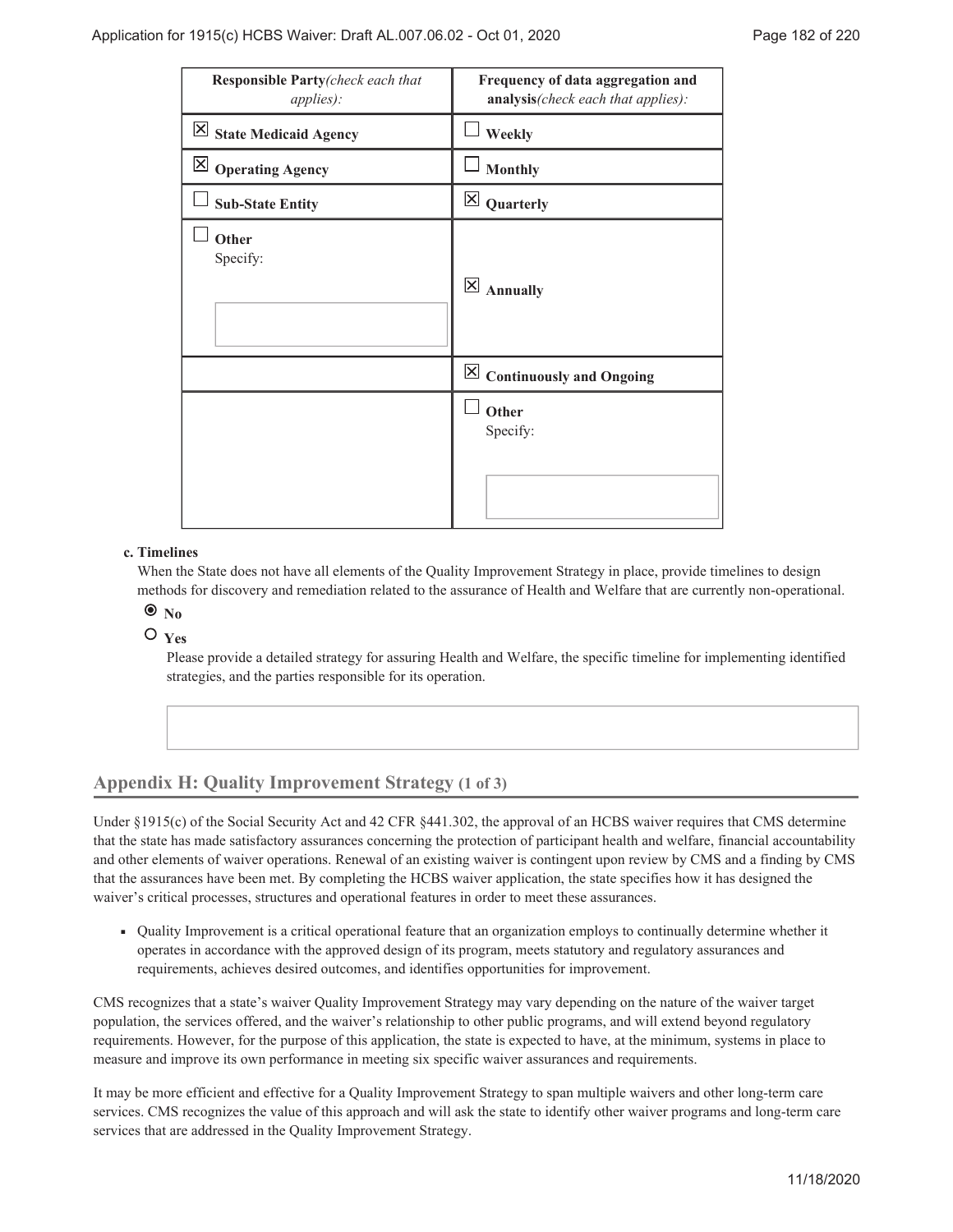| Responsible Party(check each that<br><i>applies</i> ): | Frequency of data aggregation and<br>analysis(check each that applies): |
|--------------------------------------------------------|-------------------------------------------------------------------------|
| $\overline{\boxtimes}$ State Medicaid Agency           | Weekly                                                                  |
| $\boxtimes$ Operating Agency                           | <b>Monthly</b>                                                          |
| <b>Sub-State Entity</b>                                | $\overline{\mathsf{x}}$<br>Quarterly                                    |
| Other<br>Specify:                                      | $\overline{\mathsf{x}}$<br><b>Annually</b>                              |
|                                                        | $\boxed{\times}$ Continuously and Ongoing                               |
|                                                        | Other<br>Specify:                                                       |

### **Timelines c.**

When the State does not have all elements of the Quality Improvement Strategy in place, provide timelines to design methods for discovery and remediation related to the assurance of Health and Welfare that are currently non-operational.

 $\bullet$ <sub>No</sub>

 $O$ <sub>Yes</sub>

Please provide a detailed strategy for assuring Health and Welfare, the specific timeline for implementing identified strategies, and the parties responsible for its operation.

## **Appendix H: Quality Improvement Strategy (1 of 3)**

Under §1915(c) of the Social Security Act and 42 CFR §441.302, the approval of an HCBS waiver requires that CMS determine that the state has made satisfactory assurances concerning the protection of participant health and welfare, financial accountability and other elements of waiver operations. Renewal of an existing waiver is contingent upon review by CMS and a finding by CMS that the assurances have been met. By completing the HCBS waiver application, the state specifies how it has designed the waiver's critical processes, structures and operational features in order to meet these assurances.

Quality Improvement is a critical operational feature that an organization employs to continually determine whether it ৢ operates in accordance with the approved design of its program, meets statutory and regulatory assurances and requirements, achieves desired outcomes, and identifies opportunities for improvement.

CMS recognizes that a state's waiver Quality Improvement Strategy may vary depending on the nature of the waiver target population, the services offered, and the waiver's relationship to other public programs, and will extend beyond regulatory requirements. However, for the purpose of this application, the state is expected to have, at the minimum, systems in place to measure and improve its own performance in meeting six specific waiver assurances and requirements.

It may be more efficient and effective for a Quality Improvement Strategy to span multiple waivers and other long-term care services. CMS recognizes the value of this approach and will ask the state to identify other waiver programs and long-term care services that are addressed in the Quality Improvement Strategy.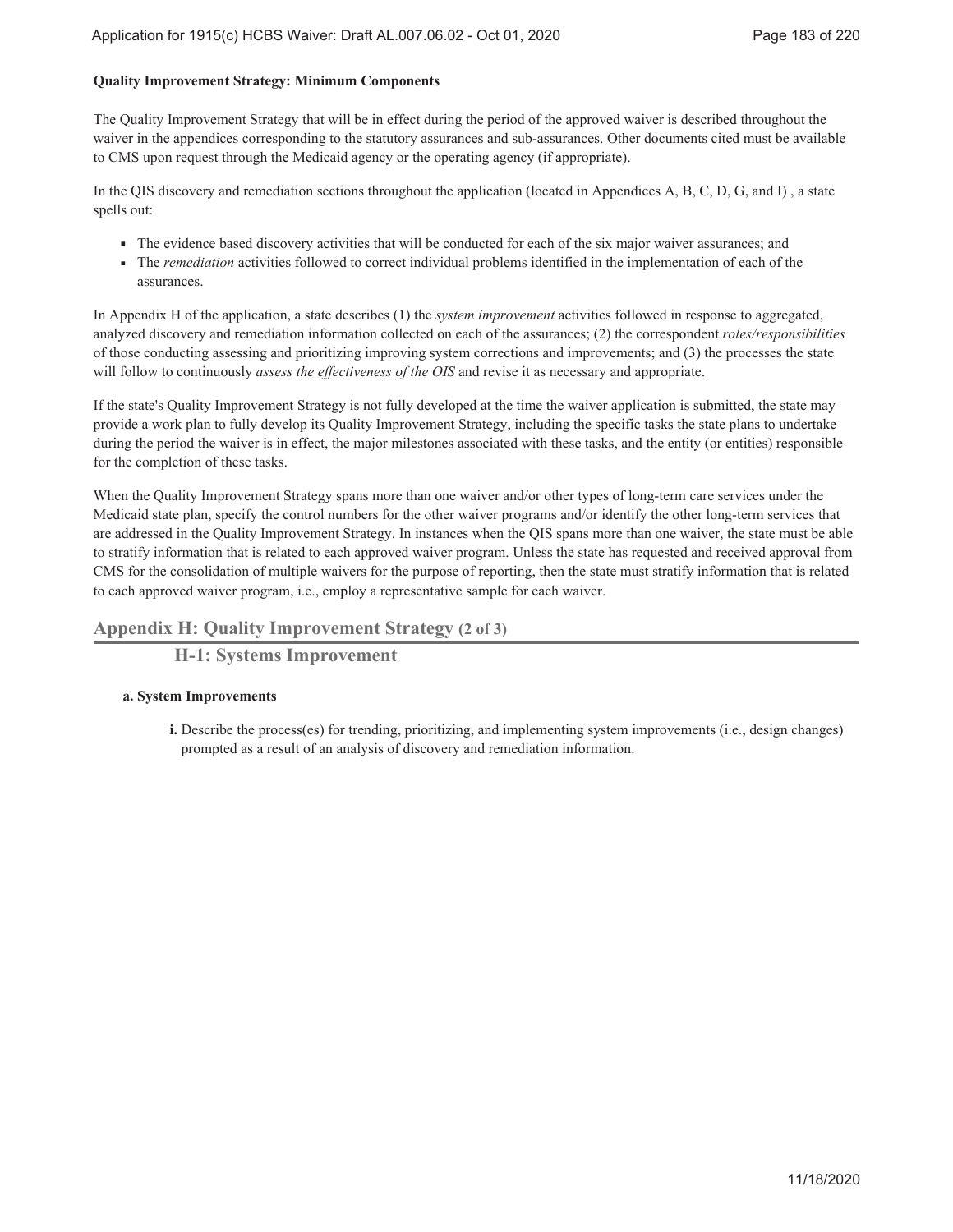### **Quality Improvement Strategy: Minimum Components**

The Quality Improvement Strategy that will be in effect during the period of the approved waiver is described throughout the waiver in the appendices corresponding to the statutory assurances and sub-assurances. Other documents cited must be available to CMS upon request through the Medicaid agency or the operating agency (if appropriate).

In the QIS discovery and remediation sections throughout the application (located in Appendices A, B, C, D, G, and I) , a state spells out:

- ৢ The evidence based discovery activities that will be conducted for each of the six major waiver assurances; and
- The *remediation* activities followed to correct individual problems identified in the implementation of each of the ৢ assurances.

In Appendix H of the application, a state describes (1) the *system improvement* activities followed in response to aggregated, analyzed discovery and remediation information collected on each of the assurances; (2) the correspondent *roles/responsibilities* of those conducting assessing and prioritizing improving system corrections and improvements; and (3) the processes the state will follow to continuously *assess the effectiveness of the OIS* and revise it as necessary and appropriate.

If the state's Quality Improvement Strategy is not fully developed at the time the waiver application is submitted, the state may provide a work plan to fully develop its Quality Improvement Strategy, including the specific tasks the state plans to undertake during the period the waiver is in effect, the major milestones associated with these tasks, and the entity (or entities) responsible for the completion of these tasks.

When the Quality Improvement Strategy spans more than one waiver and/or other types of long-term care services under the Medicaid state plan, specify the control numbers for the other waiver programs and/or identify the other long-term services that are addressed in the Quality Improvement Strategy. In instances when the QIS spans more than one waiver, the state must be able to stratify information that is related to each approved waiver program. Unless the state has requested and received approval from CMS for the consolidation of multiple waivers for the purpose of reporting, then the state must stratify information that is related to each approved waiver program, i.e., employ a representative sample for each waiver.

## **Appendix H: Quality Improvement Strategy (2 of 3)**

**H-1: Systems Improvement**

### **System Improvements a.**

Describe the process(es) for trending, prioritizing, and implementing system improvements (i.e., design changes) **i.** prompted as a result of an analysis of discovery and remediation information.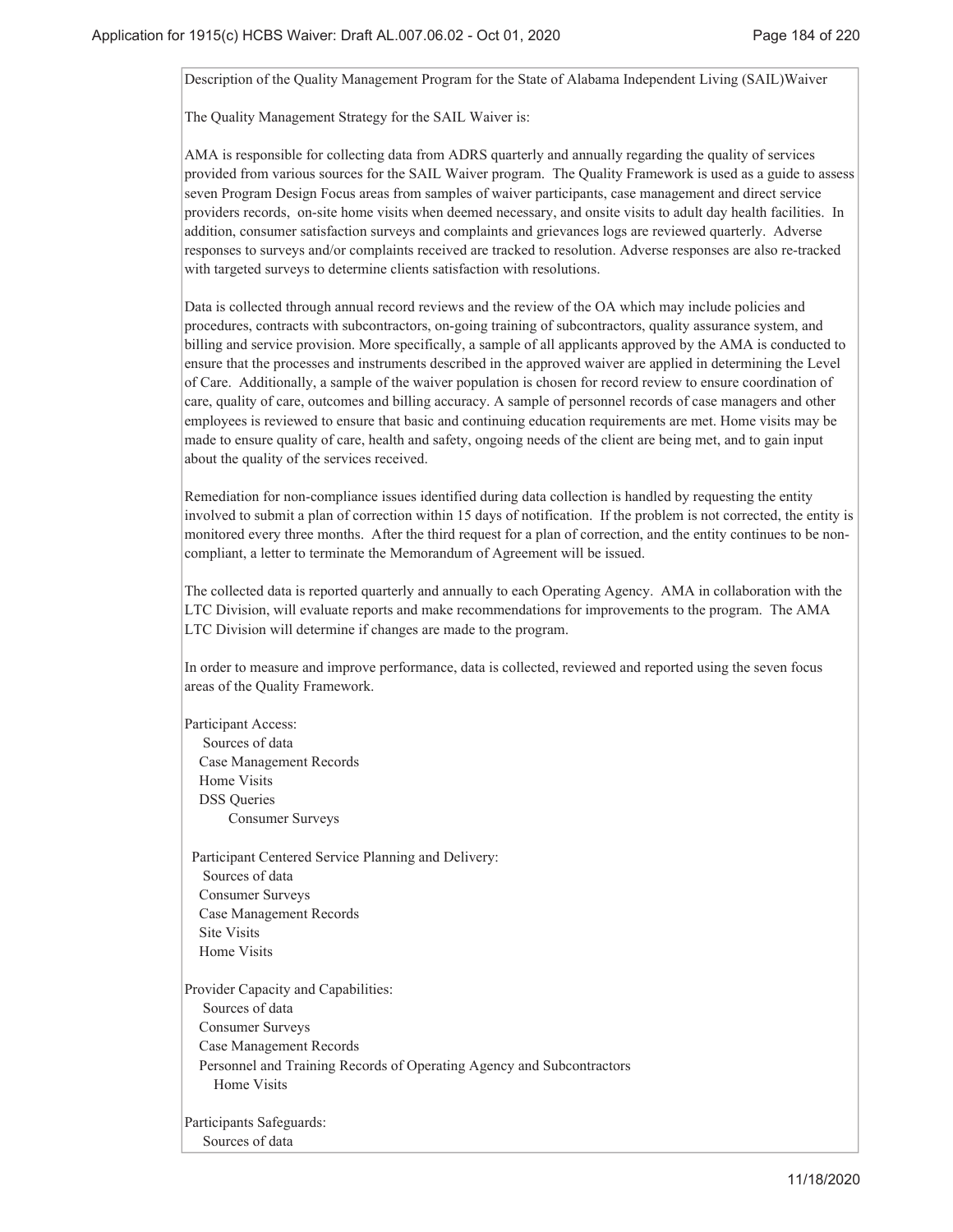Description of the Quality Management Program for the State of Alabama Independent Living (SAIL)Waiver

The Quality Management Strategy for the SAIL Waiver is:

AMA is responsible for collecting data from ADRS quarterly and annually regarding the quality of services provided from various sources for the SAIL Waiver program. The Quality Framework is used as a guide to assess seven Program Design Focus areas from samples of waiver participants, case management and direct service providers records, on-site home visits when deemed necessary, and onsite visits to adult day health facilities. In addition, consumer satisfaction surveys and complaints and grievances logs are reviewed quarterly. Adverse responses to surveys and/or complaints received are tracked to resolution. Adverse responses are also re-tracked with targeted surveys to determine clients satisfaction with resolutions.

Data is collected through annual record reviews and the review of the OA which may include policies and procedures, contracts with subcontractors, on-going training of subcontractors, quality assurance system, and billing and service provision. More specifically, a sample of all applicants approved by the AMA is conducted to ensure that the processes and instruments described in the approved waiver are applied in determining the Level of Care. Additionally, a sample of the waiver population is chosen for record review to ensure coordination of care, quality of care, outcomes and billing accuracy. A sample of personnel records of case managers and other employees is reviewed to ensure that basic and continuing education requirements are met. Home visits may be made to ensure quality of care, health and safety, ongoing needs of the client are being met, and to gain input about the quality of the services received.

Remediation for non-compliance issues identified during data collection is handled by requesting the entity involved to submit a plan of correction within 15 days of notification. If the problem is not corrected, the entity is monitored every three months. After the third request for a plan of correction, and the entity continues to be noncompliant, a letter to terminate the Memorandum of Agreement will be issued.

The collected data is reported quarterly and annually to each Operating Agency. AMA in collaboration with the LTC Division, will evaluate reports and make recommendations for improvements to the program. The AMA LTC Division will determine if changes are made to the program.

In order to measure and improve performance, data is collected, reviewed and reported using the seven focus areas of the Quality Framework.

Participant Access: Sources of data Case Management Records Home Visits DSS Queries Consumer Surveys

 Participant Centered Service Planning and Delivery: Sources of data Consumer Surveys Case Management Records Site Visits Home Visits

Provider Capacity and Capabilities: Sources of data Consumer Surveys Case Management Records Personnel and Training Records of Operating Agency and Subcontractors Home Visits

Participants Safeguards: Sources of data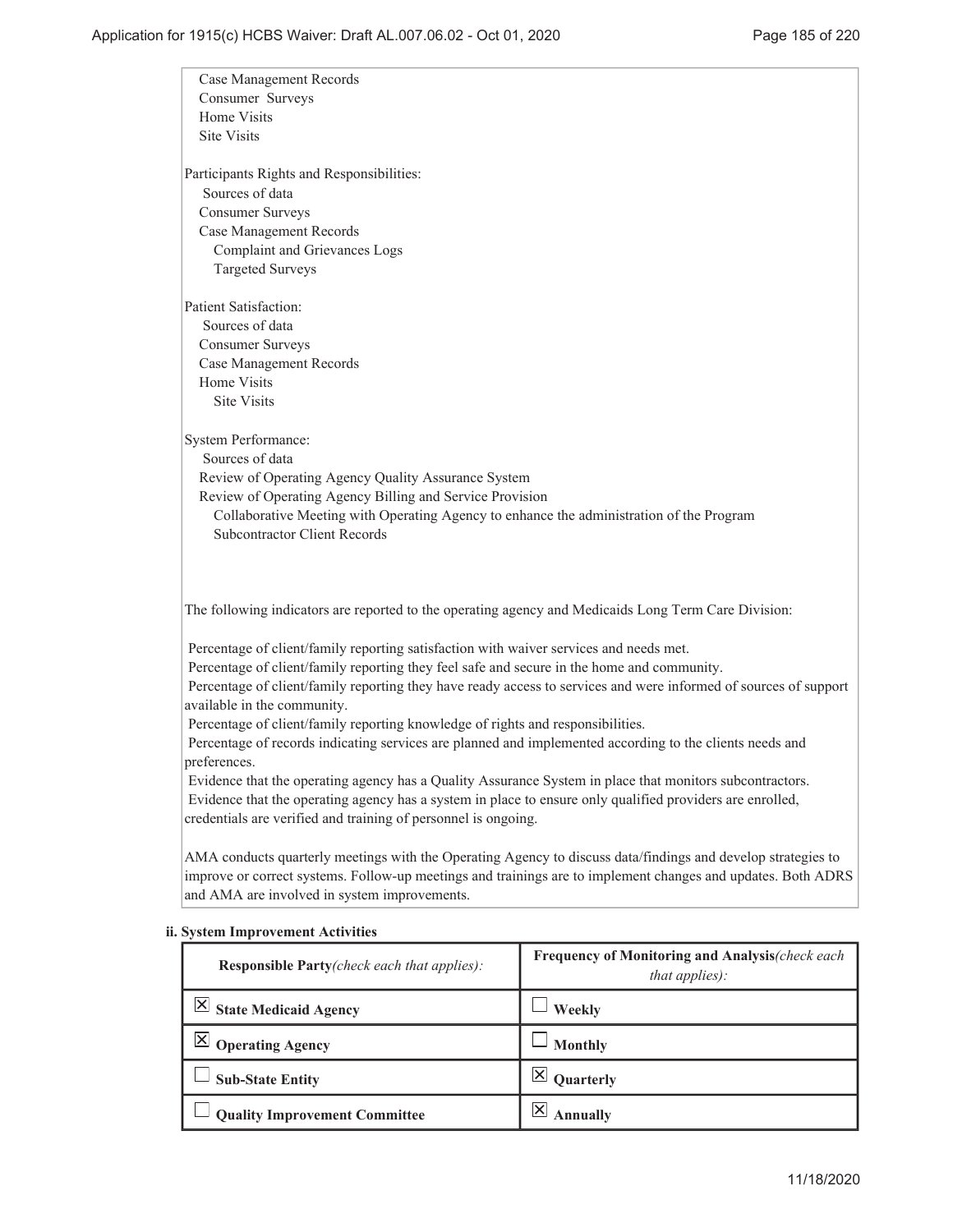| <b>Case Management Records</b>                                                                                   |                                                                   |  |
|------------------------------------------------------------------------------------------------------------------|-------------------------------------------------------------------|--|
| Consumer Surveys                                                                                                 |                                                                   |  |
| Home Visits<br>Site Visits                                                                                       |                                                                   |  |
|                                                                                                                  |                                                                   |  |
| Participants Rights and Responsibilities:                                                                        |                                                                   |  |
| Sources of data                                                                                                  |                                                                   |  |
| <b>Consumer Surveys</b>                                                                                          |                                                                   |  |
| Case Management Records                                                                                          |                                                                   |  |
| <b>Complaint and Grievances Logs</b>                                                                             |                                                                   |  |
| <b>Targeted Surveys</b>                                                                                          |                                                                   |  |
| <b>Patient Satisfaction:</b>                                                                                     |                                                                   |  |
| Sources of data                                                                                                  |                                                                   |  |
| <b>Consumer Surveys</b>                                                                                          |                                                                   |  |
| Case Management Records                                                                                          |                                                                   |  |
| Home Visits                                                                                                      |                                                                   |  |
| <b>Site Visits</b>                                                                                               |                                                                   |  |
|                                                                                                                  |                                                                   |  |
| <b>System Performance:</b>                                                                                       |                                                                   |  |
| Sources of data                                                                                                  |                                                                   |  |
| Review of Operating Agency Quality Assurance System                                                              |                                                                   |  |
| Review of Operating Agency Billing and Service Provision                                                         |                                                                   |  |
| Collaborative Meeting with Operating Agency to enhance the administration of the Program                         |                                                                   |  |
| <b>Subcontractor Client Records</b>                                                                              |                                                                   |  |
|                                                                                                                  |                                                                   |  |
|                                                                                                                  |                                                                   |  |
| The following indicators are reported to the operating agency and Medicaids Long Term Care Division:             |                                                                   |  |
| Percentage of client/family reporting satisfaction with waiver services and needs met.                           |                                                                   |  |
| Percentage of client/family reporting they feel safe and secure in the home and community.                       |                                                                   |  |
| Percentage of client/family reporting they have ready access to services and were informed of sources of support |                                                                   |  |
| available in the community.                                                                                      |                                                                   |  |
| Percentage of client/family reporting knowledge of rights and responsibilities.                                  |                                                                   |  |
| Percentage of records indicating services are planned and implemented according to the clients needs and         |                                                                   |  |
| preferences.                                                                                                     |                                                                   |  |
| Evidence that the operating agency has a Quality Assurance System in place that monitors subcontractors.         |                                                                   |  |
| Evidence that the operating agency has a system in place to ensure only qualified providers are enrolled,        |                                                                   |  |
| credentials are verified and training of personnel is ongoing.                                                   |                                                                   |  |
|                                                                                                                  |                                                                   |  |
| AMA conducts quarterly meetings with the Operating Agency to discuss data/findings and develop strategies to     |                                                                   |  |
| improve or correct systems. Follow-up meetings and trainings are to implement changes and updates. Both ADRS     |                                                                   |  |
| and AMA are involved in system improvements.                                                                     |                                                                   |  |
| <b>System Improvement Activities</b>                                                                             |                                                                   |  |
| Responsible Party(check each that applies):                                                                      | Frequency of Monitoring and Analysis(check each<br>that applies): |  |
| $\vert$ $\times$ State Medicaid Agency                                                                           | Weekly                                                            |  |
| $\boxtimes$<br><b>Operating Agency</b>                                                                           | <b>Monthly</b>                                                    |  |
|                                                                                                                  |                                                                   |  |
| <b>Sub-State Entity</b>                                                                                          | $\boxtimes$<br>Quarterly                                          |  |

## **ii.**

**Quality Improvement Committee**  $\begin{array}{c} \boxed{\boxtimes} \end{array}$  Annually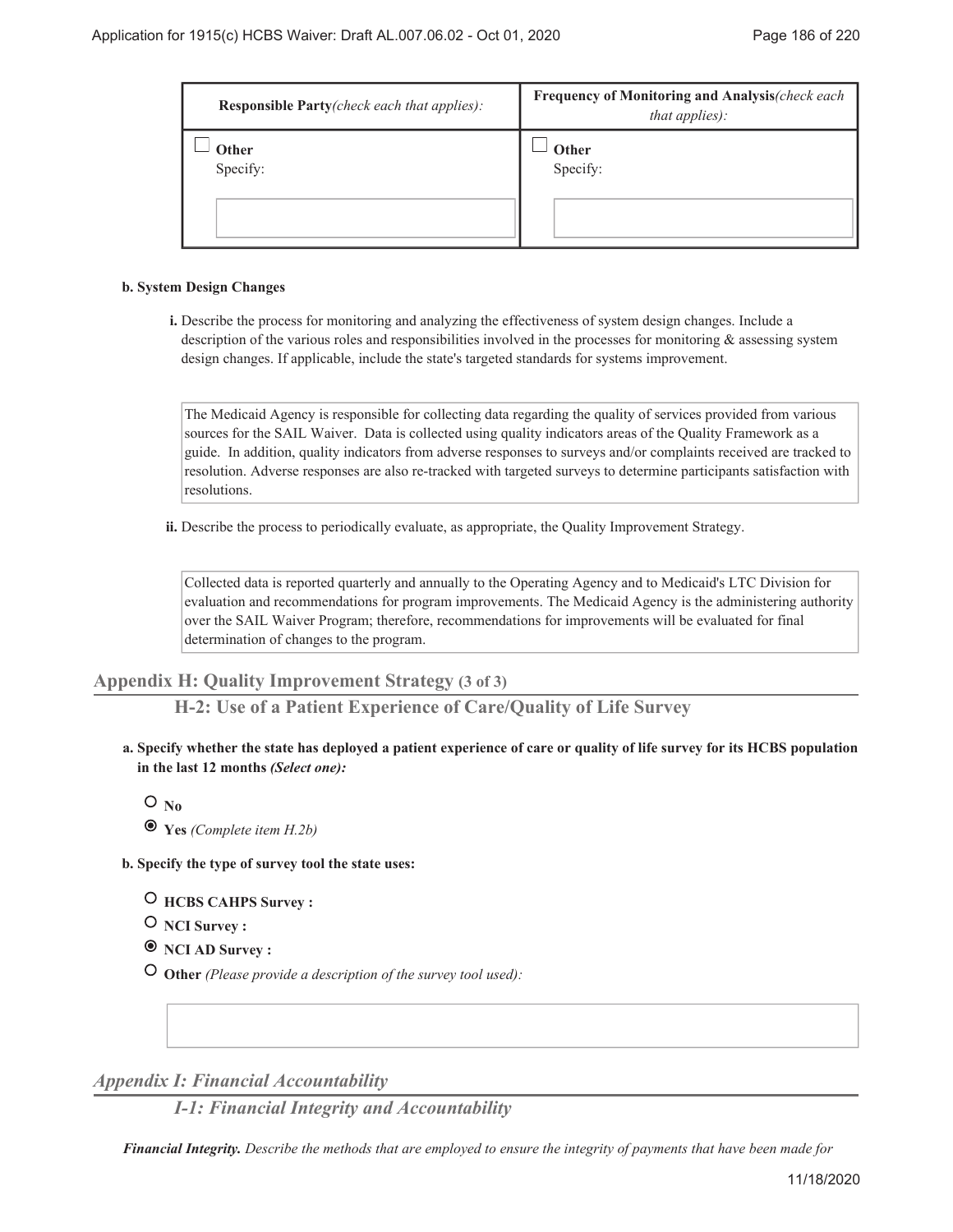| <b>Responsible Party</b> (check each that applies): | Frequency of Monitoring and Analysis(check each<br>that applies): |
|-----------------------------------------------------|-------------------------------------------------------------------|
| Other<br>Specify:                                   | Other<br>Specify:                                                 |

#### **System Design Changes b.**

Describe the process for monitoring and analyzing the effectiveness of system design changes. Include a **i.** description of the various roles and responsibilities involved in the processes for monitoring & assessing system design changes. If applicable, include the state's targeted standards for systems improvement.

The Medicaid Agency is responsible for collecting data regarding the quality of services provided from various sources for the SAIL Waiver. Data is collected using quality indicators areas of the Quality Framework as a guide. In addition, quality indicators from adverse responses to surveys and/or complaints received are tracked to resolution. Adverse responses are also re-tracked with targeted surveys to determine participants satisfaction with resolutions.

ii. Describe the process to periodically evaluate, as appropriate, the Quality Improvement Strategy.

Collected data is reported quarterly and annually to the Operating Agency and to Medicaid's LTC Division for evaluation and recommendations for program improvements. The Medicaid Agency is the administering authority over the SAIL Waiver Program; therefore, recommendations for improvements will be evaluated for final determination of changes to the program.

## **Appendix H: Quality Improvement Strategy (3 of 3)**

**H-2: Use of a Patient Experience of Care/Quality of Life Survey**

**Specify whether the state has deployed a patient experience of care or quality of life survey for its HCBS population a. in the last 12 months** *(Select one):*

 $O_{N_0}$ 

 **Yes** *(Complete item H.2b)*

**Specify the type of survey tool the state uses: b.**

 **HCBS CAHPS Survey :**

**O** NCI Survey :

 **NCI AD Survey :**

 **Other** *(Please provide a description of the survey tool used):*

*Appendix I: Financial Accountability*

*I-1: Financial Integrity and Accountability*

*Financial Integrity. Describe the methods that are employed to ensure the integrity of payments that have been made for*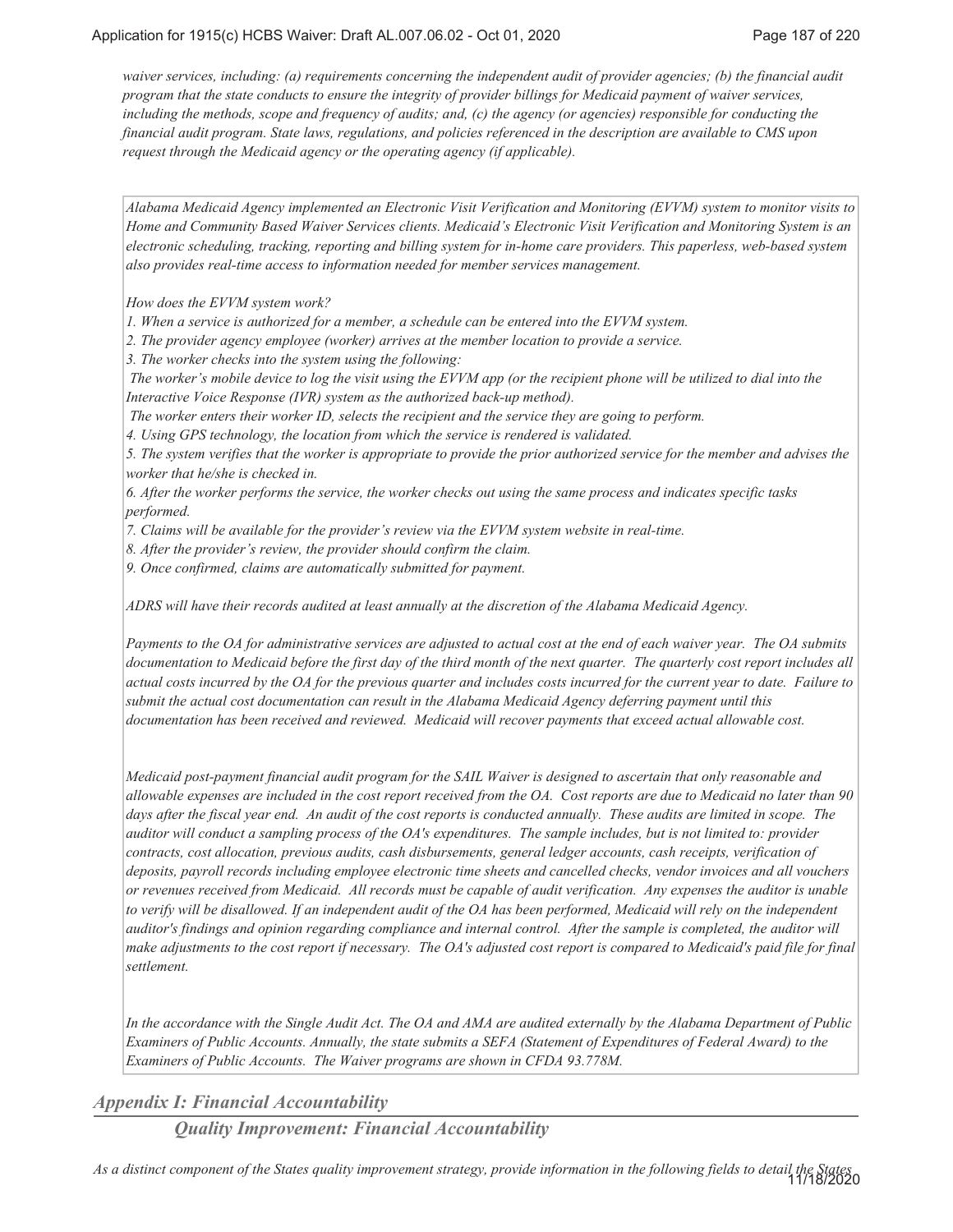*waiver services, including: (a) requirements concerning the independent audit of provider agencies; (b) the financial audit program that the state conducts to ensure the integrity of provider billings for Medicaid payment of waiver services, including the methods, scope and frequency of audits; and, (c) the agency (or agencies) responsible for conducting the financial audit program. State laws, regulations, and policies referenced in the description are available to CMS upon request through the Medicaid agency or the operating agency (if applicable).*

*Alabama Medicaid Agency implemented an Electronic Visit Verification and Monitoring (EVVM) system to monitor visits to Home and Community Based Waiver Services clients. Medicaid's Electronic Visit Verification and Monitoring System is an electronic scheduling, tracking, reporting and billing system for in-home care providers. This paperless, web-based system also provides real-time access to information needed for member services management.*

*How does the EVVM system work?*

*1. When a service is authorized for a member, a schedule can be entered into the EVVM system.*

*2. The provider agency employee (worker) arrives at the member location to provide a service.*

*3. The worker checks into the system using the following:*

 *The worker's mobile device to log the visit using the EVVM app (or the recipient phone will be utilized to dial into the Interactive Voice Response (IVR) system as the authorized back-up method).*

 *The worker enters their worker ID, selects the recipient and the service they are going to perform.*

*4. Using GPS technology, the location from which the service is rendered is validated.*

*5. The system verifies that the worker is appropriate to provide the prior authorized service for the member and advises the worker that he/she is checked in.*

*6. After the worker performs the service, the worker checks out using the same process and indicates specific tasks performed.*

*7. Claims will be available for the provider's review via the EVVM system website in real-time.*

*8. After the provider's review, the provider should confirm the claim.*

*9. Once confirmed, claims are automatically submitted for payment.*

*ADRS will have their records audited at least annually at the discretion of the Alabama Medicaid Agency.*

*Payments to the OA for administrative services are adjusted to actual cost at the end of each waiver year. The OA submits documentation to Medicaid before the first day of the third month of the next quarter. The quarterly cost report includes all actual costs incurred by the OA for the previous quarter and includes costs incurred for the current year to date. Failure to submit the actual cost documentation can result in the Alabama Medicaid Agency deferring payment until this documentation has been received and reviewed. Medicaid will recover payments that exceed actual allowable cost.*

*Medicaid post-payment financial audit program for the SAIL Waiver is designed to ascertain that only reasonable and allowable expenses are included in the cost report received from the OA. Cost reports are due to Medicaid no later than 90 days after the fiscal year end. An audit of the cost reports is conducted annually. These audits are limited in scope. The auditor will conduct a sampling process of the OA's expenditures. The sample includes, but is not limited to: provider contracts, cost allocation, previous audits, cash disbursements, general ledger accounts, cash receipts, verification of deposits, payroll records including employee electronic time sheets and cancelled checks, vendor invoices and all vouchers or revenues received from Medicaid. All records must be capable of audit verification. Any expenses the auditor is unable to verify will be disallowed. If an independent audit of the OA has been performed, Medicaid will rely on the independent auditor's findings and opinion regarding compliance and internal control. After the sample is completed, the auditor will make adjustments to the cost report if necessary. The OA's adjusted cost report is compared to Medicaid's paid file for final settlement.*

*In the accordance with the Single Audit Act. The OA and AMA are audited externally by the Alabama Department of Public Examiners of Public Accounts. Annually, the state submits a SEFA (Statement of Expenditures of Federal Award) to the Examiners of Public Accounts. The Waiver programs are shown in CFDA 93.778M.*

*Appendix I: Financial Accountability*

*Quality Improvement: Financial Accountability*

*As a distinct component of the States quality improvement strategy, provide information in the following fields to detail the States* 11/18/2020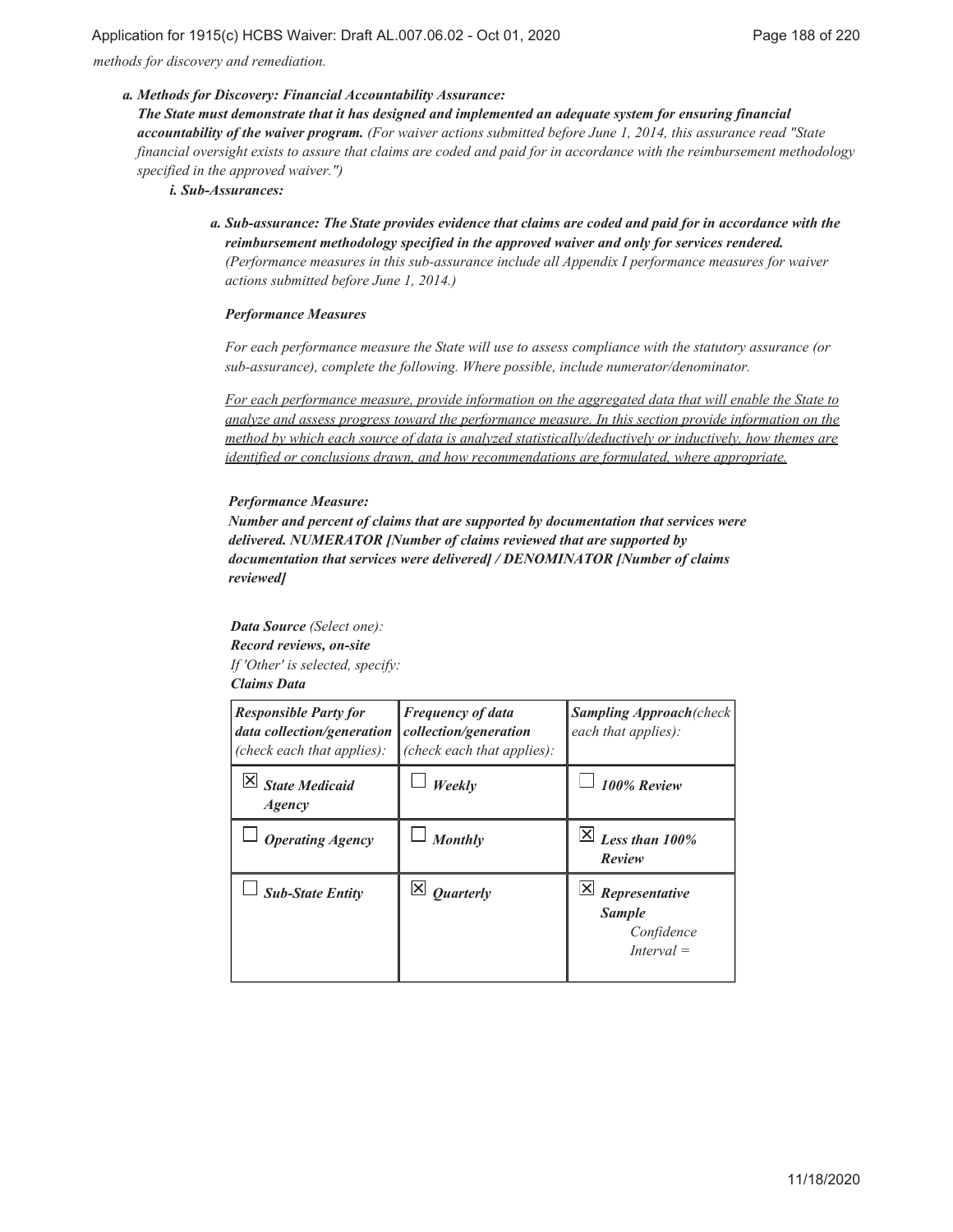*methods for discovery and remediation.*

#### *Methods for Discovery: Financial Accountability Assurance: a.*

*The State must demonstrate that it has designed and implemented an adequate system for ensuring financial accountability of the waiver program. (For waiver actions submitted before June 1, 2014, this assurance read "State financial oversight exists to assure that claims are coded and paid for in accordance with the reimbursement methodology specified in the approved waiver.")*

*Sub-Assurances: i.*

*Sub-assurance: The State provides evidence that claims are coded and paid for in accordance with the a. reimbursement methodology specified in the approved waiver and only for services rendered. (Performance measures in this sub-assurance include all Appendix I performance measures for waiver actions submitted before June 1, 2014.)*

#### *Performance Measures*

*For each performance measure the State will use to assess compliance with the statutory assurance (or sub-assurance), complete the following. Where possible, include numerator/denominator.*

*For each performance measure, provide information on the aggregated data that will enable the State to analyze and assess progress toward the performance measure. In this section provide information on the method by which each source of data is analyzed statistically/deductively or inductively, how themes are identified or conclusions drawn, and how recommendations are formulated, where appropriate.*

#### *Performance Measure:*

*Number and percent of claims that are supported by documentation that services were delivered. NUMERATOR [Number of claims reviewed that are supported by documentation that services were delivered] / DENOMINATOR [Number of claims reviewed]*

*Data Source (Select one): Record reviews, on-site If 'Other' is selected, specify: Claims Data*

| <b>Responsible Party for</b><br>data collection/generation<br>(check each that applies): | <b>Frequency of data</b><br>collection/generation<br>(check each that applies): | <b>Sampling Approach</b> (check<br>each that applies):        |
|------------------------------------------------------------------------------------------|---------------------------------------------------------------------------------|---------------------------------------------------------------|
| $\boxtimes$ State Medicaid<br>Agency                                                     | Weekly                                                                          | 100% Review                                                   |
| <b>Operating Agency</b>                                                                  | <b>Monthly</b>                                                                  | Less than 100%<br>Review                                      |
| <b>Sub-State Entity</b>                                                                  | $\vert \times \vert$ <i>Quarterly</i>                                           | Representative<br><b>Sample</b><br>Confidence<br>$Interval =$ |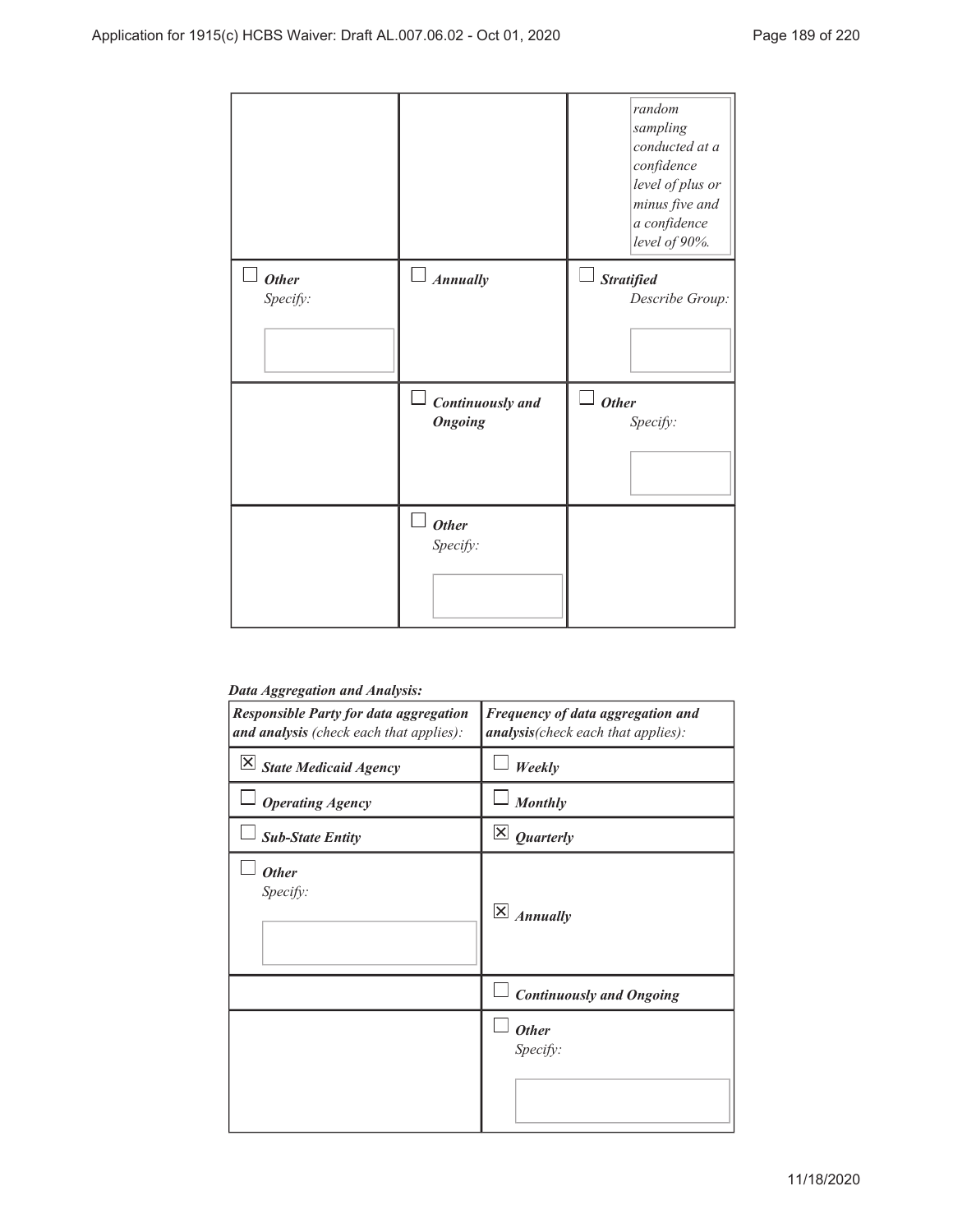|                          |                                    | random<br>sampling<br>conducted at a<br>confidence<br>level of plus or<br>minus five and<br>a confidence<br>level of 90%. |
|--------------------------|------------------------------------|---------------------------------------------------------------------------------------------------------------------------|
| <b>Other</b><br>Specify: | $\Box$ Annually                    | <b>Stratified</b><br>Describe Group:                                                                                      |
|                          | Continuously and<br><b>Ongoing</b> | <b>Other</b><br>Specify:                                                                                                  |
|                          | <b>Other</b><br>Specify:           |                                                                                                                           |

## *Data Aggregation and Analysis:*

| <b>Responsible Party for data aggregation</b><br>and analysis (check each that applies): | Frequency of data aggregation and<br>analysis(check each that applies): |
|------------------------------------------------------------------------------------------|-------------------------------------------------------------------------|
| $\overline{\mathsf{X}}$ State Medicaid Agency                                            | Weekly                                                                  |
| <b>Operating Agency</b>                                                                  | <b>Monthly</b>                                                          |
| <b>Sub-State Entity</b>                                                                  | $\overline{\mathsf{x}}$<br><b>Quarterly</b>                             |
| <b>Other</b><br>Specify:                                                                 | $\overline{\mathsf{x}}$<br><b>Annually</b>                              |
|                                                                                          | <b>Continuously and Ongoing</b>                                         |
|                                                                                          | <b>Other</b><br>Specify:                                                |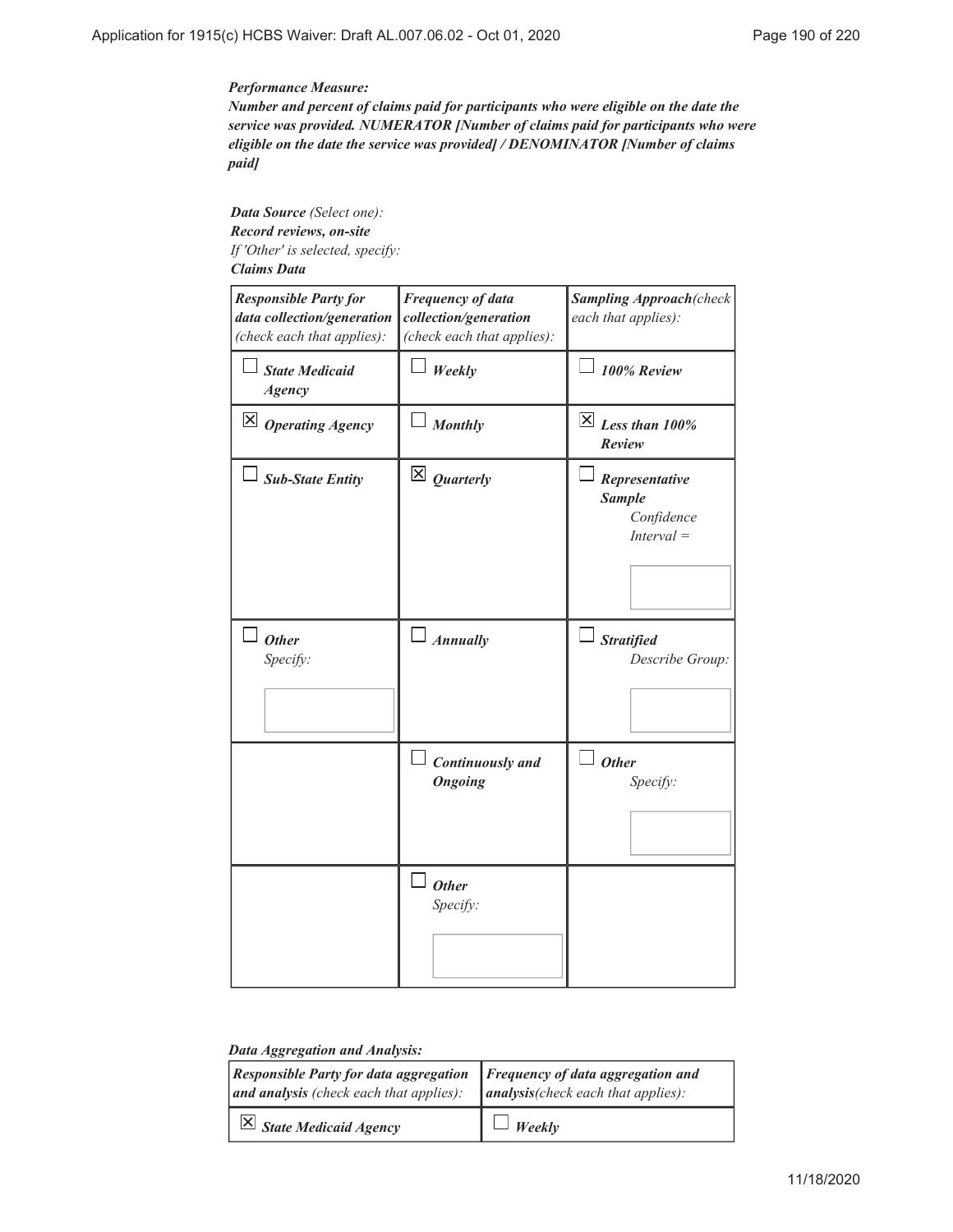### *Performance Measure:*

*Number and percent of claims paid for participants who were eligible on the date the service was provided. NUMERATOR [Number of claims paid for participants who were eligible on the date the service was provided] / DENOMINATOR [Number of claims paid]*

*Data Source (Select one): Record reviews, on-site If 'Other' is selected, specify: Claims Data*

| <b>Responsible Party for</b><br>data collection/generation<br>(check each that applies): | <b>Frequency of data</b><br>collection/generation<br>(check each that applies): | <b>Sampling Approach</b> (check<br>each that applies):        |
|------------------------------------------------------------------------------------------|---------------------------------------------------------------------------------|---------------------------------------------------------------|
| <b>State Medicaid</b><br><b>Agency</b>                                                   | Weekly                                                                          | 100% Review                                                   |
| $\boxtimes$ Operating Agency                                                             | <b>Monthly</b>                                                                  | $\boxtimes$ Less than 100%<br>Review                          |
| <b>Sub-State Entity</b>                                                                  | $\overline{\mathsf{x}}$ Quarterly                                               | Representative<br><b>Sample</b><br>Confidence<br>$Interval =$ |
| <b>Other</b><br>Specify:                                                                 | $\Box$ Annually                                                                 | <b>Stratified</b><br>Describe Group:                          |
|                                                                                          | Continuously and<br><b>Ongoing</b>                                              | <b>Other</b><br>Specify:                                      |
|                                                                                          | $\Box$ Other<br>Specify:                                                        |                                                               |

### *Data Aggregation and Analysis:*

| $\vert$ Responsible Party for data aggregation $\vert$ Frequency of data aggregation and<br>and analysis (check each that applies): | $ $ analysis(check each that applies): |
|-------------------------------------------------------------------------------------------------------------------------------------|----------------------------------------|
| $\overline{X}$ State Medicaid Agency                                                                                                | $\Box$ Weekly                          |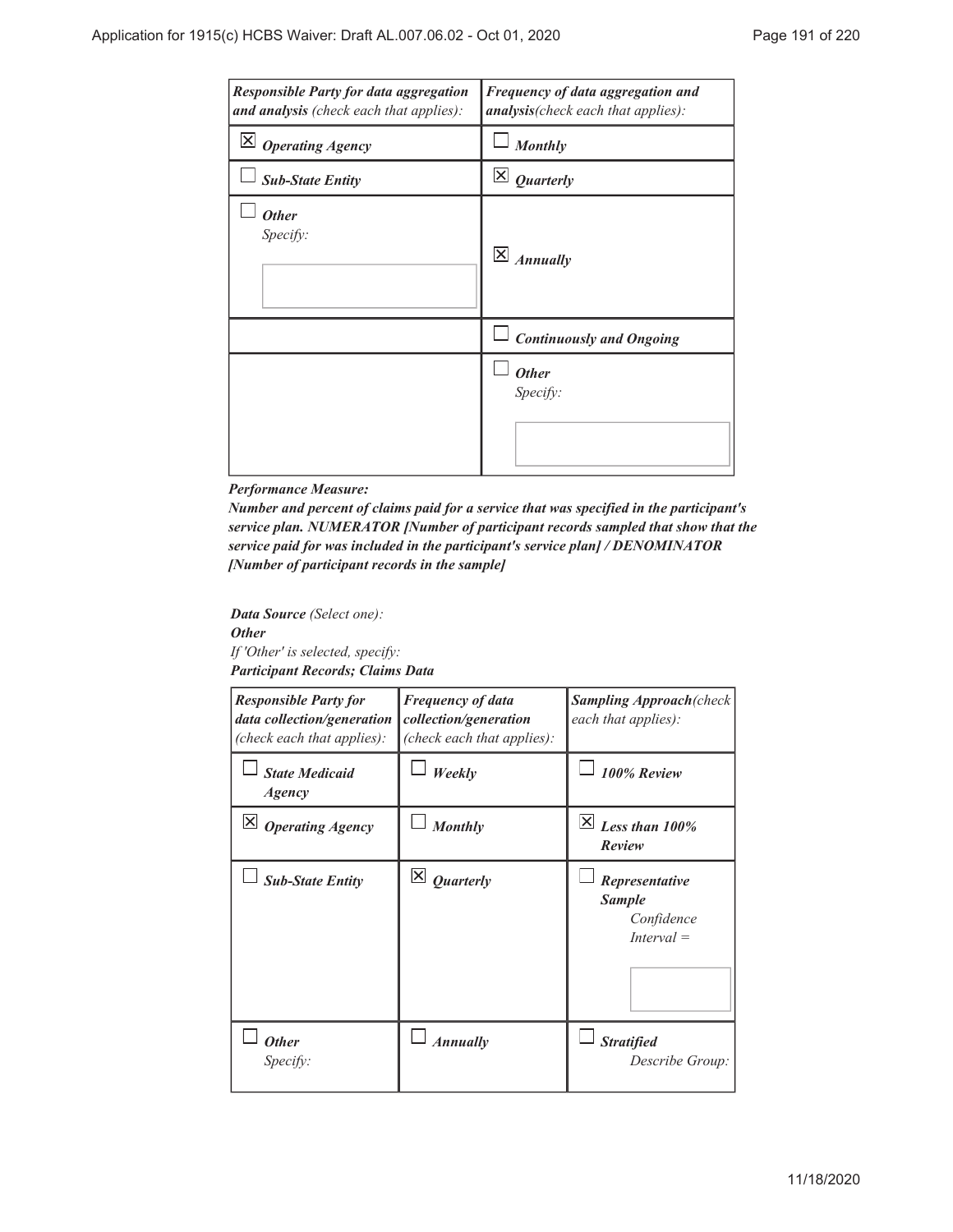| <b>Responsible Party for data aggregation</b><br>and analysis (check each that applies): | Frequency of data aggregation and<br>analysis(check each that applies): |
|------------------------------------------------------------------------------------------|-------------------------------------------------------------------------|
| Ι×Ι<br><b>Operating Agency</b>                                                           | <b>Monthly</b>                                                          |
| <b>Sub-State Entity</b>                                                                  | $\mathsf{\times}$<br><b>Quarterly</b>                                   |
| <b>Other</b><br>Specify:                                                                 | $\vert \times \vert$<br><b>Annually</b>                                 |
|                                                                                          | <b>Continuously and Ongoing</b>                                         |
|                                                                                          | <b>Other</b><br>Specify:                                                |

#### *Performance Measure:*

*Number and percent of claims paid for a service that was specified in the participant's service plan. NUMERATOR [Number of participant records sampled that show that the service paid for was included in the participant's service plan] / DENOMINATOR [Number of participant records in the sample]*

*Data Source (Select one): Other If 'Other' is selected, specify: Participant Records; Claims Data*

| <b>Responsible Party for</b><br>data collection/generation<br>(check each that applies): | <b>Frequency of data</b><br>collection/generation<br>(check each that applies): | <b>Sampling Approach</b> (check<br>each that applies):        |
|------------------------------------------------------------------------------------------|---------------------------------------------------------------------------------|---------------------------------------------------------------|
| <b>State Medicaid</b><br>Agency                                                          | Weekly                                                                          | 100% Review                                                   |
| $\boxtimes$ Operating Agency                                                             | <b>Monthly</b>                                                                  | X <br>Less than 100%<br>Review                                |
| <b>Sub-State Entity</b>                                                                  | $\mathsf{\underline{x}}$<br><b>Quarterly</b>                                    | Representative<br><b>Sample</b><br>Confidence<br>$Interval =$ |
| <b>Other</b><br>Specify:                                                                 | <b>Annually</b>                                                                 | <b>Stratified</b><br>Describe Group:                          |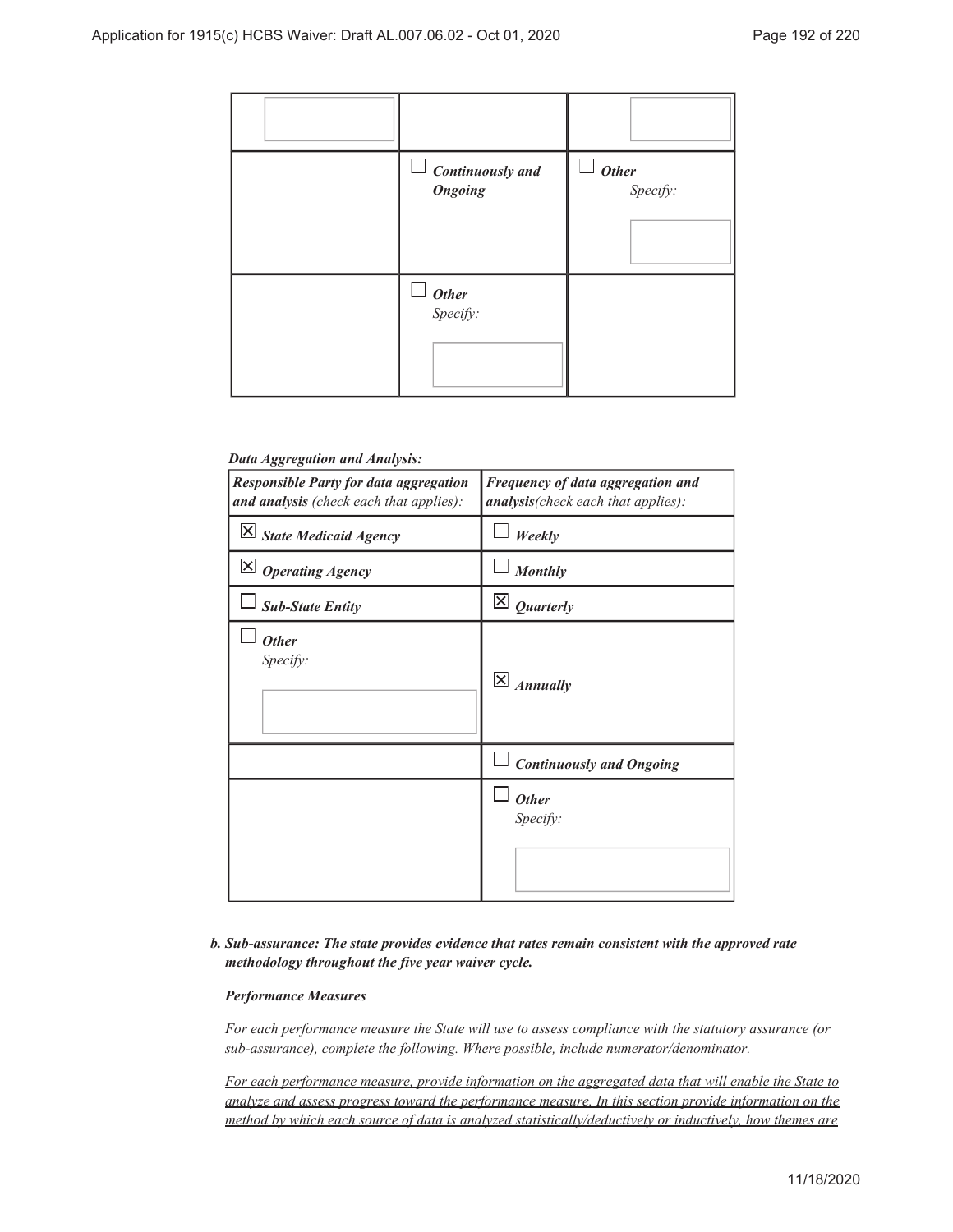

### *Data Aggregation and Analysis:*

| <b>Responsible Party for data aggregation</b><br>and analysis (check each that applies): | Frequency of data aggregation and<br>analysis(check each that applies): |
|------------------------------------------------------------------------------------------|-------------------------------------------------------------------------|
| $\vert X \vert$ State Medicaid Agency                                                    | Weekly                                                                  |
| $\vert \mathsf{X} \vert$ Operating Agency                                                | <b>Monthly</b>                                                          |
| <b>Sub-State Entity</b>                                                                  | $\mathsf{\underline{x}}$<br>Quarterly                                   |
| <b>Other</b><br>Specify:                                                                 | $\overline{\mathsf{x}}$<br><b>Annually</b>                              |
|                                                                                          | <b>Continuously and Ongoing</b>                                         |
|                                                                                          | <b>Other</b><br>Specify:                                                |

## *Sub-assurance: The state provides evidence that rates remain consistent with the approved rate b. methodology throughout the five year waiver cycle.*

### *Performance Measures*

*For each performance measure the State will use to assess compliance with the statutory assurance (or sub-assurance), complete the following. Where possible, include numerator/denominator.*

*For each performance measure, provide information on the aggregated data that will enable the State to analyze and assess progress toward the performance measure. In this section provide information on the method by which each source of data is analyzed statistically/deductively or inductively, how themes are*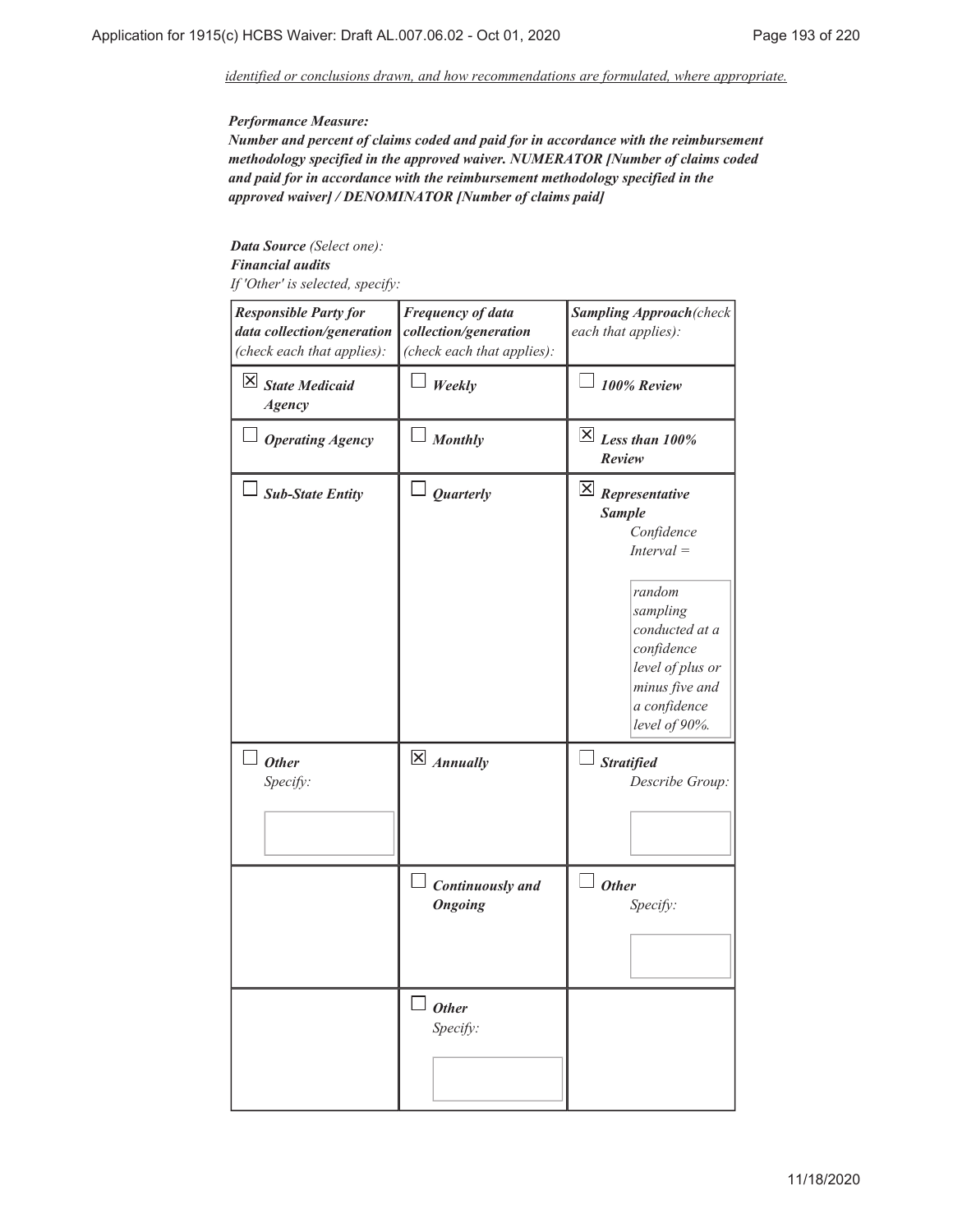*identified or conclusions drawn, and how recommendations are formulated, where appropriate.*

### *Performance Measure:*

*Number and percent of claims coded and paid for in accordance with the reimbursement methodology specified in the approved waiver. NUMERATOR [Number of claims coded and paid for in accordance with the reimbursement methodology specified in the approved waiver] / DENOMINATOR [Number of claims paid]*

*Data Source (Select one): Financial audits If 'Other' is selected, specify:*

| <b>Responsible Party for</b><br>data collection/generation<br>(check each that applies): | <b>Frequency of data</b><br>collection/generation<br>(check each that applies): | <b>Sampling Approach</b> (check<br>each that applies):                                                                                                                                                             |
|------------------------------------------------------------------------------------------|---------------------------------------------------------------------------------|--------------------------------------------------------------------------------------------------------------------------------------------------------------------------------------------------------------------|
| $\boxtimes$ State Medicaid<br><b>Agency</b>                                              | Weekly                                                                          | 100% Review                                                                                                                                                                                                        |
| <b>Operating Agency</b>                                                                  | <b>Monthly</b>                                                                  | $\overline{X}$ Less than 100%<br>Review                                                                                                                                                                            |
| <b>Sub-State Entity</b>                                                                  | <b>Quarterly</b>                                                                | $\overline{\mathsf{X}}$ Representative<br><b>Sample</b><br>Confidence<br>$Interval =$<br>random<br>sampling<br>conducted at a<br>confidence<br>level of plus or<br>minus five and<br>a confidence<br>level of 90%. |
| $\Box$ Other<br>Specify:                                                                 | $\overline{\mathsf{X}}$ Annually                                                | <b>Stratified</b><br>Describe Group:                                                                                                                                                                               |
|                                                                                          | <b>Continuously</b> and<br><b>Ongoing</b>                                       | <b>Other</b><br>Specify:                                                                                                                                                                                           |
|                                                                                          | <b>Other</b><br>Specify:                                                        |                                                                                                                                                                                                                    |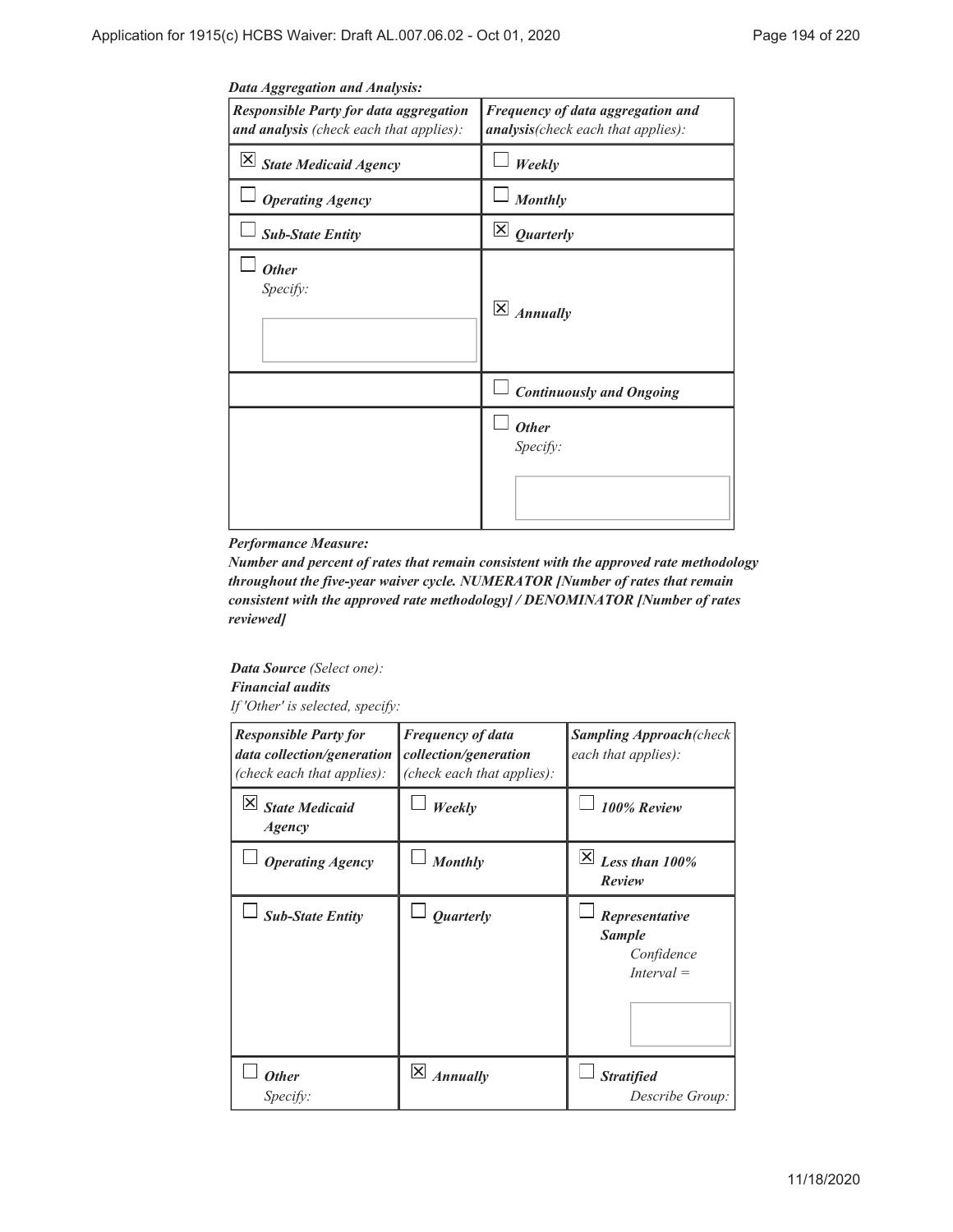| Data Aggregation and Analysis:                                                           |                                                                         |
|------------------------------------------------------------------------------------------|-------------------------------------------------------------------------|
| <b>Responsible Party for data aggregation</b><br>and analysis (check each that applies): | Frequency of data aggregation and<br>analysis(check each that applies): |
| $\vert X \vert$ State Medicaid Agency                                                    | Weekly                                                                  |
| <b>Operating Agency</b>                                                                  | <b>Monthly</b>                                                          |
| <b>Sub-State Entity</b>                                                                  | $\vert\mathsf{X}\vert$<br><b>Quarterly</b>                              |
| <b>Other</b><br>Specify:                                                                 | $\overline{\mathsf{x}}$<br><b>Annually</b>                              |
|                                                                                          | <b>Continuously and Ongoing</b>                                         |
|                                                                                          | <b>Other</b><br>Specify:                                                |

## *Data Aggregation and Analysis:*

### *Performance Measure:*

*Number and percent of rates that remain consistent with the approved rate methodology throughout the five-year waiver cycle. NUMERATOR [Number of rates that remain consistent with the approved rate methodology] / DENOMINATOR [Number of rates reviewed]*

*Data Source (Select one): Financial audits If 'Other' is selected, specify:*

| <b>Responsible Party for</b><br>data collection/generation<br>(check each that applies): | <b>Frequency of data</b><br>collection/generation<br>(check each that applies): | <b>Sampling Approach(check</b><br>each that applies):         |
|------------------------------------------------------------------------------------------|---------------------------------------------------------------------------------|---------------------------------------------------------------|
| X <br><b>State Medicaid</b><br><i>Agency</i>                                             | Weekly                                                                          | 100% Review                                                   |
| <b>Operating Agency</b>                                                                  | <b>Monthly</b>                                                                  | X <br>Less than 100%<br>Review                                |
| <b>Sub-State Entity</b>                                                                  | <b>Ouarterly</b>                                                                | Representative<br><b>Sample</b><br>Confidence<br>$Interval =$ |
| <b>Other</b><br>Specify:                                                                 | $\left \times\right $<br><b>Annually</b>                                        | <b>Stratified</b><br>Describe Group:                          |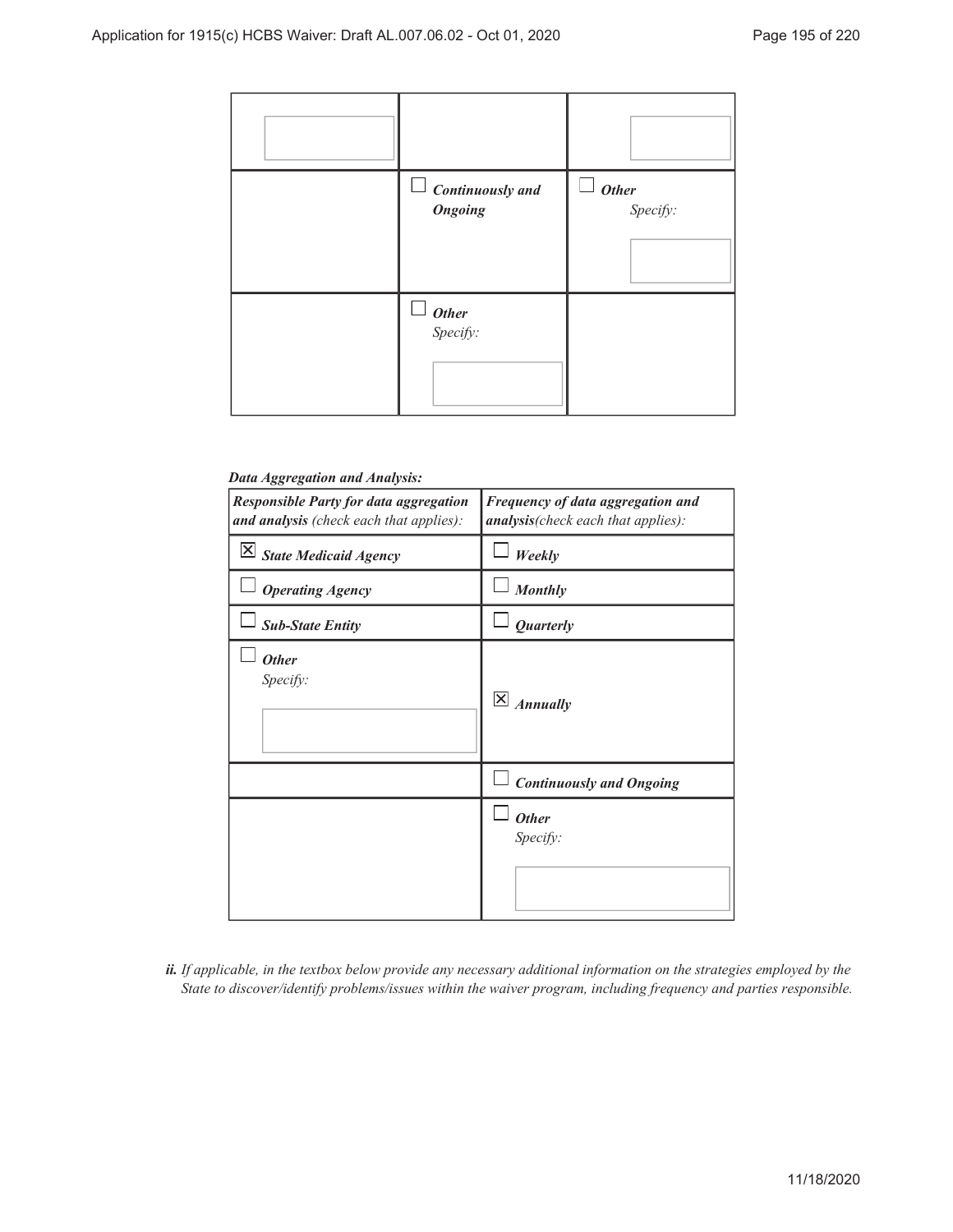| <b>Continuously</b> and<br>$\overline{\phantom{a}}$<br><b>Ongoing</b> | <b>Other</b><br>Specify: |
|-----------------------------------------------------------------------|--------------------------|
| $\Box$ <b>Other</b><br>Specify:                                       |                          |

## *Data Aggregation and Analysis:*

| <b>Responsible Party for data aggregation</b><br>and analysis (check each that applies): | <b>Frequency of data aggregation and</b><br>analysis(check each that applies): |
|------------------------------------------------------------------------------------------|--------------------------------------------------------------------------------|
| $\vert X \vert$ State Medicaid Agency                                                    | Weekly                                                                         |
| <b>Operating Agency</b>                                                                  | <b>Monthly</b>                                                                 |
| <b>Sub-State Entity</b>                                                                  | <b>Quarterly</b>                                                               |
| <b>Other</b><br>Specify:                                                                 | $\mathsf{\underline{x}}$<br><b>Annually</b>                                    |
|                                                                                          | <b>Continuously and Ongoing</b>                                                |
|                                                                                          | <b>Other</b><br>Specify:                                                       |

*If applicable, in the textbox below provide any necessary additional information on the strategies employed by the ii. State to discover/identify problems/issues within the waiver program, including frequency and parties responsible.*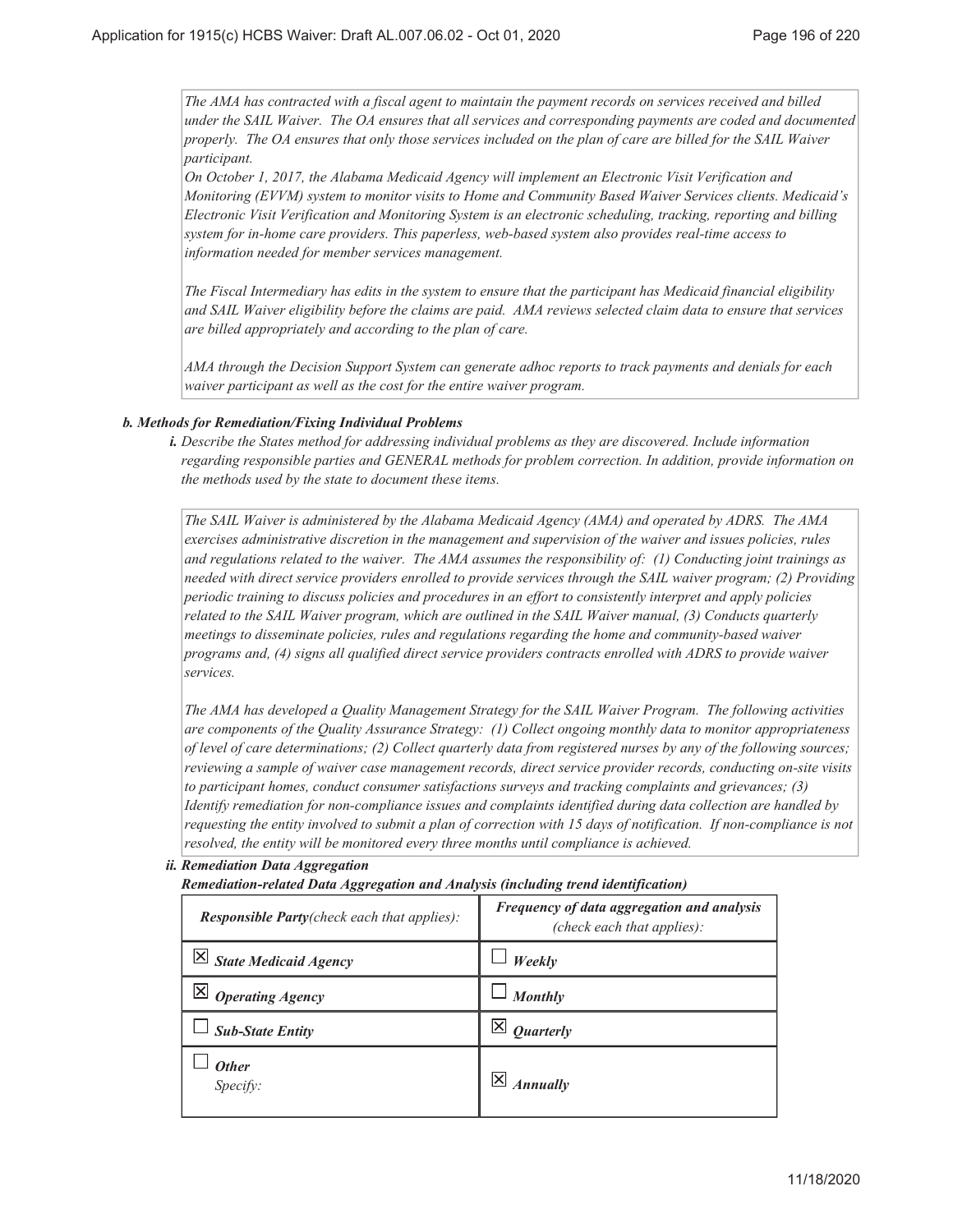*The AMA has contracted with a fiscal agent to maintain the payment records on services received and billed under the SAIL Waiver. The OA ensures that all services and corresponding payments are coded and documented properly. The OA ensures that only those services included on the plan of care are billed for the SAIL Waiver participant.*

*On October 1, 2017, the Alabama Medicaid Agency will implement an Electronic Visit Verification and Monitoring (EVVM) system to monitor visits to Home and Community Based Waiver Services clients. Medicaid's Electronic Visit Verification and Monitoring System is an electronic scheduling, tracking, reporting and billing system for in-home care providers. This paperless, web-based system also provides real-time access to information needed for member services management.*

*The Fiscal Intermediary has edits in the system to ensure that the participant has Medicaid financial eligibility and SAIL Waiver eligibility before the claims are paid. AMA reviews selected claim data to ensure that services are billed appropriately and according to the plan of care.*

*AMA through the Decision Support System can generate adhoc reports to track payments and denials for each waiver participant as well as the cost for the entire waiver program.*

### *Methods for Remediation/Fixing Individual Problems b.*

*Describe the States method for addressing individual problems as they are discovered. Include information i. regarding responsible parties and GENERAL methods for problem correction. In addition, provide information on the methods used by the state to document these items.*

*The SAIL Waiver is administered by the Alabama Medicaid Agency (AMA) and operated by ADRS. The AMA exercises administrative discretion in the management and supervision of the waiver and issues policies, rules and regulations related to the waiver. The AMA assumes the responsibility of: (1) Conducting joint trainings as needed with direct service providers enrolled to provide services through the SAIL waiver program; (2) Providing periodic training to discuss policies and procedures in an effort to consistently interpret and apply policies related to the SAIL Waiver program, which are outlined in the SAIL Waiver manual, (3) Conducts quarterly meetings to disseminate policies, rules and regulations regarding the home and community-based waiver programs and, (4) signs all qualified direct service providers contracts enrolled with ADRS to provide waiver services.*

*The AMA has developed a Quality Management Strategy for the SAIL Waiver Program. The following activities are components of the Quality Assurance Strategy: (1) Collect ongoing monthly data to monitor appropriateness of level of care determinations; (2) Collect quarterly data from registered nurses by any of the following sources; reviewing a sample of waiver case management records, direct service provider records, conducting on-site visits to participant homes, conduct consumer satisfactions surveys and tracking complaints and grievances; (3) Identify remediation for non-compliance issues and complaints identified during data collection are handled by requesting the entity involved to submit a plan of correction with 15 days of notification. If non-compliance is not resolved, the entity will be monitored every three months until compliance is achieved.*

### *Remediation Data Aggregation ii.*

*Remediation-related Data Aggregation and Analysis (including trend identification)*

| <b>Responsible Party</b> (check each that applies): | Frequency of data aggregation and analysis<br>(check each that applies): |
|-----------------------------------------------------|--------------------------------------------------------------------------|
| $ \mathsf{X} $ State Medicaid Agency                | Weekly                                                                   |
| <b>Operating Agency</b>                             | Monthly                                                                  |
| <b>Sub-State Entity</b>                             | <b>Quarterly</b>                                                         |
| <b>Other</b><br>Specify:                            | <b>Annually</b>                                                          |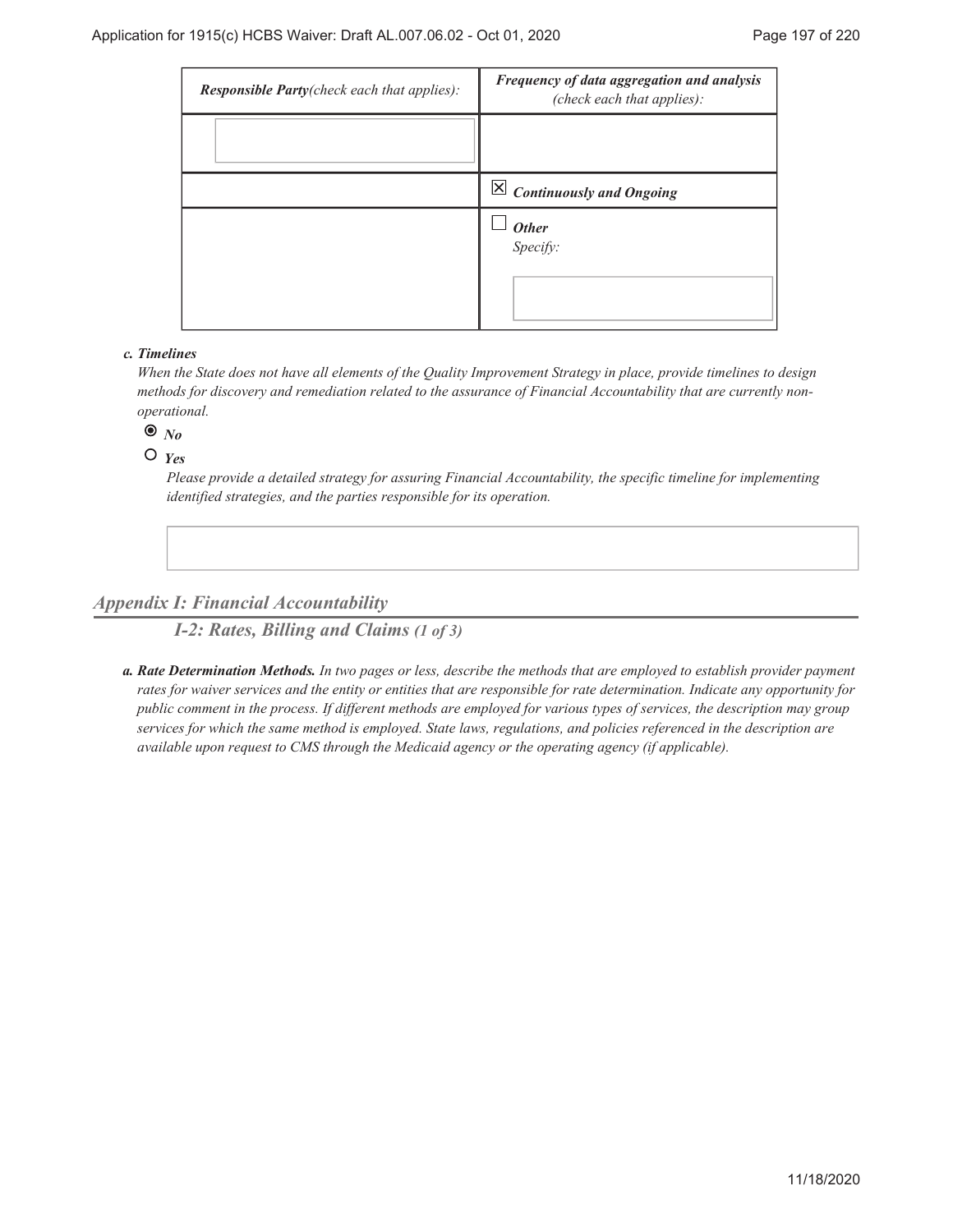| <b>Responsible Party</b> (check each that applies): | Frequency of data aggregation and analysis<br>(check each that applies): |
|-----------------------------------------------------|--------------------------------------------------------------------------|
|                                                     |                                                                          |
|                                                     | $\boxed{\times}$ Continuously and Ongoing                                |
|                                                     | $\frac{1}{2}$ Other<br>Specify:                                          |

### *Timelines c.*

*When the State does not have all elements of the Quality Improvement Strategy in place, provide timelines to design methods for discovery and remediation related to the assurance of Financial Accountability that are currently nonoperational.*

 $\bullet$   $N_o$ 

 $O$   $Y_{PS}$ 

*Please provide a detailed strategy for assuring Financial Accountability, the specific timeline for implementing identified strategies, and the parties responsible for its operation.*

# *Appendix I: Financial Accountability*

*I-2: Rates, Billing and Claims (1 of 3)*

*Rate Determination Methods. In two pages or less, describe the methods that are employed to establish provider payment a. rates for waiver services and the entity or entities that are responsible for rate determination. Indicate any opportunity for public comment in the process. If different methods are employed for various types of services, the description may group services for which the same method is employed. State laws, regulations, and policies referenced in the description are available upon request to CMS through the Medicaid agency or the operating agency (if applicable).*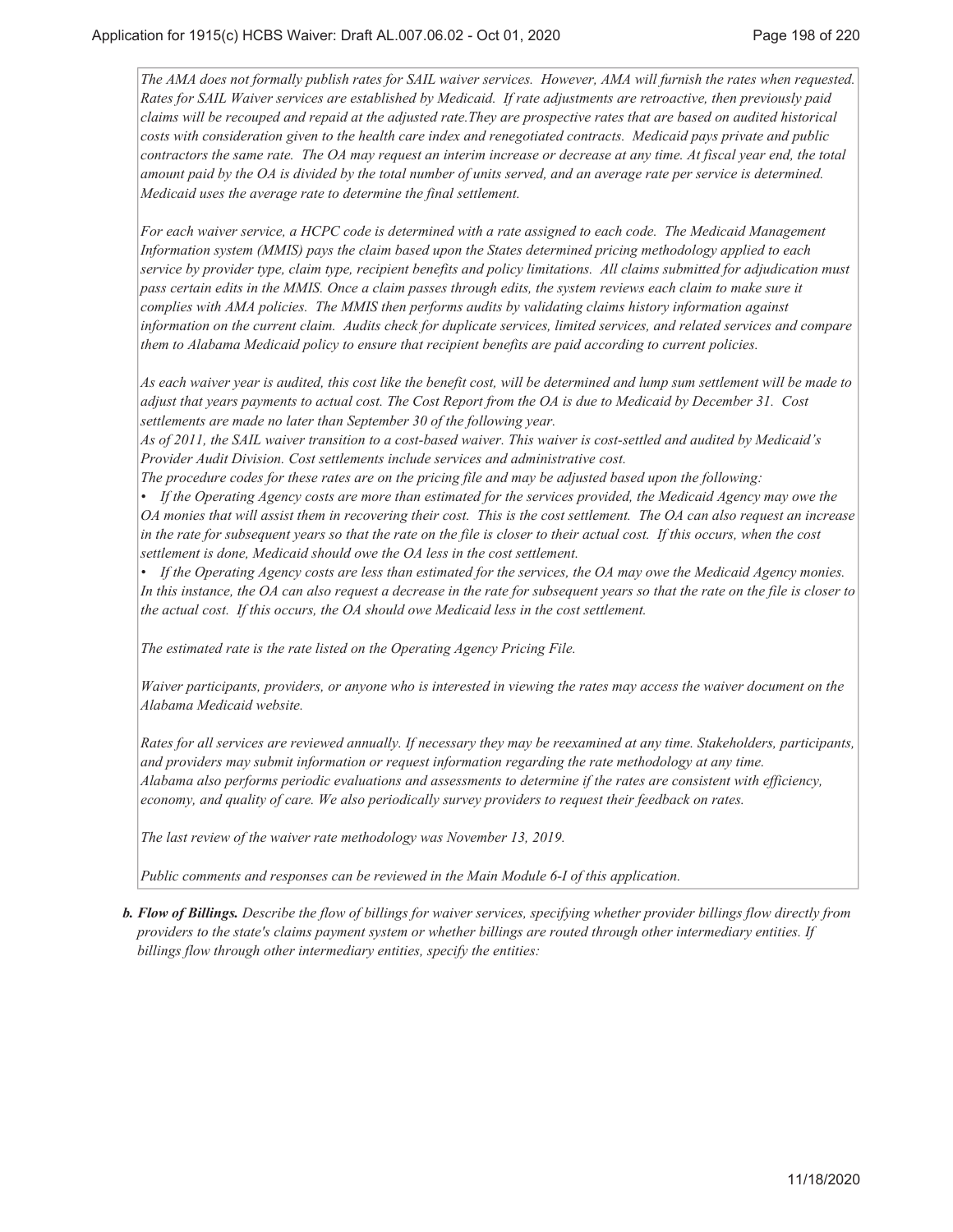*The AMA does not formally publish rates for SAIL waiver services. However, AMA will furnish the rates when requested. Rates for SAIL Waiver services are established by Medicaid. If rate adjustments are retroactive, then previously paid claims will be recouped and repaid at the adjusted rate.They are prospective rates that are based on audited historical costs with consideration given to the health care index and renegotiated contracts. Medicaid pays private and public contractors the same rate. The OA may request an interim increase or decrease at any time. At fiscal year end, the total amount paid by the OA is divided by the total number of units served, and an average rate per service is determined. Medicaid uses the average rate to determine the final settlement.*

*For each waiver service, a HCPC code is determined with a rate assigned to each code. The Medicaid Management Information system (MMIS) pays the claim based upon the States determined pricing methodology applied to each service by provider type, claim type, recipient benefits and policy limitations. All claims submitted for adjudication must pass certain edits in the MMIS. Once a claim passes through edits, the system reviews each claim to make sure it complies with AMA policies. The MMIS then performs audits by validating claims history information against information on the current claim. Audits check for duplicate services, limited services, and related services and compare them to Alabama Medicaid policy to ensure that recipient benefits are paid according to current policies.*

*As each waiver year is audited, this cost like the benefit cost, will be determined and lump sum settlement will be made to adjust that years payments to actual cost. The Cost Report from the OA is due to Medicaid by December 31. Cost settlements are made no later than September 30 of the following year.*

*As of 2011, the SAIL waiver transition to a cost-based waiver. This waiver is cost-settled and audited by Medicaid's Provider Audit Division. Cost settlements include services and administrative cost.*

*The procedure codes for these rates are on the pricing file and may be adjusted based upon the following:*

*• If the Operating Agency costs are more than estimated for the services provided, the Medicaid Agency may owe the OA monies that will assist them in recovering their cost. This is the cost settlement. The OA can also request an increase in the rate for subsequent years so that the rate on the file is closer to their actual cost. If this occurs, when the cost settlement is done, Medicaid should owe the OA less in the cost settlement.*

*• If the Operating Agency costs are less than estimated for the services, the OA may owe the Medicaid Agency monies. In this instance, the OA can also request a decrease in the rate for subsequent years so that the rate on the file is closer to the actual cost. If this occurs, the OA should owe Medicaid less in the cost settlement.*

*The estimated rate is the rate listed on the Operating Agency Pricing File.*

*Waiver participants, providers, or anyone who is interested in viewing the rates may access the waiver document on the Alabama Medicaid website.*

*Rates for all services are reviewed annually. If necessary they may be reexamined at any time. Stakeholders, participants, and providers may submit information or request information regarding the rate methodology at any time. Alabama also performs periodic evaluations and assessments to determine if the rates are consistent with efficiency, economy, and quality of care. We also periodically survey providers to request their feedback on rates.*

*The last review of the waiver rate methodology was November 13, 2019.*

*Public comments and responses can be reviewed in the Main Module 6-I of this application.*

*Flow of Billings. Describe the flow of billings for waiver services, specifying whether provider billings flow directly from b. providers to the state's claims payment system or whether billings are routed through other intermediary entities. If billings flow through other intermediary entities, specify the entities:*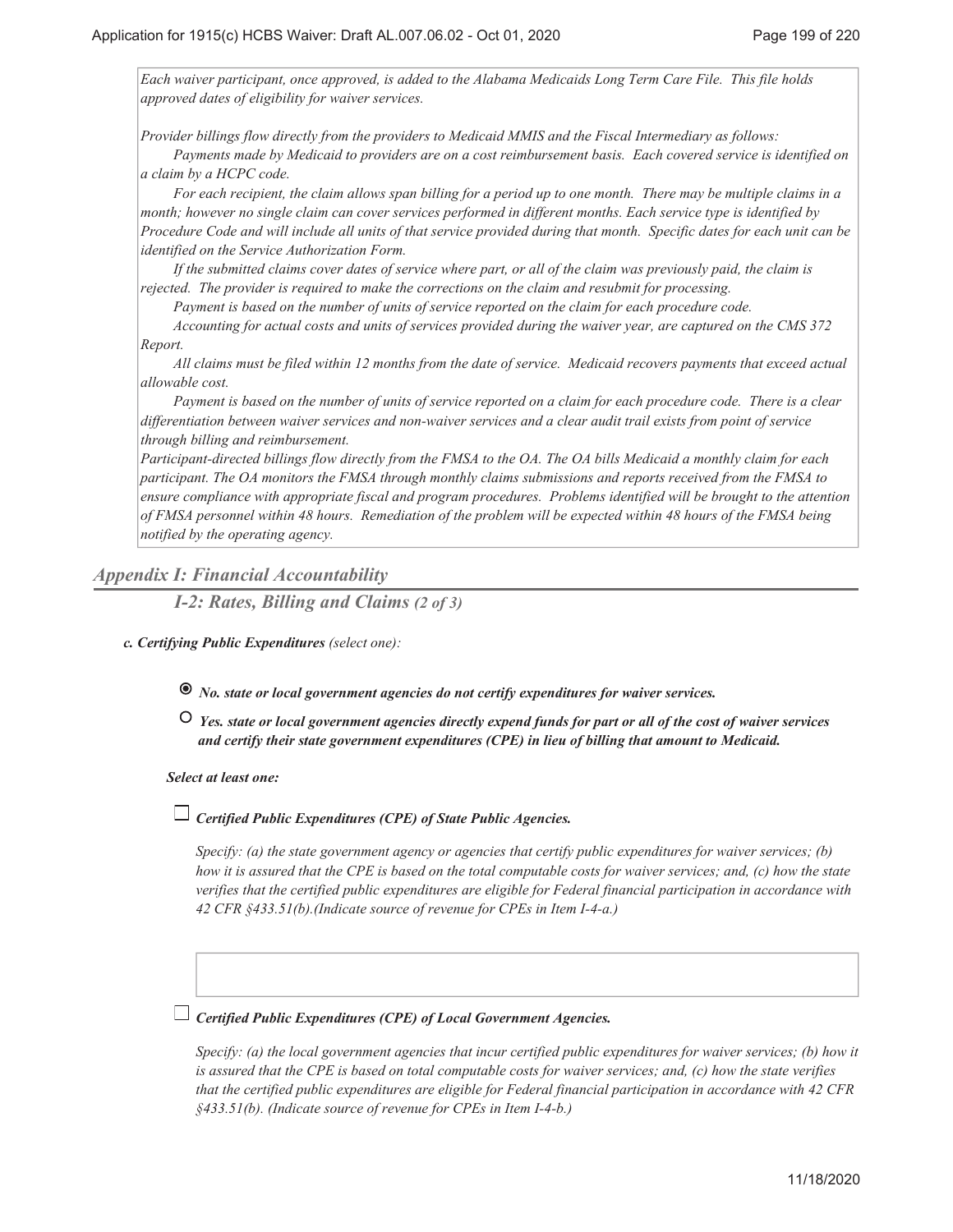*Each waiver participant, once approved, is added to the Alabama Medicaids Long Term Care File. This file holds approved dates of eligibility for waiver services.*

*Provider billings flow directly from the providers to Medicaid MMIS and the Fiscal Intermediary as follows:*

*Payments made by Medicaid to providers are on a cost reimbursement basis. Each covered service is identified on a claim by a HCPC code.*

*For each recipient, the claim allows span billing for a period up to one month. There may be multiple claims in a month; however no single claim can cover services performed in different months. Each service type is identified by Procedure Code and will include all units of that service provided during that month. Specific dates for each unit can be identified on the Service Authorization Form.*

*If the submitted claims cover dates of service where part, or all of the claim was previously paid, the claim is rejected. The provider is required to make the corrections on the claim and resubmit for processing.*

*Payment is based on the number of units of service reported on the claim for each procedure code.*

*Accounting for actual costs and units of services provided during the waiver year, are captured on the CMS 372 Report.*

*All claims must be filed within 12 months from the date of service. Medicaid recovers payments that exceed actual allowable cost.*

*Payment is based on the number of units of service reported on a claim for each procedure code. There is a clear differentiation between waiver services and non-waiver services and a clear audit trail exists from point of service through billing and reimbursement.*

*Participant-directed billings flow directly from the FMSA to the OA. The OA bills Medicaid a monthly claim for each participant. The OA monitors the FMSA through monthly claims submissions and reports received from the FMSA to ensure compliance with appropriate fiscal and program procedures. Problems identified will be brought to the attention of FMSA personnel within 48 hours. Remediation of the problem will be expected within 48 hours of the FMSA being notified by the operating agency.*

### *Appendix I: Financial Accountability*

*I-2: Rates, Billing and Claims (2 of 3)*

- *Certifying Public Expenditures (select one): c.*
	- *No. state or local government agencies do not certify expenditures for waiver services.*
	- *Yes. state or local government agencies directly expend funds for part or all of the cost of waiver services and certify their state government expenditures (CPE) in lieu of billing that amount to Medicaid.*

#### *Select at least one:*

## *Certified Public Expenditures (CPE) of State Public Agencies.*

*Specify: (a) the state government agency or agencies that certify public expenditures for waiver services; (b) how it is assured that the CPE is based on the total computable costs for waiver services; and, (c) how the state verifies that the certified public expenditures are eligible for Federal financial participation in accordance with 42 CFR §433.51(b).(Indicate source of revenue for CPEs in Item I-4-a.)*

## *Certified Public Expenditures (CPE) of Local Government Agencies.*

*Specify: (a) the local government agencies that incur certified public expenditures for waiver services; (b) how it is assured that the CPE is based on total computable costs for waiver services; and, (c) how the state verifies that the certified public expenditures are eligible for Federal financial participation in accordance with 42 CFR §433.51(b). (Indicate source of revenue for CPEs in Item I-4-b.)*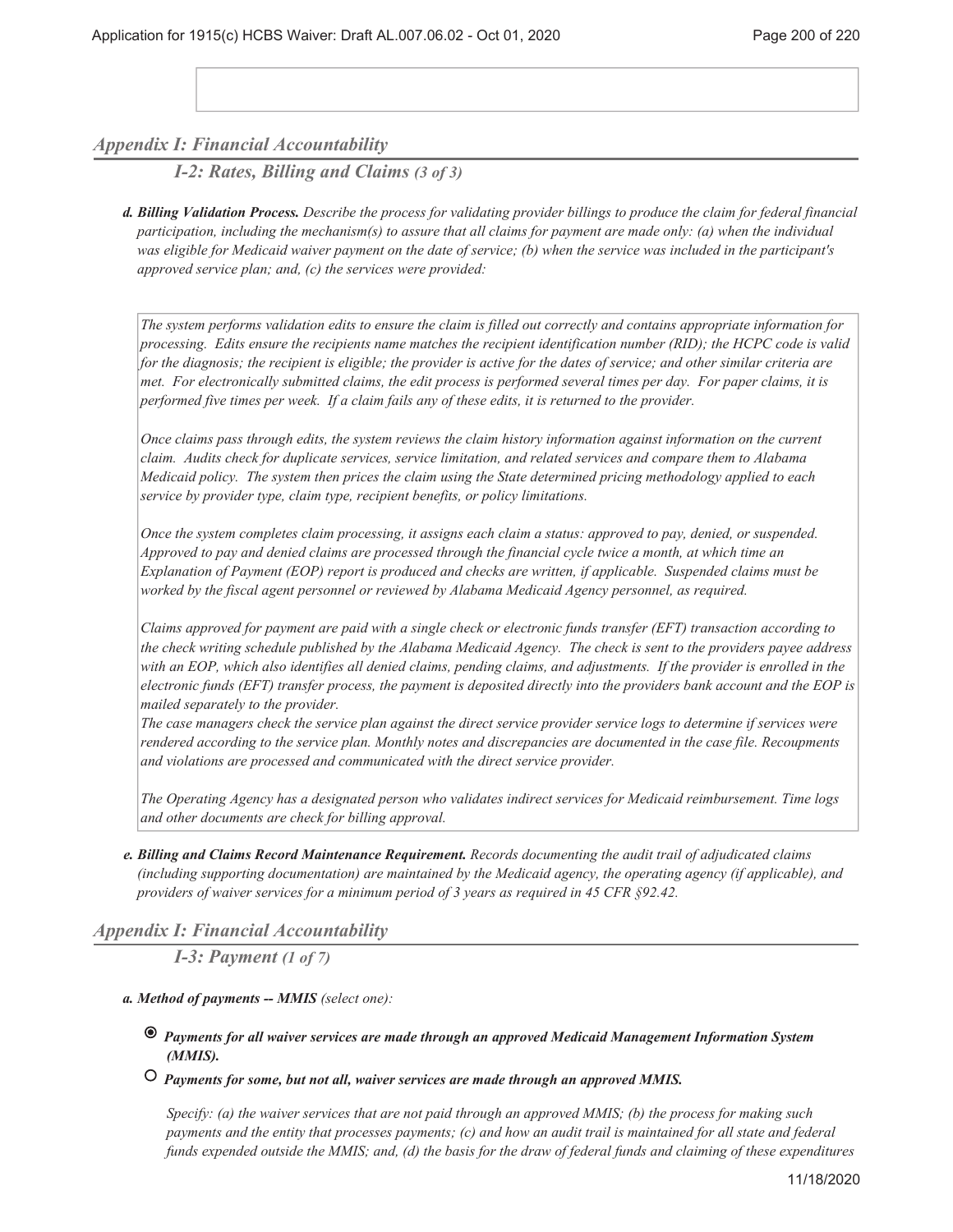## *Appendix I: Financial Accountability*

*I-2: Rates, Billing and Claims (3 of 3)*

*Billing Validation Process. Describe the process for validating provider billings to produce the claim for federal financial d. participation, including the mechanism(s) to assure that all claims for payment are made only: (a) when the individual was eligible for Medicaid waiver payment on the date of service; (b) when the service was included in the participant's approved service plan; and, (c) the services were provided:*

*The system performs validation edits to ensure the claim is filled out correctly and contains appropriate information for processing. Edits ensure the recipients name matches the recipient identification number (RID); the HCPC code is valid for the diagnosis; the recipient is eligible; the provider is active for the dates of service; and other similar criteria are met. For electronically submitted claims, the edit process is performed several times per day. For paper claims, it is performed five times per week. If a claim fails any of these edits, it is returned to the provider.*

*Once claims pass through edits, the system reviews the claim history information against information on the current claim. Audits check for duplicate services, service limitation, and related services and compare them to Alabama Medicaid policy. The system then prices the claim using the State determined pricing methodology applied to each service by provider type, claim type, recipient benefits, or policy limitations.*

*Once the system completes claim processing, it assigns each claim a status: approved to pay, denied, or suspended. Approved to pay and denied claims are processed through the financial cycle twice a month, at which time an Explanation of Payment (EOP) report is produced and checks are written, if applicable. Suspended claims must be worked by the fiscal agent personnel or reviewed by Alabama Medicaid Agency personnel, as required.*

*Claims approved for payment are paid with a single check or electronic funds transfer (EFT) transaction according to the check writing schedule published by the Alabama Medicaid Agency. The check is sent to the providers payee address with an EOP, which also identifies all denied claims, pending claims, and adjustments. If the provider is enrolled in the electronic funds (EFT) transfer process, the payment is deposited directly into the providers bank account and the EOP is mailed separately to the provider.*

*The case managers check the service plan against the direct service provider service logs to determine if services were rendered according to the service plan. Monthly notes and discrepancies are documented in the case file. Recoupments and violations are processed and communicated with the direct service provider.*

*The Operating Agency has a designated person who validates indirect services for Medicaid reimbursement. Time logs and other documents are check for billing approval.*

*Billing and Claims Record Maintenance Requirement. Records documenting the audit trail of adjudicated claims e. (including supporting documentation) are maintained by the Medicaid agency, the operating agency (if applicable), and providers of waiver services for a minimum period of 3 years as required in 45 CFR §92.42.*

### *Appendix I: Financial Accountability*

*I-3: Payment (1 of 7)*

- *Method of payments -- MMIS (select one): a.*
	- *Payments for all waiver services are made through an approved Medicaid Management Information System (MMIS).*
	- *Payments for some, but not all, waiver services are made through an approved MMIS.*

*Specify: (a) the waiver services that are not paid through an approved MMIS; (b) the process for making such payments and the entity that processes payments; (c) and how an audit trail is maintained for all state and federal funds expended outside the MMIS; and, (d) the basis for the draw of federal funds and claiming of these expenditures*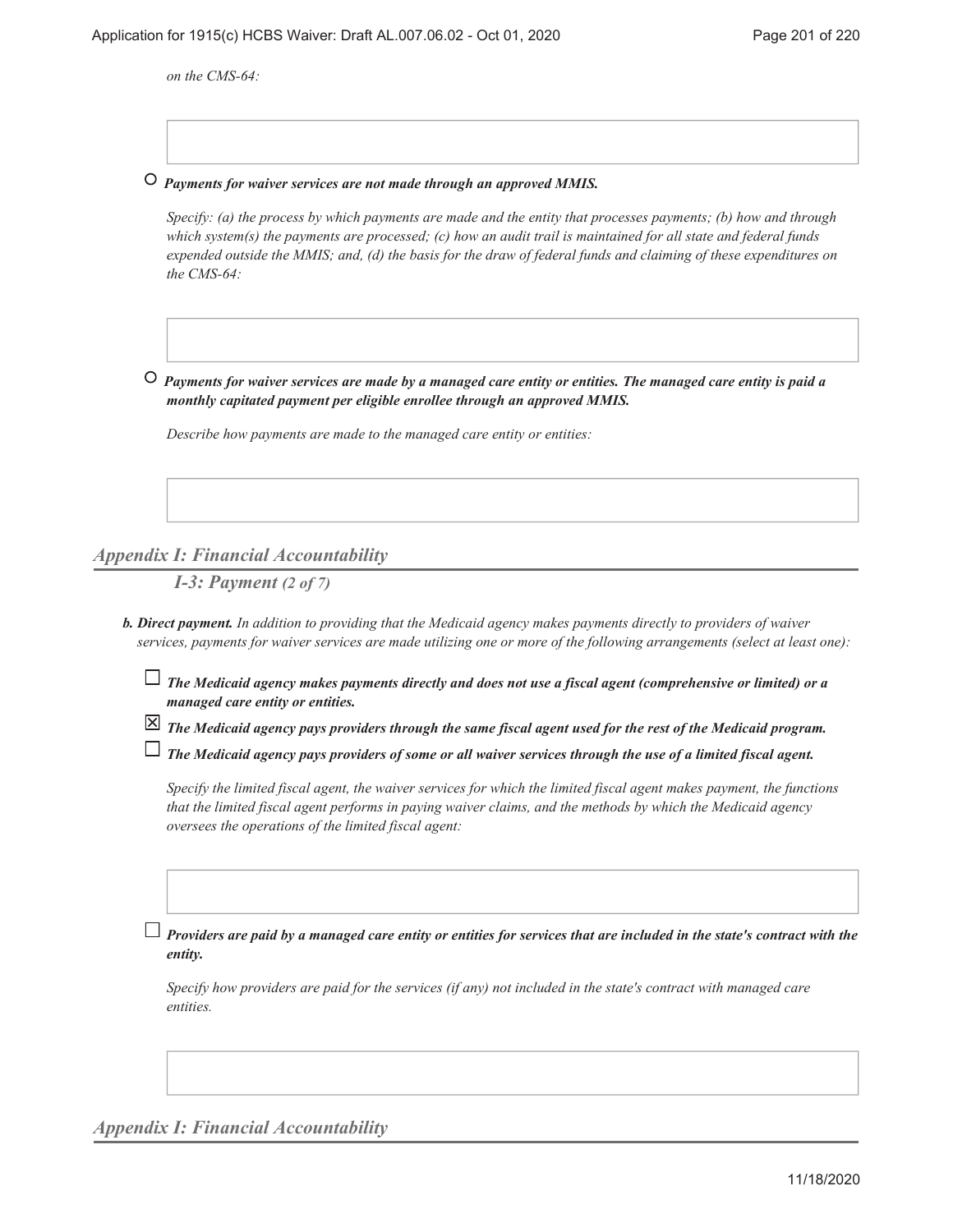*on the CMS-64:*

 *Payments for waiver services are not made through an approved MMIS.*

*Specify: (a) the process by which payments are made and the entity that processes payments; (b) how and through which system(s) the payments are processed; (c) how an audit trail is maintained for all state and federal funds expended outside the MMIS; and, (d) the basis for the draw of federal funds and claiming of these expenditures on the CMS-64:*

 *Payments for waiver services are made by a managed care entity or entities. The managed care entity is paid a monthly capitated payment per eligible enrollee through an approved MMIS.*

*Describe how payments are made to the managed care entity or entities:*

## *Appendix I: Financial Accountability*

*I-3: Payment (2 of 7)*

- *Direct payment. In addition to providing that the Medicaid agency makes payments directly to providers of waiver b. services, payments for waiver services are made utilizing one or more of the following arrangements (select at least one):*
	- *The Medicaid agency makes payments directly and does not use a fiscal agent (comprehensive or limited) or a managed care entity or entities.*
	- *The Medicaid agency pays providers through the same fiscal agent used for the rest of the Medicaid program.*

*The Medicaid agency pays providers of some or all waiver services through the use of a limited fiscal agent.*

*Specify the limited fiscal agent, the waiver services for which the limited fiscal agent makes payment, the functions that the limited fiscal agent performs in paying waiver claims, and the methods by which the Medicaid agency oversees the operations of the limited fiscal agent:*

*Providers are paid by a managed care entity or entities for services that are included in the state's contract with the entity.*

*Specify how providers are paid for the services (if any) not included in the state's contract with managed care entities.*

*Appendix I: Financial Accountability*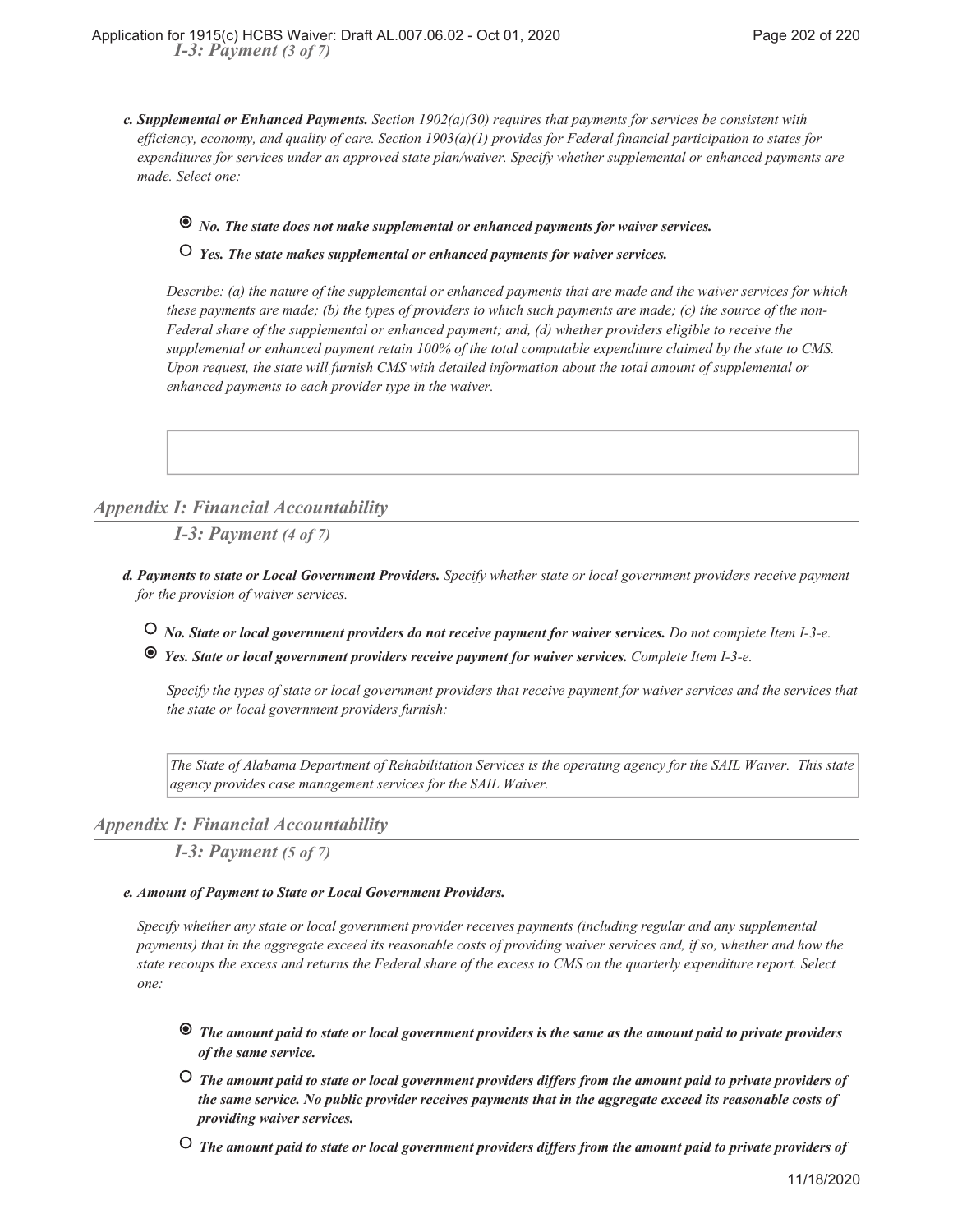*Supplemental or Enhanced Payments. Section 1902(a)(30) requires that payments for services be consistent with c. efficiency, economy, and quality of care. Section 1903(a)(1) provides for Federal financial participation to states for expenditures for services under an approved state plan/waiver. Specify whether supplemental or enhanced payments are made. Select one:*

## *No. The state does not make supplemental or enhanced payments for waiver services.*

 *Yes. The state makes supplemental or enhanced payments for waiver services.*

*Describe: (a) the nature of the supplemental or enhanced payments that are made and the waiver services for which these payments are made; (b) the types of providers to which such payments are made; (c) the source of the non-Federal share of the supplemental or enhanced payment; and, (d) whether providers eligible to receive the supplemental or enhanced payment retain 100% of the total computable expenditure claimed by the state to CMS. Upon request, the state will furnish CMS with detailed information about the total amount of supplemental or enhanced payments to each provider type in the waiver.*

# *Appendix I: Financial Accountability*

*I-3: Payment (4 of 7)*

- *Payments to state or Local Government Providers. Specify whether state or local government providers receive payment d. for the provision of waiver services.*
	- *No. State or local government providers do not receive payment for waiver services. Do not complete Item I-3-e.*
	- *Yes. State or local government providers receive payment for waiver services. Complete Item I-3-e.*

*Specify the types of state or local government providers that receive payment for waiver services and the services that the state or local government providers furnish:*

*The State of Alabama Department of Rehabilitation Services is the operating agency for the SAIL Waiver. This state agency provides case management services for the SAIL Waiver.*

## *Appendix I: Financial Accountability*

*I-3: Payment (5 of 7)*

### *Amount of Payment to State or Local Government Providers. e.*

*Specify whether any state or local government provider receives payments (including regular and any supplemental payments) that in the aggregate exceed its reasonable costs of providing waiver services and, if so, whether and how the state recoups the excess and returns the Federal share of the excess to CMS on the quarterly expenditure report. Select one:*

- *The amount paid to state or local government providers is the same as the amount paid to private providers of the same service.*
- *The amount paid to state or local government providers differs from the amount paid to private providers of the same service. No public provider receives payments that in the aggregate exceed its reasonable costs of providing waiver services.*
- *The amount paid to state or local government providers differs from the amount paid to private providers of*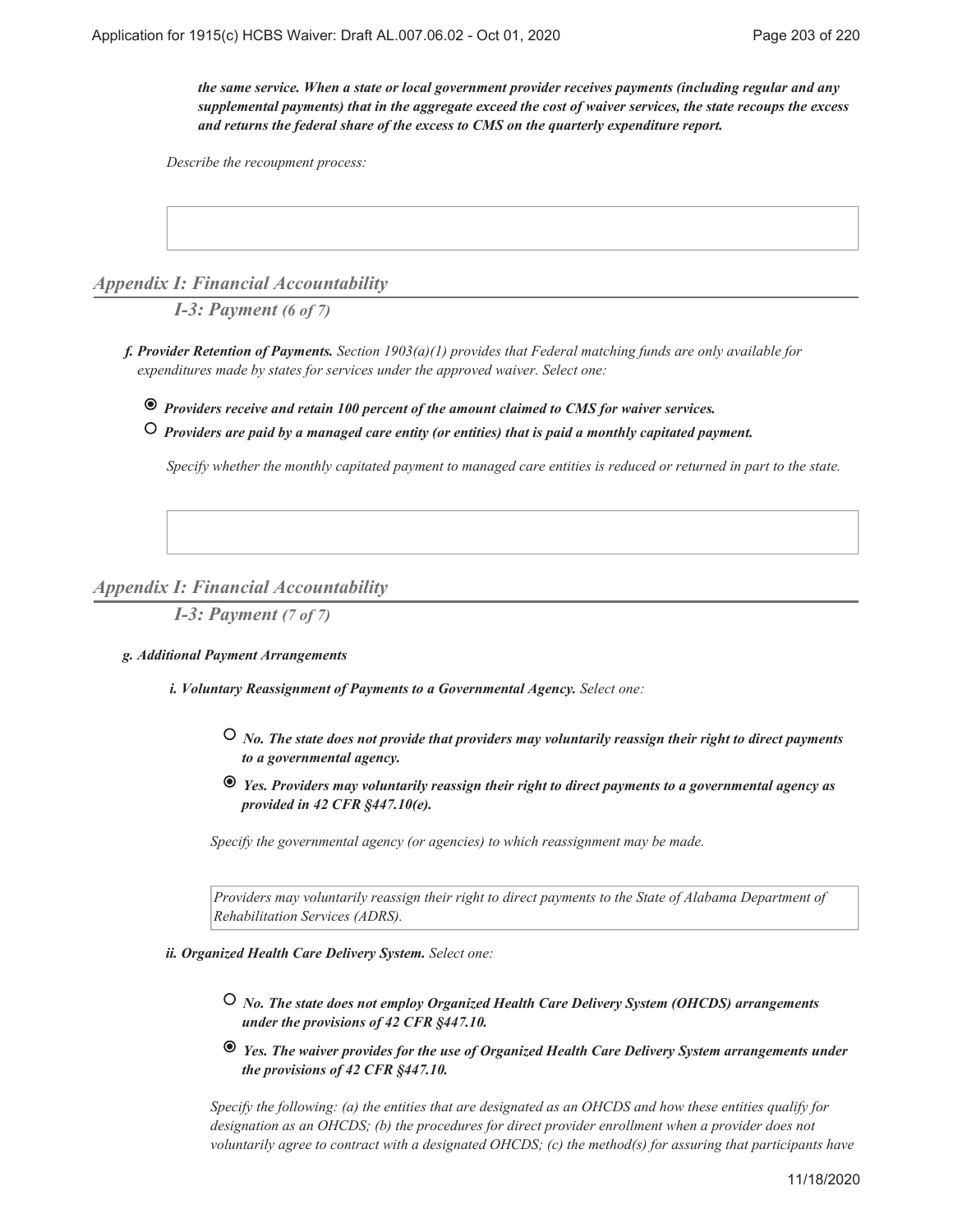*the same service. When a state or local government provider receives payments (including regular and any supplemental payments) that in the aggregate exceed the cost of waiver services, the state recoups the excess and returns the federal share of the excess to CMS on the quarterly expenditure report.*

*Describe the recoupment process:*

*Appendix I: Financial Accountability*

*I-3: Payment (6 of 7)*

*Provider Retention of Payments. Section 1903(a)(1) provides that Federal matching funds are only available for f. expenditures made by states for services under the approved waiver. Select one:*

 *Providers receive and retain 100 percent of the amount claimed to CMS for waiver services.*

 *Providers are paid by a managed care entity (or entities) that is paid a monthly capitated payment.*

*Specify whether the monthly capitated payment to managed care entities is reduced or returned in part to the state.*

## *Appendix I: Financial Accountability*

*I-3: Payment (7 of 7)*

### *Additional Payment Arrangements g.*

*Voluntary Reassignment of Payments to a Governmental Agency. Select one: i.*

- *No. The state does not provide that providers may voluntarily reassign their right to direct payments to a governmental agency.*
- *Yes. Providers may voluntarily reassign their right to direct payments to a governmental agency as provided in 42 CFR §447.10(e).*

*Specify the governmental agency (or agencies) to which reassignment may be made.*

*Providers may voluntarily reassign their right to direct payments to the State of Alabama Department of Rehabilitation Services (ADRS).*

### *Organized Health Care Delivery System. Select one: ii.*

- *No. The state does not employ Organized Health Care Delivery System (OHCDS) arrangements under the provisions of 42 CFR §447.10.*
- *Yes. The waiver provides for the use of Organized Health Care Delivery System arrangements under the provisions of 42 CFR §447.10.*

*Specify the following: (a) the entities that are designated as an OHCDS and how these entities qualify for designation as an OHCDS; (b) the procedures for direct provider enrollment when a provider does not voluntarily agree to contract with a designated OHCDS; (c) the method(s) for assuring that participants have*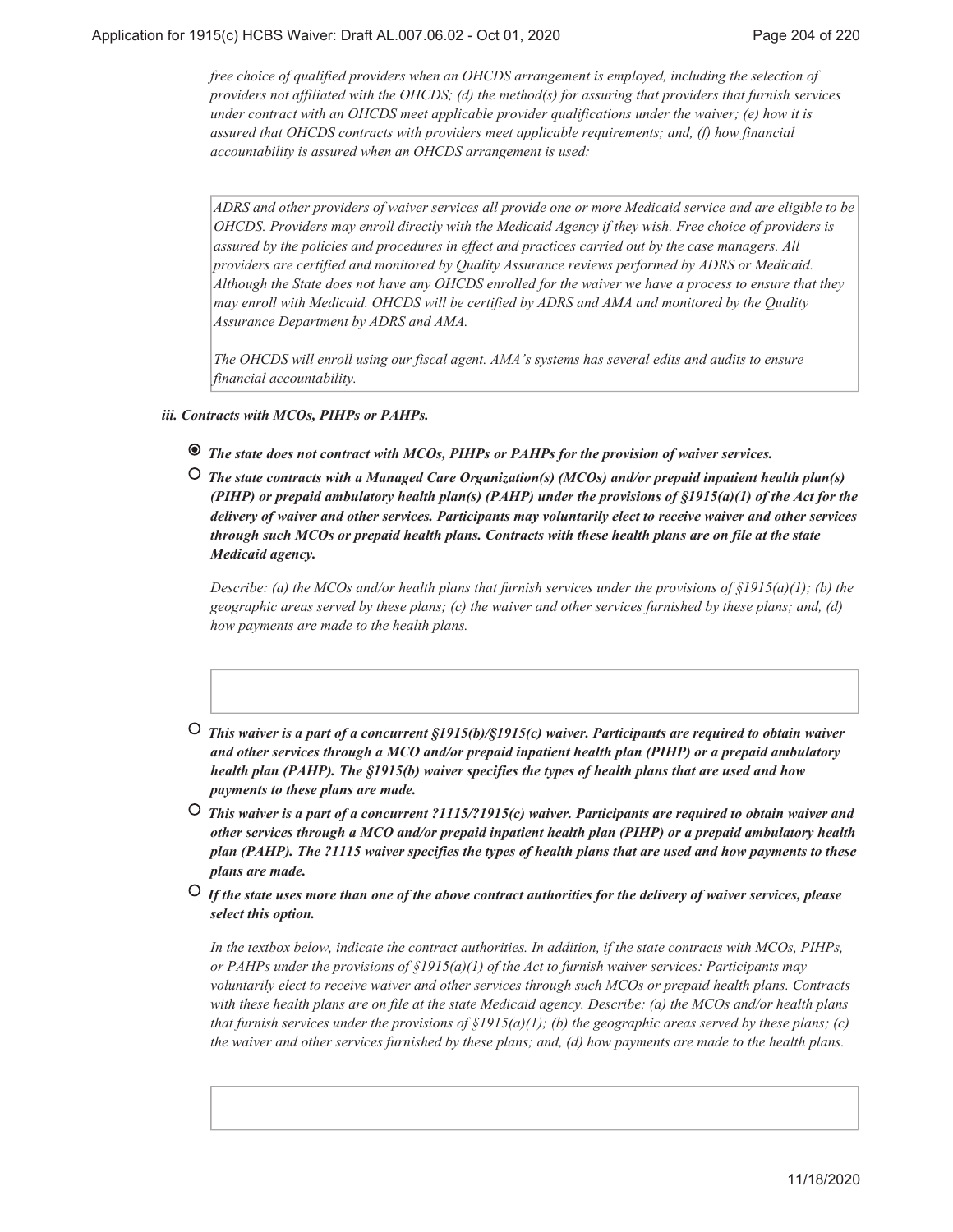*free choice of qualified providers when an OHCDS arrangement is employed, including the selection of providers not affiliated with the OHCDS; (d) the method(s) for assuring that providers that furnish services under contract with an OHCDS meet applicable provider qualifications under the waiver; (e) how it is assured that OHCDS contracts with providers meet applicable requirements; and, (f) how financial accountability is assured when an OHCDS arrangement is used:*

*ADRS and other providers of waiver services all provide one or more Medicaid service and are eligible to be OHCDS. Providers may enroll directly with the Medicaid Agency if they wish. Free choice of providers is assured by the policies and procedures in effect and practices carried out by the case managers. All providers are certified and monitored by Quality Assurance reviews performed by ADRS or Medicaid. Although the State does not have any OHCDS enrolled for the waiver we have a process to ensure that they may enroll with Medicaid. OHCDS will be certified by ADRS and AMA and monitored by the Quality Assurance Department by ADRS and AMA.*

*The OHCDS will enroll using our fiscal agent. AMA's systems has several edits and audits to ensure financial accountability.*

### *Contracts with MCOs, PIHPs or PAHPs. iii.*

- *The state does not contract with MCOs, PIHPs or PAHPs for the provision of waiver services.*
- *The state contracts with a Managed Care Organization(s) (MCOs) and/or prepaid inpatient health plan(s) (PIHP) or prepaid ambulatory health plan(s) (PAHP) under the provisions of §1915(a)(1) of the Act for the delivery of waiver and other services. Participants may voluntarily elect to receive waiver and other services through such MCOs or prepaid health plans. Contracts with these health plans are on file at the state Medicaid agency.*

*Describe: (a) the MCOs and/or health plans that furnish services under the provisions of §1915(a)(1); (b) the geographic areas served by these plans; (c) the waiver and other services furnished by these plans; and, (d) how payments are made to the health plans.*

- *This waiver is a part of a concurrent §1915(b)/§1915(c) waiver. Participants are required to obtain waiver and other services through a MCO and/or prepaid inpatient health plan (PIHP) or a prepaid ambulatory health plan (PAHP). The §1915(b) waiver specifies the types of health plans that are used and how payments to these plans are made.*
- *This waiver is a part of a concurrent ?1115/?1915(c) waiver. Participants are required to obtain waiver and other services through a MCO and/or prepaid inpatient health plan (PIHP) or a prepaid ambulatory health plan (PAHP). The ?1115 waiver specifies the types of health plans that are used and how payments to these plans are made.*
- *If the state uses more than one of the above contract authorities for the delivery of waiver services, please select this option.*

*In the textbox below, indicate the contract authorities. In addition, if the state contracts with MCOs, PIHPs, or PAHPs under the provisions of §1915(a)(1) of the Act to furnish waiver services: Participants may voluntarily elect to receive waiver and other services through such MCOs or prepaid health plans. Contracts with these health plans are on file at the state Medicaid agency. Describe: (a) the MCOs and/or health plans that furnish services under the provisions of §1915(a)(1); (b) the geographic areas served by these plans; (c) the waiver and other services furnished by these plans; and, (d) how payments are made to the health plans.*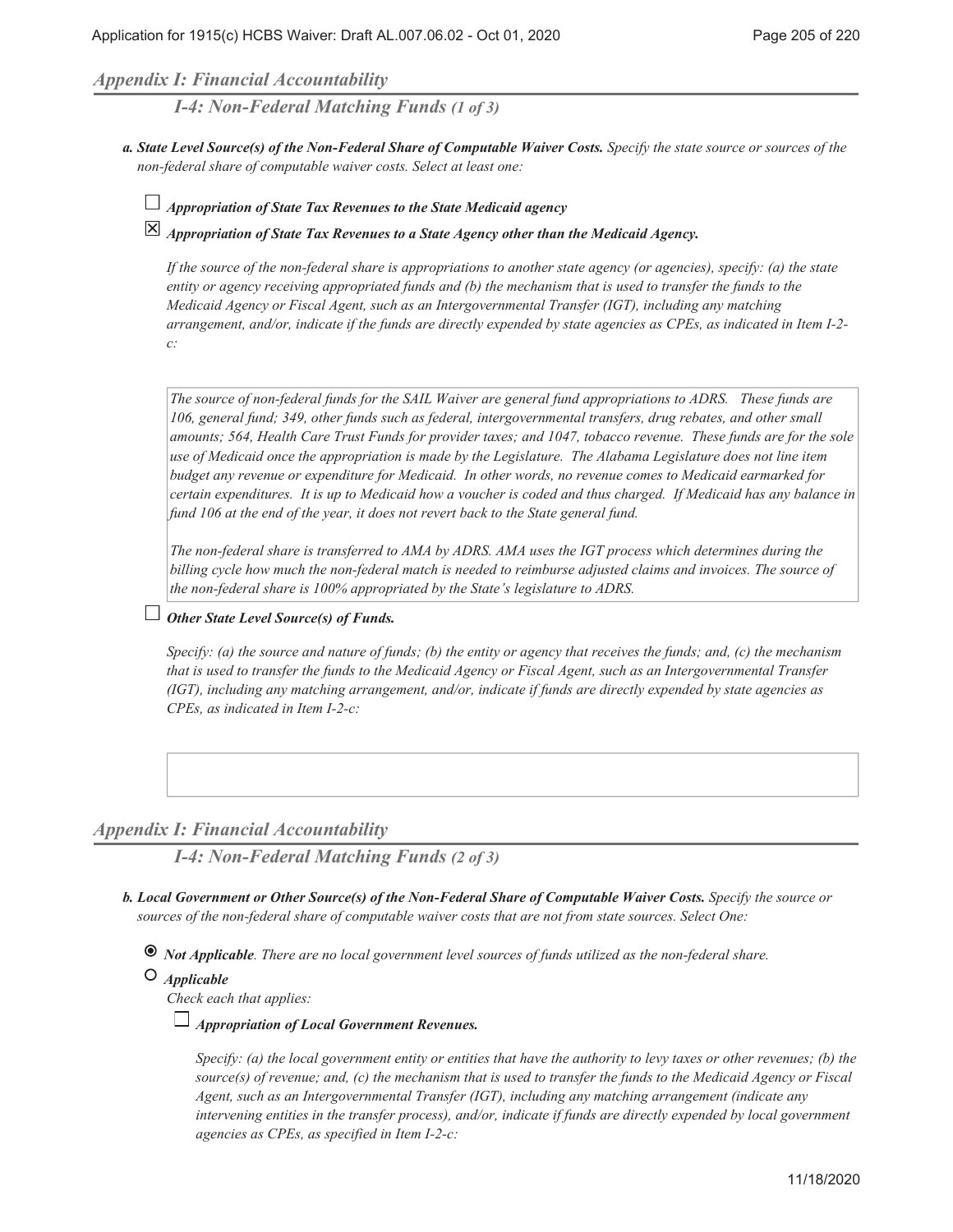## *Appendix I: Financial Accountability*

*I-4: Non-Federal Matching Funds (1 of 3)*

- *State Level Source(s) of the Non-Federal Share of Computable Waiver Costs. Specify the state source or sources of the a. non-federal share of computable waiver costs. Select at least one:*
	- *Appropriation of State Tax Revenues to the State Medicaid agency*

*Appropriation of State Tax Revenues to a State Agency other than the Medicaid Agency.*

*If the source of the non-federal share is appropriations to another state agency (or agencies), specify: (a) the state entity or agency receiving appropriated funds and (b) the mechanism that is used to transfer the funds to the Medicaid Agency or Fiscal Agent, such as an Intergovernmental Transfer (IGT), including any matching arrangement, and/or, indicate if the funds are directly expended by state agencies as CPEs, as indicated in Item I-2 c:*

*The source of non-federal funds for the SAIL Waiver are general fund appropriations to ADRS. These funds are 106, general fund; 349, other funds such as federal, intergovernmental transfers, drug rebates, and other small amounts; 564, Health Care Trust Funds for provider taxes; and 1047, tobacco revenue. These funds are for the sole use of Medicaid once the appropriation is made by the Legislature. The Alabama Legislature does not line item budget any revenue or expenditure for Medicaid. In other words, no revenue comes to Medicaid earmarked for certain expenditures. It is up to Medicaid how a voucher is coded and thus charged. If Medicaid has any balance in fund 106 at the end of the year, it does not revert back to the State general fund.*

*The non-federal share is transferred to AMA by ADRS. AMA uses the IGT process which determines during the billing cycle how much the non-federal match is needed to reimburse adjusted claims and invoices. The source of the non-federal share is 100% appropriated by the State's legislature to ADRS.*

## *Other State Level Source(s) of Funds.*

*Specify: (a) the source and nature of funds; (b) the entity or agency that receives the funds; and, (c) the mechanism that is used to transfer the funds to the Medicaid Agency or Fiscal Agent, such as an Intergovernmental Transfer (IGT), including any matching arrangement, and/or, indicate if funds are directly expended by state agencies as CPEs, as indicated in Item I-2-c:*

## *Appendix I: Financial Accountability*

*I-4: Non-Federal Matching Funds (2 of 3)*

*Local Government or Other Source(s) of the Non-Federal Share of Computable Waiver Costs. Specify the source or b. sources of the non-federal share of computable waiver costs that are not from state sources. Select One:*

 *Not Applicable. There are no local government level sources of funds utilized as the non-federal share.*

## *Applicable*

*Check each that applies:*

## *Appropriation of Local Government Revenues.*

*Specify: (a) the local government entity or entities that have the authority to levy taxes or other revenues; (b) the source(s) of revenue; and, (c) the mechanism that is used to transfer the funds to the Medicaid Agency or Fiscal Agent, such as an Intergovernmental Transfer (IGT), including any matching arrangement (indicate any intervening entities in the transfer process), and/or, indicate if funds are directly expended by local government agencies as CPEs, as specified in Item I-2-c:*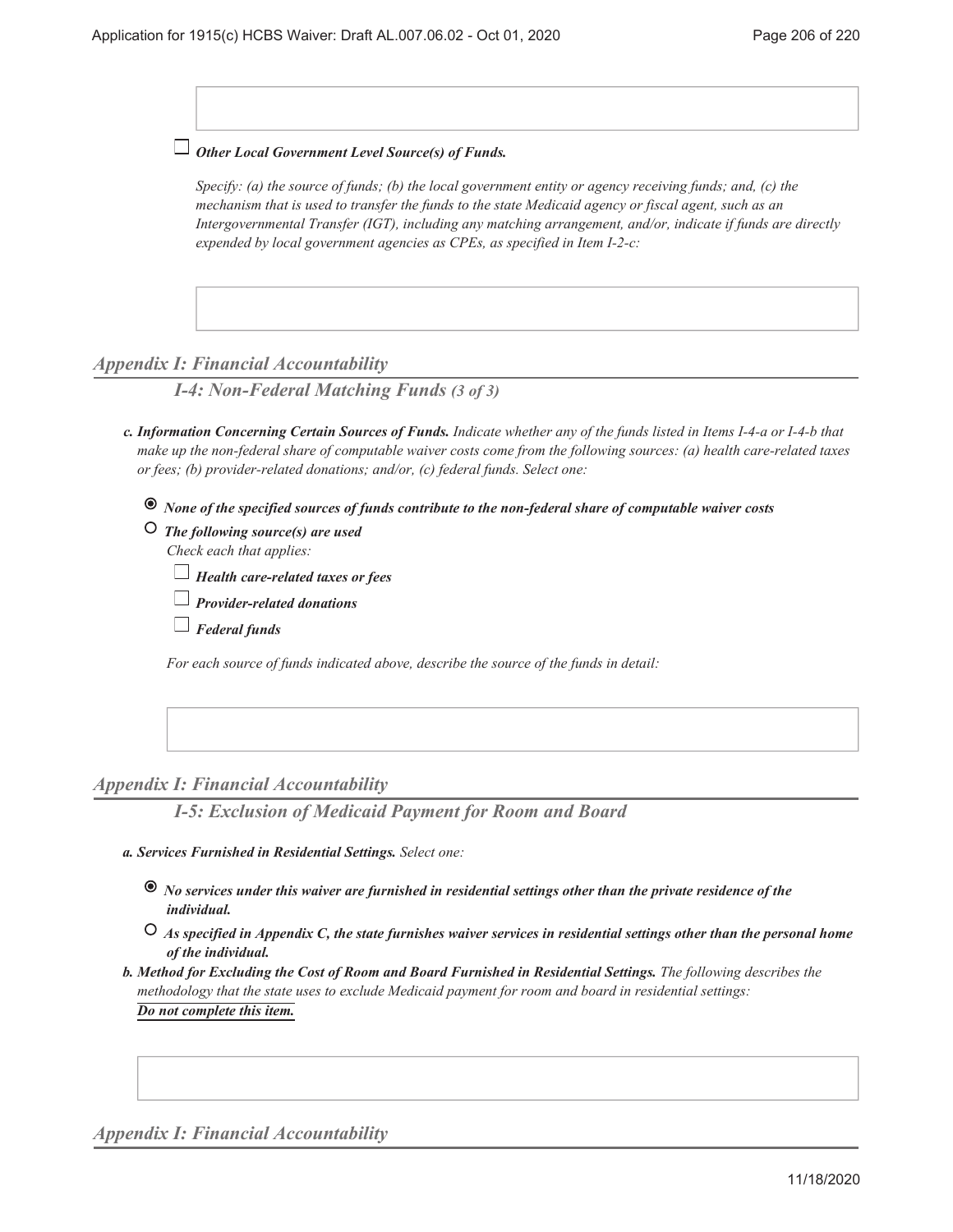*Other Local Government Level Source(s) of Funds.*

*Specify: (a) the source of funds; (b) the local government entity or agency receiving funds; and, (c) the mechanism that is used to transfer the funds to the state Medicaid agency or fiscal agent, such as an Intergovernmental Transfer (IGT), including any matching arrangement, and/or, indicate if funds are directly expended by local government agencies as CPEs, as specified in Item I-2-c:*

## *Appendix I: Financial Accountability*

*I-4: Non-Federal Matching Funds (3 of 3)*

- *Information Concerning Certain Sources of Funds. Indicate whether any of the funds listed in Items I-4-a or I-4-b that c. make up the non-federal share of computable waiver costs come from the following sources: (a) health care-related taxes or fees; (b) provider-related donations; and/or, (c) federal funds. Select one:*
	- *None of the specified sources of funds contribute to the non-federal share of computable waiver costs*
	- *The following source(s) are used Check each that applies:*

|  | $\Box$ Health care-related taxes or fees |  |  |
|--|------------------------------------------|--|--|
|  |                                          |  |  |

- *Provider-related donations*
- *Federal funds*

*For each source of funds indicated above, describe the source of the funds in detail:*

## *Appendix I: Financial Accountability*

*I-5: Exclusion of Medicaid Payment for Room and Board*

- *Services Furnished in Residential Settings. Select one: a.*
	- *No services under this waiver are furnished in residential settings other than the private residence of the individual.*
	- *As specified in Appendix C, the state furnishes waiver services in residential settings other than the personal home of the individual.*

*Method for Excluding the Cost of Room and Board Furnished in Residential Settings. The following describes the b. methodology that the state uses to exclude Medicaid payment for room and board in residential settings: Do not complete this item.*

*Appendix I: Financial Accountability*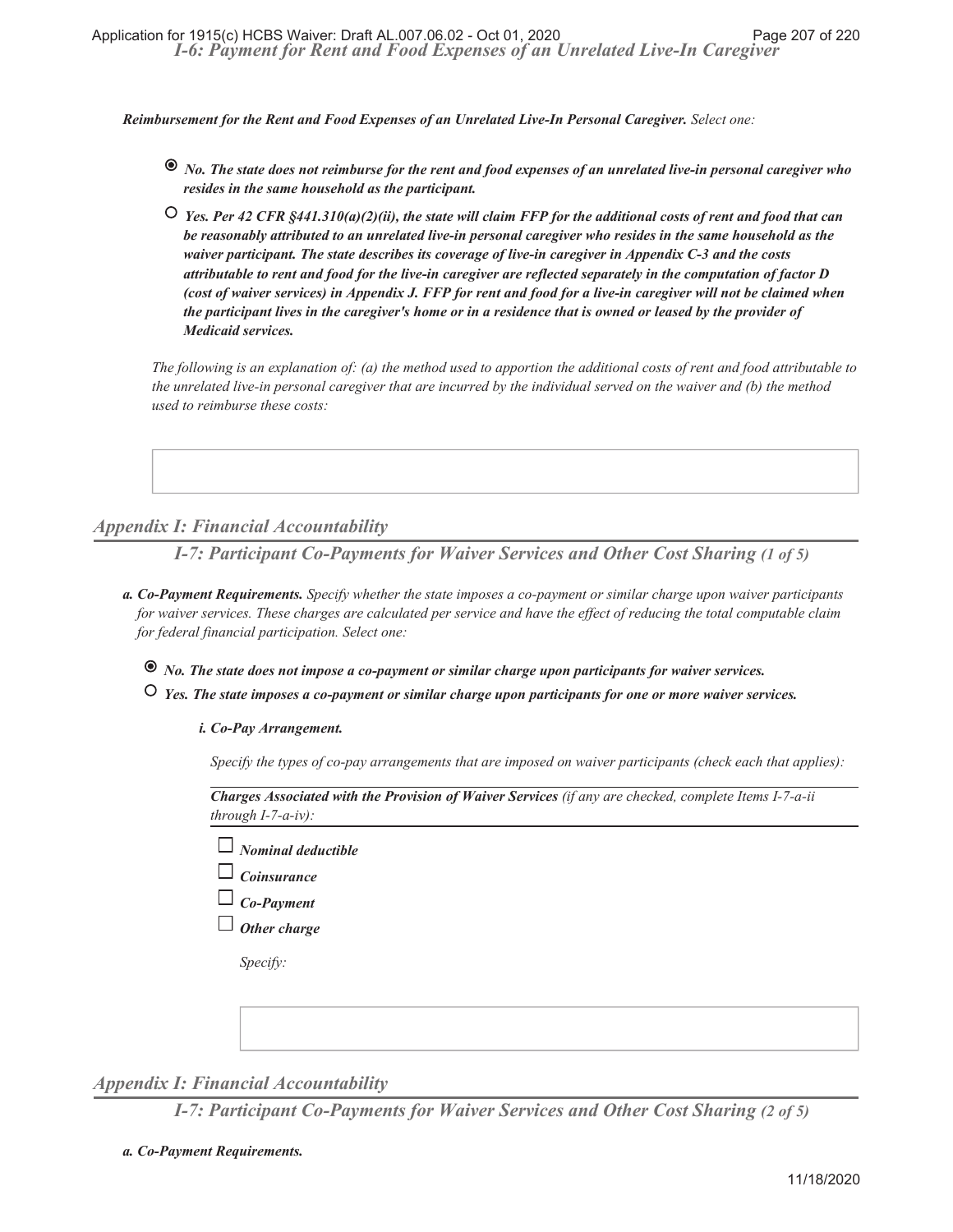*Reimbursement for the Rent and Food Expenses of an Unrelated Live-In Personal Caregiver. Select one:*

- *No. The state does not reimburse for the rent and food expenses of an unrelated live-in personal caregiver who resides in the same household as the participant.*
- *Yes. Per 42 CFR §441.310(a)(2)(ii), the state will claim FFP for the additional costs of rent and food that can be reasonably attributed to an unrelated live-in personal caregiver who resides in the same household as the waiver participant. The state describes its coverage of live-in caregiver in Appendix C-3 and the costs attributable to rent and food for the live-in caregiver are reflected separately in the computation of factor D (cost of waiver services) in Appendix J. FFP for rent and food for a live-in caregiver will not be claimed when the participant lives in the caregiver's home or in a residence that is owned or leased by the provider of Medicaid services.*

*The following is an explanation of: (a) the method used to apportion the additional costs of rent and food attributable to the unrelated live-in personal caregiver that are incurred by the individual served on the waiver and (b) the method used to reimburse these costs:*

# *Appendix I: Financial Accountability*

*I-7: Participant Co-Payments for Waiver Services and Other Cost Sharing (1 of 5)*

- *Co-Payment Requirements. Specify whether the state imposes a co-payment or similar charge upon waiver participants a. for waiver services. These charges are calculated per service and have the effect of reducing the total computable claim for federal financial participation. Select one:*
	- *No. The state does not impose a co-payment or similar charge upon participants for waiver services.*
	- *Yes. The state imposes a co-payment or similar charge upon participants for one or more waiver services.*

### *Co-Pay Arrangement. i.*

*Specify the types of co-pay arrangements that are imposed on waiver participants (check each that applies):*

*Charges Associated with the Provision of Waiver Services (if any are checked, complete Items I-7-a-ii through I-7-a-iv):*

- *Nominal deductible*
- *Coinsurance*
- *Co-Payment*
- *Other charge*

*Specify:*



## *Appendix I: Financial Accountability*

*I-7: Participant Co-Payments for Waiver Services and Other Cost Sharing (2 of 5)*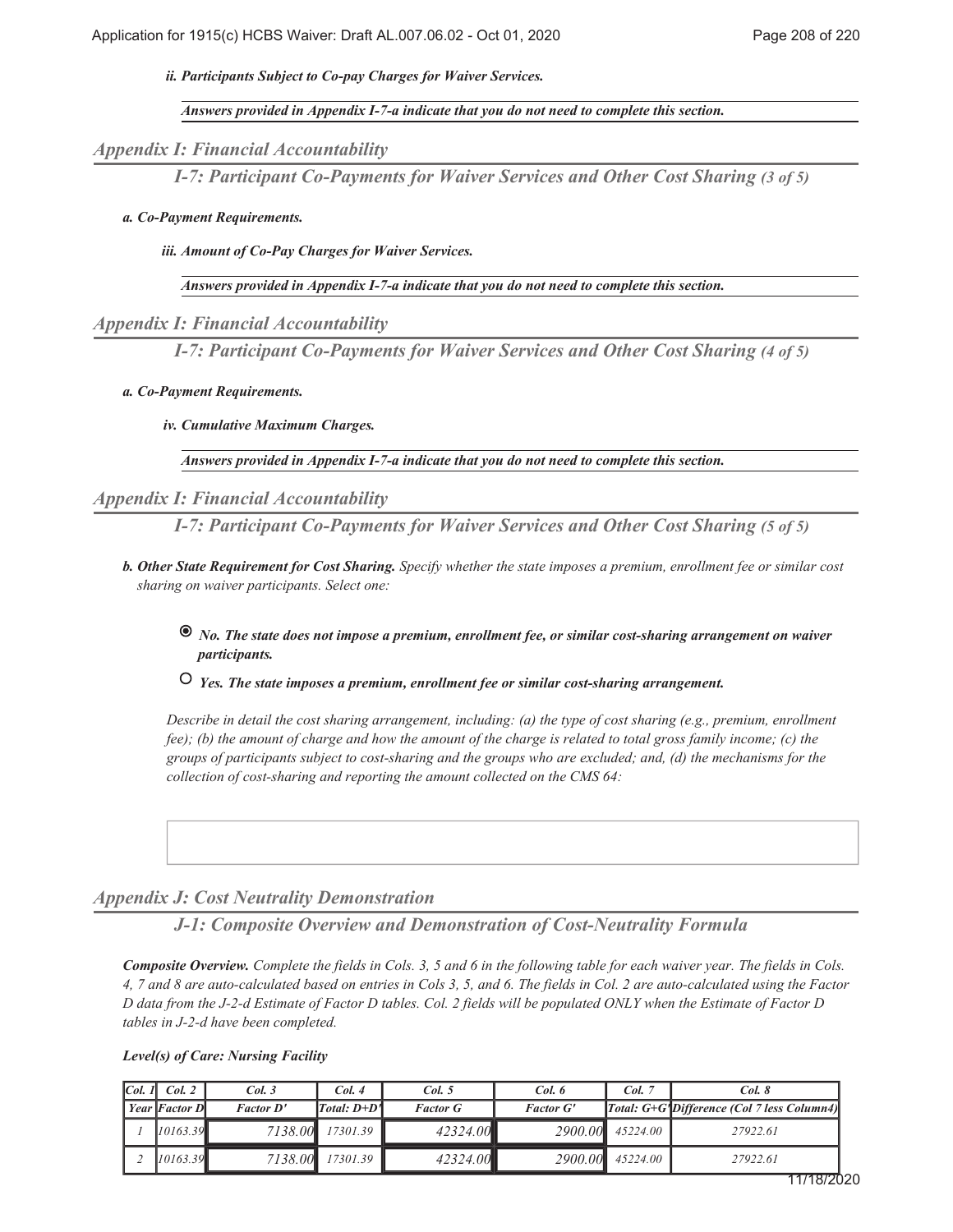*Participants Subject to Co-pay Charges for Waiver Services. ii.*

*Answers provided in Appendix I-7-a indicate that you do not need to complete this section.*

*Appendix I: Financial Accountability*

*I-7: Participant Co-Payments for Waiver Services and Other Cost Sharing (3 of 5)*

### *Co-Payment Requirements. a.*

*Amount of Co-Pay Charges for Waiver Services. iii.*

*Answers provided in Appendix I-7-a indicate that you do not need to complete this section.*

## *Appendix I: Financial Accountability*

*I-7: Participant Co-Payments for Waiver Services and Other Cost Sharing (4 of 5)*

### *Co-Payment Requirements. a.*

### *Cumulative Maximum Charges. iv.*

*Answers provided in Appendix I-7-a indicate that you do not need to complete this section.*

## *Appendix I: Financial Accountability*

*I-7: Participant Co-Payments for Waiver Services and Other Cost Sharing (5 of 5)*

*Other State Requirement for Cost Sharing. Specify whether the state imposes a premium, enrollment fee or similar cost b. sharing on waiver participants. Select one:*

## *No. The state does not impose a premium, enrollment fee, or similar cost-sharing arrangement on waiver participants.*

 *Yes. The state imposes a premium, enrollment fee or similar cost-sharing arrangement.*

*Describe in detail the cost sharing arrangement, including: (a) the type of cost sharing (e.g., premium, enrollment fee); (b) the amount of charge and how the amount of the charge is related to total gross family income; (c) the groups of participants subject to cost-sharing and the groups who are excluded; and, (d) the mechanisms for the collection of cost-sharing and reporting the amount collected on the CMS 64:*

## *Appendix J: Cost Neutrality Demonstration*

*J-1: Composite Overview and Demonstration of Cost-Neutrality Formula*

*Composite Overview. Complete the fields in Cols. 3, 5 and 6 in the following table for each waiver year. The fields in Cols. 4, 7 and 8 are auto-calculated based on entries in Cols 3, 5, and 6. The fields in Col. 2 are auto-calculated using the Factor D data from the J-2-d Estimate of Factor D tables. Col. 2 fields will be populated ONLY when the Estimate of Factor D tables in J-2-d have been completed.*

| Col. 1 | Col. 2               | Col. 3           | Col. 4        | Col. 5          | Col. 6           | Col. 7   | Col. 8                                                  |
|--------|----------------------|------------------|---------------|-----------------|------------------|----------|---------------------------------------------------------|
|        | <b>Year Factor D</b> | <b>Factor D'</b> | $Total: D+D1$ | <b>Factor G</b> | <b>Factor G'</b> |          | Total: G+G <sup>*</sup> Difference (Col 7 less Column4) |
|        | 10163.39             | 7138.00          | 17301.39      | 42324.00        | 2900.00          | 45224.00 | 27922.61                                                |
|        | 10163.39             | 7138.00          | 17301.39      | 42324.00        | 2900.00          | 45224.00 | 27922.61                                                |

### *Level(s) of Care: Nursing Facility*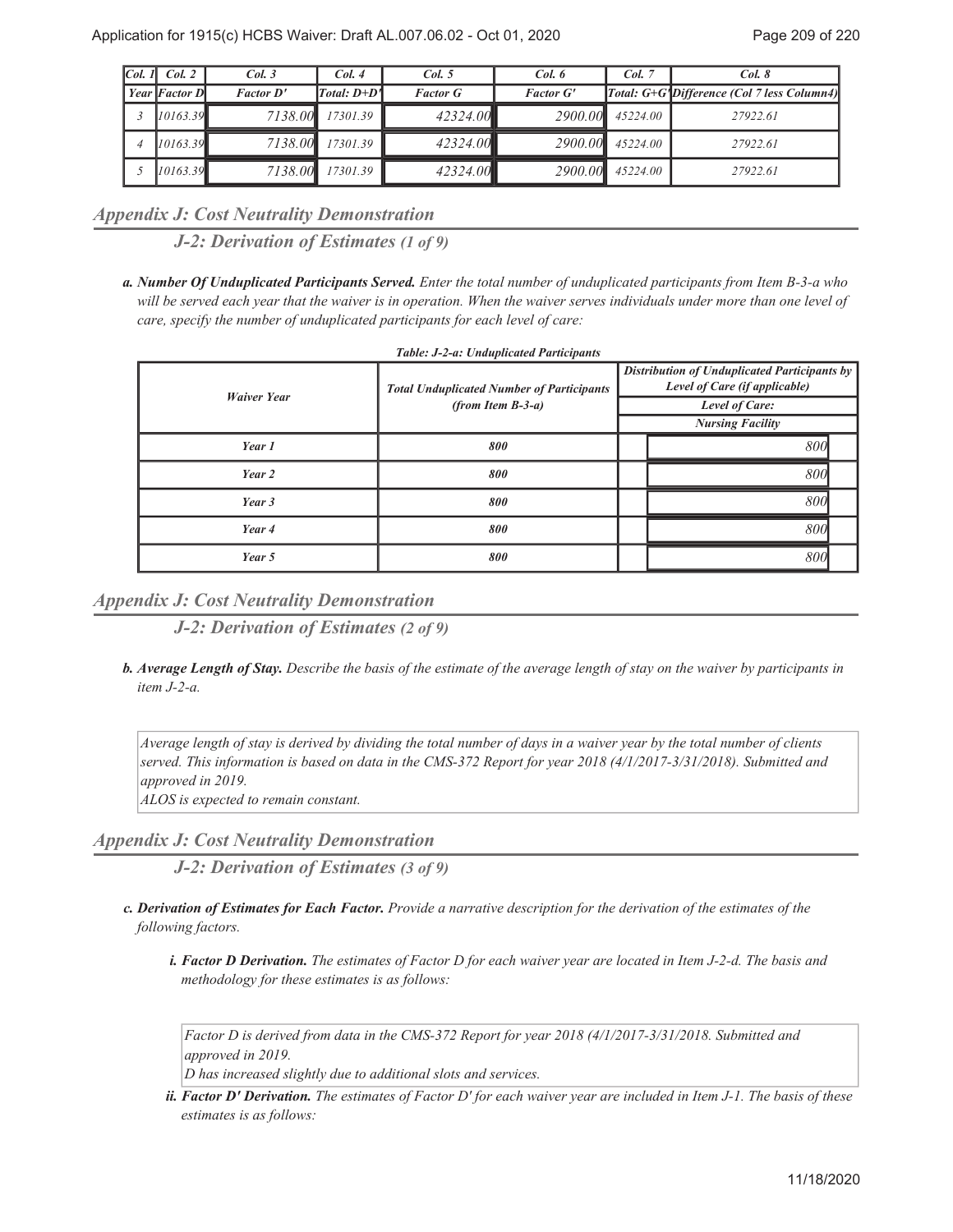| Col. 1 | Col. 2        | Col. 3           | Col.4         | Col. 5          | Col. 6           | Col. 7   | Col. 8                                     |
|--------|---------------|------------------|---------------|-----------------|------------------|----------|--------------------------------------------|
|        | Year Factor D | <b>Factor D'</b> | $Total: D+D1$ | <b>Factor G</b> | <b>Factor G'</b> |          | Total: G+G'Difference (Col 7 less Column4) |
|        | 10163.39      | 7138.00          | 17301.39      | 42324.00        | 2900.00          | 45224.00 | 27922.61                                   |
|        | 10163.39      | 7138.00          | 17301.39      | 42324.00        | 2900.00          | 45224.00 | 27922.61                                   |
|        | 10163.39      | 7138.00          | 17301.39      | 42324.00        | 2900.00          | 45224.00 | 27922.61                                   |

*Appendix J: Cost Neutrality Demonstration*

*J-2: Derivation of Estimates (1 of 9)*

*Number Of Unduplicated Participants Served. Enter the total number of unduplicated participants from Item B-3-a who a. will be served each year that the waiver is in operation. When the waiver serves individuals under more than one level of care, specify the number of unduplicated participants for each level of care:*

| Tubic, J-2-a, Chaupheatea I anneipants |                                                                         |                                                                                                                                   |  |  |  |
|----------------------------------------|-------------------------------------------------------------------------|-----------------------------------------------------------------------------------------------------------------------------------|--|--|--|
| <b>Waiver Year</b>                     | <b>Total Unduplicated Number of Participants</b><br>$(from Item B-3-a)$ | <b>Distribution of Unduplicated Participants by</b><br>Level of Care (if applicable)<br>Level of Care:<br><b>Nursing Facility</b> |  |  |  |
| Year 1                                 | 800                                                                     | 800                                                                                                                               |  |  |  |
| Year 2                                 | 800                                                                     | 800                                                                                                                               |  |  |  |
| Year 3                                 | 800                                                                     | 800                                                                                                                               |  |  |  |
| Year 4                                 | 800                                                                     | 800                                                                                                                               |  |  |  |
| Year 5                                 | 800                                                                     | 800                                                                                                                               |  |  |  |

*Appendix J: Cost Neutrality Demonstration*

*J-2: Derivation of Estimates (2 of 9)*

*Average Length of Stay. Describe the basis of the estimate of the average length of stay on the waiver by participants in b. item J-2-a.*

*Average length of stay is derived by dividing the total number of days in a waiver year by the total number of clients served. This information is based on data in the CMS-372 Report for year 2018 (4/1/2017-3/31/2018). Submitted and approved in 2019.*

*ALOS is expected to remain constant.*

*Appendix J: Cost Neutrality Demonstration*

*J-2: Derivation of Estimates (3 of 9)*

- *Derivation of Estimates for Each Factor. Provide a narrative description for the derivation of the estimates of the c. following factors.*
	- *Factor D Derivation. The estimates of Factor D for each waiver year are located in Item J-2-d. The basis and i. methodology for these estimates is as follows:*

*Factor D is derived from data in the CMS-372 Report for year 2018 (4/1/2017-3/31/2018. Submitted and approved in 2019.*

*D has increased slightly due to additional slots and services.*

*Factor D' Derivation. The estimates of Factor D' for each waiver year are included in Item J-1. The basis of these ii. estimates is as follows:*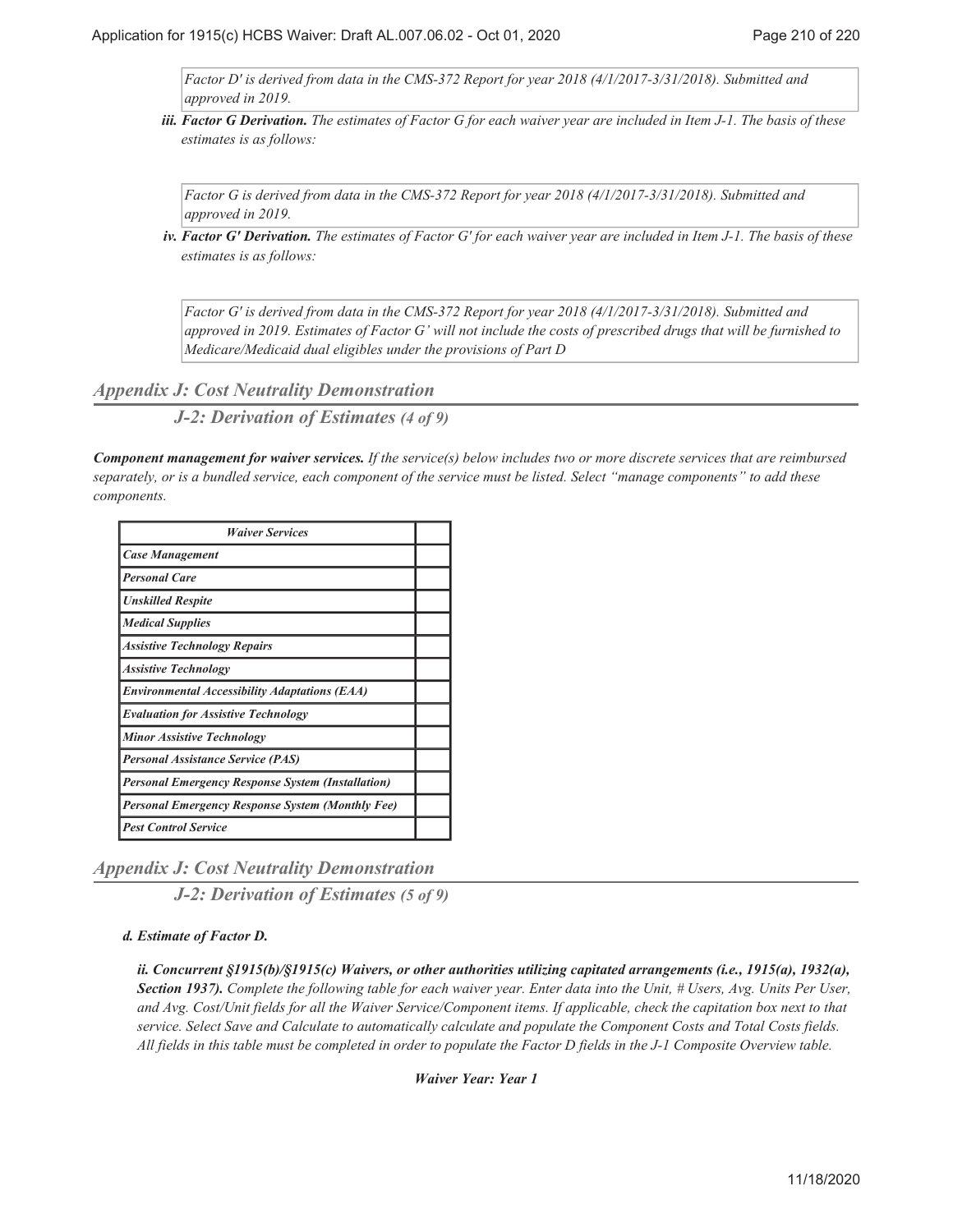*Factor D' is derived from data in the CMS-372 Report for year 2018 (4/1/2017-3/31/2018). Submitted and approved in 2019.*

*Factor G Derivation. The estimates of Factor G for each waiver year are included in Item J-1. The basis of these iii. estimates is as follows:*

*Factor G is derived from data in the CMS-372 Report for year 2018 (4/1/2017-3/31/2018). Submitted and approved in 2019.*

*Factor G' Derivation. The estimates of Factor G' for each waiver year are included in Item J-1. The basis of these iv. estimates is as follows:*

*Factor G' is derived from data in the CMS-372 Report for year 2018 (4/1/2017-3/31/2018). Submitted and approved in 2019. Estimates of Factor G' will not include the costs of prescribed drugs that will be furnished to Medicare/Medicaid dual eligibles under the provisions of Part D*

*Appendix J: Cost Neutrality Demonstration*

*J-2: Derivation of Estimates (4 of 9)*

*Component management for waiver services. If the service(s) below includes two or more discrete services that are reimbursed separately, or is a bundled service, each component of the service must be listed. Select "manage components" to add these components.*

| <b>Waiver Services</b>                                   |  |
|----------------------------------------------------------|--|
| <b>Case Management</b>                                   |  |
| <b>Personal Care</b>                                     |  |
| <b>Unskilled Respite</b>                                 |  |
| <b>Medical Supplies</b>                                  |  |
| <b>Assistive Technology Repairs</b>                      |  |
| <b>Assistive Technology</b>                              |  |
| <b>Environmental Accessibility Adaptations (EAA)</b>     |  |
| <b>Evaluation for Assistive Technology</b>               |  |
| <b>Minor Assistive Technology</b>                        |  |
| <b>Personal Assistance Service (PAS)</b>                 |  |
| <b>Personal Emergency Response System (Installation)</b> |  |
| Personal Emergency Response System (Monthly Fee)         |  |
| <b>Pest Control Service</b>                              |  |

*Appendix J: Cost Neutrality Demonstration*

*J-2: Derivation of Estimates (5 of 9)*

### *Estimate of Factor D. d.*

*ii. Concurrent §1915(b)/§1915(c) Waivers, or other authorities utilizing capitated arrangements (i.e., 1915(a), 1932(a), Section 1937). Complete the following table for each waiver year. Enter data into the Unit, # Users, Avg. Units Per User, and Avg. Cost/Unit fields for all the Waiver Service/Component items. If applicable, check the capitation box next to that service. Select Save and Calculate to automatically calculate and populate the Component Costs and Total Costs fields. All fields in this table must be completed in order to populate the Factor D fields in the J-1 Composite Overview table.*

*Waiver Year: Year 1*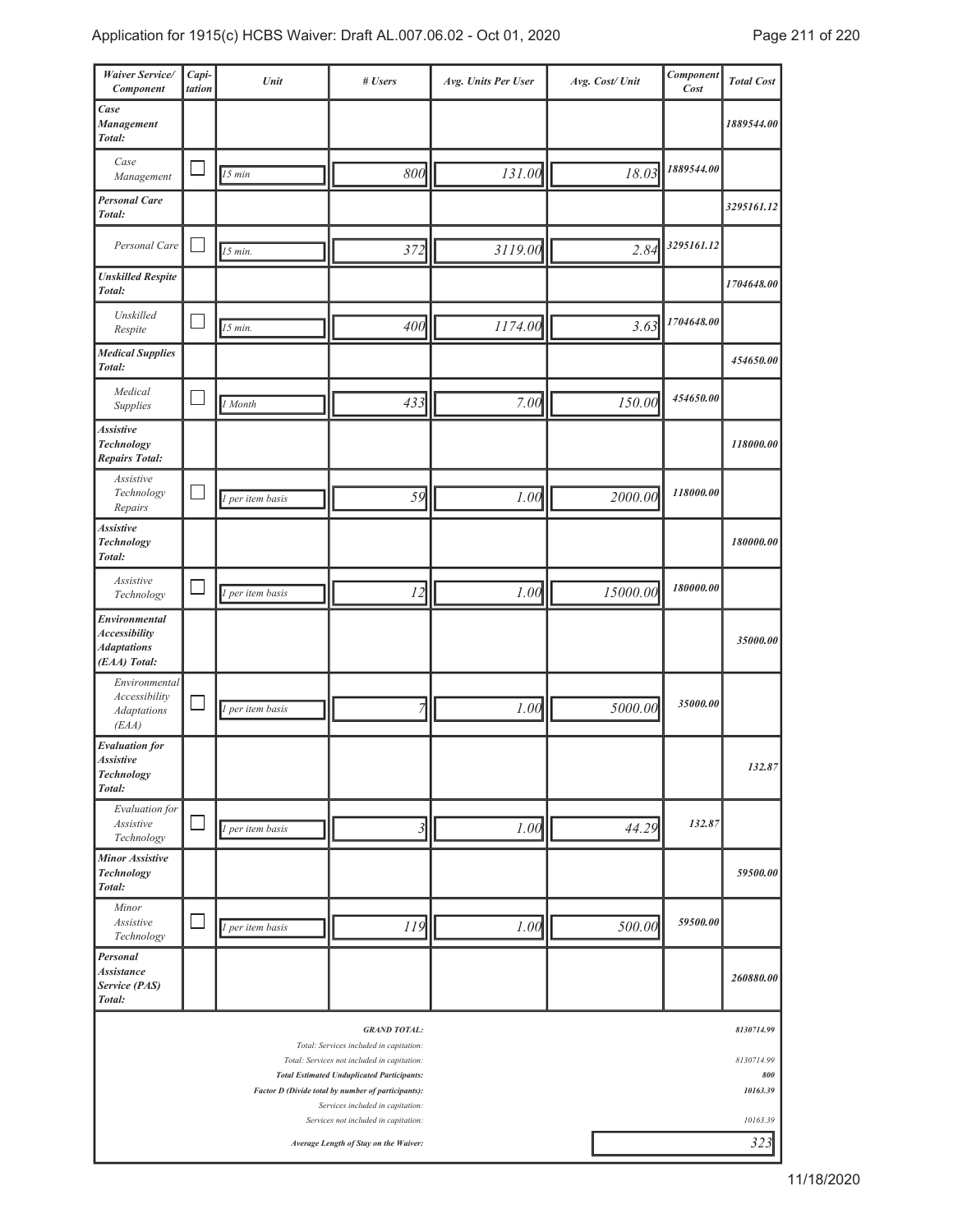| <b>Waiver Service/</b><br>Component                                         | Capi-<br>tation | Unit             | # Users                                                                                          | Avg. Units Per User | Avg. Cost/ Unit | Component<br>Cost | <b>Total Cost</b> |
|-----------------------------------------------------------------------------|-----------------|------------------|--------------------------------------------------------------------------------------------------|---------------------|-----------------|-------------------|-------------------|
| Case<br>Management<br>Total:                                                |                 |                  |                                                                                                  |                     |                 |                   | 1889544.00        |
| Case<br>Management                                                          |                 | $\sqrt{15}$ min  | 800                                                                                              | 131.00              | 18.03           | 1889544.00        |                   |
| <b>Personal Care</b><br>Total:                                              |                 |                  |                                                                                                  |                     |                 |                   | 3295161.12        |
| Personal Care                                                               |                 | $15$ min.        | 372                                                                                              | 3119.00             | 2.84            | 3295161.12        |                   |
| <b>Unskilled Respite</b><br>Total:                                          |                 |                  |                                                                                                  |                     |                 |                   | 1704648.00        |
| Unskilled<br>Respite                                                        |                 | 15 min.          | 400                                                                                              | 1174.00             | 3.63            | 1704648.00        |                   |
| <b>Medical Supplies</b><br>Total:                                           |                 |                  |                                                                                                  |                     |                 |                   | 454650.00         |
| Medical<br>Supplies                                                         |                 | 1 Month          | 433                                                                                              | 7.00                | 150.00          | 454650.00         |                   |
| <b>Assistive</b><br><b>Technology</b><br><b>Repairs Total:</b>              |                 |                  |                                                                                                  |                     |                 |                   | 118000.00         |
| Assistive<br>Technology<br>Repairs                                          |                 | 1 per item basis | 59                                                                                               | 1.00                | 2000.00         | 118000.00         |                   |
| <b>Assistive</b><br><b>Technology</b><br>Total:                             |                 |                  |                                                                                                  |                     |                 |                   | 180000.00         |
| Assistive<br>Technology                                                     |                 | 1 per item basis | 12                                                                                               | 1.00                | 15000.00        | 180000.00         |                   |
| Environmental<br><b>Accessibility</b><br><b>Adaptations</b><br>(EAA) Total: |                 |                  |                                                                                                  |                     |                 |                   | 35000.00          |
| Environmental<br>Accessibility<br><b>Adaptations</b><br>(EAA)               |                 | 1 per item basis | 7                                                                                                | 1.00                | 5000.00         | 35000.00          |                   |
| <b>Evaluation</b> for<br><b>Assistive</b><br><b>Technology</b><br>Total:    |                 |                  |                                                                                                  |                     |                 |                   | 132.87            |
| Evaluation for<br>Assistive<br>Technology                                   |                 | 1 per item basis | 3                                                                                                | 1.00                | 44.29           | 132.87            |                   |
| <b>Minor Assistive</b><br>Technology<br>Total:                              |                 |                  |                                                                                                  |                     |                 |                   | 59500.00          |
| Minor<br>Assistive<br>Technology                                            |                 | 1 per item basis | 119                                                                                              | 1.00                | 500.00          | 59500.00          |                   |
| Personal<br><b>Assistance</b><br>Service (PAS)<br>Total:                    |                 |                  |                                                                                                  |                     |                 |                   | 260880.00         |
|                                                                             |                 |                  | <b>GRAND TOTAL:</b><br>Total: Services included in capitation:                                   |                     |                 |                   | 8130714.99        |
|                                                                             |                 |                  | Total: Services not included in capitation:<br><b>Total Estimated Unduplicated Participants:</b> |                     |                 |                   | 8130714.99<br>800 |
|                                                                             |                 |                  | Factor D (Divide total by number of participants):<br>Services included in capitation:           |                     |                 |                   | 10163.39          |
|                                                                             |                 |                  | Services not included in capitation:<br>Average Length of Stay on the Waiver:                    |                     |                 |                   | 10163.39<br>323   |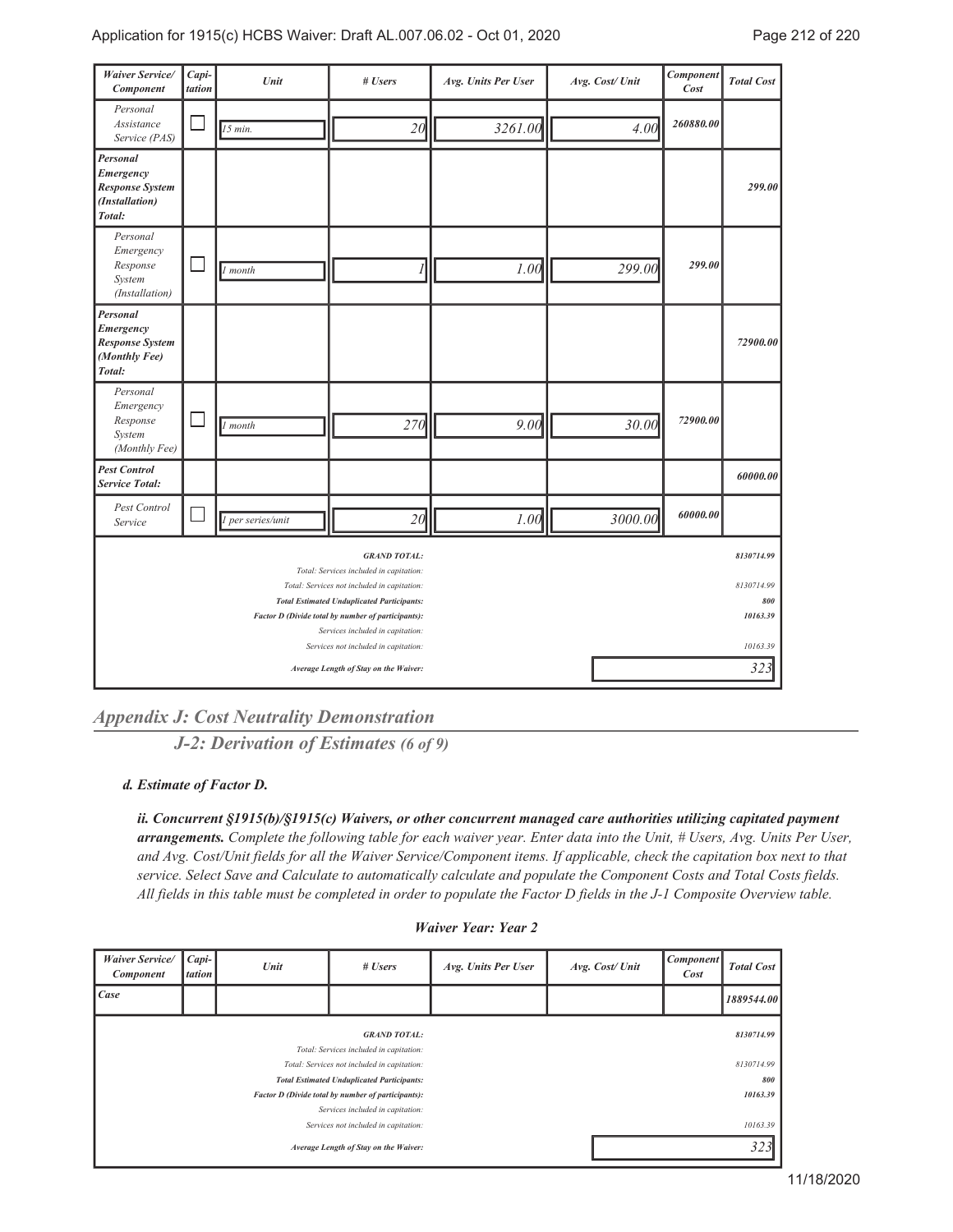| <b>Waiver Service/</b><br>Component                                         | Capi-<br>tation | Unit              | # Users                                                                                                                                                                                                                                                                                              | Avg. Units Per User | Avg. Cost/ Unit | Component<br>Cost | <b>Total Cost</b>                                       |
|-----------------------------------------------------------------------------|-----------------|-------------------|------------------------------------------------------------------------------------------------------------------------------------------------------------------------------------------------------------------------------------------------------------------------------------------------------|---------------------|-----------------|-------------------|---------------------------------------------------------|
| Personal<br>Assistance<br>Service (PAS)                                     |                 | $15$ min.         | 20                                                                                                                                                                                                                                                                                                   | 3261.00             | 4.00            | 260880.00         |                                                         |
| Personal<br>Emergency<br><b>Response System</b><br>(Installation)<br>Total: |                 |                   |                                                                                                                                                                                                                                                                                                      |                     |                 |                   | 299.00                                                  |
| Personal<br>Emergency<br>Response<br>System<br>(Installation)               |                 | 1 month           |                                                                                                                                                                                                                                                                                                      | 1.00                | 299.00          | 299.00            |                                                         |
| Personal<br>Emergency<br><b>Response System</b><br>(Monthly Fee)<br>Total:  |                 |                   |                                                                                                                                                                                                                                                                                                      |                     |                 |                   | 72900.00                                                |
| Personal<br>Emergency<br>Response<br>System<br>(Monthly Fee)                |                 | 1 month           | 270                                                                                                                                                                                                                                                                                                  | 9.00                | 30.00           | 72900.00          |                                                         |
| <b>Pest Control</b><br><b>Service Total:</b>                                |                 |                   |                                                                                                                                                                                                                                                                                                      |                     |                 |                   | 60000.00                                                |
| Pest Control<br>Service                                                     |                 | 1 per series/unit | 20                                                                                                                                                                                                                                                                                                   | 1.00                | 3000.00         | 60000.00          |                                                         |
|                                                                             |                 |                   | <b>GRAND TOTAL:</b><br>Total: Services included in capitation:<br>Total: Services not included in capitation:<br><b>Total Estimated Unduplicated Participants:</b><br>Factor D (Divide total by number of participants):<br>Services included in capitation:<br>Services not included in capitation: |                     |                 |                   | 8130714.99<br>8130714.99<br>800<br>10163.39<br>10163.39 |
|                                                                             |                 |                   | Average Length of Stay on the Waiver:                                                                                                                                                                                                                                                                |                     |                 |                   | 323                                                     |

*Appendix J: Cost Neutrality Demonstration*

*J-2: Derivation of Estimates (6 of 9)*

*Estimate of Factor D. d.*

*ii. Concurrent §1915(b)/§1915(c) Waivers, or other concurrent managed care authorities utilizing capitated payment arrangements. Complete the following table for each waiver year. Enter data into the Unit, # Users, Avg. Units Per User, and Avg. Cost/Unit fields for all the Waiver Service/Component items. If applicable, check the capitation box next to that service. Select Save and Calculate to automatically calculate and populate the Component Costs and Total Costs fields. All fields in this table must be completed in order to populate the Factor D fields in the J-1 Composite Overview table.*

| <b>Waiver Service/</b><br><b>Component</b>                               | $Capi-$<br>tation | Unit | # Users                                                                                                        | Avg. Units Per User | Avg. Cost/Unit | <b>Component</b><br>Cost |                 |  |
|--------------------------------------------------------------------------|-------------------|------|----------------------------------------------------------------------------------------------------------------|---------------------|----------------|--------------------------|-----------------|--|
| Case                                                                     |                   |      |                                                                                                                |                     |                |                          | 1889544.00      |  |
|                                                                          |                   |      | <b>GRAND TOTAL:</b><br>Total: Services included in capitation:                                                 |                     |                |                          | 8130714.99      |  |
|                                                                          |                   |      | Total: Services not included in capitation:                                                                    |                     |                | 8130714.99               |                 |  |
|                                                                          |                   |      | <b>Total Estimated Unduplicated Participants:</b><br><b>Factor D (Divide total by number of participants):</b> |                     |                |                          | 800<br>10163.39 |  |
| Services included in capitation:<br>Services not included in capitation: |                   |      |                                                                                                                |                     |                |                          | 10163.39        |  |
| Average Length of Stay on the Waiver:                                    |                   |      |                                                                                                                |                     |                |                          | 323             |  |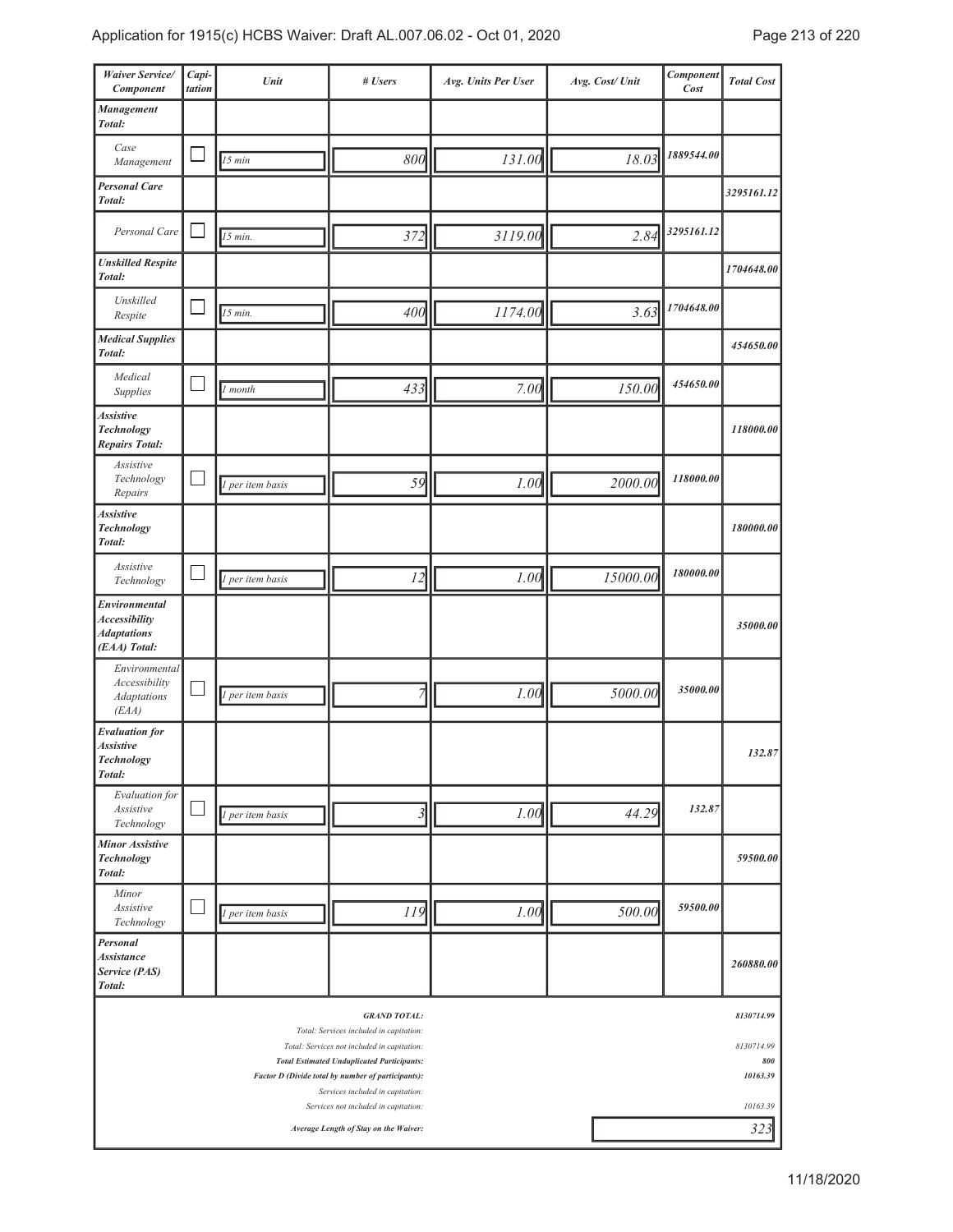| <b>Waiver Service/</b><br>Component                                                                            | Capi-<br>tation | Unit             | # Users                                                                                                                        | Avg. Units Per User | Avg. Cost/ Unit | Component<br>Cost | <b>Total Cost</b>    |  |
|----------------------------------------------------------------------------------------------------------------|-----------------|------------------|--------------------------------------------------------------------------------------------------------------------------------|---------------------|-----------------|-------------------|----------------------|--|
| Management<br>Total:                                                                                           |                 |                  |                                                                                                                                |                     |                 |                   |                      |  |
| Case<br>Management                                                                                             |                 | 15 min           | 800                                                                                                                            | 131.00              | 18.03           | 1889544.00        |                      |  |
| <b>Personal Care</b><br>Total:                                                                                 |                 |                  |                                                                                                                                |                     |                 |                   | 3295161.12           |  |
| Personal Care                                                                                                  |                 | 15 min.          | 372                                                                                                                            | 3119.00             | 2.84            | 3295161.12        |                      |  |
| <b>Unskilled Respite</b><br>Total:                                                                             |                 |                  |                                                                                                                                |                     |                 |                   | 1704648.00           |  |
| Unskilled<br>Respite                                                                                           |                 | 15 min.          | 400                                                                                                                            | 1174.00             | 3.63            | 1704648.00        |                      |  |
| <b>Medical Supplies</b><br>Total:                                                                              |                 |                  |                                                                                                                                |                     |                 |                   | 454650.00            |  |
| Medical<br>Supplies                                                                                            |                 | 1 month          | 433                                                                                                                            | 7.00                | 150.00          | 454650.00         |                      |  |
| <b>Assistive</b><br><b>Technology</b><br><b>Repairs Total:</b>                                                 |                 |                  |                                                                                                                                |                     |                 |                   | 118000.00            |  |
| Assistive<br>Technology<br>Repairs                                                                             |                 | 1 per item basis | 59                                                                                                                             | 1.00                | 2000.00         | 118000.00         |                      |  |
| <b>Assistive</b><br><b>Technology</b><br>Total:                                                                |                 |                  |                                                                                                                                |                     |                 |                   | 180000.00            |  |
| Assistive<br>Technology                                                                                        |                 | 1 per item basis | 12                                                                                                                             | 1.00                | 15000.00        | 180000.00         |                      |  |
| Environmental<br><b>Accessibility</b><br><b>Adaptations</b><br>(EAA) Total:                                    |                 |                  |                                                                                                                                |                     |                 |                   | 35000.00             |  |
| Environmental<br>Accessibility<br><b>Adaptations</b><br>(EAA)                                                  |                 | per item basis   | 7                                                                                                                              | 1.00                | 5000.00         | 35000.00          |                      |  |
| <b>Evaluation</b> for<br><b>Assistive</b><br><b>Technology</b><br>Total:                                       |                 |                  |                                                                                                                                |                     |                 |                   | 132.87               |  |
| Evaluation for<br>Assistive<br>Technology                                                                      |                 | 1 per item basis | $\mathfrak{Z}$                                                                                                                 | 1.00                | 44.29           | 132.87            |                      |  |
| <b>Minor Assistive</b><br><b>Technology</b><br>Total:                                                          |                 |                  |                                                                                                                                |                     |                 |                   | 59500.00             |  |
| Minor<br>Assistive<br>Technology                                                                               |                 | 1 per item basis | 119                                                                                                                            | 1.00                | 500.00          | 59500.00          |                      |  |
| Personal<br><b>Assistance</b><br>Service (PAS)<br>Total:                                                       |                 |                  |                                                                                                                                |                     |                 |                   | 260880.00            |  |
|                                                                                                                |                 |                  | <b>GRAND TOTAL:</b><br>Total: Services included in capitation:                                                                 |                     |                 |                   | 8130714.99           |  |
| 8130714.99<br>Total: Services not included in capitation:<br><b>Total Estimated Unduplicated Participants:</b> |                 |                  |                                                                                                                                |                     |                 |                   |                      |  |
|                                                                                                                |                 |                  | Factor D (Divide total by number of participants):<br>Services included in capitation:<br>Services not included in capitation: |                     |                 |                   | 10163.39<br>10163.39 |  |
|                                                                                                                |                 |                  | Average Length of Stay on the Waiver:                                                                                          | 323                 |                 |                   |                      |  |

J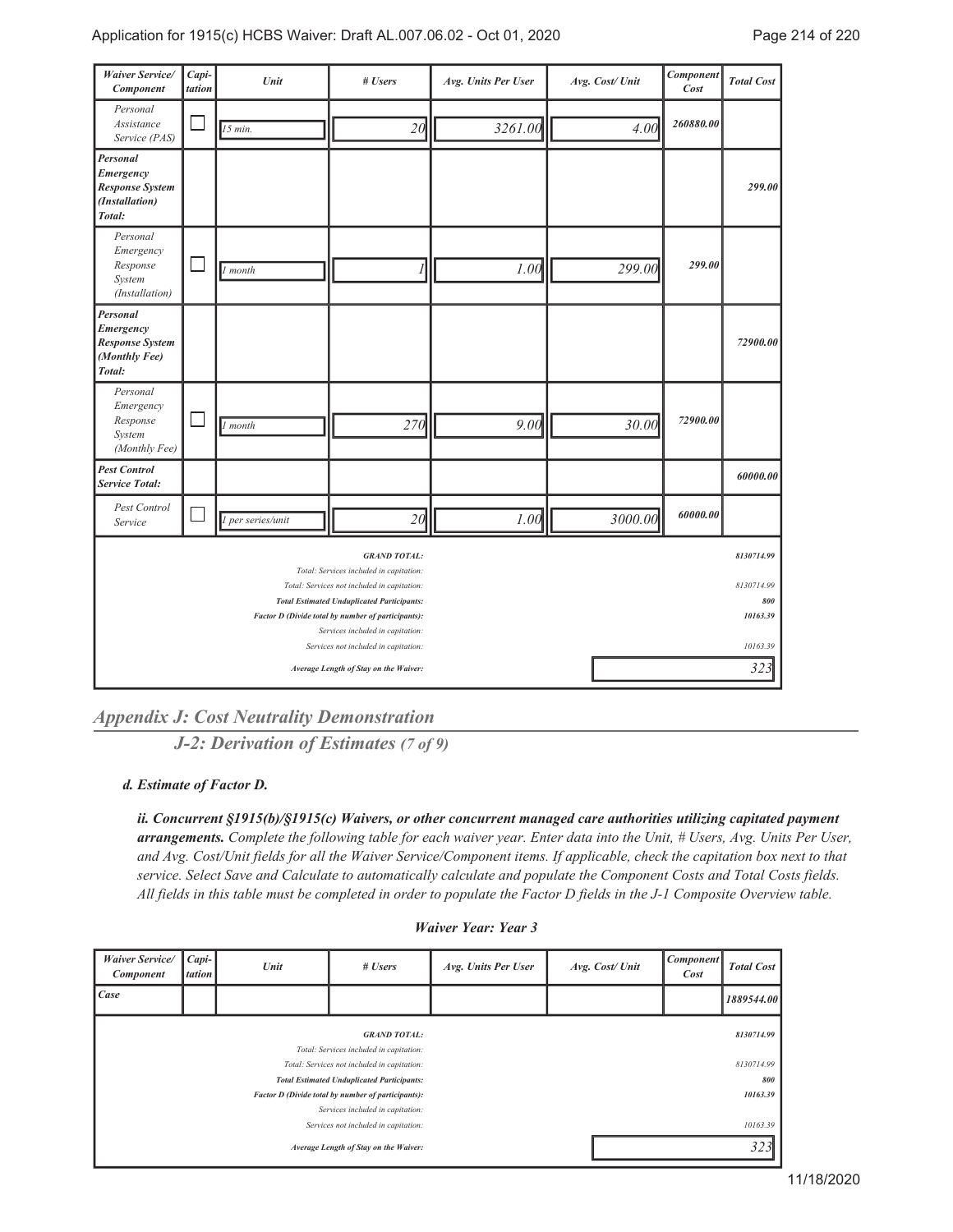| <b>Waiver Service/</b><br>Component                                         | Capi-<br>tation | Unit              | # Users                                                                                                                                                                                                                                                                                              | Avg. Units Per User | Avg. Cost/ Unit | Component<br>Cost | <b>Total Cost</b>                                              |
|-----------------------------------------------------------------------------|-----------------|-------------------|------------------------------------------------------------------------------------------------------------------------------------------------------------------------------------------------------------------------------------------------------------------------------------------------------|---------------------|-----------------|-------------------|----------------------------------------------------------------|
| Personal<br>Assistance<br>Service (PAS)                                     |                 | $15$ min.         | 20                                                                                                                                                                                                                                                                                                   | 3261.00             | 4.00            | 260880.00         |                                                                |
| Personal<br>Emergency<br><b>Response System</b><br>(Installation)<br>Total: |                 |                   |                                                                                                                                                                                                                                                                                                      |                     |                 |                   | 299.00                                                         |
| Personal<br>Emergency<br>Response<br>System<br>(Installation)               |                 | 1 month           |                                                                                                                                                                                                                                                                                                      | 1.00                | 299.00          | 299.00            |                                                                |
| Personal<br>Emergency<br><b>Response System</b><br>(Monthly Fee)<br>Total:  |                 |                   |                                                                                                                                                                                                                                                                                                      |                     |                 |                   | 72900.00                                                       |
| Personal<br>Emergency<br>Response<br>System<br>(Monthly Fee)                |                 | $\vert$ 1 month   | 270                                                                                                                                                                                                                                                                                                  | 9.00                | 30.00           | 72900.00          |                                                                |
| <b>Pest Control</b><br><b>Service Total:</b>                                |                 |                   |                                                                                                                                                                                                                                                                                                      |                     |                 |                   | 60000.00                                                       |
| Pest Control<br>Service                                                     |                 | 1 per series/unit | 20                                                                                                                                                                                                                                                                                                   | 1.00                | 3000.00         | 60000.00          |                                                                |
|                                                                             |                 |                   | <b>GRAND TOTAL:</b><br>Total: Services included in capitation:<br>Total: Services not included in capitation:<br><b>Total Estimated Unduplicated Participants:</b><br>Factor D (Divide total by number of participants):<br>Services included in capitation:<br>Services not included in capitation: |                     |                 |                   | 8130714.99<br>8130714.99<br>800<br>10163.39<br>10163.39<br>323 |
|                                                                             |                 |                   | Average Length of Stay on the Waiver:                                                                                                                                                                                                                                                                |                     |                 |                   |                                                                |

*Appendix J: Cost Neutrality Demonstration*

*J-2: Derivation of Estimates (7 of 9)*

*Estimate of Factor D. d.*

*ii. Concurrent §1915(b)/§1915(c) Waivers, or other concurrent managed care authorities utilizing capitated payment arrangements. Complete the following table for each waiver year. Enter data into the Unit, # Users, Avg. Units Per User, and Avg. Cost/Unit fields for all the Waiver Service/Component items. If applicable, check the capitation box next to that service. Select Save and Calculate to automatically calculate and populate the Component Costs and Total Costs fields. All fields in this table must be completed in order to populate the Factor D fields in the J-1 Composite Overview table.*

| <b>Waiver Service/</b><br><b>Component</b> | Capi-<br>tation | Unit | # Users                                                                                                 | Avg. Units Per User | Avg. Cost/Unit | <b>Component</b><br>Cost | <b>Total Cost</b> |
|--------------------------------------------|-----------------|------|---------------------------------------------------------------------------------------------------------|---------------------|----------------|--------------------------|-------------------|
| Case                                       |                 |      |                                                                                                         |                     |                |                          | 1889544.00        |
|                                            |                 |      | <b>GRAND TOTAL:</b><br>Total: Services included in capitation:                                          |                     |                |                          | 8130714.99        |
|                                            |                 |      | Total: Services not included in capitation:                                                             |                     |                |                          | 8130714.99        |
|                                            |                 |      | <b>Total Estimated Unduplicated Participants:</b><br>Factor D (Divide total by number of participants): |                     |                |                          | 800<br>10163.39   |
| Services included in capitation:           |                 |      |                                                                                                         |                     |                |                          |                   |
| Services not included in capitation:       |                 |      |                                                                                                         |                     |                |                          | 10163.39          |
| Average Length of Stay on the Waiver:      |                 |      |                                                                                                         |                     |                |                          | 323               |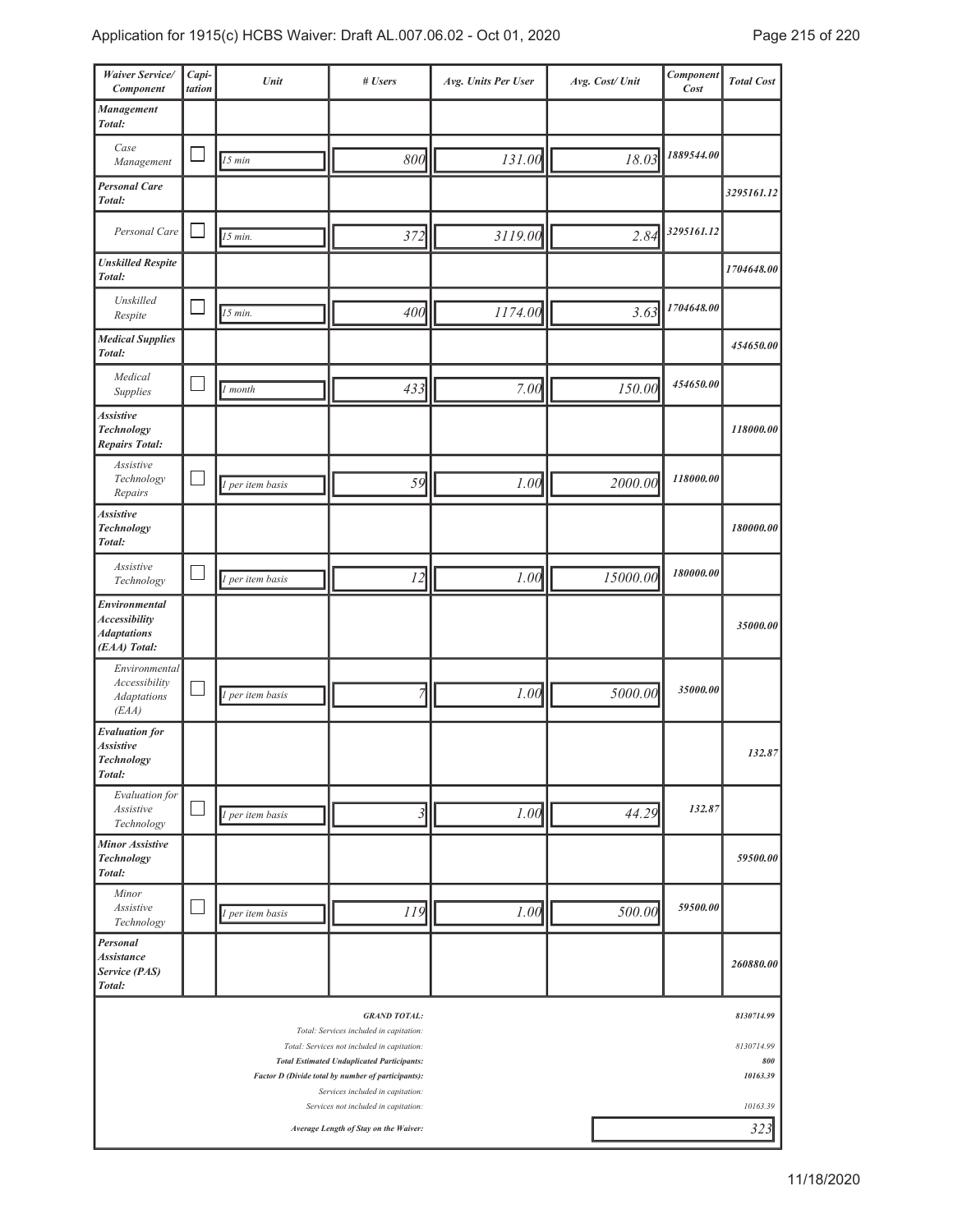| Waiver Service/<br>Component                                                                                                   | Capi-<br>tation | Unit             | # Users                                                        | Avg. Units Per User | Avg. Cost/ Unit | Component<br>Cost | <b>Total Cost</b> |  |  |
|--------------------------------------------------------------------------------------------------------------------------------|-----------------|------------------|----------------------------------------------------------------|---------------------|-----------------|-------------------|-------------------|--|--|
| Management<br>Total:                                                                                                           |                 |                  |                                                                |                     |                 |                   |                   |  |  |
| Case<br>Management                                                                                                             |                 | 15 min           | 800                                                            | 131.00              | 18.03           | 1889544.00        |                   |  |  |
| <b>Personal Care</b><br>Total:                                                                                                 |                 |                  |                                                                |                     |                 |                   | 3295161.12        |  |  |
| Personal Care                                                                                                                  |                 | 15 min.          | 372                                                            | 3119.00             | 2.84            | 3295161.12        |                   |  |  |
| <b>Unskilled Respite</b><br>Total:                                                                                             |                 |                  |                                                                |                     |                 |                   | 1704648.00        |  |  |
| Unskilled<br>Respite                                                                                                           |                 | 15 min.          | 400                                                            | 1174.00             | 3.63            | 1704648.00        |                   |  |  |
| <b>Medical Supplies</b><br>Total:                                                                                              |                 |                  |                                                                |                     |                 |                   | 454650.00         |  |  |
| Medical<br>Supplies                                                                                                            |                 | month            | 433                                                            | 7.00                | 150.00          | 454650.00         |                   |  |  |
| <b>Assistive</b><br>Technology<br><b>Repairs Total:</b>                                                                        |                 |                  |                                                                |                     |                 |                   | 118000.00         |  |  |
| Assistive<br>Technology<br>Repairs                                                                                             |                 | 1 per item basis | 59                                                             | 1.00                | 2000.00         | 118000.00         |                   |  |  |
| <b>Assistive</b><br><b>Technology</b><br>Total:                                                                                |                 |                  |                                                                |                     |                 |                   | 180000.00         |  |  |
| Assistive<br>Technology                                                                                                        |                 | 1 per item basis | 12                                                             | 1.00                | 15000.00        | 180000.00         |                   |  |  |
| Environmental<br><b>Accessibility</b><br><b>Adaptations</b><br>(EAA) Total:                                                    |                 |                  |                                                                |                     |                 |                   | 35000.00          |  |  |
| Environmental<br>Accessibility<br><b>Adaptations</b><br>(EAA)                                                                  |                 | 1 per item basis | 7                                                              | 1.00                | 5000.00         | 35000.00          |                   |  |  |
| <b>Evaluation</b> for<br><b>Assistive</b><br><b>Technology</b><br>Total:                                                       |                 |                  |                                                                |                     |                 |                   | 132.87            |  |  |
| Evaluation for<br>Assistive<br>Technology                                                                                      |                 | 1 per item basis | $\mathfrak{Z}$                                                 | 1.00                | 44.29           | 132.87            |                   |  |  |
| <b>Minor Assistive</b><br><b>Technology</b><br>Total:                                                                          |                 |                  |                                                                |                     |                 |                   | 59500.00          |  |  |
| Minor<br>Assistive<br>Technology                                                                                               |                 | 1 per item basis | 119                                                            | 1.00                | 500.00          | 59500.00          |                   |  |  |
| Personal<br><b>Assistance</b><br>Service (PAS)<br>Total:                                                                       |                 |                  |                                                                |                     |                 |                   | 260880.00         |  |  |
|                                                                                                                                |                 |                  | <b>GRAND TOTAL:</b><br>Total: Services included in capitation: |                     |                 |                   | 8130714.99        |  |  |
| 8130714.99<br>Total: Services not included in capitation:<br><b>Total Estimated Unduplicated Participants:</b><br>10163.39     |                 |                  |                                                                |                     |                 |                   |                   |  |  |
| Factor D (Divide total by number of participants):<br>Services included in capitation:<br>Services not included in capitation: |                 |                  |                                                                |                     |                 |                   |                   |  |  |
|                                                                                                                                |                 |                  | Average Length of Stay on the Waiver:                          | 10163.39<br>323     |                 |                   |                   |  |  |

J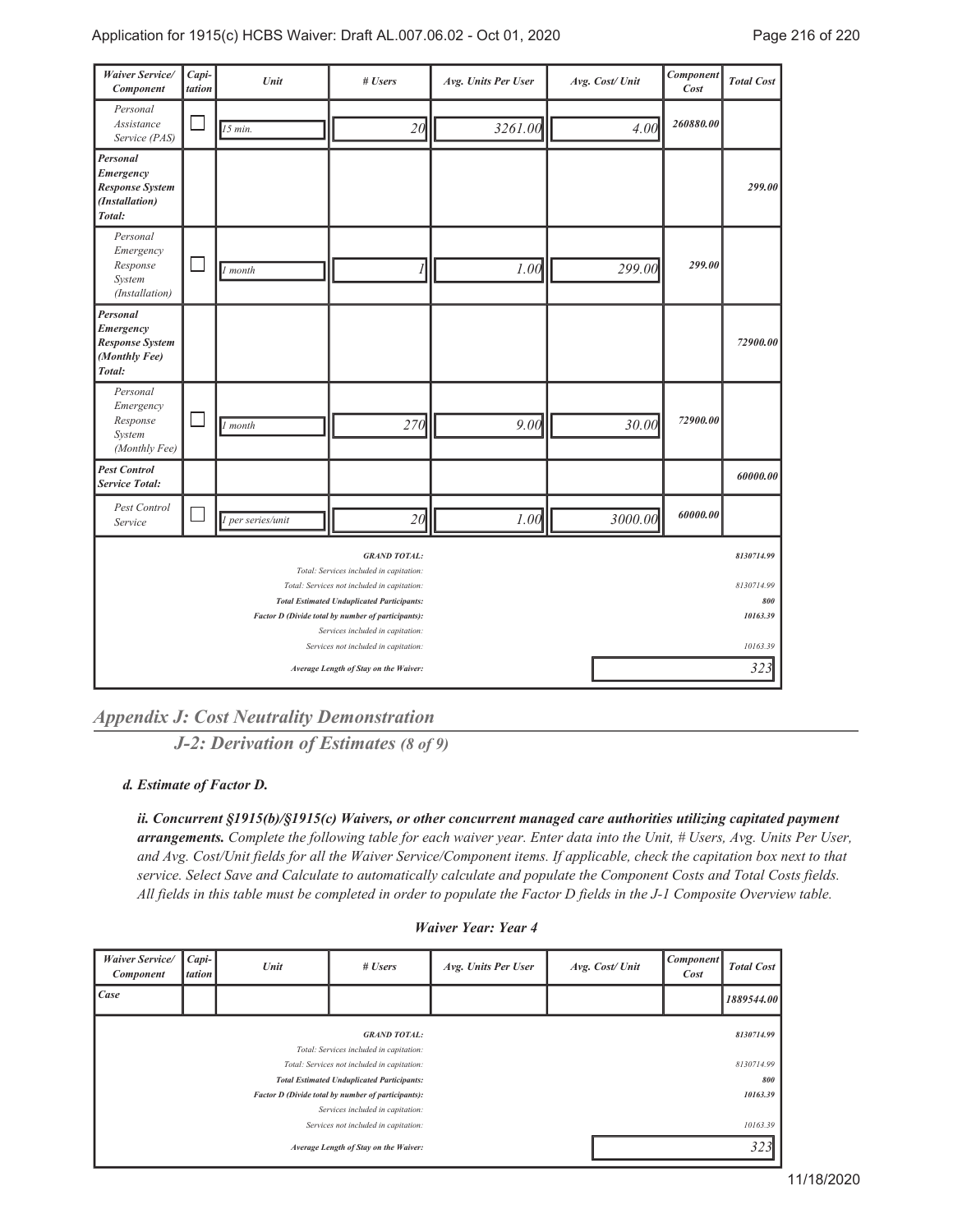| Waiver Service/<br>Component                                                                                                                                                                                                                                                                         | Capi-<br>tation | Unit              | # Users                               | Avg. Units Per User | Avg. Cost/ Unit | Component<br>Cost | <b>Total Cost</b>                                       |
|------------------------------------------------------------------------------------------------------------------------------------------------------------------------------------------------------------------------------------------------------------------------------------------------------|-----------------|-------------------|---------------------------------------|---------------------|-----------------|-------------------|---------------------------------------------------------|
| Personal<br>Assistance<br>Service (PAS)                                                                                                                                                                                                                                                              |                 | $15$ min.         | 20                                    | 3261.00             | 4.00            | 260880.00         |                                                         |
| Personal<br>Emergency<br><b>Response System</b><br>(Installation)<br>Total:                                                                                                                                                                                                                          |                 |                   |                                       |                     |                 |                   | 299.00                                                  |
| Personal<br>Emergency<br>Response<br>System<br>(Installation)                                                                                                                                                                                                                                        |                 | 1 month           |                                       | 1.00                | 299.00          | 299.00            |                                                         |
| Personal<br>Emergency<br><b>Response System</b><br>(Monthly Fee)<br>Total:                                                                                                                                                                                                                           |                 |                   |                                       |                     |                 |                   | 72900.00                                                |
| Personal<br>Emergency<br>Response<br>System<br>(Monthly Fee)                                                                                                                                                                                                                                         |                 | $\vert$ 1 month   | 270                                   | 9.00                | 30.00           | 72900.00          |                                                         |
| <b>Pest Control</b><br><b>Service Total:</b>                                                                                                                                                                                                                                                         |                 |                   |                                       |                     |                 |                   | 60000.00                                                |
| <b>Pest Control</b><br>Service                                                                                                                                                                                                                                                                       |                 | 1 per series/unit | 20                                    | 1.00                | 3000.00         | 60000.00          |                                                         |
| <b>GRAND TOTAL:</b><br>Total: Services included in capitation:<br>Total: Services not included in capitation:<br><b>Total Estimated Unduplicated Participants:</b><br>Factor D (Divide total by number of participants):<br>Services included in capitation:<br>Services not included in capitation: |                 |                   |                                       |                     |                 |                   | 8130714.99<br>8130714.99<br>800<br>10163.39<br>10163.39 |
|                                                                                                                                                                                                                                                                                                      |                 |                   | Average Length of Stay on the Waiver: |                     |                 |                   | 323                                                     |

*Appendix J: Cost Neutrality Demonstration*

*J-2: Derivation of Estimates (8 of 9)*

*Estimate of Factor D. d.*

*ii. Concurrent §1915(b)/§1915(c) Waivers, or other concurrent managed care authorities utilizing capitated payment arrangements. Complete the following table for each waiver year. Enter data into the Unit, # Users, Avg. Units Per User, and Avg. Cost/Unit fields for all the Waiver Service/Component items. If applicable, check the capitation box next to that service. Select Save and Calculate to automatically calculate and populate the Component Costs and Total Costs fields. All fields in this table must be completed in order to populate the Factor D fields in the J-1 Composite Overview table.*

| <b>Waiver Service/</b><br><b>Component</b> | $Capi-$<br><i>tation</i> | Unit | # Users                                                        | Avg. Units Per User | Avg. Cost/Unit | <b>Component</b><br>Cost | <b>Total Cost</b> |
|--------------------------------------------|--------------------------|------|----------------------------------------------------------------|---------------------|----------------|--------------------------|-------------------|
| Case                                       |                          |      |                                                                |                     |                |                          | 1889544.00        |
|                                            |                          |      | <b>GRAND TOTAL:</b><br>Total: Services included in capitation: |                     |                |                          | 8130714.99        |
|                                            |                          |      | Total: Services not included in capitation:                    |                     |                |                          | 8130714.99        |
|                                            |                          |      | <b>Total Estimated Unduplicated Participants:</b>              |                     |                |                          | 800               |
|                                            |                          |      | Factor D (Divide total by number of participants):             |                     |                |                          | 10163.39          |
| Services included in capitation:           |                          |      |                                                                |                     |                |                          |                   |
| Services not included in capitation:       |                          |      |                                                                |                     |                |                          | 10163.39          |
| Average Length of Stay on the Waiver:      |                          |      |                                                                |                     |                |                          | 323               |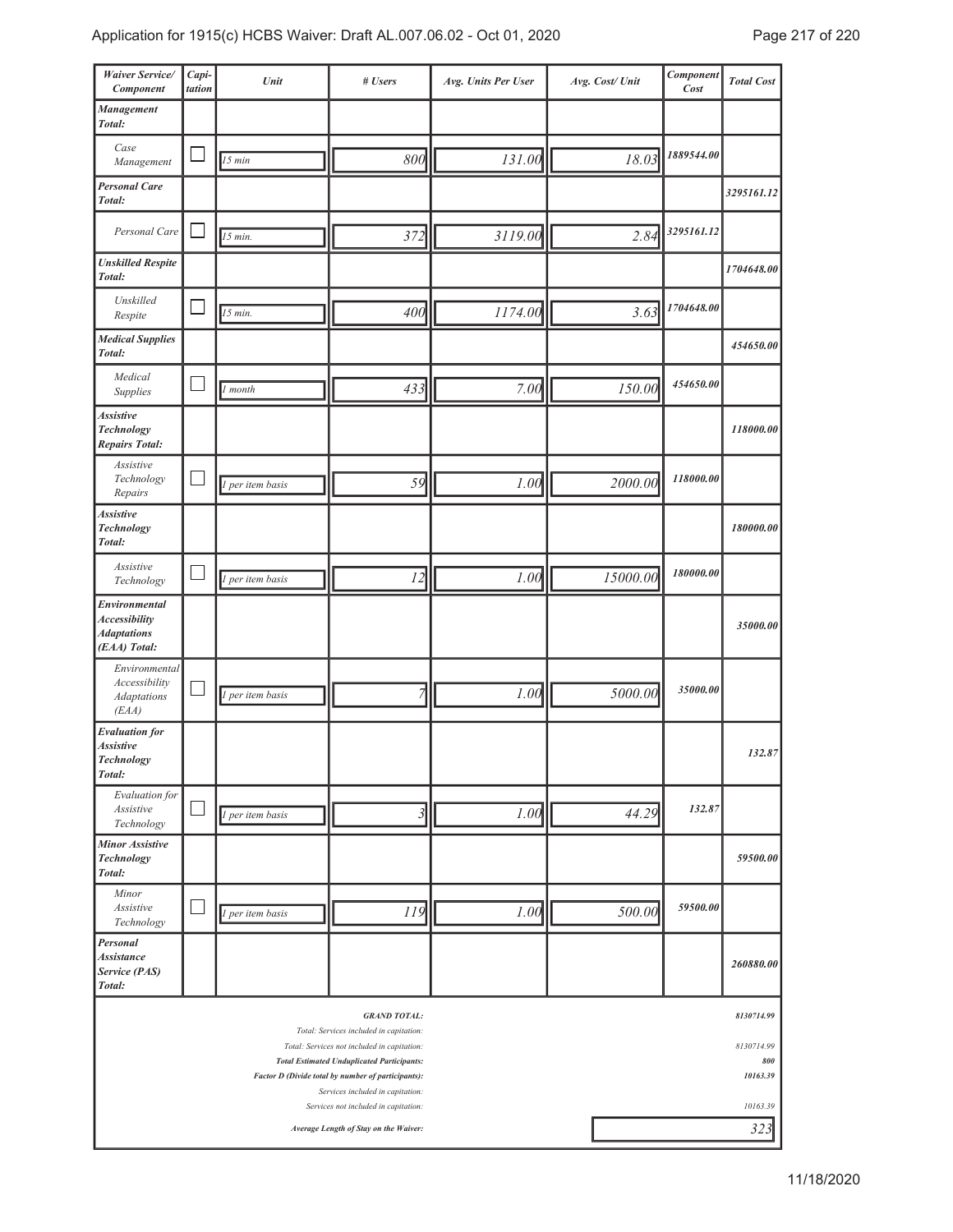| Waiver Service/<br>Component                                                | Capi-<br>tation | Unit             | # Users                                                                                                                                                                                                                  | Avg. Units Per User | Avg. Cost/Unit | Component<br>Cost | <b>Total Cost</b>                           |
|-----------------------------------------------------------------------------|-----------------|------------------|--------------------------------------------------------------------------------------------------------------------------------------------------------------------------------------------------------------------------|---------------------|----------------|-------------------|---------------------------------------------|
| Management<br>Total:                                                        |                 |                  |                                                                                                                                                                                                                          |                     |                |                   |                                             |
| Case<br>Management                                                          |                 | 15 min           | 800                                                                                                                                                                                                                      | 131.00              | 18.03          | 1889544.00        |                                             |
| <b>Personal Care</b><br>Total:                                              |                 |                  |                                                                                                                                                                                                                          |                     |                |                   | 3295161.12                                  |
| Personal Care                                                               |                 | $15$ min.        | 372                                                                                                                                                                                                                      | 3119.00             | 2.84           | 3295161.12        |                                             |
| <b>Unskilled Respite</b><br>Total:                                          |                 |                  |                                                                                                                                                                                                                          |                     |                |                   | 1704648.00                                  |
| Unskilled<br>Respite                                                        |                 | $15$ min.        | 400                                                                                                                                                                                                                      | 1174.00             | 3.63           | 1704648.00        |                                             |
| <b>Medical Supplies</b><br>Total:                                           |                 |                  |                                                                                                                                                                                                                          |                     |                |                   | 454650.00                                   |
| Medical<br>Supplies                                                         |                 | 1 month          | 433                                                                                                                                                                                                                      | 7.00                | 150.00         | 454650.00         |                                             |
| <b>Assistive</b><br><b>Technology</b><br><b>Repairs Total:</b>              |                 |                  |                                                                                                                                                                                                                          |                     |                |                   | 118000.00                                   |
| Assistive<br>Technology<br>Repairs                                          |                 | 1 per item basis | 59                                                                                                                                                                                                                       | 1.00                | 2000.00        | 118000.00         |                                             |
| <b>Assistive</b><br><b>Technology</b><br>Total:                             |                 |                  |                                                                                                                                                                                                                          |                     |                |                   | 180000.00                                   |
| Assistive<br>Technology                                                     |                 | 1 per item basis | 12                                                                                                                                                                                                                       | 1.00                | 15000.00       | 180000.00         |                                             |
| Environmental<br><b>Accessibility</b><br><b>Adaptations</b><br>(EAA) Total: |                 |                  |                                                                                                                                                                                                                          |                     |                |                   | 35000.00                                    |
| Environmental<br>Accessibility<br><b>Adaptations</b><br>(EAA)               |                 | 1 per item basis | $\overline{7}$                                                                                                                                                                                                           | 1.00                | 5000.00        | 35000.00          |                                             |
| <b>Evaluation</b> for<br><b>Assistive</b><br><b>Technology</b><br>Total:    |                 |                  |                                                                                                                                                                                                                          |                     |                |                   | 132.87                                      |
| Evaluation for<br>Assistive<br>Technology                                   |                 | 1 per item basis | 3                                                                                                                                                                                                                        | 1.00                | 44.29          | 132.87            |                                             |
| <b>Minor Assistive</b><br>Technology<br>Total:                              |                 |                  |                                                                                                                                                                                                                          |                     |                |                   | 59500.00                                    |
| Minor<br>Assistive<br>Technology                                            |                 | 1 per item basis | 119                                                                                                                                                                                                                      | 1.00                | 500.00         | 59500.00          |                                             |
| Personal<br><b>Assistance</b><br>Service (PAS)<br>Total:                    |                 |                  |                                                                                                                                                                                                                          |                     |                |                   | 260880.00                                   |
|                                                                             |                 |                  | <b>GRAND TOTAL:</b><br>Total: Services included in capitation:<br>Total: Services not included in capitation:<br><b>Total Estimated Unduplicated Participants:</b><br>Factor D (Divide total by number of participants): |                     |                |                   | 8130714.99<br>8130714.99<br>800<br>10163.39 |
|                                                                             |                 |                  | Services included in capitation:<br>Services not included in capitation:<br>Average Length of Stay on the Waiver:                                                                                                        |                     |                |                   | 10163.39<br>323                             |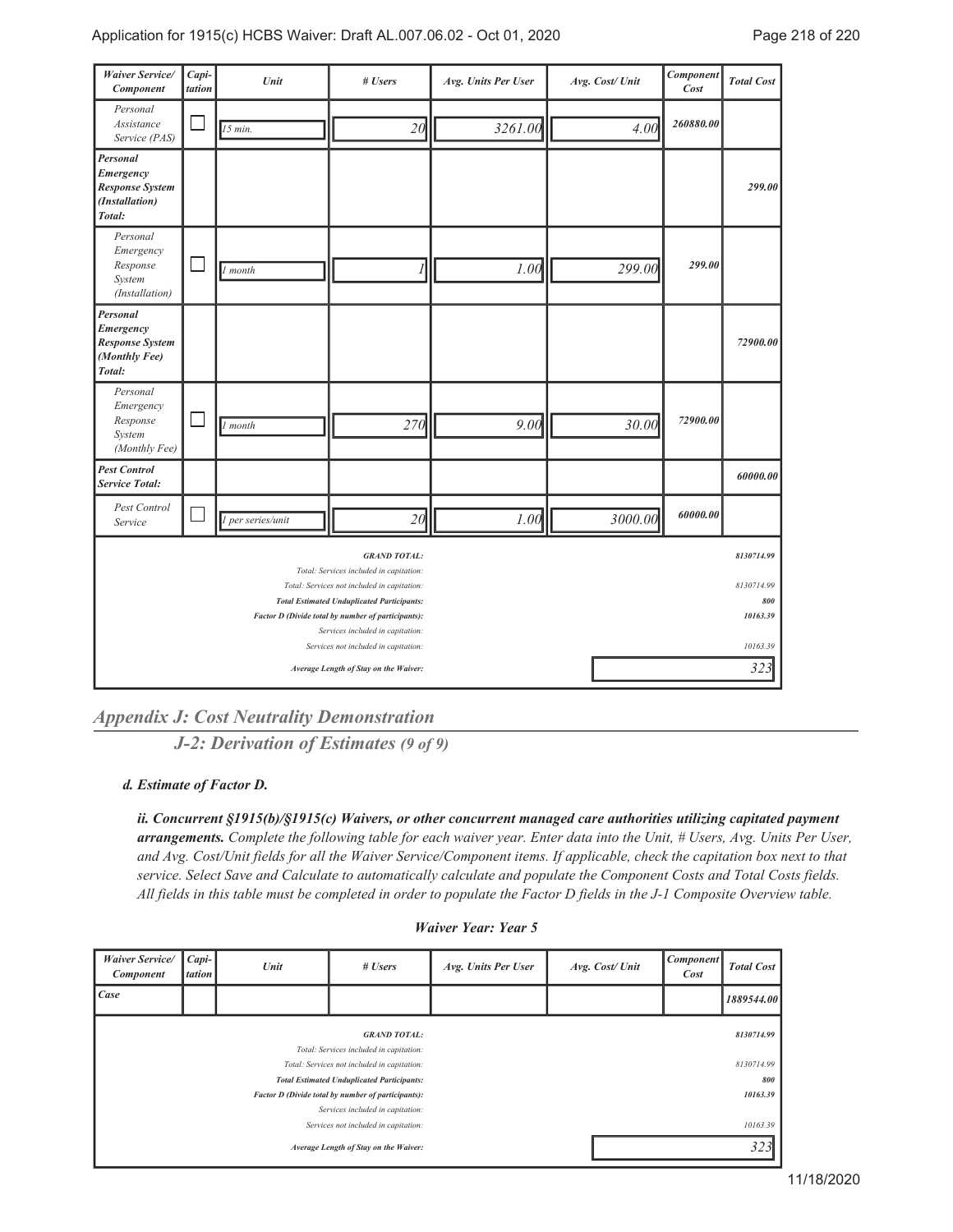| <b>Waiver Service/</b><br>Component                                         | Capi-<br>tation | Unit              | # Users                                                                                                                                                                                                                                                                                              | Avg. Units Per User | Avg. Cost/ Unit | Component<br>Cost | <b>Total Cost</b>                                       |
|-----------------------------------------------------------------------------|-----------------|-------------------|------------------------------------------------------------------------------------------------------------------------------------------------------------------------------------------------------------------------------------------------------------------------------------------------------|---------------------|-----------------|-------------------|---------------------------------------------------------|
| Personal<br>Assistance<br>Service (PAS)                                     |                 | $15$ min.         | 20                                                                                                                                                                                                                                                                                                   | 3261.00             | 4.00            | 260880.00         |                                                         |
| Personal<br>Emergency<br><b>Response System</b><br>(Installation)<br>Total: |                 |                   |                                                                                                                                                                                                                                                                                                      |                     |                 |                   | 299.00                                                  |
| Personal<br>Emergency<br>Response<br>System<br>(Installation)               |                 | 1 month           |                                                                                                                                                                                                                                                                                                      | 1.00                | 299.00          | 299.00            |                                                         |
| Personal<br>Emergency<br><b>Response System</b><br>(Monthly Fee)<br>Total:  |                 |                   |                                                                                                                                                                                                                                                                                                      |                     |                 |                   | 72900.00                                                |
| Personal<br>Emergency<br>Response<br>System<br>(Monthly Fee)                |                 | $\vert$ 1 month   | 270                                                                                                                                                                                                                                                                                                  | 9.00                | 30.00           | 72900.00          |                                                         |
| <b>Pest Control</b><br><b>Service Total:</b>                                |                 |                   |                                                                                                                                                                                                                                                                                                      |                     |                 |                   | 60000.00                                                |
| Pest Control<br>Service                                                     |                 | 1 per series/unit | 20                                                                                                                                                                                                                                                                                                   | 1.00                | 3000.00         | 60000.00          |                                                         |
|                                                                             |                 |                   | <b>GRAND TOTAL:</b><br>Total: Services included in capitation:<br>Total: Services not included in capitation:<br><b>Total Estimated Unduplicated Participants:</b><br>Factor D (Divide total by number of participants):<br>Services included in capitation:<br>Services not included in capitation: |                     |                 |                   | 8130714.99<br>8130714.99<br>800<br>10163.39<br>10163.39 |
|                                                                             |                 |                   | Average Length of Stay on the Waiver:                                                                                                                                                                                                                                                                | 323                 |                 |                   |                                                         |

*Appendix J: Cost Neutrality Demonstration*

*J-2: Derivation of Estimates (9 of 9)*

*Estimate of Factor D. d.*

*ii. Concurrent §1915(b)/§1915(c) Waivers, or other concurrent managed care authorities utilizing capitated payment arrangements. Complete the following table for each waiver year. Enter data into the Unit, # Users, Avg. Units Per User, and Avg. Cost/Unit fields for all the Waiver Service/Component items. If applicable, check the capitation box next to that service. Select Save and Calculate to automatically calculate and populate the Component Costs and Total Costs fields. All fields in this table must be completed in order to populate the Factor D fields in the J-1 Composite Overview table.*

| <b>Waiver Service/</b><br><b>Component</b>                     | $Capi-$<br>tation | Unit | # Users | Avg. Units Per User | Avg. Cost/Unit | <b>Component</b><br>Cost | <b>Total Cost</b> |
|----------------------------------------------------------------|-------------------|------|---------|---------------------|----------------|--------------------------|-------------------|
| Case                                                           |                   |      |         |                     |                |                          | 1889544.00        |
| <b>GRAND TOTAL:</b><br>Total: Services included in capitation: |                   |      |         |                     |                |                          | 8130714.99        |
| Total: Services not included in capitation:                    |                   |      |         |                     |                |                          | 8130714.99        |
| <b>Total Estimated Unduplicated Participants:</b>              |                   |      |         |                     |                |                          | 800               |
| Factor D (Divide total by number of participants):             |                   |      |         |                     |                |                          | 10163.39          |
| Services included in capitation:                               |                   |      |         |                     |                |                          |                   |
| Services not included in capitation:                           |                   |      |         |                     |                |                          | 10163.39          |
| Average Length of Stay on the Waiver:                          |                   |      |         |                     |                |                          | 323               |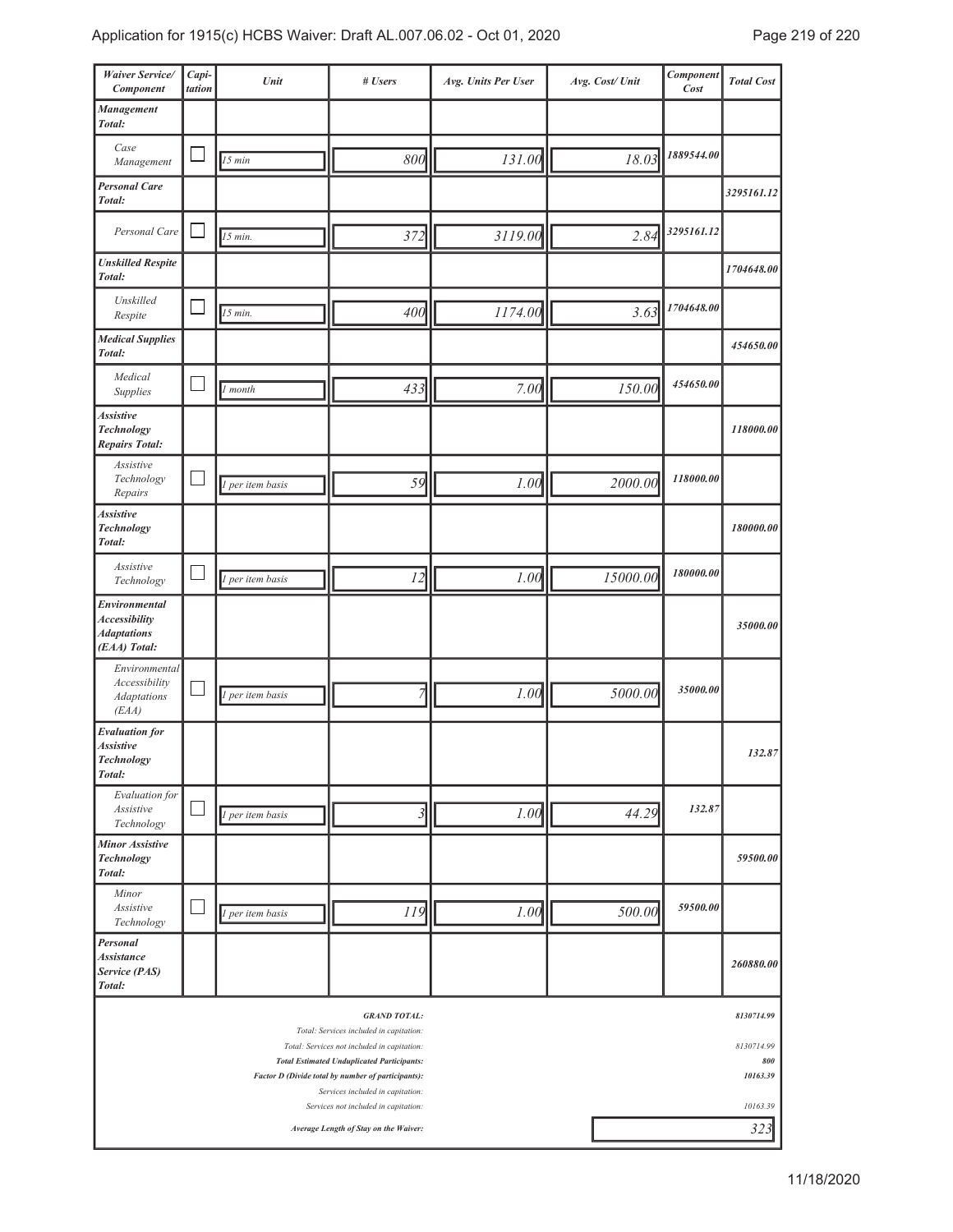| Waiver Service/<br>Component                                                | Capi-<br>tation | Unit             | # Users                                                                                                                                                            | Avg. Units Per User  | Avg. Cost/Unit | Component<br>Cost | <b>Total Cost</b>               |
|-----------------------------------------------------------------------------|-----------------|------------------|--------------------------------------------------------------------------------------------------------------------------------------------------------------------|----------------------|----------------|-------------------|---------------------------------|
| Management<br>Total:                                                        |                 |                  |                                                                                                                                                                    |                      |                |                   |                                 |
| Case<br>Management                                                          |                 | 15 min           | 800                                                                                                                                                                | 131.00               | 18.03          | 1889544.00        |                                 |
| <b>Personal Care</b><br>Total:                                              |                 |                  |                                                                                                                                                                    |                      |                |                   | 3295161.12                      |
| Personal Care                                                               |                 | 15 min.          | 372                                                                                                                                                                | 3119.00              | 2.84           | 3295161.12        |                                 |
| <b>Unskilled Respite</b><br>Total:                                          |                 |                  |                                                                                                                                                                    |                      |                |                   | 1704648.00                      |
| Unskilled<br>Respite                                                        |                 | 15 min.          | 400                                                                                                                                                                | 1174.00              | 3.63           | 1704648.00        |                                 |
| <b>Medical Supplies</b><br>Total:                                           |                 |                  |                                                                                                                                                                    |                      |                |                   | 454650.00                       |
| Medical<br>Supplies                                                         |                 | month            | 433                                                                                                                                                                | 7.00                 | 150.00         | 454650.00         |                                 |
| <b>Assistive</b><br><b>Technology</b><br><b>Repairs Total:</b>              |                 |                  |                                                                                                                                                                    |                      |                |                   | 118000.00                       |
| Assistive<br>Technology<br>Repairs                                          |                 | 1 per item basis | 59                                                                                                                                                                 | 1.00                 | 2000.00        | 118000.00         |                                 |
| <b>Assistive</b><br><b>Technology</b><br>Total:                             |                 |                  |                                                                                                                                                                    |                      |                |                   | 180000.00                       |
| Assistive<br>Technology                                                     |                 | 1 per item basis | 12                                                                                                                                                                 | 1.00                 | 15000.00       | 180000.00         |                                 |
| Environmental<br><b>Accessibility</b><br><b>Adaptations</b><br>(EAA) Total: |                 |                  |                                                                                                                                                                    |                      |                |                   | 35000.00                        |
| Environmental<br>Accessibility<br><b>Adaptations</b><br>(EAA)               |                 | 1 per item basis | 7                                                                                                                                                                  | 1.00                 | 5000.00        | 35000.00          |                                 |
| <b>Evaluation</b> for<br><b>Assistive</b><br><b>Technology</b><br>Total:    |                 |                  |                                                                                                                                                                    |                      |                |                   | 132.87                          |
| Evaluation for<br>Assistive<br>Technology                                   |                 | 1 per item basis | 3                                                                                                                                                                  | 1.00                 | 44.29          | 132.87            |                                 |
| <b>Minor Assistive</b><br>Technology<br>Total:                              |                 |                  |                                                                                                                                                                    |                      |                |                   | 59500.00                        |
| Minor<br>Assistive<br>Technology                                            |                 | 1 per item basis | 119                                                                                                                                                                | 1.00                 | 500.00         | 59500.00          |                                 |
| Personal<br><b>Assistance</b><br>Service (PAS)<br>Total:                    |                 |                  |                                                                                                                                                                    |                      |                |                   | 260880.00                       |
|                                                                             |                 |                  | <b>GRAND TOTAL:</b><br>Total: Services included in capitation:<br>Total: Services not included in capitation:<br><b>Total Estimated Unduplicated Participants:</b> |                      |                |                   | 8130714.99<br>8130714.99<br>800 |
|                                                                             |                 |                  | Factor D (Divide total by number of participants):<br>Services included in capitation:<br>Services not included in capitation:                                     | 10163.39<br>10163.39 |                |                   |                                 |
|                                                                             |                 |                  | Average Length of Stay on the Waiver:                                                                                                                              |                      |                |                   | 323                             |